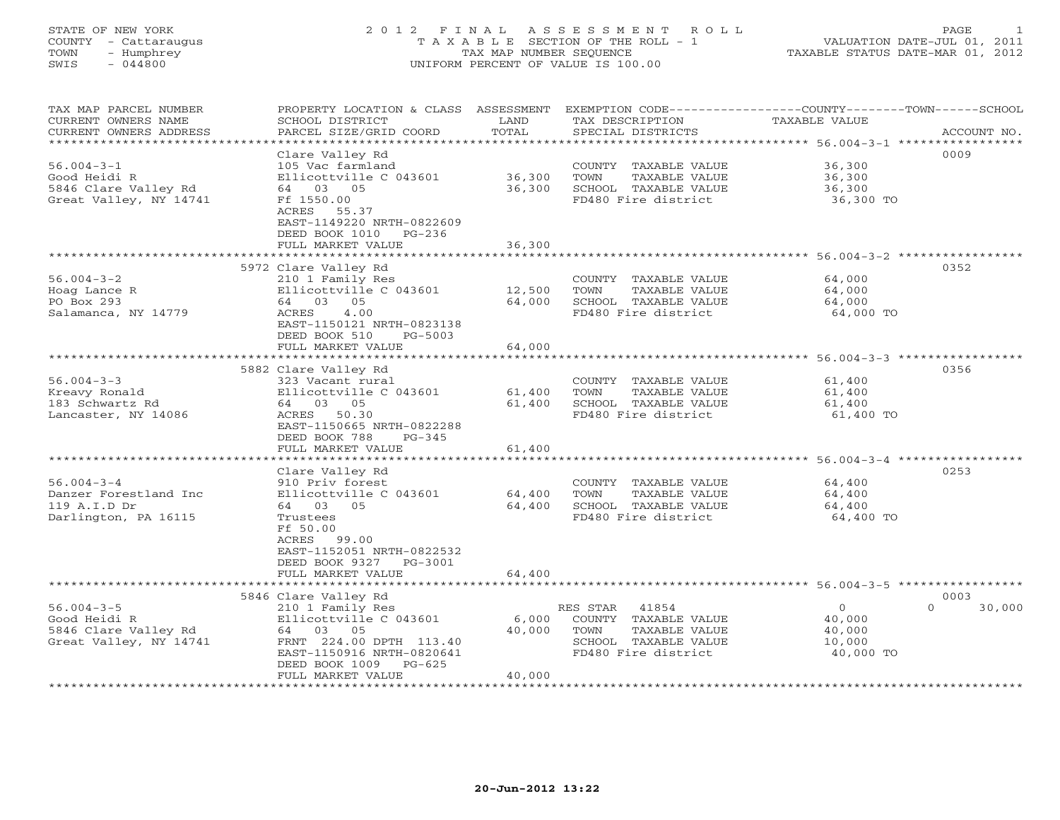# STATE OF NEW YORK 2 0 1 2 F I N A L A S S E S S M E N T R O L L PAGE 1 COUNTY - Cattaraugus T A X A B L E SECTION OF THE ROLL - 1 VALUATION DATE-JUL 01, 2011 TOWN - Humphrey TAX MAP NUMBER SEQUENCE TAXABLE STATUS DATE-MAR 01, 2012 SWIS - 044800 UNIFORM PERCENT OF VALUE IS 100.00UNIFORM PERCENT OF VALUE IS 100.00

| TAX MAP PARCEL NUMBER<br>CURRENT OWNERS NAME<br>CURRENT OWNERS ADDRESS<br>************************* | PROPERTY LOCATION & CLASS ASSESSMENT<br>SCHOOL DISTRICT<br>PARCEL SIZE/GRID COORD                                                                                                                                            | LAND<br>TOTAL                               | TAX DESCRIPTION<br>SPECIAL DISTRICTS                                                                              | EXEMPTION CODE-----------------COUNTY-------TOWN------SCHOOL<br>TAXABLE VALUE                             | ACCOUNT NO. |
|-----------------------------------------------------------------------------------------------------|------------------------------------------------------------------------------------------------------------------------------------------------------------------------------------------------------------------------------|---------------------------------------------|-------------------------------------------------------------------------------------------------------------------|-----------------------------------------------------------------------------------------------------------|-------------|
| $56.004 - 3 - 1$<br>Good Heidi R<br>5846 Clare Valley Rd<br>Great Valley, NY 14741                  | Clare Valley Rd<br>105 Vac farmland<br>Ellicottville C 043601<br>64 03 05<br>Ff 1550.00<br>ACRES 55.37<br>EAST-1149220 NRTH-0822609<br>DEED BOOK 1010<br>$PG-236$<br>FULL MARKET VALUE<br>****************************       | 36,300<br>36,300<br>36,300                  | COUNTY TAXABLE VALUE<br>TOWN<br>TAXABLE VALUE<br>SCHOOL TAXABLE VALUE<br>FD480 Fire district                      | 36,300<br>36,300<br>36,300<br>36,300 TO                                                                   | 0009        |
| $56.004 - 3 - 2$<br>Hoag Lance R<br>PO Box 293<br>Salamanca, NY 14779                               | 5972 Clare Valley Rd<br>210 1 Family Res<br>Ellicottville C 043601<br>64 03 05<br>4.00<br>ACRES<br>EAST-1150121 NRTH-0823138<br>DEED BOOK 510<br>$PG-5003$<br>FULL MARKET VALUE                                              | 12,500<br>64,000<br>64,000                  | COUNTY TAXABLE VALUE<br>TOWN<br>TAXABLE VALUE<br>SCHOOL TAXABLE VALUE<br>FD480 Fire district                      | 64,000<br>64,000<br>64,000<br>64,000 TO                                                                   | 0352        |
| $56.004 - 3 - 3$<br>Kreavy Ronald<br>183 Schwartz Rd<br>Lancaster, NY 14086                         | ******************************<br>5882 Clare Valley Rd<br>323 Vacant rural<br>Ellicottville C 043601<br>64 03 05<br>ACRES<br>50.30<br>EAST-1150665 NRTH-0822288<br>DEED BOOK 788<br>$PG-345$<br>FULL MARKET VALUE            | *************<br>61,400<br>61,400<br>61,400 | COUNTY TAXABLE VALUE<br>TAXABLE VALUE<br>TOWN<br>SCHOOL TAXABLE VALUE<br>FD480 Fire district                      | ********************************* 56.004-3-3 *****************<br>61,400<br>61,400<br>61,400<br>61,400 TO | 0356        |
| $56.004 - 3 - 4$<br>Danzer Forestland Inc<br>119 A.I.D Dr<br>Darlington, PA 16115                   | **************************<br>Clare Valley Rd<br>910 Priv forest<br>Ellicottville C 043601<br>64 03 05<br>Trustees<br>Ff 50.00<br>ACRES 99.00<br>EAST-1152051 NRTH-0822532<br>DEED BOOK 9327<br>PG-3001<br>FULL MARKET VALUE | 64,400<br>64,400<br>64,400                  | COUNTY TAXABLE VALUE<br>TOWN<br>TAXABLE VALUE<br>SCHOOL TAXABLE VALUE<br>FD480 Fire district                      | ********************************* 56.004-3-4 *****************<br>64,400<br>64,400<br>64,400<br>64,400 TO | 0253        |
|                                                                                                     | 5846 Clare Valley Rd                                                                                                                                                                                                         |                                             |                                                                                                                   | ******** 56.004-3-5 **********                                                                            | 0003        |
| $56.004 - 3 - 5$<br>Good Heidi R<br>5846 Clare Valley Rd<br>Great Valley, NY 14741                  | 210 1 Family Res<br>Ellicottville C 043601<br>64 03 05<br>FRNT 224.00 DPTH 113.40<br>EAST-1150916 NRTH-0820641<br>DEED BOOK 1009<br>$PG-625$<br>FULL MARKET VALUE                                                            | 6,000<br>40,000<br>40,000                   | 41854<br>RES STAR<br>COUNTY TAXABLE VALUE<br>TAXABLE VALUE<br>TOWN<br>SCHOOL TAXABLE VALUE<br>FD480 Fire district | $\circ$<br>$\Omega$<br>40,000<br>40,000<br>10,000<br>40,000 TO                                            | 30,000      |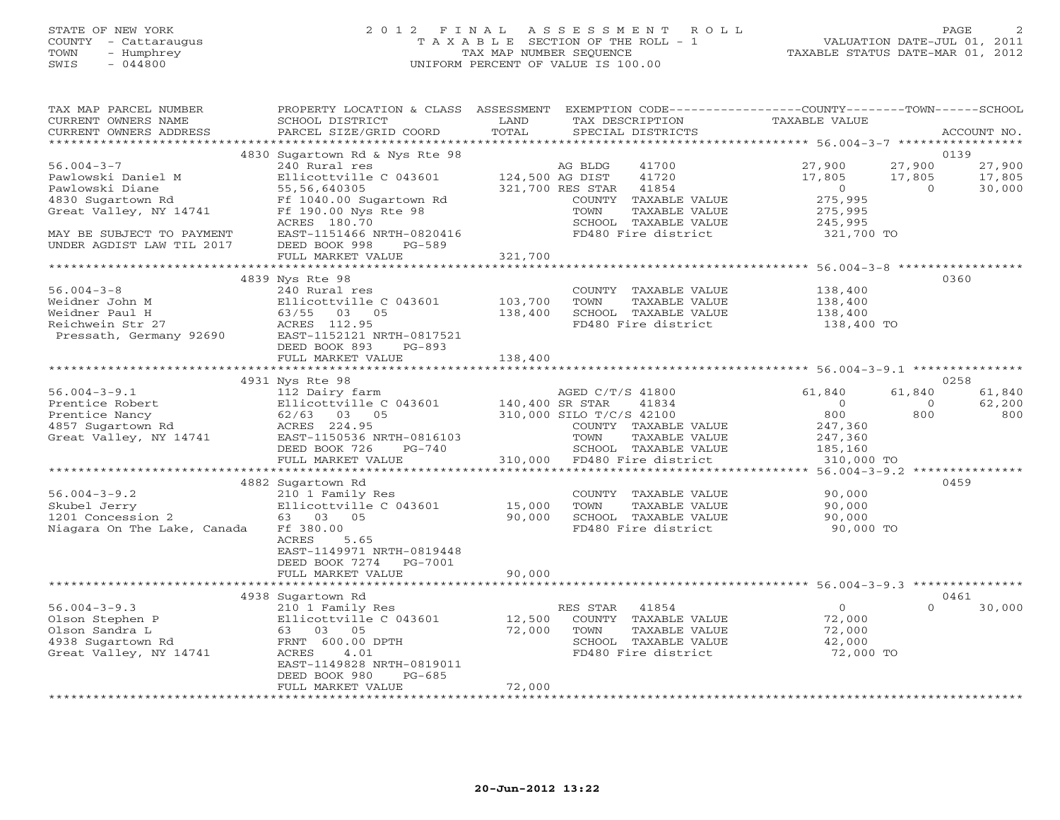## STATE OF NEW YORK 2 0 1 2 F I N A L A S S E S S M E N T R O L L PAGE 2 COUNTY - Cattaraugus T A X A B L E SECTION OF THE ROLL - 1 VALUATION DATE-JUL 01, 2011 TOWN - Humphrey TAX MAP NUMBER SEQUENCE TAXABLE STATUS DATE-MAR 01, 2012 SWIS - 044800 UNIFORM PERCENT OF VALUE IS 100.00UNIFORM PERCENT OF VALUE IS 100.00

| TAX MAP PARCEL NUMBER<br>CURRENT OWNERS NAME<br>CURRENT OWNERS ADDRESS                                                                                              | PROPERTY LOCATION & CLASS ASSESSMENT EXEMPTION CODE---------------COUNTY-------TOWN------SCHOOL<br>SCHOOL DISTRICT<br>PARCEL SIZE/GRID COORD                                               | LAND<br>TOTAL                                                                       | TAX DESCRIPTION<br>SPECIAL DISTRICTS                                                          | TAXABLE VALUE                                                    |                                      | ACCOUNT NO.                |
|---------------------------------------------------------------------------------------------------------------------------------------------------------------------|--------------------------------------------------------------------------------------------------------------------------------------------------------------------------------------------|-------------------------------------------------------------------------------------|-----------------------------------------------------------------------------------------------|------------------------------------------------------------------|--------------------------------------|----------------------------|
| *************************                                                                                                                                           |                                                                                                                                                                                            |                                                                                     |                                                                                               |                                                                  |                                      |                            |
| $56.004 - 3 - 7$<br>Pawlowski Daniel M<br>Pawlowski Diane<br>4830 Sugartown Rd                                                                                      | 4830 Sugartown Rd & Nys Rte 98<br>240 Rural res<br>Ellicottville C 043601<br>55,56,640305<br>Ff 1040.00 Sugartown Rd                                                                       | AG BLDG<br>124,500 AG DIST<br>321,700 RES STAR                                      | 41700<br>41720<br>41854<br>COUNTY TAXABLE VALUE                                               | 27,900<br>17,805<br>$\overline{0}$<br>275,995                    | 0139<br>27,900<br>17,805<br>$\Omega$ | 27,900<br>17,805<br>30,000 |
| Great Valley, NY 14741<br>MAY BE SUBJECT TO PAYMENT<br>UNDER AGDIST LAW TIL 2017                                                                                    | Ff 190.00 Nys Rte 98<br>ACRES 180.70<br>EAST-1151466 NRTH-0820416<br>DEED BOOK 998<br>PG-589<br>FULL MARKET VALUE                                                                          | TOWN<br>321,700                                                                     | TAXABLE VALUE<br>SCHOOL TAXABLE VALUE<br>FD480 Fire district                                  | 275,995<br>245,995<br>321,700 TO                                 |                                      |                            |
|                                                                                                                                                                     |                                                                                                                                                                                            |                                                                                     |                                                                                               |                                                                  |                                      |                            |
| $56.004 - 3 - 8$<br>Weidner John M<br>Weidner Paul H<br>Reichwein Str 27<br>Pressath, Germany 92690                                                                 | 4839 Nys Rte 98<br>240 Rural res<br>Ellicottville C 043601<br>Ellicottville C<br>63/55   03   05<br>ACRES   112.95<br>ACRES 112.95<br>EAST-1152121 NRTH-0817521<br>DEED BOOK 893<br>PG-893 | 103,700<br>TOWN<br>138,400                                                          | COUNTY TAXABLE VALUE<br>TAXABLE VALUE<br>SCHOOL TAXABLE VALUE<br>FD480 Fire district          | 138,400<br>138,400<br>138,400<br>138,400 TO                      | 0360                                 |                            |
|                                                                                                                                                                     | FULL MARKET VALUE                                                                                                                                                                          | 138,400                                                                             |                                                                                               |                                                                  |                                      |                            |
|                                                                                                                                                                     | 4931 Nys Rte 98                                                                                                                                                                            |                                                                                     |                                                                                               |                                                                  | 0258                                 |                            |
| $56.004 - 3 - 9.1$<br>Prentice Robert<br>Prentice Nancy<br>Prentice Nancy<br>Prentice Nancy<br>22/63 03 05<br>4857 Sugartown Rd<br>224.95<br>Great Valley, NY 14741 | 112 Dairy farm<br>Ellicottville C 043601<br>EAST-1150536 NRTH-0816103<br>DEED BOOK 726<br>PG-740                                                                                           | AGED C/T<br>140,400 SR STAR<br>AGED C/T/S 41800<br>310,000 SILO T/C/S 42100<br>TOWN | 41834<br>COUNTY TAXABLE VALUE<br>TAXABLE VALUE<br>SCHOOL TAXABLE VALUE                        | 61,840<br>$\overline{0}$<br>800<br>247,360<br>247,360<br>185,160 | 61,840<br>$\overline{0}$<br>800      | 61,840<br>62,200<br>800    |
|                                                                                                                                                                     | FULL MARKET VALUE                                                                                                                                                                          | 310,000 FD480 Fire district                                                         |                                                                                               | 310,000 TO                                                       |                                      |                            |
|                                                                                                                                                                     |                                                                                                                                                                                            |                                                                                     |                                                                                               | ********* 56.004-3-9.2 ****                                      |                                      |                            |
| $56.004 - 3 - 9.2$<br>Skubel Jerry<br>1201 Concession 2<br>Niagara On The Lake, Canada                                                                              | 4882 Sugartown Rd<br>210 1 Family Res<br>Ellicottville C 043601<br>63 03 05<br>Ff 380.00<br>ACRES<br>5.65<br>EAST-1149971 NRTH-0819448<br>DEED BOOK 7274 PG-7001                           | 15,000<br>TOWN<br>90,000                                                            | COUNTY TAXABLE VALUE<br>TAXABLE VALUE<br>SCHOOL TAXABLE VALUE<br>FD480 Fire district          | 90,000<br>90,000<br>90,000<br>90,000 TO                          | 0459                                 |                            |
|                                                                                                                                                                     | FULL MARKET VALUE                                                                                                                                                                          | 90,000                                                                              |                                                                                               |                                                                  |                                      |                            |
|                                                                                                                                                                     | 4938 Sugartown Rd                                                                                                                                                                          |                                                                                     |                                                                                               |                                                                  | 0461                                 |                            |
| $56.004 - 3 - 9.3$<br>Olson Stephen P<br>Olson Sandra L<br>4938 Sugartown Rd<br>Great Valley, NY 14741                                                              | 210 1 Family Res<br>Ellicottville C 043601<br>63 03 05<br>FRNT 600.00 DPTH<br>ACRES<br>4.01<br>EAST-1149828 NRTH-0819011<br>DEED BOOK 980<br>$PG-685$                                      | RES STAR<br>12,500<br>72,000<br>TOWN<br>72,000                                      | 41854<br>COUNTY TAXABLE VALUE<br>TAXABLE VALUE<br>SCHOOL TAXABLE VALUE<br>FD480 Fire district | $\overline{O}$<br>72,000<br>72,000<br>42,000<br>72,000 TO        | $\Omega$                             | 30,000                     |
|                                                                                                                                                                     | FULL MARKET VALUE                                                                                                                                                                          |                                                                                     |                                                                                               |                                                                  |                                      |                            |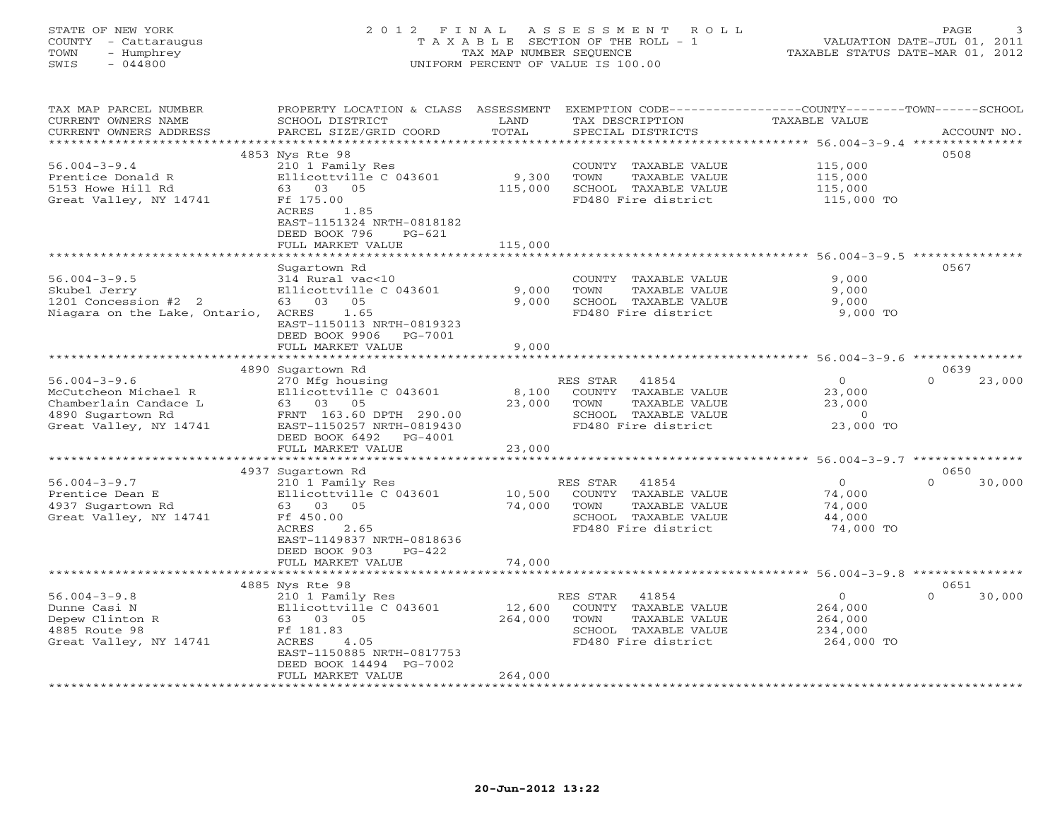# STATE OF NEW YORK 2 0 1 2 F I N A L A S S E S S M E N T R O L L PAGE 3 COUNTY - Cattaraugus T A X A B L E SECTION OF THE ROLL - 1 VALUATION DATE-JUL 01, 2011 TOWN - Humphrey TAX MAP NUMBER SEQUENCE TAXABLE STATUS DATE-MAR 01, 2012 SWIS - 044800 UNIFORM PERCENT OF VALUE IS 100.00UNIFORM PERCENT OF VALUE IS 100.00

| TAX MAP PARCEL NUMBER<br>CURRENT OWNERS NAME<br>CURRENT OWNERS ADDRESS | PROPERTY LOCATION & CLASS ASSESSMENT<br>SCHOOL DISTRICT<br>PARCEL SIZE/GRID COORD | LAND<br>TOTAL         | TAX DESCRIPTION<br>SPECIAL DISTRICTS        | EXEMPTION CODE-----------------COUNTY-------TOWN-----SCHOOL<br>TAXABLE VALUE | ACCOUNT NO.        |
|------------------------------------------------------------------------|-----------------------------------------------------------------------------------|-----------------------|---------------------------------------------|------------------------------------------------------------------------------|--------------------|
| *************************                                              |                                                                                   |                       |                                             |                                                                              |                    |
|                                                                        | 4853 Nys Rte 98                                                                   |                       |                                             |                                                                              | 0508               |
| $56.004 - 3 - 9.4$                                                     | 210 1 Family Res                                                                  |                       | COUNTY TAXABLE VALUE                        | 115,000                                                                      |                    |
| Prentice Donald R                                                      | Ellicottville C 043601                                                            | 9,300                 | TOWN<br>TAXABLE VALUE                       | 115,000                                                                      |                    |
| 5153 Howe Hill Rd                                                      | 63 03 05                                                                          | 115,000               | SCHOOL TAXABLE VALUE                        | 115,000                                                                      |                    |
| Great Valley, NY 14741                                                 | Ff 175.00                                                                         |                       | FD480 Fire district                         | 115,000 TO                                                                   |                    |
|                                                                        | ACRES<br>1.85                                                                     |                       |                                             |                                                                              |                    |
|                                                                        | EAST-1151324 NRTH-0818182                                                         |                       |                                             |                                                                              |                    |
|                                                                        | DEED BOOK 796<br>$PG-621$                                                         |                       |                                             |                                                                              |                    |
|                                                                        | FULL MARKET VALUE                                                                 | 115,000               |                                             |                                                                              |                    |
|                                                                        |                                                                                   |                       |                                             |                                                                              | 0567               |
|                                                                        | Sugartown Rd                                                                      |                       |                                             |                                                                              |                    |
| $56.004 - 3 - 9.5$<br>Skubel Jerry                                     | 314 Rural vac<10<br>Ellicottville C 043601                                        | 9,000                 | COUNTY TAXABLE VALUE<br>TOWN                | 9,000<br>9,000                                                               |                    |
| 1201 Concession #2 2                                                   | 63 03<br>05                                                                       | 9,000                 | TAXABLE VALUE<br>SCHOOL TAXABLE VALUE       | 9,000                                                                        |                    |
| Niagara on the Lake, Ontario,                                          | ACRES<br>1.65                                                                     |                       | FD480 Fire district                         | 9,000 TO                                                                     |                    |
|                                                                        | EAST-1150113 NRTH-0819323                                                         |                       |                                             |                                                                              |                    |
|                                                                        | DEED BOOK 9906 PG-7001                                                            |                       |                                             |                                                                              |                    |
|                                                                        | FULL MARKET VALUE                                                                 | 9,000                 |                                             |                                                                              |                    |
|                                                                        |                                                                                   |                       |                                             | ********************* 56.004-3-9.6 ***********                               |                    |
|                                                                        | 4890 Sugartown Rd                                                                 |                       |                                             |                                                                              | 0639               |
| $56.004 - 3 - 9.6$                                                     | 270 Mfg housing                                                                   |                       | RES STAR<br>41854                           | $\circ$                                                                      | $\Omega$<br>23,000 |
| McCutcheon Michael R                                                   | Ellicottville C 043601                                                            | 8,100                 | COUNTY TAXABLE VALUE                        | 23,000                                                                       |                    |
| Chamberlain Candace L                                                  | 63 03 05                                                                          | 23,000                | TOWN<br>TAXABLE VALUE                       | 23,000                                                                       |                    |
| 4890 Sugartown Rd                                                      | FRNT 163.60 DPTH 290.00                                                           |                       | SCHOOL TAXABLE VALUE                        | $\circ$                                                                      |                    |
| Great Valley, NY 14741                                                 | EAST-1150257 NRTH-0819430                                                         |                       | FD480 Fire district                         | 23,000 TO                                                                    |                    |
|                                                                        | DEED BOOK 6492<br>PG-4001                                                         |                       |                                             |                                                                              |                    |
|                                                                        | FULL MARKET VALUE                                                                 | 23,000                |                                             |                                                                              |                    |
|                                                                        |                                                                                   | ********************* |                                             | ************ 56.004-3-9.7 **********                                         |                    |
|                                                                        | 4937 Sugartown Rd                                                                 |                       |                                             |                                                                              | 0650               |
| $56.004 - 3 - 9.7$                                                     | 210 1 Family Res                                                                  |                       | 41854<br>RES STAR                           | $\overline{0}$                                                               | $\Omega$<br>30,000 |
| Prentice Dean E                                                        | Ellicottville C 043601                                                            | 10,500                | COUNTY TAXABLE VALUE                        | 74,000                                                                       |                    |
| 4937 Sugartown Rd                                                      | 63 03 05                                                                          | 74,000                | TAXABLE VALUE<br>TOWN                       | 74,000                                                                       |                    |
| Great Valley, NY 14741                                                 | Ff 450.00<br><b>ACRES</b>                                                         |                       | SCHOOL TAXABLE VALUE<br>FD480 Fire district | 44,000                                                                       |                    |
|                                                                        | 2.65<br>EAST-1149837 NRTH-0818636                                                 |                       |                                             | 74,000 TO                                                                    |                    |
|                                                                        | $PG-422$<br>DEED BOOK 903                                                         |                       |                                             |                                                                              |                    |
|                                                                        | FULL MARKET VALUE                                                                 | 74,000                |                                             |                                                                              |                    |
|                                                                        | ***********************                                                           |                       |                                             |                                                                              |                    |
|                                                                        | 4885 Nys Rte 98                                                                   |                       |                                             |                                                                              | 0651               |
| $56.004 - 3 - 9.8$                                                     | 210 1 Family Res                                                                  |                       | 41854<br>RES STAR                           | $\circ$                                                                      | $\Omega$<br>30,000 |
| Dunne Casi N                                                           | Ellicottville C 043601                                                            | 12,600                | COUNTY TAXABLE VALUE                        | 264,000                                                                      |                    |
| Depew Clinton R                                                        | 63 03 05                                                                          | 264,000               | TOWN<br>TAXABLE VALUE                       | 264,000                                                                      |                    |
| 4885 Route 98                                                          | Ff 181.83                                                                         |                       | SCHOOL TAXABLE VALUE                        | 234,000                                                                      |                    |
| Great Valley, NY 14741                                                 | 4.05<br>ACRES                                                                     |                       | FD480 Fire district                         | 264,000 TO                                                                   |                    |
|                                                                        | EAST-1150885 NRTH-0817753                                                         |                       |                                             |                                                                              |                    |
|                                                                        | DEED BOOK 14494 PG-7002                                                           |                       |                                             |                                                                              |                    |
|                                                                        | FULL MARKET VALUE                                                                 | 264,000               |                                             |                                                                              |                    |
|                                                                        |                                                                                   |                       |                                             |                                                                              |                    |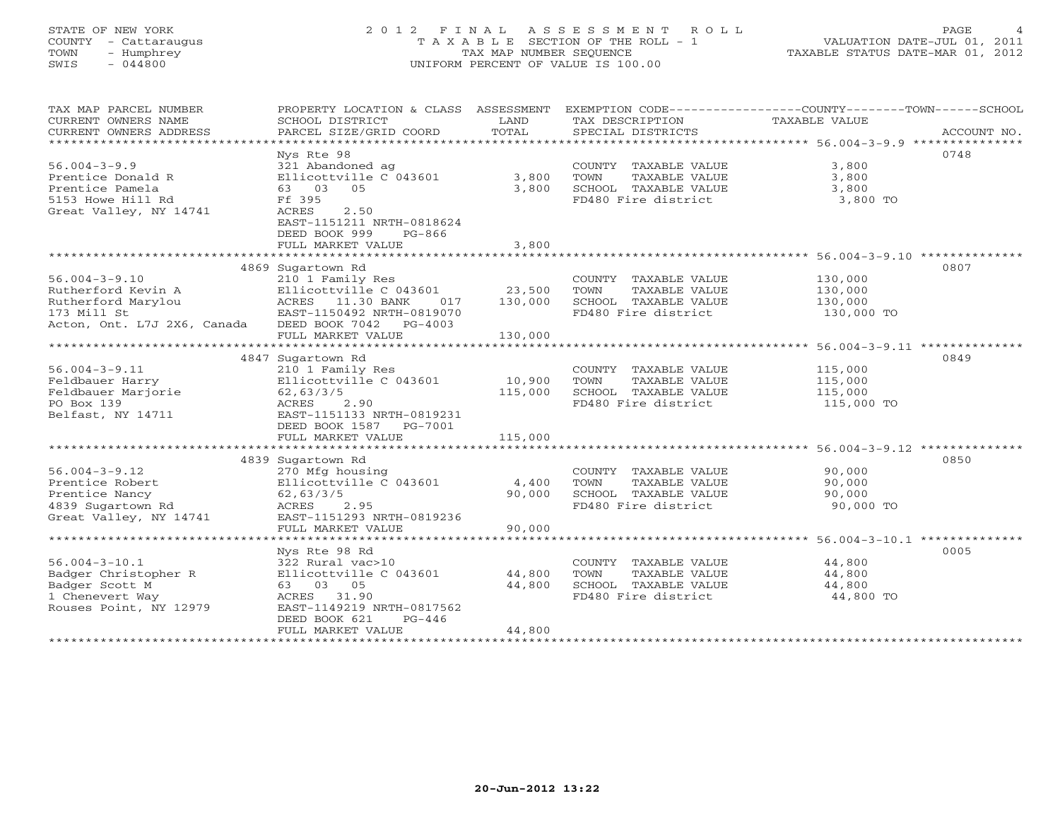# STATE OF NEW YORK 2 0 1 2 F I N A L A S S E S S M E N T R O L L PAGE 4 COUNTY - Cattaraugus T A X A B L E SECTION OF THE ROLL - 1 VALUATION DATE-JUL 01, 2011 TOWN - Humphrey TAX MAP NUMBER SEQUENCE TAXABLE STATUS DATE-MAR 01, 2012 SWIS - 044800 UNIFORM PERCENT OF VALUE IS 100.00UNIFORM PERCENT OF VALUE IS 100.00

| TAX MAP PARCEL NUMBER<br>CURRENT OWNERS NAME<br>CURRENT OWNERS ADDRESS | PROPERTY LOCATION & CLASS ASSESSMENT<br>SCHOOL DISTRICT<br>PARCEL SIZE/GRID COORD | LAND<br>TOTAL | TAX DESCRIPTION<br>SPECIAL DISTRICTS | EXEMPTION CODE-----------------COUNTY-------TOWN------SCHOOL<br>TAXABLE VALUE<br>ACCOUNT NO. |
|------------------------------------------------------------------------|-----------------------------------------------------------------------------------|---------------|--------------------------------------|----------------------------------------------------------------------------------------------|
|                                                                        |                                                                                   |               |                                      |                                                                                              |
|                                                                        | Nys Rte 98                                                                        |               |                                      | 0748                                                                                         |
| $56.004 - 3 - 9.9$                                                     | 321 Abandoned ag                                                                  |               | COUNTY TAXABLE VALUE                 | 3,800                                                                                        |
| Prentice Donald R                                                      | Ellicottville C 043601                                                            | 3,800         | TOWN<br>TAXABLE VALUE                | 3,800                                                                                        |
| Prentice Pamela                                                        | 63 03 05                                                                          | 3,800         | SCHOOL TAXABLE VALUE                 | 3,800                                                                                        |
| 5153 Howe Hill Rd                                                      | Ff 395                                                                            |               | FD480 Fire district                  | 3,800 TO                                                                                     |
| Great Valley, NY 14741                                                 | ACRES<br>2.50                                                                     |               |                                      |                                                                                              |
|                                                                        | EAST-1151211 NRTH-0818624                                                         |               |                                      |                                                                                              |
|                                                                        | DEED BOOK 999<br>$PG-866$                                                         |               |                                      |                                                                                              |
|                                                                        | FULL MARKET VALUE                                                                 | 3,800         |                                      |                                                                                              |
|                                                                        |                                                                                   |               |                                      |                                                                                              |
|                                                                        | 4869 Sugartown Rd                                                                 |               |                                      | 0807                                                                                         |
| $56.004 - 3 - 9.10$                                                    | 210 1 Family Res                                                                  |               | COUNTY TAXABLE VALUE                 | 130,000                                                                                      |
| Rutherford Kevin A                                                     | Ellicottville C 043601 23,500                                                     |               | TOWN<br>TAXABLE VALUE                | 130,000                                                                                      |
| Rutherford Marylou                                                     | ACRES 11.30 BANK                                                                  | 130,000       | SCHOOL TAXABLE VALUE                 | 130,000                                                                                      |
|                                                                        | 017                                                                               |               | FD480 Fire district                  |                                                                                              |
| 173 Mill St                                                            | EAST-1150492 NRTH-0819070                                                         |               |                                      | 130,000 TO                                                                                   |
| Acton, Ont. L7J 2X6, Canada                                            | DEED BOOK 7042 PG-4003                                                            |               |                                      |                                                                                              |
|                                                                        | FULL MARKET VALUE                                                                 | 130,000       |                                      |                                                                                              |
|                                                                        |                                                                                   |               |                                      |                                                                                              |
|                                                                        | 4847 Sugartown Rd                                                                 |               |                                      | 0849                                                                                         |
| $56.004 - 3 - 9.11$                                                    | 210 1 Family Res                                                                  |               | COUNTY TAXABLE VALUE                 | 115,000                                                                                      |
| Feldbauer Harry                                                        | Ellicottville C 043601                                                            | 10,900        | TOWN<br>TAXABLE VALUE                | 115,000                                                                                      |
| Feldbauer Marjorie                                                     | 62, 63/3/5                                                                        | 115,000       | SCHOOL TAXABLE VALUE                 | 115,000                                                                                      |
| PO Box 139                                                             | 2.90<br>ACRES                                                                     |               | FD480 Fire district                  | 115,000 TO                                                                                   |
| Belfast, NY 14711                                                      | EAST-1151133 NRTH-0819231                                                         |               |                                      |                                                                                              |
|                                                                        | DEED BOOK 1587 PG-7001                                                            |               |                                      |                                                                                              |
|                                                                        | FULL MARKET VALUE                                                                 | 115,000       |                                      |                                                                                              |
|                                                                        |                                                                                   |               |                                      |                                                                                              |
|                                                                        | 4839 Sugartown Rd                                                                 |               |                                      | 0850                                                                                         |
| $56.004 - 3 - 9.12$                                                    | 270 Mfg housing                                                                   |               | COUNTY TAXABLE VALUE                 | 90,000                                                                                       |
| Prentice Robert                                                        | Ellicottville C 043601                                                            | 4,400         | TOWN<br>TAXABLE VALUE                | 90,000                                                                                       |
| Prentice Nancy                                                         | 62, 63/3/5                                                                        | 90,000        | SCHOOL TAXABLE VALUE                 | 90,000                                                                                       |
| 4839 Sugartown Rd                                                      | ACRES 2.95                                                                        |               | FD480 Fire district                  | 90,000 TO                                                                                    |
| Great Valley, NY 14741                                                 | EAST-1151293 NRTH-0819236                                                         |               |                                      |                                                                                              |
|                                                                        | FULL MARKET VALUE                                                                 | 90,000        |                                      |                                                                                              |
|                                                                        |                                                                                   |               |                                      |                                                                                              |
|                                                                        | Nys Rte 98 Rd                                                                     |               |                                      | 0005                                                                                         |
| $56.004 - 3 - 10.1$                                                    | 322 Rural vac>10                                                                  |               | COUNTY TAXABLE VALUE                 | 44,800                                                                                       |
| Badger Christopher R                                                   | Ellicottville C 043601                                                            | 44,800        | TOWN<br>TAXABLE VALUE                | 44,800                                                                                       |
| Badger Scott M                                                         | 63 03 05                                                                          | 44,800        | SCHOOL TAXABLE VALUE                 | 44,800                                                                                       |
| 1 Chenevert Way                                                        | ACRES 31.90                                                                       |               | FD480 Fire district                  | 44,800 TO                                                                                    |
| Rouses Point, NY 12979                                                 | EAST-1149219 NRTH-0817562                                                         |               |                                      |                                                                                              |
|                                                                        | DEED BOOK 621<br>$PG-446$                                                         |               |                                      |                                                                                              |
|                                                                        | FULL MARKET VALUE                                                                 | 44,800        |                                      |                                                                                              |
| ******************                                                     |                                                                                   |               |                                      |                                                                                              |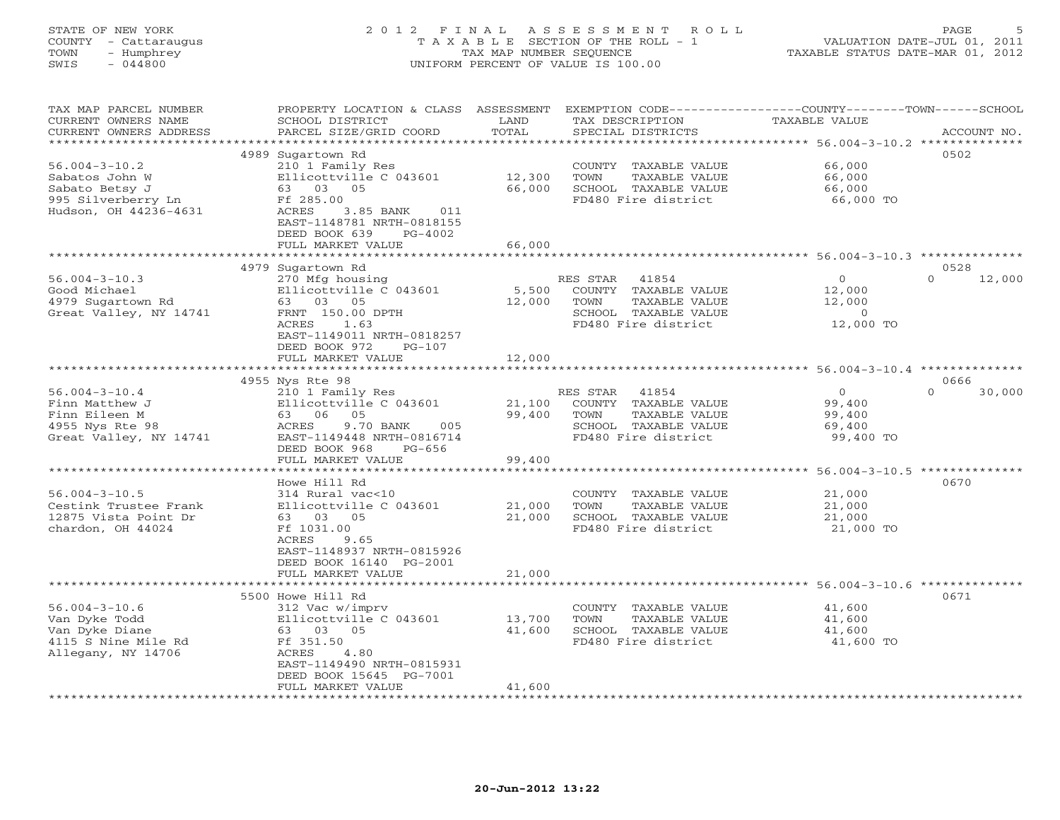# STATE OF NEW YORK 2 0 1 2 F I N A L A S S E S S M E N T R O L L PAGE 5 COUNTY - Cattaraugus T A X A B L E SECTION OF THE ROLL - 1 VALUATION DATE-JUL 01, 2011 TOWN - Humphrey TAX MAP NUMBER SEQUENCE TAXABLE STATUS DATE-MAR 01, 2012 SWIS - 044800 UNIFORM PERCENT OF VALUE IS 100.00UNIFORM PERCENT OF VALUE IS 100.00

| TAX MAP PARCEL NUMBER<br>CURRENT OWNERS NAME<br>CURRENT OWNERS ADDRESS | PROPERTY LOCATION & CLASS ASSESSMENT<br>SCHOOL DISTRICT<br>PARCEL SIZE/GRID COORD | LAND<br>TOTAL   | EXEMPTION CODE------------<br>TAX DESCRIPTION<br>SPECIAL DISTRICTS | -----COUNTY-------TOWN------SCHOOL<br>TAXABLE VALUE           | ACCOUNT NO.        |
|------------------------------------------------------------------------|-----------------------------------------------------------------------------------|-----------------|--------------------------------------------------------------------|---------------------------------------------------------------|--------------------|
| ********************                                                   | **********************                                                            | *************** | ********************************* 56.004-3-10.2 **************     |                                                               |                    |
|                                                                        | 4989 Sugartown Rd                                                                 |                 |                                                                    |                                                               | 0502               |
| $56.004 - 3 - 10.2$                                                    | 210 1 Family Res                                                                  |                 | COUNTY TAXABLE VALUE                                               | 66,000                                                        |                    |
| Sabatos John W                                                         | Ellicottville C 043601                                                            | 12,300          | TAXABLE VALUE<br>TOWN                                              | 66,000                                                        |                    |
| Sabato Betsy J                                                         | 63 03 05                                                                          | 66,000          | SCHOOL TAXABLE VALUE                                               | 66,000                                                        |                    |
| 995 Silverberry Ln                                                     | Ff 285.00                                                                         |                 | FD480 Fire district                                                | 66,000 TO                                                     |                    |
| Hudson, OH 44236-4631                                                  | ACRES<br>3.85 BANK<br>011                                                         |                 |                                                                    |                                                               |                    |
|                                                                        | EAST-1148781 NRTH-0818155<br>DEED BOOK 639<br>$PG-4002$                           |                 |                                                                    |                                                               |                    |
|                                                                        | FULL MARKET VALUE                                                                 | 66,000          |                                                                    |                                                               |                    |
|                                                                        |                                                                                   |                 |                                                                    |                                                               |                    |
|                                                                        | 4979 Sugartown Rd                                                                 |                 |                                                                    |                                                               | 0528               |
| $56.004 - 3 - 10.3$                                                    | 270 Mfg housing                                                                   |                 | RES STAR<br>41854                                                  | $\circ$                                                       | 12,000<br>$\Omega$ |
| Good Michael                                                           | Ellicottville C 043601                                                            | 5,500           | COUNTY TAXABLE VALUE                                               | 12,000                                                        |                    |
| 4979 Sugartown Rd                                                      | 63 03 05                                                                          | 12,000          | TOWN<br>TAXABLE VALUE                                              | 12,000                                                        |                    |
| Great Valley, NY 14741                                                 | FRNT 150.00 DPTH                                                                  |                 | SCHOOL TAXABLE VALUE                                               | $\circ$                                                       |                    |
|                                                                        | ACRES<br>1.63                                                                     |                 | FD480 Fire district                                                | 12,000 TO                                                     |                    |
|                                                                        | EAST-1149011 NRTH-0818257                                                         |                 |                                                                    |                                                               |                    |
|                                                                        | DEED BOOK 972<br>$PG-107$                                                         |                 |                                                                    |                                                               |                    |
|                                                                        | FULL MARKET VALUE<br>***************************                                  | 12,000          |                                                                    |                                                               |                    |
|                                                                        | 4955 Nys Rte 98                                                                   |                 |                                                                    |                                                               | 0666               |
| $56.004 - 3 - 10.4$                                                    | 210 1 Family Res                                                                  |                 | 41854<br>RES STAR                                                  | $\circ$                                                       | 30,000<br>$\Omega$ |
| Finn Matthew J                                                         | Ellicottville C 043601                                                            | 21,100          | COUNTY TAXABLE VALUE                                               | 99,400                                                        |                    |
| Finn Eileen M                                                          | 63 06 05                                                                          | 99,400          | TOWN<br>TAXABLE VALUE                                              | 99,400                                                        |                    |
| 4955 Nys Rte 98                                                        | 9.70 BANK<br>ACRES<br>005                                                         |                 | SCHOOL TAXABLE VALUE                                               | 69,400                                                        |                    |
| Great Valley, NY 14741                                                 | EAST-1149448 NRTH-0816714                                                         |                 | FD480 Fire district                                                | 99,400 TO                                                     |                    |
|                                                                        | DEED BOOK 968<br>$PG-656$                                                         |                 |                                                                    |                                                               |                    |
|                                                                        | FULL MARKET VALUE                                                                 | 99,400          |                                                                    |                                                               |                    |
| **********************                                                 |                                                                                   |                 |                                                                    |                                                               |                    |
|                                                                        | Howe Hill Rd                                                                      |                 |                                                                    |                                                               | 0670               |
| $56.004 - 3 - 10.5$                                                    | 314 Rural vac<10                                                                  |                 | COUNTY TAXABLE VALUE                                               | 21,000                                                        |                    |
| Cestink Trustee Frank                                                  | Ellicottville C 043601                                                            | 21,000          | TOWN<br>TAXABLE VALUE                                              | 21,000                                                        |                    |
| 12875 Vista Point Dr<br>chardon, OH 44024                              | 63 03 05<br>Ff 1031.00                                                            | 21,000          | SCHOOL TAXABLE VALUE<br>FD480 Fire district                        | 21,000<br>21,000 TO                                           |                    |
|                                                                        | ACRES<br>9.65                                                                     |                 |                                                                    |                                                               |                    |
|                                                                        | EAST-1148937 NRTH-0815926                                                         |                 |                                                                    |                                                               |                    |
|                                                                        | DEED BOOK 16140 PG-2001                                                           |                 |                                                                    |                                                               |                    |
|                                                                        | FULL MARKET VALUE                                                                 | 21,000          |                                                                    |                                                               |                    |
|                                                                        | ***********************                                                           |                 |                                                                    | ******************************** 56.004-3-10.6 ************** |                    |
|                                                                        | 5500 Howe Hill Rd                                                                 |                 |                                                                    |                                                               | 0671               |
| $56.004 - 3 - 10.6$                                                    | 312 Vac w/imprv                                                                   |                 | COUNTY TAXABLE VALUE                                               | 41,600                                                        |                    |
| Van Dyke Todd                                                          | Ellicottville C 043601                                                            | 13,700          | TOWN<br>TAXABLE VALUE                                              | 41,600                                                        |                    |
| Van Dyke Diane                                                         | 63 03 05                                                                          | 41,600          | SCHOOL TAXABLE VALUE                                               | 41,600                                                        |                    |
| 4115 S Nine Mile Rd<br>Allegany, NY 14706                              | Ff 351.50<br>ACRES<br>4.80                                                        |                 | FD480 Fire district                                                | 41,600 TO                                                     |                    |
|                                                                        | EAST-1149490 NRTH-0815931                                                         |                 |                                                                    |                                                               |                    |
|                                                                        | DEED BOOK 15645 PG-7001                                                           |                 |                                                                    |                                                               |                    |
|                                                                        | FULL MARKET VALUE                                                                 | 41,600          |                                                                    |                                                               |                    |
|                                                                        |                                                                                   |                 |                                                                    |                                                               |                    |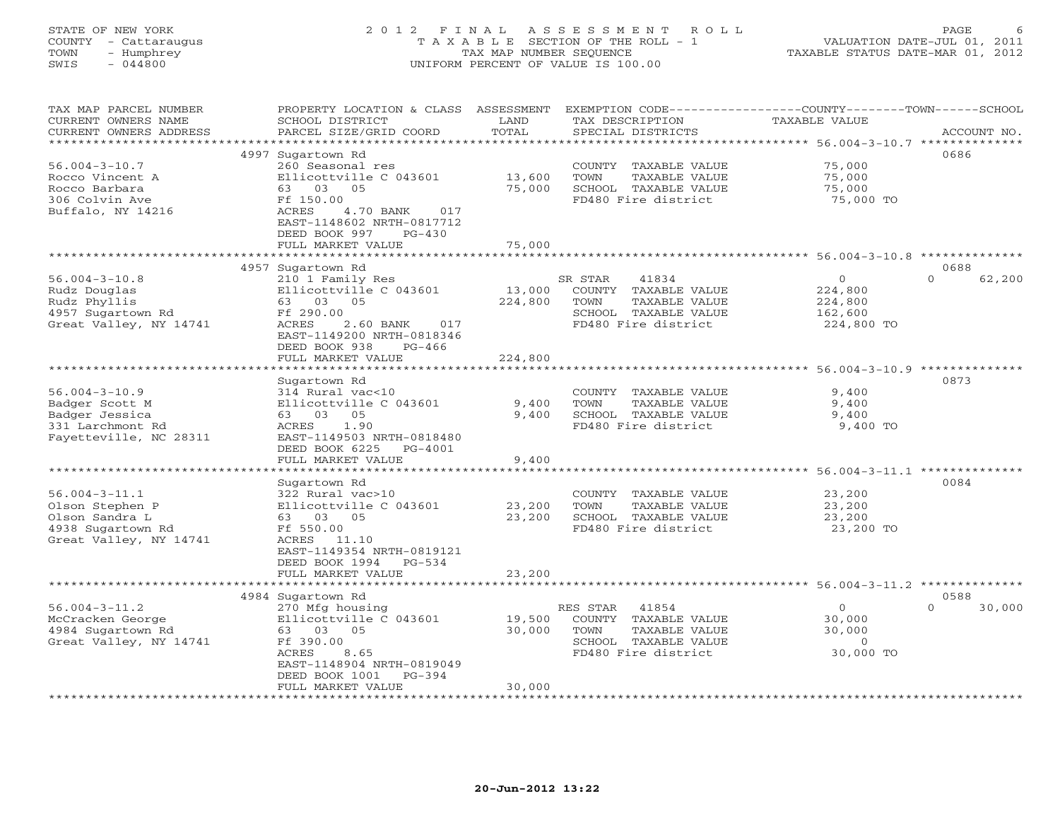# STATE OF NEW YORK 2 0 1 2 F I N A L A S S E S S M E N T R O L L PAGE 6 COUNTY - Cattaraugus T A X A B L E SECTION OF THE ROLL - 1 VALUATION DATE-JUL 01, 2011 TOWN - Humphrey TAX MAP NUMBER SEQUENCE TAXABLE STATUS DATE-MAR 01, 2012 SWIS - 044800 UNIFORM PERCENT OF VALUE IS 100.00UNIFORM PERCENT OF VALUE IS 100.00

| TAX MAP PARCEL NUMBER<br>CURRENT OWNERS NAME<br>CURRENT OWNERS ADDRESS                                                | PROPERTY LOCATION & CLASS<br>SCHOOL DISTRICT<br>PARCEL SIZE/GRID COORD                                                                                                                               | ASSESSMENT<br>LAND<br>TOTAL  | EXEMPTION CODE-----------------COUNTY-------TOWN-----SCHOOL<br>TAX DESCRIPTION<br>SPECIAL DISTRICTS               | <b>TAXABLE VALUE</b>                                                                                                  | ACCOUNT NO.                |
|-----------------------------------------------------------------------------------------------------------------------|------------------------------------------------------------------------------------------------------------------------------------------------------------------------------------------------------|------------------------------|-------------------------------------------------------------------------------------------------------------------|-----------------------------------------------------------------------------------------------------------------------|----------------------------|
| *******************<br>$56.004 - 3 - 10.7$<br>Rocco Vincent A<br>Rocco Barbara<br>306 Colvin Ave<br>Buffalo, NY 14216 | 4997 Sugartown Rd<br>260 Seasonal res<br>Ellicottville C 043601<br>63 03 05<br>Ff 150.00<br>ACRES<br>4.70 BANK<br>017<br>EAST-1148602 NRTH-0817712<br>DEED BOOK 997<br>$PG-430$<br>FULL MARKET VALUE | 13,600<br>75,000<br>75,000   | COUNTY<br>TAXABLE VALUE<br>TOWN<br>TAXABLE VALUE<br>SCHOOL TAXABLE VALUE<br>FD480 Fire district                   | 75,000<br>75,000<br>75,000<br>75,000 TO                                                                               | 0686                       |
|                                                                                                                       |                                                                                                                                                                                                      |                              |                                                                                                                   |                                                                                                                       |                            |
| $56.004 - 3 - 10.8$<br>Rudz Douglas<br>Rudz Phyllis<br>4957 Sugartown Rd<br>Great Valley, NY 14741                    | 4957 Sugartown Rd<br>210 1 Family Res<br>Ellicottville C 043601<br>63 03 05<br>Ff 290.00<br>2.60 BANK<br>ACRES<br>017<br>EAST-1149200 NRTH-0818346<br>DEED BOOK 938<br>$PG-466$<br>FULL MARKET VALUE | 13,000<br>224,800<br>224,800 | SR STAR<br>41834<br>COUNTY TAXABLE VALUE<br>TOWN<br>TAXABLE VALUE<br>SCHOOL TAXABLE VALUE<br>FD480 Fire district  | $\circ$<br>224,800<br>224,800<br>162,600<br>224,800 TO                                                                | 0688<br>62,200<br>$\Omega$ |
|                                                                                                                       |                                                                                                                                                                                                      |                              |                                                                                                                   | $56.004 - 3 - 10.9$ **                                                                                                |                            |
| $56.004 - 3 - 10.9$<br>Badger Scott M<br>Badger Jessica<br>331 Larchmont Rd<br>Fayetteville, NC 28311                 | Sugartown Rd<br>314 Rural vac<10<br>Ellicottville C 043601<br>05<br>63<br>03<br><b>ACRES</b><br>1.90<br>EAST-1149503 NRTH-0818480<br>DEED BOOK 6225<br>PG-4001<br>FULL MARKET VALUE                  | 9,400<br>9,400<br>9,400      | COUNTY<br>TAXABLE VALUE<br>TOWN<br>TAXABLE VALUE<br>SCHOOL TAXABLE VALUE<br>FD480 Fire district                   | 9,400<br>9,400<br>9,400<br>9,400 TO                                                                                   | 0873                       |
|                                                                                                                       |                                                                                                                                                                                                      |                              |                                                                                                                   | ************** 56.004-3-11.1 ***************                                                                          |                            |
| $56.004 - 3 - 11.1$<br>Olson Stephen P<br>Olson Sandra L<br>4938 Sugartown Rd<br>Great Valley, NY 14741               | Sugartown Rd<br>322 Rural vac>10<br>Ellicottville C 043601<br>63 03 05<br>Ff 550.00<br>ACRES<br>11.10<br>EAST-1149354 NRTH-0819121<br>DEED BOOK 1994<br>$PG-534$                                     | 23,200<br>23,200             | COUNTY<br>TAXABLE VALUE<br>TOWN<br>TAXABLE VALUE<br>SCHOOL TAXABLE VALUE<br>FD480 Fire district                   | 23,200<br>23,200<br>23,200<br>23,200 TO                                                                               | 0084                       |
|                                                                                                                       | FULL MARKET VALUE                                                                                                                                                                                    | 23,200                       |                                                                                                                   |                                                                                                                       |                            |
| $56.004 - 3 - 11.2$<br>McCracken George<br>4984 Sugartown Rd<br>Great Valley, NY 14741                                | ********************<br>4984 Sugartown Rd<br>270 Mfg housing<br>Ellicottville C 043601<br>63 03 05<br>Ff 390.00<br>ACRES<br>8.65<br>EAST-1148904 NRTH-0819049                                        | 19,500<br>30,000             | 41854<br>RES STAR<br>COUNTY TAXABLE VALUE<br>TOWN<br>TAXABLE VALUE<br>SCHOOL TAXABLE VALUE<br>FD480 Fire district | ******************************* 56.004-3-11.2 **************<br>$\Omega$<br>30,000<br>30,000<br>$\Omega$<br>30,000 TO | 0588<br>$\Omega$<br>30,000 |
|                                                                                                                       | DEED BOOK 1001<br>$PG-394$<br>FULL MARKET VALUE<br>*************************************                                                                                                             | 30,000                       |                                                                                                                   |                                                                                                                       |                            |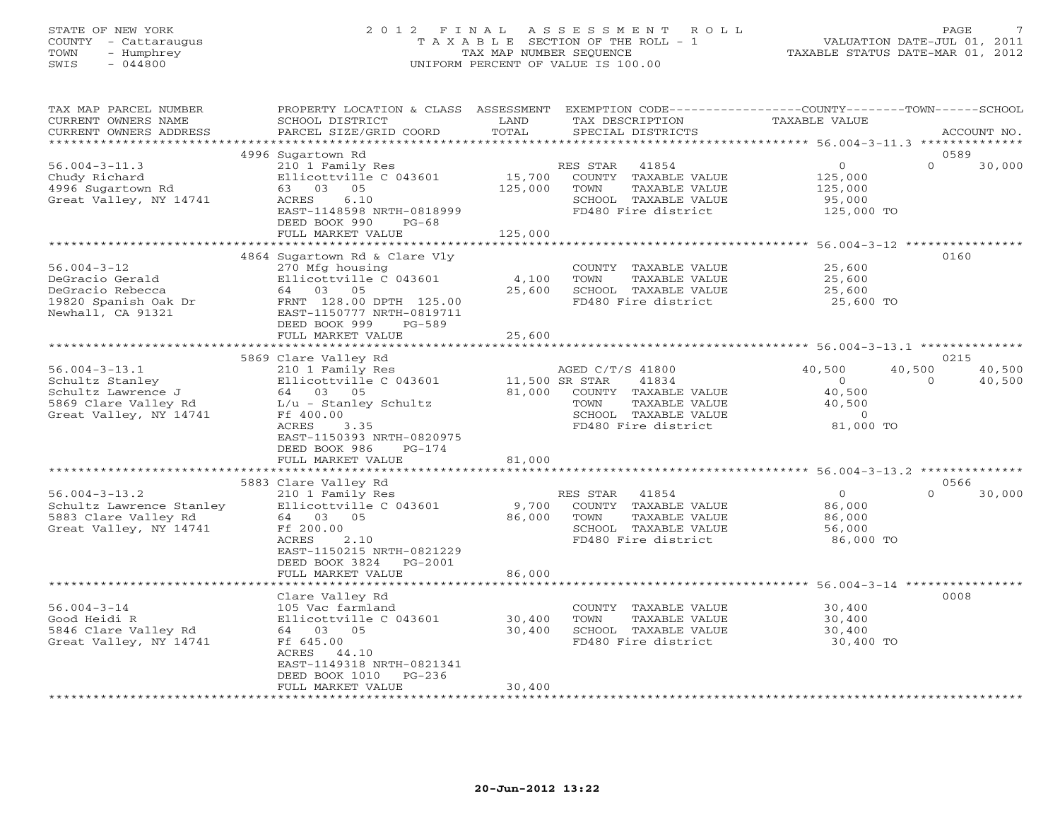### STATE OF NEW YORK 2 0 1 2 F I N A L A S S E S S M E N T R O L L PAGE 7 COUNTY - Cattaraugus T A X A B L E SECTION OF THE ROLL - 1 VALUATION DATE-JUL 01, 2011 TOWN - Humphrey TAX MAP NUMBER SEQUENCE TAXABLE STATUS DATE-MAR 01, 2012 SWIS - 044800 UNIFORM PERCENT OF VALUE IS 100.00UNIFORM PERCENT OF VALUE IS 100.00

| TAX MAP PARCEL NUMBER<br>CURRENT OWNERS NAME<br>CURRENT OWNERS ADDRESS                                                                                                                                              | PROPERTY LOCATION & CLASS ASSESSMENT<br>SCHOOL DISTRICT<br>PARCEL SIZE/GRID COORD                                                                                                                                                                                                                                                                                 | LAND<br>TAX DESCRIPTION<br>TOTAL<br>SPECIAL DISTRICTS                                                                                                                                                                                                                                                   | EXEMPTION CODE-----------------COUNTY-------TOWN------SCHOOL<br>TAXABLE VALUE<br>ACCOUNT NO.                                                                                                                     |
|---------------------------------------------------------------------------------------------------------------------------------------------------------------------------------------------------------------------|-------------------------------------------------------------------------------------------------------------------------------------------------------------------------------------------------------------------------------------------------------------------------------------------------------------------------------------------------------------------|---------------------------------------------------------------------------------------------------------------------------------------------------------------------------------------------------------------------------------------------------------------------------------------------------------|------------------------------------------------------------------------------------------------------------------------------------------------------------------------------------------------------------------|
| ***********************                                                                                                                                                                                             |                                                                                                                                                                                                                                                                                                                                                                   |                                                                                                                                                                                                                                                                                                         |                                                                                                                                                                                                                  |
| $56.004 - 3 - 11.3$<br>Chudy Richard<br>4996 Sugartown Rd<br>Great Valley, NY 14741                                                                                                                                 | 4996 Sugartown Rd<br>210 1 Family Res<br>Ellicottville C 043601<br>63 03 05<br>ACRES<br>6.10<br>EAST-1148598 NRTH-0818999<br>DEED BOOK 990<br>$PG-68$<br>FULL MARKET VALUE                                                                                                                                                                                        | RES STAR<br>41854<br>15,700<br>COUNTY TAXABLE VALUE<br>125,000<br>TOWN<br>TAXABLE VALUE<br>SCHOOL TAXABLE VALUE<br>FD480 Fire district<br>125,000                                                                                                                                                       | 0589<br>$\overline{O}$<br>$\Omega$<br>30,000<br>125,000<br>125,000<br>95,000<br>125,000 TO                                                                                                                       |
|                                                                                                                                                                                                                     |                                                                                                                                                                                                                                                                                                                                                                   |                                                                                                                                                                                                                                                                                                         |                                                                                                                                                                                                                  |
| $56.004 - 3 - 12$<br>DeGracio Gerald<br>DeGracio Rebecca<br>19820 Spanish Oak Dr<br>Newhall, CA 91321                                                                                                               | 4864 Sugartown Rd & Clare Vly<br>270 Mfg housing<br>Ellicottville C 043601<br>64 03 05<br>FRNT 128.00 DPTH 125.00<br>EAST-1150777 NRTH-0819711<br>DEED BOOK 999<br>PG-589<br>FULL MARKET VALUE                                                                                                                                                                    | COUNTY TAXABLE VALUE<br>4,100<br>TOWN<br>TAXABLE VALUE<br>25,600<br>SCHOOL TAXABLE VALUE<br>FD480 Fire district<br>25,600                                                                                                                                                                               | 0160<br>25,600<br>25,600<br>25,600<br>25,600 TO                                                                                                                                                                  |
|                                                                                                                                                                                                                     |                                                                                                                                                                                                                                                                                                                                                                   |                                                                                                                                                                                                                                                                                                         |                                                                                                                                                                                                                  |
| $56.004 - 3 - 13.1$<br>Schultz Stanley<br>Schultz Lawrence J<br>5869 Clare Valley Rd<br>Great Valley, NY 14741<br>$56.004 - 3 - 13.2$<br>Schultz Lawrence Stanley<br>5883 Clare Valley Rd<br>Great Valley, NY 14741 | 5869 Clare Valley Rd<br>210 1 Family Res<br>Ellicottville C 043601<br>64 03 05<br>L/u - Stanley Schultz<br>Ff 400.00<br>ACRES<br>3.35<br>EAST-1150393 NRTH-0820975<br>DEED BOOK 986<br>$PG-174$<br>FULL MARKET VALUE<br>5883 Clare Valley Rd<br>210 1 Family Res<br>Ellicottville C 043601<br>64 03 05<br>Ff 200.00<br>ACRES<br>2.10<br>EAST-1150215 NRTH-0821229 | AGED C/T/S 41800<br>11,500 SR STAR<br>41834<br>81,000<br>COUNTY TAXABLE VALUE<br>TOWN<br>TAXABLE VALUE<br>SCHOOL TAXABLE VALUE<br>FD480 Fire district<br>81,000<br>RES STAR<br>41854<br>9,700<br>COUNTY TAXABLE VALUE<br>86,000<br>TOWN<br>TAXABLE VALUE<br>SCHOOL TAXABLE VALUE<br>FD480 Fire district | 0215<br>40,500<br>40,500<br>40,500<br>$\circ$<br>$\circ$<br>40,500<br>40,500<br>40,500<br>$\overline{0}$<br>81,000 TO<br>0566<br>$\overline{0}$<br>$\Omega$<br>30,000<br>86,000<br>86,000<br>56,000<br>86,000 TO |
|                                                                                                                                                                                                                     | DEED BOOK 3824 PG-2001<br>FULL MARKET VALUE                                                                                                                                                                                                                                                                                                                       | 86,000                                                                                                                                                                                                                                                                                                  |                                                                                                                                                                                                                  |
| $56.004 - 3 - 14$<br>Good Heidi R<br>5846 Clare Valley Rd<br>Great Valley, NY 14741                                                                                                                                 | Clare Valley Rd<br>105 Vac farmland<br>Ellicottville C 043601<br>64 03 05<br>Ff 645.00<br>ACRES<br>44.10<br>EAST-1149318 NRTH-0821341<br>DEED BOOK 1010<br>PG-236<br>FULL MARKET VALUE                                                                                                                                                                            | COUNTY TAXABLE VALUE<br>30,400<br>TAXABLE VALUE<br>TOWN<br>30,400<br>SCHOOL TAXABLE VALUE<br>FD480 Fire district<br>30,400                                                                                                                                                                              | 0008<br>30,400<br>30,400<br>30,400<br>30,400 TO                                                                                                                                                                  |
|                                                                                                                                                                                                                     |                                                                                                                                                                                                                                                                                                                                                                   |                                                                                                                                                                                                                                                                                                         |                                                                                                                                                                                                                  |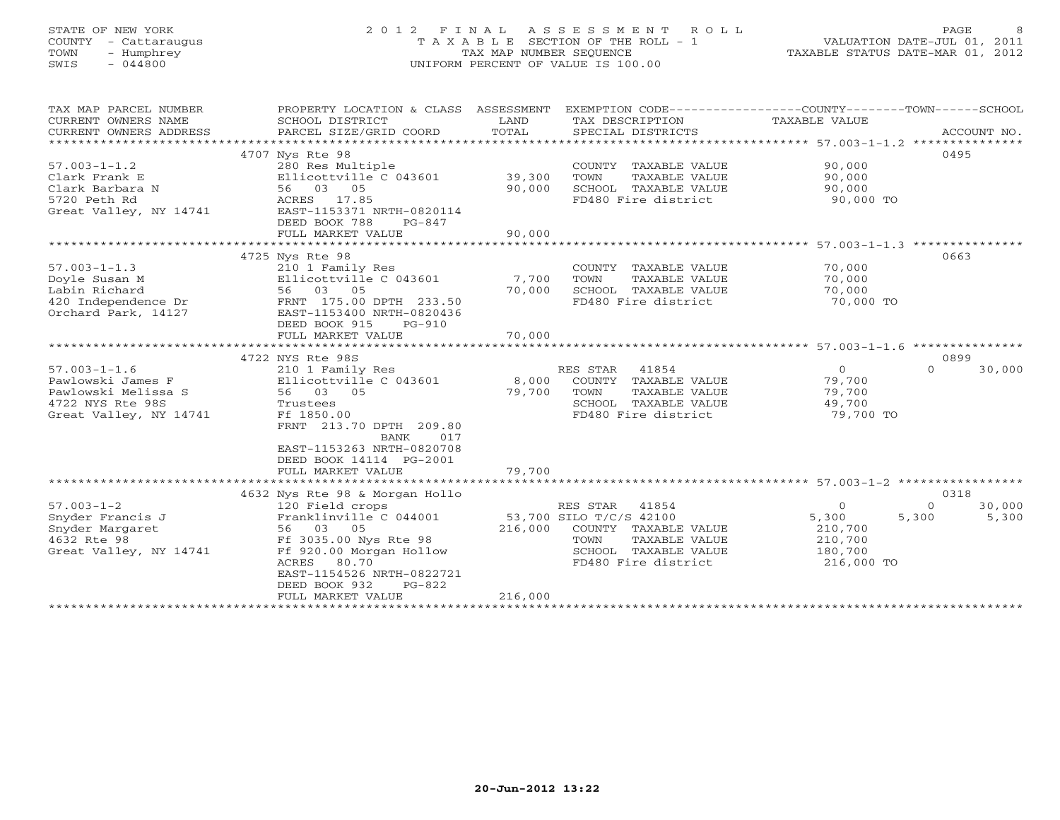# STATE OF NEW YORK 2 0 1 2 F I N A L A S S E S S M E N T R O L L PAGE 8 COUNTY - Cattaraugus T A X A B L E SECTION OF THE ROLL - 1 VALUATION DATE-JUL 01, 2011 TOWN - Humphrey TAX MAP NUMBER SEQUENCE TAXABLE STATUS DATE-MAR 01, 2012 SWIS - 044800 UNIFORM PERCENT OF VALUE IS 100.00UNIFORM PERCENT OF VALUE IS 100.00

| TAX MAP PARCEL NUMBER<br>CURRENT OWNERS NAME<br>CURRENT OWNERS ADDRESS | PROPERTY LOCATION & CLASS ASSESSMENT<br>SCHOOL DISTRICT<br>PARCEL SIZE/GRID COORD | LAND<br>TOTAL | EXEMPTION CODE----------------COUNTY-------TOWN------SCHOOL<br>TAX DESCRIPTION TAXABLE VALUE<br>SPECIAL DISTRICTS |                | ACCOUNT NO.        |
|------------------------------------------------------------------------|-----------------------------------------------------------------------------------|---------------|-------------------------------------------------------------------------------------------------------------------|----------------|--------------------|
|                                                                        |                                                                                   |               |                                                                                                                   |                | 0495               |
|                                                                        | 4707 Nys Rte 98                                                                   |               |                                                                                                                   |                |                    |
| $57.003 - 1 - 1.2$                                                     | 280 Res Multiple                                                                  |               | COUNTY TAXABLE VALUE                                                                                              | 90,000         |                    |
| Clark Frank E                                                          | Ellicottville C 043601 39,300                                                     |               | TAXABLE VALUE<br>TOWN                                                                                             | 90,000         |                    |
| Clark Barbara N                                                        | 56 03 05                                                                          | 90,000        | SCHOOL TAXABLE VALUE                                                                                              | 90,000         |                    |
| 5720 Peth Rd                                                           | ACRES 17.85                                                                       |               | FD480 Fire district                                                                                               | 90,000 TO      |                    |
| Great Valley, NY 14741                                                 | EAST-1153371 NRTH-0820114                                                         |               |                                                                                                                   |                |                    |
|                                                                        | DEED BOOK 788<br>PG-847                                                           |               |                                                                                                                   |                |                    |
|                                                                        | FULL MARKET VALUE                                                                 | 90,000        |                                                                                                                   |                |                    |
|                                                                        |                                                                                   |               |                                                                                                                   |                |                    |
|                                                                        | 4725 Nys Rte 98                                                                   |               |                                                                                                                   |                | 0663               |
| $57.003 - 1 - 1.3$                                                     | 210 1 Family Res                                                                  |               | COUNTY TAXABLE VALUE                                                                                              | 70,000         |                    |
| Doyle Susan M                                                          | Ellicottville C 043601                                                            | 7,700         | TOWN<br>TAXABLE VALUE                                                                                             | 70,000         |                    |
| Labin Richard                                                          | 56 03 05                                                                          | 70,000        | SCHOOL TAXABLE VALUE                                                                                              | 70,000         |                    |
| 420 Independence Dr                                                    | FRNT 175.00 DPTH 233.50                                                           |               | FD480 Fire district                                                                                               | 70,000 TO      |                    |
| Orchard Park, 14127                                                    | EAST-1153400 NRTH-0820436                                                         |               |                                                                                                                   |                |                    |
|                                                                        | DEED BOOK 915<br>$PG-910$                                                         |               |                                                                                                                   |                |                    |
|                                                                        | FULL MARKET VALUE                                                                 | 70,000        |                                                                                                                   |                |                    |
|                                                                        |                                                                                   |               |                                                                                                                   |                |                    |
|                                                                        | 4722 NYS Rte 98S                                                                  |               |                                                                                                                   |                | 0899               |
| $57.003 - 1 - 1.6$                                                     | 210 1 Family Res                                                                  |               | RES STAR<br>41854                                                                                                 | $\overline{O}$ | 30,000<br>$\Omega$ |
| Pawlowski James F                                                      | Ellicottville C 043601                                                            | 8,000         | COUNTY TAXABLE VALUE                                                                                              | 79,700         |                    |
| Pawlowski Melissa S                                                    | 56 03 05                                                                          | 79,700        | TOWN<br>TAXABLE VALUE                                                                                             | 79,700         |                    |
| 4722 NYS Rte 98S                                                       | Trustees                                                                          |               | SCHOOL TAXABLE VALUE                                                                                              | 49,700         |                    |
| Great Valley, NY 14741                                                 | Ff 1850.00                                                                        |               | FD480 Fire district                                                                                               | 79,700 TO      |                    |
|                                                                        | FRNT 213.70 DPTH 209.80                                                           |               |                                                                                                                   |                |                    |
|                                                                        | BANK<br>017                                                                       |               |                                                                                                                   |                |                    |
|                                                                        | EAST-1153263 NRTH-0820708                                                         |               |                                                                                                                   |                |                    |
|                                                                        | DEED BOOK 14114 PG-2001                                                           |               |                                                                                                                   |                |                    |
|                                                                        | FULL MARKET VALUE                                                                 | 79,700        |                                                                                                                   |                |                    |
|                                                                        |                                                                                   |               |                                                                                                                   |                |                    |
|                                                                        | 4632 Nys Rte 98 & Morgan Hollo                                                    |               |                                                                                                                   |                | 0318               |
| $57.003 - 1 - 2$                                                       | 120 Field crops                                                                   |               | RES STAR<br>41854                                                                                                 | $\circ$        | $\Omega$<br>30,000 |
| Snyder Francis J                                                       | Franklinville C 044001                                                            |               | 53,700 SILO T/C/S 42100                                                                                           | 5,300          | 5,300<br>5,300     |
| Snyder Margaret                                                        | 56 03 05                                                                          | 216,000       | COUNTY TAXABLE VALUE                                                                                              | 210,700        |                    |
| 4632 Rte 98                                                            | Ff 3035.00 Nys Rte 98                                                             |               | TOWN<br>TAXABLE VALUE                                                                                             | 210,700        |                    |
| Great Valley, NY 14741                                                 | Ff 920.00 Morgan Hollow                                                           |               | SCHOOL TAXABLE VALUE                                                                                              | 180,700        |                    |
|                                                                        | 80.70<br>ACRES                                                                    |               | FD480 Fire district                                                                                               | 216,000 TO     |                    |
|                                                                        | EAST-1154526 NRTH-0822721                                                         |               |                                                                                                                   |                |                    |
|                                                                        | DEED BOOK 932<br>$PG-822$                                                         |               |                                                                                                                   |                |                    |
|                                                                        | FULL MARKET VALUE                                                                 | 216,000       |                                                                                                                   |                |                    |
|                                                                        |                                                                                   |               |                                                                                                                   |                |                    |
|                                                                        |                                                                                   |               |                                                                                                                   |                |                    |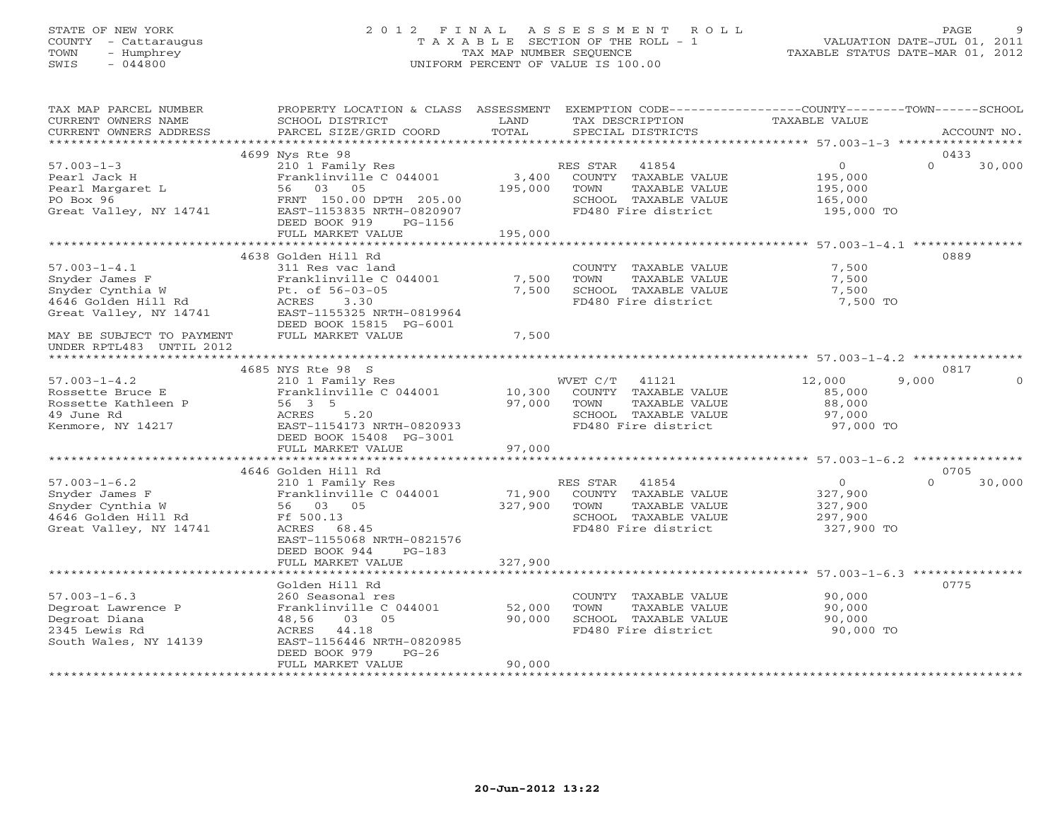# STATE OF NEW YORK 2 0 1 2 F I N A L A S S E S S M E N T R O L L PAGE 9 COUNTY - Cattaraugus T A X A B L E SECTION OF THE ROLL - 1 VALUATION DATE-JUL 01, 2011 TOWN - Humphrey TAX MAP NUMBER SEQUENCE TAXABLE STATUS DATE-MAR 01, 2012 SWIS - 044800 UNIFORM PERCENT OF VALUE IS 100.00UNIFORM PERCENT OF VALUE IS 100.00

| TAX MAP PARCEL NUMBER<br>CURRENT OWNERS NAME<br>CURRENT OWNERS ADDRESS                                                                 | PROPERTY LOCATION & CLASS ASSESSMENT<br>SCHOOL DISTRICT<br>PARCEL SIZE/GRID COORD                                                                           | LAND<br>TOTAL           | EXEMPTION CODE-----------------COUNTY-------TOWN------SCHOOL<br>TAX DESCRIPTION<br>SPECIAL DISTRICTS              | TAXABLE VALUE                                                 | ACCOUNT NO.        |
|----------------------------------------------------------------------------------------------------------------------------------------|-------------------------------------------------------------------------------------------------------------------------------------------------------------|-------------------------|-------------------------------------------------------------------------------------------------------------------|---------------------------------------------------------------|--------------------|
|                                                                                                                                        |                                                                                                                                                             |                         |                                                                                                                   |                                                               |                    |
|                                                                                                                                        | 4699 Nys Rte 98                                                                                                                                             |                         |                                                                                                                   |                                                               | 0433               |
| $57.003 - 1 - 3$<br>Pearl Jack H<br>Pearl Margaret L<br>PO Box 96<br>Great Valley, NY 14741                                            | 210 1 Family Res<br>Franklinville C 044001<br>56 03 05<br>FRNT 150.00 DPTH 205.00<br>EAST-1153835 NRTH-0820907<br>DEED BOOK 919<br>PG-1156                  | 3,400<br>195,000        | RES STAR<br>41854<br>COUNTY TAXABLE VALUE<br>TAXABLE VALUE<br>TOWN<br>SCHOOL TAXABLE VALUE<br>FD480 Fire district | $\overline{0}$<br>195,000<br>195,000<br>165,000<br>195,000 TO | $\Omega$<br>30,000 |
|                                                                                                                                        | FULL MARKET VALUE                                                                                                                                           | 195,000                 |                                                                                                                   |                                                               |                    |
|                                                                                                                                        | 4638 Golden Hill Rd                                                                                                                                         |                         |                                                                                                                   |                                                               | 0889               |
| $57.003 - 1 - 4.1$<br>Snyder James F<br>Snyder Cynthia W<br>4646 Golden Hill Rd<br>Great Valley, NY 14741<br>MAY BE SUBJECT TO PAYMENT | 311 Res vac land<br>Franklinville C 044001<br>Pt. of 56-03-05<br>ACRES<br>3.30<br>EAST-1155325 NRTH-0819964<br>DEED BOOK 15815 PG-6001<br>FULL MARKET VALUE | 7,500<br>7,500<br>7,500 | COUNTY TAXABLE VALUE<br>TOWN<br>TAXABLE VALUE<br>SCHOOL TAXABLE VALUE<br>FD480 Fire district                      | 7,500<br>7,500<br>7,500<br>7,500 TO                           |                    |
| UNDER RPTL483 UNTIL 2012                                                                                                               |                                                                                                                                                             |                         |                                                                                                                   |                                                               |                    |
|                                                                                                                                        | 4685 NYS Rte 98 S                                                                                                                                           |                         |                                                                                                                   |                                                               | 0817               |
| $57.003 - 1 - 4.2$                                                                                                                     | 210 1 Family Res                                                                                                                                            |                         | WVET C/T<br>41121                                                                                                 | 12,000                                                        | 9,000              |
| Rossette Bruce E<br>Rossette Kathleen P<br>49 June Rd<br>Kenmore, NY 14217                                                             | Franklinville C 044001<br>56 3 5<br>ACRES<br>5.20<br>EAST-1154173 NRTH-0820933<br>DEED BOOK 15408 PG-3001                                                   | 10,300<br>97,000        | COUNTY TAXABLE VALUE<br>TOWN<br>TAXABLE VALUE<br>SCHOOL TAXABLE VALUE<br>FD480 Fire district                      | 85,000<br>88,000<br>97,000<br>97,000 TO                       |                    |
|                                                                                                                                        | FULL MARKET VALUE                                                                                                                                           | 97,000                  |                                                                                                                   |                                                               |                    |
|                                                                                                                                        | 4646 Golden Hill Rd                                                                                                                                         |                         |                                                                                                                   |                                                               | 0705               |
| $57.003 - 1 - 6.2$<br>Snyder James F<br>Snyder Cynthia W<br>4646 Golden Hill Rd<br>Great Valley, NY 14741                              | 210 1 Family Res<br>Franklinville C 044001<br>56 03 05<br>Ff 500.13<br>ACRES<br>68.45<br>EAST-1155068 NRTH-0821576                                          | 71,900<br>327,900       | RES STAR<br>41854<br>COUNTY TAXABLE VALUE<br>TAXABLE VALUE<br>TOWN<br>SCHOOL TAXABLE VALUE<br>FD480 Fire district | $\overline{0}$<br>327,900<br>327,900<br>297,900<br>327,900 TO | $\Omega$<br>30,000 |
|                                                                                                                                        | DEED BOOK 944<br>$PG-183$<br>FULL MARKET VALUE<br>*******************                                                                                       | 327,900                 |                                                                                                                   | *********************** 57.003-1-6.3 ***********              |                    |
|                                                                                                                                        | Golden Hill Rd                                                                                                                                              |                         |                                                                                                                   |                                                               | 0775               |
| $57.003 - 1 - 6.3$<br>Degroat Lawrence P<br>Degroat Diana<br>2345 Lewis Rd<br>South Wales, NY 14139                                    | 260 Seasonal res<br>Franklinville C 044001<br>03 05<br>48,56<br>44.18<br>ACRES<br>EAST-1156446 NRTH-0820985<br>DEED BOOK 979<br>$PG-26$                     | 52,000<br>90,000        | COUNTY TAXABLE VALUE<br>TOWN<br>TAXABLE VALUE<br>SCHOOL TAXABLE VALUE<br>FD480 Fire district                      | 90,000<br>90,000<br>90,000<br>90,000 TO                       |                    |
|                                                                                                                                        | FULL MARKET VALUE                                                                                                                                           | 90,000                  |                                                                                                                   |                                                               |                    |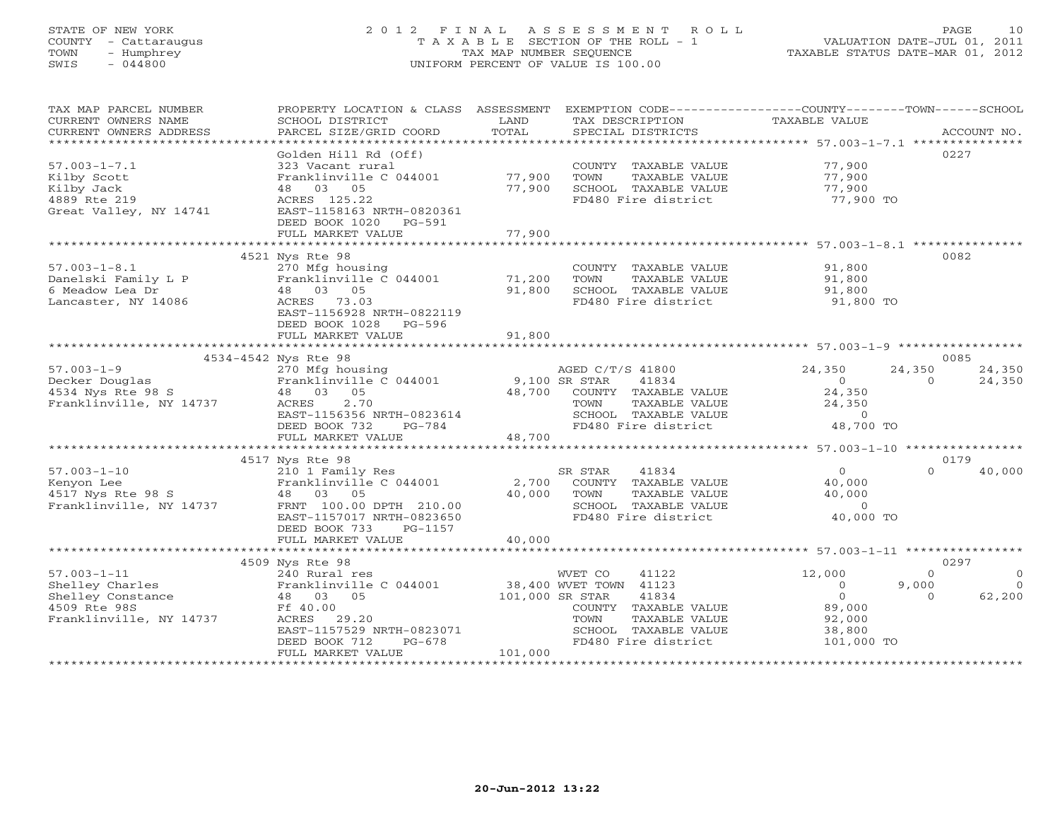# STATE OF NEW YORK 2 0 1 2 F I N A L A S S E S S M E N T R O L L PAGE 10 COUNTY - Cattaraugus T A X A B L E SECTION OF THE ROLL - 1 VALUATION DATE-JUL 01, 2011 TOWN - Humphrey TAX MAP NUMBER SEQUENCE TAXABLE STATUS DATE-MAR 01, 2012 SWIS - 044800 UNIFORM PERCENT OF VALUE IS 100.00UNIFORM PERCENT OF VALUE IS 100.00

| TAX MAP PARCEL NUMBER<br>CURRENT OWNERS NAME<br>CURRENT OWNERS ADDRESS | PROPERTY LOCATION & CLASS ASSESSMENT EXEMPTION CODE----------------COUNTY-------TOWN------SCHOOL<br>SCHOOL DISTRICT<br>PARCEL SIZE/GRID COORD | LAND<br>TOTAL           | TAX DESCRIPTION<br>SPECIAL DISTRICTS                    | TAXABLE VALUE                                       |          | ACCOUNT NO. |
|------------------------------------------------------------------------|-----------------------------------------------------------------------------------------------------------------------------------------------|-------------------------|---------------------------------------------------------|-----------------------------------------------------|----------|-------------|
|                                                                        |                                                                                                                                               |                         |                                                         |                                                     |          |             |
|                                                                        | Golden Hill Rd (Off)                                                                                                                          |                         |                                                         |                                                     |          | 0227        |
| $57.003 - 1 - 7.1$                                                     | 323 Vacant rural                                                                                                                              |                         | COUNTY TAXABLE VALUE                                    | 77,900                                              |          |             |
| Kilby Scott                                                            | Franklinville C 044001<br>48 03 05                                                                                                            | 77,900                  | TOWN<br>TAXABLE VALUE                                   | 77,900                                              |          |             |
| Kilby Jack                                                             |                                                                                                                                               | 77,900                  | SCHOOL TAXABLE VALUE                                    | 77,900                                              |          |             |
| 4889 Rte 219                                                           | ACRES 125.22                                                                                                                                  |                         | FD480 Fire district                                     | 77,900 TO                                           |          |             |
| Great Valley, NY 14741                                                 | EAST-1158163 NRTH-0820361                                                                                                                     |                         |                                                         |                                                     |          |             |
|                                                                        | DEED BOOK 1020<br>PG-591                                                                                                                      |                         |                                                         |                                                     |          |             |
|                                                                        | FULL MARKET VALUE                                                                                                                             | 77,900<br>************* | ****************************** 57.003-1-8.1 *********** |                                                     |          |             |
|                                                                        | 4521 Nys Rte 98                                                                                                                               |                         |                                                         |                                                     |          | 0082        |
|                                                                        |                                                                                                                                               |                         |                                                         |                                                     |          |             |
| $57.003 - 1 - 8.1$                                                     | 270 Mfg housing                                                                                                                               |                         | COUNTY TAXABLE VALUE                                    | 91,800                                              |          |             |
| Danelski Family L P                                                    | Franklinville C 044001                                                                                                                        | 71,200                  | TOWN<br>TAXABLE VALUE                                   | 91,800                                              |          |             |
| 6 Meadow Lea Dr                                                        | 48 03 05                                                                                                                                      | 91,800                  | SCHOOL TAXABLE VALUE                                    | 91,800                                              |          |             |
| Lancaster, NY 14086                                                    | ACRES 73.03                                                                                                                                   |                         | FD480 Fire district                                     | 91,800 TO                                           |          |             |
|                                                                        | EAST-1156928 NRTH-0822119                                                                                                                     |                         |                                                         |                                                     |          |             |
|                                                                        | DEED BOOK 1028<br>PG-596                                                                                                                      |                         |                                                         |                                                     |          |             |
|                                                                        | FULL MARKET VALUE                                                                                                                             | 91,800                  |                                                         |                                                     |          |             |
|                                                                        |                                                                                                                                               |                         |                                                         |                                                     |          | 0085        |
| $57.003 - 1 - 9$                                                       | 4534-4542 Nys Rte 98                                                                                                                          |                         | AGED C/T/S 41800                                        | 24,350                                              | 24,350   | 24,350      |
| Decker Douglas                                                         | 270 Mfg housing<br>Franklinville C 044001                                                                                                     | 9,100 SR STAR           | 41834                                                   | $\circ$                                             | $\Omega$ | 24,350      |
| 4534 Nys Rte 98 S                                                      | 48 03<br>05                                                                                                                                   | 48,700                  | COUNTY TAXABLE VALUE                                    | 24,350                                              |          |             |
| Franklinville, NY 14737                                                | 2.70<br>ACRES                                                                                                                                 |                         | TOWN<br>TAXABLE VALUE                                   | 24,350                                              |          |             |
|                                                                        | EAST-1156356 NRTH-0823614                                                                                                                     |                         | SCHOOL TAXABLE VALUE                                    | $\circ$                                             |          |             |
|                                                                        | DEED BOOK 732<br>$PG-784$                                                                                                                     |                         | FD480 Fire district                                     | 48,700 TO                                           |          |             |
|                                                                        | FULL MARKET VALUE                                                                                                                             | 48,700                  |                                                         |                                                     |          |             |
|                                                                        |                                                                                                                                               |                         |                                                         |                                                     |          |             |
|                                                                        | 4517 Nys Rte 98                                                                                                                               |                         |                                                         |                                                     |          | 0179        |
| $57.003 - 1 - 10$                                                      | 210 1 Family Res                                                                                                                              |                         | SR STAR<br>41834                                        | $\Omega$                                            | $\cap$   | 40,000      |
| Kenyon Lee                                                             | Franklinville C 044001                                                                                                                        | 2,700                   | COUNTY TAXABLE VALUE                                    | 40,000                                              |          |             |
| 4517 Nys Rte 98 S                                                      | 48 03 05                                                                                                                                      | 40,000                  | TOWN<br>TAXABLE VALUE                                   | 40,000                                              |          |             |
| Franklinville, NY 14737                                                | FRNT 100.00 DPTH 210.00                                                                                                                       |                         | SCHOOL TAXABLE VALUE                                    | $\Omega$                                            |          |             |
|                                                                        | EAST-1157017 NRTH-0823650                                                                                                                     |                         | FD480 Fire district                                     | 40,000 TO                                           |          |             |
|                                                                        | DEED BOOK 733<br>PG-1157                                                                                                                      |                         |                                                         |                                                     |          |             |
|                                                                        | FULL MARKET VALUE                                                                                                                             | 40,000                  |                                                         |                                                     |          |             |
|                                                                        |                                                                                                                                               | *********************** |                                                         | ********************* 57.003-1-11 ***************** |          |             |
|                                                                        | 4509 Nys Rte 98                                                                                                                               |                         |                                                         |                                                     |          | 0297        |
| $57.003 - 1 - 11$                                                      | 240 Rural res                                                                                                                                 |                         | WVET CO<br>41122                                        | 12,000                                              | $\Omega$ | $\Omega$    |
| Shelley Charles                                                        | Franklinville C 044001                                                                                                                        |                         | 38,400 WVET TOWN 41123                                  | $\circ$                                             | 9,000    | $\Omega$    |
| Shelley Constance                                                      | 05<br>48 03                                                                                                                                   | 101,000 SR STAR         | 41834                                                   | $\circ$                                             | $\Omega$ | 62,200      |
| 4509 Rte 98S                                                           | Ff 40.00                                                                                                                                      |                         | COUNTY TAXABLE VALUE                                    | 89,000                                              |          |             |
| Franklinville, NY 14737                                                | ACRES<br>29.20                                                                                                                                |                         | TOWN<br>TAXABLE VALUE                                   | 92,000                                              |          |             |
|                                                                        | EAST-1157529 NRTH-0823071                                                                                                                     |                         | SCHOOL TAXABLE VALUE                                    | 38,800                                              |          |             |
|                                                                        | PG-678<br>DEED BOOK 712                                                                                                                       |                         | FD480 Fire district                                     | 101,000 TO                                          |          |             |
|                                                                        | FULL MARKET VALUE                                                                                                                             | 101,000                 |                                                         |                                                     |          |             |
|                                                                        | *********************************                                                                                                             |                         |                                                         |                                                     |          |             |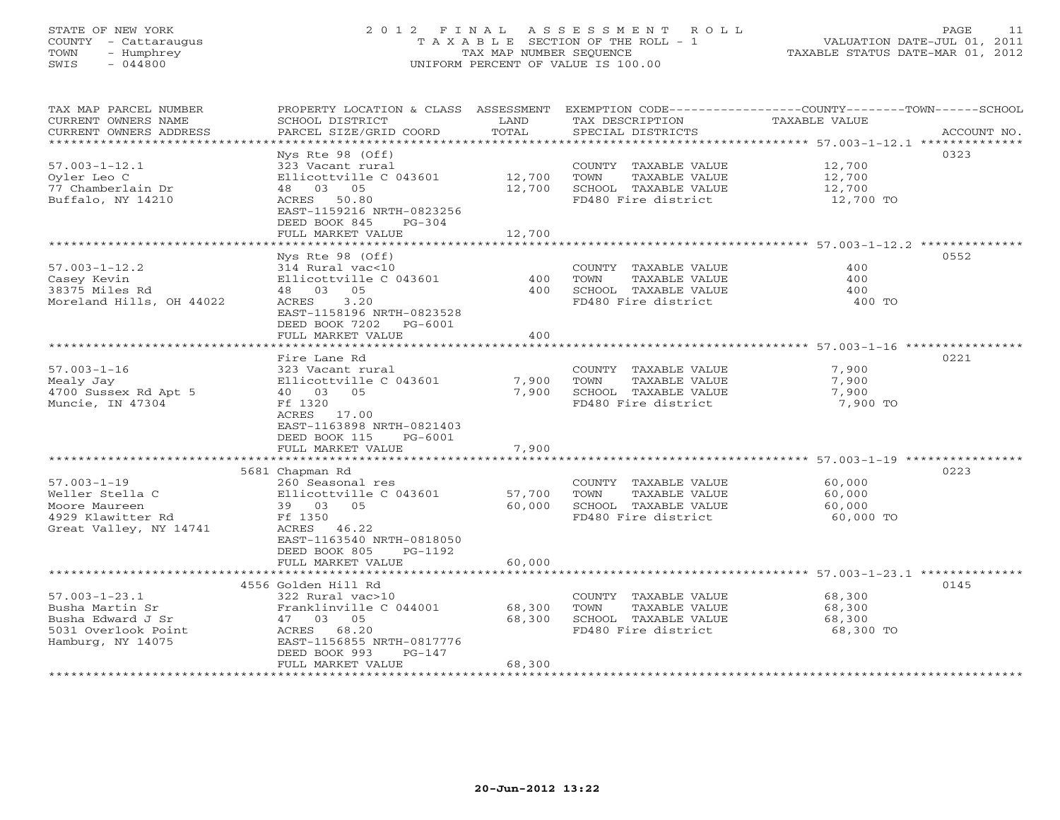# STATE OF NEW YORK 2 0 1 2 F I N A L A S S E S S M E N T R O L L PAGE 11 COUNTY - Cattaraugus T A X A B L E SECTION OF THE ROLL - 1 VALUATION DATE-JUL 01, 2011 TOWN - Humphrey TAX MAP NUMBER SEQUENCE TAXABLE STATUS DATE-MAR 01, 2012 SWIS - 044800 UNIFORM PERCENT OF VALUE IS 100.00UNIFORM PERCENT OF VALUE IS 100.00

| $Nys$ Rte 98 (Off)<br>0323<br>$57.003 - 1 - 12.1$<br>323 Vacant rural<br>COUNTY TAXABLE VALUE<br>12,700<br>12,700<br>Oyler Leo C<br>Ellicottville C 043601<br>12,700<br>TOWN<br>TAXABLE VALUE<br>77 Chamberlain Dr<br>12,700<br>48 03 05<br>12,700<br>SCHOOL TAXABLE VALUE<br>Buffalo, NY 14210<br>ACRES<br>50.80<br>FD480 Fire district<br>12,700 TO<br>EAST-1159216 NRTH-0823256<br>DEED BOOK 845<br>$PG-304$<br>FULL MARKET VALUE<br>12,700<br>0552<br>Nys Rte 98 (Off)<br>$57.003 - 1 - 12.2$<br>COUNTY TAXABLE VALUE<br>400<br>314 Rural vac<10<br>Ellicottville C 043601<br>TOWN<br>TAXABLE VALUE<br>Casey Kevin<br>400<br>400<br>48 03 05<br>38375 Miles Rd<br>400<br>SCHOOL TAXABLE VALUE<br>400<br>Moreland Hills, OH 44022<br>3.20<br>FD480 Fire district<br>400 TO<br>ACRES<br>EAST-1158196 NRTH-0823528<br>DEED BOOK 7202 PG-6001<br>400<br>FULL MARKET VALUE<br>0221<br>Fire Lane Rd<br>$57.003 - 1 - 16$<br>323 Vacant rural<br>COUNTY TAXABLE VALUE<br>7,900<br>Mealy Jay<br>Ellicottville C 043601<br>7,900<br>TOWN<br>TAXABLE VALUE<br>7,900<br>4700 Sussex Rd Apt 5<br>40 03 05<br>7,900<br>SCHOOL TAXABLE VALUE<br>7,900<br>Muncie, IN 47304<br>7,900 TO<br>Ff 1320<br>FD480 Fire district<br>ACRES 17.00<br>EAST-1163898 NRTH-0821403<br>DEED BOOK 115<br>PG-6001<br>FULL MARKET VALUE<br>7,900<br>**************************<br>***************** 57.003-1-19 **********<br>* * * * * * * * * * * * * *<br>5681 Chapman Rd<br>0223<br>$57.003 - 1 - 19$<br>260 Seasonal res<br>COUNTY TAXABLE VALUE<br>60,000<br>Ellicottville C 043601<br>57,700<br>TAXABLE VALUE<br>Weller Stella C<br>TOWN<br>60,000<br>39 03<br>60,000<br>SCHOOL TAXABLE VALUE<br>60,000<br>Moore Maureen<br>05<br>4929 Klawitter Rd<br>Ff 1350<br>FD480 Fire district<br>60,000 TO<br>Great Valley, NY 14741<br>ACRES 46.22<br>EAST-1163540 NRTH-0818050<br>DEED BOOK 805<br>PG-1192<br>FULL MARKET VALUE<br>60,000<br>***********<br>****************************** 57.003-1-23.1 **************<br>**************************<br>4556 Golden Hill Rd<br>0145<br>$57.003 - 1 - 23.1$<br>322 Rural vac>10<br>COUNTY TAXABLE VALUE<br>68,300<br>Busha Martin Sr<br>Franklinville C 044001<br>68,300<br>TOWN<br>TAXABLE VALUE<br>68,300<br>Busha Edward J Sr<br>47 03 05<br>68,300<br>SCHOOL TAXABLE VALUE<br>68,300<br>5031 Overlook Point<br>ACRES 68.20<br>FD480 Fire district<br>68,300 TO<br>EAST-1156855 NRTH-0817776<br>Hamburg, NY 14075<br>DEED BOOK 993<br>$PG-147$<br>FULL MARKET VALUE<br>68,300 | TAX MAP PARCEL NUMBER<br>CURRENT OWNERS NAME<br>CURRENT OWNERS ADDRESS | PROPERTY LOCATION & CLASS ASSESSMENT<br>SCHOOL DISTRICT<br>PARCEL SIZE/GRID COORD | LAND<br>TOTAL | EXEMPTION CODE-----------------COUNTY-------TOWN------SCHOOL<br>TAX DESCRIPTION<br>SPECIAL DISTRICTS | TAXABLE VALUE | ACCOUNT NO. |
|------------------------------------------------------------------------------------------------------------------------------------------------------------------------------------------------------------------------------------------------------------------------------------------------------------------------------------------------------------------------------------------------------------------------------------------------------------------------------------------------------------------------------------------------------------------------------------------------------------------------------------------------------------------------------------------------------------------------------------------------------------------------------------------------------------------------------------------------------------------------------------------------------------------------------------------------------------------------------------------------------------------------------------------------------------------------------------------------------------------------------------------------------------------------------------------------------------------------------------------------------------------------------------------------------------------------------------------------------------------------------------------------------------------------------------------------------------------------------------------------------------------------------------------------------------------------------------------------------------------------------------------------------------------------------------------------------------------------------------------------------------------------------------------------------------------------------------------------------------------------------------------------------------------------------------------------------------------------------------------------------------------------------------------------------------------------------------------------------------------------------------------------------------------------------------------------------------------------------------------------------------------------------------------------------------------------------------------------------------------------------------------------------------------------------------------------------------------------------------------------------|------------------------------------------------------------------------|-----------------------------------------------------------------------------------|---------------|------------------------------------------------------------------------------------------------------|---------------|-------------|
|                                                                                                                                                                                                                                                                                                                                                                                                                                                                                                                                                                                                                                                                                                                                                                                                                                                                                                                                                                                                                                                                                                                                                                                                                                                                                                                                                                                                                                                                                                                                                                                                                                                                                                                                                                                                                                                                                                                                                                                                                                                                                                                                                                                                                                                                                                                                                                                                                                                                                                      | ********************                                                   |                                                                                   |               |                                                                                                      |               |             |
|                                                                                                                                                                                                                                                                                                                                                                                                                                                                                                                                                                                                                                                                                                                                                                                                                                                                                                                                                                                                                                                                                                                                                                                                                                                                                                                                                                                                                                                                                                                                                                                                                                                                                                                                                                                                                                                                                                                                                                                                                                                                                                                                                                                                                                                                                                                                                                                                                                                                                                      |                                                                        |                                                                                   |               |                                                                                                      |               |             |
|                                                                                                                                                                                                                                                                                                                                                                                                                                                                                                                                                                                                                                                                                                                                                                                                                                                                                                                                                                                                                                                                                                                                                                                                                                                                                                                                                                                                                                                                                                                                                                                                                                                                                                                                                                                                                                                                                                                                                                                                                                                                                                                                                                                                                                                                                                                                                                                                                                                                                                      |                                                                        |                                                                                   |               |                                                                                                      |               |             |
|                                                                                                                                                                                                                                                                                                                                                                                                                                                                                                                                                                                                                                                                                                                                                                                                                                                                                                                                                                                                                                                                                                                                                                                                                                                                                                                                                                                                                                                                                                                                                                                                                                                                                                                                                                                                                                                                                                                                                                                                                                                                                                                                                                                                                                                                                                                                                                                                                                                                                                      |                                                                        |                                                                                   |               |                                                                                                      |               |             |
|                                                                                                                                                                                                                                                                                                                                                                                                                                                                                                                                                                                                                                                                                                                                                                                                                                                                                                                                                                                                                                                                                                                                                                                                                                                                                                                                                                                                                                                                                                                                                                                                                                                                                                                                                                                                                                                                                                                                                                                                                                                                                                                                                                                                                                                                                                                                                                                                                                                                                                      |                                                                        |                                                                                   |               |                                                                                                      |               |             |
|                                                                                                                                                                                                                                                                                                                                                                                                                                                                                                                                                                                                                                                                                                                                                                                                                                                                                                                                                                                                                                                                                                                                                                                                                                                                                                                                                                                                                                                                                                                                                                                                                                                                                                                                                                                                                                                                                                                                                                                                                                                                                                                                                                                                                                                                                                                                                                                                                                                                                                      |                                                                        |                                                                                   |               |                                                                                                      |               |             |
|                                                                                                                                                                                                                                                                                                                                                                                                                                                                                                                                                                                                                                                                                                                                                                                                                                                                                                                                                                                                                                                                                                                                                                                                                                                                                                                                                                                                                                                                                                                                                                                                                                                                                                                                                                                                                                                                                                                                                                                                                                                                                                                                                                                                                                                                                                                                                                                                                                                                                                      |                                                                        |                                                                                   |               |                                                                                                      |               |             |
|                                                                                                                                                                                                                                                                                                                                                                                                                                                                                                                                                                                                                                                                                                                                                                                                                                                                                                                                                                                                                                                                                                                                                                                                                                                                                                                                                                                                                                                                                                                                                                                                                                                                                                                                                                                                                                                                                                                                                                                                                                                                                                                                                                                                                                                                                                                                                                                                                                                                                                      |                                                                        |                                                                                   |               |                                                                                                      |               |             |
|                                                                                                                                                                                                                                                                                                                                                                                                                                                                                                                                                                                                                                                                                                                                                                                                                                                                                                                                                                                                                                                                                                                                                                                                                                                                                                                                                                                                                                                                                                                                                                                                                                                                                                                                                                                                                                                                                                                                                                                                                                                                                                                                                                                                                                                                                                                                                                                                                                                                                                      |                                                                        |                                                                                   |               |                                                                                                      |               |             |
|                                                                                                                                                                                                                                                                                                                                                                                                                                                                                                                                                                                                                                                                                                                                                                                                                                                                                                                                                                                                                                                                                                                                                                                                                                                                                                                                                                                                                                                                                                                                                                                                                                                                                                                                                                                                                                                                                                                                                                                                                                                                                                                                                                                                                                                                                                                                                                                                                                                                                                      |                                                                        |                                                                                   |               |                                                                                                      |               |             |
|                                                                                                                                                                                                                                                                                                                                                                                                                                                                                                                                                                                                                                                                                                                                                                                                                                                                                                                                                                                                                                                                                                                                                                                                                                                                                                                                                                                                                                                                                                                                                                                                                                                                                                                                                                                                                                                                                                                                                                                                                                                                                                                                                                                                                                                                                                                                                                                                                                                                                                      |                                                                        |                                                                                   |               |                                                                                                      |               |             |
|                                                                                                                                                                                                                                                                                                                                                                                                                                                                                                                                                                                                                                                                                                                                                                                                                                                                                                                                                                                                                                                                                                                                                                                                                                                                                                                                                                                                                                                                                                                                                                                                                                                                                                                                                                                                                                                                                                                                                                                                                                                                                                                                                                                                                                                                                                                                                                                                                                                                                                      |                                                                        |                                                                                   |               |                                                                                                      |               |             |
|                                                                                                                                                                                                                                                                                                                                                                                                                                                                                                                                                                                                                                                                                                                                                                                                                                                                                                                                                                                                                                                                                                                                                                                                                                                                                                                                                                                                                                                                                                                                                                                                                                                                                                                                                                                                                                                                                                                                                                                                                                                                                                                                                                                                                                                                                                                                                                                                                                                                                                      |                                                                        |                                                                                   |               |                                                                                                      |               |             |
|                                                                                                                                                                                                                                                                                                                                                                                                                                                                                                                                                                                                                                                                                                                                                                                                                                                                                                                                                                                                                                                                                                                                                                                                                                                                                                                                                                                                                                                                                                                                                                                                                                                                                                                                                                                                                                                                                                                                                                                                                                                                                                                                                                                                                                                                                                                                                                                                                                                                                                      |                                                                        |                                                                                   |               |                                                                                                      |               |             |
|                                                                                                                                                                                                                                                                                                                                                                                                                                                                                                                                                                                                                                                                                                                                                                                                                                                                                                                                                                                                                                                                                                                                                                                                                                                                                                                                                                                                                                                                                                                                                                                                                                                                                                                                                                                                                                                                                                                                                                                                                                                                                                                                                                                                                                                                                                                                                                                                                                                                                                      |                                                                        |                                                                                   |               |                                                                                                      |               |             |
|                                                                                                                                                                                                                                                                                                                                                                                                                                                                                                                                                                                                                                                                                                                                                                                                                                                                                                                                                                                                                                                                                                                                                                                                                                                                                                                                                                                                                                                                                                                                                                                                                                                                                                                                                                                                                                                                                                                                                                                                                                                                                                                                                                                                                                                                                                                                                                                                                                                                                                      |                                                                        |                                                                                   |               |                                                                                                      |               |             |
|                                                                                                                                                                                                                                                                                                                                                                                                                                                                                                                                                                                                                                                                                                                                                                                                                                                                                                                                                                                                                                                                                                                                                                                                                                                                                                                                                                                                                                                                                                                                                                                                                                                                                                                                                                                                                                                                                                                                                                                                                                                                                                                                                                                                                                                                                                                                                                                                                                                                                                      |                                                                        |                                                                                   |               |                                                                                                      |               |             |
|                                                                                                                                                                                                                                                                                                                                                                                                                                                                                                                                                                                                                                                                                                                                                                                                                                                                                                                                                                                                                                                                                                                                                                                                                                                                                                                                                                                                                                                                                                                                                                                                                                                                                                                                                                                                                                                                                                                                                                                                                                                                                                                                                                                                                                                                                                                                                                                                                                                                                                      |                                                                        |                                                                                   |               |                                                                                                      |               |             |
|                                                                                                                                                                                                                                                                                                                                                                                                                                                                                                                                                                                                                                                                                                                                                                                                                                                                                                                                                                                                                                                                                                                                                                                                                                                                                                                                                                                                                                                                                                                                                                                                                                                                                                                                                                                                                                                                                                                                                                                                                                                                                                                                                                                                                                                                                                                                                                                                                                                                                                      |                                                                        |                                                                                   |               |                                                                                                      |               |             |
|                                                                                                                                                                                                                                                                                                                                                                                                                                                                                                                                                                                                                                                                                                                                                                                                                                                                                                                                                                                                                                                                                                                                                                                                                                                                                                                                                                                                                                                                                                                                                                                                                                                                                                                                                                                                                                                                                                                                                                                                                                                                                                                                                                                                                                                                                                                                                                                                                                                                                                      |                                                                        |                                                                                   |               |                                                                                                      |               |             |
|                                                                                                                                                                                                                                                                                                                                                                                                                                                                                                                                                                                                                                                                                                                                                                                                                                                                                                                                                                                                                                                                                                                                                                                                                                                                                                                                                                                                                                                                                                                                                                                                                                                                                                                                                                                                                                                                                                                                                                                                                                                                                                                                                                                                                                                                                                                                                                                                                                                                                                      |                                                                        |                                                                                   |               |                                                                                                      |               |             |
|                                                                                                                                                                                                                                                                                                                                                                                                                                                                                                                                                                                                                                                                                                                                                                                                                                                                                                                                                                                                                                                                                                                                                                                                                                                                                                                                                                                                                                                                                                                                                                                                                                                                                                                                                                                                                                                                                                                                                                                                                                                                                                                                                                                                                                                                                                                                                                                                                                                                                                      |                                                                        |                                                                                   |               |                                                                                                      |               |             |
|                                                                                                                                                                                                                                                                                                                                                                                                                                                                                                                                                                                                                                                                                                                                                                                                                                                                                                                                                                                                                                                                                                                                                                                                                                                                                                                                                                                                                                                                                                                                                                                                                                                                                                                                                                                                                                                                                                                                                                                                                                                                                                                                                                                                                                                                                                                                                                                                                                                                                                      |                                                                        |                                                                                   |               |                                                                                                      |               |             |
|                                                                                                                                                                                                                                                                                                                                                                                                                                                                                                                                                                                                                                                                                                                                                                                                                                                                                                                                                                                                                                                                                                                                                                                                                                                                                                                                                                                                                                                                                                                                                                                                                                                                                                                                                                                                                                                                                                                                                                                                                                                                                                                                                                                                                                                                                                                                                                                                                                                                                                      |                                                                        |                                                                                   |               |                                                                                                      |               |             |
|                                                                                                                                                                                                                                                                                                                                                                                                                                                                                                                                                                                                                                                                                                                                                                                                                                                                                                                                                                                                                                                                                                                                                                                                                                                                                                                                                                                                                                                                                                                                                                                                                                                                                                                                                                                                                                                                                                                                                                                                                                                                                                                                                                                                                                                                                                                                                                                                                                                                                                      |                                                                        |                                                                                   |               |                                                                                                      |               |             |
|                                                                                                                                                                                                                                                                                                                                                                                                                                                                                                                                                                                                                                                                                                                                                                                                                                                                                                                                                                                                                                                                                                                                                                                                                                                                                                                                                                                                                                                                                                                                                                                                                                                                                                                                                                                                                                                                                                                                                                                                                                                                                                                                                                                                                                                                                                                                                                                                                                                                                                      |                                                                        |                                                                                   |               |                                                                                                      |               |             |
|                                                                                                                                                                                                                                                                                                                                                                                                                                                                                                                                                                                                                                                                                                                                                                                                                                                                                                                                                                                                                                                                                                                                                                                                                                                                                                                                                                                                                                                                                                                                                                                                                                                                                                                                                                                                                                                                                                                                                                                                                                                                                                                                                                                                                                                                                                                                                                                                                                                                                                      |                                                                        |                                                                                   |               |                                                                                                      |               |             |
|                                                                                                                                                                                                                                                                                                                                                                                                                                                                                                                                                                                                                                                                                                                                                                                                                                                                                                                                                                                                                                                                                                                                                                                                                                                                                                                                                                                                                                                                                                                                                                                                                                                                                                                                                                                                                                                                                                                                                                                                                                                                                                                                                                                                                                                                                                                                                                                                                                                                                                      |                                                                        |                                                                                   |               |                                                                                                      |               |             |
|                                                                                                                                                                                                                                                                                                                                                                                                                                                                                                                                                                                                                                                                                                                                                                                                                                                                                                                                                                                                                                                                                                                                                                                                                                                                                                                                                                                                                                                                                                                                                                                                                                                                                                                                                                                                                                                                                                                                                                                                                                                                                                                                                                                                                                                                                                                                                                                                                                                                                                      |                                                                        |                                                                                   |               |                                                                                                      |               |             |
|                                                                                                                                                                                                                                                                                                                                                                                                                                                                                                                                                                                                                                                                                                                                                                                                                                                                                                                                                                                                                                                                                                                                                                                                                                                                                                                                                                                                                                                                                                                                                                                                                                                                                                                                                                                                                                                                                                                                                                                                                                                                                                                                                                                                                                                                                                                                                                                                                                                                                                      |                                                                        |                                                                                   |               |                                                                                                      |               |             |
|                                                                                                                                                                                                                                                                                                                                                                                                                                                                                                                                                                                                                                                                                                                                                                                                                                                                                                                                                                                                                                                                                                                                                                                                                                                                                                                                                                                                                                                                                                                                                                                                                                                                                                                                                                                                                                                                                                                                                                                                                                                                                                                                                                                                                                                                                                                                                                                                                                                                                                      |                                                                        |                                                                                   |               |                                                                                                      |               |             |
|                                                                                                                                                                                                                                                                                                                                                                                                                                                                                                                                                                                                                                                                                                                                                                                                                                                                                                                                                                                                                                                                                                                                                                                                                                                                                                                                                                                                                                                                                                                                                                                                                                                                                                                                                                                                                                                                                                                                                                                                                                                                                                                                                                                                                                                                                                                                                                                                                                                                                                      |                                                                        |                                                                                   |               |                                                                                                      |               |             |
|                                                                                                                                                                                                                                                                                                                                                                                                                                                                                                                                                                                                                                                                                                                                                                                                                                                                                                                                                                                                                                                                                                                                                                                                                                                                                                                                                                                                                                                                                                                                                                                                                                                                                                                                                                                                                                                                                                                                                                                                                                                                                                                                                                                                                                                                                                                                                                                                                                                                                                      |                                                                        |                                                                                   |               |                                                                                                      |               |             |
|                                                                                                                                                                                                                                                                                                                                                                                                                                                                                                                                                                                                                                                                                                                                                                                                                                                                                                                                                                                                                                                                                                                                                                                                                                                                                                                                                                                                                                                                                                                                                                                                                                                                                                                                                                                                                                                                                                                                                                                                                                                                                                                                                                                                                                                                                                                                                                                                                                                                                                      |                                                                        |                                                                                   |               |                                                                                                      |               |             |
|                                                                                                                                                                                                                                                                                                                                                                                                                                                                                                                                                                                                                                                                                                                                                                                                                                                                                                                                                                                                                                                                                                                                                                                                                                                                                                                                                                                                                                                                                                                                                                                                                                                                                                                                                                                                                                                                                                                                                                                                                                                                                                                                                                                                                                                                                                                                                                                                                                                                                                      |                                                                        |                                                                                   |               |                                                                                                      |               |             |
|                                                                                                                                                                                                                                                                                                                                                                                                                                                                                                                                                                                                                                                                                                                                                                                                                                                                                                                                                                                                                                                                                                                                                                                                                                                                                                                                                                                                                                                                                                                                                                                                                                                                                                                                                                                                                                                                                                                                                                                                                                                                                                                                                                                                                                                                                                                                                                                                                                                                                                      |                                                                        |                                                                                   |               |                                                                                                      |               |             |
|                                                                                                                                                                                                                                                                                                                                                                                                                                                                                                                                                                                                                                                                                                                                                                                                                                                                                                                                                                                                                                                                                                                                                                                                                                                                                                                                                                                                                                                                                                                                                                                                                                                                                                                                                                                                                                                                                                                                                                                                                                                                                                                                                                                                                                                                                                                                                                                                                                                                                                      |                                                                        |                                                                                   |               |                                                                                                      |               |             |
|                                                                                                                                                                                                                                                                                                                                                                                                                                                                                                                                                                                                                                                                                                                                                                                                                                                                                                                                                                                                                                                                                                                                                                                                                                                                                                                                                                                                                                                                                                                                                                                                                                                                                                                                                                                                                                                                                                                                                                                                                                                                                                                                                                                                                                                                                                                                                                                                                                                                                                      |                                                                        |                                                                                   |               |                                                                                                      |               |             |
|                                                                                                                                                                                                                                                                                                                                                                                                                                                                                                                                                                                                                                                                                                                                                                                                                                                                                                                                                                                                                                                                                                                                                                                                                                                                                                                                                                                                                                                                                                                                                                                                                                                                                                                                                                                                                                                                                                                                                                                                                                                                                                                                                                                                                                                                                                                                                                                                                                                                                                      |                                                                        |                                                                                   |               |                                                                                                      |               |             |
|                                                                                                                                                                                                                                                                                                                                                                                                                                                                                                                                                                                                                                                                                                                                                                                                                                                                                                                                                                                                                                                                                                                                                                                                                                                                                                                                                                                                                                                                                                                                                                                                                                                                                                                                                                                                                                                                                                                                                                                                                                                                                                                                                                                                                                                                                                                                                                                                                                                                                                      |                                                                        |                                                                                   |               |                                                                                                      |               |             |
|                                                                                                                                                                                                                                                                                                                                                                                                                                                                                                                                                                                                                                                                                                                                                                                                                                                                                                                                                                                                                                                                                                                                                                                                                                                                                                                                                                                                                                                                                                                                                                                                                                                                                                                                                                                                                                                                                                                                                                                                                                                                                                                                                                                                                                                                                                                                                                                                                                                                                                      |                                                                        |                                                                                   |               |                                                                                                      |               |             |
|                                                                                                                                                                                                                                                                                                                                                                                                                                                                                                                                                                                                                                                                                                                                                                                                                                                                                                                                                                                                                                                                                                                                                                                                                                                                                                                                                                                                                                                                                                                                                                                                                                                                                                                                                                                                                                                                                                                                                                                                                                                                                                                                                                                                                                                                                                                                                                                                                                                                                                      |                                                                        |                                                                                   |               |                                                                                                      |               |             |
|                                                                                                                                                                                                                                                                                                                                                                                                                                                                                                                                                                                                                                                                                                                                                                                                                                                                                                                                                                                                                                                                                                                                                                                                                                                                                                                                                                                                                                                                                                                                                                                                                                                                                                                                                                                                                                                                                                                                                                                                                                                                                                                                                                                                                                                                                                                                                                                                                                                                                                      |                                                                        |                                                                                   |               |                                                                                                      |               |             |
|                                                                                                                                                                                                                                                                                                                                                                                                                                                                                                                                                                                                                                                                                                                                                                                                                                                                                                                                                                                                                                                                                                                                                                                                                                                                                                                                                                                                                                                                                                                                                                                                                                                                                                                                                                                                                                                                                                                                                                                                                                                                                                                                                                                                                                                                                                                                                                                                                                                                                                      |                                                                        |                                                                                   |               |                                                                                                      |               |             |
|                                                                                                                                                                                                                                                                                                                                                                                                                                                                                                                                                                                                                                                                                                                                                                                                                                                                                                                                                                                                                                                                                                                                                                                                                                                                                                                                                                                                                                                                                                                                                                                                                                                                                                                                                                                                                                                                                                                                                                                                                                                                                                                                                                                                                                                                                                                                                                                                                                                                                                      |                                                                        |                                                                                   |               |                                                                                                      |               |             |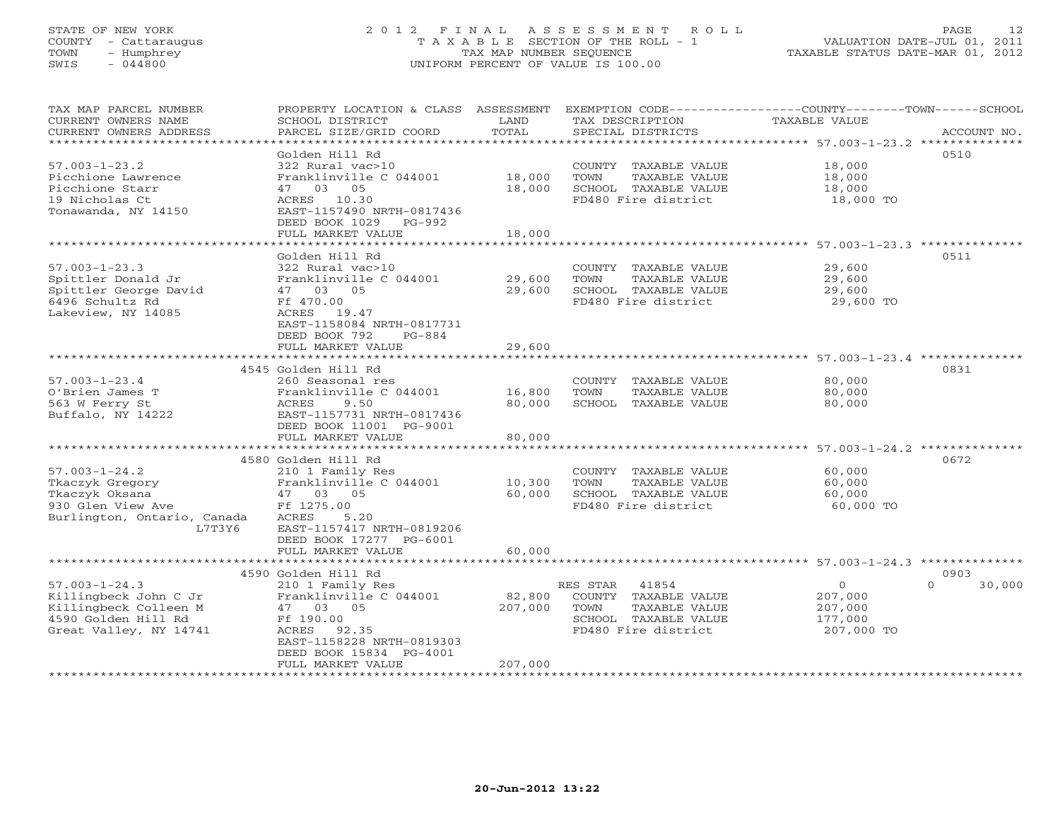# STATE OF NEW YORK 2 0 1 2 F I N A L A S S E S S M E N T R O L L PAGE 12 COUNTY - Cattaraugus T A X A B L E SECTION OF THE ROLL - 1 VALUATION DATE-JUL 01, 2011 TOWN - Humphrey TAX MAP NUMBER SEQUENCE TAXABLE STATUS DATE-MAR 01, 2012 SWIS - 044800 UNIFORM PERCENT OF VALUE IS 100.00UNIFORM PERCENT OF VALUE IS 100.00

| TAX MAP PARCEL NUMBER                 | PROPERTY LOCATION & CLASS ASSESSMENT       |         |                       | EXEMPTION CODE-----------------COUNTY-------TOWN------SCHOOL |                    |
|---------------------------------------|--------------------------------------------|---------|-----------------------|--------------------------------------------------------------|--------------------|
| CURRENT OWNERS NAME                   | SCHOOL DISTRICT                            | LAND    | TAX DESCRIPTION       | TAXABLE VALUE                                                |                    |
| CURRENT OWNERS ADDRESS                | PARCEL SIZE/GRID COORD                     | TOTAL   | SPECIAL DISTRICTS     |                                                              | ACCOUNT NO.        |
| * * * * * * * * * * * * * * * * * * * |                                            |         |                       |                                                              |                    |
|                                       | Golden Hill Rd                             |         |                       |                                                              | 0510               |
| $57.003 - 1 - 23.2$                   | 322 Rural vac>10                           |         | COUNTY TAXABLE VALUE  | 18,000                                                       |                    |
| Picchione Lawrence                    | Franklinville C 044001                     | 18,000  | TOWN<br>TAXABLE VALUE | 18,000                                                       |                    |
| Picchione Starr                       | 47 03 05                                   | 18,000  | SCHOOL TAXABLE VALUE  | 18,000                                                       |                    |
| 19 Nicholas Ct                        | ACRES 10.30                                |         | FD480 Fire district   | 18,000 TO                                                    |                    |
| Tonawanda, NY 14150                   | EAST-1157490 NRTH-0817436                  |         |                       |                                                              |                    |
|                                       | DEED BOOK 1029 PG-992<br>FULL MARKET VALUE | 18,000  |                       |                                                              |                    |
|                                       |                                            |         |                       |                                                              |                    |
|                                       | Golden Hill Rd                             |         |                       |                                                              | 0511               |
| $57.003 - 1 - 23.3$                   | 322 Rural vac>10                           |         | COUNTY TAXABLE VALUE  | 29,600                                                       |                    |
| Spittler Donald Jr                    | Franklinville C 044001                     | 29,600  | TOWN<br>TAXABLE VALUE | 29,600                                                       |                    |
| Spittler George David                 | 47 03 05                                   | 29,600  | SCHOOL TAXABLE VALUE  | 29,600                                                       |                    |
| 6496 Schultz Rd                       | Ff 470.00                                  |         | FD480 Fire district   | 29,600 TO                                                    |                    |
| Lakeview, NY 14085                    | ACRES 19.47                                |         |                       |                                                              |                    |
|                                       | EAST-1158084 NRTH-0817731                  |         |                       |                                                              |                    |
|                                       | DEED BOOK 792<br>PG-884                    |         |                       |                                                              |                    |
|                                       | FULL MARKET VALUE                          | 29,600  |                       |                                                              |                    |
|                                       |                                            |         |                       |                                                              |                    |
|                                       | 4545 Golden Hill Rd                        |         |                       |                                                              | 0831               |
| $57.003 - 1 - 23.4$                   | 260 Seasonal res                           |         | COUNTY TAXABLE VALUE  | 80,000                                                       |                    |
| O'Brien James T                       | Franklinville C 044001                     | 16,800  | TOWN<br>TAXABLE VALUE | 80,000                                                       |                    |
| 563 W Ferry St                        | ACRES<br>9.50                              | 80,000  | SCHOOL TAXABLE VALUE  | 80,000                                                       |                    |
| Buffalo, NY 14222                     | EAST-1157731 NRTH-0817436                  |         |                       |                                                              |                    |
|                                       | DEED BOOK 11001 PG-9001                    |         |                       |                                                              |                    |
|                                       | FULL MARKET VALUE                          | 80,000  |                       |                                                              |                    |
|                                       |                                            |         |                       |                                                              |                    |
|                                       | 4580 Golden Hill Rd                        |         |                       |                                                              | 0672               |
| $57.003 - 1 - 24.2$                   | 210 1 Family Res                           |         | COUNTY TAXABLE VALUE  | 60,000                                                       |                    |
| Tkaczyk Gregory                       | Franklinville C 044001                     | 10,300  | TOWN<br>TAXABLE VALUE | 60,000                                                       |                    |
| Tkaczyk Oksana                        | 47 03 05                                   | 60,000  | SCHOOL TAXABLE VALUE  | 60,000                                                       |                    |
| 930 Glen View Ave                     | Ff 1275.00                                 |         | FD480 Fire district   | 60,000 TO                                                    |                    |
| Burlington, Ontario, Canada           | ACRES<br>5.20                              |         |                       |                                                              |                    |
| L7T3Y6                                | EAST-1157417 NRTH-0819206                  |         |                       |                                                              |                    |
|                                       | DEED BOOK 17277 PG-6001                    |         |                       |                                                              |                    |
|                                       | FULL MARKET VALUE                          | 60,000  |                       |                                                              |                    |
|                                       | 4590 Golden Hill Rd                        |         |                       |                                                              | 0903               |
| $57.003 - 1 - 24.3$                   | 210 1 Family Res                           |         | 41854<br>RES STAR     | $\circ$                                                      | $\Omega$<br>30,000 |
| Killingbeck John C Jr                 | Franklinville C 044001                     | 82,800  | COUNTY TAXABLE VALUE  | 207,000                                                      |                    |
| Killingbeck Colleen M                 | 47 03 05                                   | 207,000 | TAXABLE VALUE<br>TOWN | 207,000                                                      |                    |
| 4590 Golden Hill Rd                   | Ff 190.00                                  |         | SCHOOL TAXABLE VALUE  | 177,000                                                      |                    |
| Great Valley, NY 14741                | ACRES<br>92.35                             |         | FD480 Fire district   | 207,000 TO                                                   |                    |
|                                       | EAST-1158228 NRTH-0819303                  |         |                       |                                                              |                    |
|                                       | DEED BOOK 15834 PG-4001                    |         |                       |                                                              |                    |
|                                       | FULL MARKET VALUE                          | 207,000 |                       |                                                              |                    |
|                                       |                                            |         |                       |                                                              |                    |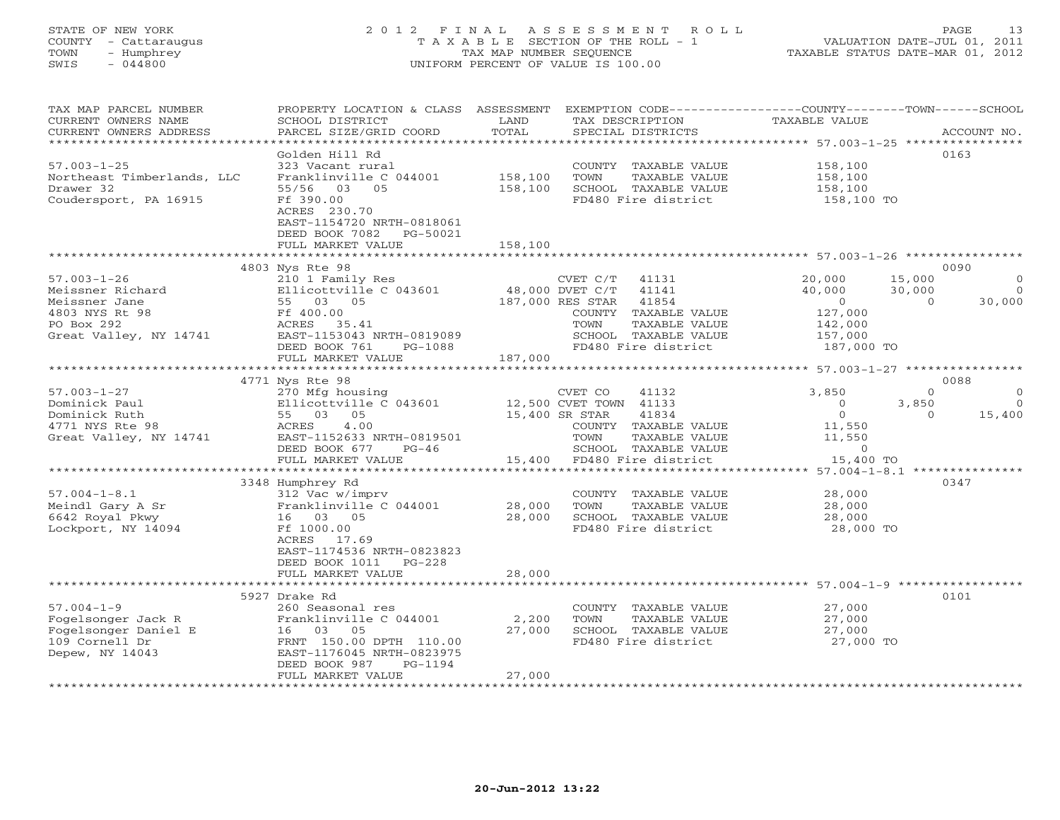# STATE OF NEW YORK 2 0 1 2 F I N A L A S S E S S M E N T R O L L PAGE 13 COUNTY - Cattaraugus T A X A B L E SECTION OF THE ROLL - 1 VALUATION DATE-JUL 01, 2011 TOWN - Humphrey TAX MAP NUMBER SEQUENCE TAXABLE STATUS DATE-MAR 01, 2012 SWIS - 044800 UNIFORM PERCENT OF VALUE IS 100.00UNIFORM PERCENT OF VALUE IS 100.00

| TAX MAP PARCEL NUMBER<br>CURRENT OWNERS NAME                                                                     | PROPERTY LOCATION & CLASS ASSESSMENT<br>SCHOOL DISTRICT                                                                                                                                | LAND               | EXEMPTION CODE-----------------COUNTY-------TOWN------SCHOOL<br>TAX DESCRIPTION                                                                                            | <b>TAXABLE VALUE</b>                                                              |                                                                       |
|------------------------------------------------------------------------------------------------------------------|----------------------------------------------------------------------------------------------------------------------------------------------------------------------------------------|--------------------|----------------------------------------------------------------------------------------------------------------------------------------------------------------------------|-----------------------------------------------------------------------------------|-----------------------------------------------------------------------|
| CURRENT OWNERS ADDRESS                                                                                           | PARCEL SIZE/GRID COORD                                                                                                                                                                 | TOTAL              | SPECIAL DISTRICTS<br>*****************************                                                                                                                         |                                                                                   | ACCOUNT NO.<br>************                                           |
|                                                                                                                  |                                                                                                                                                                                        |                    |                                                                                                                                                                            | ************** 57.003-1-25 ****                                                   |                                                                       |
| $57.003 - 1 - 25$<br>Northeast Timberlands, LLC<br>Drawer 32<br>Coudersport, PA 16915                            | Golden Hill Rd<br>323 Vacant rural<br>Franklinville C 044001<br>55/56 03<br>05<br>Ff 390.00<br>ACRES 230.70                                                                            | 158,100<br>158,100 | COUNTY TAXABLE VALUE<br>TOWN<br>TAXABLE VALUE<br>SCHOOL TAXABLE VALUE<br>FD480 Fire district                                                                               | 158,100<br>158,100<br>158,100<br>158,100 TO                                       | 0163                                                                  |
|                                                                                                                  | EAST-1154720 NRTH-0818061<br>DEED BOOK 7082<br>PG-50021<br>FULL MARKET VALUE                                                                                                           | 158,100            |                                                                                                                                                                            |                                                                                   |                                                                       |
|                                                                                                                  |                                                                                                                                                                                        |                    |                                                                                                                                                                            |                                                                                   |                                                                       |
| $57.003 - 1 - 26$<br>Meissner Richard<br>Meissner Jane<br>4803 NYS Rt 98<br>PO Box 292<br>Great Valley, NY 14741 | 4803 Nys Rte 98<br>210 1 Family Res<br>Ellicottville C 043601<br>55 03 05<br>Ff 400.00<br>ACRES<br>35.41<br>EAST-1153043 NRTH-0819089<br>DEED BOOK 761<br>PG-1088<br>FULL MARKET VALUE | 187,000            | CVET C/T<br>41131<br>48,000 DVET C/T<br>41141<br>187,000 RES STAR<br>41854<br>COUNTY TAXABLE VALUE<br>TOWN<br>TAXABLE VALUE<br>SCHOOL TAXABLE VALUE<br>FD480 Fire district | 20,000<br>40,000<br>$\overline{0}$<br>127,000<br>142,000<br>157,000<br>187,000 TO | 0090<br>15,000<br>$\circ$<br>30,000<br>$\Omega$<br>30,000<br>$\Omega$ |
|                                                                                                                  | *************************                                                                                                                                                              |                    |                                                                                                                                                                            |                                                                                   |                                                                       |
|                                                                                                                  | 4771 Nys Rte 98                                                                                                                                                                        |                    |                                                                                                                                                                            |                                                                                   | 0088                                                                  |
| $57.003 - 1 - 27$                                                                                                | 270 Mfg housing                                                                                                                                                                        |                    | CVET CO<br>41132                                                                                                                                                           | 3,850                                                                             | $\Omega$<br>$\Omega$                                                  |
| Dominick Paul                                                                                                    | Ellicottville C 043601                                                                                                                                                                 |                    | 12,500 CVET TOWN 41133                                                                                                                                                     | $\Omega$                                                                          | 3,850<br>$\Omega$                                                     |
| Dominick Ruth                                                                                                    | 55 03 05                                                                                                                                                                               |                    | 15,400 SR STAR<br>41834                                                                                                                                                    | $\overline{0}$                                                                    | $\Omega$<br>15,400                                                    |
| 4771 NYS Rte 98                                                                                                  | ACRES<br>4.00                                                                                                                                                                          |                    | COUNTY TAXABLE VALUE                                                                                                                                                       | 11,550                                                                            |                                                                       |
| Great Valley, NY 14741                                                                                           | EAST-1152633 NRTH-0819501                                                                                                                                                              |                    | TOWN<br>TAXABLE VALUE                                                                                                                                                      | 11,550                                                                            |                                                                       |
|                                                                                                                  | DEED BOOK 677<br>$PG-46$                                                                                                                                                               |                    | SCHOOL TAXABLE VALUE                                                                                                                                                       | $\circ$                                                                           |                                                                       |
|                                                                                                                  | FULL MARKET VALUE                                                                                                                                                                      |                    | 15,400 FD480 Fire district                                                                                                                                                 | 15,400 TO                                                                         |                                                                       |
|                                                                                                                  |                                                                                                                                                                                        |                    |                                                                                                                                                                            | ********** 57.004-1-8.1 ****************                                          |                                                                       |
|                                                                                                                  | 3348 Humphrey Rd                                                                                                                                                                       |                    |                                                                                                                                                                            |                                                                                   | 0347                                                                  |
| $57.004 - 1 - 8.1$                                                                                               | 312 Vac w/imprv                                                                                                                                                                        |                    | COUNTY TAXABLE VALUE                                                                                                                                                       | 28,000                                                                            |                                                                       |
| Meindl Gary A Sr                                                                                                 | Franklinville C 044001                                                                                                                                                                 | 28,000             | TOWN<br>TAXABLE VALUE                                                                                                                                                      | 28,000                                                                            |                                                                       |
| 6642 Royal Pkwy                                                                                                  | 16 03 05                                                                                                                                                                               | 28,000             | SCHOOL TAXABLE VALUE                                                                                                                                                       | 28,000                                                                            |                                                                       |
| Lockport, NY 14094                                                                                               | Ff 1000.00<br>ACRES<br>17.69<br>EAST-1174536 NRTH-0823823<br>DEED BOOK 1011<br>$PG-228$                                                                                                |                    | FD480 Fire district                                                                                                                                                        | 28,000 TO                                                                         |                                                                       |
|                                                                                                                  | FULL MARKET VALUE                                                                                                                                                                      | 28,000             |                                                                                                                                                                            |                                                                                   |                                                                       |
|                                                                                                                  | **************************                                                                                                                                                             | *************      |                                                                                                                                                                            | ******************************** 57.004-1-9 *****************                     |                                                                       |
|                                                                                                                  | 5927 Drake Rd                                                                                                                                                                          |                    |                                                                                                                                                                            |                                                                                   | 0101                                                                  |
| $57.004 - 1 - 9$                                                                                                 | 260 Seasonal res                                                                                                                                                                       |                    | COUNTY TAXABLE VALUE                                                                                                                                                       | 27,000                                                                            |                                                                       |
| Fogelsonger Jack R                                                                                               | Franklinville C 044001                                                                                                                                                                 | 2,200              | TOWN<br>TAXABLE VALUE                                                                                                                                                      | 27,000                                                                            |                                                                       |
| Fogelsonger Daniel E                                                                                             | 16 03 05                                                                                                                                                                               | 27,000             | SCHOOL TAXABLE VALUE                                                                                                                                                       | 27,000                                                                            |                                                                       |
| 109 Cornell Dr                                                                                                   | FRNT 150.00 DPTH 110.00                                                                                                                                                                |                    | FD480 Fire district                                                                                                                                                        | 27,000 TO                                                                         |                                                                       |
| Depew, NY 14043                                                                                                  | EAST-1176045 NRTH-0823975<br>DEED BOOK 987<br>PG-1194                                                                                                                                  |                    |                                                                                                                                                                            |                                                                                   |                                                                       |
|                                                                                                                  | FULL MARKET VALUE                                                                                                                                                                      | 27,000             |                                                                                                                                                                            |                                                                                   |                                                                       |
|                                                                                                                  |                                                                                                                                                                                        |                    |                                                                                                                                                                            |                                                                                   |                                                                       |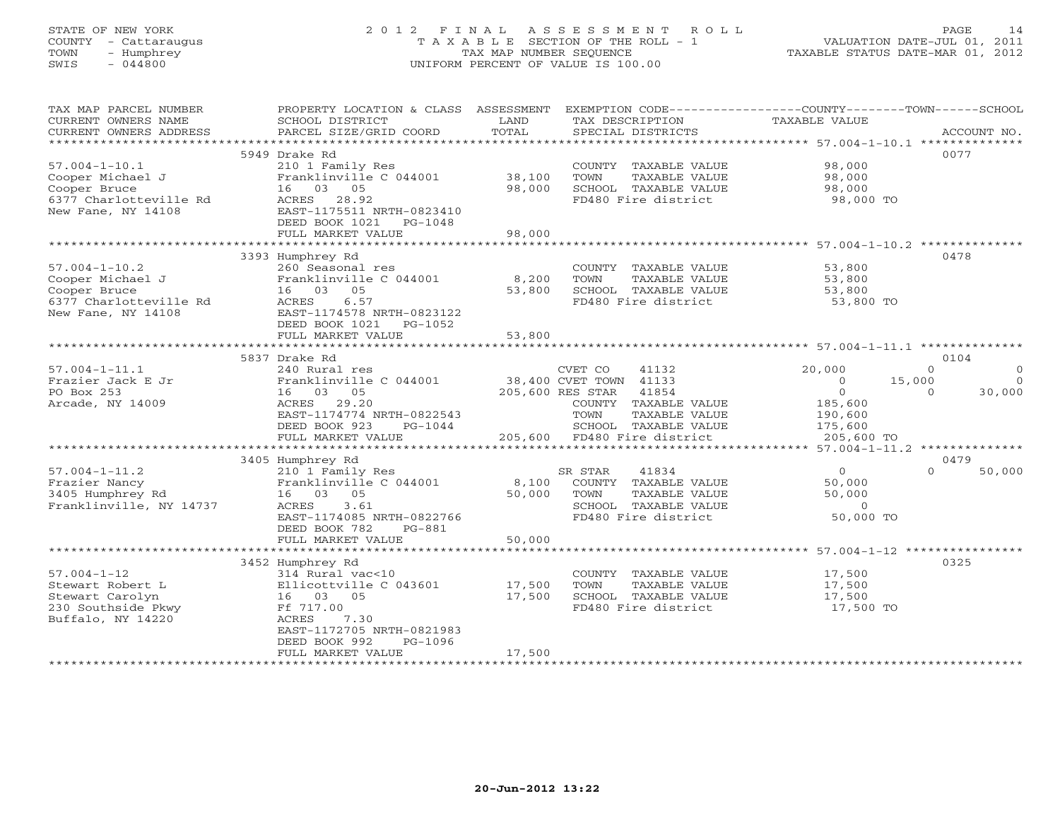# STATE OF NEW YORK 2 0 1 2 F I N A L A S S E S S M E N T R O L L PAGE 14 COUNTY - Cattaraugus T A X A B L E SECTION OF THE ROLL - 1 VALUATION DATE-JUL 01, 2011 TOWN - Humphrey TAX MAP NUMBER SEQUENCE TAXABLE STATUS DATE-MAR 01, 2012 SWIS - 044800 UNIFORM PERCENT OF VALUE IS 100.00

| TAX MAP PARCEL NUMBER   | PROPERTY LOCATION & CLASS ASSESSMENT |                 | EXEMPTION CODE-----------------COUNTY-------TOWN------SCHOOL |                                   |                      |
|-------------------------|--------------------------------------|-----------------|--------------------------------------------------------------|-----------------------------------|----------------------|
| CURRENT OWNERS NAME     | SCHOOL DISTRICT                      | LAND            | TAX DESCRIPTION                                              | TAXABLE VALUE                     |                      |
| CURRENT OWNERS ADDRESS  | PARCEL SIZE/GRID COORD               | TOTAL           | SPECIAL DISTRICTS                                            |                                   | ACCOUNT NO.          |
| *********************   |                                      |                 |                                                              |                                   |                      |
|                         | 5949 Drake Rd                        |                 |                                                              |                                   | 0077                 |
| $57.004 - 1 - 10.1$     | 210 1 Family Res                     |                 | COUNTY TAXABLE VALUE                                         | 98,000                            |                      |
| Cooper Michael J        | Franklinville C 044001               | 38,100          | TOWN<br>TAXABLE VALUE                                        | 98,000                            |                      |
| Cooper Bruce            | 16 03<br>05                          | 98,000          | SCHOOL TAXABLE VALUE                                         | 98,000                            |                      |
| 6377 Charlotteville Rd  | ACRES<br>28.92                       |                 | FD480 Fire district                                          | 98,000 TO                         |                      |
| New Fane, NY 14108      | EAST-1175511 NRTH-0823410            |                 |                                                              |                                   |                      |
|                         | DEED BOOK 1021<br>PG-1048            |                 |                                                              |                                   |                      |
|                         | FULL MARKET VALUE                    | 98,000          |                                                              |                                   |                      |
|                         | ***********************              | *************** |                                                              |                                   |                      |
|                         | 3393 Humphrey Rd                     |                 |                                                              |                                   | 0478                 |
| $57.004 - 1 - 10.2$     | 260 Seasonal res                     |                 | COUNTY TAXABLE VALUE                                         | 53,800                            |                      |
| Cooper Michael J        | Franklinville C 044001               | 8,200           | TOWN<br>TAXABLE VALUE                                        | 53,800                            |                      |
| Cooper Bruce            | 05<br>16 03                          | 53,800          | SCHOOL TAXABLE VALUE                                         | 53,800                            |                      |
| 6377 Charlotteville Rd  | 6.57<br>ACRES                        |                 | FD480 Fire district                                          | 53,800 TO                         |                      |
| New Fane, NY 14108      | EAST-1174578 NRTH-0823122            |                 |                                                              |                                   |                      |
|                         | DEED BOOK 1021<br>PG-1052            |                 |                                                              |                                   |                      |
|                         | FULL MARKET VALUE                    | 53,800          |                                                              |                                   |                      |
|                         |                                      |                 |                                                              |                                   |                      |
|                         | 5837 Drake Rd                        |                 |                                                              |                                   | 0104                 |
| $57.004 - 1 - 11.1$     | 240 Rural res                        |                 | CVET CO<br>41132                                             | 20,000                            | $\Omega$<br>$\Omega$ |
| Frazier Jack E Jr       | Franklinville C 044001               |                 | 38,400 CVET TOWN 41133                                       | $\circ$                           | 15,000<br>$\Omega$   |
| PO Box 253              | 16 03 05                             |                 | 205,600 RES STAR<br>41854                                    | $\circ$                           | 30,000<br>$\Omega$   |
| Arcade, NY 14009        | 29.20<br>ACRES                       |                 | COUNTY TAXABLE VALUE                                         | 185,600                           |                      |
|                         | EAST-1174774 NRTH-0822543            |                 | TAXABLE VALUE<br>TOWN                                        | 190,600                           |                      |
|                         | DEED BOOK 923<br>$PG-1044$           |                 | SCHOOL TAXABLE VALUE                                         | 175,600                           |                      |
|                         | FULL MARKET VALUE                    | 205,600         | FD480 Fire district                                          | 205,600 TO                        |                      |
|                         | ************************             |                 | ************************************                         | **** 57.004-1-11.2 ************** |                      |
|                         | 3405 Humphrey Rd                     |                 |                                                              |                                   | 0479                 |
| $57.004 - 1 - 11.2$     | 210 1 Family Res                     |                 | 41834<br>SR STAR                                             | $\circ$                           | 50,000<br>$\Omega$   |
| Frazier Nancy           | Franklinville C 044001               | 8,100           | COUNTY TAXABLE VALUE                                         | 50,000                            |                      |
| 3405 Humphrey Rd        | 16 03<br>05                          | 50,000          | TAXABLE VALUE<br>TOWN                                        | 50,000                            |                      |
| Franklinville, NY 14737 | 3.61<br>ACRES                        |                 | SCHOOL TAXABLE VALUE                                         | $\Omega$                          |                      |
|                         | EAST-1174085 NRTH-0822766            |                 | FD480 Fire district                                          | 50,000 TO                         |                      |
|                         | DEED BOOK 782<br>PG-881              |                 |                                                              |                                   |                      |
|                         | FULL MARKET VALUE                    | 50,000          |                                                              |                                   |                      |
|                         |                                      |                 |                                                              |                                   |                      |
|                         | 3452 Humphrey Rd                     |                 |                                                              |                                   | 0325                 |
| $57.004 - 1 - 12$       | 314 Rural vac<10                     |                 | COUNTY TAXABLE VALUE                                         | 17,500                            |                      |
| Stewart Robert L        | Ellicottville C 043601               | 17,500          | TOWN<br>TAXABLE VALUE                                        | 17,500                            |                      |
| Stewart Carolyn         | 16 03 05                             | 17,500          | SCHOOL TAXABLE VALUE                                         | 17,500                            |                      |
| 230 Southside Pkwy      | Ff 717.00                            |                 | FD480 Fire district                                          | 17,500 TO                         |                      |
| Buffalo, NY 14220       | ACRES<br>7.30                        |                 |                                                              |                                   |                      |
|                         | EAST-1172705 NRTH-0821983            |                 |                                                              |                                   |                      |
|                         | DEED BOOK 992<br>PG-1096             |                 |                                                              |                                   |                      |
|                         | FULL MARKET VALUE                    | 17,500          |                                                              |                                   |                      |
|                         |                                      |                 |                                                              |                                   |                      |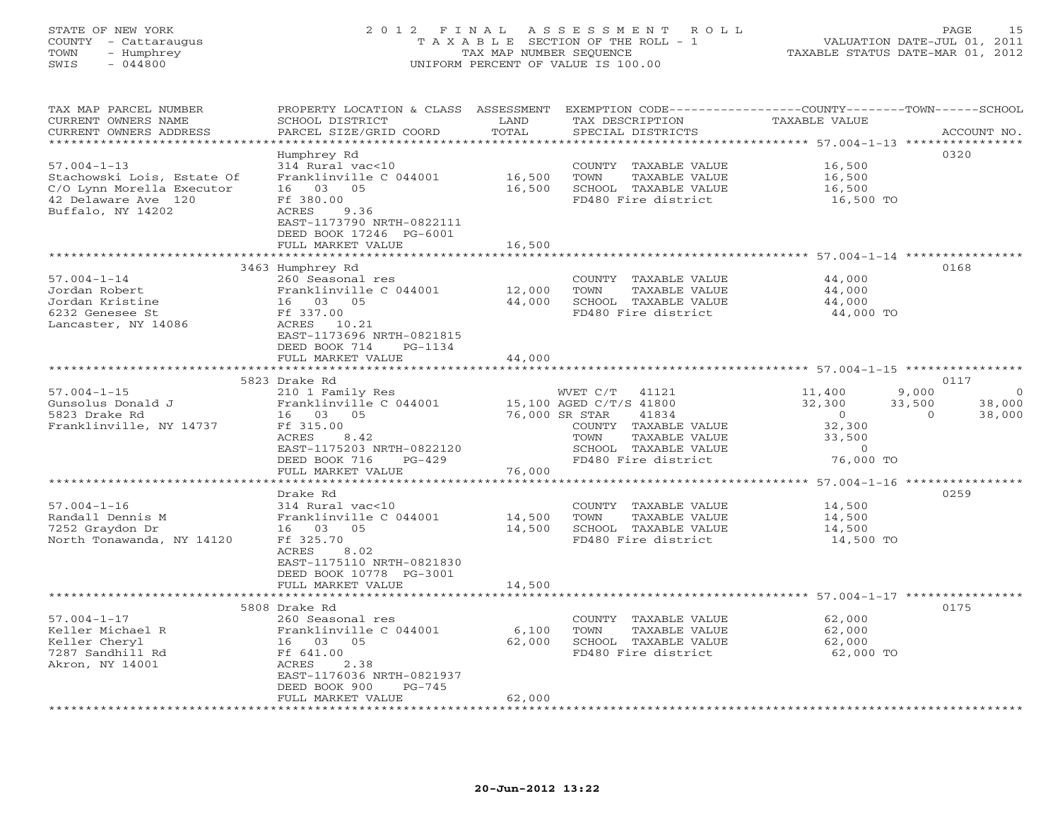# STATE OF NEW YORK 2 0 1 2 F I N A L A S S E S S M E N T R O L L PAGE 15 COUNTY - Cattaraugus T A X A B L E SECTION OF THE ROLL - 1 VALUATION DATE-JUL 01, 2011 TOWN - Humphrey TAX MAP NUMBER SEQUENCE TAXABLE STATUS DATE-MAR 01, 2012 SWIS - 044800 UNIFORM PERCENT OF VALUE IS 100.00UNIFORM PERCENT OF VALUE IS 100.00

| TAX MAP PARCEL NUMBER<br>CURRENT OWNERS NAME<br>CURRENT OWNERS ADDRESS | PROPERTY LOCATION & CLASS ASSESSMENT<br>SCHOOL DISTRICT<br>PARCEL SIZE/GRID COORD | LAND<br>TOTAL                                                                                                                                                                                                                                           | TAX DESCRIPTION<br>SPECIAL DISTRICTS          | EXEMPTION CODE-----------------COUNTY-------TOWN------SCHOOL<br>TAXABLE VALUE | ACCOUNT NO.        |
|------------------------------------------------------------------------|-----------------------------------------------------------------------------------|---------------------------------------------------------------------------------------------------------------------------------------------------------------------------------------------------------------------------------------------------------|-----------------------------------------------|-------------------------------------------------------------------------------|--------------------|
|                                                                        |                                                                                   |                                                                                                                                                                                                                                                         |                                               |                                                                               |                    |
|                                                                        | Humphrey Rd                                                                       |                                                                                                                                                                                                                                                         |                                               |                                                                               | 0320               |
| $57.004 - 1 - 13$                                                      | 314 Rural vac<10                                                                  |                                                                                                                                                                                                                                                         | COUNTY TAXABLE VALUE                          | 16,500                                                                        |                    |
| Stachowski Lois, Estate Of<br>C/O Lynn Morella Executor                | Franklinville C 044001<br>16 03 05                                                | 16,500<br>16,500                                                                                                                                                                                                                                        | TOWN<br>TAXABLE VALUE<br>SCHOOL TAXABLE VALUE | 16,500<br>16,500                                                              |                    |
| 42 Delaware Ave 120                                                    | Ff 380.00                                                                         |                                                                                                                                                                                                                                                         | FD480 Fire district                           | 16,500 TO                                                                     |                    |
| Buffalo, NY 14202                                                      | ACRES<br>9.36                                                                     |                                                                                                                                                                                                                                                         |                                               |                                                                               |                    |
|                                                                        | EAST-1173790 NRTH-0822111                                                         |                                                                                                                                                                                                                                                         |                                               |                                                                               |                    |
|                                                                        | DEED BOOK 17246 PG-6001                                                           |                                                                                                                                                                                                                                                         |                                               |                                                                               |                    |
|                                                                        | FULL MARKET VALUE                                                                 | 16,500                                                                                                                                                                                                                                                  |                                               |                                                                               |                    |
|                                                                        | 3463 Humphrey Rd                                                                  |                                                                                                                                                                                                                                                         |                                               |                                                                               | 0168               |
| $57.004 - 1 - 14$                                                      | 260 Seasonal res                                                                  |                                                                                                                                                                                                                                                         | COUNTY TAXABLE VALUE                          | 44,000                                                                        |                    |
| Jordan Robert                                                          | Franklinville C 044001                                                            | 12,000                                                                                                                                                                                                                                                  | TOWN<br>TAXABLE VALUE                         | 44,000                                                                        |                    |
| Jordan Kristine                                                        | 16 03 05                                                                          | 44,000                                                                                                                                                                                                                                                  | SCHOOL TAXABLE VALUE                          | 44,000                                                                        |                    |
| 6232 Genesee St                                                        | Ff 337.00                                                                         |                                                                                                                                                                                                                                                         | FD480 Fire district                           | 44,000 TO                                                                     |                    |
| Lancaster, NY 14086                                                    | ACRES 10.21                                                                       |                                                                                                                                                                                                                                                         |                                               |                                                                               |                    |
|                                                                        | EAST-1173696 NRTH-0821815<br>DEED BOOK 714<br>PG-1134                             |                                                                                                                                                                                                                                                         |                                               |                                                                               |                    |
|                                                                        | FULL MARKET VALUE                                                                 | 44,000                                                                                                                                                                                                                                                  |                                               |                                                                               |                    |
|                                                                        |                                                                                   | ************                                                                                                                                                                                                                                            |                                               | ***************************** 57.004-1-15 ****************                    |                    |
|                                                                        | 5823 Drake Rd                                                                     |                                                                                                                                                                                                                                                         |                                               |                                                                               | 0117               |
| $57.004 - 1 - 15$                                                      | 210 1 Family Res                                                                  |                                                                                                                                                                                                                                                         | WVET C/T 41121                                | 11,400<br>9,000                                                               | $\Omega$           |
| Gunsolus Donald J                                                      | Franklinville C 044001                                                            |                                                                                                                                                                                                                                                         | 15,100 AGED C/T/S 41800                       | 32,300<br>33,500                                                              | 38,000             |
| 5823 Drake Rd                                                          | 16 03 05                                                                          |                                                                                                                                                                                                                                                         | 76,000 SR STAR<br>41834                       | $\Omega$                                                                      | $\Omega$<br>38,000 |
| Franklinville, NY 14737                                                | Ff 315.00<br>ACRES<br>8.42                                                        |                                                                                                                                                                                                                                                         | COUNTY TAXABLE VALUE<br>TOWN<br>TAXABLE VALUE | 32,300<br>33,500                                                              |                    |
|                                                                        | EAST-1175203 NRTH-0822120                                                         |                                                                                                                                                                                                                                                         | SCHOOL TAXABLE VALUE                          | $\overline{O}$                                                                |                    |
|                                                                        | DEED BOOK 716<br>$PG-429$                                                         |                                                                                                                                                                                                                                                         | FD480 Fire district                           | 76,000 TO                                                                     |                    |
|                                                                        | FULL MARKET VALUE                                                                 | 76,000                                                                                                                                                                                                                                                  |                                               |                                                                               |                    |
|                                                                        | *******************                                                               | $\pmb{\star}\,\pmb{\star}\,\pmb{\star}\,\pmb{\star}\,\pmb{\star}\,\pmb{\star}\,\pmb{\star}\,\pmb{\star}\,\pmb{\star}\,\pmb{\star}\,\pmb{\star}\,\pmb{\star}\,\pmb{\star}\,\pmb{\star}\,\pmb{\star}\,\pmb{\star}\,\pmb{\star}\,\pmb{\star}\,\pmb{\star}$ |                                               | ****************** 57.004-1-16 *****************                              |                    |
|                                                                        | Drake Rd                                                                          |                                                                                                                                                                                                                                                         |                                               |                                                                               | 0259               |
| $57.004 - 1 - 16$<br>Randall Dennis M                                  | 314 Rural vac<10<br>Franklinville C 044001                                        | 14,500                                                                                                                                                                                                                                                  | COUNTY TAXABLE VALUE<br>TAXABLE VALUE<br>TOWN | 14,500<br>14,500                                                              |                    |
| 7252 Graydon Dr                                                        | 16 03 05                                                                          | 14,500                                                                                                                                                                                                                                                  | SCHOOL TAXABLE VALUE                          | 14,500                                                                        |                    |
| North Tonawanda, NY 14120                                              | Ff 325.70                                                                         |                                                                                                                                                                                                                                                         | FD480 Fire district                           | 14,500 TO                                                                     |                    |
|                                                                        | ACRES<br>8.02                                                                     |                                                                                                                                                                                                                                                         |                                               |                                                                               |                    |
|                                                                        | EAST-1175110 NRTH-0821830                                                         |                                                                                                                                                                                                                                                         |                                               |                                                                               |                    |
|                                                                        | DEED BOOK 10778 PG-3001                                                           |                                                                                                                                                                                                                                                         |                                               |                                                                               |                    |
|                                                                        | FULL MARKET VALUE                                                                 | 14,500                                                                                                                                                                                                                                                  |                                               |                                                                               |                    |
|                                                                        | 5808 Drake Rd                                                                     |                                                                                                                                                                                                                                                         |                                               |                                                                               | 0175               |
| $57.004 - 1 - 17$                                                      | 260 Seasonal res                                                                  |                                                                                                                                                                                                                                                         | COUNTY TAXABLE VALUE                          | 62,000                                                                        |                    |
| Keller Michael R                                                       | Franklinville C 044001                                                            | 6,100                                                                                                                                                                                                                                                   | TOWN<br>TAXABLE VALUE                         | 62,000                                                                        |                    |
| Keller Cheryl                                                          | 16 03 05                                                                          | 62,000                                                                                                                                                                                                                                                  | SCHOOL TAXABLE VALUE                          | 62,000                                                                        |                    |
| 7287 Sandhill Rd                                                       | Ff 641.00                                                                         |                                                                                                                                                                                                                                                         | FD480 Fire district                           | 62,000 TO                                                                     |                    |
| Akron, NY 14001                                                        | ACRES<br>2.38<br>EAST-1176036 NRTH-0821937                                        |                                                                                                                                                                                                                                                         |                                               |                                                                               |                    |
|                                                                        | DEED BOOK 900<br>$PG-745$                                                         |                                                                                                                                                                                                                                                         |                                               |                                                                               |                    |
|                                                                        | FULL MARKET VALUE                                                                 | 62,000                                                                                                                                                                                                                                                  |                                               |                                                                               |                    |
|                                                                        |                                                                                   |                                                                                                                                                                                                                                                         |                                               |                                                                               |                    |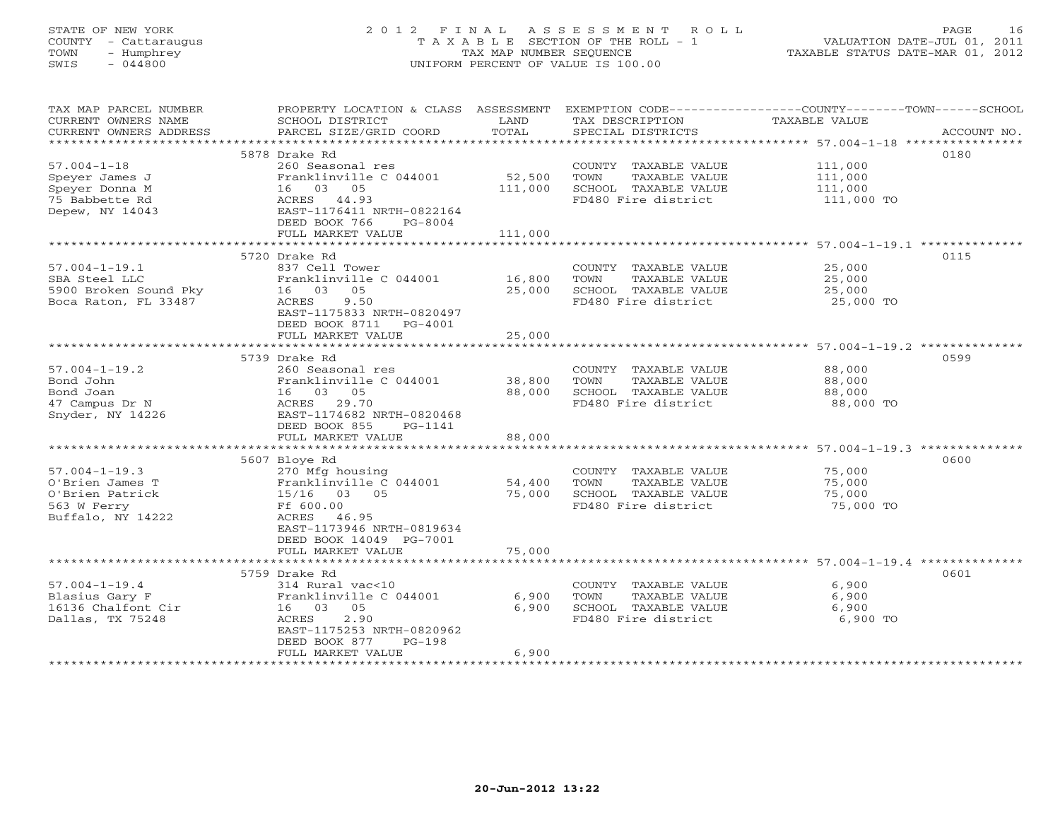# STATE OF NEW YORK 2 0 1 2 F I N A L A S S E S S M E N T R O L L PAGE 16 COUNTY - Cattaraugus T A X A B L E SECTION OF THE ROLL - 1 VALUATION DATE-JUL 01, 2011 TOWN - Humphrey TAX MAP NUMBER SEQUENCE TAXABLE STATUS DATE-MAR 01, 2012 SWIS - 044800 UNIFORM PERCENT OF VALUE IS 100.00UNIFORM PERCENT OF VALUE IS 100.00

| TAX MAP PARCEL NUMBER<br>CURRENT OWNERS NAME<br>CURRENT OWNERS ADDRESS<br>***********************       | PROPERTY LOCATION & CLASS ASSESSMENT<br>SCHOOL DISTRICT<br>PARCEL SIZE/GRID COORD                                                                                                                        | LAND<br>TOTAL                                     | EXEMPTION CODE-----------------COUNTY-------TOWN-----SCHOOL<br>TAX DESCRIPTION<br>SPECIAL DISTRICTS                                                      | TAXABLE VALUE                               | ACCOUNT NO. |
|---------------------------------------------------------------------------------------------------------|----------------------------------------------------------------------------------------------------------------------------------------------------------------------------------------------------------|---------------------------------------------------|----------------------------------------------------------------------------------------------------------------------------------------------------------|---------------------------------------------|-------------|
| $57.004 - 1 - 18$<br>Speyer James J<br>Speyer Donna M<br>75 Babbette Rd<br>Depew, NY 14043              | 5878 Drake Rd<br>260 Seasonal res<br>Franklinville C 044001<br>16 03 05<br>44.93<br>ACRES<br>EAST-1176411 NRTH-0822164<br>DEED BOOK 766<br>$PG-8004$<br>FULL MARKET VALUE                                | 52,500<br>111,000<br>111,000                      | COUNTY TAXABLE VALUE<br>TAXABLE VALUE<br>TOWN<br>SCHOOL TAXABLE VALUE<br>FD480 Fire district                                                             | 111,000<br>111,000<br>111,000<br>111,000 TO | 0180        |
| $57.004 - 1 - 19.1$<br>SBA Steel LLC<br>5900 Broken Sound Pky<br>Boca Raton, FL 33487                   | 5720 Drake Rd<br>837 Cell Tower<br>Franklinville C 044001<br>16 03 05<br>9.50<br>ACRES<br>EAST-1175833 NRTH-0820497<br>DEED BOOK 8711<br>PG-4001<br>FULL MARKET VALUE                                    | 16,800<br>25,000<br>25,000                        | COUNTY TAXABLE VALUE<br>TOWN<br>TAXABLE VALUE<br>SCHOOL TAXABLE VALUE<br>FD480 Fire district                                                             | 25,000<br>25,000<br>25,000<br>25,000 TO     | 0115        |
| $57.004 - 1 - 19.2$<br>Bond John<br>Bond Joan<br>47 Campus Dr N<br>Snyder, NY 14226                     | *************************<br>5739 Drake Rd<br>260 Seasonal res<br>Franklinville C 044001<br>16 03 05<br>ACRES<br>29.70<br>EAST-1174682 NRTH-0820468<br>DEED BOOK 855<br>PG-1141<br>FULL MARKET VALUE     | *******************<br>38,800<br>88,000<br>88,000 | ******************************** 57.004-1-19.2 *********<br>COUNTY TAXABLE VALUE<br>TOWN<br>TAXABLE VALUE<br>SCHOOL TAXABLE VALUE<br>FD480 Fire district | 88,000<br>88,000<br>88,000<br>88,000 TO     | 0599        |
| $57.004 - 1 - 19.3$<br>O'Brien James T<br>O'Brien Patrick<br>563 W Ferry<br>Buffalo, NY 14222           | 5607 Bloye Rd<br>270 Mfg housing<br>Franklinville C 044001<br>15/16 03 05<br>Ff 600.00<br>ACRES<br>46.95<br>EAST-1173946 NRTH-0819634<br>DEED BOOK 14049 PG-7001<br>FULL MARKET VALUE                    | 54,400<br>75,000<br>75,000                        | COUNTY TAXABLE VALUE<br>TOWN<br>TAXABLE VALUE<br>SCHOOL TAXABLE VALUE<br>FD480 Fire district                                                             | 75,000<br>75,000<br>75,000<br>75,000 TO     | 0600        |
| $57.004 - 1 - 19.4$<br>Blasius Gary F<br>16136 Chalfont Cir<br>Dallas, TX 75248<br>******************** | 5759 Drake Rd<br>$314$ Rural vac<10<br>Franklinville C 044001<br>16 03<br>05<br>2.90<br>ACRES<br>EAST-1175253 NRTH-0820962<br>DEED BOOK 877<br>$PG-198$<br>FULL MARKET VALUE<br>************************ | 6,900<br>6,900<br>6,900                           | COUNTY TAXABLE VALUE<br>TOWN<br>TAXABLE VALUE<br>SCHOOL TAXABLE VALUE<br>FD480 Fire district                                                             | 6,900<br>6,900<br>6,900<br>6,900 TO         | 0601        |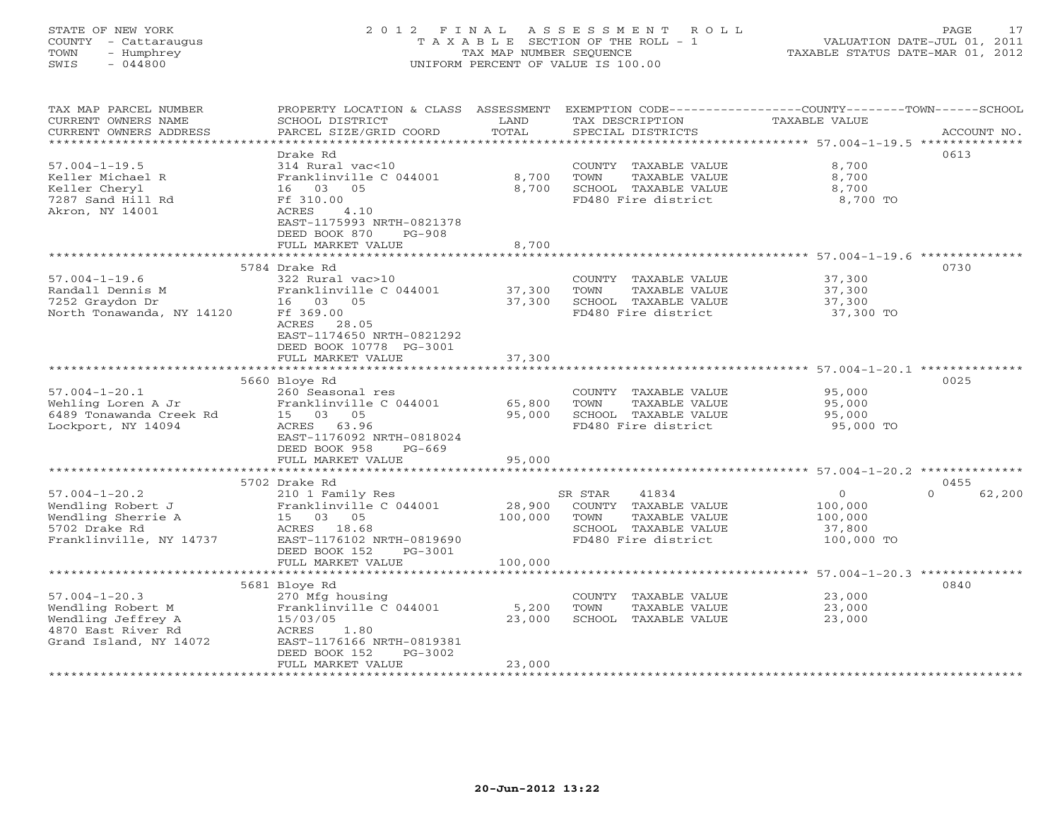# STATE OF NEW YORK 2 0 1 2 F I N A L A S S E S S M E N T R O L L PAGE 17 COUNTY - Cattaraugus T A X A B L E SECTION OF THE ROLL - 1 VALUATION DATE-JUL 01, 2011 TOWN - Humphrey TAX MAP NUMBER SEQUENCE TAXABLE STATUS DATE-MAR 01, 2012 SWIS - 044800 UNIFORM PERCENT OF VALUE IS 100.00UNIFORM PERCENT OF VALUE IS 100.00

| TAX MAP PARCEL NUMBER     | PROPERTY LOCATION & CLASS ASSESSMENT                |                             |                         | EXEMPTION CODE-----------------COUNTY-------TOWN------SCHOOL    |                    |
|---------------------------|-----------------------------------------------------|-----------------------------|-------------------------|-----------------------------------------------------------------|--------------------|
| CURRENT OWNERS NAME       | SCHOOL DISTRICT                                     | LAND                        | TAX DESCRIPTION         | <b>TAXABLE VALUE</b>                                            |                    |
| CURRENT OWNERS ADDRESS    | PARCEL SIZE/GRID COORD                              | TOTAL                       | SPECIAL DISTRICTS       |                                                                 | ACCOUNT NO.        |
|                           |                                                     | * * * * * * * * * * * * * * |                         | ********************************** 57.004-1-19.5 ************** |                    |
|                           | Drake Rd                                            |                             |                         |                                                                 | 0613               |
| $57.004 - 1 - 19.5$       | 314 Rural vac<10                                    |                             | COUNTY TAXABLE VALUE    | 8,700                                                           |                    |
| Keller Michael R          | Franklinville C 044001                              | 8,700                       | TOWN<br>TAXABLE VALUE   | 8,700                                                           |                    |
| Keller Cheryl             | 16 03<br>05                                         | 8,700                       | SCHOOL TAXABLE VALUE    | 8,700                                                           |                    |
| 7287 Sand Hill Rd         | Ff 310.00                                           |                             | FD480 Fire district     | 8,700 TO                                                        |                    |
| Akron, NY 14001           | 4.10<br>ACRES                                       |                             |                         |                                                                 |                    |
|                           | EAST-1175993 NRTH-0821378                           |                             |                         |                                                                 |                    |
|                           | DEED BOOK 870<br>$PG-908$                           |                             |                         |                                                                 |                    |
|                           | FULL MARKET VALUE                                   | 8,700                       |                         |                                                                 |                    |
|                           |                                                     |                             |                         | ********************* 57.004-1-19.6                             |                    |
|                           | 5784 Drake Rd                                       |                             |                         |                                                                 | 0730               |
| $57.004 - 1 - 19.6$       | 322 Rural vac>10                                    |                             | COUNTY TAXABLE VALUE    | 37,300                                                          |                    |
| Randall Dennis M          | Franklinville C 044001                              | 37,300                      | TOWN<br>TAXABLE VALUE   | 37,300                                                          |                    |
| 7252 Graydon Dr           | 05<br>16<br>03                                      | 37,300                      | SCHOOL TAXABLE VALUE    | 37,300                                                          |                    |
| North Tonawanda, NY 14120 | Ff 369.00                                           |                             | FD480 Fire district     | 37,300 TO                                                       |                    |
|                           | ACRES<br>28.05                                      |                             |                         |                                                                 |                    |
|                           | EAST-1174650 NRTH-0821292                           |                             |                         |                                                                 |                    |
|                           | DEED BOOK 10778 PG-3001                             |                             |                         |                                                                 |                    |
|                           | FULL MARKET VALUE                                   | 37,300                      |                         |                                                                 |                    |
|                           |                                                     |                             |                         | ************************ 57.004-1-20.1 **********               |                    |
|                           | 5660 Bloye Rd                                       |                             |                         |                                                                 | 0025               |
| $57.004 - 1 - 20.1$       | 260 Seasonal res                                    |                             | COUNTY TAXABLE VALUE    | 95,000                                                          |                    |
| Wehling Loren A Jr        | Franklinville C 044001                              | 65,800                      | TAXABLE VALUE<br>TOWN   | 95,000                                                          |                    |
| 6489 Tonawanda Creek Rd   | 15 03<br>05                                         | 95,000                      | SCHOOL TAXABLE VALUE    | 95,000                                                          |                    |
| Lockport, NY 14094        | ACRES<br>63.96                                      |                             | FD480 Fire district     | 95,000 TO                                                       |                    |
|                           | EAST-1176092 NRTH-0818024                           |                             |                         |                                                                 |                    |
|                           | DEED BOOK 958<br>$PG-669$                           |                             |                         |                                                                 |                    |
|                           | FULL MARKET VALUE<br>****************************** | 95,000<br>***********       |                         | ******************************* 57.004-1-20.2 **************    |                    |
|                           | 5702 Drake Rd                                       |                             |                         |                                                                 | 0455               |
| $57.004 - 1 - 20.2$       | 210 1 Family Res                                    |                             | SR STAR<br>41834        | $\circ$                                                         | 62,200<br>$\Omega$ |
| Wendling Robert J         | Franklinville C 044001                              | 28,900                      | COUNTY TAXABLE VALUE    | 100,000                                                         |                    |
| Wendling Sherrie A        | 05<br>15 03                                         | 100,000                     | TOWN<br>TAXABLE VALUE   | 100,000                                                         |                    |
| 5702 Drake Rd             | 18.68<br>ACRES                                      |                             | SCHOOL TAXABLE VALUE    | 37,800                                                          |                    |
| Franklinville, NY 14737   | EAST-1176102 NRTH-0819690                           |                             | FD480 Fire district     | 100,000 TO                                                      |                    |
|                           | DEED BOOK 152<br>PG-3001                            |                             |                         |                                                                 |                    |
|                           | FULL MARKET VALUE                                   | 100,000                     |                         |                                                                 |                    |
|                           |                                                     | **************              |                         | ******************************* 57.004-1-20.3 **************    |                    |
|                           | 5681 Bloye Rd                                       |                             |                         |                                                                 | 0840               |
| $57.004 - 1 - 20.3$       | 270 Mfg housing                                     |                             | COUNTY<br>TAXABLE VALUE | 23,000                                                          |                    |
| Wendling Robert M         | Franklinville C 044001                              | 5,200                       | TOWN<br>TAXABLE VALUE   | 23,000                                                          |                    |
| Wendling Jeffrey A        | 15/03/05                                            | 23,000                      | SCHOOL TAXABLE VALUE    | 23,000                                                          |                    |
| 4870 East River Rd        | ACRES<br>1.80                                       |                             |                         |                                                                 |                    |
| Grand Island, NY 14072    | EAST-1176166 NRTH-0819381                           |                             |                         |                                                                 |                    |
|                           | DEED BOOK 152<br>PG-3002                            |                             |                         |                                                                 |                    |
|                           | FULL MARKET VALUE                                   | 23,000                      |                         |                                                                 |                    |
|                           |                                                     |                             |                         |                                                                 |                    |
|                           |                                                     |                             |                         |                                                                 |                    |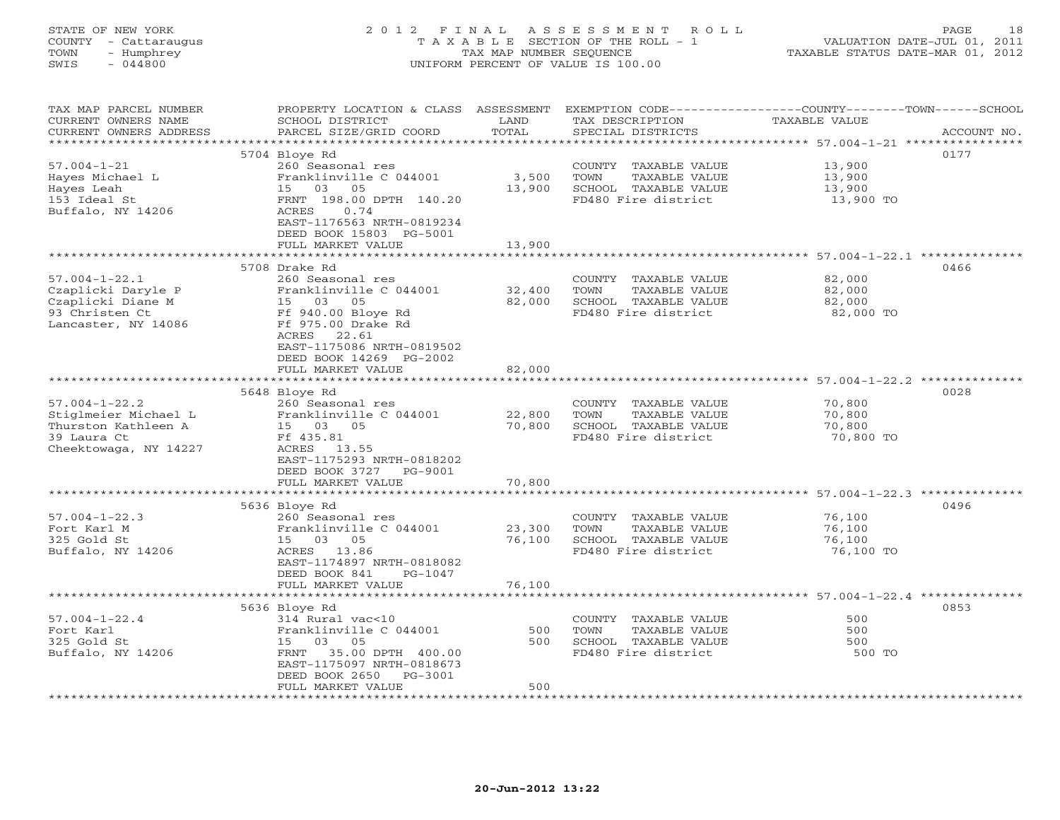# STATE OF NEW YORK 2 0 1 2 F I N A L A S S E S S M E N T R O L L PAGE 18 COUNTY - Cattaraugus T A X A B L E SECTION OF THE ROLL - 1 VALUATION DATE-JUL 01, 2011 TOWN - Humphrey TAX MAP NUMBER SEQUENCE TAXABLE STATUS DATE-MAR 01, 2012 SWIS - 044800 UNIFORM PERCENT OF VALUE IS 100.00UNIFORM PERCENT OF VALUE IS 100.00

| TAX MAP PARCEL NUMBER<br>CURRENT OWNERS NAME<br>CURRENT OWNERS ADDRESS | PROPERTY LOCATION & CLASS ASSESSMENT<br>SCHOOL DISTRICT<br>PARCEL SIZE/GRID COORD | LAND<br>TOTAL | TAX DESCRIPTION<br>SPECIAL DISTRICTS | EXEMPTION CODE-----------------COUNTY-------TOWN------SCHOOL<br>TAXABLE VALUE | ACCOUNT NO. |
|------------------------------------------------------------------------|-----------------------------------------------------------------------------------|---------------|--------------------------------------|-------------------------------------------------------------------------------|-------------|
| *********************                                                  |                                                                                   |               |                                      |                                                                               |             |
|                                                                        | 5704 Bloye Rd                                                                     |               |                                      | 0177                                                                          |             |
| $57.004 - 1 - 21$                                                      | 260 Seasonal res                                                                  |               | COUNTY TAXABLE VALUE                 | 13,900                                                                        |             |
| Hayes Michael L                                                        | Franklinville C 044001                                                            | 3,500         | TOWN<br>TAXABLE VALUE                | 13,900                                                                        |             |
| Hayes Leah                                                             | 05<br>15 03                                                                       | 13,900        | SCHOOL TAXABLE VALUE                 | 13,900                                                                        |             |
| 153 Ideal St                                                           | FRNT 198.00 DPTH 140.20                                                           |               | FD480 Fire district                  | 13,900 TO                                                                     |             |
| Buffalo, NY 14206                                                      | ACRES<br>0.74                                                                     |               |                                      |                                                                               |             |
|                                                                        | EAST-1176563 NRTH-0819234<br>DEED BOOK 15803 PG-5001                              |               |                                      |                                                                               |             |
|                                                                        | FULL MARKET VALUE                                                                 | 13,900        |                                      |                                                                               |             |
|                                                                        |                                                                                   |               |                                      | ********************** 57.004-1-22.1 ***********                              |             |
|                                                                        | 5708 Drake Rd                                                                     |               |                                      | 0466                                                                          |             |
| $57.004 - 1 - 22.1$                                                    | 260 Seasonal res                                                                  |               | COUNTY TAXABLE VALUE                 | 82,000                                                                        |             |
| Czaplicki Daryle P                                                     | Franklinville C 044001                                                            | 32,400        | TOWN<br>TAXABLE VALUE                | 82,000                                                                        |             |
| Czaplicki Diane M                                                      | 15 03 05                                                                          | 82,000        | SCHOOL TAXABLE VALUE                 | 82,000                                                                        |             |
| 93 Christen Ct                                                         | Ff 940.00 Bloye Rd                                                                |               | FD480 Fire district                  | 82,000 TO                                                                     |             |
| Lancaster, NY 14086                                                    | Ff 975.00 Drake Rd                                                                |               |                                      |                                                                               |             |
|                                                                        | 22.61<br>ACRES                                                                    |               |                                      |                                                                               |             |
|                                                                        | EAST-1175086 NRTH-0819502                                                         |               |                                      |                                                                               |             |
|                                                                        | DEED BOOK 14269 PG-2002                                                           |               |                                      |                                                                               |             |
|                                                                        | FULL MARKET VALUE<br>*************************                                    | 82,000        |                                      |                                                                               |             |
|                                                                        |                                                                                   |               |                                      | 0028                                                                          |             |
| $57.004 - 1 - 22.2$                                                    | 5648 Bloye Rd<br>260 Seasonal res                                                 |               | COUNTY TAXABLE VALUE                 | 70,800                                                                        |             |
| Stiglmeier Michael L                                                   | Franklinville C 044001                                                            | 22,800        | TOWN<br>TAXABLE VALUE                | 70,800                                                                        |             |
| Thurston Kathleen A                                                    | 15 03 05                                                                          | 70,800        | SCHOOL TAXABLE VALUE                 | 70,800                                                                        |             |
| 39 Laura Ct                                                            | Ff 435.81                                                                         |               | FD480 Fire district                  | 70,800 TO                                                                     |             |
| Cheektowaga, NY 14227                                                  | ACRES<br>13.55                                                                    |               |                                      |                                                                               |             |
|                                                                        | EAST-1175293 NRTH-0818202                                                         |               |                                      |                                                                               |             |
|                                                                        | DEED BOOK 3727<br>PG-9001                                                         |               |                                      |                                                                               |             |
|                                                                        | FULL MARKET VALUE                                                                 | 70,800        |                                      |                                                                               |             |
|                                                                        |                                                                                   |               |                                      |                                                                               |             |
|                                                                        | 5636 Bloye Rd                                                                     |               |                                      | 0496                                                                          |             |
| $57.004 - 1 - 22.3$                                                    | 260 Seasonal res                                                                  |               | COUNTY TAXABLE VALUE                 | 76,100                                                                        |             |
| Fort Karl M                                                            | Franklinville C 044001                                                            | 23,300        | TOWN<br>TAXABLE VALUE                | 76,100                                                                        |             |
| 325 Gold St                                                            | 15 03 05                                                                          | 76,100        | SCHOOL TAXABLE VALUE                 | 76,100                                                                        |             |
| Buffalo, NY 14206                                                      | ACRES 13.86<br>EAST-1174897 NRTH-0818082                                          |               | FD480 Fire district                  | 76,100 TO                                                                     |             |
|                                                                        | DEED BOOK 841<br>$PG-1047$                                                        |               |                                      |                                                                               |             |
|                                                                        | FULL MARKET VALUE                                                                 | 76,100        |                                      |                                                                               |             |
|                                                                        | **********************                                                            |               |                                      |                                                                               |             |
|                                                                        | 5636 Bloye Rd                                                                     |               |                                      | 0853                                                                          |             |
| $57.004 - 1 - 22.4$                                                    | 314 Rural vac<10                                                                  |               | COUNTY TAXABLE VALUE                 | 500                                                                           |             |
| Fort Karl                                                              | Franklinville C 044001                                                            | 500           | TOWN<br>TAXABLE VALUE                | 500                                                                           |             |
| 325 Gold St                                                            | 15 03 05                                                                          | 500           | SCHOOL TAXABLE VALUE                 | 500                                                                           |             |
| Buffalo, NY 14206                                                      | 35.00 DPTH 400.00<br>FRNT                                                         |               | FD480 Fire district                  | 500 TO                                                                        |             |
|                                                                        | EAST-1175097 NRTH-0818673                                                         |               |                                      |                                                                               |             |
|                                                                        | DEED BOOK 2650<br>PG-3001                                                         | 500           |                                      |                                                                               |             |
|                                                                        | FULL MARKET VALUE<br>*********************                                        |               |                                      |                                                                               |             |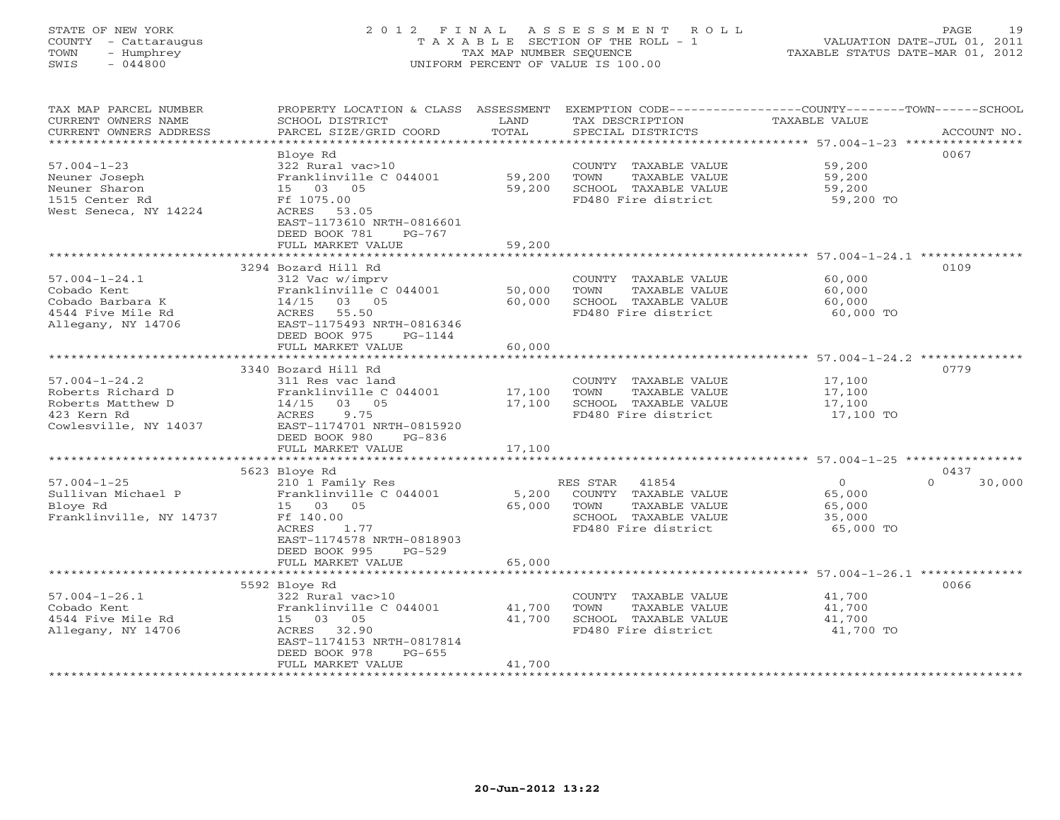# STATE OF NEW YORK 2 0 1 2 F I N A L A S S E S S M E N T R O L L PAGE 19 COUNTY - Cattaraugus T A X A B L E SECTION OF THE ROLL - 1 VALUATION DATE-JUL 01, 2011 TOWN - Humphrey TAX MAP NUMBER SEQUENCE TAXABLE STATUS DATE-MAR 01, 2012 SWIS - 044800 UNIFORM PERCENT OF VALUE IS 100.00UNIFORM PERCENT OF VALUE IS 100.00

| TAX MAP PARCEL NUMBER<br>CURRENT OWNERS NAME      | PROPERTY LOCATION & CLASS<br>SCHOOL DISTRICT | ASSESSMENT<br>LAND<br>TOTAL | TAX DESCRIPTION       | EXEMPTION CODE-----------------COUNTY-------TOWN------SCHOOL<br><b>TAXABLE VALUE</b> |
|---------------------------------------------------|----------------------------------------------|-----------------------------|-----------------------|--------------------------------------------------------------------------------------|
| CURRENT OWNERS ADDRESS<br>*********************** | PARCEL SIZE/GRID COORD                       |                             | SPECIAL DISTRICTS     | ACCOUNT NO.                                                                          |
|                                                   | Bloye Rd                                     |                             |                       | 0067                                                                                 |
| $57.004 - 1 - 23$                                 | 322 Rural vac>10                             |                             | COUNTY TAXABLE VALUE  | 59,200                                                                               |
| Neuner Joseph                                     | Franklinville C 044001                       | 59,200                      | TOWN<br>TAXABLE VALUE | 59,200                                                                               |
| Neuner Sharon                                     | 15 03 05                                     | 59,200                      | SCHOOL TAXABLE VALUE  | 59,200                                                                               |
| 1515 Center Rd                                    | Ff 1075.00                                   |                             | FD480 Fire district   | 59,200 TO                                                                            |
| West Seneca, NY 14224                             | ACRES 53.05                                  |                             |                       |                                                                                      |
|                                                   | EAST-1173610 NRTH-0816601                    |                             |                       |                                                                                      |
|                                                   | DEED BOOK 781<br>$PG-767$                    |                             |                       |                                                                                      |
|                                                   | FULL MARKET VALUE                            | 59,200                      |                       |                                                                                      |
|                                                   |                                              |                             |                       | 0109                                                                                 |
| $57.004 - 1 - 24.1$                               | 3294 Bozard Hill Rd<br>312 Vac w/imprv       |                             | COUNTY TAXABLE VALUE  | 60,000                                                                               |
| Cobado Kent                                       | Franklinville C 044001                       | 50,000                      | TAXABLE VALUE<br>TOWN | 60,000                                                                               |
| Cobado Barbara K                                  | 14/15<br>03 05                               | 60,000                      | SCHOOL TAXABLE VALUE  | 60,000                                                                               |
| 4544 Five Mile Rd                                 | 55.50<br>ACRES                               |                             | FD480 Fire district   | 60,000 TO                                                                            |
| Allegany, NY 14706                                | EAST-1175493 NRTH-0816346                    |                             |                       |                                                                                      |
|                                                   | DEED BOOK 975<br>PG-1144                     |                             |                       |                                                                                      |
|                                                   | FULL MARKET VALUE                            | 60,000                      |                       |                                                                                      |
|                                                   |                                              |                             |                       | ********************* 57.004-1-24.2 **************                                   |
|                                                   | 3340 Bozard Hill Rd                          |                             |                       | 0779                                                                                 |
| $57.004 - 1 - 24.2$                               | 311 Res vac land                             |                             | COUNTY TAXABLE VALUE  | 17,100                                                                               |
| Roberts Richard D                                 | Franklinville C 044001                       | 17,100                      | TOWN<br>TAXABLE VALUE | 17,100                                                                               |
| Roberts Matthew D                                 | $0.3$ 0.5<br>14/15                           | 17,100                      | SCHOOL TAXABLE VALUE  | 17,100                                                                               |
| 423 Kern Rd<br>Cowlesville, NY 14037              | 9.75<br>ACRES<br>EAST-1174701 NRTH-0815920   |                             | FD480 Fire district   | 17,100 TO                                                                            |
|                                                   | DEED BOOK 980<br>PG-836                      |                             |                       |                                                                                      |
|                                                   | FULL MARKET VALUE                            | 17,100                      |                       |                                                                                      |
|                                                   |                                              |                             |                       |                                                                                      |
|                                                   | 5623 Bloye Rd                                |                             |                       | 0437                                                                                 |
| $57.004 - 1 - 25$                                 | 210 1 Family Res                             |                             | 41854<br>RES STAR     | $\Omega$<br>30,000<br>$\Omega$                                                       |
| Sullivan Michael P                                | Franklinville C 044001                       | 5,200                       | COUNTY TAXABLE VALUE  | 65,000                                                                               |
| Bloye Rd                                          | 15 03 05                                     | 65,000                      | TAXABLE VALUE<br>TOWN | 65,000                                                                               |
| Franklinville, NY 14737                           | Ff 140.00                                    |                             | SCHOOL TAXABLE VALUE  | 35,000                                                                               |
|                                                   | <b>ACRES</b><br>1.77                         |                             | FD480 Fire district   | 65,000 TO                                                                            |
|                                                   | EAST-1174578 NRTH-0818903<br>$PG-529$        |                             |                       |                                                                                      |
|                                                   | DEED BOOK 995<br>FULL MARKET VALUE           | 65,000                      |                       |                                                                                      |
|                                                   |                                              |                             |                       |                                                                                      |
|                                                   | 5592 Bloye Rd                                |                             |                       | 0066                                                                                 |
| $57.004 - 1 - 26.1$                               | 322 Rural vac>10                             |                             | COUNTY TAXABLE VALUE  | 41,700                                                                               |
| Cobado Kent                                       | Franklinville C 044001                       | 41,700                      | TOWN<br>TAXABLE VALUE | 41,700                                                                               |
| 4544 Five Mile Rd                                 | 15 03 05                                     | 41,700                      | SCHOOL TAXABLE VALUE  | 41,700                                                                               |
| Allegany, NY 14706                                | 32.90<br>ACRES                               |                             | FD480 Fire district   | 41,700 TO                                                                            |
|                                                   | EAST-1174153 NRTH-0817814                    |                             |                       |                                                                                      |
|                                                   | DEED BOOK 978<br>$PG-655$                    |                             |                       |                                                                                      |
|                                                   | FULL MARKET VALUE                            | 41,700                      |                       |                                                                                      |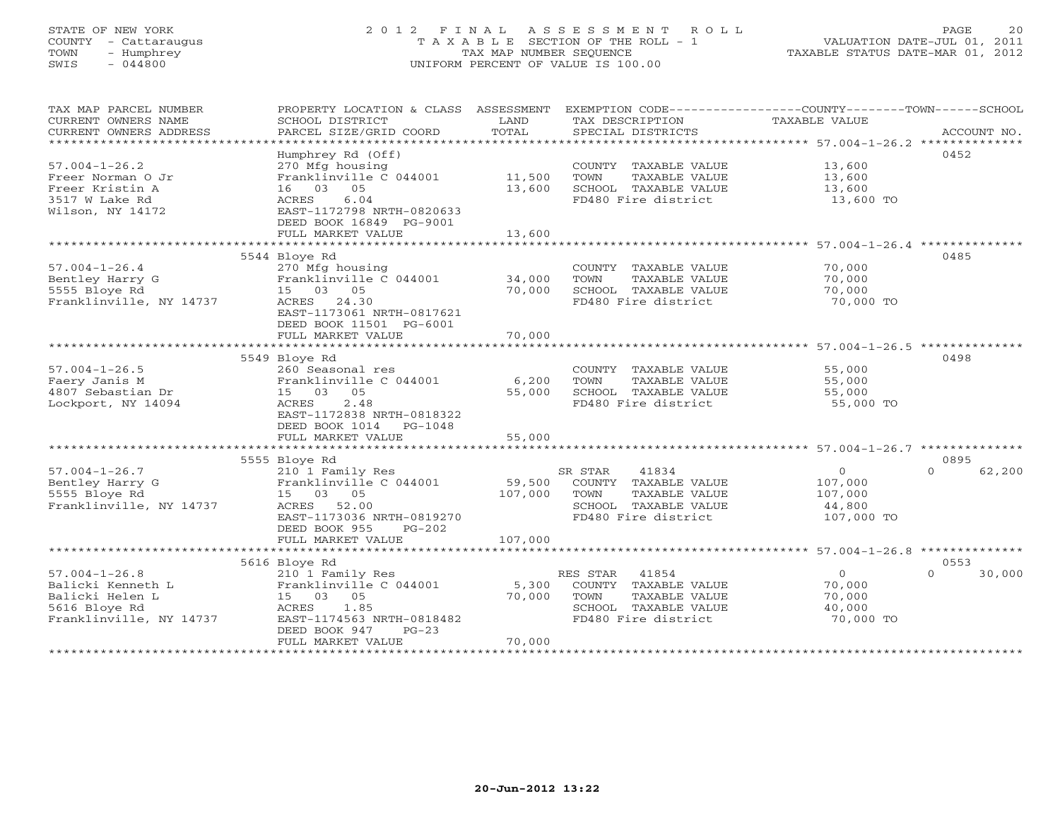# STATE OF NEW YORK 2 0 1 2 F I N A L A S S E S S M E N T R O L L PAGE 20 COUNTY - Cattaraugus T A X A B L E SECTION OF THE ROLL - 1 VALUATION DATE-JUL 01, 2011 TOWN - Humphrey TAX MAP NUMBER SEQUENCE TAXABLE STATUS DATE-MAR 01, 2012 SWIS - 044800 UNIFORM PERCENT OF VALUE IS 100.00UNIFORM PERCENT OF VALUE IS 100.00

| TAX MAP PARCEL NUMBER<br>CURRENT OWNERS NAME<br>CURRENT OWNERS ADDRESS<br>**********************        | PROPERTY LOCATION & CLASS ASSESSMENT<br>SCHOOL DISTRICT<br>PARCEL SIZE/GRID COORD                                                                                        | LAND<br>TOTAL              | EXEMPTION CODE-----------------COUNTY-------TOWN------SCHOOL<br>TAX DESCRIPTION<br>SPECIAL DISTRICTS              | TAXABLE VALUE                                               | ACCOUNT NO.                |
|---------------------------------------------------------------------------------------------------------|--------------------------------------------------------------------------------------------------------------------------------------------------------------------------|----------------------------|-------------------------------------------------------------------------------------------------------------------|-------------------------------------------------------------|----------------------------|
| $57.004 - 1 - 26.2$<br>Freer Norman 0 Jr<br>Freer Kristin A<br>3517 W Lake Rd<br>Wilson, NY 14172       | Humphrey Rd (Off)<br>270 Mfg housing<br>Franklinville C 044001<br>16 03 05<br>6.04<br>ACRES<br>EAST-1172798 NRTH-0820633<br>DEED BOOK 16849 PG-9001<br>FULL MARKET VALUE | 11,500<br>13,600<br>13,600 | COUNTY TAXABLE VALUE<br>TOWN<br>TAXABLE VALUE<br>SCHOOL TAXABLE VALUE<br>FD480 Fire district                      | 13,600<br>13,600<br>13,600<br>13,600 TO                     | 0452                       |
|                                                                                                         |                                                                                                                                                                          |                            |                                                                                                                   |                                                             |                            |
| $57.004 - 1 - 26.4$<br>Bentley Harry G<br>5555 Bloye Rd<br>Franklinville, NY 14737                      | 5544 Bloye Rd<br>270 Mfg housing<br>Franklinville C 044001<br>15 03 05<br>ACRES 24.30<br>EAST-1173061 NRTH-0817621<br>DEED BOOK 11501 PG-6001<br>FULL MARKET VALUE       | 34,000<br>70,000<br>70,000 | COUNTY TAXABLE VALUE<br>TAXABLE VALUE<br>TOWN<br>SCHOOL TAXABLE VALUE<br>FD480 Fire district                      | 70,000<br>70,000<br>70,000<br>70,000 TO                     | 0485                       |
|                                                                                                         |                                                                                                                                                                          |                            |                                                                                                                   |                                                             |                            |
| $57.004 - 1 - 26.5$<br>Faery Janis M<br>4807 Sebastian Dr<br>Lockport, NY 14094                         | 5549 Bloye Rd<br>260 Seasonal res<br>Franklinville C 044001<br>15 03<br>05<br>2.48<br>ACRES<br>EAST-1172838 NRTH-0818322<br>DEED BOOK 1014 PG-1048<br>FULL MARKET VALUE  | 6,200<br>55,000<br>55,000  | COUNTY TAXABLE VALUE<br>TOWN<br>TAXABLE VALUE<br>SCHOOL TAXABLE VALUE<br>FD480 Fire district                      | 55,000<br>55,000<br>55,000<br>55,000 TO                     | 0498                       |
|                                                                                                         | *************************                                                                                                                                                | ***********                |                                                                                                                   | ****************************** 57.004-1-26.7 ************** |                            |
| $57.004 - 1 - 26.7$<br>Bentley Harry G<br>5555 Bloye Rd<br>Franklinville, NY 14737                      | 5555 Bloye Rd<br>210 1 Family Res<br>Franklinville C 044001<br>15 03 05<br>ACRES 52.00<br>EAST-1173036 NRTH-0819270<br>DEED BOOK 955<br>$PG-202$                         | 59,500<br>107,000          | 41834<br>SR STAR<br>COUNTY TAXABLE VALUE<br>TOWN<br>TAXABLE VALUE<br>SCHOOL TAXABLE VALUE<br>FD480 Fire district  | $\circ$<br>107,000<br>107,000<br>44,800<br>107,000 TO       | 0895<br>62,200<br>$\Omega$ |
|                                                                                                         | FULL MARKET VALUE                                                                                                                                                        | 107,000                    |                                                                                                                   |                                                             |                            |
|                                                                                                         |                                                                                                                                                                          |                            |                                                                                                                   |                                                             |                            |
| $57.004 - 1 - 26.8$<br>Balicki Kenneth L<br>Balicki Helen L<br>5616 Bloye Rd<br>Franklinville, NY 14737 | 5616 Bloye Rd<br>210 1 Family Res<br>Franklinville C 044001<br>15 03 05<br>ACRES<br>1.85<br>EAST-1174563 NRTH-0818482<br>DEED BOOK 947<br>$PG-23$<br>FULL MARKET VALUE   | 5,300<br>70,000<br>70,000  | RES STAR<br>41854<br>COUNTY TAXABLE VALUE<br>TOWN<br>TAXABLE VALUE<br>SCHOOL TAXABLE VALUE<br>FD480 Fire district | $\overline{O}$<br>70,000<br>70,000<br>40,000<br>70,000 TO   | 0553<br>$\Omega$<br>30,000 |
|                                                                                                         |                                                                                                                                                                          |                            |                                                                                                                   |                                                             |                            |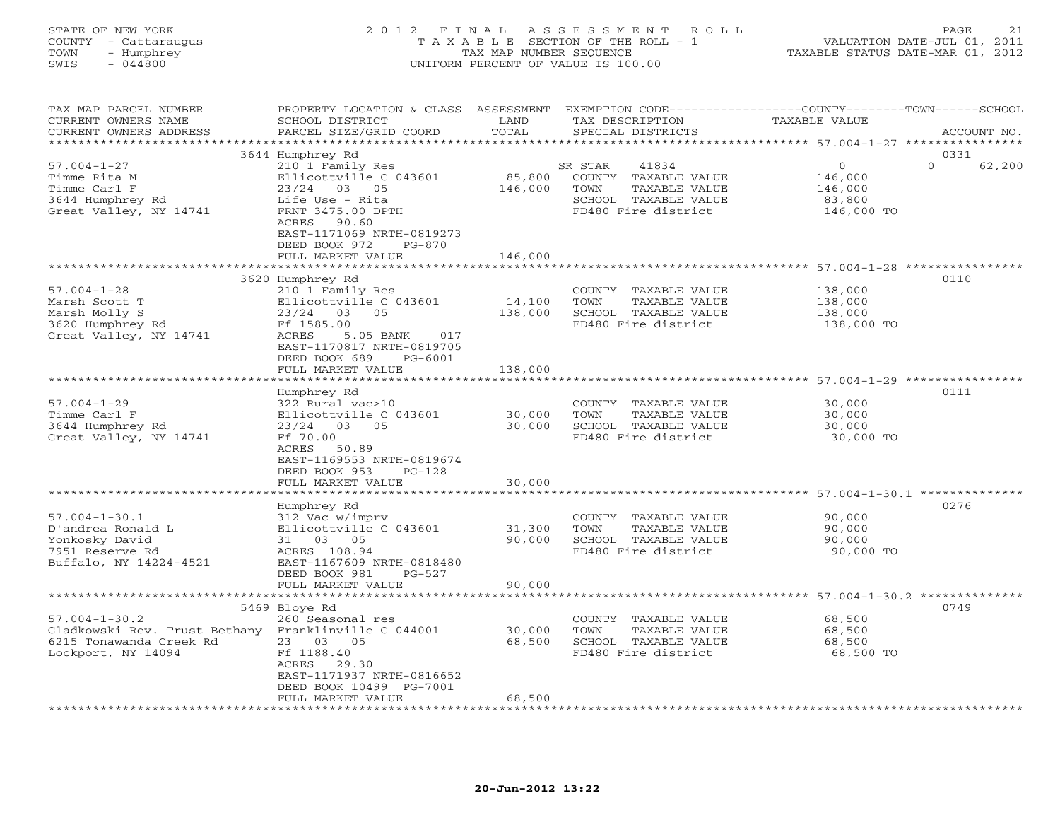| STATE OF NEW YORK<br>COUNTY - Cattaraugus<br>- Humphrey<br>TOWN<br>$-044800$<br>SWIS                    | 2012 FINAL ASSESSMENT<br>T A X A B L E SECTION OF THE ROLL - 1<br>TAX MAP NUMBER SEQUENCE<br>UNIFORM PERCENT OF VALUE IS 100.00                                                          | ROLL<br>PAGE<br>21<br>VALUATION DATE-JUL 01, 2011<br>TAXABLE STATUS DATE-MAR 01, 2012 |                                                                                                                  |                                                        |                    |
|---------------------------------------------------------------------------------------------------------|------------------------------------------------------------------------------------------------------------------------------------------------------------------------------------------|---------------------------------------------------------------------------------------|------------------------------------------------------------------------------------------------------------------|--------------------------------------------------------|--------------------|
| TAX MAP PARCEL NUMBER<br>CURRENT OWNERS NAME<br>CURRENT OWNERS ADDRESS                                  | PROPERTY LOCATION & CLASS ASSESSMENT EXEMPTION CODE----------------COUNTY-------TOWN------SCHOOL<br>SCHOOL DISTRICT<br>PARCEL SIZE/GRID COORD                                            | LAND<br>TOTAL                                                                         | TAX DESCRIPTION<br>SPECIAL DISTRICTS                                                                             | TAXABLE VALUE                                          | ACCOUNT NO.        |
|                                                                                                         | 3644 Humphrey Rd                                                                                                                                                                         |                                                                                       |                                                                                                                  |                                                        | 0331               |
| $57.004 - 1 - 27$<br>Timme Rita M<br>Timme Carl F<br>3644 Humphrey Rd<br>Great Valley, NY 14741         | 210 1 Family Res<br>Ellicottville C 043601 85,800<br>23/24 03 05<br>Life Use - Rita<br>FRNT 3475.00 DPTH<br>ACRES<br>90.60<br>EAST-1171069 NRTH-0819273<br>DEED BOOK 972<br>PG-870       | 146,000                                                                               | SR STAR<br>41834<br>COUNTY TAXABLE VALUE<br>TOWN<br>TAXABLE VALUE<br>SCHOOL TAXABLE VALUE<br>FD480 Fire district | $\Omega$<br>146,000<br>146,000<br>83,800<br>146,000 TO | $\Omega$<br>62,200 |
|                                                                                                         | FULL MARKET VALUE                                                                                                                                                                        | 146,000                                                                               |                                                                                                                  |                                                        |                    |
| $57.004 - 1 - 28$<br>Marsh Scott T<br>Marsh Molly S<br>3620 Humphrey Rd<br>Great Valley, NY 14741       | 3620 Humphrey Rd<br>210 1 Family Res<br>Ellicottville C 043601<br>23/24<br>0.5<br>03<br>Ff 1585.00<br>ACRES<br>5.05 BANK<br>017<br>EAST-1170817 NRTH-0819705<br>DEED BOOK 689<br>PG-6001 | 14,100<br>138,000                                                                     | COUNTY TAXABLE VALUE<br>TOWN<br>TAXABLE VALUE<br>SCHOOL TAXABLE VALUE<br>FD480 Fire district                     | 138,000<br>138,000<br>138,000<br>138,000 TO            | 0110               |
|                                                                                                         | FULL MARKET VALUE                                                                                                                                                                        | 138,000                                                                               |                                                                                                                  |                                                        |                    |
| $57.004 - 1 - 29$<br>Timme Carl F<br>3644 Humphrey Rd<br>Great Valley, NY 14741                         | Humphrey Rd<br>322 Rural vac>10<br>Ellicottville C 043601<br>03 05<br>23/24<br>Ff 70.00<br>ACRES<br>50.89<br>EAST-1169553 NRTH-0819674<br>DEED BOOK 953<br>$PG-128$                      | 30,000<br>30,000                                                                      | COUNTY TAXABLE VALUE<br>TAXABLE VALUE<br>TOWN<br>SCHOOL TAXABLE VALUE<br>FD480 Fire district                     | 30,000<br>30,000<br>30,000<br>30,000 TO                | 0111               |
|                                                                                                         | FULL MARKET VALUE                                                                                                                                                                        | 30,000                                                                                |                                                                                                                  |                                                        |                    |
| $57.004 - 1 - 30.1$<br>D'andrea Ronald L<br>Yonkosky David<br>7951 Reserve Rd<br>Buffalo, NY 14224-4521 | Humphrey Rd<br>312 Vac w/imprv<br>Ellicottville C 043601<br>31 03 05<br>ACRES 108.94<br>EAST-1167609 NRTH-0818480<br>DEED BOOK 981<br>$PG-527$                                           | 31,300<br>90,000                                                                      | COUNTY TAXABLE VALUE<br>TOWN<br>TAXABLE VALUE<br>SCHOOL TAXABLE VALUE<br>FD480 Fire district                     | 90,000<br>90,000<br>90,000<br>90,000 TO                | 0276               |

|                                                      | FULL MARKET VALUE         | 90,000 |        |                     |           |      |
|------------------------------------------------------|---------------------------|--------|--------|---------------------|-----------|------|
|                                                      |                           |        |        |                     |           |      |
|                                                      | 5469 Bloye Rd             |        |        |                     |           | 0749 |
| $57.004 - 1 - 30.2$                                  | 260 Seasonal res          |        | COUNTY | TAXABLE VALUE       | 68,500    |      |
| Gladkowski Rev. Trust Bethany Franklinville C 044001 |                           | 30,000 | TOWN   | TAXABLE VALUE       | 68,500    |      |
| 6215 Tonawanda Creek Rd                              | 23<br>05<br>03            | 68,500 | SCHOOL | TAXABLE VALUE       | 68,500    |      |
| Lockport, NY 14094                                   | Ff 1188.40                |        |        | FD480 Fire district | 68,500 TO |      |
|                                                      | 29.30<br>ACRES            |        |        |                     |           |      |
|                                                      | EAST-1171937 NRTH-0816652 |        |        |                     |           |      |
|                                                      | DEED BOOK 10499 PG-7001   |        |        |                     |           |      |
|                                                      | FULL MARKET VALUE         | 68,500 |        |                     |           |      |
|                                                      |                           |        |        |                     |           |      |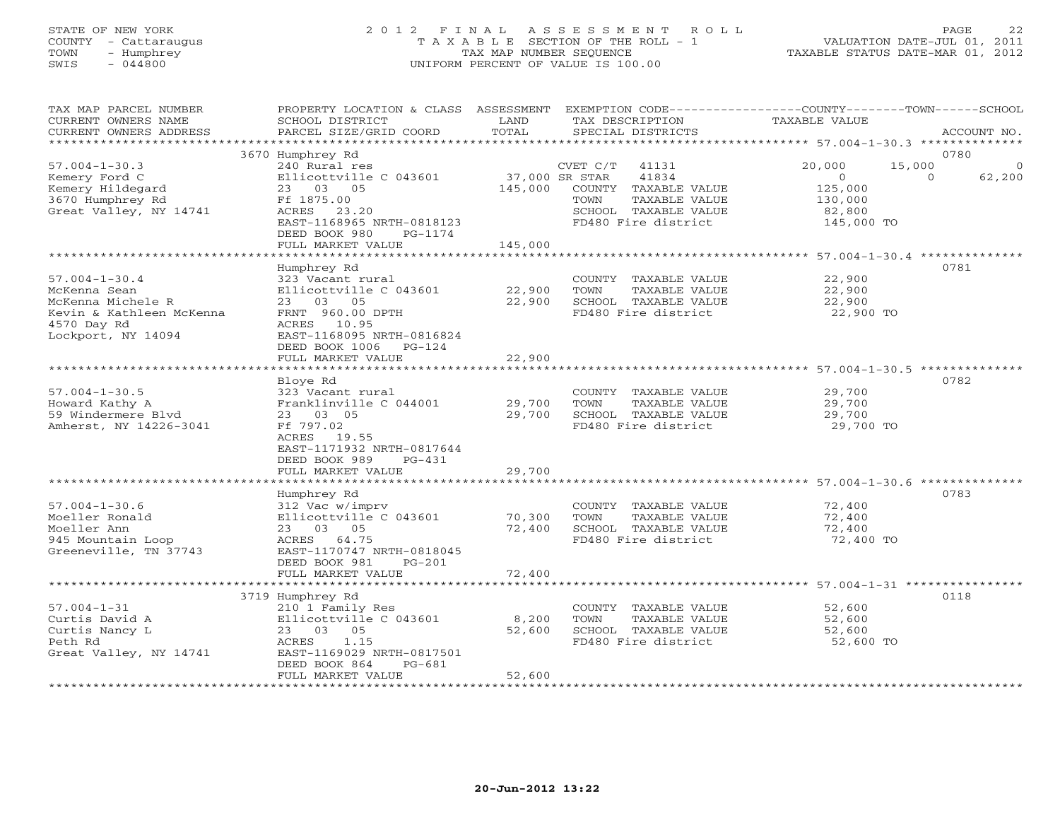# STATE OF NEW YORK 2 0 1 2 F I N A L A S S E S S M E N T R O L L PAGE 22 COUNTY - Cattaraugus T A X A B L E SECTION OF THE ROLL - 1 VALUATION DATE-JUL 01, 2011 TOWN - Humphrey TAX MAP NUMBER SEQUENCE TAXABLE STATUS DATE-MAR 01, 2012 SWIS - 044800 UNIFORM PERCENT OF VALUE IS 100.00UNIFORM PERCENT OF VALUE IS 100.00

| TAX MAP PARCEL NUMBER<br>CURRENT OWNERS NAME<br>CURRENT OWNERS ADDRESS<br>******************                              | PROPERTY LOCATION & CLASS<br>SCHOOL DISTRICT<br>PARCEL SIZE/GRID COORD                                                                                                        | ASSESSMENT<br>LAND<br>TOTAL         | TAX DESCRIPTION<br>SPECIAL DISTRICTS                                                                                                         | EXEMPTION CODE-----------------COUNTY-------TOWN------SCHOOL<br>TAXABLE VALUE                             | ACCOUNT NO.        |
|---------------------------------------------------------------------------------------------------------------------------|-------------------------------------------------------------------------------------------------------------------------------------------------------------------------------|-------------------------------------|----------------------------------------------------------------------------------------------------------------------------------------------|-----------------------------------------------------------------------------------------------------------|--------------------|
|                                                                                                                           |                                                                                                                                                                               |                                     |                                                                                                                                              |                                                                                                           | 0780               |
| $57.004 - 1 - 30.3$<br>Kemery Ford C<br>Kemery Hildegard<br>3670 Humphrey Rd<br>Great Valley, NY 14741                    | 3670 Humphrey Rd<br>240 Rural res<br>Ellicottville C 043601<br>23 03 05<br>Ff 1875.00<br>ACRES 23.20<br>EAST-1168965 NRTH-0818123<br>DEED BOOK 980<br>PG-1174                 | 145,000                             | CVET C/T<br>41131<br>37,000 SR STAR<br>41834<br>COUNTY TAXABLE VALUE<br>TAXABLE VALUE<br>TOWN<br>SCHOOL TAXABLE VALUE<br>FD480 Fire district | 20,000<br>15,000<br>$\circ$<br>$\Omega$<br>125,000<br>130,000<br>82,800<br>145,000 TO                     | $\Omega$<br>62,200 |
|                                                                                                                           | FULL MARKET VALUE                                                                                                                                                             | 145,000                             |                                                                                                                                              |                                                                                                           |                    |
| $57.004 - 1 - 30.4$<br>McKenna Sean<br>McKenna Michele R<br>Kevin & Kathleen McKenna<br>4570 Day Rd<br>Lockport, NY 14094 | ******************<br>Humphrey Rd<br>323 Vacant rural<br>Ellicottville C 043601<br>23 03 05<br>FRNT 960.00 DPTH<br>ACRES 10.95<br>EAST-1168095 NRTH-0816824                   | ***************<br>22,900<br>22,900 | COUNTY TAXABLE VALUE<br>TOWN<br>TAXABLE VALUE<br>SCHOOL TAXABLE VALUE<br>FD480 Fire district                                                 | ********************************* 57.004-1-30.4 **************<br>22,900<br>22,900<br>22,900<br>22,900 TO | 0781               |
|                                                                                                                           | DEED BOOK 1006<br>$PG-124$<br>FULL MARKET VALUE                                                                                                                               | 22,900                              |                                                                                                                                              |                                                                                                           |                    |
|                                                                                                                           |                                                                                                                                                                               |                                     |                                                                                                                                              |                                                                                                           |                    |
| $57.004 - 1 - 30.5$<br>Howard Kathy A<br>59 Windermere Blvd<br>Amherst, NY 14226-3041                                     | Bloye Rd<br>323 Vacant rural<br>Franklinville C 044001<br>23 03 05<br>Ff 797.02<br>ACRES 19.55<br>EAST-1171932 NRTH-0817644<br>DEED BOOK 989<br>$PG-431$<br>FULL MARKET VALUE | 29,700<br>29,700<br>29,700          | COUNTY TAXABLE VALUE<br>TOWN<br>TAXABLE VALUE<br>SCHOOL TAXABLE VALUE<br>FD480 Fire district                                                 | 29,700<br>29,700<br>29,700<br>29,700 TO                                                                   | 0782               |
|                                                                                                                           |                                                                                                                                                                               |                                     |                                                                                                                                              | ******************** 57.004-1-30.6 ********                                                               |                    |
| $57.004 - 1 - 30.6$<br>Moeller Ronald<br>Moeller Ann<br>945 Mountain Loop<br>Greeneville, TN 37743                        | Humphrey Rd<br>312 Vac w/imprv<br>Ellicottville C 043601<br>23 03 05<br>ACRES 64.75<br>EAST-1170747 NRTH-0818045<br>DEED BOOK 981<br>$PG-201$                                 | 70,300<br>72,400                    | COUNTY TAXABLE VALUE<br>TAXABLE VALUE<br>TOWN<br>SCHOOL TAXABLE VALUE<br>FD480 Fire district                                                 | 72,400<br>72,400<br>72,400<br>72,400 TO                                                                   | 0783               |
|                                                                                                                           | FULL MARKET VALUE                                                                                                                                                             | 72,400                              |                                                                                                                                              |                                                                                                           |                    |
|                                                                                                                           | 3719 Humphrey Rd                                                                                                                                                              |                                     |                                                                                                                                              |                                                                                                           | 0118               |
| $57.004 - 1 - 31$<br>Curtis David A<br>Curtis Nancy L<br>Peth Rd<br>Great Valley, NY 14741                                | 210 1 Family Res<br>Ellicottville C 043601<br>23 03 05<br>ACRES<br>1.15<br>EAST-1169029 NRTH-0817501<br>DEED BOOK 864<br>$PG-681$<br>FULL MARKET VALUE                        | 8,200<br>52,600<br>52,600           | COUNTY TAXABLE VALUE<br>TOWN<br>TAXABLE VALUE<br>SCHOOL TAXABLE VALUE<br>FD480 Fire district                                                 | 52,600<br>52,600<br>52,600<br>52,600 TO                                                                   |                    |
| **********************                                                                                                    |                                                                                                                                                                               |                                     |                                                                                                                                              |                                                                                                           |                    |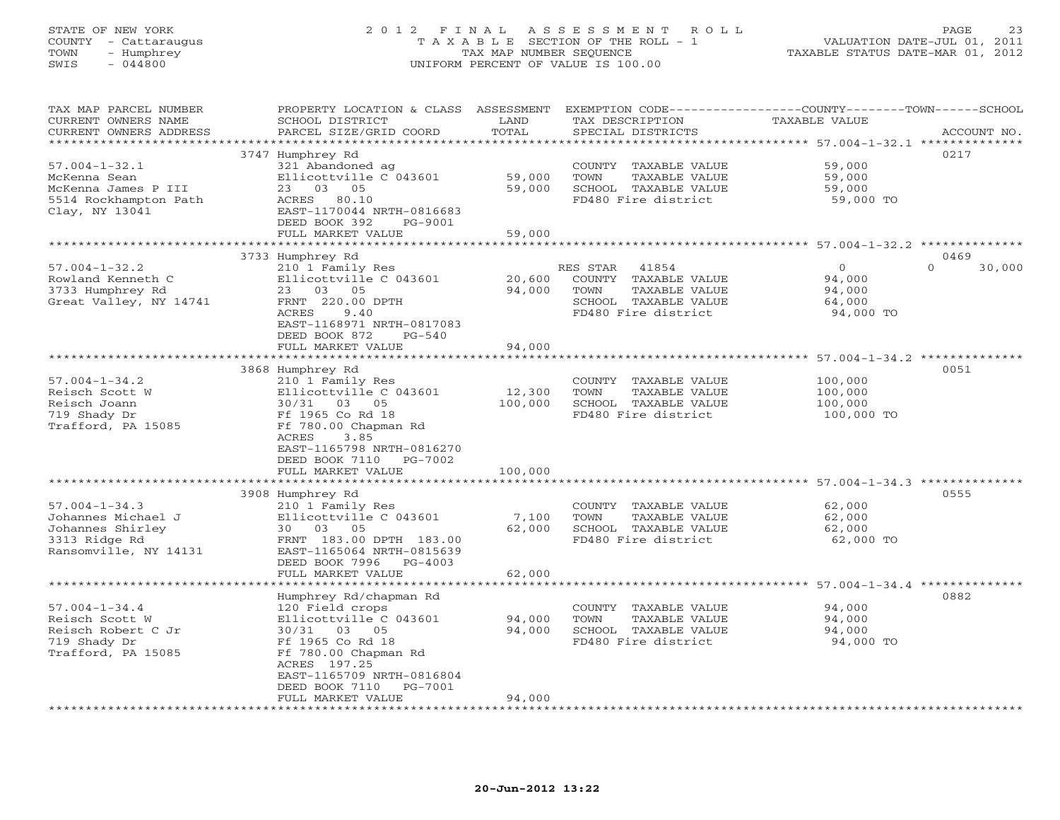#### STATE OF NEW YORK 2 0 1 2 F I N A L A S S E S S M E N T R O L L PAGE 23 COUNTY - Cattaraugus T A X A B L E SECTION OF THE ROLL - 1 VALUATION DATE-JUL 01, 2011 TOWN - Humphrey TAX MAP NUMBER SEQUENCE TAXABLE STATUS DATE-MAR 01, 2012 SWIS - 044800 UNIFORM PERCENT OF VALUE IS 100.00

TAX MAP PARCEL NUMBER PROPERTY LOCATION & CLASS ASSESSMENT EXEMPTION CODE----------------COUNTY-------TOWN------SCHOOL

CURRENT OWNERS NAME SCHOOL DISTRICT LAND TAX DESCRIPTION TAXABLE VALUE

| CURRENT OWNERS ADDRESS | PARCEL SIZE/GRID COORD    | TOTAL   | SPECIAL DISTRICTS                                             |            | ACCOUNT NO.        |
|------------------------|---------------------------|---------|---------------------------------------------------------------|------------|--------------------|
|                        |                           |         | ******************************** 57.004-1-32.1 ************** |            |                    |
|                        | 3747 Humphrey Rd          |         |                                                               |            | 0217               |
| $57.004 - 1 - 32.1$    | 321 Abandoned ag          |         | COUNTY TAXABLE VALUE                                          | 59,000     |                    |
| McKenna Sean           | Ellicottville C 043601    | 59,000  | TOWN<br>TAXABLE VALUE                                         | 59,000     |                    |
| McKenna James P III    | 23 03 05                  | 59,000  | SCHOOL TAXABLE VALUE                                          | 59,000     |                    |
| 5514 Rockhampton Path  | ACRES 80.10               |         | FD480 Fire district                                           | 59,000 TO  |                    |
| Clay, NY 13041         | EAST-1170044 NRTH-0816683 |         |                                                               |            |                    |
|                        | DEED BOOK 392<br>PG-9001  |         |                                                               |            |                    |
|                        | FULL MARKET VALUE         | 59,000  |                                                               |            |                    |
|                        |                           |         |                                                               |            |                    |
|                        | 3733 Humphrey Rd          |         |                                                               |            | 0469               |
| $57.004 - 1 - 32.2$    | 210 1 Family Res          |         | RES STAR<br>41854                                             | $\circ$    | $\Omega$<br>30,000 |
| Rowland Kenneth C      | Ellicottville C 043601    | 20,600  | COUNTY TAXABLE VALUE                                          | 94,000     |                    |
|                        |                           |         |                                                               |            |                    |
| 3733 Humphrey Rd       | 23 03 05                  | 94,000  | TOWN<br>TAXABLE VALUE                                         | 94,000     |                    |
| Great Valley, NY 14741 | FRNT 220.00 DPTH          |         | SCHOOL TAXABLE VALUE                                          | 64,000     |                    |
|                        | ACRES<br>9.40             |         | FD480 Fire district                                           | 94,000 TO  |                    |
|                        | EAST-1168971 NRTH-0817083 |         |                                                               |            |                    |
|                        | DEED BOOK 872<br>$PG-540$ |         |                                                               |            |                    |
|                        | FULL MARKET VALUE         | 94,000  |                                                               |            |                    |
|                        |                           |         |                                                               |            |                    |
|                        | 3868 Humphrey Rd          |         |                                                               |            | 0051               |
| $57.004 - 1 - 34.2$    | 210 1 Family Res          |         | COUNTY TAXABLE VALUE                                          | 100,000    |                    |
| Reisch Scott W         | Ellicottville C 043601    | 12,300  | TAXABLE VALUE<br>TOWN                                         | 100,000    |                    |
| Reisch Joann           | 30/31 03 05               | 100,000 | SCHOOL TAXABLE VALUE                                          | 100,000    |                    |
| 719 Shady Dr           | Ff 1965 Co Rd 18          |         | FD480 Fire district                                           | 100,000 TO |                    |
| Trafford, PA 15085     | Ff 780.00 Chapman Rd      |         |                                                               |            |                    |
|                        | ACRES<br>3.85             |         |                                                               |            |                    |
|                        | EAST-1165798 NRTH-0816270 |         |                                                               |            |                    |
|                        | DEED BOOK 7110 PG-7002    |         |                                                               |            |                    |
|                        |                           |         |                                                               |            |                    |
|                        | FULL MARKET VALUE         | 100,000 |                                                               |            |                    |
|                        |                           |         |                                                               |            |                    |
|                        | 3908 Humphrey Rd          |         |                                                               |            | 0555               |
| $57.004 - 1 - 34.3$    | 210 1 Family Res          |         | COUNTY TAXABLE VALUE                                          | 62,000     |                    |
| Johannes Michael J     | Ellicottville C 043601    | 7,100   | TAXABLE VALUE<br>TOWN                                         | 62,000     |                    |
| Johannes Shirley       | 30 03 05                  | 62,000  | SCHOOL TAXABLE VALUE                                          | 62,000     |                    |
| 3313 Ridge Rd          | FRNT 183.00 DPTH 183.00   |         | FD480 Fire district                                           | 62,000 TO  |                    |
| Ransomville, NY 14131  | EAST-1165064 NRTH-0815639 |         |                                                               |            |                    |
|                        | DEED BOOK 7996<br>PG-4003 |         |                                                               |            |                    |
|                        | FULL MARKET VALUE         | 62,000  |                                                               |            |                    |
|                        |                           |         |                                                               |            |                    |
|                        | Humphrey Rd/chapman Rd    |         |                                                               |            | 0882               |
| $57.004 - 1 - 34.4$    | 120 Field crops           |         | COUNTY TAXABLE VALUE                                          | 94,000     |                    |
| Reisch Scott W         | Ellicottville C 043601    | 94,000  | TOWN<br>TAXABLE VALUE                                         | 94,000     |                    |
| Reisch Robert C Jr     | 30/31 03 05               | 94,000  | SCHOOL TAXABLE VALUE                                          | 94,000     |                    |
| 719 Shady Dr           | Ff 1965 Co Rd 18          |         | FD480 Fire district                                           | 94,000 TO  |                    |
| Trafford, PA 15085     | Ff 780.00 Chapman Rd      |         |                                                               |            |                    |
|                        |                           |         |                                                               |            |                    |
|                        | ACRES 197.25              |         |                                                               |            |                    |
|                        | EAST-1165709 NRTH-0816804 |         |                                                               |            |                    |
|                        | DEED BOOK 7110 PG-7001    |         |                                                               |            |                    |
|                        | FULL MARKET VALUE         | 94,000  |                                                               |            |                    |
|                        |                           |         |                                                               |            |                    |
|                        |                           |         |                                                               |            |                    |
|                        |                           |         |                                                               |            |                    |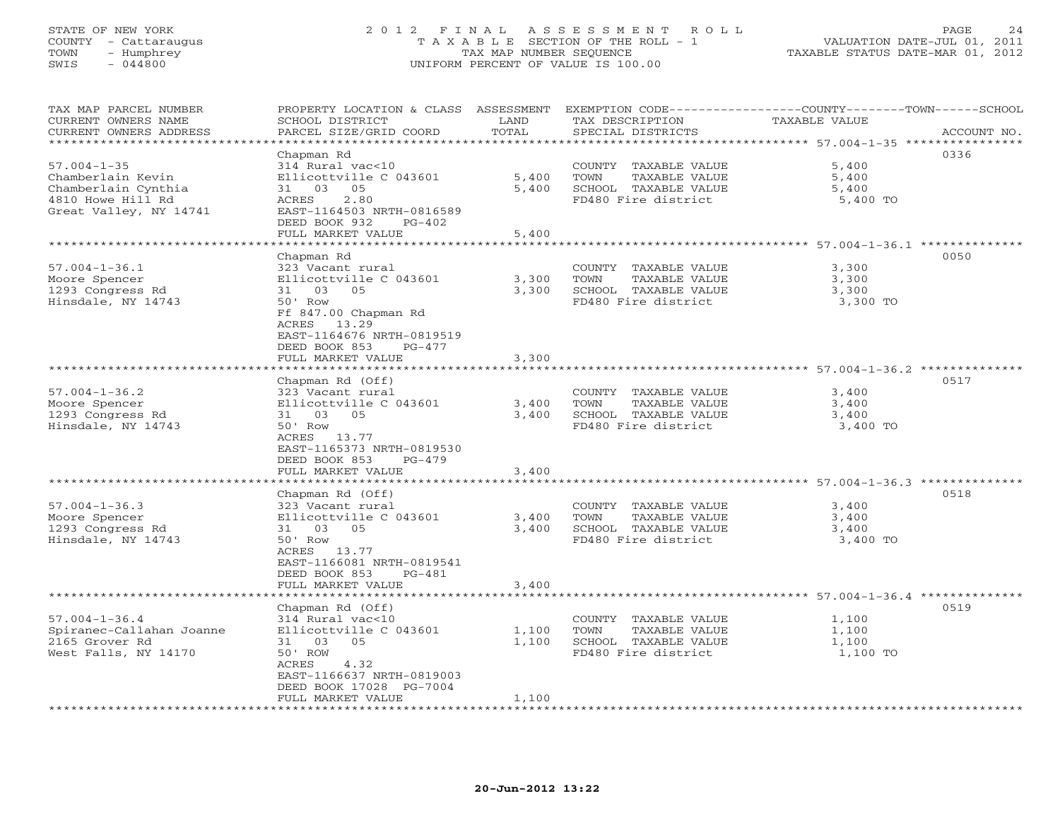# STATE OF NEW YORK 2 0 1 2 F I N A L A S S E S S M E N T R O L L PAGE 24 COUNTY - Cattaraugus T A X A B L E SECTION OF THE ROLL - 1 VALUATION DATE-JUL 01, 2011 TOWN - Humphrey TAX MAP NUMBER SEQUENCE TAXABLE STATUS DATE-MAR 01, 2012 SWIS - 044800 UNIFORM PERCENT OF VALUE IS 100.00UNIFORM PERCENT OF VALUE IS 100.00

| TAX MAP PARCEL NUMBER<br>CURRENT OWNERS NAME<br>CURRENT OWNERS ADDRESS                                       | PROPERTY LOCATION & CLASS ASSESSMENT<br>SCHOOL DISTRICT<br>PARCEL SIZE/GRID COORD                                                                                                                              | LAND<br>TOTAL           | TAX DESCRIPTION<br>SPECIAL DISTRICTS                                                         | EXEMPTION CODE-----------------COUNTY-------TOWN------SCHOOL<br>TAXABLE VALUE<br>ACCOUNT NO. |
|--------------------------------------------------------------------------------------------------------------|----------------------------------------------------------------------------------------------------------------------------------------------------------------------------------------------------------------|-------------------------|----------------------------------------------------------------------------------------------|----------------------------------------------------------------------------------------------|
| ********************                                                                                         |                                                                                                                                                                                                                | * * * * * * * * *       |                                                                                              | *********************************** 57.004–1–35 ****************                             |
| $57.004 - 1 - 35$<br>Chamberlain Kevin<br>Chamberlain Cynthia<br>4810 Howe Hill Rd<br>Great Valley, NY 14741 | Chapman Rd<br>314 Rural vac<10<br>Ellicottville C 043601<br>31 03 05<br>ACRES<br>2.80<br>EAST-1164503 NRTH-0816589<br>DEED BOOK 932<br>$PG-402$                                                                | 5,400<br>5,400          | COUNTY TAXABLE VALUE<br>TOWN<br>TAXABLE VALUE<br>SCHOOL TAXABLE VALUE<br>FD480 Fire district | 0336<br>5,400<br>5,400<br>5,400<br>5,400 TO                                                  |
|                                                                                                              | FULL MARKET VALUE                                                                                                                                                                                              | 5,400                   |                                                                                              |                                                                                              |
|                                                                                                              |                                                                                                                                                                                                                |                         |                                                                                              | ********* 57.004-1-36.1 ***                                                                  |
| $57.004 - 1 - 36.1$<br>Moore Spencer<br>1293 Congress Rd<br>Hinsdale, NY 14743                               | Chapman Rd<br>323 Vacant rural<br>Ellicottville C 043601<br>05<br>31<br>03<br>50' Row<br>Ff 847.00 Chapman Rd<br>13.29<br>ACRES<br>EAST-1164676 NRTH-0819519<br>DEED BOOK 853<br>$PG-477$<br>FULL MARKET VALUE | 3,300<br>3,300<br>3,300 | COUNTY TAXABLE VALUE<br>TOWN<br>TAXABLE VALUE<br>SCHOOL TAXABLE VALUE<br>FD480 Fire district | 0050<br>3,300<br>3,300<br>3,300<br>3,300 TO                                                  |
|                                                                                                              | ********************                                                                                                                                                                                           |                         |                                                                                              |                                                                                              |
| $57.004 - 1 - 36.2$<br>Moore Spencer<br>1293 Congress Rd<br>Hinsdale, NY 14743                               | Chapman Rd (Off)<br>323 Vacant rural<br>Ellicottville C 043601<br>03<br>05<br>31<br>50' Row<br>ACRES 13.77<br>EAST-1165373 NRTH-0819530<br>DEED BOOK 853<br>$PG-479$                                           | 3,400<br>3,400          | COUNTY TAXABLE VALUE<br>TAXABLE VALUE<br>TOWN<br>SCHOOL TAXABLE VALUE<br>FD480 Fire district | 0517<br>3,400<br>3,400<br>3,400<br>3,400 TO                                                  |
|                                                                                                              | FULL MARKET VALUE                                                                                                                                                                                              | 3,400                   |                                                                                              |                                                                                              |
| $57.004 - 1 - 36.3$<br>Moore Spencer<br>1293 Congress Rd<br>Hinsdale, NY 14743                               | *******************<br>Chapman Rd (Off)<br>323 Vacant rural<br>Ellicottville C 043601<br>31 03 05<br>50' Row<br>ACRES 13.77<br>EAST-1166081 NRTH-0819541<br>DEED BOOK 853<br>PG-481                            | 3,400<br>3,400          | COUNTY TAXABLE VALUE<br>TOWN<br>TAXABLE VALUE<br>SCHOOL TAXABLE VALUE<br>FD480 Fire district | ******************** 57.004-1-36.3 ********<br>0518<br>3,400<br>3,400<br>3,400<br>3,400 TO   |
|                                                                                                              | FULL MARKET VALUE                                                                                                                                                                                              | 3,400                   |                                                                                              |                                                                                              |
| $57.004 - 1 - 36.4$<br>Spiranec-Callahan Joanne<br>2165 Grover Rd<br>West Falls, NY 14170                    | Chapman Rd (Off)<br>314 Rural vac<10<br>Ellicottville C 043601<br>05<br>31 03<br>50' ROW<br>4.32<br>ACRES<br>EAST-1166637 NRTH-0819003<br>DEED BOOK 17028 PG-7004<br>FULL MARKET VALUE                         | 1,100<br>1,100<br>1,100 | COUNTY TAXABLE VALUE<br>TOWN<br>TAXABLE VALUE<br>SCHOOL TAXABLE VALUE<br>FD480 Fire district | 0519<br>1,100<br>1,100<br>1,100<br>1,100 TO                                                  |
|                                                                                                              |                                                                                                                                                                                                                |                         |                                                                                              |                                                                                              |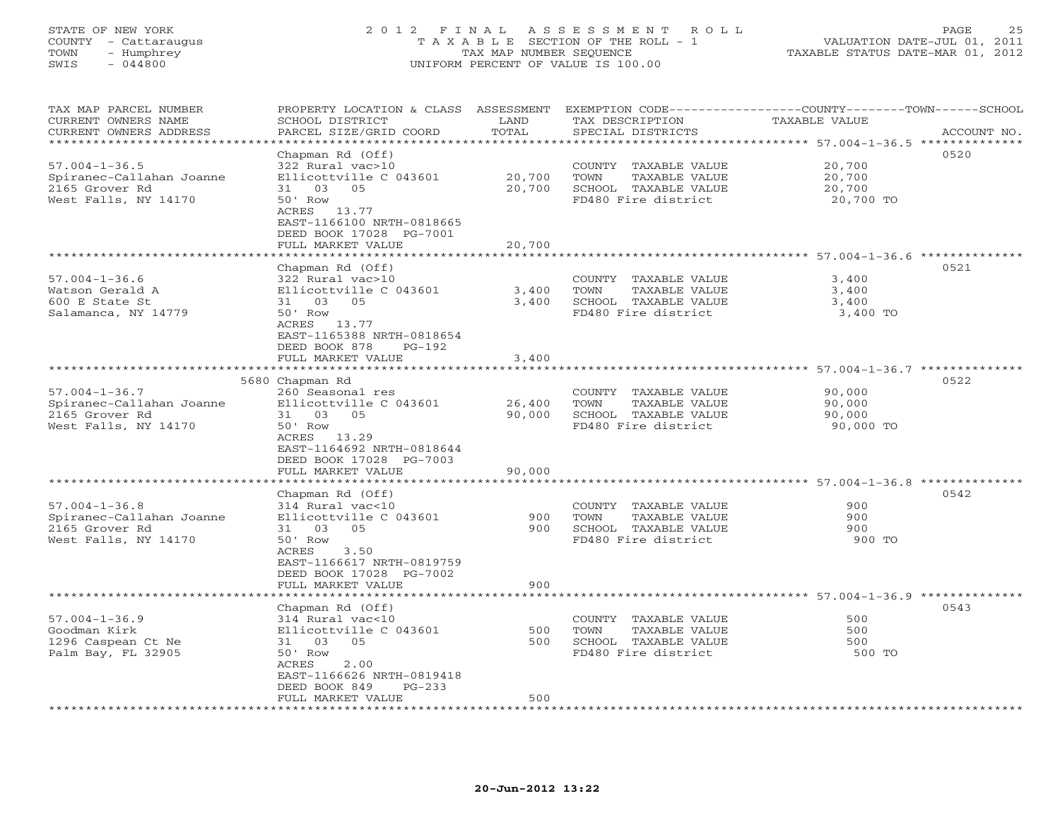### STATE OF NEW YORK 2 0 1 2 F I N A L A S S E S S M E N T R O L L PAGE 25 COUNTY - Cattaraugus T A X A B L E SECTION OF THE ROLL - 1 VALUATION DATE-JUL 01, 2011 TOWN - Humphrey TAX MAP NUMBER SEQUENCE TAXABLE STATUS DATE-MAR 01, 2012 SWIS - 044800 UNIFORM PERCENT OF VALUE IS 100.00UNIFORM PERCENT OF VALUE IS 100.00

| TAX MAP PARCEL NUMBER<br>CURRENT OWNERS NAME | PROPERTY LOCATION & CLASS ASSESSMENT<br>SCHOOL DISTRICT | LAND      | TAX DESCRIPTION              | EXEMPTION CODE-----------------COUNTY-------TOWN------SCHOOL<br>TAXABLE VALUE |
|----------------------------------------------|---------------------------------------------------------|-----------|------------------------------|-------------------------------------------------------------------------------|
| CURRENT OWNERS ADDRESS                       | PARCEL SIZE/GRID COORD                                  | TOTAL     | SPECIAL DISTRICTS            | ACCOUNT NO.                                                                   |
| ********************                         |                                                         |           |                              | ********************************* 57.004-1-36.5 **************                |
|                                              | Chapman Rd (Off)                                        |           |                              | 0520                                                                          |
| $57.004 - 1 - 36.5$                          | 322 Rural vac>10                                        |           | COUNTY TAXABLE VALUE         | 20,700                                                                        |
| Spiranec-Callahan Joanne                     | Ellicottville C 043601                                  | 20,700    | TOWN<br>TAXABLE VALUE        | 20,700                                                                        |
| 2165 Grover Rd                               | 03<br>31<br>05                                          | 20,700    | SCHOOL TAXABLE VALUE         | 20,700                                                                        |
| West Falls, NY 14170                         | 50' Row                                                 |           | FD480 Fire district          | 20,700 TO                                                                     |
|                                              | 13.77<br>ACRES                                          |           |                              |                                                                               |
|                                              | EAST-1166100 NRTH-0818665                               |           |                              |                                                                               |
|                                              | DEED BOOK 17028 PG-7001                                 |           |                              |                                                                               |
|                                              | FULL MARKET VALUE                                       | 20,700    |                              |                                                                               |
|                                              |                                                         |           |                              | ***************** 57.004-1-36.6 ***************                               |
|                                              | Chapman Rd (Off)                                        |           |                              | 0521                                                                          |
| $57.004 - 1 - 36.6$                          | 322 Rural vac>10                                        |           | COUNTY TAXABLE VALUE         | 3,400                                                                         |
| Watson Gerald A                              | Ellicottville C 043601                                  | 3,400     | TOWN<br>TAXABLE VALUE        | 3,400                                                                         |
| 600 E State St                               | 31 03<br>0.5                                            | 3,400     | SCHOOL TAXABLE VALUE         | 3,400                                                                         |
| Salamanca, NY 14779                          | 50' Row                                                 |           | FD480 Fire district          | 3,400 TO                                                                      |
|                                              | ACRES<br>13.77                                          |           |                              |                                                                               |
|                                              | EAST-1165388 NRTH-0818654                               |           |                              |                                                                               |
|                                              | DEED BOOK 878<br>$PG-192$                               |           |                              |                                                                               |
|                                              | FULL MARKET VALUE                                       | 3,400     |                              |                                                                               |
|                                              | ***********************                                 |           |                              |                                                                               |
|                                              | 5680 Chapman Rd                                         |           |                              | 0522                                                                          |
| $57.004 - 1 - 36.7$                          | 260 Seasonal res                                        |           | COUNTY TAXABLE VALUE         | 90,000                                                                        |
| Spiranec-Callahan Joanne                     | Ellicottville C 043601                                  | 26,400    | TAXABLE VALUE<br>TOWN        | 90,000                                                                        |
| 2165 Grover Rd                               | 31<br>- 03<br>05                                        | 90,000    | SCHOOL TAXABLE VALUE         | 90,000                                                                        |
| West Falls, NY 14170                         | 50' Row                                                 |           | FD480 Fire district          | 90,000 TO                                                                     |
|                                              | ACRES 13.29                                             |           |                              |                                                                               |
|                                              | EAST-1164692 NRTH-0818644                               |           |                              |                                                                               |
|                                              | DEED BOOK 17028 PG-7003                                 |           |                              |                                                                               |
|                                              | FULL MARKET VALUE                                       | 90,000    |                              |                                                                               |
|                                              | ****************                                        | ********* |                              | ************************* 57.004-1-36.8 **************                        |
|                                              | Chapman Rd (Off)                                        |           |                              | 0542                                                                          |
| $57.004 - 1 - 36.8$                          | 314 Rural vac<10                                        |           | COUNTY TAXABLE VALUE         | 900                                                                           |
| Spiranec-Callahan Joanne                     | Ellicottville C 043601                                  | 900       | <b>TAXABLE VALUE</b><br>TOWN | 900                                                                           |
| 2165 Grover Rd                               | 03<br>05<br>31                                          | 900       | SCHOOL TAXABLE VALUE         | 900                                                                           |
| West Falls, NY 14170                         | 50' Row                                                 |           | FD480 Fire district          | 900 TO                                                                        |
|                                              | ACRES<br>3.50                                           |           |                              |                                                                               |
|                                              | EAST-1166617 NRTH-0819759                               |           |                              |                                                                               |
|                                              | DEED BOOK 17028 PG-7002                                 |           |                              |                                                                               |
|                                              | FULL MARKET VALUE                                       | 900       |                              |                                                                               |
|                                              |                                                         |           |                              | ************** 57.004-1-36.9 ********                                         |
|                                              | Chapman Rd (Off)                                        |           |                              | 0543                                                                          |
| $57.004 - 1 - 36.9$                          | 314 Rural vac<10                                        |           | COUNTY TAXABLE VALUE         | 500                                                                           |
| Goodman Kirk                                 | Ellicottville C 043601                                  | 500       | TOWN<br>TAXABLE VALUE        | 500                                                                           |
| 1296 Caspean Ct Ne                           | 31<br>03<br>05                                          | 500       | SCHOOL TAXABLE VALUE         | 500                                                                           |
| Palm Bay, FL 32905                           | 50' Row                                                 |           | FD480 Fire district          | 500 TO                                                                        |
|                                              | 2.00<br>ACRES                                           |           |                              |                                                                               |
|                                              | EAST-1166626 NRTH-0819418                               |           |                              |                                                                               |
|                                              | DEED BOOK 849<br>$PG-233$                               |           |                              |                                                                               |
|                                              | FULL MARKET VALUE                                       | 500       |                              |                                                                               |
|                                              |                                                         |           |                              |                                                                               |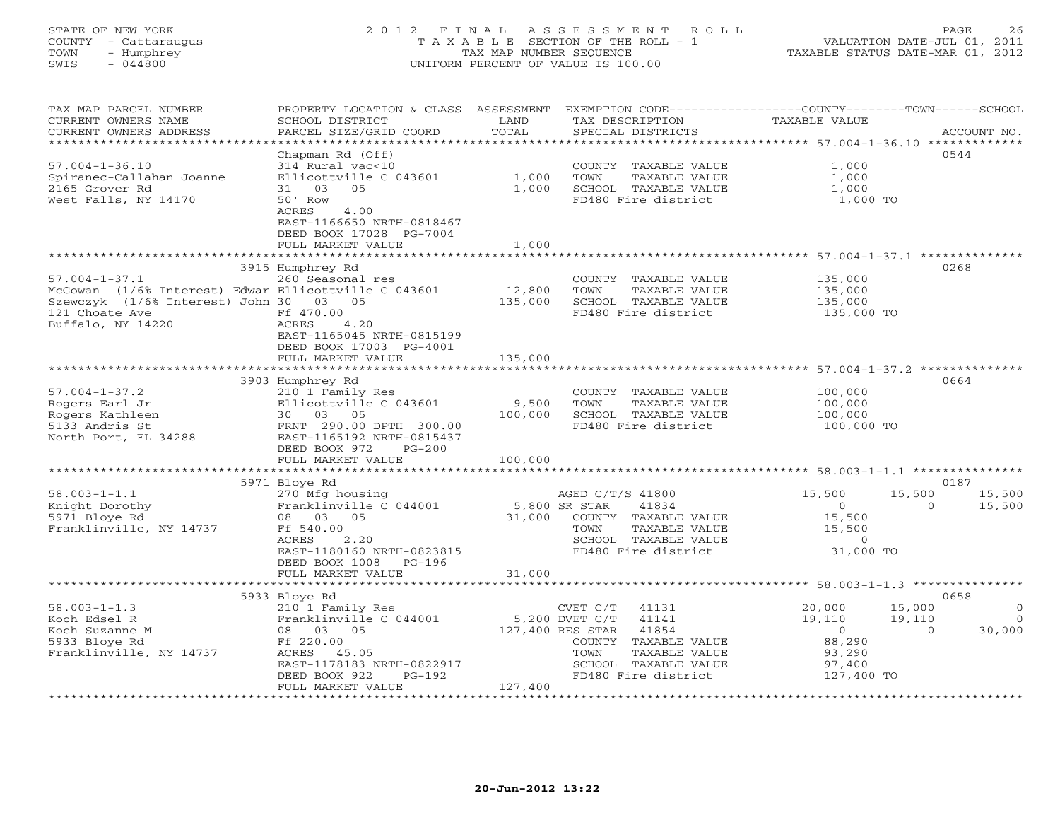# STATE OF NEW YORK 2 0 1 2 F I N A L A S S E S S M E N T R O L L PAGE 26 COUNTY - Cattaraugus T A X A B L E SECTION OF THE ROLL - 1 VALUATION DATE-JUL 01, 2011 TOWN - Humphrey TAX MAP NUMBER SEQUENCE TAXABLE STATUS DATE-MAR 01, 2012 SWIS - 044800 UNIFORM PERCENT OF VALUE IS 100.00UNIFORM PERCENT OF VALUE IS 100.00

| TAX MAP PARCEL NUMBER<br>CURRENT OWNERS NAME<br>CURRENT OWNERS ADDRESS                               | PROPERTY LOCATION & CLASS ASSESSMENT<br>SCHOOL DISTRICT<br>PARCEL SIZE/GRID COORD                                                                                                    | LAND<br>TAX DESCRIPTION<br>TOTAL<br>SPECIAL DISTRICTS                                                                                                                        | EXEMPTION CODE-----------------COUNTY-------TOWN------SCHOOL<br><b>TAXABLE VALUE</b><br>ACCOUNT NO.                                                   |
|------------------------------------------------------------------------------------------------------|--------------------------------------------------------------------------------------------------------------------------------------------------------------------------------------|------------------------------------------------------------------------------------------------------------------------------------------------------------------------------|-------------------------------------------------------------------------------------------------------------------------------------------------------|
|                                                                                                      | * * * * * * * * * * * * * * * * * * *                                                                                                                                                |                                                                                                                                                                              |                                                                                                                                                       |
| $57.004 - 1 - 36.10$<br>Spiranec-Callahan Joanne<br>2165 Grover Rd<br>West Falls, NY 14170           | Chapman Rd (Off)<br>314 Rural vac<10<br>Ellicottville C 043601<br>31 03<br>05<br>50 ' Row<br>ACRES<br>4.00<br>EAST-1166650 NRTH-0818467                                              | COUNTY TAXABLE VALUE<br>1,000<br>TOWN<br>TAXABLE VALUE<br>1,000<br>SCHOOL TAXABLE VALUE<br>FD480 Fire district                                                               | 0544<br>1,000<br>1,000<br>1,000<br>1,000 TO                                                                                                           |
|                                                                                                      | DEED BOOK 17028 PG-7004                                                                                                                                                              |                                                                                                                                                                              |                                                                                                                                                       |
|                                                                                                      | FULL MARKET VALUE                                                                                                                                                                    | 1,000                                                                                                                                                                        | ****************************** 57.004-1-37.1 **************                                                                                           |
|                                                                                                      | 3915 Humphrey Rd                                                                                                                                                                     |                                                                                                                                                                              | 0268                                                                                                                                                  |
| $57.004 - 1 - 37.1$<br>Szewczyk (1/6% Interest) John 30 03 05<br>121 Choate Ave<br>Buffalo, NY 14220 | 260 Seasonal res<br>McGowan (1/6% Interest) Edwar Ellicottville C 043601<br>Ff 470.00<br>ACRES<br>4.20                                                                               | COUNTY TAXABLE VALUE<br>12,800<br>TOWN<br>TAXABLE VALUE<br>135,000<br>SCHOOL TAXABLE VALUE<br>FD480 Fire district                                                            | 135,000<br>135,000<br>135,000<br>135,000 TO                                                                                                           |
|                                                                                                      | EAST-1165045 NRTH-0815199<br>DEED BOOK 17003 PG-4001<br>FULL MARKET VALUE                                                                                                            | 135,000                                                                                                                                                                      |                                                                                                                                                       |
|                                                                                                      | ********                                                                                                                                                                             | ************                                                                                                                                                                 | ****************************** 57.004-1-37.2 **************                                                                                           |
| $57.004 - 1 - 37.2$<br>Rogers Earl Jr<br>Rogers Kathleen<br>5133 Andris St<br>North Port, FL 34288   | 3903 Humphrey Rd<br>210 1 Family Res<br>Ellicottville C 043601<br>30 03 05<br>FRNT 290.00 DPTH 300.00<br>EAST-1165192 NRTH-0815437<br>DEED BOOK 972<br>$PG-200$<br>FULL MARKET VALUE | COUNTY TAXABLE VALUE<br>9,500<br>TOWN<br>TAXABLE VALUE<br>100,000<br>SCHOOL TAXABLE VALUE<br>FD480 Fire district<br>100,000                                                  | 0664<br>100,000<br>100,000<br>100,000<br>100,000 TO                                                                                                   |
|                                                                                                      |                                                                                                                                                                                      |                                                                                                                                                                              |                                                                                                                                                       |
| $58.003 - 1 - 1.1$<br>Knight Dorothy<br>5971 Bloye Rd<br>Franklinville, NY 14737                     | 5971 Bloye Rd<br>270 Mfg housing<br>Franklinville C 044001<br>08 03 05<br>Ff 540.00<br>2.20<br>ACRES<br>EAST-1180160 NRTH-0823815<br>DEED BOOK 1008<br>PG-196                        | AGED C/T/S 41800<br>5,800 SR STAR<br>41834<br>31,000<br>COUNTY TAXABLE VALUE<br>TOWN<br>TAXABLE VALUE<br>SCHOOL TAXABLE VALUE<br>FD480 Fire district                         | 0187<br>15,500<br>15,500<br>15,500<br>$\overline{0}$<br>$\Omega$<br>15,500<br>15,500<br>15,500<br>$\circ$<br>31,000 TO                                |
|                                                                                                      | FULL MARKET VALUE                                                                                                                                                                    | 31,000                                                                                                                                                                       |                                                                                                                                                       |
|                                                                                                      | 5933 Bloye Rd                                                                                                                                                                        |                                                                                                                                                                              | 0658                                                                                                                                                  |
| $58.003 - 1 - 1.3$<br>Koch Edsel R<br>Koch Suzanne M<br>5933 Bloye Rd<br>Franklinville, NY 14737     | 210 1 Family Res<br>Franklinville C 044001<br>08 03 05<br>Ff 220.00<br>ACRES 45.05<br>EAST-1178183 NRTH-0822917<br>DEED BOOK 922<br>PG-192                                           | CVET C/T<br>41131<br>5,200 DVET C/T<br>41141<br>127,400 RES STAR<br>41854<br>COUNTY<br>TAXABLE VALUE<br>TAXABLE VALUE<br>TOWN<br>SCHOOL TAXABLE VALUE<br>FD480 Fire district | 20,000<br>15,000<br>$\circ$<br>19,110<br>19,110<br>$\overline{0}$<br>30,000<br>$\overline{0}$<br>$\Omega$<br>88,290<br>93,290<br>97,400<br>127,400 TO |
|                                                                                                      | FULL MARKET VALUE                                                                                                                                                                    | 127,400                                                                                                                                                                      |                                                                                                                                                       |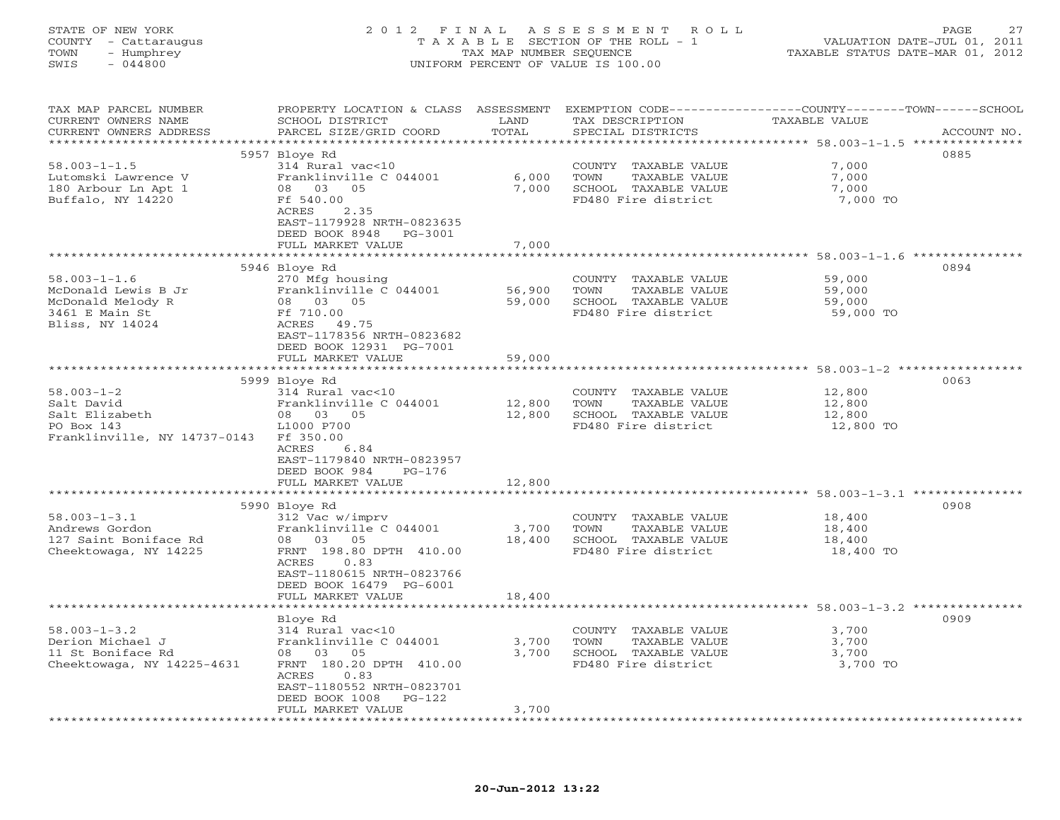| STATE OF NEW YORK<br>COUNTY - Cattaraugus<br>- Humphrey<br>TOWN<br>SWIS<br>$-044800$ | 2012 FINAL                                                                                   | TAX MAP NUMBER SEQUENCE | A S S E S S M E N T<br>ROLL<br>T A X A B L E SECTION OF THE ROLL - 1<br>UNIFORM PERCENT OF VALUE IS 100.00 | VALUATION DATE-JUL 01, 2011<br>TAXABLE STATUS DATE-MAR 01, 2012 | 27<br>PAGE  |
|--------------------------------------------------------------------------------------|----------------------------------------------------------------------------------------------|-------------------------|------------------------------------------------------------------------------------------------------------|-----------------------------------------------------------------|-------------|
| TAX MAP PARCEL NUMBER<br>CURRENT OWNERS NAME<br>CURRENT OWNERS ADDRESS               | PROPERTY LOCATION & CLASS ASSESSMENT<br>SCHOOL DISTRICT<br>PARCEL SIZE/GRID COORD            | LAND<br>TOTAL           | EXEMPTION CODE-----------------COUNTY-------TOWN------SCHOOL<br>TAX DESCRIPTION<br>SPECIAL DISTRICTS       | TAXABLE VALUE                                                   | ACCOUNT NO. |
|                                                                                      | 5957 Bloye Rd                                                                                |                         |                                                                                                            |                                                                 | 0885        |
| $58.003 - 1 - 1.5$                                                                   | 314 Rural vac<10                                                                             |                         | COUNTY TAXABLE VALUE                                                                                       | 7,000                                                           |             |
| Lutomski Lawrence V                                                                  | Franklinville C 044001                                                                       | 6,000                   | TOWN<br>TAXABLE VALUE                                                                                      | 7,000                                                           |             |
| 180 Arbour Ln Apt 1                                                                  | 08 03 05                                                                                     | 7,000                   | SCHOOL TAXABLE VALUE                                                                                       | 7,000                                                           |             |
| Buffalo, NY 14220                                                                    | Ff 540.00                                                                                    |                         | FD480 Fire district                                                                                        | 7,000 TO                                                        |             |
|                                                                                      | ACRES<br>2.35<br>EAST-1179928 NRTH-0823635<br>DEED BOOK 8948<br>PG-3001<br>FULL MARKET VALUE | 7,000                   |                                                                                                            |                                                                 |             |
|                                                                                      | ************************                                                                     |                         |                                                                                                            |                                                                 |             |
|                                                                                      | 5946 Bloye Rd                                                                                |                         |                                                                                                            |                                                                 | 0894        |
| $58.003 - 1 - 1.6$                                                                   | 270 Mfg housing                                                                              |                         | COUNTY TAXABLE VALUE                                                                                       | 59,000                                                          |             |
| McDonald Lewis B Jr                                                                  | Franklinville C 044001                                                                       | 56,900                  | TAXABLE VALUE<br>TOWN                                                                                      | 59,000                                                          |             |
| McDonald Melody R                                                                    | 08 03 05                                                                                     | 59,000                  | SCHOOL TAXABLE VALUE                                                                                       | 59,000                                                          |             |
| 3461 E Main St                                                                       | Ff 710.00                                                                                    |                         | FD480 Fire district                                                                                        | 59,000 TO                                                       |             |
| Bliss, NY 14024                                                                      | ACRES 49.75                                                                                  |                         |                                                                                                            |                                                                 |             |
|                                                                                      | EAST-1178356 NRTH-0823682                                                                    |                         |                                                                                                            |                                                                 |             |
|                                                                                      | DEED BOOK 12931 PG-7001                                                                      |                         |                                                                                                            |                                                                 |             |
|                                                                                      | FULL MARKET VALUE                                                                            | 59,000                  |                                                                                                            |                                                                 |             |
|                                                                                      | 5999 Bloye Rd                                                                                |                         |                                                                                                            |                                                                 | 0063        |
| $58.003 - 1 - 2$                                                                     | 314 Rural vac<10                                                                             |                         | COUNTY TAXABLE VALUE                                                                                       | 12,800                                                          |             |
| Salt David                                                                           | Franklinville C 044001                                                                       | 12,800                  | TOWN<br>TAXABLE VALUE                                                                                      | 12,800                                                          |             |
| Salt Elizabeth                                                                       | 08 03 05                                                                                     | 12,800                  | SCHOOL TAXABLE VALUE                                                                                       | 12,800                                                          |             |
| PO Box 143                                                                           | L1000 P700                                                                                   |                         | FD480 Fire district                                                                                        | 12,800 TO                                                       |             |
| Franklinville, NY 14737-0143                                                         | Ff 350.00                                                                                    |                         |                                                                                                            |                                                                 |             |
|                                                                                      | ACRES<br>6.84                                                                                |                         |                                                                                                            |                                                                 |             |
|                                                                                      | EAST-1179840 NRTH-0823957                                                                    |                         |                                                                                                            |                                                                 |             |
|                                                                                      | DEED BOOK 984<br>$PG-176$                                                                    |                         |                                                                                                            |                                                                 |             |
|                                                                                      | FULL MARKET VALUE<br>*******************                                                     | 12,800                  |                                                                                                            | ******************************** 58.003-1-3.1 ***************   |             |
|                                                                                      | 5990 Bloye Rd                                                                                |                         |                                                                                                            |                                                                 | 0908        |
| $58.003 - 1 - 3.1$                                                                   | 312 Vac w/imprv                                                                              |                         | COUNTY TAXABLE VALUE                                                                                       | 18,400                                                          |             |
| Andrews Gordon                                                                       | Franklinville C 044001                                                                       | 3,700                   | TAXABLE VALUE<br>TOWN                                                                                      | 18,400                                                          |             |
| 127 Saint Boniface Rd                                                                | 08<br>03<br>05                                                                               | 18,400                  | SCHOOL TAXABLE VALUE                                                                                       | 18,400                                                          |             |
| Cheektowaga, NY 14225                                                                | FRNT 198.80 DPTH 410.00                                                                      |                         | FD480 Fire district                                                                                        | 18,400 TO                                                       |             |
|                                                                                      | 0.83<br>ACRES                                                                                |                         |                                                                                                            |                                                                 |             |
|                                                                                      | EAST-1180615 NRTH-0823766                                                                    |                         |                                                                                                            |                                                                 |             |
|                                                                                      | DEED BOOK 16479 PG-6001                                                                      |                         |                                                                                                            |                                                                 |             |
|                                                                                      | FULL MARKET VALUE                                                                            | 18,400                  |                                                                                                            |                                                                 |             |
|                                                                                      |                                                                                              |                         |                                                                                                            |                                                                 |             |
|                                                                                      | Bloye Rd                                                                                     |                         |                                                                                                            |                                                                 | 0909        |
| $58.003 - 1 - 3.2$                                                                   | 314 Rural vac<10                                                                             |                         | COUNTY TAXABLE VALUE                                                                                       | 3,700                                                           |             |
| Derion Michael J                                                                     | Franklinville C 044001<br>08<br>03 05                                                        | 3,700<br>3,700          | TOWN<br>TAXABLE VALUE<br>SCHOOL TAXABLE VALUE                                                              | 3,700                                                           |             |
| 11 St Boniface Rd<br>Cheektowaga, NY 14225-4631                                      | FRNT 180.20 DPTH 410.00                                                                      |                         | FD480 Fire district                                                                                        | 3,700<br>3,700 TO                                               |             |
|                                                                                      |                                                                                              |                         |                                                                                                            |                                                                 |             |

\*\*\*\*\*\*\*\*\*\*\*\*\*\*\*\*\*\*\*\*\*\*\*\*\*\*\*\*\*\*\*\*\*\*\*\*\*\*\*\*\*\*\*\*\*\*\*\*\*\*\*\*\*\*\*\*\*\*\*\*\*\*\*\*\*\*\*\*\*\*\*\*\*\*\*\*\*\*\*\*\*\*\*\*\*\*\*\*\*\*\*\*\*\*\*\*\*\*\*\*\*\*\*\*\*\*\*\*\*\*\*\*\*\*\*\*\*\*\*\*\*\*\*\*\*\*\*\*\*\*\*\*

ACRES 0.83

FULL MARKET VALUE 3,700

 EAST-1180552 NRTH-0823701 DEED BOOK 1008 PG-122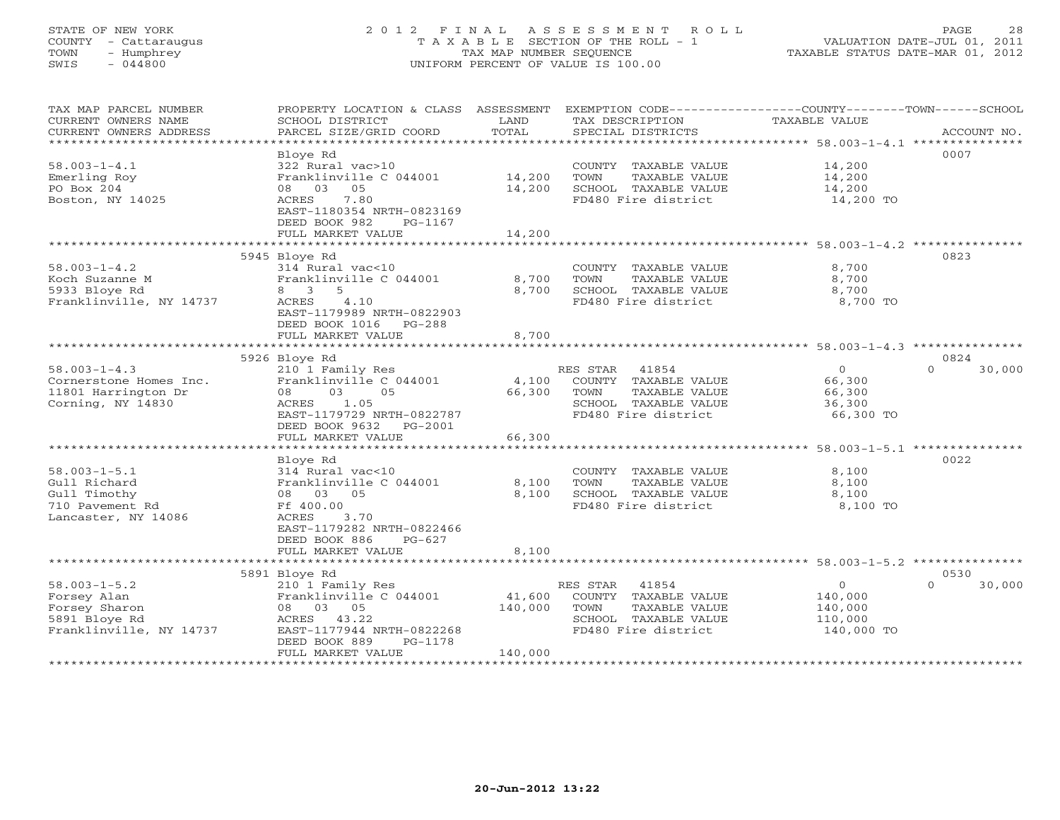# STATE OF NEW YORK 2 0 1 2 F I N A L A S S E S S M E N T R O L L PAGE 28 COUNTY - Cattaraugus T A X A B L E SECTION OF THE ROLL - 1 VALUATION DATE-JUL 01, 2011 TOWN - Humphrey TAX MAP NUMBER SEQUENCE TAXABLE STATUS DATE-MAR 01, 2012 SWIS - 044800 UNIFORM PERCENT OF VALUE IS 100.00UNIFORM PERCENT OF VALUE IS 100.00

| TAX MAP PARCEL NUMBER<br>CURRENT OWNERS NAME<br>CURRENT OWNERS ADDRESS<br>*********************** | PROPERTY LOCATION & CLASS ASSESSMENT<br>SCHOOL DISTRICT<br>PARCEL SIZE/GRID COORD | LAND<br>TOTAL     | TAX DESCRIPTION<br>SPECIAL DISTRICTS          | EXEMPTION CODE-----------------COUNTY-------TOWN------SCHOOL<br>TAXABLE VALUE<br>ACCOUNT NO. |        |
|---------------------------------------------------------------------------------------------------|-----------------------------------------------------------------------------------|-------------------|-----------------------------------------------|----------------------------------------------------------------------------------------------|--------|
| $58.003 - 1 - 4.1$                                                                                | Bloye Rd<br>322 Rural vac>10                                                      |                   | COUNTY TAXABLE VALUE                          | 0007<br>14,200                                                                               |        |
| Emerling Roy<br>PO Box 204                                                                        | Franklinville C 044001<br>08 03<br>05                                             | 14,200<br>14,200  | TOWN<br>TAXABLE VALUE<br>SCHOOL TAXABLE VALUE | 14,200<br>14,200                                                                             |        |
| Boston, NY 14025                                                                                  | 7.80<br>ACRES<br>EAST-1180354 NRTH-0823169<br>DEED BOOK 982<br>PG-1167            |                   | FD480 Fire district                           | 14,200 TO                                                                                    |        |
|                                                                                                   | FULL MARKET VALUE                                                                 | 14,200            |                                               |                                                                                              |        |
|                                                                                                   |                                                                                   | ************      |                                               | ******************************* 58.003-1-4.2 ***************                                 |        |
| $58.003 - 1 - 4.2$                                                                                | 5945 Bloye Rd<br>314 Rural vac<10                                                 |                   | COUNTY TAXABLE VALUE                          | 0823<br>8,700                                                                                |        |
| Koch Suzanne M                                                                                    | Franklinville C 044001                                                            | 8,700             | TOWN<br>TAXABLE VALUE                         | 8,700                                                                                        |        |
| 5933 Bloye Rd                                                                                     | 8 3<br>-5                                                                         | 8,700             | SCHOOL TAXABLE VALUE                          | 8,700                                                                                        |        |
| Franklinville, NY 14737                                                                           | 4.10<br>ACRES                                                                     |                   | FD480 Fire district                           | 8,700 TO                                                                                     |        |
|                                                                                                   | EAST-1179989 NRTH-0822903                                                         |                   |                                               |                                                                                              |        |
|                                                                                                   | DEED BOOK 1016<br>PG-288                                                          |                   |                                               |                                                                                              |        |
|                                                                                                   | FULL MARKET VALUE                                                                 | 8,700             |                                               |                                                                                              |        |
|                                                                                                   | ************************                                                          | *************     |                                               | ***************** 58.003-1-4.3 **********                                                    |        |
|                                                                                                   | 5926 Bloye Rd                                                                     |                   |                                               | 0824                                                                                         |        |
| $58.003 - 1 - 4.3$                                                                                | 210 1 Family Res                                                                  |                   | RES STAR 41854                                | $\mathbf{0}$<br>$\Omega$                                                                     | 30,000 |
| Cornerstone Homes Inc.                                                                            | Franklinville C 044001                                                            | 4,100             | COUNTY TAXABLE VALUE                          | 66,300                                                                                       |        |
| 11801 Harrington Dr                                                                               | 08<br>03<br>05                                                                    | 66,300            | TOWN<br>TAXABLE VALUE                         | 66,300                                                                                       |        |
| Corning, NY 14830                                                                                 | ACRES<br>1.05                                                                     |                   | SCHOOL TAXABLE VALUE                          | 36,300                                                                                       |        |
|                                                                                                   | EAST-1179729 NRTH-0822787<br>DEED BOOK 9632                                       |                   | FD480 Fire district                           | 66,300 TO                                                                                    |        |
|                                                                                                   | PG-2001<br>FULL MARKET VALUE                                                      | 66,300            |                                               |                                                                                              |        |
|                                                                                                   | *****************************                                                     | ************      |                                               | ***************** 58.003-1-5.1 ***************                                               |        |
|                                                                                                   | Bloye Rd                                                                          |                   |                                               | 0022                                                                                         |        |
| $58.003 - 1 - 5.1$                                                                                | 314 Rural vac<10                                                                  |                   | COUNTY TAXABLE VALUE                          | 8,100                                                                                        |        |
| Gull Richard                                                                                      | Franklinville C 044001                                                            | 8,100             | TOWN<br>TAXABLE VALUE                         | 8,100                                                                                        |        |
| Gull Timothy                                                                                      | 08 03 05                                                                          | 8,100             | SCHOOL TAXABLE VALUE                          | 8,100                                                                                        |        |
| 710 Pavement Rd                                                                                   | Ff 400.00                                                                         |                   | FD480 Fire district                           | 8,100 TO                                                                                     |        |
| Lancaster, NY 14086                                                                               | ACRES<br>3.70                                                                     |                   |                                               |                                                                                              |        |
|                                                                                                   | EAST-1179282 NRTH-0822466                                                         |                   |                                               |                                                                                              |        |
|                                                                                                   | DEED BOOK 886<br>$PG-627$                                                         |                   |                                               |                                                                                              |        |
|                                                                                                   | FULL MARKET VALUE                                                                 | 8,100             |                                               |                                                                                              |        |
|                                                                                                   |                                                                                   |                   |                                               |                                                                                              |        |
|                                                                                                   | 5891 Bloye Rd                                                                     |                   |                                               | 0530                                                                                         |        |
| $58.003 - 1 - 5.2$                                                                                | 210 1 Family Res                                                                  |                   | 41854<br>RES STAR<br>COUNTY TAXABLE VALUE     | $\Omega$<br>$\Omega$                                                                         | 30,000 |
| Forsey Alan                                                                                       | Franklinville C 044001<br>08 03 05                                                | 41,600<br>140,000 | TAXABLE VALUE<br>TOWN                         | 140,000<br>140,000                                                                           |        |
| Forsey Sharon<br>5891 Bloye Rd                                                                    | ACRES 43.22                                                                       |                   | SCHOOL TAXABLE VALUE                          | 110,000                                                                                      |        |
| Franklinville, NY 14737                                                                           | EAST-1177944 NRTH-0822268                                                         |                   | FD480 Fire district                           | 140,000 TO                                                                                   |        |
|                                                                                                   | DEED BOOK 889<br>PG-1178                                                          |                   |                                               |                                                                                              |        |
|                                                                                                   | FULL MARKET VALUE                                                                 | 140,000           |                                               |                                                                                              |        |
|                                                                                                   |                                                                                   |                   |                                               |                                                                                              |        |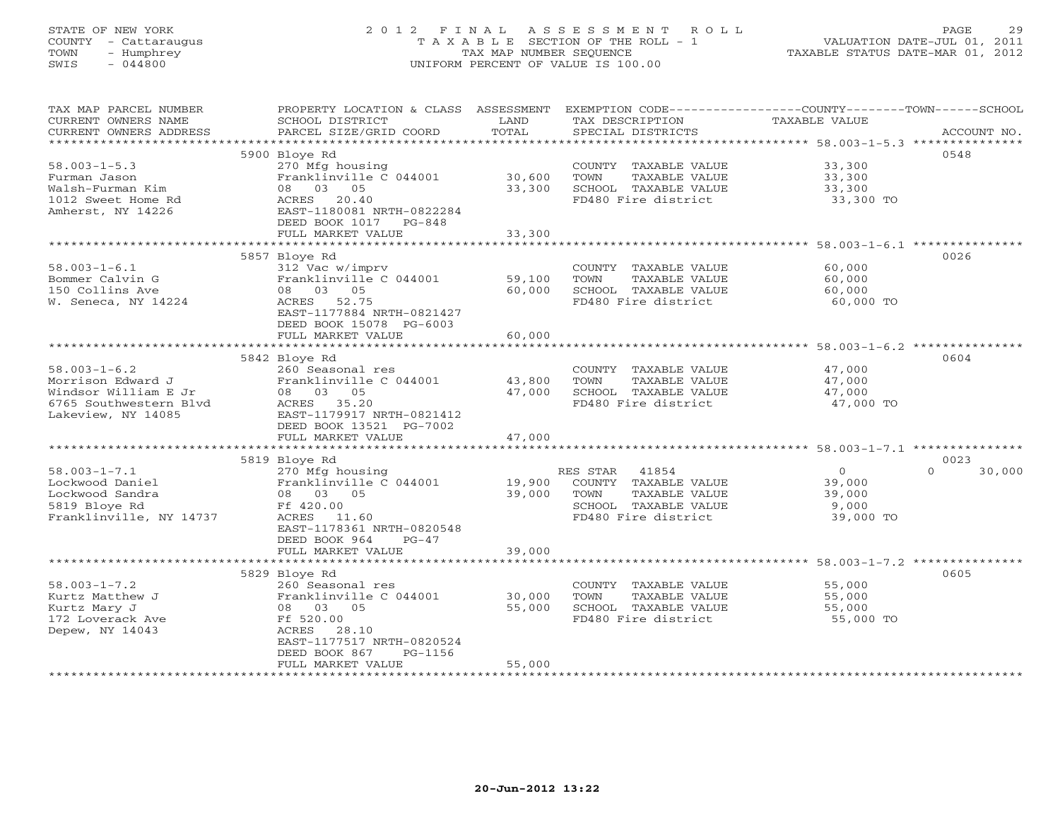# STATE OF NEW YORK 2 0 1 2 F I N A L A S S E S S M E N T R O L L PAGE 29 COUNTY - Cattaraugus T A X A B L E SECTION OF THE ROLL - 1 VALUATION DATE-JUL 01, 2011 TOWN - Humphrey TAX MAP NUMBER SEQUENCE TAXABLE STATUS DATE-MAR 01, 2012 SWIS - 044800 UNIFORM PERCENT OF VALUE IS 100.00UNIFORM PERCENT OF VALUE IS 100.00

| TAX MAP PARCEL NUMBER<br>CURRENT OWNERS NAME<br>CURRENT OWNERS ADDRESS | PROPERTY LOCATION & CLASS ASSESSMENT<br>SCHOOL DISTRICT<br>PARCEL SIZE/GRID COORD | LAND<br>TOTAL         | TAX DESCRIPTION<br>SPECIAL DISTRICTS                                  | EXEMPTION CODE----------------COUNTY-------TOWN-----SCHOOL<br><b>TAXABLE VALUE</b> | ACCOUNT NO. |
|------------------------------------------------------------------------|-----------------------------------------------------------------------------------|-----------------------|-----------------------------------------------------------------------|------------------------------------------------------------------------------------|-------------|
| ***********************                                                |                                                                                   |                       |                                                                       |                                                                                    |             |
|                                                                        | 5900 Bloye Rd                                                                     |                       |                                                                       | 0548                                                                               |             |
| $58.003 - 1 - 5.3$<br>Furman Jason<br>Walsh-Furman Kim                 | 270 Mfg housing<br>Franklinville C 044001<br>08 03<br>05                          | 30,600<br>33,300      | COUNTY TAXABLE VALUE<br>TOWN<br>TAXABLE VALUE<br>SCHOOL TAXABLE VALUE | 33,300<br>33,300<br>33,300                                                         |             |
| 1012 Sweet Home Rd<br>Amherst, NY 14226                                | ACRES<br>20.40<br>EAST-1180081 NRTH-0822284<br>DEED BOOK 1017<br>$PG-848$         |                       | FD480 Fire district                                                   | 33,300 TO                                                                          |             |
|                                                                        | FULL MARKET VALUE                                                                 | 33,300                |                                                                       |                                                                                    |             |
|                                                                        |                                                                                   |                       |                                                                       |                                                                                    |             |
| $58.003 - 1 - 6.1$                                                     | 5857 Bloye Rd                                                                     |                       |                                                                       | 0026                                                                               |             |
| Bommer Calvin G                                                        | 312 Vac w/imprv<br>Franklinville C 044001                                         | 59,100                | COUNTY TAXABLE VALUE<br>TOWN<br>TAXABLE VALUE                         | 60,000<br>60,000                                                                   |             |
| 150 Collins Ave                                                        | 08 03 05                                                                          | 60,000                | SCHOOL TAXABLE VALUE                                                  | 60,000                                                                             |             |
| W. Seneca, NY 14224                                                    | ACRES<br>52.75                                                                    |                       | FD480 Fire district                                                   | 60,000 TO                                                                          |             |
|                                                                        | EAST-1177884 NRTH-0821427<br>DEED BOOK 15078 PG-6003                              |                       |                                                                       |                                                                                    |             |
|                                                                        | FULL MARKET VALUE                                                                 | 60,000                |                                                                       |                                                                                    |             |
|                                                                        |                                                                                   |                       |                                                                       |                                                                                    |             |
|                                                                        | 5842 Bloye Rd                                                                     |                       |                                                                       | 0604                                                                               |             |
| $58.003 - 1 - 6.2$                                                     | 260 Seasonal res                                                                  |                       | COUNTY TAXABLE VALUE                                                  | 47,000                                                                             |             |
| Morrison Edward J                                                      | Franklinville C 044001                                                            | 43,800                | TOWN<br>TAXABLE VALUE                                                 | 47,000                                                                             |             |
| Windsor William E Jr                                                   | 08 03 05                                                                          | 47,000                | SCHOOL TAXABLE VALUE                                                  | 47,000                                                                             |             |
| 6765 Southwestern Blvd                                                 | ACRES 35.20                                                                       |                       | FD480 Fire district                                                   | 47,000 TO                                                                          |             |
| Lakeview, NY 14085                                                     | EAST-1179917 NRTH-0821412                                                         |                       |                                                                       |                                                                                    |             |
|                                                                        | DEED BOOK 13521 PG-7002<br>FULL MARKET VALUE                                      | 47,000                |                                                                       |                                                                                    |             |
|                                                                        | *******************                                                               | * * * * * * * * * * * |                                                                       | ********************** 58.003-1-7.1 **********                                     |             |
|                                                                        | 5819 Bloye Rd                                                                     |                       |                                                                       | 0023                                                                               |             |
| $58.003 - 1 - 7.1$                                                     | 270 Mfg housing                                                                   |                       | RES STAR<br>41854                                                     | $\Omega$<br>$\circ$                                                                | 30,000      |
| Lockwood Daniel                                                        | Franklinville C 044001                                                            | 19,900                | COUNTY TAXABLE VALUE                                                  | 39,000                                                                             |             |
| Lockwood Sandra                                                        | 08 03 05                                                                          | 39,000                | TOWN<br>TAXABLE VALUE                                                 | 39,000                                                                             |             |
| 5819 Bloye Rd                                                          | Ff 420.00                                                                         |                       | SCHOOL TAXABLE VALUE                                                  | 9,000                                                                              |             |
| Franklinville, NY 14737                                                | ACRES<br>11.60                                                                    |                       | FD480 Fire district                                                   | 39,000 TO                                                                          |             |
|                                                                        | EAST-1178361 NRTH-0820548                                                         |                       |                                                                       |                                                                                    |             |
|                                                                        | DEED BOOK 964<br>$PG-47$                                                          |                       |                                                                       |                                                                                    |             |
|                                                                        | FULL MARKET VALUE                                                                 | 39,000                |                                                                       |                                                                                    |             |
|                                                                        |                                                                                   |                       |                                                                       |                                                                                    |             |
|                                                                        | 5829 Bloye Rd                                                                     |                       |                                                                       | 0605                                                                               |             |
| $58.003 - 1 - 7.2$<br>Kurtz Matthew J                                  | 260 Seasonal res<br>Franklinville C 044001                                        | 30,000                | COUNTY TAXABLE VALUE<br>TOWN<br>TAXABLE VALUE                         | 55,000<br>55,000                                                                   |             |
| Kurtz Mary J                                                           | 08 03 05                                                                          | 55,000                | SCHOOL TAXABLE VALUE                                                  | 55,000                                                                             |             |
| 172 Loverack Ave                                                       | Ff 520.00                                                                         |                       | FD480 Fire district                                                   | 55,000 TO                                                                          |             |
| Depew, NY 14043                                                        | ACRES<br>28.10                                                                    |                       |                                                                       |                                                                                    |             |
|                                                                        | EAST-1177517 NRTH-0820524                                                         |                       |                                                                       |                                                                                    |             |
|                                                                        | DEED BOOK 867<br>PG-1156                                                          |                       |                                                                       |                                                                                    |             |
|                                                                        | FULL MARKET VALUE                                                                 | 55,000                |                                                                       |                                                                                    |             |
|                                                                        |                                                                                   |                       | *********************************                                     |                                                                                    |             |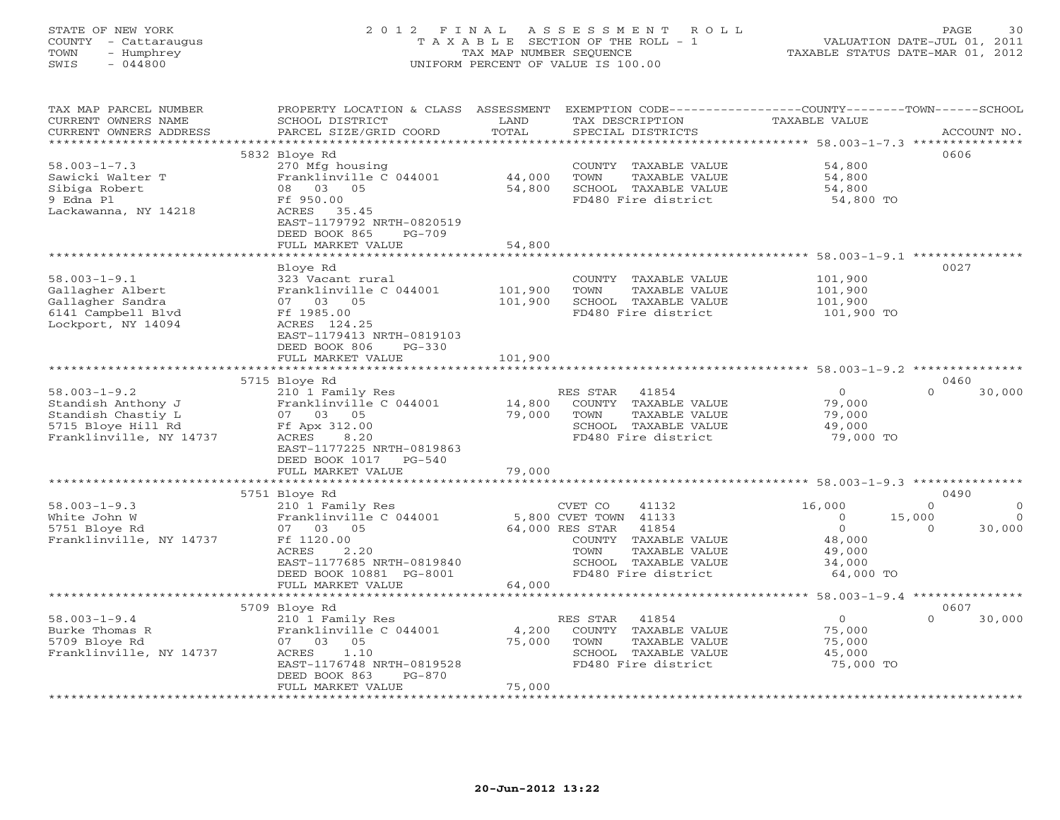# STATE OF NEW YORK 2 0 1 2 F I N A L A S S E S S M E N T R O L L PAGE 30 COUNTY - Cattaraugus T A X A B L E SECTION OF THE ROLL - 1 VALUATION DATE-JUL 01, 2011 TOWN - Humphrey TAX MAP NUMBER SEQUENCE TAXABLE STATUS DATE-MAR 01, 2012 SWIS - 044800 UNIFORM PERCENT OF VALUE IS 100.00UNIFORM PERCENT OF VALUE IS 100.00

| TAX MAP PARCEL NUMBER<br>CURRENT OWNERS NAME<br>CURRENT OWNERS ADDRESS                                          | PROPERTY LOCATION & CLASS<br>SCHOOL DISTRICT<br>PARCEL SIZE/GRID COORD                                                                                     | ASSESSMENT<br>LAND<br>TOTAL | EXEMPTION CODE-----------------COUNTY-------TOWN------SCHOOL<br>TAX DESCRIPTION<br>SPECIAL DISTRICTS                                                                     | <b>TAXABLE VALUE</b>                                                         | ACCOUNT NO.                                                     |
|-----------------------------------------------------------------------------------------------------------------|------------------------------------------------------------------------------------------------------------------------------------------------------------|-----------------------------|--------------------------------------------------------------------------------------------------------------------------------------------------------------------------|------------------------------------------------------------------------------|-----------------------------------------------------------------|
| ***********************                                                                                         |                                                                                                                                                            |                             |                                                                                                                                                                          |                                                                              |                                                                 |
|                                                                                                                 | 5832 Bloye Rd                                                                                                                                              |                             |                                                                                                                                                                          |                                                                              | 0606                                                            |
| $58.003 - 1 - 7.3$<br>Sawicki Walter T<br>Sibiga Robert<br>9 Edna Pl                                            | 270 Mfg housing<br>Franklinville C 044001<br>08 03 05<br>Ff 950.00                                                                                         | 44,000<br>54,800            | COUNTY TAXABLE VALUE<br>TOWN<br>TAXABLE VALUE<br>SCHOOL TAXABLE VALUE<br>FD480 Fire district                                                                             | 54,800<br>54,800<br>54,800<br>54,800 TO                                      |                                                                 |
| Lackawanna, NY 14218                                                                                            | ACRES 35.45<br>EAST-1179792 NRTH-0820519<br>DEED BOOK 865<br>$PG-709$<br>FULL MARKET VALUE                                                                 | 54,800                      |                                                                                                                                                                          |                                                                              |                                                                 |
|                                                                                                                 |                                                                                                                                                            |                             | ******************************** 58.003-1-9.1 ***************                                                                                                            |                                                                              |                                                                 |
| $58.003 - 1 - 9.1$<br>Gallagher Albert<br>Gallagher Sandra<br>6141 Campbell Blvd<br>Lockport, NY 14094          | Bloye Rd<br>323 Vacant rural<br>Franklinville C 044001<br>07 03 05<br>Ff 1985.00<br>ACRES 124.25<br>EAST-1179413 NRTH-0819103<br>DEED BOOK 806<br>$PG-330$ | 101,900<br>101,900          | COUNTY TAXABLE VALUE<br>TOWN<br>TAXABLE VALUE<br>SCHOOL TAXABLE VALUE<br>FD480 Fire district                                                                             | 101,900<br>101,900<br>101,900<br>101,900 TO                                  | 0027                                                            |
|                                                                                                                 | FULL MARKET VALUE                                                                                                                                          | 101,900                     | ***************************                                                                                                                                              | ***** 58.003-1-9.2 ********                                                  |                                                                 |
|                                                                                                                 | 5715 Bloye Rd                                                                                                                                              |                             |                                                                                                                                                                          |                                                                              | 0460                                                            |
| $58.003 - 1 - 9.2$<br>Standish Anthony J<br>Standish Chastiy L<br>5715 Bloye Hill Rd<br>Franklinville, NY 14737 | 210 1 Family Res<br>Franklinville C 044001<br>07 03 05<br>Ff Apx 312.00<br>ACRES<br>8.20<br>EAST-1177225 NRTH-0819863<br>DEED BOOK 1017<br>$PG-540$        | 14,800<br>79,000            | 41854<br>RES STAR<br>COUNTY TAXABLE VALUE<br>TOWN<br>TAXABLE VALUE<br>SCHOOL TAXABLE VALUE<br>FD480 Fire district                                                        | $\Omega$<br>79,000<br>79,000<br>49,000<br>79,000 TO                          | $\Omega$<br>30,000                                              |
|                                                                                                                 | FULL MARKET VALUE                                                                                                                                          | 79,000                      |                                                                                                                                                                          |                                                                              |                                                                 |
|                                                                                                                 | 5751 Bloye Rd                                                                                                                                              |                             |                                                                                                                                                                          |                                                                              | 0490                                                            |
| $58.003 - 1 - 9.3$<br>White John W<br>5751 Bloye Rd<br>Franklinville, NY 14737                                  | 210 1 Family Res<br>Franklinville C 044001<br>07 03<br>05<br>Ff 1120.00<br>ACRES<br>2.20<br>EAST-1177685 NRTH-0819840<br>DEED BOOK 10881 PG-8001           |                             | CVET CO<br>41132<br>5,800 CVET TOWN 41133<br>64,000 RES STAR<br>41854<br>COUNTY<br>TAXABLE VALUE<br>TAXABLE VALUE<br>TOWN<br>SCHOOL TAXABLE VALUE<br>FD480 Fire district | 16,000<br>$\circ$<br>$\mathbf{O}$<br>48,000<br>49,000<br>34,000<br>64,000 TO | $\Omega$<br>$\circ$<br>15,000<br>$\Omega$<br>30,000<br>$\Omega$ |
|                                                                                                                 | FULL MARKET VALUE<br>******************                                                                                                                    | 64,000                      |                                                                                                                                                                          |                                                                              |                                                                 |
|                                                                                                                 | 5709 Bloye Rd                                                                                                                                              |                             |                                                                                                                                                                          |                                                                              | 0607                                                            |
| $58.003 - 1 - 9.4$<br>Burke Thomas R<br>5709 Bloye Rd<br>Franklinville, NY 14737                                | 210 1 Family Res<br>Franklinville C 044001<br>07 03<br>05<br>1.10<br>ACRES<br>EAST-1176748 NRTH-0819528<br>DEED BOOK 863<br>$PG-870$<br>FULL MARKET VALUE  | 4,200<br>75,000<br>75,000   | RES STAR<br>41854<br>COUNTY TAXABLE VALUE<br>TOWN<br>TAXABLE VALUE<br>SCHOOL TAXABLE VALUE<br>FD480 Fire district                                                        | $\circ$<br>75,000<br>75,000<br>45,000<br>75,000 TO                           | $\Omega$<br>30,000                                              |
|                                                                                                                 |                                                                                                                                                            |                             |                                                                                                                                                                          |                                                                              |                                                                 |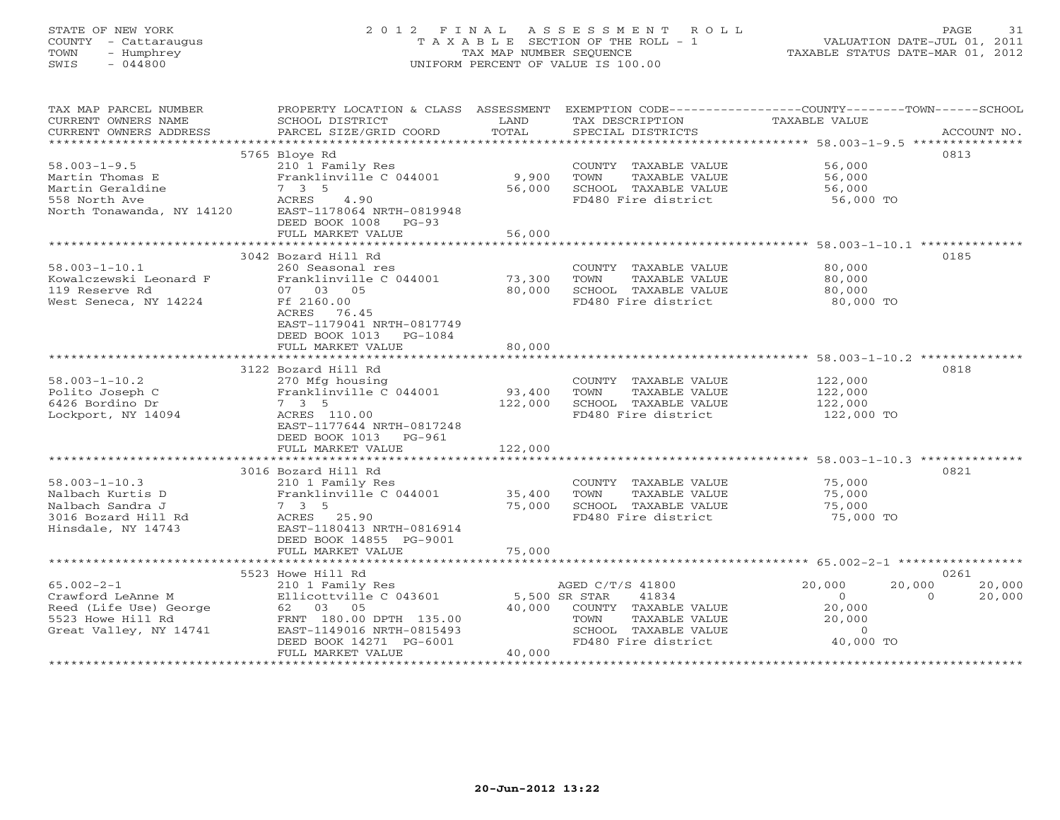# STATE OF NEW YORK 2 0 1 2 F I N A L A S S E S S M E N T R O L L PAGE 31 COUNTY - Cattaraugus T A X A B L E SECTION OF THE ROLL - 1 VALUATION DATE-JUL 01, 2011 TOWN - Humphrey TAX MAP NUMBER SEQUENCE TAXABLE STATUS DATE-MAR 01, 2012 SWIS - 044800 UNIFORM PERCENT OF VALUE IS 100.00UNIFORM PERCENT OF VALUE IS 100.00

| TAX MAP PARCEL NUMBER<br>CURRENT OWNERS NAME<br>CURRENT OWNERS ADDRESS | PROPERTY LOCATION & CLASS ASSESSMENT<br>SCHOOL DISTRICT<br>PARCEL SIZE/GRID COORD | LAND<br>TOTAL | EXEMPTION CODE-----------------COUNTY-------TOWN------SCHOOL<br>TAX DESCRIPTION<br>SPECIAL DISTRICTS | <b>TAXABLE VALUE</b> | ACCOUNT NO.        |
|------------------------------------------------------------------------|-----------------------------------------------------------------------------------|---------------|------------------------------------------------------------------------------------------------------|----------------------|--------------------|
| ***********************                                                |                                                                                   |               |                                                                                                      |                      |                    |
|                                                                        | 5765 Bloye Rd                                                                     |               |                                                                                                      |                      | 0813               |
| $58.003 - 1 - 9.5$                                                     | 210 1 Family Res                                                                  |               | COUNTY TAXABLE VALUE                                                                                 | 56,000               |                    |
| Martin Thomas E                                                        | Franklinville C 044001                                                            | 9,900         | TOWN<br>TAXABLE VALUE                                                                                | 56,000               |                    |
| Martin Geraldine                                                       | 7 3 5                                                                             | 56,000        | SCHOOL TAXABLE VALUE                                                                                 | 56,000               |                    |
| 558 North Ave<br>North Tonawanda, NY 14120                             | ACRES<br>4.90<br>EAST-1178064 NRTH-0819948                                        |               | FD480 Fire district                                                                                  | 56,000 TO            |                    |
|                                                                        | DEED BOOK 1008 PG-93                                                              |               |                                                                                                      |                      |                    |
|                                                                        | FULL MARKET VALUE                                                                 | 56,000        |                                                                                                      |                      |                    |
|                                                                        | *******************************                                                   | ************  |                                                                                                      |                      |                    |
|                                                                        | 3042 Bozard Hill Rd                                                               |               |                                                                                                      |                      | 0185               |
| $58.003 - 1 - 10.1$                                                    | 260 Seasonal res                                                                  |               | COUNTY TAXABLE VALUE                                                                                 | 80,000               |                    |
| Kowalczewski Leonard F                                                 | Franklinville C 044001                                                            | 73,300        | TOWN<br>TAXABLE VALUE                                                                                | 80,000               |                    |
| 119 Reserve Rd                                                         | 07 03 05                                                                          | 80,000        | SCHOOL TAXABLE VALUE                                                                                 | 80,000               |                    |
| West Seneca, NY 14224                                                  | Ff 2160.00<br>ACRES 76.45                                                         |               | FD480 Fire district                                                                                  | 80,000 TO            |                    |
|                                                                        | EAST-1179041 NRTH-0817749                                                         |               |                                                                                                      |                      |                    |
|                                                                        | DEED BOOK 1013<br>PG-1084                                                         |               |                                                                                                      |                      |                    |
|                                                                        | FULL MARKET VALUE                                                                 | 80,000        |                                                                                                      |                      |                    |
|                                                                        |                                                                                   |               |                                                                                                      |                      |                    |
|                                                                        | 3122 Bozard Hill Rd                                                               |               |                                                                                                      |                      | 0818               |
| $58.003 - 1 - 10.2$                                                    | 270 Mfg housing                                                                   |               | COUNTY TAXABLE VALUE                                                                                 | 122,000              |                    |
| Polito Joseph C                                                        | Franklinville C 044001                                                            | 93,400        | TAXABLE VALUE<br>TOWN                                                                                | 122,000              |                    |
| 6426 Bordino Dr                                                        | $7 \quad 3 \quad 5$                                                               | 122,000       | SCHOOL TAXABLE VALUE<br>FD480 Fire district                                                          | 122,000              |                    |
| Lockport, NY 14094                                                     | ACRES 110.00<br>EAST-1177644 NRTH-0817248                                         |               |                                                                                                      | 122,000 TO           |                    |
|                                                                        | DEED BOOK 1013 PG-961                                                             |               |                                                                                                      |                      |                    |
|                                                                        | FULL MARKET VALUE                                                                 | 122,000       |                                                                                                      |                      |                    |
|                                                                        |                                                                                   |               |                                                                                                      |                      |                    |
|                                                                        | 3016 Bozard Hill Rd                                                               |               |                                                                                                      |                      | 0821               |
| $58.003 - 1 - 10.3$                                                    | 210 1 Family Res                                                                  |               | COUNTY TAXABLE VALUE                                                                                 | 75,000               |                    |
| Nalbach Kurtis D                                                       | Franklinville C 044001                                                            | 35,400        | TOWN<br>TAXABLE VALUE                                                                                | 75,000               |                    |
| Nalbach Sandra J                                                       | $7 \quad 3 \quad 5$<br>ACRES 25.90                                                | 75,000        | SCHOOL TAXABLE VALUE<br>FD480 Fire district                                                          | 75,000<br>75,000 TO  |                    |
| 3016 Bozard Hill Rd<br>Hinsdale, NY 14743                              | EAST-1180413 NRTH-0816914                                                         |               |                                                                                                      |                      |                    |
|                                                                        | DEED BOOK 14855 PG-9001                                                           |               |                                                                                                      |                      |                    |
|                                                                        | FULL MARKET VALUE                                                                 | 75,000        |                                                                                                      |                      |                    |
|                                                                        |                                                                                   |               |                                                                                                      |                      |                    |
|                                                                        | 5523 Howe Hill Rd                                                                 |               |                                                                                                      |                      | 0261               |
| $65.002 - 2 - 1$                                                       | 210 1 Family Res                                                                  |               | AGED C/T/S 41800                                                                                     | 20,000               | 20,000<br>20,000   |
| Crawford LeAnne M                                                      | Ellicottville C 043601                                                            |               | 41834<br>5,500 SR STAR                                                                               | $\overline{0}$       | 20,000<br>$\Omega$ |
| Reed (Life Use) George                                                 | 62 03 05                                                                          | 40,000        | COUNTY TAXABLE VALUE                                                                                 | 20,000               |                    |
| 5523 Howe Hill Rd<br>Great Valley, NY 14741                            | FRNT 180.00 DPTH 135.00<br>EAST-1149016 NRTH-0815493                              |               | TAXABLE VALUE<br>TOWN<br>SCHOOL TAXABLE VALUE                                                        | 20,000<br>$\circ$    |                    |
|                                                                        | DEED BOOK 14271 PG-6001                                                           |               | FD480 Fire district                                                                                  | 40,000 TO            |                    |
|                                                                        | FULL MARKET VALUE                                                                 | 40,000        |                                                                                                      |                      |                    |
| *******************                                                    |                                                                                   |               |                                                                                                      |                      |                    |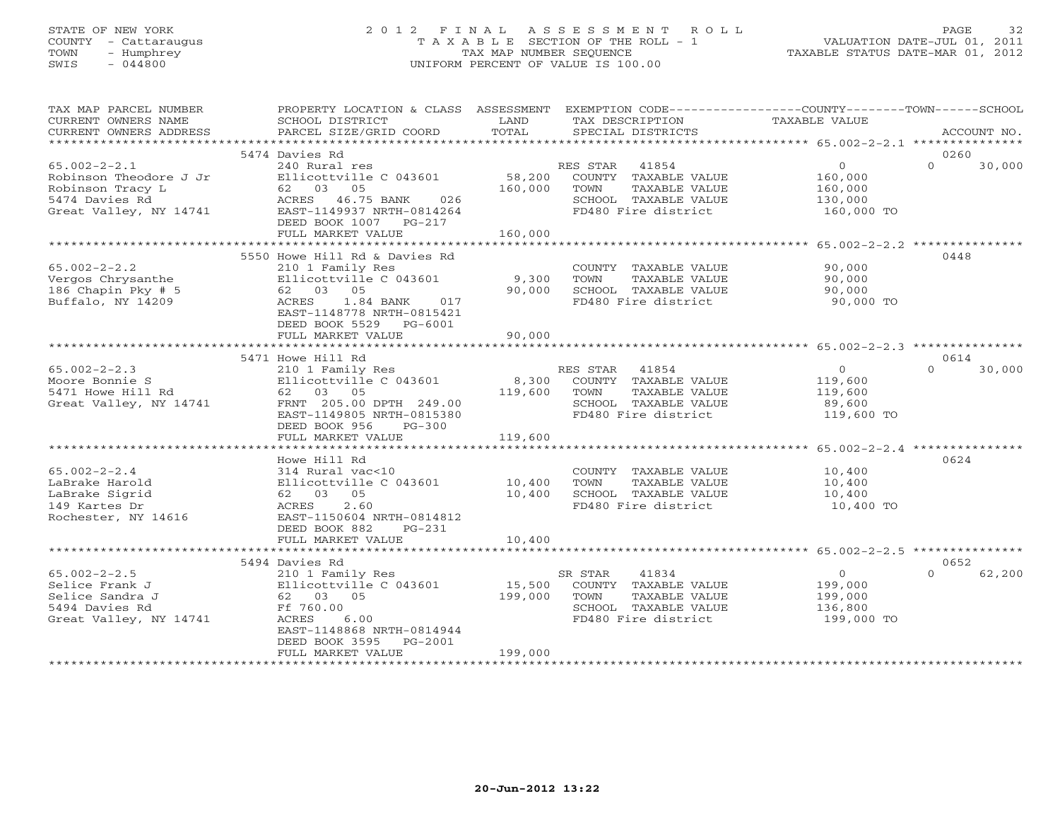# STATE OF NEW YORK 2 0 1 2 F I N A L A S S E S S M E N T R O L L PAGE 32 COUNTY - Cattaraugus T A X A B L E SECTION OF THE ROLL - 1 VALUATION DATE-JUL 01, 2011 TOWN - Humphrey TAX MAP NUMBER SEQUENCE TAXABLE STATUS DATE-MAR 01, 2012 SWIS - 044800 UNIFORM PERCENT OF VALUE IS 100.00UNIFORM PERCENT OF VALUE IS 100.00

| TAX MAP PARCEL NUMBER                         | PROPERTY LOCATION & CLASS ASSESSMENT EXEMPTION CODE----------------COUNTY-------TOWN------SCHOOL | LAND            |                                               | TAXABLE VALUE       |          |             |
|-----------------------------------------------|--------------------------------------------------------------------------------------------------|-----------------|-----------------------------------------------|---------------------|----------|-------------|
| CURRENT OWNERS NAME<br>CURRENT OWNERS ADDRESS | SCHOOL DISTRICT<br>PARCEL SIZE/GRID COORD                                                        | TOTAL           | TAX DESCRIPTION<br>SPECIAL DISTRICTS          |                     |          | ACCOUNT NO. |
|                                               |                                                                                                  |                 |                                               |                     |          |             |
|                                               | 5474 Davies Rd                                                                                   |                 |                                               |                     | 0260     |             |
| $65.002 - 2 - 2.1$                            | 240 Rural res                                                                                    |                 | RES STAR 41854                                | $\overline{O}$      | $\Omega$ | 30,000      |
| Robinson Theodore J Jr                        | Ellicottville C 043601                                                                           | 58,200          | COUNTY TAXABLE VALUE                          | 160,000             |          |             |
| Robinson Tracy L                              | 62 03 05                                                                                         | 160,000         | TOWN<br>TAXABLE VALUE                         | 160,000             |          |             |
| 5474 Davies Rd                                | ACRES 46.75 BANK 026                                                                             |                 | SCHOOL TAXABLE VALUE                          | 130,000             |          |             |
| Great Valley, NY 14741                        | EAST-1149937 NRTH-0814264                                                                        |                 | FD480 Fire district                           | 160,000 TO          |          |             |
|                                               | DEED BOOK 1007 PG-217                                                                            |                 |                                               |                     |          |             |
|                                               | FULL MARKET VALUE                                                                                | 160,000         |                                               |                     |          |             |
|                                               |                                                                                                  |                 |                                               |                     |          |             |
|                                               | 5550 Howe Hill Rd & Davies Rd                                                                    |                 |                                               |                     | 0448     |             |
| $65.002 - 2 - 2.2$                            | 210 1 Family Res                                                                                 |                 | COUNTY TAXABLE VALUE                          | 90,000              |          |             |
| Vergos Chrysanthe<br>186 Chapin Pky $# 5$     | Ellicottville C 043601<br>62 03 05                                                               | 9,300<br>90,000 | TOWN<br>TAXABLE VALUE<br>SCHOOL TAXABLE VALUE | 90,000              |          |             |
| Buffalo, NY 14209                             | ACRES<br>1.84 BANK<br>017                                                                        |                 | FD480 Fire district                           | 90,000<br>90,000 TO |          |             |
|                                               | EAST-1148778 NRTH-0815421                                                                        |                 |                                               |                     |          |             |
|                                               | DEED BOOK 5529 PG-6001                                                                           |                 |                                               |                     |          |             |
|                                               | FULL MARKET VALUE                                                                                | 90,000          |                                               |                     |          |             |
|                                               |                                                                                                  |                 |                                               |                     |          |             |
|                                               | 5471 Howe Hill Rd                                                                                |                 |                                               |                     | 0614     |             |
| $65.002 - 2 - 2.3$                            | 210 1 Family Res                                                                                 |                 | RES STAR 41854                                | $\overline{O}$      | $\Omega$ | 30,000      |
| Moore Bonnie S                                | Ellicottville C 043601                                                                           |                 | 8,300 COUNTY TAXABLE VALUE                    | 119,600             |          |             |
| 5471 Howe Hill Rd                             | Ellicottville<br>62 03 05                                                                        | 119,600         | TOWN<br>TAXABLE VALUE                         | 119,600             |          |             |
| Great Valley, NY 14741                        | FRNT 205.00 DPTH 249.00                                                                          |                 | SCHOOL TAXABLE VALUE                          | 89,600              |          |             |
|                                               | EAST-1149805 NRTH-0815380                                                                        |                 | FD480 Fire district                           | 119,600 TO          |          |             |
|                                               | DEED BOOK 956<br>$PG-300$                                                                        |                 |                                               |                     |          |             |
|                                               | FULL MARKET VALUE                                                                                | 119,600         |                                               |                     |          |             |
|                                               |                                                                                                  |                 |                                               |                     |          |             |
|                                               | Howe Hill Rd                                                                                     |                 |                                               |                     | 0624     |             |
| $65.002 - 2 - 2.4$                            | 314 Rural vac<10                                                                                 |                 | COUNTY TAXABLE VALUE                          | 10,400              |          |             |
| LaBrake Harold<br>LaBrake Sigrid              | Ellicottville $C$ 043601 $10,400$<br>62 03 05                                                    | 10,400          | TOWN<br>TAXABLE VALUE<br>SCHOOL TAXABLE VALUE | 10,400              |          |             |
| 149 Kartes Dr                                 | 2.60<br>ACRES                                                                                    |                 | FD480 Fire district                           | 10,400<br>10,400 TO |          |             |
| Rochester, NY 14616                           | EAST-1150604 NRTH-0814812                                                                        |                 |                                               |                     |          |             |
|                                               | DEED BOOK 882<br>$PG-231$                                                                        |                 |                                               |                     |          |             |
|                                               | FULL MARKET VALUE                                                                                | 10,400          |                                               |                     |          |             |
|                                               |                                                                                                  |                 |                                               |                     |          |             |
|                                               | 5494 Davies Rd                                                                                   |                 |                                               |                     | 0652     |             |
| $65.002 - 2 - 2.5$                            | 210 1 Family Res                                                                                 |                 | SR STAR<br>41834                              | $\overline{0}$      | $\cap$   | 62,200      |
| Selice Frank J                                | Ellicottville C 043601                                                                           |                 | 15,500 COUNTY TAXABLE VALUE                   | 199,000             |          |             |
| Selice Sandra J                               | 62 03 05                                                                                         | 199,000         | TAXABLE VALUE<br>TOWN                         | 199,000             |          |             |
| 5494 Davies Rd                                | Ff 760.00                                                                                        |                 | SCHOOL TAXABLE VALUE                          | 136,800             |          |             |
| Great Valley, NY 14741                        | ACRES<br>6.00                                                                                    |                 | FD480 Fire district                           | 199,000 TO          |          |             |
|                                               | EAST-1148868 NRTH-0814944                                                                        |                 |                                               |                     |          |             |
|                                               | DEED BOOK 3595<br>PG-2001                                                                        | 199,000         |                                               |                     |          |             |
|                                               | FULL MARKET VALUE                                                                                |                 |                                               |                     |          |             |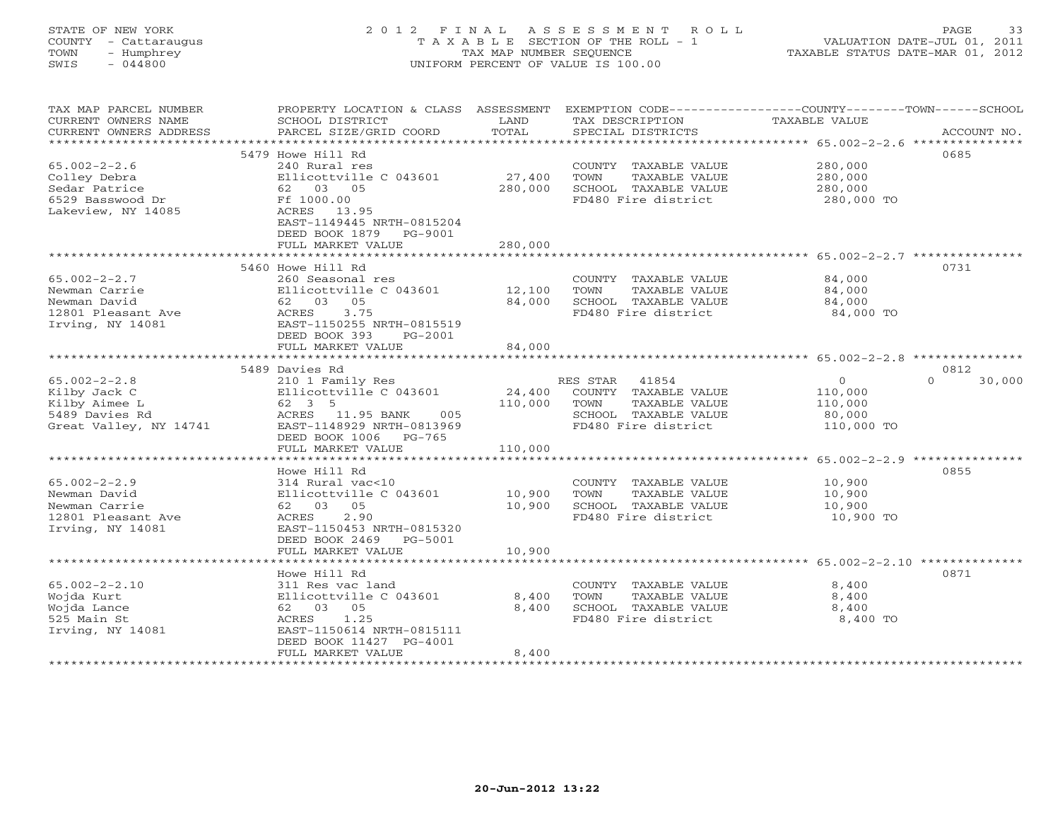# STATE OF NEW YORK 2 0 1 2 F I N A L A S S E S S M E N T R O L L PAGE 33 COUNTY - Cattaraugus T A X A B L E SECTION OF THE ROLL - 1 VALUATION DATE-JUL 01, 2011 TOWN - Humphrey TAX MAP NUMBER SEQUENCE TAXABLE STATUS DATE-MAR 01, 2012 SWIS - 044800 UNIFORM PERCENT OF VALUE IS 100.00UNIFORM PERCENT OF VALUE IS 100.00

| TAX MAP PARCEL NUMBER<br>CURRENT OWNERS NAME   | PROPERTY LOCATION & CLASS ASSESSMENT<br>SCHOOL DISTRICT | LAND<br>TOTAL | TAX DESCRIPTION       | EXEMPTION CODE----------------COUNTY-------TOWN-----SCHOOL<br>TAXABLE VALUE |
|------------------------------------------------|---------------------------------------------------------|---------------|-----------------------|-----------------------------------------------------------------------------|
| CURRENT OWNERS ADDRESS<br>******************** | PARCEL SIZE/GRID COORD                                  |               | SPECIAL DISTRICTS     | ACCOUNT NO.                                                                 |
|                                                | 5479 Howe Hill Rd                                       |               |                       | 0685                                                                        |
| $65.002 - 2 - 2.6$                             | 240 Rural res                                           |               | COUNTY TAXABLE VALUE  | 280,000                                                                     |
| Colley Debra                                   | Ellicottville C 043601                                  | 27,400        | TOWN<br>TAXABLE VALUE | 280,000                                                                     |
| Sedar Patrice                                  | 62 03 05                                                | 280,000       | SCHOOL TAXABLE VALUE  | 280,000                                                                     |
| 6529 Basswood Dr                               | Ff 1000.00                                              |               | FD480 Fire district   | 280,000 TO                                                                  |
| Lakeview, NY 14085                             | ACRES<br>13.95                                          |               |                       |                                                                             |
|                                                | EAST-1149445 NRTH-0815204                               |               |                       |                                                                             |
|                                                | DEED BOOK 1879<br>PG-9001                               |               |                       |                                                                             |
|                                                | FULL MARKET VALUE                                       | 280,000       |                       |                                                                             |
|                                                |                                                         |               |                       |                                                                             |
|                                                | 5460 Howe Hill Rd                                       |               |                       | 0731                                                                        |
| $65.002 - 2 - 2.7$                             | 260 Seasonal res                                        |               | COUNTY TAXABLE VALUE  | 84,000                                                                      |
| Newman Carrie                                  | Ellicottville C 043601                                  | 12,100        | TOWN<br>TAXABLE VALUE | 84,000                                                                      |
| Newman David                                   | 62 03 05                                                | 84,000        | SCHOOL TAXABLE VALUE  | 84,000                                                                      |
| 12801 Pleasant Ave                             | 3.75<br>ACRES                                           |               | FD480 Fire district   | 84,000 TO                                                                   |
| Irving, NY 14081                               | EAST-1150255 NRTH-0815519                               |               |                       |                                                                             |
|                                                | DEED BOOK 393<br>PG-2001                                | 84,000        |                       |                                                                             |
|                                                | FULL MARKET VALUE                                       |               |                       |                                                                             |
|                                                | 5489 Davies Rd                                          |               |                       | 0812                                                                        |
| $65.002 - 2 - 2.8$                             | 210 1 Family Res                                        |               | RES STAR<br>41854     | $\Omega$<br>$\Omega$<br>30,000                                              |
| Kilby Jack C                                   | Ellicottville C 043601                                  | 24,400        | COUNTY TAXABLE VALUE  | 110,000                                                                     |
| Kilby Aimee L                                  | 62 3 5                                                  | 110,000       | TAXABLE VALUE<br>TOWN | 110,000                                                                     |
| 5489 Davies Rd                                 | ACRES 11.95 BANK<br>005                                 |               | SCHOOL TAXABLE VALUE  | 80,000                                                                      |
| Great Valley, NY 14741                         | EAST-1148929 NRTH-0813969                               |               | FD480 Fire district   | 110,000 TO                                                                  |
|                                                | DEED BOOK 1006<br>$PG-765$                              |               |                       |                                                                             |
|                                                | FULL MARKET VALUE                                       | 110,000       |                       |                                                                             |
|                                                |                                                         |               |                       |                                                                             |
|                                                | Howe Hill Rd                                            |               |                       | 0855                                                                        |
| $65.002 - 2 - 2.9$                             | 314 Rural vac<10                                        |               | COUNTY TAXABLE VALUE  | 10,900                                                                      |
| Newman David                                   | Ellicottville C 043601                                  | 10,900        | TOWN<br>TAXABLE VALUE | 10,900                                                                      |
| Newman Carrie                                  | 62 03<br>05                                             | 10,900        | SCHOOL TAXABLE VALUE  | 10,900                                                                      |
| 12801 Pleasant Ave                             | 2.90<br>ACRES                                           |               | FD480 Fire district   | 10,900 TO                                                                   |
| Irving, NY 14081                               | EAST-1150453 NRTH-0815320<br>DEED BOOK 2469<br>PG-5001  |               |                       |                                                                             |
|                                                | FULL MARKET VALUE                                       | 10,900        |                       |                                                                             |
|                                                |                                                         |               |                       |                                                                             |
|                                                | Howe Hill Rd                                            |               |                       | 0871                                                                        |
| $65.002 - 2 - 2.10$                            | 311 Res vac land                                        |               | COUNTY TAXABLE VALUE  | 8,400                                                                       |
| Wojda Kurt                                     | Ellicottville C 043601                                  | 8,400         | TOWN<br>TAXABLE VALUE | 8,400                                                                       |
| Wojda Lance                                    | 62 03<br>05                                             | 8,400         | SCHOOL TAXABLE VALUE  | 8,400                                                                       |
| 525 Main St                                    | ACRES<br>1.25                                           |               | FD480 Fire district   | 8,400 TO                                                                    |
| Irving, NY 14081                               | EAST-1150614 NRTH-0815111                               |               |                       |                                                                             |
|                                                | DEED BOOK 11427 PG-4001                                 |               |                       |                                                                             |
|                                                | FULL MARKET VALUE                                       | 8,400         |                       |                                                                             |
|                                                |                                                         |               |                       |                                                                             |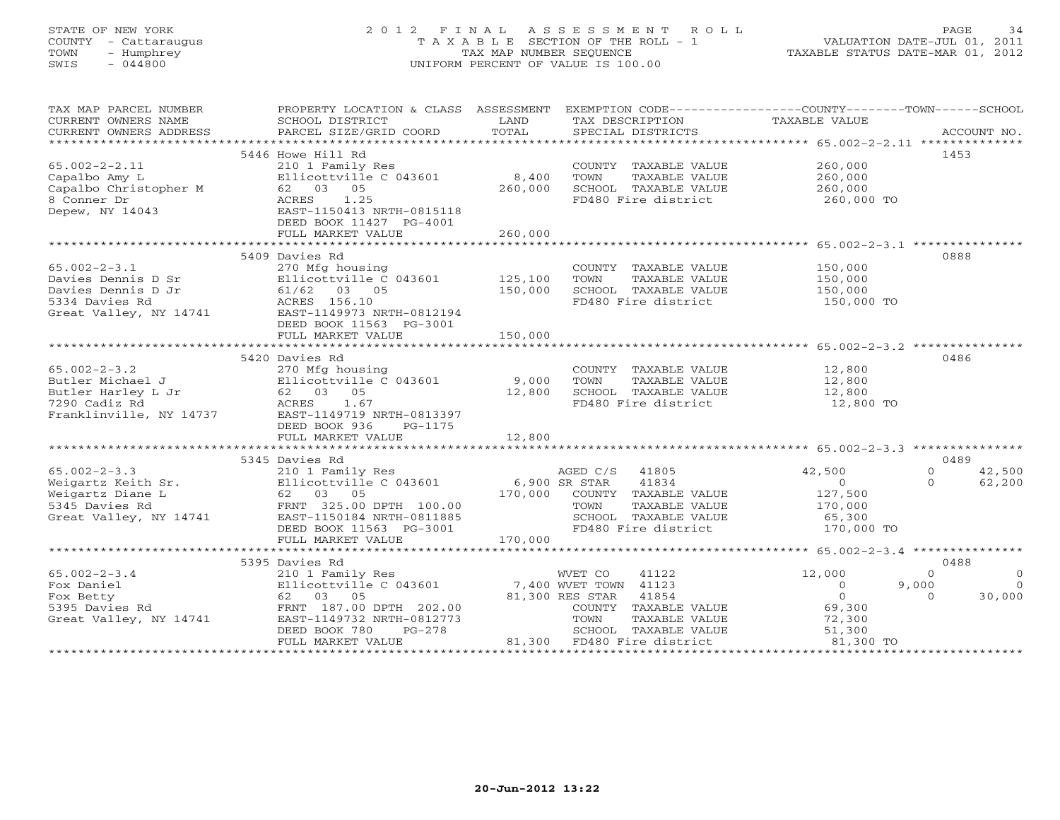# STATE OF NEW YORK 2 0 1 2 F I N A L A S S E S S M E N T R O L L PAGE 34 COUNTY - Cattaraugus T A X A B L E SECTION OF THE ROLL - 1 VALUATION DATE-JUL 01, 2011 TOWN - Humphrey TAX MAP NUMBER SEQUENCE TAXABLE STATUS DATE-MAR 01, 2012 SWIS - 044800 UNIFORM PERCENT OF VALUE IS 100.00UNIFORM PERCENT OF VALUE IS 100.00

| 5446 Howe Hill Rd<br>1453                                                                                                                                                                                                                                                |            |
|--------------------------------------------------------------------------------------------------------------------------------------------------------------------------------------------------------------------------------------------------------------------------|------------|
| COUNTY TAXABLE VALUE 260,000<br>$65.002 - 2 - 2.11$<br>210 1 Family Res                                                                                                                                                                                                  |            |
| Ellicottville C 043601<br>8,400<br>260,000<br>TOWN<br>TAXABLE VALUE                                                                                                                                                                                                      |            |
| 62 03 05<br>260,000<br>260,000<br>SCHOOL TAXABLE VALUE                                                                                                                                                                                                                   |            |
| Capalbo Amy L<br>Capalbo Christopher M<br>8 Conner Dr<br>FD480 Fire district 260,000 TO<br>ACRES<br>1.25                                                                                                                                                                 |            |
| Depew, NY 14043<br>EAST-1150413 NRTH-0815118                                                                                                                                                                                                                             |            |
| DEED BOOK 11427 PG-4001                                                                                                                                                                                                                                                  |            |
| FULL MARKET VALUE<br>260,000                                                                                                                                                                                                                                             |            |
| 0888<br>5409 Davies Rd                                                                                                                                                                                                                                                   |            |
| $65.002 - 2 - 3.1$<br>270 Mfg housing<br>COUNTY TAXABLE VALUE 150,000                                                                                                                                                                                                    |            |
| 270 Mfg housing<br>Ellicottville C 043601             125,100<br>TOWN<br>TAXABLE VALUE<br>150,000                                                                                                                                                                        |            |
| 150,000<br>SCHOOL TAXABLE VALUE                                                                                                                                                                                                                                          |            |
| 150,000<br>FD480 Fire district<br>150,000 TO                                                                                                                                                                                                                             |            |
| 65.002-2-3.1 270 Mfg housing<br>Davies Dennis D Sr Ellicottville C 043601<br>Davies Dennis D Jr 61/62 03 05<br>5334 Davies Rd ACRES 156.10<br>Great Valley, NY 14741 EAST-1149973 NRTH-0812194                                                                           |            |
| DEED BOOK 11563 PG-3001                                                                                                                                                                                                                                                  |            |
| 150,000<br>FULL MARKET VALUE                                                                                                                                                                                                                                             |            |
|                                                                                                                                                                                                                                                                          |            |
| 5420 Davies Rd<br>0486                                                                                                                                                                                                                                                   |            |
| $65.002 - 2 - 3.2$<br>270 Mfg housing<br>COUNTY TAXABLE VALUE<br>TOWN     TAXABLE VALUE<br>12,800<br>12,800                                                                                                                                                              |            |
|                                                                                                                                                                                                                                                                          |            |
| SCHOOL TAXABLE VALUE 12,800<br>FD480 Fire district 12,800 TO                                                                                                                                                                                                             |            |
|                                                                                                                                                                                                                                                                          |            |
| Franklinville, NY 14737 EAST-1149719 NRTH-0813397                                                                                                                                                                                                                        |            |
| DEED BOOK 936<br>PG-1175                                                                                                                                                                                                                                                 |            |
| 12,800<br>FULL MARKET VALUE                                                                                                                                                                                                                                              |            |
| 5345 Davies Rd<br>0489                                                                                                                                                                                                                                                   |            |
| 210 1 Family Res<br>Ellicottville C 043601 6,900 SR STAR 41834<br>AGED C/S 41805<br>42,500<br>$\circ$<br>42,500                                                                                                                                                          |            |
| $\Omega$<br>62,200                                                                                                                                                                                                                                                       |            |
| $\begin{array}{c}0\\127.500\end{array}$<br>170,000 COUNTY TAXABLE VALUE<br>127,500                                                                                                                                                                                       |            |
| 170,000<br>TOWN<br>TAXABLE VALUE                                                                                                                                                                                                                                         |            |
| 65.002-2-3.3<br>Weigartz Keith Sr.<br>Weigartz Diane L<br>5345 Davies Rd<br>Great Valley, NY 14741<br>FRNT 325.00 DPTH 100.00<br>ERST-1156184 NRTH-0811885<br>REST-11563 PG-3001<br>REST-11563 PG-3001<br>FRNT 325.00 DPTH 100.00<br>EAST-1150184 NRTH-0811885           |            |
| SCHOOL TAXABLE VALUE 65,300<br>FD480 Fire district 170,000 TO                                                                                                                                                                                                            |            |
| DEED BOOK 11563 PG-3001<br>FULL MARKET VALUE 170,000                                                                                                                                                                                                                     |            |
|                                                                                                                                                                                                                                                                          |            |
| 5395 Davies Rd<br>0488                                                                                                                                                                                                                                                   |            |
| $65.002 - 2 - 3.4$<br>12,000<br>WVET CO<br>41122<br>$\Omega$                                                                                                                                                                                                             | $\bigcirc$ |
| 210 1 Family Res<br>Ellicottville C 043601<br>62 03 05<br>FRNT 187.00 DPTH 202.00<br>(14741 EAST-1149732 NRTH-0812773<br>PERT ROOK 780 PG-278<br>2111cottville C 043601 7,400 WVET TOWN 41123<br>62 03 05 81,300 RES STAR 41854<br>Fox Daniel<br>$\overline{0}$<br>9,000 | $\Omega$   |
| $\overline{0}$<br>Fox Betty<br>$\Omega$<br>30,000                                                                                                                                                                                                                        |            |
| 5395 Davies Rd<br>COUNTY TAXABLE VALUE<br>TOWN      TAXABLE VALUE<br>69,300                                                                                                                                                                                              |            |
| 72,300<br>Great Valley, NY 14741                                                                                                                                                                                                                                         |            |
| SCHOOL TAXABLE VALUE 51,300<br>81,300 FD480 Fire district 61,300 TO<br>FULL MARKET VALUE                                                                                                                                                                                 |            |
|                                                                                                                                                                                                                                                                          |            |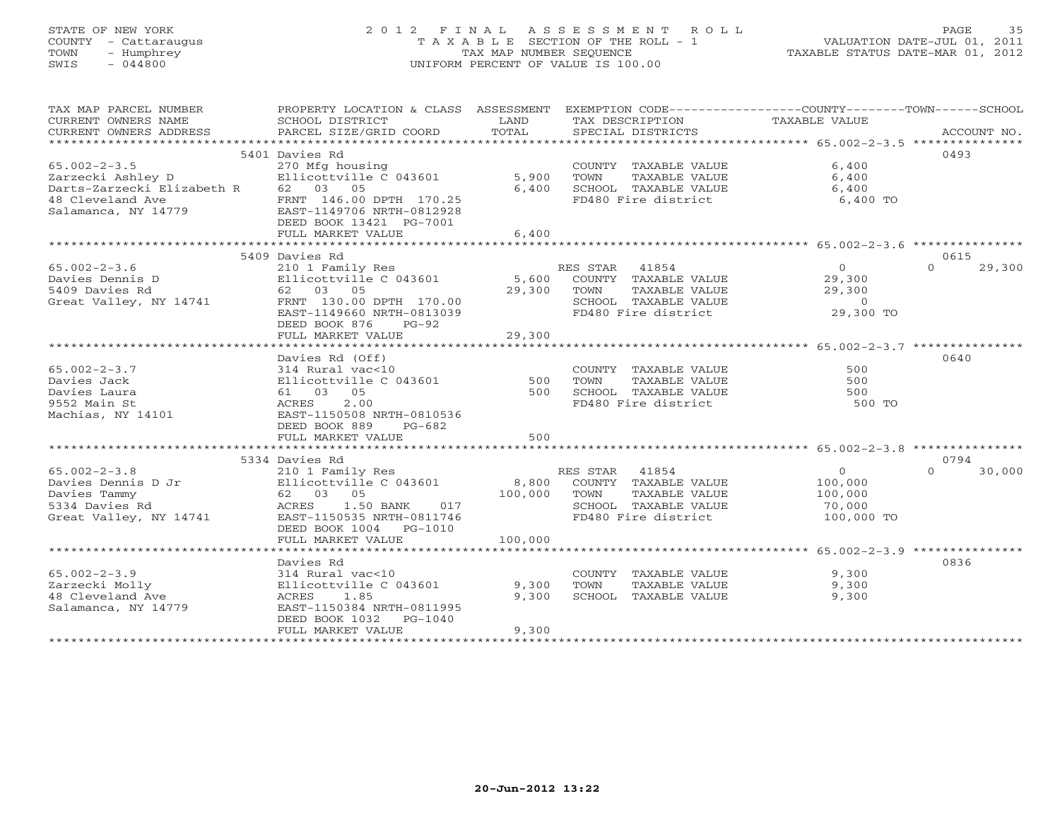# STATE OF NEW YORK 2 0 1 2 F I N A L A S S E S S M E N T R O L L PAGE 35 COUNTY - Cattaraugus T A X A B L E SECTION OF THE ROLL - 1 VALUATION DATE-JUL 01, 2011 TOWN - Humphrey TAX MAP NUMBER SEQUENCE TAXABLE STATUS DATE-MAR 01, 2012 SWIS - 044800 UNIFORM PERCENT OF VALUE IS 100.00UNIFORM PERCENT OF VALUE IS 100.00

| TAX MAP PARCEL NUMBER<br>CURRENT OWNERS NAME<br>CURRENT OWNERS ADDRESS                               | PROPERTY LOCATION & CLASS ASSESSMENT<br>SCHOOL DISTRICT<br>PARCEL SIZE/GRID COORD                                                                                                    | LAND<br>TOTAL               | TAX DESCRIPTION<br>SPECIAL DISTRICTS                                                                                 | EXEMPTION CODE-----------------COUNTY-------TOWN------SCHOOL<br>TAXABLE VALUE | ACCOUNT NO.                |
|------------------------------------------------------------------------------------------------------|--------------------------------------------------------------------------------------------------------------------------------------------------------------------------------------|-----------------------------|----------------------------------------------------------------------------------------------------------------------|-------------------------------------------------------------------------------|----------------------------|
|                                                                                                      |                                                                                                                                                                                      |                             |                                                                                                                      |                                                                               |                            |
|                                                                                                      | 5401 Davies Rd                                                                                                                                                                       |                             |                                                                                                                      |                                                                               | 0493                       |
| $65.002 - 2 - 3.5$<br>Zarzecki Ashley D<br>Darts-Zarzecki Elizabeth R                                | 270 Mfg housing<br>Ellicottville C 043601<br>62 03 05                                                                                                                                | 5,900<br>6,400              | COUNTY TAXABLE VALUE<br>TOWN<br>TAXABLE VALUE<br>SCHOOL TAXABLE VALUE                                                | 6,400<br>6,400<br>6,400                                                       |                            |
| 48 Cleveland Ave<br>Salamanca, NY 14779                                                              | FRNT 146.00 DPTH 170.25<br>EAST-1149706 NRTH-0812928<br>DEED BOOK 13421 PG-7001<br>FULL MARKET VALUE                                                                                 | 6,400                       | FD480 Fire district                                                                                                  | 6,400 TO                                                                      |                            |
|                                                                                                      |                                                                                                                                                                                      |                             |                                                                                                                      |                                                                               |                            |
|                                                                                                      | 5409 Davies Rd                                                                                                                                                                       |                             |                                                                                                                      |                                                                               | 0615                       |
| $65.002 - 2 - 3.6$<br>Davies Dennis D<br>5409 Davies Rd<br>Great Valley, NY 14741                    | 210 1 Family Res<br>Ellicottville C 043601<br>62 03 05<br>FRNT 130.00 DPTH 170.00<br>EAST-1149660 NRTH-0813039<br>DEED BOOK 876<br>$PG-92$<br>FULL MARKET VALUE                      | 29,300<br>29,300            | RES STAR 41854<br>5,600 COUNTY TAXABLE VALUE<br>TOWN<br>TAXABLE VALUE<br>SCHOOL TAXABLE VALUE<br>FD480 Fire district | 0<br>29,300<br>29,300<br>$\Omega$<br>29,300 TO                                | $\Omega$<br>29,300         |
|                                                                                                      |                                                                                                                                                                                      |                             |                                                                                                                      |                                                                               |                            |
| $65.002 - 2 - 3.7$<br>Davies Jack<br>Davies Laura<br>9552 Main St<br>Machias, NY 14101               | Davies Rd (Off)<br>314 Rural vac<10<br>Ellicottville C 043601<br>61 03 05<br>2.00<br>ACRES<br>EAST-1150508 NRTH-0810536<br>DEED BOOK 889<br>$PG-682$<br>FULL MARKET VALUE            | 500<br>500<br>500           | COUNTY TAXABLE VALUE<br>TOWN<br>TAXABLE VALUE<br>SCHOOL TAXABLE VALUE<br>FD480 Fire district                         | 500<br>500<br>500<br>500 TO                                                   | 0640                       |
|                                                                                                      |                                                                                                                                                                                      |                             |                                                                                                                      |                                                                               |                            |
| $65.002 - 2 - 3.8$<br>Davies Dennis D Jr<br>Davies Tammy<br>5334 Davies Rd<br>Great Valley, NY 14741 | 5334 Davies Rd<br>210 1 Family Res<br>Ellicottville C 043601<br>62 03 05<br>ACRES<br>1.50 BANK<br>017<br>EAST-1150535 NRTH-0811746<br>DEED BOOK 1004    PG-1010<br>FULL MARKET VALUE | 8,800<br>100,000<br>100,000 | RES STAR 41854<br>COUNTY TAXABLE VALUE<br>TOWN<br>TAXABLE VALUE<br>SCHOOL TAXABLE VALUE<br>FD480 Fire district       | $\circ$<br>100,000<br>100,000<br>70,000<br>100,000 TO                         | 0794<br>$\Omega$<br>30,000 |
|                                                                                                      |                                                                                                                                                                                      |                             |                                                                                                                      |                                                                               |                            |
| $65.002 - 2 - 3.9$<br>Zarzecki Molly<br>48 Cleveland Ave<br>Salamanca, NY 14779                      | Davies Rd<br>314 Rural vac<10<br>Ellicottville C 043601<br>1.85<br>ACRES<br>EAST-1150384 NRTH-0811995<br>DEED BOOK 1032<br>PG-1040<br>FULL MARKET VALUE                              | 9,300<br>9,300<br>9,300     | COUNTY TAXABLE VALUE<br>TOWN<br>TAXABLE VALUE<br>SCHOOL TAXABLE VALUE                                                | 9,300<br>9,300<br>9,300                                                       | 0836                       |
|                                                                                                      |                                                                                                                                                                                      |                             |                                                                                                                      |                                                                               |                            |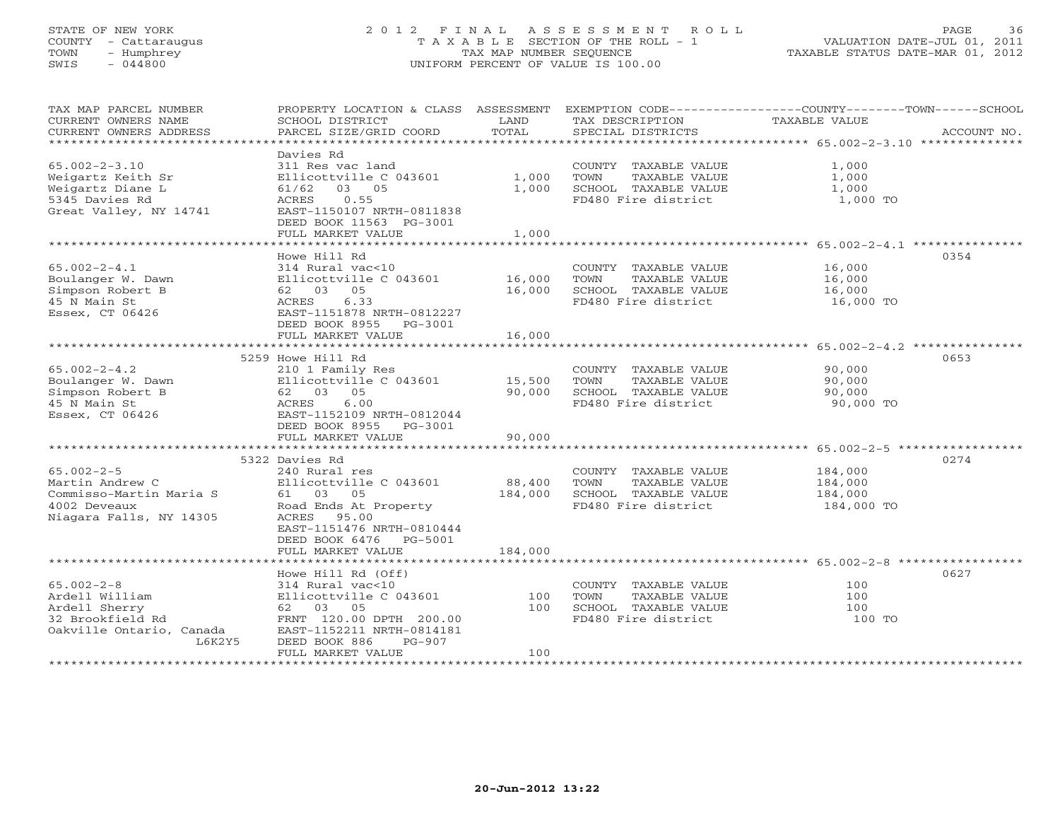# STATE OF NEW YORK 2 0 1 2 F I N A L A S S E S S M E N T R O L L PAGE 36 COUNTY - Cattaraugus T A X A B L E SECTION OF THE ROLL - 1 VALUATION DATE-JUL 01, 2011 TOWN - Humphrey TAX MAP NUMBER SEQUENCE TAXABLE STATUS DATE-MAR 01, 2012 SWIS - 044800 UNIFORM PERCENT OF VALUE IS 100.00UNIFORM PERCENT OF VALUE IS 100.00

| TAX MAP PARCEL NUMBER<br>CURRENT OWNERS NAME<br>CURRENT OWNERS ADDRESS                                        | PROPERTY LOCATION & CLASS ASSESSMENT<br>SCHOOL DISTRICT<br>PARCEL SIZE/GRID COORD                                                                                                      | LAND<br>TOTAL           | TAX DESCRIPTION<br>SPECIAL DISTRICTS                                                         | EXEMPTION CODE-----------------COUNTY-------TOWN-----SCHOOL<br>TAXABLE VALUE<br>ACCOUNT NO. |
|---------------------------------------------------------------------------------------------------------------|----------------------------------------------------------------------------------------------------------------------------------------------------------------------------------------|-------------------------|----------------------------------------------------------------------------------------------|---------------------------------------------------------------------------------------------|
| $65.002 - 2 - 3.10$<br>Weigartz Keith Sr<br>Weigartz Diane L<br>5345 Davies Rd<br>Great Valley, NY 14741      | Davies Rd<br>311 Res vac land<br>Ellicottville C 043601<br>03 05<br>61/62<br>0.55<br>ACRES<br>EAST-1150107 NRTH-0811838<br>DEED BOOK 11563 PG-3001<br>FULL MARKET VALUE                | 1,000<br>1,000<br>1,000 | COUNTY TAXABLE VALUE<br>TOWN<br>TAXABLE VALUE<br>SCHOOL TAXABLE VALUE<br>FD480 Fire district | 1,000<br>1,000<br>1,000<br>1,000 TO                                                         |
|                                                                                                               |                                                                                                                                                                                        |                         |                                                                                              |                                                                                             |
| $65.002 - 2 - 4.1$<br>Boulanger W. Dawn<br>Simpson Robert B<br>45 N Main St<br>Essex, CT 06426                | Howe Hill Rd<br>314 Rural vac<10<br>Ellicottville C 043601<br>62 03 05<br>ACRES<br>6.33<br>EAST-1151878 NRTH-0812227<br>DEED BOOK 8955 PG-3001                                         | 16,000<br>16,000        | COUNTY TAXABLE VALUE<br>TOWN<br>TAXABLE VALUE<br>SCHOOL TAXABLE VALUE<br>FD480 Fire district | 0354<br>16,000<br>16,000<br>16,000<br>16,000 TO                                             |
|                                                                                                               | FULL MARKET VALUE                                                                                                                                                                      | 16,000                  |                                                                                              |                                                                                             |
|                                                                                                               |                                                                                                                                                                                        |                         |                                                                                              |                                                                                             |
|                                                                                                               | 5259 Howe Hill Rd                                                                                                                                                                      |                         |                                                                                              | 0653                                                                                        |
| $65.002 - 2 - 4.2$<br>Boulanger W. Dawn<br>Simpson Robert B<br>45 N Main St<br>Essex, CT 06426                | 210 1 Family Res<br>Ellicottville C 043601<br>62 03 05<br>ACRES<br>6.00<br>EAST-1152109 NRTH-0812044<br>DEED BOOK 8955 PG-3001                                                         | 15,500<br>90,000        | COUNTY TAXABLE VALUE<br>TAXABLE VALUE<br>TOWN<br>SCHOOL TAXABLE VALUE<br>FD480 Fire district | 90,000<br>90,000<br>90,000<br>90,000 TO                                                     |
|                                                                                                               | FULL MARKET VALUE                                                                                                                                                                      | 90,000                  |                                                                                              |                                                                                             |
|                                                                                                               |                                                                                                                                                                                        |                         |                                                                                              |                                                                                             |
| $65.002 - 2 - 5$<br>Martin Andrew C<br>Commisso-Martin Maria S<br>4002 Deveaux<br>Niagara Falls, NY 14305     | 5322 Davies Rd<br>240 Rural res<br>Ellicottville C 043601<br>61 03 05<br>Road Ends At Property<br>ACRES 95.00<br>EAST-1151476 NRTH-0810444<br>DEED BOOK 6476 PG-5001                   | 88,400<br>184,000       | COUNTY TAXABLE VALUE<br>TOWN<br>TAXABLE VALUE<br>SCHOOL TAXABLE VALUE<br>FD480 Fire district | 0274<br>184,000<br>184,000<br>184,000<br>184,000 TO                                         |
|                                                                                                               | FULL MARKET VALUE                                                                                                                                                                      | 184,000                 |                                                                                              |                                                                                             |
|                                                                                                               |                                                                                                                                                                                        |                         |                                                                                              |                                                                                             |
| $65.002 - 2 - 8$<br>Ardell William<br>Ardell Sherry<br>32 Brookfield Rd<br>Oakville Ontario, Canada<br>L6K2Y5 | Howe Hill Rd (Off)<br>314 Rural vac<10<br>Ellicottville C 043601<br>62 03 05<br>FRNT 120.00 DPTH 200.00<br>EAST-1152211 NRTH-0814181<br>DEED BOOK 886<br>$PG-907$<br>FULL MARKET VALUE | 100<br>100<br>100       | COUNTY TAXABLE VALUE<br>TAXABLE VALUE<br>TOWN<br>SCHOOL TAXABLE VALUE<br>FD480 Fire district | 0627<br>100<br>100<br>100<br>100 TO                                                         |
|                                                                                                               |                                                                                                                                                                                        |                         |                                                                                              |                                                                                             |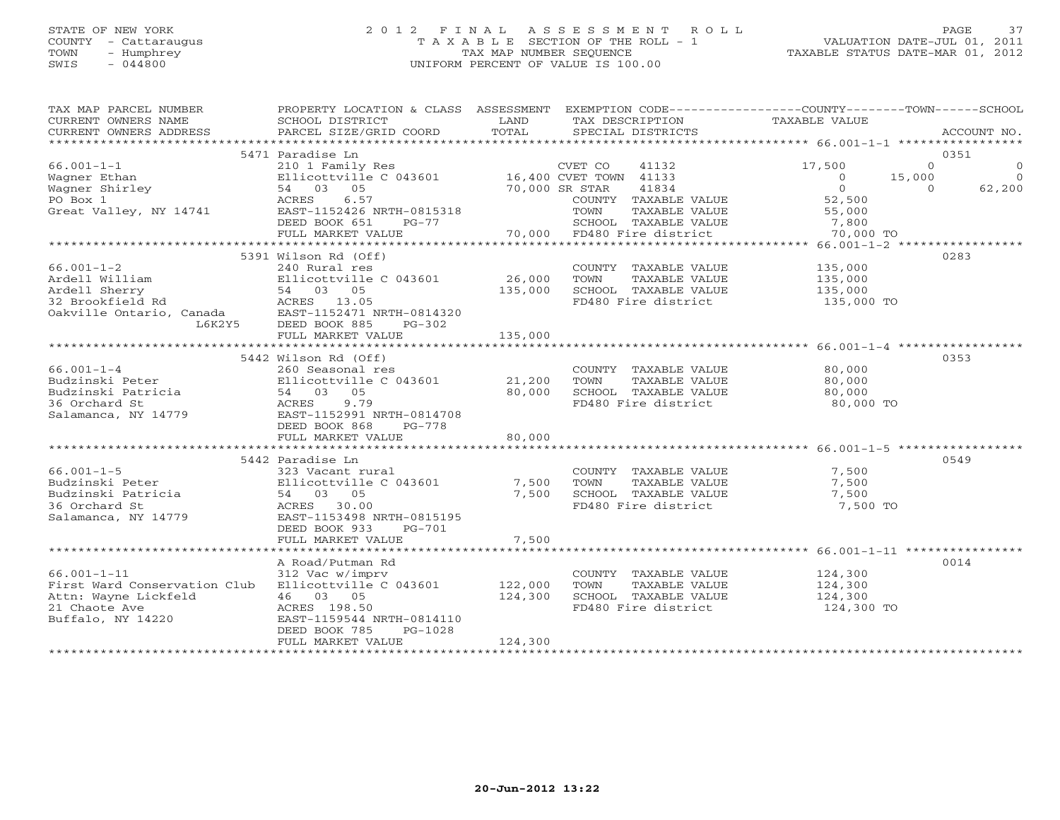# STATE OF NEW YORK 2 0 1 2 F I N A L A S S E S S M E N T R O L L PAGE 37COUNTY - Cattaraugus T A X A B L E SECTION OF THE ROLL - 1<br>
TOWN - Humphrey TAX MAP NUMBER SEQUENCE<br>
SWIS - 044800 SWIS - 044800 UNIFORM PERCENT OF VALUE IS 100.00

| TAX MAP PARCEL NUMBER<br>CURRENT OWNERS NAME<br>CURRENT OWNERS ADDRESS                                                                                                                                                                                 | PROPERTY LOCATION & CLASS ASSESSMENT EXEMPTION CODE---------------COUNTY-------TOWN-----SCHOOL<br>SCHOOL DISTRICT<br>PARCEL SIZE/GRID COORD                                      | TOTAL   | LAND TAX DESCRIPTION<br>SPECIAL DISTRICTS                                   | TAXABLE VALUE                                                  | ACCOUNT NO.                                                               |
|--------------------------------------------------------------------------------------------------------------------------------------------------------------------------------------------------------------------------------------------------------|----------------------------------------------------------------------------------------------------------------------------------------------------------------------------------|---------|-----------------------------------------------------------------------------|----------------------------------------------------------------|---------------------------------------------------------------------------|
|                                                                                                                                                                                                                                                        |                                                                                                                                                                                  |         |                                                                             |                                                                |                                                                           |
|                                                                                                                                                                                                                                                        | 5471 Paradise Ln                                                                                                                                                                 |         |                                                                             |                                                                | 0351                                                                      |
| 66.001-1-1<br>Wagner Ethan<br>Wagner Shirley<br>Ellicottville C 043601<br>Magner Shirley<br>Fo Box 1<br>Great Valley, NY 14741<br>EAST-1152426 NRTH-0815318<br>EAST-1152426 NRTH-0815318<br>EAST-1152426 NRTH-0815318<br>COUNTY TAXABLE VALUE<br>DEE   |                                                                                                                                                                                  |         |                                                                             | 17,500                                                         | $\begin{array}{ccc} 0 & & & 0 \ 0 & & & & 0 \ 0 & & & 62,200 \end{array}$ |
|                                                                                                                                                                                                                                                        |                                                                                                                                                                                  |         |                                                                             | $\overline{0}$                                                 | 15,000                                                                    |
|                                                                                                                                                                                                                                                        |                                                                                                                                                                                  |         |                                                                             | $\overline{0}$                                                 | $\overline{0}$                                                            |
|                                                                                                                                                                                                                                                        |                                                                                                                                                                                  |         | COUNTY TAXABLE VALUE                                                        | 52,500                                                         |                                                                           |
|                                                                                                                                                                                                                                                        |                                                                                                                                                                                  |         |                                                                             |                                                                |                                                                           |
|                                                                                                                                                                                                                                                        |                                                                                                                                                                                  |         |                                                                             |                                                                |                                                                           |
|                                                                                                                                                                                                                                                        | FULL MARKET VALUE                                                                                                                                                                |         |                                                                             |                                                                |                                                                           |
|                                                                                                                                                                                                                                                        |                                                                                                                                                                                  |         |                                                                             |                                                                |                                                                           |
|                                                                                                                                                                                                                                                        | 5391 Wilson Rd (Off)                                                                                                                                                             |         |                                                                             |                                                                | 0283                                                                      |
| $66.001 - 1 - 2$                                                                                                                                                                                                                                       | 240 Rural res                                                                                                                                                                    |         | COUNTY TAXABLE VALUE 135,000                                                |                                                                |                                                                           |
|                                                                                                                                                                                                                                                        |                                                                                                                                                                                  |         |                                                                             |                                                                |                                                                           |
| Ardell William<br>Ardell Sherry<br>32 Brookfield Rd<br>02 Brookfield Rd<br>02 Brookfield Rd<br>02 Brookfield Rd<br>54 03 05<br>26 BRST-1152471 NRTH-0814320<br>54 BAST-1152471 NRTH-0814320<br>56 BEED BOOK 885                                        | Elicottville C 043601 26,000 TOWN TAXABLE VALUE 135,000<br>54 03 05 135,000 SCHOOL TAXABLE VALUE 135,000<br>ACRES 13.05 FD480 Fire district 135,000                              |         |                                                                             |                                                                |                                                                           |
|                                                                                                                                                                                                                                                        |                                                                                                                                                                                  |         |                                                                             | FD480 Fire district 135,000 TO                                 |                                                                           |
|                                                                                                                                                                                                                                                        |                                                                                                                                                                                  |         |                                                                             |                                                                |                                                                           |
|                                                                                                                                                                                                                                                        |                                                                                                                                                                                  |         |                                                                             |                                                                |                                                                           |
|                                                                                                                                                                                                                                                        |                                                                                                                                                                                  |         |                                                                             |                                                                |                                                                           |
|                                                                                                                                                                                                                                                        | FULL MARKET VALUE                                                                                                                                                                | 135,000 |                                                                             |                                                                |                                                                           |
|                                                                                                                                                                                                                                                        |                                                                                                                                                                                  |         |                                                                             |                                                                |                                                                           |
|                                                                                                                                                                                                                                                        | 5442 Wilson Rd (Off)                                                                                                                                                             |         |                                                                             |                                                                | 0353                                                                      |
| 66.001-1-4<br>Budzinski Peter<br>Budzinski Patricia<br>36 Orchard St<br>Salamanca, NY 14779<br>Budzinski Patricia<br>36 Orchard St<br>Salamanca, NY 14779<br>BAST-1152991 NRTH-0814708<br>FREES<br>BAST-1152991 NRTH-0814708<br>FREED POOK 868<br>PG-7 | The COUNTY TAXABLE VALUE<br>260 Seasonal Pes<br>21,200 TOWN TAXABLE VALUE<br>21,200 TOWN TAXABLE VALUE<br>54 03 05 80,000 SCHOOL TAXABLE VALUE<br>ACRES 9.79 FD480 Fire district |         | COUNTY TAXABLE VALUE 80,000                                                 |                                                                |                                                                           |
|                                                                                                                                                                                                                                                        |                                                                                                                                                                                  |         |                                                                             | 80,000                                                         |                                                                           |
|                                                                                                                                                                                                                                                        |                                                                                                                                                                                  |         | 80,000 SCHOOL TAXABLE VALUE 80,000<br>BO,000 SCHOOL TAXABLE VALUE 80,000 TO |                                                                |                                                                           |
|                                                                                                                                                                                                                                                        |                                                                                                                                                                                  |         |                                                                             |                                                                |                                                                           |
|                                                                                                                                                                                                                                                        |                                                                                                                                                                                  |         |                                                                             |                                                                |                                                                           |
|                                                                                                                                                                                                                                                        | DEED BOOK 868<br>PG-778                                                                                                                                                          |         |                                                                             |                                                                |                                                                           |
|                                                                                                                                                                                                                                                        | FULL MARKET VALUE                                                                                                                                                                | 80,000  |                                                                             |                                                                |                                                                           |
|                                                                                                                                                                                                                                                        |                                                                                                                                                                                  |         |                                                                             |                                                                |                                                                           |
|                                                                                                                                                                                                                                                        | 5442 Paradise Ln                                                                                                                                                                 |         |                                                                             |                                                                | 0549                                                                      |
|                                                                                                                                                                                                                                                        |                                                                                                                                                                                  |         |                                                                             | $\frac{7}{2}$ , 500                                            |                                                                           |
|                                                                                                                                                                                                                                                        |                                                                                                                                                                                  |         | COUNTY TAXABLE VALUE<br>TOWN      TAXABLE VALUE                             | 7,500                                                          |                                                                           |
|                                                                                                                                                                                                                                                        |                                                                                                                                                                                  |         |                                                                             |                                                                |                                                                           |
|                                                                                                                                                                                                                                                        |                                                                                                                                                                                  |         | 7,500 SCHOOL TAXABLE VALUE 7,500                                            |                                                                |                                                                           |
| 66.001-1-5<br>Budzinski Peter<br>Budzinski Patricia Bilicottville C 043601 7,500 TOWN<br>Budzinski Patricia 54 03 05 7,500 SCHOOL<br>36 Orchard St ACRES 30.00 FD480 Fi<br>Salamanca, NY 14779 EAST-1153498 NRTH-0815195                               |                                                                                                                                                                                  |         | FD480 Fire district                                                         | 7,500 TO                                                       |                                                                           |
|                                                                                                                                                                                                                                                        |                                                                                                                                                                                  |         |                                                                             |                                                                |                                                                           |
|                                                                                                                                                                                                                                                        | DEED BOOK 933<br>PG-701                                                                                                                                                          |         |                                                                             |                                                                |                                                                           |
|                                                                                                                                                                                                                                                        | FULL MARKET VALUE                                                                                                                                                                | 7,500   |                                                                             |                                                                |                                                                           |
|                                                                                                                                                                                                                                                        |                                                                                                                                                                                  |         |                                                                             |                                                                |                                                                           |
|                                                                                                                                                                                                                                                        | A Road/Putman Rd                                                                                                                                                                 |         |                                                                             |                                                                | 0014                                                                      |
| $66.001 - 1 - 11$                                                                                                                                                                                                                                      | 312 Vac w/imprv                                                                                                                                                                  |         | COUNTY TAXABLE VALUE 124,300<br>TOWN TAXABLE VALUE 124,300                  |                                                                |                                                                           |
| First Ward Conservation Club Ellicottville C 043601 122,000 TOWN                                                                                                                                                                                       |                                                                                                                                                                                  |         |                                                                             |                                                                |                                                                           |
|                                                                                                                                                                                                                                                        | $\frac{122}{124}$ , 300                                                                                                                                                          |         |                                                                             | SCHOOL TAXABLE VALUE 124,300<br>FD480 Fire district 124,300 TO |                                                                           |
|                                                                                                                                                                                                                                                        |                                                                                                                                                                                  |         |                                                                             |                                                                |                                                                           |
|                                                                                                                                                                                                                                                        |                                                                                                                                                                                  |         |                                                                             |                                                                |                                                                           |
|                                                                                                                                                                                                                                                        | DEED BOOK 785<br>PG-1028                                                                                                                                                         |         |                                                                             |                                                                |                                                                           |
|                                                                                                                                                                                                                                                        | FULL MARKET VALUE                                                                                                                                                                | 124,300 |                                                                             |                                                                |                                                                           |
|                                                                                                                                                                                                                                                        |                                                                                                                                                                                  |         |                                                                             |                                                                |                                                                           |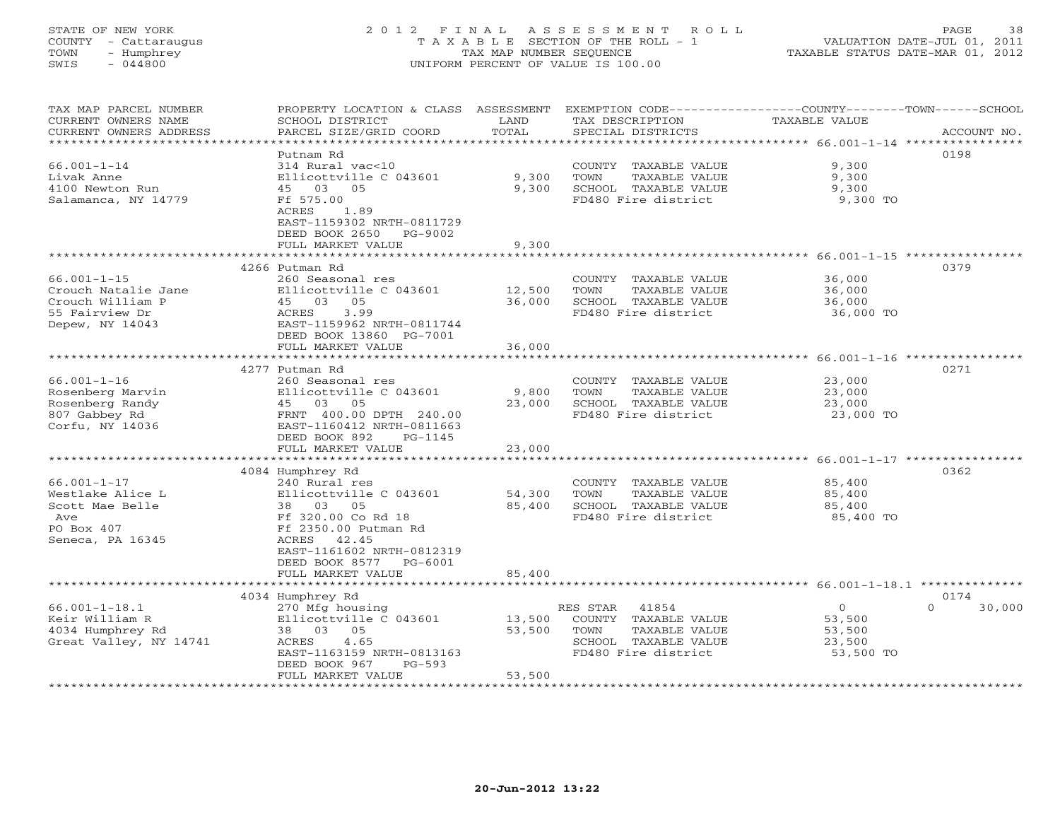# STATE OF NEW YORK 2 0 1 2 F I N A L A S S E S S M E N T R O L L PAGE 38 COUNTY - Cattaraugus T A X A B L E SECTION OF THE ROLL - 1 VALUATION DATE-JUL 01, 2011 TOWN - Humphrey TAX MAP NUMBER SEQUENCE TAXABLE STATUS DATE-MAR 01, 2012 SWIS - 044800 UNIFORM PERCENT OF VALUE IS 100.00UNIFORM PERCENT OF VALUE IS 100.00

| TOTAL<br>CURRENT OWNERS ADDRESS<br>PARCEL SIZE/GRID COORD<br>SPECIAL DISTRICTS<br>ACCOUNT NO.<br>***********************<br>0198<br>Putnam Rd<br>$66.001 - 1 - 14$<br>314 Rural vac<10<br>COUNTY TAXABLE VALUE<br>9,300<br>Livak Anne<br>Ellicottville C 043601<br>9,300<br>TOWN<br>TAXABLE VALUE<br>9,300<br>4100 Newton Run<br>9,300<br>SCHOOL TAXABLE VALUE<br>9,300<br>45 03 05<br>FD480 Fire district<br>Salamanca, NY 14779<br>Ff 575.00<br>9,300 TO<br>ACRES<br>1.89<br>EAST-1159302 NRTH-0811729<br>DEED BOOK 2650<br>PG-9002<br>9,300<br>FULL MARKET VALUE<br>******************************* 66.001-1-15 *****************<br>0379<br>4266 Putman Rd<br>$66.001 - 1 - 15$<br>260 Seasonal res<br>COUNTY TAXABLE VALUE<br>36,000<br>Crouch Natalie Jane<br>Ellicottville C 043601<br>12,500<br>TAXABLE VALUE<br>TOWN<br>36,000<br>45 03 05<br>Crouch William P<br>36,000<br>SCHOOL TAXABLE VALUE<br>36,000<br>3.99<br>55 Fairview Dr<br>ACRES<br>FD480 Fire district<br>36,000 TO<br>Depew, NY 14043<br>EAST-1159962 NRTH-0811744<br>DEED BOOK 13860 PG-7001<br>FULL MARKET VALUE<br>36,000<br>0271<br>4277 Putman Rd<br>$66.001 - 1 - 16$<br>23,000<br>260 Seasonal res<br>COUNTY TAXABLE VALUE<br>Rosenberg Marvin<br>Ellicottville C 043601<br>9,800<br>TOWN<br>TAXABLE VALUE<br>23,000<br>45 03 05<br>23,000<br>23,000<br>Rosenberg Randy<br>SCHOOL TAXABLE VALUE<br>807 Gabbey Rd<br>FRNT 400.00 DPTH 240.00<br>FD480 Fire district<br>23,000 TO<br>Corfu, NY 14036<br>EAST-1160412 NRTH-0811663<br>DEED BOOK 892<br>PG-1145<br>23,000<br>FULL MARKET VALUE<br>4084 Humphrey Rd<br>0362<br>$66.001 - 1 - 17$<br>240 Rural res<br>85,400<br>COUNTY TAXABLE VALUE<br>Westlake Alice L<br>Ellicottville C 043601<br>54,300<br>TOWN<br>TAXABLE VALUE<br>85,400<br>Scott Mae Belle<br>$03 \t 05$<br>85,400<br>SCHOOL TAXABLE VALUE<br>38<br>85,400<br>Ff 320.00 Co Rd 18<br>FD480 Fire district<br>85,400 TO<br>Ave<br>PO Box 407<br>Ff 2350.00 Putman Rd<br>Seneca, PA 16345<br>ACRES<br>42.45<br>EAST-1161602 NRTH-0812319<br>DEED BOOK 8577<br>$PG-6001$<br>85,400<br>FULL MARKET VALUE<br>4034 Humphrey Rd<br>0174<br>$66.001 - 1 - 18.1$<br>41854<br>$\circ$<br>$\Omega$<br>30,000<br>270 Mfg housing<br>RES STAR<br>Keir William R<br>Ellicottville C 043601<br>13,500<br>COUNTY TAXABLE VALUE<br>53,500<br>4034 Humphrey Rd<br>38 03 05<br>53,500<br>TOWN<br>TAXABLE VALUE<br>53,500<br>Great Valley, NY 14741<br>4.65<br>SCHOOL TAXABLE VALUE<br>ACRES<br>23,500<br>EAST-1163159 NRTH-0813163<br>FD480 Fire district<br>53,500 TO<br>DEED BOOK 967<br>PG-593 | TAX MAP PARCEL NUMBER<br>CURRENT OWNERS NAME | PROPERTY LOCATION & CLASS<br>SCHOOL DISTRICT | ASSESSMENT<br>LAND | EXEMPTION CODE----------------COUNTY-------TOWN-----SCHOOL<br>TAX DESCRIPTION | TAXABLE VALUE |  |
|-------------------------------------------------------------------------------------------------------------------------------------------------------------------------------------------------------------------------------------------------------------------------------------------------------------------------------------------------------------------------------------------------------------------------------------------------------------------------------------------------------------------------------------------------------------------------------------------------------------------------------------------------------------------------------------------------------------------------------------------------------------------------------------------------------------------------------------------------------------------------------------------------------------------------------------------------------------------------------------------------------------------------------------------------------------------------------------------------------------------------------------------------------------------------------------------------------------------------------------------------------------------------------------------------------------------------------------------------------------------------------------------------------------------------------------------------------------------------------------------------------------------------------------------------------------------------------------------------------------------------------------------------------------------------------------------------------------------------------------------------------------------------------------------------------------------------------------------------------------------------------------------------------------------------------------------------------------------------------------------------------------------------------------------------------------------------------------------------------------------------------------------------------------------------------------------------------------------------------------------------------------------------------------------------------------------------------------------------------------------------------------------------------------------------------------------------------------------------------------------------------------------------------------------------------------------------------|----------------------------------------------|----------------------------------------------|--------------------|-------------------------------------------------------------------------------|---------------|--|
|                                                                                                                                                                                                                                                                                                                                                                                                                                                                                                                                                                                                                                                                                                                                                                                                                                                                                                                                                                                                                                                                                                                                                                                                                                                                                                                                                                                                                                                                                                                                                                                                                                                                                                                                                                                                                                                                                                                                                                                                                                                                                                                                                                                                                                                                                                                                                                                                                                                                                                                                                                               |                                              |                                              |                    |                                                                               |               |  |
|                                                                                                                                                                                                                                                                                                                                                                                                                                                                                                                                                                                                                                                                                                                                                                                                                                                                                                                                                                                                                                                                                                                                                                                                                                                                                                                                                                                                                                                                                                                                                                                                                                                                                                                                                                                                                                                                                                                                                                                                                                                                                                                                                                                                                                                                                                                                                                                                                                                                                                                                                                               |                                              |                                              |                    |                                                                               |               |  |
|                                                                                                                                                                                                                                                                                                                                                                                                                                                                                                                                                                                                                                                                                                                                                                                                                                                                                                                                                                                                                                                                                                                                                                                                                                                                                                                                                                                                                                                                                                                                                                                                                                                                                                                                                                                                                                                                                                                                                                                                                                                                                                                                                                                                                                                                                                                                                                                                                                                                                                                                                                               |                                              |                                              |                    |                                                                               |               |  |
|                                                                                                                                                                                                                                                                                                                                                                                                                                                                                                                                                                                                                                                                                                                                                                                                                                                                                                                                                                                                                                                                                                                                                                                                                                                                                                                                                                                                                                                                                                                                                                                                                                                                                                                                                                                                                                                                                                                                                                                                                                                                                                                                                                                                                                                                                                                                                                                                                                                                                                                                                                               |                                              |                                              |                    |                                                                               |               |  |
|                                                                                                                                                                                                                                                                                                                                                                                                                                                                                                                                                                                                                                                                                                                                                                                                                                                                                                                                                                                                                                                                                                                                                                                                                                                                                                                                                                                                                                                                                                                                                                                                                                                                                                                                                                                                                                                                                                                                                                                                                                                                                                                                                                                                                                                                                                                                                                                                                                                                                                                                                                               |                                              |                                              |                    |                                                                               |               |  |
|                                                                                                                                                                                                                                                                                                                                                                                                                                                                                                                                                                                                                                                                                                                                                                                                                                                                                                                                                                                                                                                                                                                                                                                                                                                                                                                                                                                                                                                                                                                                                                                                                                                                                                                                                                                                                                                                                                                                                                                                                                                                                                                                                                                                                                                                                                                                                                                                                                                                                                                                                                               |                                              |                                              |                    |                                                                               |               |  |
|                                                                                                                                                                                                                                                                                                                                                                                                                                                                                                                                                                                                                                                                                                                                                                                                                                                                                                                                                                                                                                                                                                                                                                                                                                                                                                                                                                                                                                                                                                                                                                                                                                                                                                                                                                                                                                                                                                                                                                                                                                                                                                                                                                                                                                                                                                                                                                                                                                                                                                                                                                               |                                              |                                              |                    |                                                                               |               |  |
|                                                                                                                                                                                                                                                                                                                                                                                                                                                                                                                                                                                                                                                                                                                                                                                                                                                                                                                                                                                                                                                                                                                                                                                                                                                                                                                                                                                                                                                                                                                                                                                                                                                                                                                                                                                                                                                                                                                                                                                                                                                                                                                                                                                                                                                                                                                                                                                                                                                                                                                                                                               |                                              |                                              |                    |                                                                               |               |  |
|                                                                                                                                                                                                                                                                                                                                                                                                                                                                                                                                                                                                                                                                                                                                                                                                                                                                                                                                                                                                                                                                                                                                                                                                                                                                                                                                                                                                                                                                                                                                                                                                                                                                                                                                                                                                                                                                                                                                                                                                                                                                                                                                                                                                                                                                                                                                                                                                                                                                                                                                                                               |                                              |                                              |                    |                                                                               |               |  |
|                                                                                                                                                                                                                                                                                                                                                                                                                                                                                                                                                                                                                                                                                                                                                                                                                                                                                                                                                                                                                                                                                                                                                                                                                                                                                                                                                                                                                                                                                                                                                                                                                                                                                                                                                                                                                                                                                                                                                                                                                                                                                                                                                                                                                                                                                                                                                                                                                                                                                                                                                                               |                                              |                                              |                    |                                                                               |               |  |
|                                                                                                                                                                                                                                                                                                                                                                                                                                                                                                                                                                                                                                                                                                                                                                                                                                                                                                                                                                                                                                                                                                                                                                                                                                                                                                                                                                                                                                                                                                                                                                                                                                                                                                                                                                                                                                                                                                                                                                                                                                                                                                                                                                                                                                                                                                                                                                                                                                                                                                                                                                               |                                              |                                              |                    |                                                                               |               |  |
|                                                                                                                                                                                                                                                                                                                                                                                                                                                                                                                                                                                                                                                                                                                                                                                                                                                                                                                                                                                                                                                                                                                                                                                                                                                                                                                                                                                                                                                                                                                                                                                                                                                                                                                                                                                                                                                                                                                                                                                                                                                                                                                                                                                                                                                                                                                                                                                                                                                                                                                                                                               |                                              |                                              |                    |                                                                               |               |  |
|                                                                                                                                                                                                                                                                                                                                                                                                                                                                                                                                                                                                                                                                                                                                                                                                                                                                                                                                                                                                                                                                                                                                                                                                                                                                                                                                                                                                                                                                                                                                                                                                                                                                                                                                                                                                                                                                                                                                                                                                                                                                                                                                                                                                                                                                                                                                                                                                                                                                                                                                                                               |                                              |                                              |                    |                                                                               |               |  |
|                                                                                                                                                                                                                                                                                                                                                                                                                                                                                                                                                                                                                                                                                                                                                                                                                                                                                                                                                                                                                                                                                                                                                                                                                                                                                                                                                                                                                                                                                                                                                                                                                                                                                                                                                                                                                                                                                                                                                                                                                                                                                                                                                                                                                                                                                                                                                                                                                                                                                                                                                                               |                                              |                                              |                    |                                                                               |               |  |
|                                                                                                                                                                                                                                                                                                                                                                                                                                                                                                                                                                                                                                                                                                                                                                                                                                                                                                                                                                                                                                                                                                                                                                                                                                                                                                                                                                                                                                                                                                                                                                                                                                                                                                                                                                                                                                                                                                                                                                                                                                                                                                                                                                                                                                                                                                                                                                                                                                                                                                                                                                               |                                              |                                              |                    |                                                                               |               |  |
|                                                                                                                                                                                                                                                                                                                                                                                                                                                                                                                                                                                                                                                                                                                                                                                                                                                                                                                                                                                                                                                                                                                                                                                                                                                                                                                                                                                                                                                                                                                                                                                                                                                                                                                                                                                                                                                                                                                                                                                                                                                                                                                                                                                                                                                                                                                                                                                                                                                                                                                                                                               |                                              |                                              |                    |                                                                               |               |  |
|                                                                                                                                                                                                                                                                                                                                                                                                                                                                                                                                                                                                                                                                                                                                                                                                                                                                                                                                                                                                                                                                                                                                                                                                                                                                                                                                                                                                                                                                                                                                                                                                                                                                                                                                                                                                                                                                                                                                                                                                                                                                                                                                                                                                                                                                                                                                                                                                                                                                                                                                                                               |                                              |                                              |                    |                                                                               |               |  |
|                                                                                                                                                                                                                                                                                                                                                                                                                                                                                                                                                                                                                                                                                                                                                                                                                                                                                                                                                                                                                                                                                                                                                                                                                                                                                                                                                                                                                                                                                                                                                                                                                                                                                                                                                                                                                                                                                                                                                                                                                                                                                                                                                                                                                                                                                                                                                                                                                                                                                                                                                                               |                                              |                                              |                    |                                                                               |               |  |
|                                                                                                                                                                                                                                                                                                                                                                                                                                                                                                                                                                                                                                                                                                                                                                                                                                                                                                                                                                                                                                                                                                                                                                                                                                                                                                                                                                                                                                                                                                                                                                                                                                                                                                                                                                                                                                                                                                                                                                                                                                                                                                                                                                                                                                                                                                                                                                                                                                                                                                                                                                               |                                              |                                              |                    |                                                                               |               |  |
|                                                                                                                                                                                                                                                                                                                                                                                                                                                                                                                                                                                                                                                                                                                                                                                                                                                                                                                                                                                                                                                                                                                                                                                                                                                                                                                                                                                                                                                                                                                                                                                                                                                                                                                                                                                                                                                                                                                                                                                                                                                                                                                                                                                                                                                                                                                                                                                                                                                                                                                                                                               |                                              |                                              |                    |                                                                               |               |  |
|                                                                                                                                                                                                                                                                                                                                                                                                                                                                                                                                                                                                                                                                                                                                                                                                                                                                                                                                                                                                                                                                                                                                                                                                                                                                                                                                                                                                                                                                                                                                                                                                                                                                                                                                                                                                                                                                                                                                                                                                                                                                                                                                                                                                                                                                                                                                                                                                                                                                                                                                                                               |                                              |                                              |                    |                                                                               |               |  |
|                                                                                                                                                                                                                                                                                                                                                                                                                                                                                                                                                                                                                                                                                                                                                                                                                                                                                                                                                                                                                                                                                                                                                                                                                                                                                                                                                                                                                                                                                                                                                                                                                                                                                                                                                                                                                                                                                                                                                                                                                                                                                                                                                                                                                                                                                                                                                                                                                                                                                                                                                                               |                                              |                                              |                    |                                                                               |               |  |
|                                                                                                                                                                                                                                                                                                                                                                                                                                                                                                                                                                                                                                                                                                                                                                                                                                                                                                                                                                                                                                                                                                                                                                                                                                                                                                                                                                                                                                                                                                                                                                                                                                                                                                                                                                                                                                                                                                                                                                                                                                                                                                                                                                                                                                                                                                                                                                                                                                                                                                                                                                               |                                              |                                              |                    |                                                                               |               |  |
|                                                                                                                                                                                                                                                                                                                                                                                                                                                                                                                                                                                                                                                                                                                                                                                                                                                                                                                                                                                                                                                                                                                                                                                                                                                                                                                                                                                                                                                                                                                                                                                                                                                                                                                                                                                                                                                                                                                                                                                                                                                                                                                                                                                                                                                                                                                                                                                                                                                                                                                                                                               |                                              |                                              |                    |                                                                               |               |  |
|                                                                                                                                                                                                                                                                                                                                                                                                                                                                                                                                                                                                                                                                                                                                                                                                                                                                                                                                                                                                                                                                                                                                                                                                                                                                                                                                                                                                                                                                                                                                                                                                                                                                                                                                                                                                                                                                                                                                                                                                                                                                                                                                                                                                                                                                                                                                                                                                                                                                                                                                                                               |                                              |                                              |                    |                                                                               |               |  |
|                                                                                                                                                                                                                                                                                                                                                                                                                                                                                                                                                                                                                                                                                                                                                                                                                                                                                                                                                                                                                                                                                                                                                                                                                                                                                                                                                                                                                                                                                                                                                                                                                                                                                                                                                                                                                                                                                                                                                                                                                                                                                                                                                                                                                                                                                                                                                                                                                                                                                                                                                                               |                                              |                                              |                    |                                                                               |               |  |
|                                                                                                                                                                                                                                                                                                                                                                                                                                                                                                                                                                                                                                                                                                                                                                                                                                                                                                                                                                                                                                                                                                                                                                                                                                                                                                                                                                                                                                                                                                                                                                                                                                                                                                                                                                                                                                                                                                                                                                                                                                                                                                                                                                                                                                                                                                                                                                                                                                                                                                                                                                               |                                              |                                              |                    |                                                                               |               |  |
|                                                                                                                                                                                                                                                                                                                                                                                                                                                                                                                                                                                                                                                                                                                                                                                                                                                                                                                                                                                                                                                                                                                                                                                                                                                                                                                                                                                                                                                                                                                                                                                                                                                                                                                                                                                                                                                                                                                                                                                                                                                                                                                                                                                                                                                                                                                                                                                                                                                                                                                                                                               |                                              |                                              |                    |                                                                               |               |  |
|                                                                                                                                                                                                                                                                                                                                                                                                                                                                                                                                                                                                                                                                                                                                                                                                                                                                                                                                                                                                                                                                                                                                                                                                                                                                                                                                                                                                                                                                                                                                                                                                                                                                                                                                                                                                                                                                                                                                                                                                                                                                                                                                                                                                                                                                                                                                                                                                                                                                                                                                                                               |                                              |                                              |                    |                                                                               |               |  |
|                                                                                                                                                                                                                                                                                                                                                                                                                                                                                                                                                                                                                                                                                                                                                                                                                                                                                                                                                                                                                                                                                                                                                                                                                                                                                                                                                                                                                                                                                                                                                                                                                                                                                                                                                                                                                                                                                                                                                                                                                                                                                                                                                                                                                                                                                                                                                                                                                                                                                                                                                                               |                                              |                                              |                    |                                                                               |               |  |
|                                                                                                                                                                                                                                                                                                                                                                                                                                                                                                                                                                                                                                                                                                                                                                                                                                                                                                                                                                                                                                                                                                                                                                                                                                                                                                                                                                                                                                                                                                                                                                                                                                                                                                                                                                                                                                                                                                                                                                                                                                                                                                                                                                                                                                                                                                                                                                                                                                                                                                                                                                               |                                              |                                              |                    |                                                                               |               |  |
|                                                                                                                                                                                                                                                                                                                                                                                                                                                                                                                                                                                                                                                                                                                                                                                                                                                                                                                                                                                                                                                                                                                                                                                                                                                                                                                                                                                                                                                                                                                                                                                                                                                                                                                                                                                                                                                                                                                                                                                                                                                                                                                                                                                                                                                                                                                                                                                                                                                                                                                                                                               |                                              |                                              |                    |                                                                               |               |  |
|                                                                                                                                                                                                                                                                                                                                                                                                                                                                                                                                                                                                                                                                                                                                                                                                                                                                                                                                                                                                                                                                                                                                                                                                                                                                                                                                                                                                                                                                                                                                                                                                                                                                                                                                                                                                                                                                                                                                                                                                                                                                                                                                                                                                                                                                                                                                                                                                                                                                                                                                                                               |                                              |                                              |                    |                                                                               |               |  |
|                                                                                                                                                                                                                                                                                                                                                                                                                                                                                                                                                                                                                                                                                                                                                                                                                                                                                                                                                                                                                                                                                                                                                                                                                                                                                                                                                                                                                                                                                                                                                                                                                                                                                                                                                                                                                                                                                                                                                                                                                                                                                                                                                                                                                                                                                                                                                                                                                                                                                                                                                                               |                                              |                                              |                    |                                                                               |               |  |
|                                                                                                                                                                                                                                                                                                                                                                                                                                                                                                                                                                                                                                                                                                                                                                                                                                                                                                                                                                                                                                                                                                                                                                                                                                                                                                                                                                                                                                                                                                                                                                                                                                                                                                                                                                                                                                                                                                                                                                                                                                                                                                                                                                                                                                                                                                                                                                                                                                                                                                                                                                               |                                              |                                              |                    |                                                                               |               |  |
|                                                                                                                                                                                                                                                                                                                                                                                                                                                                                                                                                                                                                                                                                                                                                                                                                                                                                                                                                                                                                                                                                                                                                                                                                                                                                                                                                                                                                                                                                                                                                                                                                                                                                                                                                                                                                                                                                                                                                                                                                                                                                                                                                                                                                                                                                                                                                                                                                                                                                                                                                                               |                                              |                                              |                    |                                                                               |               |  |
|                                                                                                                                                                                                                                                                                                                                                                                                                                                                                                                                                                                                                                                                                                                                                                                                                                                                                                                                                                                                                                                                                                                                                                                                                                                                                                                                                                                                                                                                                                                                                                                                                                                                                                                                                                                                                                                                                                                                                                                                                                                                                                                                                                                                                                                                                                                                                                                                                                                                                                                                                                               |                                              |                                              |                    |                                                                               |               |  |
|                                                                                                                                                                                                                                                                                                                                                                                                                                                                                                                                                                                                                                                                                                                                                                                                                                                                                                                                                                                                                                                                                                                                                                                                                                                                                                                                                                                                                                                                                                                                                                                                                                                                                                                                                                                                                                                                                                                                                                                                                                                                                                                                                                                                                                                                                                                                                                                                                                                                                                                                                                               |                                              |                                              |                    |                                                                               |               |  |
|                                                                                                                                                                                                                                                                                                                                                                                                                                                                                                                                                                                                                                                                                                                                                                                                                                                                                                                                                                                                                                                                                                                                                                                                                                                                                                                                                                                                                                                                                                                                                                                                                                                                                                                                                                                                                                                                                                                                                                                                                                                                                                                                                                                                                                                                                                                                                                                                                                                                                                                                                                               |                                              |                                              |                    |                                                                               |               |  |
|                                                                                                                                                                                                                                                                                                                                                                                                                                                                                                                                                                                                                                                                                                                                                                                                                                                                                                                                                                                                                                                                                                                                                                                                                                                                                                                                                                                                                                                                                                                                                                                                                                                                                                                                                                                                                                                                                                                                                                                                                                                                                                                                                                                                                                                                                                                                                                                                                                                                                                                                                                               |                                              |                                              |                    |                                                                               |               |  |
|                                                                                                                                                                                                                                                                                                                                                                                                                                                                                                                                                                                                                                                                                                                                                                                                                                                                                                                                                                                                                                                                                                                                                                                                                                                                                                                                                                                                                                                                                                                                                                                                                                                                                                                                                                                                                                                                                                                                                                                                                                                                                                                                                                                                                                                                                                                                                                                                                                                                                                                                                                               |                                              |                                              |                    |                                                                               |               |  |
|                                                                                                                                                                                                                                                                                                                                                                                                                                                                                                                                                                                                                                                                                                                                                                                                                                                                                                                                                                                                                                                                                                                                                                                                                                                                                                                                                                                                                                                                                                                                                                                                                                                                                                                                                                                                                                                                                                                                                                                                                                                                                                                                                                                                                                                                                                                                                                                                                                                                                                                                                                               |                                              |                                              |                    |                                                                               |               |  |
|                                                                                                                                                                                                                                                                                                                                                                                                                                                                                                                                                                                                                                                                                                                                                                                                                                                                                                                                                                                                                                                                                                                                                                                                                                                                                                                                                                                                                                                                                                                                                                                                                                                                                                                                                                                                                                                                                                                                                                                                                                                                                                                                                                                                                                                                                                                                                                                                                                                                                                                                                                               |                                              |                                              |                    |                                                                               |               |  |
|                                                                                                                                                                                                                                                                                                                                                                                                                                                                                                                                                                                                                                                                                                                                                                                                                                                                                                                                                                                                                                                                                                                                                                                                                                                                                                                                                                                                                                                                                                                                                                                                                                                                                                                                                                                                                                                                                                                                                                                                                                                                                                                                                                                                                                                                                                                                                                                                                                                                                                                                                                               |                                              |                                              |                    |                                                                               |               |  |
|                                                                                                                                                                                                                                                                                                                                                                                                                                                                                                                                                                                                                                                                                                                                                                                                                                                                                                                                                                                                                                                                                                                                                                                                                                                                                                                                                                                                                                                                                                                                                                                                                                                                                                                                                                                                                                                                                                                                                                                                                                                                                                                                                                                                                                                                                                                                                                                                                                                                                                                                                                               |                                              |                                              |                    |                                                                               |               |  |
| FULL MARKET VALUE<br>53,500<br>**********************<br>*****************************<br>**************                                                                                                                                                                                                                                                                                                                                                                                                                                                                                                                                                                                                                                                                                                                                                                                                                                                                                                                                                                                                                                                                                                                                                                                                                                                                                                                                                                                                                                                                                                                                                                                                                                                                                                                                                                                                                                                                                                                                                                                                                                                                                                                                                                                                                                                                                                                                                                                                                                                                      |                                              |                                              |                    |                                                                               |               |  |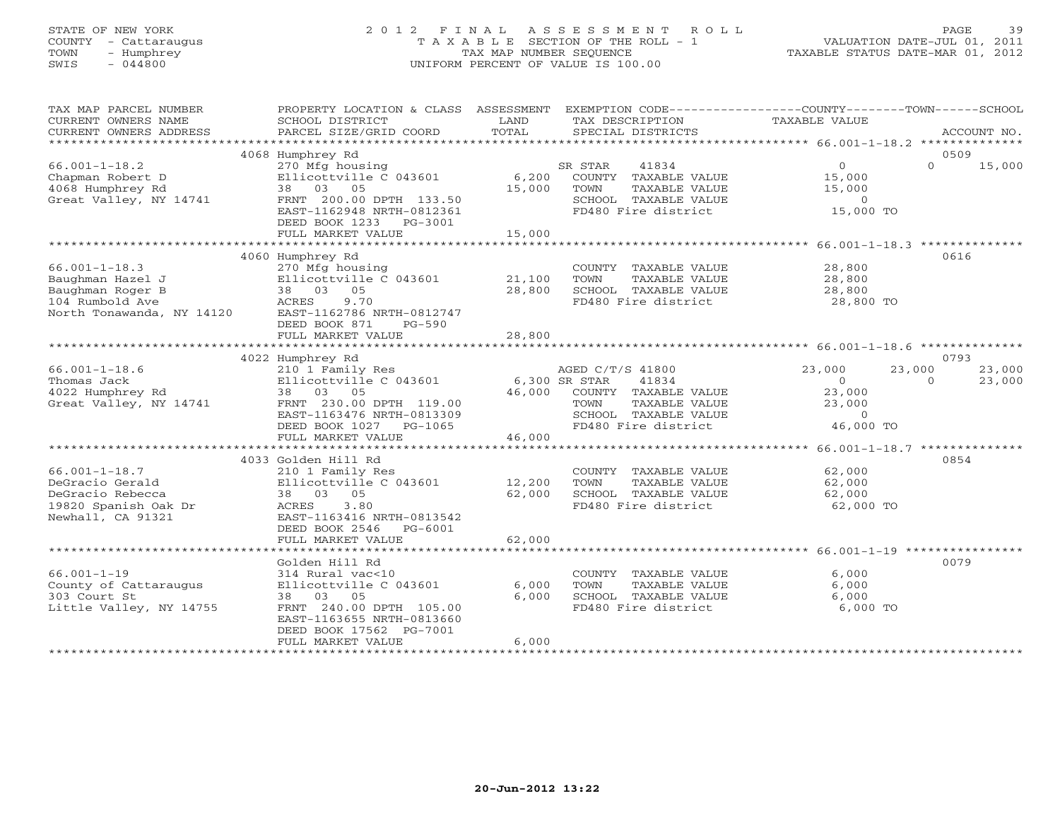# STATE OF NEW YORK 2 0 1 2 F I N A L A S S E S S M E N T R O L L PAGE 39 COUNTY - Cattaraugus T A X A B L E SECTION OF THE ROLL - 1 VALUATION DATE-JUL 01, 2011 TOWN - Humphrey TAX MAP NUMBER SEQUENCE TAXABLE STATUS DATE-MAR 01, 2012 SWIS - 044800 UNIFORM PERCENT OF VALUE IS 100.00UNIFORM PERCENT OF VALUE IS 100.00

| TAX MAP PARCEL NUMBER<br>CURRENT OWNERS NAME<br>CURRENT OWNERS ADDRESS                                      | PROPERTY LOCATION & CLASS ASSESSMENT EXEMPTION CODE----------------COUNTY-------TOWN------SCHOOL<br>SCHOOL DISTRICT<br>PARCEL SIZE/GRID COORD                                    | LAND<br>TOTAL              | TAX DESCRIPTION<br>SPECIAL DISTRICTS                                                                                      | TAXABLE VALUE                                                                  | ACCOUNT NO.                  |
|-------------------------------------------------------------------------------------------------------------|----------------------------------------------------------------------------------------------------------------------------------------------------------------------------------|----------------------------|---------------------------------------------------------------------------------------------------------------------------|--------------------------------------------------------------------------------|------------------------------|
|                                                                                                             | 4068 Humphrey Rd                                                                                                                                                                 |                            |                                                                                                                           |                                                                                | 0509                         |
| $66.001 - 1 - 18.2$<br>Chapman Robert D<br>4068 Humphrey Rd<br>Great Valley, NY 14741                       | 270 Mfg housing<br>Ellicottville C 043601<br>38 03 05<br>FRNT 200.00 DPTH 133.50<br>EAST-1162948 NRTH-0812361<br>DEED BOOK 1233<br>PG-3001<br>FULL MARKET VALUE                  | 6,200<br>15,000<br>15,000  | SR STAR<br>41834<br>COUNTY TAXABLE VALUE<br>TOWN<br>TAXABLE VALUE<br>SCHOOL TAXABLE VALUE<br>FD480 Fire district          | 0<br>15,000<br>15,000<br>$\Omega$<br>15,000 TO                                 | $\Omega$<br>15,000           |
| *******************************                                                                             | ************                                                                                                                                                                     | *******************        |                                                                                                                           | ********************* 66.001-1-18.3 **************                             |                              |
| $66.001 - 1 - 18.3$<br>Baughman Hazel J<br>Baughman Roger B<br>104 Rumbold Ave<br>North Tonawanda, NY 14120 | 4060 Humphrey Rd<br>270 Mfg housing<br>Ellicottville C 043601<br>38 03 05<br>ACRES<br>9.70<br>EAST-1162786 NRTH-0812747<br>DEED BOOK 871<br>$PG-590$<br>FULL MARKET VALUE        | 21,100<br>28,800<br>28,800 | COUNTY TAXABLE VALUE<br>TOWN<br>TAXABLE VALUE<br>SCHOOL TAXABLE VALUE<br>FD480 Fire district                              | 28,800<br>28,800<br>28,800<br>28,800 TO                                        | 0616                         |
|                                                                                                             |                                                                                                                                                                                  |                            |                                                                                                                           |                                                                                |                              |
|                                                                                                             | 4022 Humphrey Rd                                                                                                                                                                 |                            |                                                                                                                           |                                                                                | 0793                         |
| $66.001 - 1 - 18.6$<br>Thomas Jack<br>4022 Humphrey Rd<br>Great Valley, NY 14741                            | 210 1 Family Res<br>Ellicottville C 043601<br>38 03 05<br>FRNT 230.00 DPTH 119.00<br>EAST-1163476 NRTH-0813309<br>DEED BOOK 1027<br>PG-1065                                      | 6,300 SR STAR<br>46,000    | AGED C/T/S 41800<br>41834<br>COUNTY TAXABLE VALUE<br>TOWN<br>TAXABLE VALUE<br>SCHOOL TAXABLE VALUE<br>FD480 Fire district | 23,000<br>23,000<br>$\circ$<br>23,000<br>23,000<br>$\overline{0}$<br>46,000 TO | 23,000<br>23,000<br>$\Omega$ |
|                                                                                                             | FULL MARKET VALUE                                                                                                                                                                | 46,000                     |                                                                                                                           |                                                                                |                              |
| $66.001 - 1 - 18.7$<br>DeGracio Gerald<br>DeGracio Rebecca<br>19820 Spanish Oak Dr<br>Newhall, CA 91321     | 4033 Golden Hill Rd<br>210 1 Family Res<br>Ellicottville C 043601<br>38 03 05<br>ACRES<br>3.80<br>EAST-1163416 NRTH-0813542<br>DEED BOOK 2546<br>PG-6001<br>FULL MARKET VALUE    | 12,200<br>62,000<br>62,000 | COUNTY TAXABLE VALUE<br>TOWN<br>TAXABLE VALUE<br>SCHOOL TAXABLE VALUE<br>FD480 Fire district                              | 62,000<br>62,000<br>62,000<br>62,000 TO                                        | 0854                         |
|                                                                                                             |                                                                                                                                                                                  |                            |                                                                                                                           |                                                                                |                              |
| $66.001 - 1 - 19$<br>County of Cattaraugus<br>303 Court St<br>Little Valley, NY 14755                       | Golden Hill Rd<br>314 Rural vac<10<br>Ellicottville C 043601<br>38 03 05<br>FRNT 240.00 DPTH 105.00<br>EAST-1163655 NRTH-0813660<br>DEED BOOK 17562 PG-7001<br>FULL MARKET VALUE | 6,000<br>6,000<br>6,000    | COUNTY TAXABLE VALUE<br>TOWN<br>TAXABLE VALUE<br>SCHOOL TAXABLE VALUE<br>FD480 Fire district                              | 6,000<br>6,000<br>6,000<br>6,000 TO                                            | 0079                         |
|                                                                                                             |                                                                                                                                                                                  |                            |                                                                                                                           |                                                                                |                              |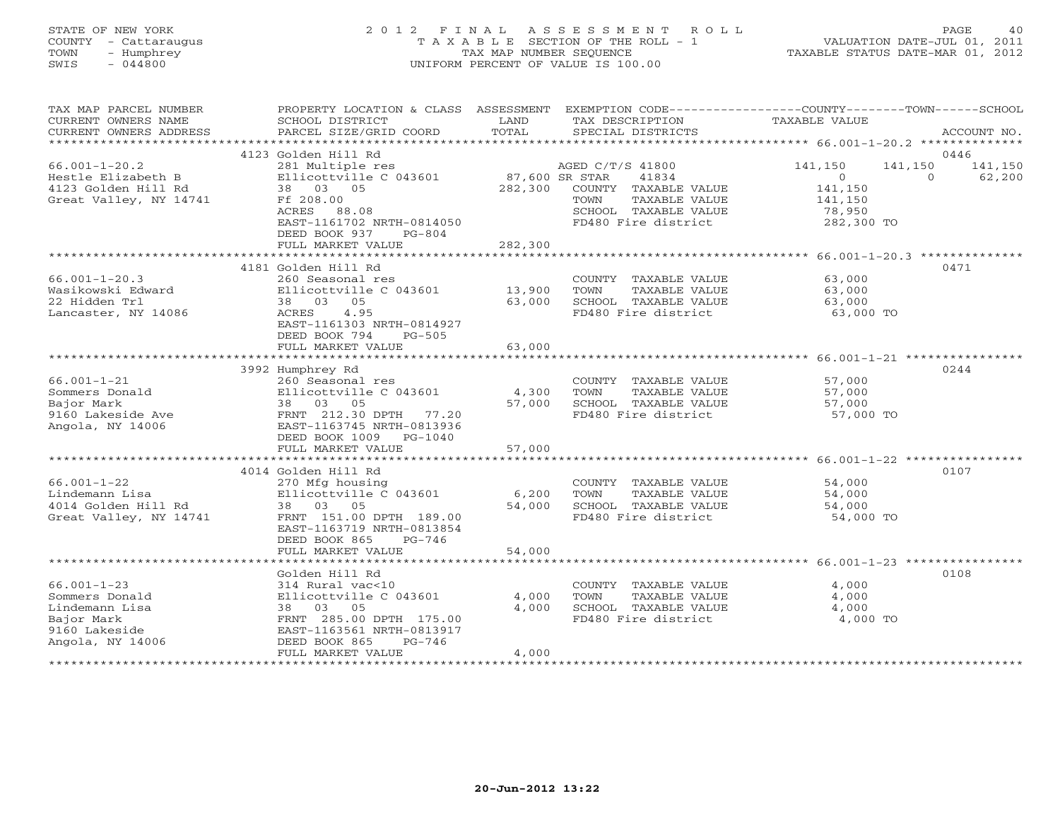# STATE OF NEW YORK 2 0 1 2 F I N A L A S S E S S M E N T R O L L PAGE 40 COUNTY - Cattaraugus T A X A B L E SECTION OF THE ROLL - 1 VALUATION DATE-JUL 01, 2011 TOWN - Humphrey TAX MAP NUMBER SEQUENCE TAXABLE STATUS DATE-MAR 01, 2012 SWIS - 044800 UNIFORM PERCENT OF VALUE IS 100.00UNIFORM PERCENT OF VALUE IS 100.00

| TAX MAP PARCEL NUMBER                               | PROPERTY LOCATION & CLASS ASSESSMENT                 |                | EXEMPTION CODE-----------------COUNTY-------TOWN------SCHOOL |                      |          |             |
|-----------------------------------------------------|------------------------------------------------------|----------------|--------------------------------------------------------------|----------------------|----------|-------------|
| CURRENT OWNERS NAME                                 | SCHOOL DISTRICT                                      | LAND           | TAX DESCRIPTION                                              | <b>TAXABLE VALUE</b> |          |             |
| CURRENT OWNERS ADDRESS<br>************************* | PARCEL SIZE/GRID COORD                               | TOTAL          | SPECIAL DISTRICTS                                            |                      |          | ACCOUNT NO. |
|                                                     | 4123 Golden Hill Rd                                  |                |                                                              |                      |          | 0446        |
| $66.001 - 1 - 20.2$                                 | 281 Multiple res                                     |                | AGED C/T/S 41800                                             | 141,150              | 141,150  | 141,150     |
| Hestle Elizabeth B                                  | Ellicottville C 043601                               | 87,600 SR STAR | 41834                                                        | $\circ$              | $\Omega$ | 62,200      |
| 4123 Golden Hill Rd                                 | 38 03 05                                             | 282,300        | COUNTY TAXABLE VALUE                                         | 141,150              |          |             |
| Great Valley, NY 14741                              | Ff 208.00                                            |                | TAXABLE VALUE<br>TOWN                                        | 141,150              |          |             |
|                                                     | ACRES<br>88.08                                       |                | SCHOOL TAXABLE VALUE<br>FD480 Fire district                  | 78,950               |          |             |
|                                                     | EAST-1161702 NRTH-0814050<br>DEED BOOK 937<br>PG-804 |                |                                                              | 282,300 TO           |          |             |
|                                                     | FULL MARKET VALUE                                    | 282,300        |                                                              |                      |          |             |
|                                                     |                                                      |                |                                                              |                      |          |             |
|                                                     | 4181 Golden Hill Rd                                  |                |                                                              |                      |          | 0471        |
| $66.001 - 1 - 20.3$                                 | 260 Seasonal res                                     |                | COUNTY TAXABLE VALUE                                         | 63,000               |          |             |
| Wasikowski Edward                                   | Ellicottville C 043601                               | 13,900         | TOWN<br>TAXABLE VALUE                                        | 63,000               |          |             |
| 22 Hidden Trl                                       | 38 03<br>05                                          | 63,000         | SCHOOL TAXABLE VALUE                                         | 63,000               |          |             |
| Lancaster, NY 14086                                 | 4.95<br>ACRES                                        |                | FD480 Fire district                                          | 63,000 TO            |          |             |
|                                                     | EAST-1161303 NRTH-0814927                            |                |                                                              |                      |          |             |
|                                                     | DEED BOOK 794<br>$PG-505$<br>FULL MARKET VALUE       | 63,000         |                                                              |                      |          |             |
|                                                     |                                                      |                |                                                              |                      |          |             |
|                                                     | 3992 Humphrey Rd                                     |                |                                                              |                      |          | 0244        |
| $66.001 - 1 - 21$                                   | 260 Seasonal res                                     |                | COUNTY TAXABLE VALUE                                         | 57,000               |          |             |
| Sommers Donald                                      | Ellicottville C 043601                               | 4,300          | TOWN<br>TAXABLE VALUE                                        | 57,000               |          |             |
| Bajor Mark                                          | 38 03 05                                             | 57,000         | SCHOOL TAXABLE VALUE                                         | 57,000               |          |             |
| 9160 Lakeside Ave                                   | FRNT 212.30 DPTH<br>77.20                            |                | FD480 Fire district                                          | 57,000 TO            |          |             |
| Angola, NY 14006                                    | EAST-1163745 NRTH-0813936                            |                |                                                              |                      |          |             |
|                                                     | DEED BOOK 1009<br>PG-1040                            |                |                                                              |                      |          |             |
|                                                     | FULL MARKET VALUE                                    | 57,000         |                                                              |                      |          |             |
|                                                     | 4014 Golden Hill Rd                                  |                |                                                              |                      |          | 0107        |
| $66.001 - 1 - 22$                                   | 270 Mfg housing                                      |                | COUNTY TAXABLE VALUE                                         | 54,000               |          |             |
| Lindemann Lisa                                      | Ellicottville C 043601                               | 6,200          | TOWN<br>TAXABLE VALUE                                        | 54,000               |          |             |
| 4014 Golden Hill Rd                                 | 38 03 05                                             | 54,000         | SCHOOL TAXABLE VALUE                                         | 54,000               |          |             |
| Great Valley, NY 14741                              | FRNT 151.00 DPTH 189.00                              |                | FD480 Fire district                                          | 54,000 TO            |          |             |
|                                                     | EAST-1163719 NRTH-0813854                            |                |                                                              |                      |          |             |
|                                                     | DEED BOOK 865<br>$PG-746$                            |                |                                                              |                      |          |             |
|                                                     | FULL MARKET VALUE                                    | 54,000         |                                                              |                      |          |             |
|                                                     | Golden Hill Rd                                       |                |                                                              |                      |          | 0108        |
| $66.001 - 1 - 23$                                   | 314 Rural vac<10                                     |                | COUNTY TAXABLE VALUE                                         | 4,000                |          |             |
| Sommers Donald                                      | Ellicottville C 043601                               | 4,000          | TAXABLE VALUE<br>TOWN                                        | 4,000                |          |             |
| Lindemann Lisa                                      | 38 03 05                                             | 4,000          | SCHOOL TAXABLE VALUE                                         | 4,000                |          |             |
| Bajor Mark                                          | FRNT 285.00 DPTH 175.00                              |                | FD480 Fire district                                          | 4,000 TO             |          |             |
| 9160 Lakeside                                       | EAST-1163561 NRTH-0813917                            |                |                                                              |                      |          |             |
| Angola, NY 14006                                    | DEED BOOK 865<br>$PG-746$                            |                |                                                              |                      |          |             |
|                                                     | FULL MARKET VALUE                                    | 4,000          |                                                              |                      |          |             |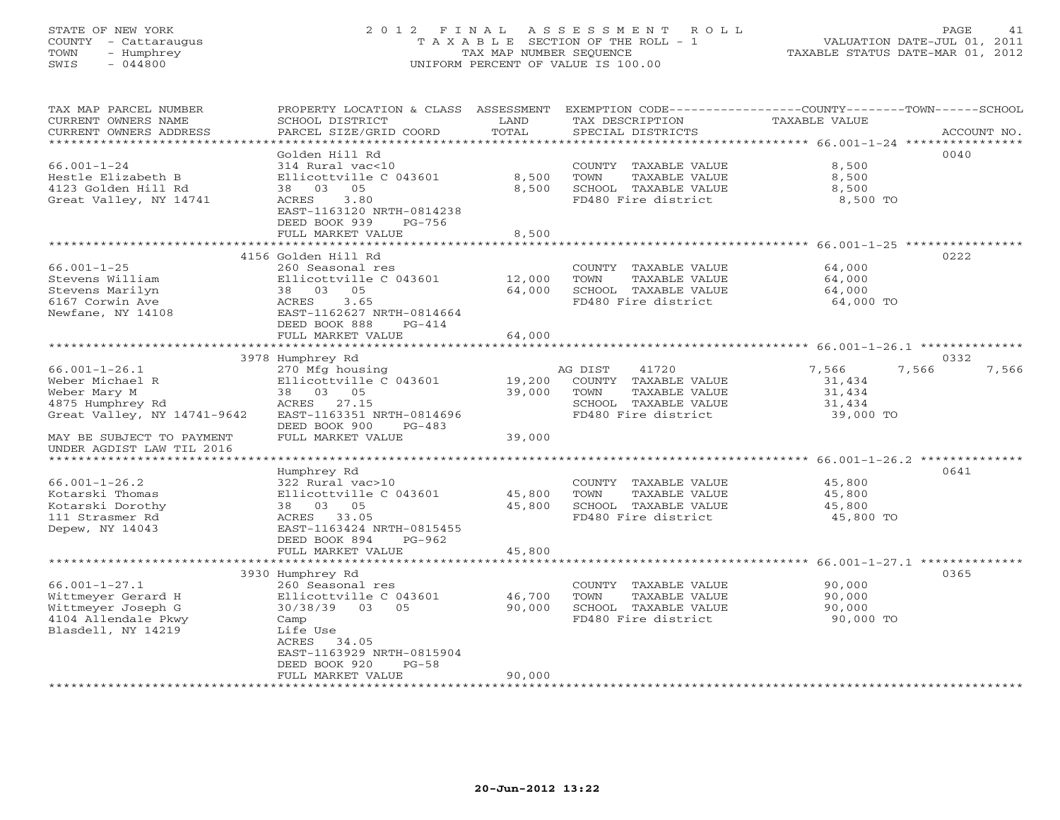# STATE OF NEW YORK 2 0 1 2 F I N A L A S S E S S M E N T R O L L PAGE 41 COUNTY - Cattaraugus T A X A B L E SECTION OF THE ROLL - 1 VALUATION DATE-JUL 01, 2011 TOWN - Humphrey TAX MAP NUMBER SEQUENCE TAXABLE STATUS DATE-MAR 01, 2012 SWIS - 044800 UNIFORM PERCENT OF VALUE IS 100.00UNIFORM PERCENT OF VALUE IS 100.00

| TAX MAP PARCEL NUMBER<br>CURRENT OWNERS NAME                | PROPERTY LOCATION & CLASS ASSESSMENT<br>SCHOOL DISTRICT | LAND   | TAX DESCRIPTION       | EXEMPTION CODE-----------------COUNTY-------TOWN------SCHOOL<br>TAXABLE VALUE |             |
|-------------------------------------------------------------|---------------------------------------------------------|--------|-----------------------|-------------------------------------------------------------------------------|-------------|
| CURRENT OWNERS ADDRESS                                      | PARCEL SIZE/GRID COORD                                  | TOTAL  | SPECIAL DISTRICTS     |                                                                               | ACCOUNT NO. |
| *************************                                   |                                                         |        |                       |                                                                               |             |
|                                                             | Golden Hill Rd                                          |        |                       |                                                                               | 0040        |
| $66.001 - 1 - 24$                                           | 314 Rural vac<10                                        |        | COUNTY TAXABLE VALUE  | 8,500                                                                         |             |
| Hestle Elizabeth B                                          | Ellicottville C 043601                                  | 8,500  | TOWN<br>TAXABLE VALUE | 8,500                                                                         |             |
| 4123 Golden Hill Rd                                         | 38 03 05                                                | 8,500  | SCHOOL TAXABLE VALUE  | 8,500                                                                         |             |
| Great Valley, NY 14741                                      | ACRES<br>3.80                                           |        | FD480 Fire district   | 8,500 TO                                                                      |             |
|                                                             | EAST-1163120 NRTH-0814238                               |        |                       |                                                                               |             |
|                                                             | DEED BOOK 939<br>PG-756                                 |        |                       |                                                                               |             |
|                                                             | FULL MARKET VALUE                                       | 8,500  |                       |                                                                               |             |
|                                                             |                                                         |        |                       |                                                                               |             |
|                                                             | 4156 Golden Hill Rd                                     |        |                       |                                                                               | 0222        |
| $66.001 - 1 - 25$                                           | 260 Seasonal res                                        |        | COUNTY TAXABLE VALUE  | 64,000                                                                        |             |
| Stevens William                                             | Ellicottville C 043601                                  | 12,000 | TOWN<br>TAXABLE VALUE | 64,000                                                                        |             |
| Stevens Marilyn                                             | 38 03 05                                                | 64,000 | SCHOOL TAXABLE VALUE  | 64,000                                                                        |             |
| 6167 Corwin Ave                                             | ACRES<br>3.65                                           |        | FD480 Fire district   | 64,000 TO                                                                     |             |
| Newfane, NY 14108                                           | EAST-1162627 NRTH-0814664                               |        |                       |                                                                               |             |
|                                                             | DEED BOOK 888<br>$PG-414$                               |        |                       |                                                                               |             |
|                                                             | FULL MARKET VALUE                                       | 64,000 |                       |                                                                               |             |
|                                                             |                                                         |        |                       |                                                                               |             |
|                                                             | 3978 Humphrey Rd                                        |        |                       |                                                                               | 0332        |
| $66.001 - 1 - 26.1$                                         | 270 Mfg housing                                         |        | AG DIST<br>41720      | 7,566<br>7,566                                                                | 7,566       |
| Weber Michael R                                             | Ellicottville C 043601                                  | 19,200 | COUNTY TAXABLE VALUE  | 31,434                                                                        |             |
| Weber Mary M                                                | 38 03 05                                                | 39,000 | TAXABLE VALUE<br>TOWN | 31,434                                                                        |             |
| 4875 Humphrey Rd                                            | ACRES 27.15                                             |        | SCHOOL TAXABLE VALUE  | 31,434                                                                        |             |
| Great Valley, NY 14741-9642                                 | EAST-1163351 NRTH-0814696                               |        | FD480 Fire district   | 39,000 TO                                                                     |             |
|                                                             | DEED BOOK 900<br>$PG-483$                               |        |                       |                                                                               |             |
| MAY BE SUBJECT TO PAYMENT                                   | FULL MARKET VALUE                                       | 39,000 |                       |                                                                               |             |
| UNDER AGDIST LAW TIL 2016<br>****************************** |                                                         |        |                       |                                                                               |             |
|                                                             |                                                         |        |                       |                                                                               | 0641        |
| $66.001 - 1 - 26.2$                                         | Humphrey Rd<br>322 Rural vac>10                         |        | COUNTY TAXABLE VALUE  | 45,800                                                                        |             |
| Kotarski Thomas                                             | Ellicottville C 043601                                  | 45,800 | TOWN<br>TAXABLE VALUE | 45,800                                                                        |             |
| Kotarski Dorothy                                            | 38 03 05                                                | 45,800 | SCHOOL TAXABLE VALUE  | 45,800                                                                        |             |
| 111 Strasmer Rd                                             | ACRES 33.05                                             |        | FD480 Fire district   | 45,800 TO                                                                     |             |
| Depew, NY 14043                                             | EAST-1163424 NRTH-0815455                               |        |                       |                                                                               |             |
|                                                             | DEED BOOK 894<br>PG-962                                 |        |                       |                                                                               |             |
|                                                             | FULL MARKET VALUE                                       | 45,800 |                       |                                                                               |             |
|                                                             |                                                         |        |                       |                                                                               |             |
|                                                             | 3930 Humphrey Rd                                        |        |                       |                                                                               | 0365        |
| $66.001 - 1 - 27.1$                                         | 260 Seasonal res                                        |        | COUNTY TAXABLE VALUE  | 90,000                                                                        |             |
| Wittmeyer Gerard H                                          | Ellicottville C 043601                                  | 46,700 | TOWN<br>TAXABLE VALUE | 90,000                                                                        |             |
| Wittmeyer Joseph G                                          | 30/38/39 03 05                                          | 90,000 | SCHOOL TAXABLE VALUE  | 90,000                                                                        |             |
| 4104 Allendale Pkwy                                         | Camp                                                    |        | FD480 Fire district   | 90,000 TO                                                                     |             |
| Blasdell, NY 14219                                          | Life Use                                                |        |                       |                                                                               |             |
|                                                             | ACRES 34.05                                             |        |                       |                                                                               |             |
|                                                             | EAST-1163929 NRTH-0815904                               |        |                       |                                                                               |             |
|                                                             | DEED BOOK 920<br>$PG-58$                                |        |                       |                                                                               |             |
|                                                             | FULL MARKET VALUE                                       | 90,000 |                       |                                                                               |             |
|                                                             |                                                         |        |                       |                                                                               |             |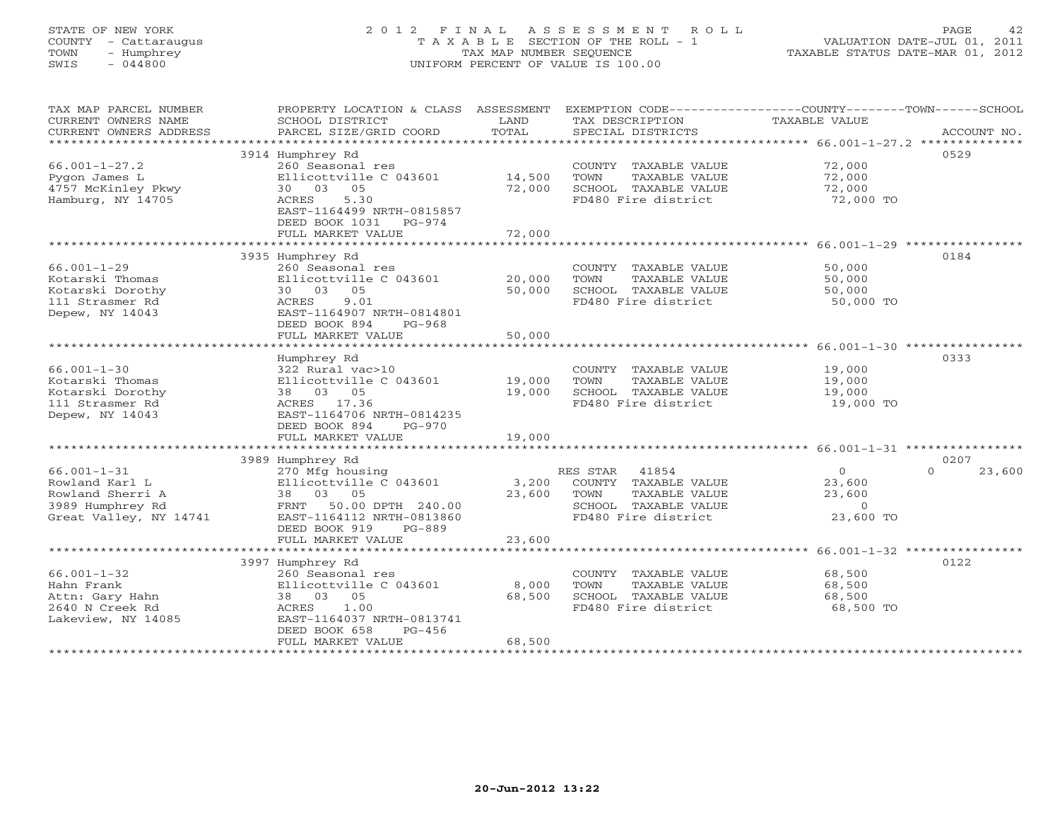# STATE OF NEW YORK 2 0 1 2 F I N A L A S S E S S M E N T R O L L PAGE 42 COUNTY - Cattaraugus T A X A B L E SECTION OF THE ROLL - 1 VALUATION DATE-JUL 01, 2011 TOWN - Humphrey TAX MAP NUMBER SEQUENCE TAXABLE STATUS DATE-MAR 01, 2012 SWIS - 044800 UNIFORM PERCENT OF VALUE IS 100.00UNIFORM PERCENT OF VALUE IS 100.00

| TAX MAP PARCEL NUMBER<br>CURRENT OWNERS NAME<br>CURRENT OWNERS ADDRESS | SCHOOL DISTRICT<br>PARCEL SIZE/GRID COORD                           | LAND<br>TOTAL | TAX DESCRIPTION<br>SPECIAL DISTRICTS | PROPERTY LOCATION & CLASS ASSESSMENT EXEMPTION CODE----------------COUNTY-------TOWN------SCHOOL<br>TAXABLE VALUE<br>ACCOUNT NO. |
|------------------------------------------------------------------------|---------------------------------------------------------------------|---------------|--------------------------------------|----------------------------------------------------------------------------------------------------------------------------------|
|                                                                        |                                                                     |               |                                      |                                                                                                                                  |
| $66.001 - 1 - 27.2$                                                    | 3914 Humphrey Rd<br>260 Seasonal res                                |               | COUNTY TAXABLE VALUE                 | 0529<br>72,000                                                                                                                   |
| Pygon James L                                                          | Ellicottville C 043601                                              | 14,500        | TOWN<br>TAXABLE VALUE                | 72,000                                                                                                                           |
| 4757 McKinley Pkwy                                                     | 30 03 05                                                            | 72,000        | SCHOOL TAXABLE VALUE                 | 72,000                                                                                                                           |
| Hamburg, NY 14705                                                      | 5.30<br>ACRES<br>EAST-1164499 NRTH-0815857<br>DEED BOOK 1031 PG-974 |               | FD480 Fire district                  | 72,000 TO                                                                                                                        |
|                                                                        | FULL MARKET VALUE                                                   | 72,000        |                                      |                                                                                                                                  |
|                                                                        |                                                                     |               |                                      |                                                                                                                                  |
|                                                                        | 3935 Humphrey Rd                                                    |               |                                      | 0184                                                                                                                             |
| $66.001 - 1 - 29$                                                      | 260 Seasonal res                                                    |               | COUNTY TAXABLE VALUE                 | 50,000                                                                                                                           |
| Kotarski Thomas                                                        | Ellicottville C 043601                                              | 20,000        | TOWN<br>TAXABLE VALUE                | 50,000                                                                                                                           |
| Kotarski Dorothy                                                       | 30 03 05                                                            | 50,000        | SCHOOL TAXABLE VALUE                 | 50,000                                                                                                                           |
| 111 Strasmer Rd                                                        | 9.01<br>ACRES                                                       |               | FD480 Fire district                  | 50,000 TO                                                                                                                        |
| Depew, NY 14043                                                        | EAST-1164907 NRTH-0814801<br>DEED BOOK 894<br>$PG-968$              |               |                                      |                                                                                                                                  |
|                                                                        | FULL MARKET VALUE                                                   | 50,000        |                                      |                                                                                                                                  |
|                                                                        |                                                                     |               |                                      |                                                                                                                                  |
|                                                                        | Humphrey Rd                                                         |               |                                      | 0333                                                                                                                             |
| $66.001 - 1 - 30$                                                      | 322 Rural vac>10                                                    |               | COUNTY TAXABLE VALUE                 | 19,000                                                                                                                           |
| Kotarski Thomas                                                        | Ellicottville C 043601                                              | 19,000        | TOWN<br>TAXABLE VALUE                | 19,000                                                                                                                           |
| Kotarski Dorothy                                                       | 38 03 05                                                            | 19,000        | SCHOOL TAXABLE VALUE                 | 19,000                                                                                                                           |
| 111 Strasmer Rd                                                        | ACRES 17.36                                                         |               | FD480 Fire district                  | 19,000 TO                                                                                                                        |
| Depew, NY 14043                                                        | EAST-1164706 NRTH-0814235                                           |               |                                      |                                                                                                                                  |
|                                                                        | DEED BOOK 894<br>$PG-970$                                           |               |                                      |                                                                                                                                  |
|                                                                        | FULL MARKET VALUE                                                   | 19,000        |                                      |                                                                                                                                  |
|                                                                        |                                                                     |               |                                      |                                                                                                                                  |
|                                                                        | 3989 Humphrey Rd                                                    |               |                                      | 0207                                                                                                                             |
| $66.001 - 1 - 31$                                                      | 270 Mfg housing                                                     |               | RES STAR<br>41854                    | $\Omega$<br>$\Omega$<br>23,600                                                                                                   |
| Rowland Karl L                                                         | Ellicottville C 043601                                              | 3,200         | COUNTY TAXABLE VALUE                 | 23,600                                                                                                                           |
| Rowland Sherri A                                                       | 38 03 05                                                            | 23,600        | TOWN<br>TAXABLE VALUE                | 23,600                                                                                                                           |
| 3989 Humphrey Rd                                                       | 50.00 DPTH 240.00<br>FRNT                                           |               | SCHOOL TAXABLE VALUE                 | $\circ$                                                                                                                          |
| Great Valley, NY 14741                                                 | EAST-1164112 NRTH-0813860                                           |               | FD480 Fire district                  | 23,600 TO                                                                                                                        |
|                                                                        | DEED BOOK 919<br>PG-889                                             |               |                                      |                                                                                                                                  |
|                                                                        | FULL MARKET VALUE                                                   | 23,600        |                                      |                                                                                                                                  |
|                                                                        |                                                                     |               |                                      |                                                                                                                                  |
|                                                                        | 3997 Humphrey Rd                                                    |               |                                      | 0122                                                                                                                             |
| $66.001 - 1 - 32$                                                      | 260 Seasonal res                                                    |               | COUNTY TAXABLE VALUE                 | 68,500                                                                                                                           |
| Hahn Frank                                                             | Ellicottville C 043601                                              | 8,000         | TOWN<br>TAXABLE VALUE                | 68,500                                                                                                                           |
| Attn: Gary Hahn                                                        | 38 03 05                                                            | 68,500        | SCHOOL TAXABLE VALUE                 | 68,500                                                                                                                           |
| 2640 N Creek Rd                                                        | 1.00<br>ACRES                                                       |               | FD480 Fire district                  | 68,500 TO                                                                                                                        |
| Lakeview, NY 14085                                                     | EAST-1164037 NRTH-0813741                                           |               |                                      |                                                                                                                                  |
|                                                                        | $PG-456$<br>DEED BOOK 658                                           |               |                                      |                                                                                                                                  |
|                                                                        | FULL MARKET VALUE                                                   | 68,500        |                                      |                                                                                                                                  |
|                                                                        |                                                                     |               |                                      |                                                                                                                                  |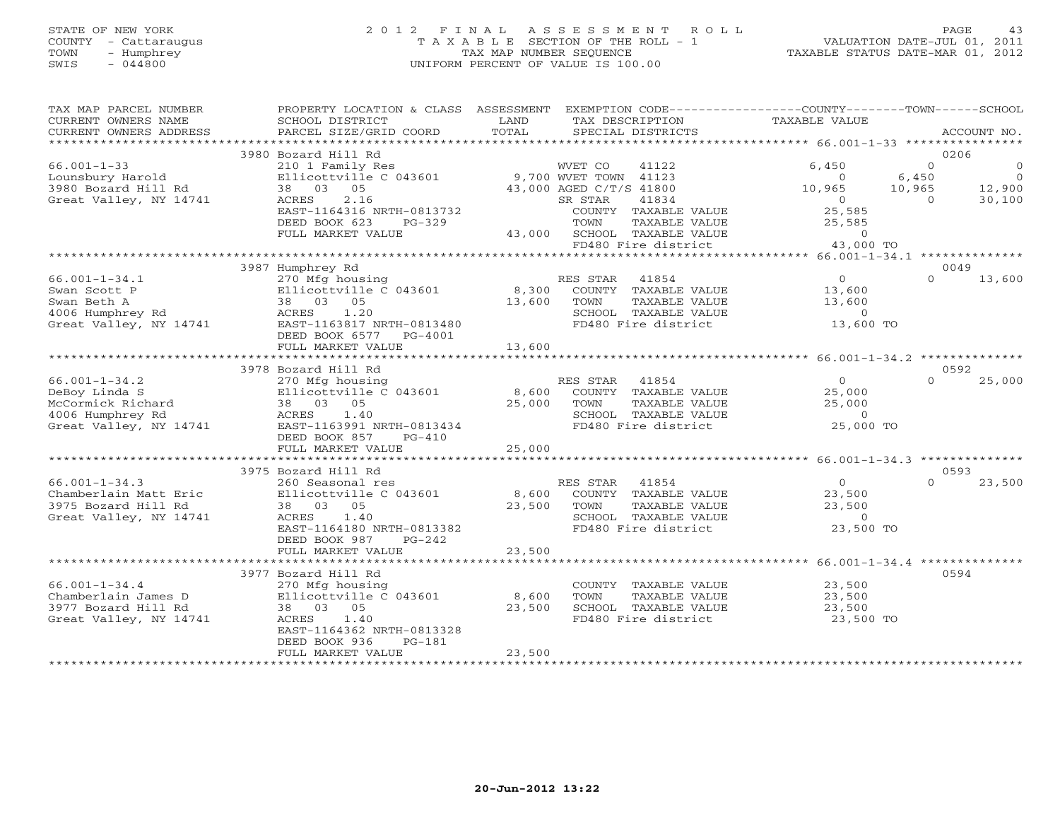# STATE OF NEW YORK 2 0 1 2 F I N A L A S S E S S M E N T R O L L PAGE 43 COUNTY - Cattaraugus T A X A B L E SECTION OF THE ROLL - 1 VALUATION DATE-JUL 01, 2011 TOWN - Humphrey TAX MAP NUMBER SEQUENCE TAXABLE STATUS DATE-MAR 01, 2012 SWIS - 044800 UNIFORM PERCENT OF VALUE IS 100.00UNIFORM PERCENT OF VALUE IS 100.00

| TAX MAP PARCEL NUMBER<br>CURRENT OWNERS NAME<br>CURRENT OWNERS ADDRESS | PROPERTY LOCATION & CLASS ASSESSMENT<br>SCHOOL DISTRICT<br>PARCEL SIZE/GRID COORD | LAND<br>TOTAL | TAX DESCRIPTION<br>SPECIAL DISTRICTS        | EXEMPTION CODE-----------------COUNTY-------TOWN------SCHOOL<br>TAXABLE VALUE | ACCOUNT NO.             |
|------------------------------------------------------------------------|-----------------------------------------------------------------------------------|---------------|---------------------------------------------|-------------------------------------------------------------------------------|-------------------------|
|                                                                        |                                                                                   |               |                                             |                                                                               |                         |
|                                                                        | 3980 Bozard Hill Rd                                                               |               |                                             |                                                                               | 0206                    |
| $66.001 - 1 - 33$                                                      | 210 1 Family Res                                                                  |               | 41122<br>WVET CO                            | 6,450                                                                         | $\Omega$<br>$\circ$     |
| Lounsbury Harold                                                       | Ellicottville C 043601                                                            |               | 9,700 WVET TOWN 41123                       | $\Omega$                                                                      | $\overline{0}$<br>6,450 |
| 3980 Bozard Hill Rd                                                    | 38 03 05                                                                          |               | 43,000 AGED C/T/S 41800                     | 10,965                                                                        | 10,965<br>12,900        |
| Great Valley, NY 14741                                                 | 2.16<br>ACRES                                                                     |               | SR STAR<br>41834                            | $\Omega$                                                                      | 30,100<br>$\Omega$      |
|                                                                        | EAST-1164316 NRTH-0813732                                                         |               | COUNTY TAXABLE VALUE                        | 25,585                                                                        |                         |
|                                                                        | DEED BOOK 623<br>$PG-329$                                                         |               | TOWN<br>TAXABLE VALUE                       | 25,585                                                                        |                         |
|                                                                        | FULL MARKET VALUE                                                                 |               | 43,000 SCHOOL TAXABLE VALUE                 | $\Omega$                                                                      |                         |
|                                                                        | **********************************                                                |               | FD480 Fire district                         | 43,000 TO<br>*************** 66.001-1-34.1 ***************                    |                         |
|                                                                        | 3987 Humphrey Rd                                                                  |               |                                             |                                                                               | 0049                    |
| $66.001 - 1 - 34.1$                                                    | 270 Mfg housing                                                                   |               | 41854<br>RES STAR                           | $\Omega$                                                                      | $\Omega$<br>13,600      |
| Swan Scott P                                                           | Ellicottville C 043601                                                            | 8,300         | COUNTY TAXABLE VALUE                        | 13,600                                                                        |                         |
| Swan Beth A                                                            | 38 03 05                                                                          | 13,600        | TOWN<br>TAXABLE VALUE                       | 13,600                                                                        |                         |
| 4006 Humphrey Rd                                                       | ACRES<br>1.20                                                                     |               | SCHOOL TAXABLE VALUE                        | $\circ$                                                                       |                         |
| Great Valley, NY 14741                                                 | EAST-1163817 NRTH-0813480                                                         |               | FD480 Fire district                         | 13,600 TO                                                                     |                         |
|                                                                        | DEED BOOK 6577<br>PG-4001                                                         |               |                                             |                                                                               |                         |
|                                                                        | FULL MARKET VALUE                                                                 | 13,600        |                                             |                                                                               |                         |
|                                                                        |                                                                                   |               |                                             |                                                                               |                         |
|                                                                        | 3978 Bozard Hill Rd                                                               |               |                                             |                                                                               | 0592                    |
| $66.001 - 1 - 34.2$                                                    | 270 Mfg housing                                                                   |               | 41854<br>RES STAR                           | $\overline{0}$                                                                | $\Omega$<br>25,000      |
| DeBoy Linda S                                                          | Ellicottville C 043601                                                            | 8,600         | COUNTY TAXABLE VALUE                        | 25,000                                                                        |                         |
| McCormick Richard                                                      | 38 03 05                                                                          | 25,000        | TOWN<br>TAXABLE VALUE                       | 25,000                                                                        |                         |
| 4006 Humphrey Rd                                                       | ACRES<br>1.40                                                                     |               | SCHOOL TAXABLE VALUE                        | $\Omega$                                                                      |                         |
| Great Valley, NY 14741                                                 | EAST-1163991 NRTH-0813434                                                         |               | FD480 Fire district                         | 25,000 TO                                                                     |                         |
|                                                                        | DEED BOOK 857<br>$PG-410$                                                         |               |                                             |                                                                               |                         |
|                                                                        | FULL MARKET VALUE                                                                 | 25,000        |                                             |                                                                               |                         |
|                                                                        |                                                                                   |               |                                             |                                                                               |                         |
|                                                                        | 3975 Bozard Hill Rd                                                               |               |                                             |                                                                               | 0593                    |
| $66.001 - 1 - 34.3$                                                    | 260 Seasonal res                                                                  |               | RES STAR<br>41854                           | $\overline{0}$                                                                | $\Omega$<br>23,500      |
| Chamberlain Matt Eric<br>3975 Bozard Hill Rd                           | Ellicottville C 043601                                                            |               | 8,600 COUNTY TAXABLE VALUE<br>TAXABLE VALUE | 23,500<br>23,500                                                              |                         |
| Great Valley, NY 14741                                                 | 38 03 05<br>1.40<br>ACRES                                                         | 23,500        | TOWN<br>SCHOOL TAXABLE VALUE                | $\Omega$                                                                      |                         |
|                                                                        | EAST-1164180 NRTH-0813382                                                         |               | FD480 Fire district                         | 23,500 TO                                                                     |                         |
|                                                                        | DEED BOOK 987<br>PG-242                                                           |               |                                             |                                                                               |                         |
|                                                                        | FULL MARKET VALUE                                                                 | 23,500        |                                             |                                                                               |                         |
|                                                                        | **************************                                                        |               |                                             |                                                                               |                         |
|                                                                        | 3977 Bozard Hill Rd                                                               |               |                                             |                                                                               | 0594                    |
| $66.001 - 1 - 34.4$                                                    | 270 Mfg housing                                                                   |               | COUNTY TAXABLE VALUE                        | 23,500                                                                        |                         |
| Chamberlain James D                                                    | Ellicottville C 043601                                                            | 8,600         | TOWN<br>TAXABLE VALUE                       | 23,500                                                                        |                         |
| 3977 Bozard Hill Rd                                                    | 38 03 05                                                                          | 23,500        | SCHOOL TAXABLE VALUE                        | 23,500                                                                        |                         |
| Great Valley, NY 14741                                                 | 1.40<br>ACRES                                                                     |               | FD480 Fire district                         | 23,500 TO                                                                     |                         |
|                                                                        | EAST-1164362 NRTH-0813328                                                         |               |                                             |                                                                               |                         |
|                                                                        | DEED BOOK 936<br>$PG-181$                                                         |               |                                             |                                                                               |                         |
|                                                                        | FULL MARKET VALUE                                                                 | 23,500        |                                             |                                                                               |                         |
|                                                                        |                                                                                   |               |                                             |                                                                               |                         |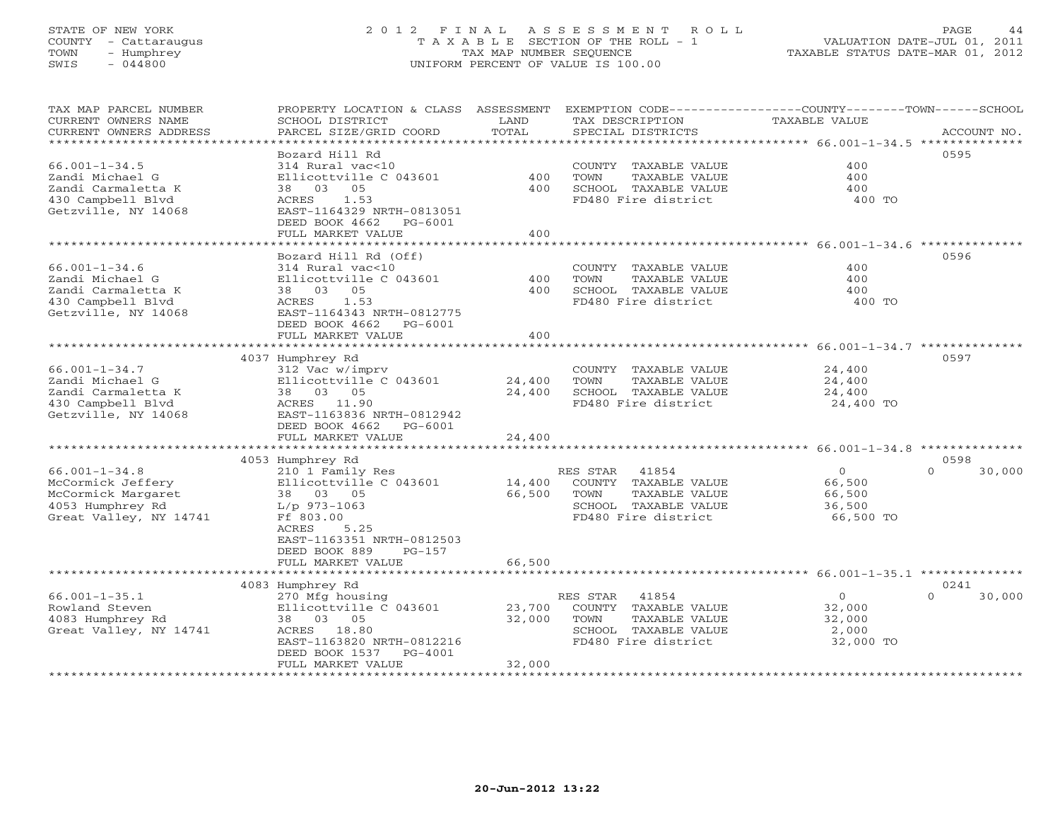# STATE OF NEW YORK 2 0 1 2 F I N A L A S S E S S M E N T R O L L PAGE 44 COUNTY - Cattaraugus T A X A B L E SECTION OF THE ROLL - 1 VALUATION DATE-JUL 01, 2011 TOWN - Humphrey TAX MAP NUMBER SEQUENCE TAXABLE STATUS DATE-MAR 01, 2012 SWIS - 044800 UNIFORM PERCENT OF VALUE IS 100.00

| TAX MAP PARCEL NUMBER<br>CURRENT OWNERS NAME<br>CURRENT OWNERS ADDRESS | PROPERTY LOCATION & CLASS ASSESSMENT<br>SCHOOL DISTRICT<br>PARCEL SIZE/GRID COORD | LAND<br>TOTAL | EXEMPTION CODE-----------------COUNTY-------TOWN------SCHOOL<br>TAX DESCRIPTION<br>SPECIAL DISTRICTS | TAXABLE VALUE                                                  | ACCOUNT NO.        |
|------------------------------------------------------------------------|-----------------------------------------------------------------------------------|---------------|------------------------------------------------------------------------------------------------------|----------------------------------------------------------------|--------------------|
| ***********************                                                |                                                                                   |               |                                                                                                      |                                                                |                    |
|                                                                        | Bozard Hill Rd                                                                    |               |                                                                                                      |                                                                | 0595               |
| $66.001 - 1 - 34.5$                                                    | 314 Rural vac<10                                                                  |               | COUNTY TAXABLE VALUE                                                                                 | 400                                                            |                    |
| Zandi Michael G                                                        | Ellicottville C 043601                                                            | 400           | TOWN<br>TAXABLE VALUE                                                                                | 400                                                            |                    |
| Zandi Carmaletta K                                                     | 38 03<br>05                                                                       | 400           | SCHOOL TAXABLE VALUE                                                                                 | 400                                                            |                    |
| 430 Campbell Blvd<br>Getzville, NY 14068                               | 1.53<br>ACRES<br>EAST-1164329 NRTH-0813051                                        |               | FD480 Fire district                                                                                  | 400 TO                                                         |                    |
|                                                                        | DEED BOOK 4662<br>$PG-6001$                                                       |               |                                                                                                      |                                                                |                    |
|                                                                        | FULL MARKET VALUE                                                                 | 400           |                                                                                                      |                                                                |                    |
|                                                                        |                                                                                   |               |                                                                                                      |                                                                |                    |
|                                                                        | Bozard Hill Rd (Off)                                                              |               |                                                                                                      |                                                                | 0596               |
| $66.001 - 1 - 34.6$                                                    | 314 Rural vac<10                                                                  |               | COUNTY TAXABLE VALUE                                                                                 | 400                                                            |                    |
| Zandi Michael G                                                        | Ellicottville C 043601                                                            | 400           | TAXABLE VALUE<br>TOWN                                                                                | 400                                                            |                    |
| Zandi Carmaletta K                                                     | 38 03 05                                                                          | 400           | SCHOOL TAXABLE VALUE                                                                                 | 400                                                            |                    |
| 430 Campbell Blvd                                                      | 1.53<br>ACRES                                                                     |               | FD480 Fire district                                                                                  | 400 TO                                                         |                    |
| Getzville, NY 14068                                                    | EAST-1164343 NRTH-0812775                                                         |               |                                                                                                      |                                                                |                    |
|                                                                        | DEED BOOK 4662<br>PG-6001                                                         |               |                                                                                                      |                                                                |                    |
|                                                                        | FULL MARKET VALUE                                                                 | 400           |                                                                                                      |                                                                |                    |
|                                                                        |                                                                                   |               |                                                                                                      | ********************************* 66.001-1-34.7 ************** |                    |
|                                                                        | 4037 Humphrey Rd                                                                  |               |                                                                                                      |                                                                | 0597               |
| $66.001 - 1 - 34.7$                                                    | 312 Vac w/imprv                                                                   |               | COUNTY TAXABLE VALUE                                                                                 | 24,400                                                         |                    |
| Zandi Michael G                                                        | Ellicottville C 043601                                                            | 24,400        | TAXABLE VALUE<br>TOWN                                                                                | 24,400                                                         |                    |
| Zandi Carmaletta K                                                     | 38 03 05                                                                          | 24,400        | SCHOOL TAXABLE VALUE                                                                                 | 24,400                                                         |                    |
| 430 Campbell Blvd                                                      | ACRES 11.90                                                                       |               | FD480 Fire district                                                                                  | 24,400 TO                                                      |                    |
| Getzville, NY 14068                                                    | EAST-1163836 NRTH-0812942                                                         |               |                                                                                                      |                                                                |                    |
|                                                                        | DEED BOOK 4662<br>PG-6001                                                         |               |                                                                                                      |                                                                |                    |
|                                                                        | FULL MARKET VALUE                                                                 | 24,400        |                                                                                                      |                                                                |                    |
|                                                                        |                                                                                   |               |                                                                                                      |                                                                |                    |
|                                                                        | 4053 Humphrey Rd                                                                  |               |                                                                                                      |                                                                | 0598               |
| $66.001 - 1 - 34.8$                                                    | 210 1 Family Res                                                                  |               | RES STAR<br>41854                                                                                    | $\overline{0}$                                                 | 30,000<br>$\Omega$ |
| McCormick Jeffery                                                      | Ellicottville C 043601                                                            | 14,400        | COUNTY TAXABLE VALUE                                                                                 | 66,500                                                         |                    |
| McCormick Margaret<br>4053 Humphrey Rd                                 | 38 03 05                                                                          | 66,500        | TAXABLE VALUE<br>TOWN<br>SCHOOL TAXABLE VALUE                                                        | 66,500                                                         |                    |
| Great Valley, NY 14741                                                 | $L/p$ 973-1063<br>Ff 803.00                                                       |               | FD480 Fire district                                                                                  | 36,500<br>66,500 TO                                            |                    |
|                                                                        | 5.25<br>ACRES                                                                     |               |                                                                                                      |                                                                |                    |
|                                                                        | EAST-1163351 NRTH-0812503                                                         |               |                                                                                                      |                                                                |                    |
|                                                                        | DEED BOOK 889<br>$PG-157$                                                         |               |                                                                                                      |                                                                |                    |
|                                                                        | FULL MARKET VALUE                                                                 | 66,500        |                                                                                                      |                                                                |                    |
|                                                                        |                                                                                   |               |                                                                                                      |                                                                |                    |
|                                                                        | 4083 Humphrey Rd                                                                  |               |                                                                                                      |                                                                | 0241               |
| $66.001 - 1 - 35.1$                                                    | 270 Mfg housing                                                                   |               | RES STAR<br>41854                                                                                    | $\overline{0}$                                                 | $\Omega$<br>30,000 |
| Rowland Steven                                                         | Ellicottville C 043601                                                            | 23,700        | COUNTY TAXABLE VALUE                                                                                 | 32,000                                                         |                    |
| 4083 Humphrey Rd                                                       | 38 03 05                                                                          | 32,000        | TOWN<br>TAXABLE VALUE                                                                                | 32,000                                                         |                    |
| Great Valley, NY 14741                                                 | ACRES 18.80                                                                       |               | SCHOOL TAXABLE VALUE                                                                                 | 2,000                                                          |                    |
|                                                                        | EAST-1163820 NRTH-0812216                                                         |               | FD480 Fire district                                                                                  | 32,000 TO                                                      |                    |
|                                                                        | DEED BOOK 1537<br>PG-4001                                                         |               |                                                                                                      |                                                                |                    |
|                                                                        | FULL MARKET VALUE                                                                 | 32,000        |                                                                                                      |                                                                |                    |
|                                                                        |                                                                                   |               |                                                                                                      |                                                                |                    |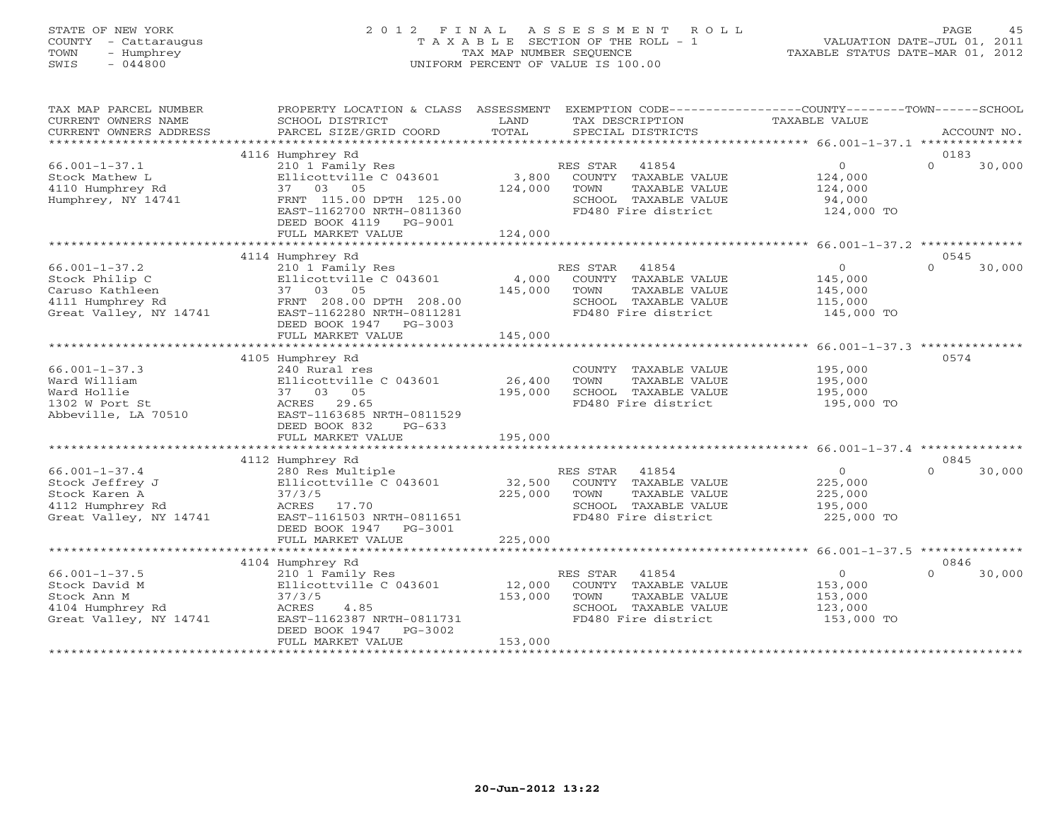# STATE OF NEW YORK 2 0 1 2 F I N A L A S S E S S M E N T R O L L PAGE 45 COUNTY - Cattaraugus T A X A B L E SECTION OF THE ROLL - 1 VALUATION DATE-JUL 01, 2011 TOWN - Humphrey TAX MAP NUMBER SEQUENCE TAXABLE STATUS DATE-MAR 01, 2012 SWIS - 044800 UNIFORM PERCENT OF VALUE IS 100.00UNIFORM PERCENT OF VALUE IS 100.00

| TAX MAP PARCEL NUMBER  | PROPERTY LOCATION & CLASS ASSESSMENT |         | EXEMPTION CODE-----------------COUNTY-------TOWN------SCHOOL |                |                    |
|------------------------|--------------------------------------|---------|--------------------------------------------------------------|----------------|--------------------|
| CURRENT OWNERS NAME    | SCHOOL DISTRICT                      | LAND    | TAX DESCRIPTION                                              | TAXABLE VALUE  |                    |
| CURRENT OWNERS ADDRESS | PARCEL SIZE/GRID COORD               | TOTAL   | SPECIAL DISTRICTS                                            |                | ACCOUNT NO.        |
|                        |                                      |         |                                                              |                |                    |
|                        | 4116 Humphrey Rd                     |         |                                                              |                | 0183               |
| $66.001 - 1 - 37.1$    | 210 1 Family Res                     |         | 41854<br>RES STAR                                            | $\overline{0}$ | 30,000<br>$\Omega$ |
| Stock Mathew L         | Ellicottville C 043601               | 3,800   | COUNTY TAXABLE VALUE                                         | 124,000        |                    |
| 4110 Humphrey Rd       | 37 03 05                             | 124,000 | TOWN<br>TAXABLE VALUE                                        | 124,000        |                    |
| Humphrey, NY 14741     | FRNT 115.00 DPTH 125.00              |         | SCHOOL TAXABLE VALUE                                         | 94,000         |                    |
|                        | EAST-1162700 NRTH-0811360            |         | FD480 Fire district                                          | 124,000 TO     |                    |
|                        | DEED BOOK 4119 PG-9001               |         |                                                              |                |                    |
|                        | FULL MARKET VALUE                    | 124,000 |                                                              |                |                    |
|                        |                                      |         |                                                              |                |                    |
|                        | 4114 Humphrey Rd                     |         |                                                              |                | 0545               |
| $66.001 - 1 - 37.2$    | 210 1 Family Res                     |         | RES STAR<br>41854                                            | $\overline{0}$ | $\Omega$<br>30,000 |
| Stock Philip C         | Ellicottville C 043601               | 4,000   | COUNTY TAXABLE VALUE                                         | 145,000        |                    |
| Caruso Kathleen        | 37 03 05                             | 145,000 | TOWN<br>TAXABLE VALUE                                        | 145,000        |                    |
| 4111 Humphrey Rd       | FRNT 208.00 DPTH 208.00              |         | SCHOOL TAXABLE VALUE                                         | 115,000        |                    |
| Great Valley, NY 14741 | EAST-1162280 NRTH-0811281            |         | FD480 Fire district                                          | 145,000 TO     |                    |
|                        | DEED BOOK 1947 PG-3003               |         |                                                              |                |                    |
|                        | FULL MARKET VALUE                    | 145,000 |                                                              |                |                    |
|                        |                                      |         |                                                              |                |                    |
|                        | 4105 Humphrey Rd                     |         |                                                              |                | 0574               |
| $66.001 - 1 - 37.3$    | 240 Rural res                        |         | COUNTY TAXABLE VALUE                                         | 195,000        |                    |
| Ward William           | Ellicottville C 043601               | 26,400  | TOWN<br>TAXABLE VALUE                                        | 195,000        |                    |
| Ward Hollie            | 37 03 05                             | 195,000 | SCHOOL TAXABLE VALUE                                         | 195,000        |                    |
| 1302 W Port St         | ACRES 29.65                          |         | FD480 Fire district                                          | 195,000 TO     |                    |
| Abbeville, LA 70510    | EAST-1163685 NRTH-0811529            |         |                                                              |                |                    |
|                        | DEED BOOK 832<br>$PG-633$            |         |                                                              |                |                    |
|                        | FULL MARKET VALUE                    | 195,000 |                                                              |                |                    |
|                        |                                      |         |                                                              |                |                    |
|                        | 4112 Humphrey Rd                     |         |                                                              |                | 0845               |
| $66.001 - 1 - 37.4$    | 280 Res Multiple                     |         | RES STAR 41854                                               | $\overline{0}$ | $\cap$<br>30,000   |
| Stock Jeffrey J        | Ellicottville C 043601               | 32,500  | COUNTY TAXABLE VALUE                                         | 225,000        |                    |
| Stock Karen A          | 37/3/5                               | 225,000 | TOWN<br>TAXABLE VALUE                                        | 225,000        |                    |
| 4112 Humphrey Rd       | ACRES 17.70                          |         | SCHOOL TAXABLE VALUE                                         | 195,000        |                    |
| Great Valley, NY 14741 | EAST-1161503 NRTH-0811651            |         | FD480 Fire district                                          | 225,000 TO     |                    |
|                        | DEED BOOK 1947    PG-3001            |         |                                                              |                |                    |
|                        | FULL MARKET VALUE                    | 225,000 |                                                              |                |                    |
|                        |                                      |         |                                                              |                |                    |
|                        | 4104 Humphrey Rd                     |         |                                                              |                | 0846               |
| $66.001 - 1 - 37.5$    | 210 1 Family Res                     |         | RES STAR 41854                                               | $\overline{O}$ | 30,000<br>$\Omega$ |
| Stock David M          | Ellicottville C 043601               | 12,000  | COUNTY TAXABLE VALUE                                         | 153,000        |                    |
| Stock Ann M            | 37/3/5                               | 153,000 | TOWN<br>TAXABLE VALUE                                        | 153,000        |                    |
| 4104 Humphrey Rd       | ACRES<br>4.85                        |         | SCHOOL TAXABLE VALUE                                         | 123,000        |                    |
| Great Valley, NY 14741 | EAST-1162387 NRTH-0811731            |         | FD480 Fire district                                          | 153,000 TO     |                    |
|                        | DEED BOOK 1947<br>PG-3002            |         |                                                              |                |                    |
|                        | FULL MARKET VALUE                    | 153,000 |                                                              |                |                    |
|                        |                                      |         |                                                              |                |                    |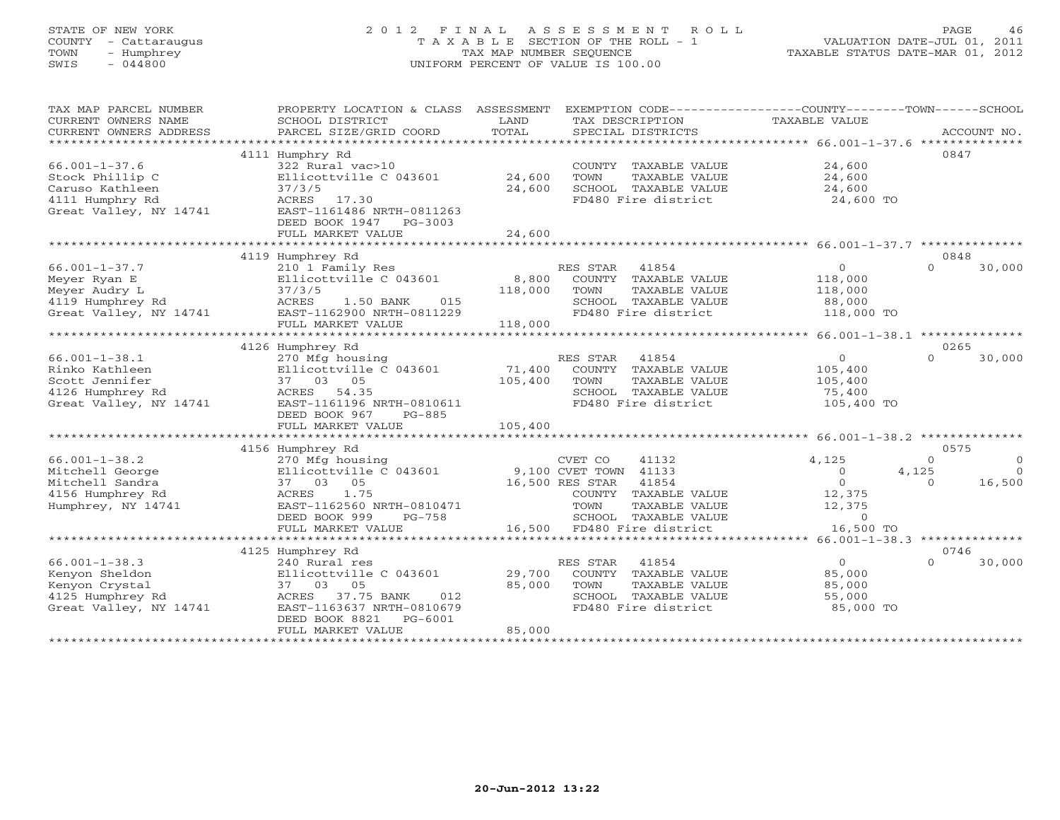# STATE OF NEW YORK 2 0 1 2 F I N A L A S S E S S M E N T R O L L PAGE 46 COUNTY - Cattaraugus T A X A B L E SECTION OF THE ROLL - 1 VALUATION DATE-JUL 01, 2011 TOWN - Humphrey TAX MAP NUMBER SEQUENCE TAXABLE STATUS DATE-MAR 01, 2012 SWIS - 044800 UNIFORM PERCENT OF VALUE IS 100.00UNIFORM PERCENT OF VALUE IS 100.00

TAX MAP PARCEL NUMBER PROPERTY LOCATION & CLASS ASSESSMENT EXEMPTION CODE----------------COUNTY-------TOWN------SCHOOL

| CURRENT OWNERS NAME<br>CURRENT OWNERS ADDRESS | SCHOOL DISTRICT<br>PARCEL SIZE/GRID COORD | LAND<br>TOTAL | TAX DESCRIPTION<br>SPECIAL DISTRICTS                    | TAXABLE VALUE                                   | ACCOUNT NO.          |
|-----------------------------------------------|-------------------------------------------|---------------|---------------------------------------------------------|-------------------------------------------------|----------------------|
| **************                                |                                           |               |                                                         |                                                 |                      |
|                                               | 4111 Humphry Rd                           |               |                                                         |                                                 | 0847                 |
| $66.001 - 1 - 37.6$                           | 322 Rural vac>10                          |               | COUNTY TAXABLE VALUE                                    | 24,600                                          |                      |
| Stock Phillip C                               | Ellicottville C 043601                    | 24,600        | TOWN<br>TAXABLE VALUE                                   | 24,600                                          |                      |
| Caruso Kathleen                               | 37/3/5                                    | 24,600        | SCHOOL TAXABLE VALUE                                    | 24,600                                          |                      |
| 4111 Humphry Rd                               | ACRES<br>17.30                            |               | FD480 Fire district                                     | 24,600 TO                                       |                      |
| Great Valley, NY 14741                        | EAST-1161486 NRTH-0811263                 |               |                                                         |                                                 |                      |
|                                               | DEED BOOK 1947 PG-3003                    |               |                                                         |                                                 |                      |
|                                               | FULL MARKET VALUE                         | 24,600        |                                                         |                                                 |                      |
|                                               |                                           |               |                                                         |                                                 |                      |
|                                               | 4119 Humphrey Rd                          |               |                                                         |                                                 | 0848                 |
| $66.001 - 1 - 37.7$                           | 210 1 Family Res                          |               | RES STAR<br>41854                                       | $\Omega$                                        | $\Omega$<br>30,000   |
| Meyer Ryan E                                  | Ellicottville C 043601                    | 8,800         | COUNTY TAXABLE VALUE                                    | 118,000                                         |                      |
| Meyer Audry L                                 | 37/3/5                                    | 118,000       | TOWN<br>TAXABLE VALUE                                   | 118,000                                         |                      |
| 4119 Humphrey Rd                              | ACRES<br>015<br>1.50 BANK                 |               | SCHOOL TAXABLE VALUE                                    | 88,000                                          |                      |
| Great Valley, NY 14741                        | EAST-1162900 NRTH-0811229                 |               | FD480 Fire district                                     | 118,000 TO                                      |                      |
|                                               | FULL MARKET VALUE                         | 118,000       |                                                         |                                                 |                      |
|                                               |                                           |               |                                                         | ***************** 66.001-1-38.1 *************** |                      |
|                                               | 4126 Humphrey Rd                          |               |                                                         |                                                 | 0265                 |
| $66.001 - 1 - 38.1$                           | 270 Mfg housing                           |               | RES STAR<br>41854                                       | $\Omega$                                        | 30,000<br>$\Omega$   |
| Rinko Kathleen                                | Ellicottville C 043601                    | 71,400        | COUNTY TAXABLE VALUE                                    | 105,400                                         |                      |
| Scott Jennifer                                | 37 03<br>05                               | 105,400       | TOWN<br>TAXABLE VALUE                                   | 105,400                                         |                      |
| 4126 Humphrey Rd                              | ACRES<br>54.35                            |               | SCHOOL TAXABLE VALUE                                    | 75,400                                          |                      |
| Great Valley, NY 14741                        | EAST-1161196 NRTH-0810611                 |               | FD480 Fire district                                     | 105,400 TO                                      |                      |
|                                               |                                           |               |                                                         |                                                 |                      |
|                                               | DEED BOOK 967<br>PG-885                   |               |                                                         |                                                 |                      |
|                                               | FULL MARKET VALUE                         | 105,400       | ******************************* 66.001-1-38.2 ********* |                                                 |                      |
|                                               |                                           |               |                                                         |                                                 |                      |
|                                               | 4156 Humphrey Rd                          |               |                                                         |                                                 | 0575                 |
| $66.001 - 1 - 38.2$                           | 270 Mfg housing                           |               | CVET CO<br>41132                                        | 4,125                                           | $\Omega$<br>$\Omega$ |
| Mitchell George                               | Ellicottville C 043601                    |               | 9,100 CVET TOWN 41133                                   | $\Omega$                                        | 4,125<br>$\Omega$    |
| Mitchell Sandra                               | 37 03<br>05                               |               | 41854<br>16,500 RES STAR                                | $\Omega$                                        | 16,500<br>$\Omega$   |
| 4156 Humphrey Rd                              | ACRES<br>1.75                             |               | COUNTY TAXABLE VALUE                                    | 12,375                                          |                      |
| Humphrey, NY 14741                            | EAST-1162560 NRTH-0810471                 |               | TOWN<br>TAXABLE VALUE                                   | 12,375                                          |                      |
|                                               | DEED BOOK 999<br>$PG-758$                 |               | SCHOOL TAXABLE VALUE                                    | $\circ$                                         |                      |
|                                               | FULL MARKET VALUE                         | 16,500        | FD480 Fire district                                     | 16,500 TO                                       |                      |
|                                               |                                           |               |                                                         |                                                 |                      |
|                                               | 4125 Humphrey Rd                          |               |                                                         |                                                 | 0746                 |
| $66.001 - 1 - 38.3$                           | 240 Rural res                             |               | RES STAR<br>41854                                       | $\overline{0}$                                  | $\Omega$<br>30,000   |
| Kenyon Sheldon                                | Ellicottville C 043601                    | 29,700        | COUNTY TAXABLE VALUE                                    | 85,000                                          |                      |
| Kenyon Crystal                                | 03<br>05<br>37                            | 85,000        | TOWN<br>TAXABLE VALUE                                   | 85,000                                          |                      |
| 4125 Humphrey Rd                              | ACRES<br>37.75 BANK<br>012                |               | SCHOOL TAXABLE VALUE                                    | 55,000                                          |                      |
| Great Valley, NY 14741                        | EAST-1163637 NRTH-0810679                 |               | FD480 Fire district                                     | 85,000 TO                                       |                      |
|                                               | DEED BOOK 8821 PG-6001                    |               |                                                         |                                                 |                      |
|                                               | FULL MARKET VALUE                         | 85,000        |                                                         |                                                 |                      |
|                                               |                                           |               |                                                         |                                                 |                      |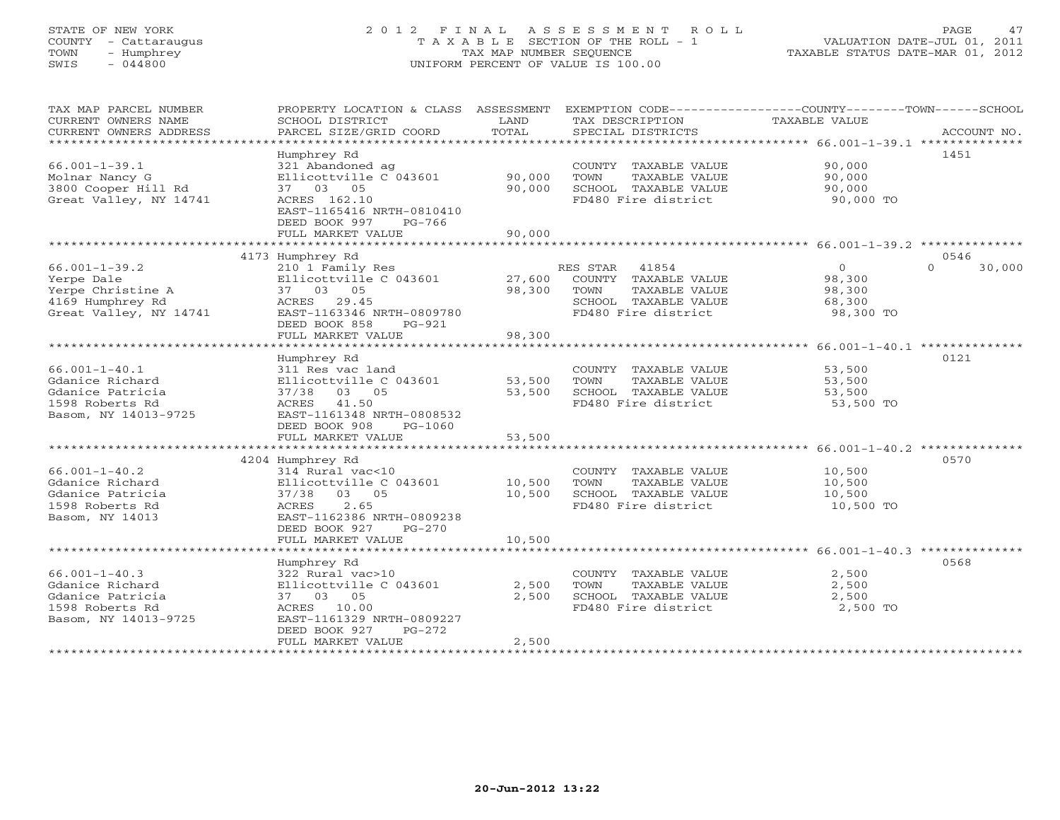# STATE OF NEW YORK 2 0 1 2 F I N A L A S S E S S M E N T R O L L PAGE 47 COUNTY - Cattaraugus T A X A B L E SECTION OF THE ROLL - 1 VALUATION DATE-JUL 01, 2011 TOWN - Humphrey TAX MAP NUMBER SEQUENCE TAXABLE STATUS DATE-MAR 01, 2012 SWIS - 044800 UNIFORM PERCENT OF VALUE IS 100.00UNIFORM PERCENT OF VALUE IS 100.00

| TAX MAP PARCEL NUMBER                         | PROPERTY LOCATION & CLASS ASSESSMENT      |                 | EXEMPTION CODE----------------COUNTY-------TOWN------SCHOOL |                                                          |                    |
|-----------------------------------------------|-------------------------------------------|-----------------|-------------------------------------------------------------|----------------------------------------------------------|--------------------|
| CURRENT OWNERS NAME<br>CURRENT OWNERS ADDRESS | SCHOOL DISTRICT<br>PARCEL SIZE/GRID COORD | LAND<br>TOTAL   | TAX DESCRIPTION<br>SPECIAL DISTRICTS                        | <b>TAXABLE VALUE</b>                                     | ACCOUNT NO.        |
|                                               |                                           |                 |                                                             |                                                          |                    |
|                                               | Humphrey Rd                               |                 |                                                             |                                                          | 1451               |
| $66.001 - 1 - 39.1$                           | 321 Abandoned ag                          |                 | COUNTY TAXABLE VALUE                                        | 90,000                                                   |                    |
| Molnar Nancy G                                | Ellicottville C 043601                    | 90,000          | TOWN<br>TAXABLE VALUE                                       | 90,000                                                   |                    |
| 3800 Cooper Hill Rd                           | 37 03 05                                  | 90,000          | SCHOOL TAXABLE VALUE                                        | 90,000                                                   |                    |
| Great Valley, NY 14741                        | ACRES 162.10                              |                 | FD480 Fire district                                         | 90,000 TO                                                |                    |
|                                               | EAST-1165416 NRTH-0810410                 |                 |                                                             |                                                          |                    |
|                                               | DEED BOOK 997<br>$PG-766$                 |                 |                                                             |                                                          |                    |
|                                               | FULL MARKET VALUE                         | 90,000          |                                                             |                                                          |                    |
|                                               |                                           |                 |                                                             |                                                          |                    |
|                                               | 4173 Humphrey Rd                          |                 |                                                             |                                                          | 0546               |
| $66.001 - 1 - 39.2$                           | 210 1 Family Res                          |                 | RES STAR 41854                                              | $\overline{0}$                                           | $\Omega$<br>30,000 |
| Yerpe Dale                                    | Ellicottville C 043601                    | 27,600          | COUNTY TAXABLE VALUE                                        | 98,300                                                   |                    |
| Yerpe Christine A                             | 37 03 05                                  | 98,300          | TAXABLE VALUE<br>TOWN                                       | 98,300                                                   |                    |
| 4169 Humphrey Rd                              | ACRES 29.45                               |                 | SCHOOL TAXABLE VALUE                                        | 68,300                                                   |                    |
| Great Valley, NY 14741                        | EAST-1163346 NRTH-0809780                 |                 | FD480 Fire district                                         | 98,300 TO                                                |                    |
|                                               | DEED BOOK 858<br>PG-921                   |                 |                                                             |                                                          |                    |
|                                               | FULL MARKET VALUE                         | 98,300          |                                                             |                                                          |                    |
|                                               | **************************                | *************** |                                                             | ************************** 66.001-1-40.1 *************** |                    |
|                                               | Humphrey Rd                               |                 |                                                             |                                                          | 0121               |
| $66.001 - 1 - 40.1$                           | 311 Res vac land                          |                 | COUNTY TAXABLE VALUE                                        | 53,500                                                   |                    |
| Gdanice Richard                               | Ellicottville C 043601                    | 53,500          | TOWN<br>TAXABLE VALUE                                       | 53,500                                                   |                    |
| Gdanice Patricia                              | 37/38 03 05                               | 53,500          | SCHOOL TAXABLE VALUE                                        | 53,500                                                   |                    |
| 1598 Roberts Rd                               | ACRES 41.50                               |                 | FD480 Fire district                                         | 53,500 TO                                                |                    |
| Basom, NY 14013-9725                          | EAST-1161348 NRTH-0808532                 |                 |                                                             |                                                          |                    |
|                                               | DEED BOOK 908<br>$PG-1060$                |                 |                                                             |                                                          |                    |
|                                               | FULL MARKET VALUE                         | 53,500          |                                                             |                                                          |                    |
|                                               |                                           |                 |                                                             |                                                          |                    |
|                                               | 4204 Humphrey Rd                          |                 |                                                             |                                                          | 0570               |
| $66.001 - 1 - 40.2$                           | 314 Rural vac<10                          |                 | COUNTY TAXABLE VALUE                                        | 10,500                                                   |                    |
| Gdanice Richard                               | Ellicottville C 043601                    | 10,500          | TAXABLE VALUE<br>TOWN                                       | 10,500                                                   |                    |
| Gdanice Patricia                              | 37/38 03 05                               | 10,500          | SCHOOL TAXABLE VALUE                                        | 10,500                                                   |                    |
| 1598 Roberts Rd                               | 2.65<br>ACRES                             |                 | FD480 Fire district                                         | 10,500 TO                                                |                    |
| Basom, NY 14013                               | EAST-1162386 NRTH-0809238                 |                 |                                                             |                                                          |                    |
|                                               | DEED BOOK 927<br>$PG-270$                 |                 |                                                             |                                                          |                    |
|                                               | FULL MARKET VALUE                         | 10,500          |                                                             |                                                          |                    |
|                                               |                                           |                 |                                                             |                                                          |                    |
|                                               | Humphrey Rd                               |                 |                                                             |                                                          | 0568               |
| $66.001 - 1 - 40.3$                           | 322 Rural vac>10                          |                 | COUNTY TAXABLE VALUE                                        | 2,500                                                    |                    |
| Gdanice Richard                               | Ellicottville C 043601                    | 2,500           | TOWN<br>TAXABLE VALUE                                       | 2,500                                                    |                    |
| Gdanice Patricia                              | 37 03 05                                  | 2,500           | SCHOOL TAXABLE VALUE                                        | 2,500                                                    |                    |
| 1598 Roberts Rd                               | ACRES 10.00                               |                 | FD480 Fire district                                         | 2,500 TO                                                 |                    |
| Basom, NY 14013-9725                          | EAST-1161329 NRTH-0809227                 |                 |                                                             |                                                          |                    |
|                                               | DEED BOOK 927<br>$PG-272$                 |                 |                                                             |                                                          |                    |
|                                               | FULL MARKET VALUE                         | 2,500           |                                                             |                                                          |                    |
|                                               |                                           |                 |                                                             |                                                          |                    |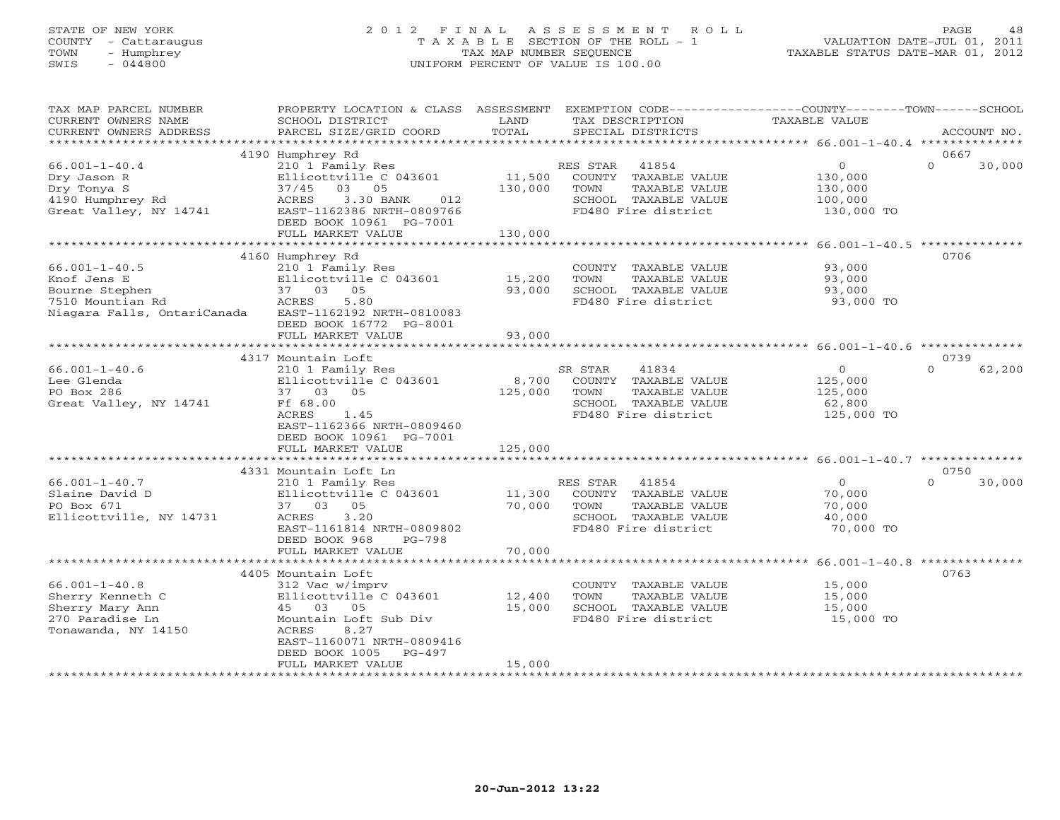# STATE OF NEW YORK 2 0 1 2 F I N A L A S S E S S M E N T R O L L PAGE 48 COUNTY - Cattaraugus T A X A B L E SECTION OF THE ROLL - 1 VALUATION DATE-JUL 01, 2011 TOWN - Humphrey TAX MAP NUMBER SEQUENCE TAXABLE STATUS DATE-MAR 01, 2012 SWIS - 044800 UNIFORM PERCENT OF VALUE IS 100.00UNIFORM PERCENT OF VALUE IS 100.00

| TAX MAP PARCEL NUMBER                      | PROPERTY LOCATION & CLASS                              | ASSESSMENT | EXEMPTION CODE-----------------COUNTY-------TOWN------SCHOOL |                                                               |                    |
|--------------------------------------------|--------------------------------------------------------|------------|--------------------------------------------------------------|---------------------------------------------------------------|--------------------|
| CURRENT OWNERS NAME                        | SCHOOL DISTRICT                                        | LAND       | TAX DESCRIPTION                                              | <b>TAXABLE VALUE</b>                                          |                    |
| CURRENT OWNERS ADDRESS                     | PARCEL SIZE/GRID COORD                                 | TOTAL      | SPECIAL DISTRICTS                                            |                                                               | ACCOUNT NO.        |
| ********************                       |                                                        |            |                                                              |                                                               |                    |
|                                            | 4190 Humphrey Rd                                       |            |                                                              |                                                               | 0667               |
| $66.001 - 1 - 40.4$                        | 210 1 Family Res                                       |            | 41854<br>RES STAR                                            | $\circ$                                                       | $\Omega$<br>30,000 |
| Dry Jason R                                | Ellicottville C 043601                                 | 11,500     | COUNTY TAXABLE VALUE                                         | 130,000                                                       |                    |
| Dry Tonya S                                | 03<br>37/45<br>05                                      | 130,000    | TOWN<br>TAXABLE VALUE                                        | 130,000                                                       |                    |
| 4190 Humphrey Rd<br>Great Valley, NY 14741 | 3.30 BANK<br>ACRES<br>012<br>EAST-1162386 NRTH-0809766 |            | SCHOOL TAXABLE VALUE<br>FD480 Fire district                  | 100,000<br>130,000 TO                                         |                    |
|                                            | DEED BOOK 10961 PG-7001                                |            |                                                              |                                                               |                    |
|                                            | FULL MARKET VALUE                                      | 130,000    |                                                              |                                                               |                    |
|                                            |                                                        |            |                                                              | ******************************** 66.001-1-40.5 ************** |                    |
|                                            | 4160 Humphrey Rd                                       |            |                                                              |                                                               | 0706               |
| $66.001 - 1 - 40.5$                        | 210 1 Family Res                                       |            | COUNTY TAXABLE VALUE                                         | 93,000                                                        |                    |
| Knof Jens E                                | Ellicottville C 043601                                 | 15,200     | TOWN<br>TAXABLE VALUE                                        | 93,000                                                        |                    |
| Bourne Stephen                             | 37 03 05                                               | 93,000     | SCHOOL TAXABLE VALUE                                         | 93,000                                                        |                    |
| 7510 Mountian Rd                           | ACRES<br>5.80                                          |            | FD480 Fire district                                          | 93,000 TO                                                     |                    |
| Niagara Falls, OntariCanada                | EAST-1162192 NRTH-0810083                              |            |                                                              |                                                               |                    |
|                                            | DEED BOOK 16772 PG-8001                                |            |                                                              |                                                               |                    |
|                                            | FULL MARKET VALUE                                      | 93,000     |                                                              |                                                               |                    |
|                                            |                                                        |            |                                                              |                                                               |                    |
|                                            | 4317 Mountain Loft                                     |            |                                                              |                                                               | 0739               |
| $66.001 - 1 - 40.6$                        | 210 1 Family Res                                       |            | SR STAR<br>41834                                             | $\Omega$                                                      | $\Omega$<br>62,200 |
| Lee Glenda                                 | Ellicottville C 043601                                 | 8,700      | COUNTY TAXABLE VALUE                                         | 125,000                                                       |                    |
| PO Box 286                                 | 37 03 05                                               | 125,000    | TOWN<br>TAXABLE VALUE                                        | 125,000                                                       |                    |
| Great Valley, NY 14741                     | Ff 68.00                                               |            | SCHOOL TAXABLE VALUE                                         | 62,800                                                        |                    |
|                                            | ACRES<br>1.45                                          |            | FD480 Fire district                                          | 125,000 TO                                                    |                    |
|                                            | EAST-1162366 NRTH-0809460                              |            |                                                              |                                                               |                    |
|                                            | DEED BOOK 10961 PG-7001                                |            |                                                              |                                                               |                    |
|                                            | FULL MARKET VALUE                                      | 125,000    |                                                              |                                                               |                    |
|                                            |                                                        |            |                                                              |                                                               |                    |
|                                            | 4331 Mountain Loft Ln                                  |            |                                                              |                                                               | 0750               |
| $66.001 - 1 - 40.7$                        | 210 1 Family Res                                       |            | RES STAR<br>41854                                            | $\Omega$                                                      | $\Omega$<br>30,000 |
| Slaine David D                             | Ellicottville C 043601                                 | 11,300     | COUNTY TAXABLE VALUE                                         | 70,000                                                        |                    |
| PO Box 671                                 | 37 03 05                                               | 70,000     | TAXABLE VALUE<br>TOWN                                        | 70,000                                                        |                    |
| Ellicottville, NY 14731                    | 3.20<br>ACRES                                          |            | SCHOOL TAXABLE VALUE                                         | 40,000                                                        |                    |
|                                            | EAST-1161814 NRTH-0809802<br>$PG-798$                  |            | FD480 Fire district                                          | 70,000 TO                                                     |                    |
|                                            | DEED BOOK 968<br>FULL MARKET VALUE                     | 70,000     |                                                              |                                                               |                    |
|                                            |                                                        |            |                                                              |                                                               |                    |
|                                            | 4405 Mountain Loft                                     |            |                                                              |                                                               | 0763               |
| $66.001 - 1 - 40.8$                        | 312 Vac w/imprv                                        |            | COUNTY TAXABLE VALUE                                         | 15,000                                                        |                    |
| Sherry Kenneth C                           | Ellicottville C 043601                                 | 12,400     | TOWN<br>TAXABLE VALUE                                        | 15,000                                                        |                    |
| Sherry Mary Ann                            | 45 03<br>05                                            | 15,000     | SCHOOL TAXABLE VALUE                                         | 15,000                                                        |                    |
| 270 Paradise Ln                            | Mountain Loft Sub Div                                  |            | FD480 Fire district                                          | 15,000 TO                                                     |                    |
| Tonawanda, NY 14150                        | 8.27<br>ACRES                                          |            |                                                              |                                                               |                    |
|                                            | EAST-1160071 NRTH-0809416                              |            |                                                              |                                                               |                    |
|                                            | DEED BOOK 1005<br>$PG-497$                             |            |                                                              |                                                               |                    |
|                                            | FULL MARKET VALUE                                      | 15,000     |                                                              |                                                               |                    |
|                                            |                                                        |            |                                                              |                                                               |                    |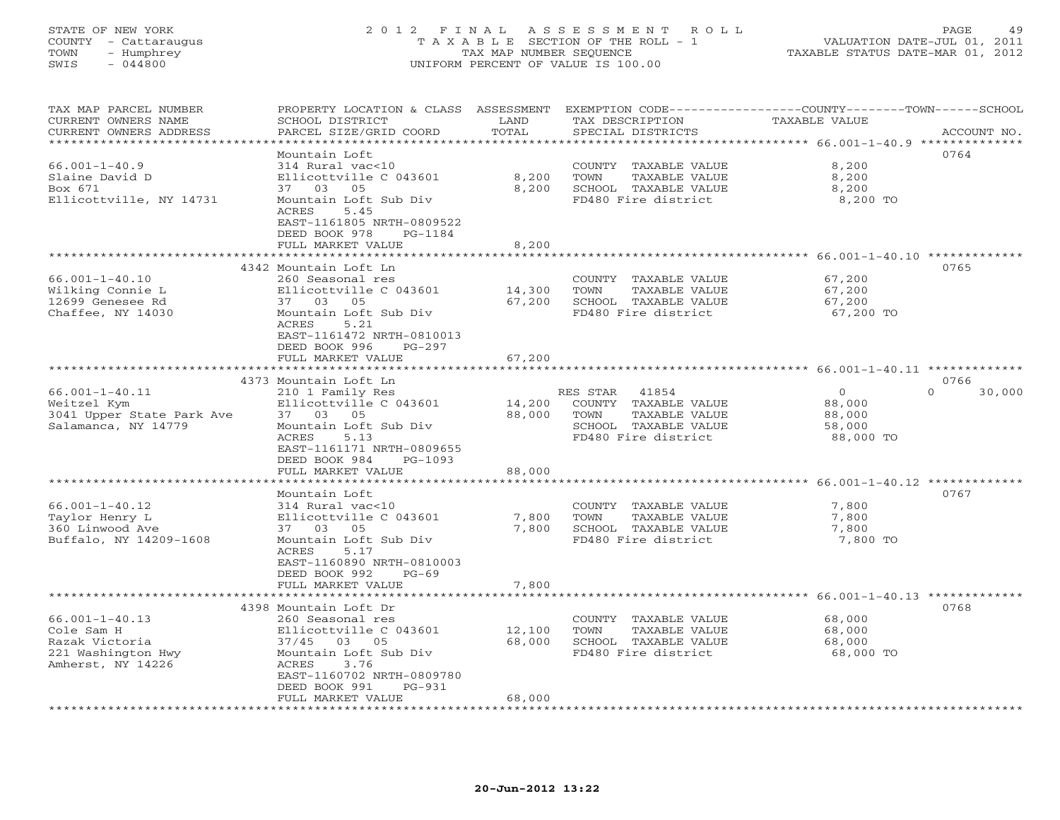## STATE OF NEW YORK 2 0 1 2 F I N A L A S S E S S M E N T R O L L PAGE 49 COUNTY - Cattaraugus T A X A B L E SECTION OF THE ROLL - 1 VALUATION DATE-JUL 01, 2011 TOWN - Humphrey TAX MAP NUMBER SEQUENCE TAXABLE STATUS DATE-MAR 01, 2012 SWIS - 044800 UNIFORM PERCENT OF VALUE IS 100.00UNIFORM PERCENT OF VALUE IS 100.00

| TAX MAP PARCEL NUMBER<br>CURRENT OWNERS NAME | PROPERTY LOCATION & CLASS ASSESSMENT<br>SCHOOL DISTRICT | LAND             | EXEMPTION CODE----<br>TAX DESCRIPTION         | ------------COUNTY--------TOWN------SCHOOL<br><b>TAXABLE VALUE</b> |             |
|----------------------------------------------|---------------------------------------------------------|------------------|-----------------------------------------------|--------------------------------------------------------------------|-------------|
| CURRENT OWNERS ADDRESS                       | PARCEL SIZE/GRID COORD                                  | TOTAL<br>******* | SPECIAL DISTRICTS                             | ********* 66.001-1-40.9 ***                                        | ACCOUNT NO. |
|                                              | Mountain Loft                                           |                  |                                               |                                                                    | 0764        |
| $66.001 - 1 - 40.9$                          | 314 Rural vac<10                                        |                  | COUNTY TAXABLE VALUE                          | 8,200                                                              |             |
| Slaine David D                               | Ellicottville C 043601                                  | 8,200            | TOWN<br>TAXABLE VALUE                         | 8,200                                                              |             |
| Box 671                                      | 37 03 05                                                | 8,200            | SCHOOL TAXABLE VALUE                          | 8,200                                                              |             |
| Ellicottville, NY 14731                      | Mountain Loft Sub Div                                   |                  | FD480 Fire district                           | 8,200 TO                                                           |             |
|                                              | ACRES<br>5.45                                           |                  |                                               |                                                                    |             |
|                                              | EAST-1161805 NRTH-0809522                               |                  |                                               |                                                                    |             |
|                                              | DEED BOOK 978<br>PG-1184                                |                  |                                               |                                                                    |             |
|                                              | FULL MARKET VALUE                                       | 8,200            |                                               | ****************** 66.001-1-40.10 **************                   |             |
|                                              | 4342 Mountain Loft Ln                                   |                  |                                               |                                                                    | 0765        |
| $66.001 - 1 - 40.10$                         | 260 Seasonal res                                        |                  | COUNTY TAXABLE VALUE                          | 67,200                                                             |             |
| Wilking Connie L                             | Ellicottville C 043601                                  | 14,300           | TOWN<br>TAXABLE VALUE                         | 67,200                                                             |             |
| 12699 Genesee Rd                             | 37 03 05                                                | 67,200           | SCHOOL TAXABLE VALUE                          | 67,200                                                             |             |
| Chaffee, NY 14030                            | Mountain Loft Sub Div                                   |                  | FD480 Fire district                           | 67,200 TO                                                          |             |
|                                              | 5.21<br>ACRES                                           |                  |                                               |                                                                    |             |
|                                              | EAST-1161472 NRTH-0810013                               |                  |                                               |                                                                    |             |
|                                              | DEED BOOK 996<br>$PG-297$                               |                  |                                               |                                                                    |             |
|                                              | FULL MARKET VALUE                                       | 67,200           |                                               |                                                                    |             |
|                                              |                                                         |                  |                                               |                                                                    |             |
|                                              | 4373 Mountain Loft Ln                                   |                  |                                               | $\Omega$                                                           | 0766        |
| $66.001 - 1 - 40.11$<br>Weitzel Kym          | 210 1 Family Res<br>Ellicottville C 043601              | 14,200           | RES STAR<br>41854<br>COUNTY TAXABLE VALUE     | $\circ$<br>88,000                                                  | 30,000      |
| 3041 Upper State Park Ave                    | 37 03 05                                                | 88,000           | TOWN<br>TAXABLE VALUE                         | 88,000                                                             |             |
| Salamanca, NY 14779                          | Mountain Loft Sub Div                                   |                  | SCHOOL TAXABLE VALUE                          | 58,000                                                             |             |
|                                              | 5.13<br>ACRES                                           |                  | FD480 Fire district                           | 88,000 TO                                                          |             |
|                                              | EAST-1161171 NRTH-0809655                               |                  |                                               |                                                                    |             |
|                                              | DEED BOOK 984<br>PG-1093                                |                  |                                               |                                                                    |             |
|                                              | FULL MARKET VALUE                                       | 88,000           |                                               |                                                                    |             |
|                                              |                                                         |                  |                                               | ************************** 66.001-1-40.12 *********                |             |
|                                              | Mountain Loft                                           |                  |                                               |                                                                    | 0767        |
| $66.001 - 1 - 40.12$                         | 314 Rural vac<10                                        |                  | COUNTY TAXABLE VALUE                          | 7,800                                                              |             |
| Taylor Henry L<br>360 Linwood Ave            | Ellicottville C 043601<br>37 03 05                      | 7,800<br>7,800   | TOWN<br>TAXABLE VALUE<br>SCHOOL TAXABLE VALUE | 7,800<br>7,800                                                     |             |
| Buffalo, NY 14209-1608                       | Mountain Loft Sub Div                                   |                  | FD480 Fire district                           | 7,800 TO                                                           |             |
|                                              | ACRES<br>5.17                                           |                  |                                               |                                                                    |             |
|                                              | EAST-1160890 NRTH-0810003                               |                  |                                               |                                                                    |             |
|                                              | DEED BOOK 992<br>$PG-69$                                |                  |                                               |                                                                    |             |
|                                              | FULL MARKET VALUE                                       | 7,800            |                                               |                                                                    |             |
|                                              |                                                         |                  |                                               | *************** 66.001-1-40.13 *************                       |             |
|                                              | 4398 Mountain Loft Dr                                   |                  |                                               |                                                                    | 0768        |
| $66.001 - 1 - 40.13$                         | 260 Seasonal res                                        |                  | COUNTY TAXABLE VALUE                          | 68,000                                                             |             |
| Cole Sam H                                   | Ellicottville C 043601                                  | 12,100           | TOWN<br>TAXABLE VALUE                         | 68,000                                                             |             |
| Razak Victoria                               | 37/45 03 05<br>Mountain Loft Sub Div                    | 68,000           | SCHOOL TAXABLE VALUE<br>FD480 Fire district   | 68,000<br>68,000 TO                                                |             |
| 221 Washington Hwy<br>Amherst, NY 14226      | ACRES<br>3.76                                           |                  |                                               |                                                                    |             |
|                                              | EAST-1160702 NRTH-0809780                               |                  |                                               |                                                                    |             |
|                                              | DEED BOOK 991<br>$PG-931$                               |                  |                                               |                                                                    |             |
|                                              | FULL MARKET VALUE                                       | 68,000           |                                               |                                                                    |             |
|                                              |                                                         |                  |                                               |                                                                    |             |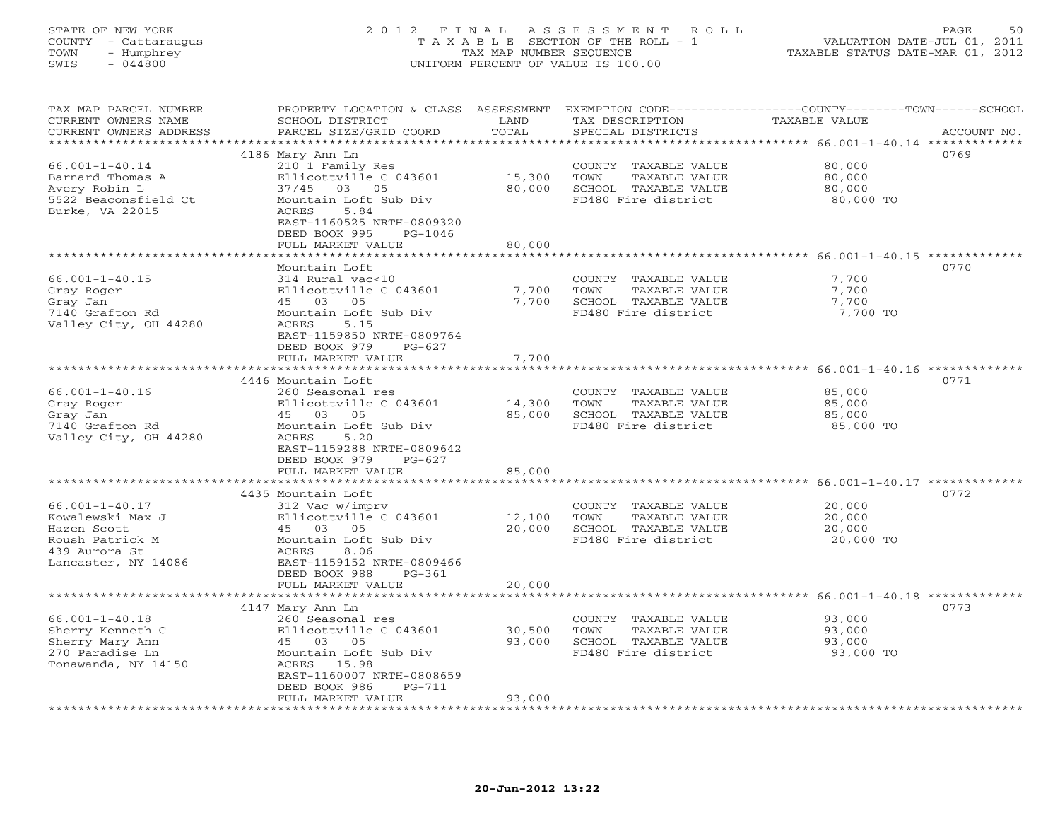# STATE OF NEW YORK 2 0 1 2 F I N A L A S S E S S M E N T R O L L PAGE 50 COUNTY - Cattaraugus T A X A B L E SECTION OF THE ROLL - 1 VALUATION DATE-JUL 01, 2011 TOWN - Humphrey TAX MAP NUMBER SEQUENCE TAXABLE STATUS DATE-MAR 01, 2012 SWIS - 044800 UNIFORM PERCENT OF VALUE IS 100.00UNIFORM PERCENT OF VALUE IS 100.00

| TAX MAP PARCEL NUMBER<br>CURRENT OWNERS NAME<br>CURRENT OWNERS ADDRESS | PROPERTY LOCATION & CLASS<br>SCHOOL DISTRICT<br>PARCEL SIZE/GRID COORD | ASSESSMENT<br>LAND<br>TOTAL | EXEMPTION CODE-----------------COUNTY-------TOWN------SCHOOL<br>TAX DESCRIPTION<br>SPECIAL DISTRICTS | TAXABLE VALUE                                      | ACCOUNT NO. |
|------------------------------------------------------------------------|------------------------------------------------------------------------|-----------------------------|------------------------------------------------------------------------------------------------------|----------------------------------------------------|-------------|
| ********************                                                   |                                                                        | ***********                 |                                                                                                      |                                                    |             |
|                                                                        | 4186 Mary Ann Ln                                                       |                             |                                                                                                      |                                                    | 0769        |
| $66.001 - 1 - 40.14$                                                   | 210 1 Family Res                                                       |                             | COUNTY<br>TAXABLE VALUE                                                                              | 80,000                                             |             |
| Barnard Thomas A                                                       | Ellicottville C 043601                                                 | 15,300                      | TOWN<br>TAXABLE VALUE                                                                                | 80,000                                             |             |
| Avery Robin L                                                          | 37/45 03 05                                                            | 80,000                      | SCHOOL TAXABLE VALUE                                                                                 | 80,000                                             |             |
| 5522 Beaconsfield Ct                                                   | Mountain Loft Sub Div                                                  |                             | FD480 Fire district                                                                                  | 80,000 TO                                          |             |
| Burke, VA 22015                                                        | ACRES<br>5.84                                                          |                             |                                                                                                      |                                                    |             |
|                                                                        | EAST-1160525 NRTH-0809320                                              |                             |                                                                                                      |                                                    |             |
|                                                                        | DEED BOOK 995<br>$PG-1046$                                             |                             |                                                                                                      |                                                    |             |
|                                                                        | FULL MARKET VALUE                                                      | 80,000<br>* * * * * * * ·   |                                                                                                      |                                                    |             |
|                                                                        |                                                                        |                             |                                                                                                      | ******************** 66.001-1-40.15 ************** |             |
|                                                                        | Mountain Loft                                                          |                             |                                                                                                      |                                                    | 0770        |
| $66.001 - 1 - 40.15$                                                   | 314 Rural vac<10                                                       | 7,700                       | COUNTY TAXABLE VALUE                                                                                 | 7,700                                              |             |
| Gray Roger<br>Gray Jan                                                 | Ellicottville C 043601<br>45 03 05                                     | 7,700                       | TOWN<br>TAXABLE VALUE<br>SCHOOL TAXABLE VALUE                                                        | 7,700<br>7,700                                     |             |
| 7140 Grafton Rd                                                        | Mountain Loft Sub Div                                                  |                             | FD480 Fire district                                                                                  | 7,700 TO                                           |             |
| Valley City, OH 44280                                                  | <b>ACRES</b><br>5.15                                                   |                             |                                                                                                      |                                                    |             |
|                                                                        | EAST-1159850 NRTH-0809764                                              |                             |                                                                                                      |                                                    |             |
|                                                                        | DEED BOOK 979<br>$PG-627$                                              |                             |                                                                                                      |                                                    |             |
|                                                                        | FULL MARKET VALUE                                                      | 7,700                       |                                                                                                      |                                                    |             |
|                                                                        | ************************                                               | ***********                 |                                                                                                      | ******************** 66.001-1-40.16 *************  |             |
|                                                                        | 4446 Mountain Loft                                                     |                             |                                                                                                      |                                                    | 0771        |
| $66.001 - 1 - 40.16$                                                   | 260 Seasonal res                                                       |                             | COUNTY TAXABLE VALUE                                                                                 | 85,000                                             |             |
| Gray Roger                                                             | Ellicottville C 043601                                                 | 14,300                      | TOWN<br>TAXABLE VALUE                                                                                | 85,000                                             |             |
| Gray Jan                                                               | 45 03<br>05                                                            | 85,000                      | SCHOOL TAXABLE VALUE                                                                                 | 85,000                                             |             |
| 7140 Grafton Rd                                                        | Mountain Loft Sub Div                                                  |                             | FD480 Fire district                                                                                  | 85,000 TO                                          |             |
| Valley City, OH 44280                                                  | <b>ACRES</b><br>5.20                                                   |                             |                                                                                                      |                                                    |             |
|                                                                        | EAST-1159288 NRTH-0809642                                              |                             |                                                                                                      |                                                    |             |
|                                                                        | DEED BOOK 979<br>$PG-627$                                              |                             |                                                                                                      |                                                    |             |
|                                                                        | FULL MARKET VALUE                                                      | 85,000                      |                                                                                                      |                                                    |             |
|                                                                        |                                                                        |                             |                                                                                                      |                                                    |             |
|                                                                        | 4435 Mountain Loft                                                     |                             |                                                                                                      |                                                    | 0772        |
| $66.001 - 1 - 40.17$                                                   | 312 Vac w/imprv                                                        |                             | COUNTY TAXABLE VALUE                                                                                 | 20,000                                             |             |
| Kowalewski Max J                                                       | Ellicottville C 043601<br>05                                           | 12,100                      | TOWN<br>TAXABLE VALUE                                                                                | 20,000                                             |             |
| Hazen Scott<br>Roush Patrick M                                         | 45 03<br>Mountain Loft Sub Div                                         | 20,000                      | SCHOOL TAXABLE VALUE<br>FD480 Fire district                                                          | 20,000<br>20,000 TO                                |             |
| 439 Aurora St                                                          | 8.06<br>ACRES                                                          |                             |                                                                                                      |                                                    |             |
| Lancaster, NY 14086                                                    | EAST-1159152 NRTH-0809466                                              |                             |                                                                                                      |                                                    |             |
|                                                                        | DEED BOOK 988<br>$PG-361$                                              |                             |                                                                                                      |                                                    |             |
|                                                                        | FULL MARKET VALUE                                                      | 20,000                      |                                                                                                      |                                                    |             |
|                                                                        |                                                                        |                             |                                                                                                      |                                                    |             |
|                                                                        | 4147 Mary Ann Ln                                                       |                             |                                                                                                      |                                                    | 0773        |
| $66.001 - 1 - 40.18$                                                   | 260 Seasonal res                                                       |                             | COUNTY<br>TAXABLE VALUE                                                                              | 93,000                                             |             |
| Sherry Kenneth C                                                       | Ellicottville C 043601                                                 | 30,500                      | TOWN<br>TAXABLE VALUE                                                                                | 93,000                                             |             |
| Sherry Mary Ann                                                        | 45 03 05                                                               | 93,000                      | SCHOOL TAXABLE VALUE                                                                                 | 93,000                                             |             |
| 270 Paradise Ln                                                        | Mountain Loft Sub Div                                                  |                             | FD480 Fire district                                                                                  | 93,000 TO                                          |             |
| Tonawanda, NY 14150                                                    | ACRES<br>15.98                                                         |                             |                                                                                                      |                                                    |             |
|                                                                        | EAST-1160007 NRTH-0808659                                              |                             |                                                                                                      |                                                    |             |
|                                                                        | DEED BOOK 986<br>$PG-711$                                              |                             |                                                                                                      |                                                    |             |
|                                                                        | FULL MARKET VALUE                                                      | 93,000                      |                                                                                                      |                                                    |             |
|                                                                        |                                                                        |                             |                                                                                                      |                                                    |             |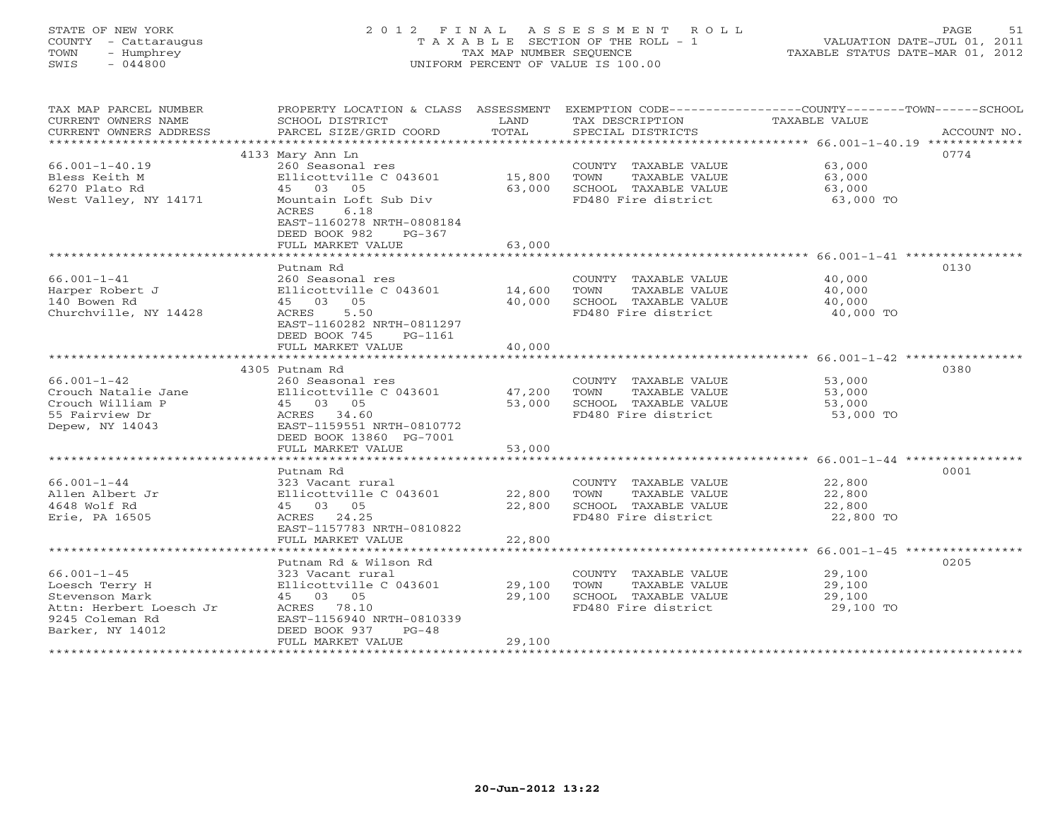# STATE OF NEW YORK 2 0 1 2 F I N A L A S S E S S M E N T R O L L PAGE 51 COUNTY - Cattaraugus T A X A B L E SECTION OF THE ROLL - 1 VALUATION DATE-JUL 01, 2011 TOWN - Humphrey TAX MAP NUMBER SEQUENCE TAXABLE STATUS DATE-MAR 01, 2012 SWIS - 044800 UNIFORM PERCENT OF VALUE IS 100.00UNIFORM PERCENT OF VALUE IS 100.00

| TAX MAP PARCEL NUMBER<br>CURRENT OWNERS NAME<br>CURRENT OWNERS ADDRESS<br>************************* | PROPERTY LOCATION & CLASS ASSESSMENT<br>SCHOOL DISTRICT<br>PARCEL SIZE/GRID COORD                | LAND<br>TOTAL | TAX DESCRIPTION<br>SPECIAL DISTRICTS          | EXEMPTION CODE-----------------COUNTY-------TOWN------SCHOOL<br><b>TAXABLE VALUE</b><br>ACCOUNT NO. |
|-----------------------------------------------------------------------------------------------------|--------------------------------------------------------------------------------------------------|---------------|-----------------------------------------------|-----------------------------------------------------------------------------------------------------|
|                                                                                                     |                                                                                                  |               |                                               |                                                                                                     |
| $66.001 - 1 - 40.19$<br>Bless Keith M                                                               | 4133 Mary Ann Ln<br>260 Seasonal res<br>Ellicottville C 043601                                   | 15,800        | COUNTY TAXABLE VALUE<br>TOWN<br>TAXABLE VALUE | 0774<br>63,000<br>63,000                                                                            |
| 6270 Plato Rd                                                                                       | 45 03 05                                                                                         | 63,000        | SCHOOL TAXABLE VALUE                          | 63,000                                                                                              |
| West Valley, NY 14171                                                                               | Mountain Loft Sub Div<br>ACRES<br>6.18<br>EAST-1160278 NRTH-0808184<br>DEED BOOK 982<br>$PG-367$ |               | FD480 Fire district                           | 63,000 TO                                                                                           |
|                                                                                                     | FULL MARKET VALUE                                                                                | 63,000        |                                               |                                                                                                     |
|                                                                                                     |                                                                                                  |               |                                               |                                                                                                     |
|                                                                                                     | Putnam Rd                                                                                        |               |                                               | 0130                                                                                                |
| $66.001 - 1 - 41$                                                                                   | 260 Seasonal res                                                                                 |               | COUNTY TAXABLE VALUE                          | 40,000                                                                                              |
| Harper Robert J                                                                                     | Ellicottville C 043601                                                                           | 14,600        | TAXABLE VALUE<br>TOWN                         | 40,000                                                                                              |
| 140 Bowen Rd                                                                                        | 45 03 05                                                                                         | 40,000        | SCHOOL TAXABLE VALUE                          | 40,000                                                                                              |
| Churchville, NY 14428                                                                               | ACRES<br>5.50                                                                                    |               | FD480 Fire district                           | 40,000 TO                                                                                           |
|                                                                                                     | EAST-1160282 NRTH-0811297                                                                        |               |                                               |                                                                                                     |
|                                                                                                     | DEED BOOK 745<br>PG-1161                                                                         |               |                                               |                                                                                                     |
|                                                                                                     | FULL MARKET VALUE                                                                                | 40,000        |                                               |                                                                                                     |
|                                                                                                     |                                                                                                  |               |                                               |                                                                                                     |
|                                                                                                     | 4305 Putnam Rd                                                                                   |               |                                               | 0380                                                                                                |
| $66.001 - 1 - 42$                                                                                   | 260 Seasonal res                                                                                 |               | COUNTY TAXABLE VALUE                          | 53,000                                                                                              |
|                                                                                                     |                                                                                                  |               |                                               |                                                                                                     |
| Crouch Natalie Jane                                                                                 | Ellicottville C 043601                                                                           | 47,200        | TAXABLE VALUE<br>TOWN                         | 53,000                                                                                              |
| Crouch William P                                                                                    | 45 03 05                                                                                         | 53,000        | SCHOOL TAXABLE VALUE                          | 53,000                                                                                              |
| 55 Fairview Dr                                                                                      | ACRES 34.60                                                                                      |               | FD480 Fire district                           | 53,000 TO                                                                                           |
| Depew, NY 14043                                                                                     | EAST-1159551 NRTH-0810772                                                                        |               |                                               |                                                                                                     |
|                                                                                                     | DEED BOOK 13860 PG-7001                                                                          |               |                                               |                                                                                                     |
|                                                                                                     | FULL MARKET VALUE                                                                                | 53,000        |                                               |                                                                                                     |
|                                                                                                     |                                                                                                  |               |                                               |                                                                                                     |
|                                                                                                     | Putnam Rd                                                                                        |               |                                               | 0001                                                                                                |
| $66.001 - 1 - 44$                                                                                   | 323 Vacant rural                                                                                 |               | COUNTY TAXABLE VALUE                          | 22,800                                                                                              |
| Allen Albert Jr                                                                                     | Ellicottville C 043601                                                                           | 22,800        | TAXABLE VALUE<br>TOWN                         | 22,800                                                                                              |
| 4648 Wolf Rd                                                                                        | 45 03 05                                                                                         | 22,800        | SCHOOL TAXABLE VALUE                          | 22,800                                                                                              |
| Erie, PA 16505                                                                                      | ACRES 24.25                                                                                      |               | FD480 Fire district                           | 22,800 TO                                                                                           |
|                                                                                                     | EAST-1157783 NRTH-0810822                                                                        |               |                                               |                                                                                                     |
|                                                                                                     | FULL MARKET VALUE                                                                                | 22,800        |                                               |                                                                                                     |
|                                                                                                     |                                                                                                  |               |                                               |                                                                                                     |
|                                                                                                     | Putnam Rd & Wilson Rd                                                                            |               |                                               | 0205                                                                                                |
| $66.001 - 1 - 45$                                                                                   | 323 Vacant rural                                                                                 |               | COUNTY TAXABLE VALUE                          | 29,100                                                                                              |
| Loesch Terry H                                                                                      | Ellicottville C 043601                                                                           | 29,100        | TOWN<br>TAXABLE VALUE                         | 29,100                                                                                              |
| Stevenson Mark                                                                                      | 45 03 05                                                                                         | 29,100        | SCHOOL TAXABLE VALUE                          | 29,100                                                                                              |
| Attn: Herbert Loesch Jr                                                                             | ACRES 78.10                                                                                      |               | FD480 Fire district                           | 29,100 TO                                                                                           |
| 9245 Coleman Rd                                                                                     | EAST-1156940 NRTH-0810339                                                                        |               |                                               |                                                                                                     |
| Barker, NY 14012                                                                                    | DEED BOOK 937<br>$PG-48$                                                                         |               |                                               |                                                                                                     |
|                                                                                                     | FULL MARKET VALUE                                                                                | 29,100        |                                               |                                                                                                     |
|                                                                                                     |                                                                                                  |               |                                               |                                                                                                     |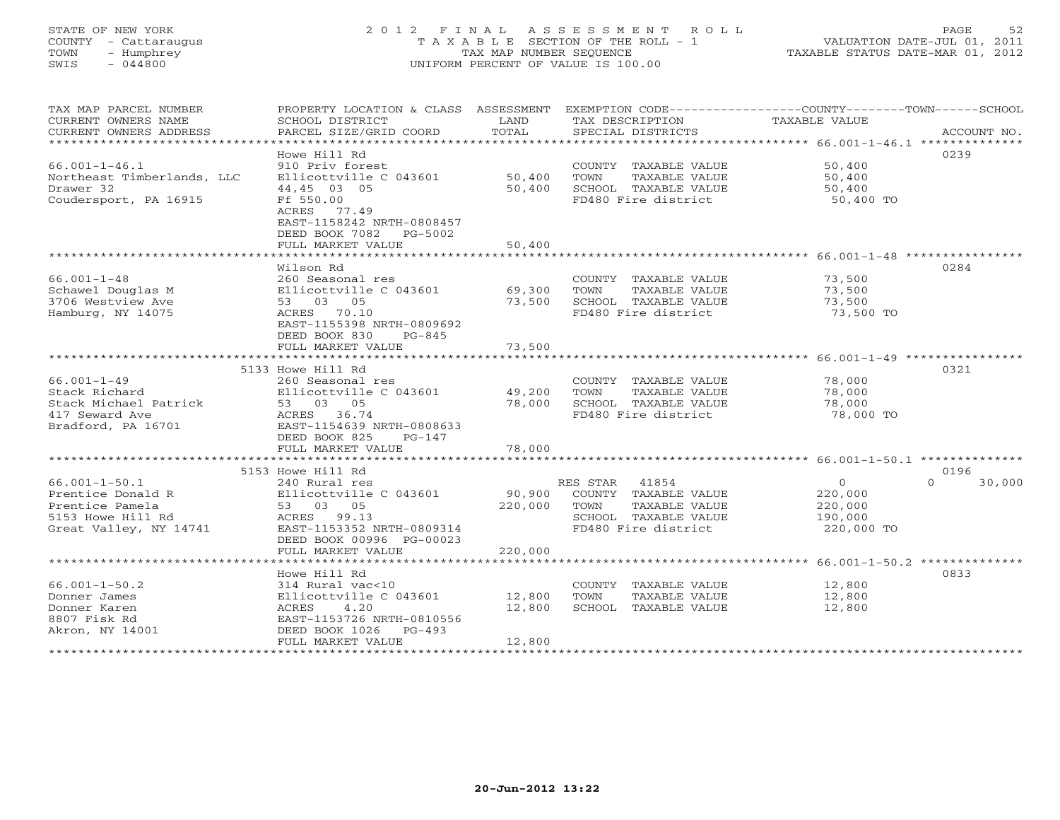# STATE OF NEW YORK 2 0 1 2 F I N A L A S S E S S M E N T R O L L PAGE 52 COUNTY - Cattaraugus T A X A B L E SECTION OF THE ROLL - 1 VALUATION DATE-JUL 01, 2011 TOWN - Humphrey TAX MAP NUMBER SEQUENCE TAXABLE STATUS DATE-MAR 01, 2012 SWIS - 044800 UNIFORM PERCENT OF VALUE IS 100.00UNIFORM PERCENT OF VALUE IS 100.00

| TAX MAP PARCEL NUMBER          | PROPERTY LOCATION & CLASS ASSESSMENT |         | EXEMPTION CODE-----------------COUNTY-------TOWN------SCHOOL |               |                    |
|--------------------------------|--------------------------------------|---------|--------------------------------------------------------------|---------------|--------------------|
| CURRENT OWNERS NAME            | SCHOOL DISTRICT                      | LAND    | TAX DESCRIPTION                                              | TAXABLE VALUE |                    |
| CURRENT OWNERS ADDRESS         | PARCEL SIZE/GRID COORD               | TOTAL   | SPECIAL DISTRICTS                                            |               | ACCOUNT NO.        |
| ****************************** |                                      |         |                                                              |               |                    |
|                                | Howe Hill Rd                         |         |                                                              |               | 0239               |
| $66.001 - 1 - 46.1$            | 910 Priv forest                      |         | COUNTY TAXABLE VALUE                                         | 50,400        |                    |
| Northeast Timberlands, LLC     | Ellicottville C 043601               | 50,400  | TOWN<br>TAXABLE VALUE                                        | 50,400        |                    |
| Drawer 32                      | 44,45 03 05                          | 50,400  | SCHOOL TAXABLE VALUE                                         | 50,400        |                    |
| Coudersport, PA 16915          | Ff 550.00                            |         | FD480 Fire district                                          | 50,400 TO     |                    |
|                                | ACRES 77.49                          |         |                                                              |               |                    |
|                                | EAST-1158242 NRTH-0808457            |         |                                                              |               |                    |
|                                | DEED BOOK 7082    PG-5002            |         |                                                              |               |                    |
|                                | FULL MARKET VALUE                    | 50,400  |                                                              |               |                    |
|                                |                                      |         |                                                              |               |                    |
|                                | Wilson Rd                            |         |                                                              |               | 0284               |
| $66.001 - 1 - 48$              | 260 Seasonal res                     |         | COUNTY TAXABLE VALUE                                         | 73,500        |                    |
| Schawel Douglas M              | Ellicottville C 043601               | 69,300  | TOWN<br>TAXABLE VALUE                                        | 73,500        |                    |
| 3706 Westview Ave              | 53 03 05                             | 73,500  | SCHOOL TAXABLE VALUE                                         | 73,500        |                    |
| Hamburg, NY 14075              | ACRES 70.10                          |         | FD480 Fire district                                          | 73,500 TO     |                    |
|                                | EAST-1155398 NRTH-0809692            |         |                                                              |               |                    |
|                                | DEED BOOK 830<br>PG-845              | 73,500  |                                                              |               |                    |
|                                | FULL MARKET VALUE                    |         |                                                              |               |                    |
|                                | 5133 Howe Hill Rd                    |         |                                                              |               | 0321               |
| $66.001 - 1 - 49$              | 260 Seasonal res                     |         | COUNTY TAXABLE VALUE                                         | 78,000        |                    |
| Stack Richard                  | Ellicottville C 043601               | 49,200  | TOWN<br>TAXABLE VALUE                                        | 78,000        |                    |
| Stack Michael Patrick          | 53 03 05                             | 78,000  | SCHOOL TAXABLE VALUE                                         | 78,000        |                    |
| 417 Seward Ave                 | ACRES 36.74                          |         | FD480 Fire district                                          | 78,000 TO     |                    |
| Bradford, PA 16701             | EAST-1154639 NRTH-0808633            |         |                                                              |               |                    |
|                                | DEED BOOK 825<br>PG-147              |         |                                                              |               |                    |
|                                | FULL MARKET VALUE                    | 78,000  |                                                              |               |                    |
|                                |                                      |         |                                                              |               |                    |
|                                | 5153 Howe Hill Rd                    |         |                                                              |               | 0196               |
| $66.001 - 1 - 50.1$            | 240 Rural res                        |         | RES STAR<br>41854                                            | $\Omega$      | $\Omega$<br>30,000 |
| Prentice Donald R              | Ellicottville C 043601               |         | 90,900 COUNTY TAXABLE VALUE                                  | 220,000       |                    |
| Prentice Pamela                | 53 03 05                             | 220,000 | TOWN<br>TAXABLE VALUE                                        | 220,000       |                    |
| 5153 Howe Hill Rd              | ACRES 99.13                          |         | SCHOOL TAXABLE VALUE                                         | 190,000       |                    |
| Great Valley, NY 14741         | EAST-1153352 NRTH-0809314            |         | FD480 Fire district                                          | 220,000 TO    |                    |
|                                | DEED BOOK 00996 PG-00023             |         |                                                              |               |                    |
|                                | FULL MARKET VALUE                    | 220,000 |                                                              |               |                    |
|                                |                                      |         |                                                              |               |                    |
|                                | Howe Hill Rd                         |         |                                                              |               | 0833               |
| $66.001 - 1 - 50.2$            | 314 Rural vac<10                     |         | COUNTY TAXABLE VALUE                                         | 12,800        |                    |
| Donner James                   | Ellicottville C 043601               | 12,800  | TOWN<br>TAXABLE VALUE                                        | 12,800        |                    |
| Donner Karen                   | ACRES<br>4.20                        | 12,800  | SCHOOL TAXABLE VALUE                                         | 12,800        |                    |
| 8807 Fisk Rd                   | EAST-1153726 NRTH-0810556            |         |                                                              |               |                    |
| Akron, NY 14001                | DEED BOOK 1026 PG-493                |         |                                                              |               |                    |
|                                | FULL MARKET VALUE                    | 12,800  |                                                              |               |                    |
|                                |                                      |         |                                                              |               |                    |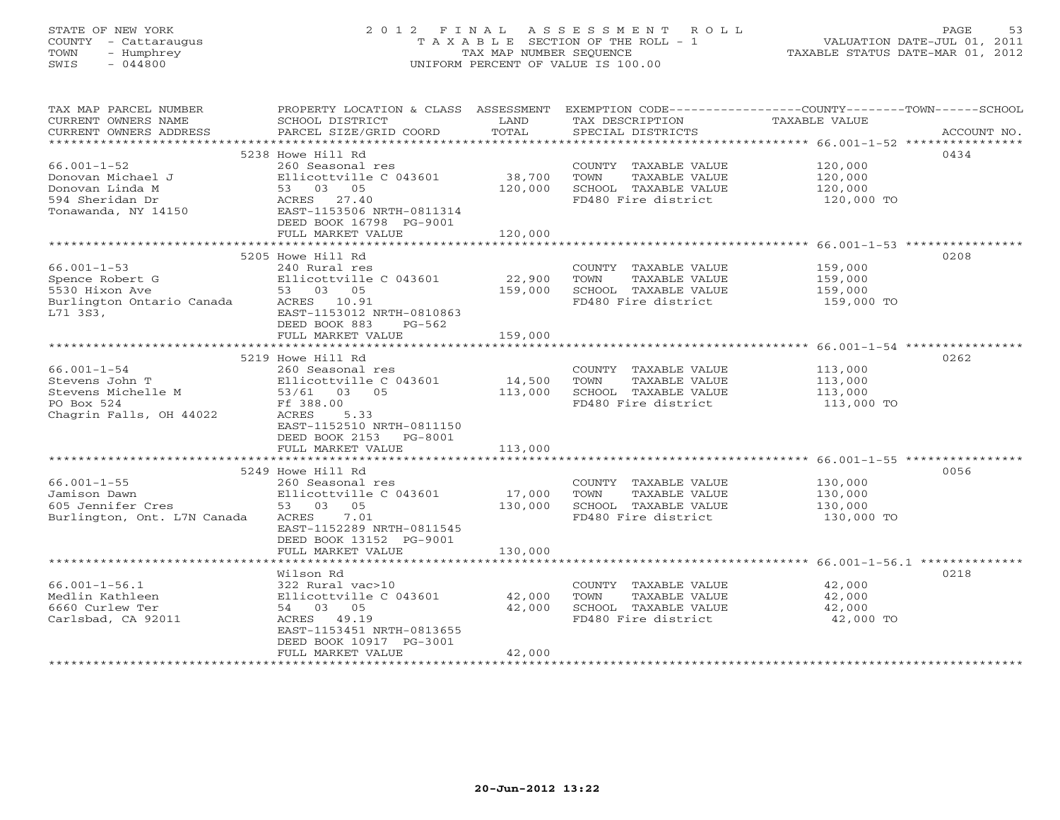# STATE OF NEW YORK 2 0 1 2 F I N A L A S S E S S M E N T R O L L PAGE 53 COUNTY - Cattaraugus T A X A B L E SECTION OF THE ROLL - 1 VALUATION DATE-JUL 01, 2011 TOWN - Humphrey TAX MAP NUMBER SEQUENCE TAXABLE STATUS DATE-MAR 01, 2012 SWIS - 044800 UNIFORM PERCENT OF VALUE IS 100.00UNIFORM PERCENT OF VALUE IS 100.00

| TAX MAP PARCEL NUMBER<br>CURRENT OWNERS NAME                   | PROPERTY LOCATION & CLASS ASSESSMENT<br>SCHOOL DISTRICT | LAND              | EXEMPTION CODE-----------------COUNTY-------TOWN-----SCHOOL<br>TAX DESCRIPTION | TAXABLE VALUE      |             |
|----------------------------------------------------------------|---------------------------------------------------------|-------------------|--------------------------------------------------------------------------------|--------------------|-------------|
| CURRENT OWNERS ADDRESS                                         | PARCEL SIZE/GRID COORD                                  | TOTAL             | SPECIAL DISTRICTS                                                              |                    | ACCOUNT NO. |
|                                                                | 5238 Howe Hill Rd                                       |                   |                                                                                |                    | 0434        |
| $66.001 - 1 - 52$                                              | 260 Seasonal res                                        |                   | COUNTY TAXABLE VALUE                                                           | 120,000            |             |
| Donovan Michael J                                              | Ellicottville C 043601                                  | 38,700            | TOWN<br>TAXABLE VALUE                                                          | 120,000            |             |
| Donovan Linda M                                                | 53 03 05                                                | 120,000           | SCHOOL TAXABLE VALUE                                                           | 120,000            |             |
| 594 Sheridan Dr                                                | ACRES 27.40                                             |                   | FD480 Fire district                                                            | 120,000 TO         |             |
| Tonawanda, NY 14150                                            | EAST-1153506 NRTH-0811314                               |                   |                                                                                |                    |             |
|                                                                | DEED BOOK 16798 PG-9001                                 |                   |                                                                                |                    |             |
|                                                                | FULL MARKET VALUE                                       | 120,000           |                                                                                |                    |             |
|                                                                |                                                         |                   |                                                                                |                    |             |
|                                                                | 5205 Howe Hill Rd                                       |                   |                                                                                |                    | 0208        |
| $66.001 - 1 - 53$                                              | 240 Rural res                                           |                   | COUNTY TAXABLE VALUE                                                           | 159,000            |             |
|                                                                | Ellicottville C 043601                                  | 22,900            | TOWN<br>TAXABLE VALUE                                                          | 159,000            |             |
| Spence Robert G<br>5530 Hixon Ave<br>Burlington Ontario Canada | 53 03 05                                                | 159,000           | SCHOOL TAXABLE VALUE                                                           | 159,000            |             |
|                                                                | ACRES 10.91                                             |                   | FD480 Fire district                                                            | 159,000 TO         |             |
| L71 3S3,                                                       | EAST-1153012 NRTH-0810863                               |                   |                                                                                |                    |             |
|                                                                | DEED BOOK 883<br>PG-562<br>FULL MARKET VALUE            | 159,000           |                                                                                |                    |             |
|                                                                |                                                         |                   |                                                                                |                    |             |
|                                                                | 5219 Howe Hill Rd                                       |                   |                                                                                |                    | 0262        |
| $66.001 - 1 - 54$                                              | 260 Seasonal res                                        |                   | COUNTY TAXABLE VALUE                                                           | 113,000            |             |
| Stevens John T                                                 | Ellicottville C 043601                                  | 14,500            | TAXABLE VALUE<br>TOWN                                                          | 113,000            |             |
| Stevens Michelle M                                             | 53/61 03 05                                             | 113,000           | SCHOOL TAXABLE VALUE                                                           | 113,000            |             |
| PO Box 524                                                     | Ff 388.00                                               |                   | FD480 Fire district                                                            | 113,000 TO         |             |
| Chagrin Falls, OH 44022                                        | 5.33<br>ACRES                                           |                   |                                                                                |                    |             |
|                                                                | EAST-1152510 NRTH-0811150                               |                   |                                                                                |                    |             |
|                                                                | DEED BOOK 2153<br>PG-8001                               |                   |                                                                                |                    |             |
|                                                                | FULL MARKET VALUE                                       | 113,000           |                                                                                |                    |             |
|                                                                |                                                         |                   |                                                                                |                    |             |
|                                                                | 5249 Howe Hill Rd                                       |                   |                                                                                |                    | 0056        |
| $66.001 - 1 - 55$                                              | 260 Seasonal res                                        |                   | COUNTY TAXABLE VALUE                                                           | 130,000            |             |
| Jamison Dawn<br>605 Jennifer Cres                              | Ellicottville C 043601<br>53 03<br>05                   | 17,000<br>130,000 | TOWN<br>TAXABLE VALUE<br>SCHOOL TAXABLE VALUE                                  | 130,000<br>130,000 |             |
| Burlington, Ont. L7N Canada                                    | ACRES<br>7.01                                           |                   | FD480 Fire district                                                            | 130,000 TO         |             |
|                                                                | EAST-1152289 NRTH-0811545                               |                   |                                                                                |                    |             |
|                                                                | DEED BOOK 13152 PG-9001                                 |                   |                                                                                |                    |             |
|                                                                | FULL MARKET VALUE                                       | 130,000           |                                                                                |                    |             |
|                                                                |                                                         |                   |                                                                                |                    |             |
|                                                                | Wilson Rd                                               |                   |                                                                                |                    | 0218        |
| $66.001 - 1 - 56.1$                                            | 322 Rural vac>10                                        |                   | COUNTY TAXABLE VALUE                                                           | 42,000             |             |
| Medlin Kathleen                                                | Ellicottville C 043601                                  | 42,000            | TOWN<br>TAXABLE VALUE                                                          | 42,000             |             |
| 6660 Curlew Ter                                                | 54 03 05                                                | 42,000            | SCHOOL TAXABLE VALUE                                                           | 42,000             |             |
| Carlsbad, CA 92011                                             | ACRES 49.19                                             |                   | FD480 Fire district                                                            | 42,000 TO          |             |
|                                                                | EAST-1153451 NRTH-0813655                               |                   |                                                                                |                    |             |
|                                                                | DEED BOOK 10917 PG-3001<br>FULL MARKET VALUE            | 42,000            |                                                                                |                    |             |
| **********************                                         |                                                         |                   |                                                                                |                    |             |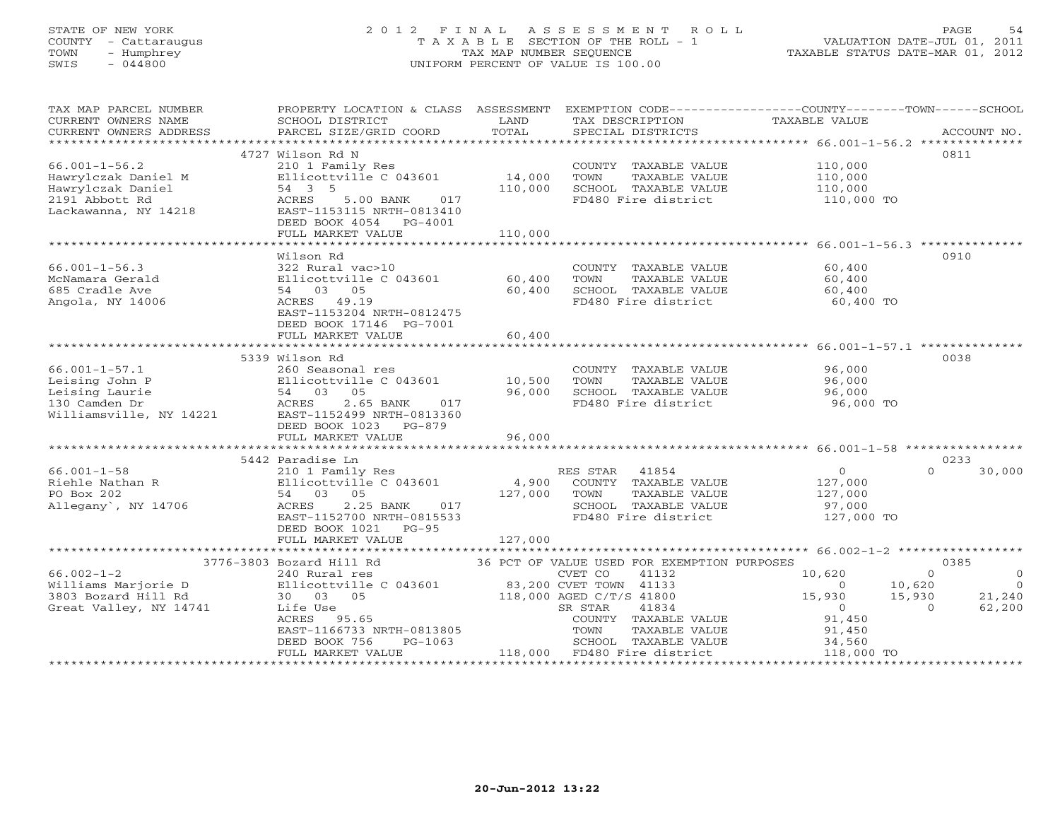# STATE OF NEW YORK 2 0 1 2 F I N A L A S S E S S M E N T R O L L PAGE 54 COUNTY - Cattaraugus T A X A B L E SECTION OF THE ROLL - 1 VALUATION DATE-JUL 01, 2011 TOWN - Humphrey TAX MAP NUMBER SEQUENCE TAXABLE STATUS DATE-MAR 01, 2012 SWIS - 044800 UNIFORM PERCENT OF VALUE IS 100.00UNIFORM PERCENT OF VALUE IS 100.00

| 4727 Wilson Rd N<br>0811<br>$66.001 - 1 - 56.2$<br>210 1 Family Res<br>COUNTY TAXABLE VALUE<br>110,000<br>14,000<br>Hawrylczak Daniel M<br>Ellicottville C 043601<br>TOWN<br>TAXABLE VALUE<br>110,000<br>110,000<br>SCHOOL TAXABLE VALUE<br>Hawrylczak Daniel<br>54 3 5<br>110,000<br>2191 Abbott Rd<br>ACRES<br>5.00 BANK<br>017<br>FD480 Fire district<br>110,000 TO |
|------------------------------------------------------------------------------------------------------------------------------------------------------------------------------------------------------------------------------------------------------------------------------------------------------------------------------------------------------------------------|
|                                                                                                                                                                                                                                                                                                                                                                        |
|                                                                                                                                                                                                                                                                                                                                                                        |
|                                                                                                                                                                                                                                                                                                                                                                        |
|                                                                                                                                                                                                                                                                                                                                                                        |
|                                                                                                                                                                                                                                                                                                                                                                        |
|                                                                                                                                                                                                                                                                                                                                                                        |
| Lackawanna, NY 14218<br>EAST-1153115 NRTH-0813410                                                                                                                                                                                                                                                                                                                      |
| DEED BOOK 4054 PG-4001                                                                                                                                                                                                                                                                                                                                                 |
| 110,000<br>FULL MARKET VALUE                                                                                                                                                                                                                                                                                                                                           |
|                                                                                                                                                                                                                                                                                                                                                                        |
| 0910<br>Wilson Rd                                                                                                                                                                                                                                                                                                                                                      |
| 60,400<br>$66.001 - 1 - 56.3$<br>322 Rural vac>10<br>COUNTY TAXABLE VALUE                                                                                                                                                                                                                                                                                              |
| Ellicottville C 043601<br>60,400<br>TOWN<br>TAXABLE VALUE<br>60,400<br>McNamara Gerald                                                                                                                                                                                                                                                                                 |
| 60,400<br>SCHOOL TAXABLE VALUE<br>685 Cradle Ave<br>54 03 05<br>60,400                                                                                                                                                                                                                                                                                                 |
| Angola, NY 14006<br>ACRES 49.19<br>FD480 Fire district<br>60,400 TO                                                                                                                                                                                                                                                                                                    |
| EAST-1153204 NRTH-0812475                                                                                                                                                                                                                                                                                                                                              |
| DEED BOOK 17146 PG-7001                                                                                                                                                                                                                                                                                                                                                |
| FULL MARKET VALUE<br>60,400                                                                                                                                                                                                                                                                                                                                            |
| ********************************<br>********************* 66.001-1-57.1 *********                                                                                                                                                                                                                                                                                      |
| 5339 Wilson Rd<br>0038                                                                                                                                                                                                                                                                                                                                                 |
| $66.001 - 1 - 57.1$<br>260 Seasonal res<br>96,000<br>COUNTY TAXABLE VALUE                                                                                                                                                                                                                                                                                              |
| Leising John P<br>Ellicottville C 043601<br>10,500<br>TOWN<br>TAXABLE VALUE<br>96,000                                                                                                                                                                                                                                                                                  |
| Leising Laurie<br>54 03 05<br>96,000<br>SCHOOL TAXABLE VALUE<br>96,000                                                                                                                                                                                                                                                                                                 |
| 130 Camden Dr<br>ACRES<br>2.65 BANK<br>FD480 Fire district<br>96,000 TO<br>017                                                                                                                                                                                                                                                                                         |
| Williamsville, NY 14221<br>EAST-1152499 NRTH-0813360                                                                                                                                                                                                                                                                                                                   |
| DEED BOOK 1023 PG-879                                                                                                                                                                                                                                                                                                                                                  |
| 96,000<br>FULL MARKET VALUE                                                                                                                                                                                                                                                                                                                                            |
|                                                                                                                                                                                                                                                                                                                                                                        |
| 5442 Paradise Ln<br>0233                                                                                                                                                                                                                                                                                                                                               |
| $66.001 - 1 - 58$<br>RES STAR 41854<br>$\overline{0}$<br>30,000<br>$\Omega$<br>210 1 Family Res                                                                                                                                                                                                                                                                        |
| Riehle Nathan R<br>Ellicottville C 043601<br>4,900<br>COUNTY TAXABLE VALUE<br>127,000                                                                                                                                                                                                                                                                                  |
| PO Box 202<br>127,000<br>54 03 05<br>TOWN<br>TAXABLE VALUE<br>127,000                                                                                                                                                                                                                                                                                                  |
| Allegany', NY 14706<br>2.25 BANK<br>ACRES<br>017<br>SCHOOL TAXABLE VALUE<br>97,000                                                                                                                                                                                                                                                                                     |
| EAST-1152700 NRTH-0815533<br>FD480 Fire district<br>127,000 TO                                                                                                                                                                                                                                                                                                         |
| DEED BOOK 1021 PG-95                                                                                                                                                                                                                                                                                                                                                   |
| 127,000<br>FULL MARKET VALUE                                                                                                                                                                                                                                                                                                                                           |
|                                                                                                                                                                                                                                                                                                                                                                        |
| 3776-3803 Bozard Hill Rd<br>36 PCT OF VALUE USED FOR EXEMPTION PURPOSES<br>0385                                                                                                                                                                                                                                                                                        |
| $66.002 - 1 - 2$<br>41132<br>10,620<br>CVET CO<br>$\Omega$<br>240 Rural res<br>$\Omega$                                                                                                                                                                                                                                                                                |
| Ellicottville C 043601<br>10,620<br>$\Omega$<br>$\Omega$                                                                                                                                                                                                                                                                                                               |
| 83,200 CVET TOWN 41133<br>118,000 AGED C/T/S 41800<br>Williams Marjorie D<br>3803 Bozard Hill Rd<br>15,930<br>15,930<br>21,240                                                                                                                                                                                                                                         |
| 30 03 05                                                                                                                                                                                                                                                                                                                                                               |
| 41834<br>62,200<br>Great Valley, NY 14741<br>SR STAR<br>$\overline{O}$<br>$\Omega$<br>Life Use                                                                                                                                                                                                                                                                         |
| ACRES 95.65<br>COUNTY TAXABLE VALUE<br>91,450                                                                                                                                                                                                                                                                                                                          |
| EAST-1166733 NRTH-0813805<br>TOWN<br>TAXABLE VALUE<br>91,450                                                                                                                                                                                                                                                                                                           |
| DEED BOOK 756<br>PG-1063<br>SCHOOL TAXABLE VALUE<br>34,560                                                                                                                                                                                                                                                                                                             |
| FULL MARKET VALUE<br>118,000 FD480 Fire district<br>118,000 TO                                                                                                                                                                                                                                                                                                         |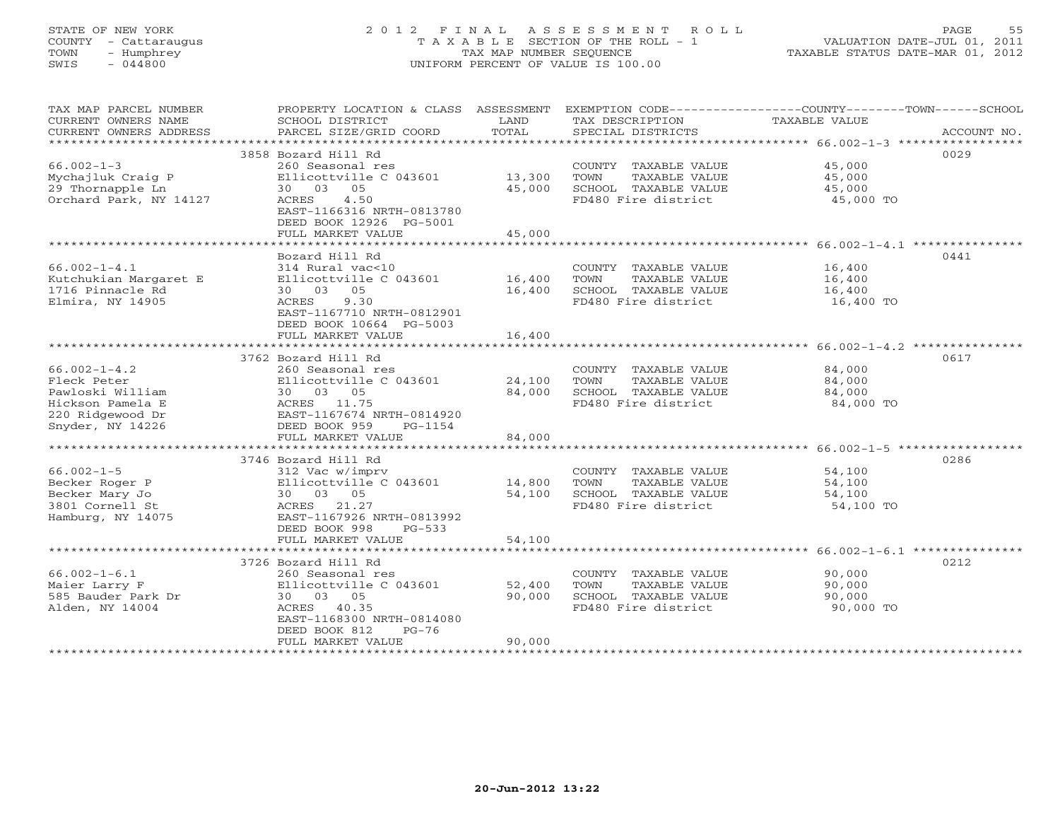# STATE OF NEW YORK 2 0 1 2 F I N A L A S S E S S M E N T R O L L PAGE 55 COUNTY - Cattaraugus T A X A B L E SECTION OF THE ROLL - 1 VALUATION DATE-JUL 01, 2011 TOWN - Humphrey TAX MAP NUMBER SEQUENCE TAXABLE STATUS DATE-MAR 01, 2012 SWIS - 044800 UNIFORM PERCENT OF VALUE IS 100.00UNIFORM PERCENT OF VALUE IS 100.00

| TAX MAP PARCEL NUMBER     | PROPERTY LOCATION & CLASS ASSESSMENT               |        |                                             | EXEMPTION CODE----------------COUNTY-------TOWN------SCHOOL                                |
|---------------------------|----------------------------------------------------|--------|---------------------------------------------|--------------------------------------------------------------------------------------------|
| CURRENT OWNERS NAME       | SCHOOL DISTRICT                                    | LAND   | TAX DESCRIPTION                             | TAXABLE VALUE                                                                              |
| CURRENT OWNERS ADDRESS    |                                                    |        |                                             | PARCEL SIZE/GRID COORD TOTAL SPECIAL DISTRICTS $\overline{A}\text{CCOUNT NO.}$ ACCOUNT NO. |
| ***********************   |                                                    |        |                                             |                                                                                            |
|                           | 3858 Bozard Hill Rd                                |        |                                             | 0029                                                                                       |
| $66.002 - 1 - 3$          | 260 Seasonal res                                   |        | COUNTY TAXABLE VALUE                        | 45,000                                                                                     |
| Mychajluk Craig P         | Ellicottville C 043601 13,300                      |        | TOWN<br>TAXABLE VALUE                       | 45,000                                                                                     |
| 29 Thornapple Ln          | 30 03 05                                           | 45,000 | SCHOOL TAXABLE VALUE                        | 45,000                                                                                     |
| Orchard Park, NY 14127    | 4.50<br>ACRES                                      |        | FD480 Fire district                         | 45,000 TO                                                                                  |
|                           | EAST-1166316 NRTH-0813780                          |        |                                             |                                                                                            |
|                           | DEED BOOK 12926 PG-5001                            |        |                                             |                                                                                            |
|                           | FULL MARKET VALUE                                  | 45,000 |                                             |                                                                                            |
|                           |                                                    |        |                                             |                                                                                            |
|                           | Bozard Hill Rd                                     |        |                                             | 0441                                                                                       |
| $66.002 - 1 - 4.1$        | 314 Rural vac<10                                   |        | COUNTY TAXABLE VALUE                        | 16,400                                                                                     |
| Kutchukian Margaret E     | Ellicottville C 043601 16,400 TOWN                 |        | TAXABLE VALUE                               | 16,400                                                                                     |
| 1716 Pinnacle Rd          | 30 03 05                                           | 16,400 | SCHOOL TAXABLE VALUE                        | 16,400                                                                                     |
| Elmira, NY 14905          | ACRES 9.30                                         |        | FD480 Fire district                         | 16,400 TO                                                                                  |
|                           | EAST-1167710 NRTH-0812901                          |        |                                             |                                                                                            |
|                           | DEED BOOK 10664 PG-5003                            |        |                                             |                                                                                            |
|                           | FULL MARKET VALUE                                  | 16,400 |                                             |                                                                                            |
|                           |                                                    |        |                                             |                                                                                            |
|                           | 3762 Bozard Hill Rd                                |        |                                             | 0617                                                                                       |
| $66.002 - 1 - 4.2$        | 260 Seasonal res                                   |        | COUNTY TAXABLE VALUE                        | 84,000                                                                                     |
| Fleck Peter               | Ellicottville C 043601                             | 24,100 | TOWN<br>TAXABLE VALUE                       | 84,000                                                                                     |
| Pawloski William          | 30 03 05                                           | 84,000 |                                             | 84,000                                                                                     |
| Hickson Pamela E          | ACRES 11.75                                        |        | SCHOOL TAXABLE VALUE<br>FD480 Fire district | 84,000 TO                                                                                  |
| 220 Ridgewood Dr          |                                                    |        |                                             |                                                                                            |
| Snyder, NY 14226          | EAST-1167674 NRTH-0814920<br>DEED BOOK 959 PG-1154 |        |                                             |                                                                                            |
|                           | FULL MARKET VALUE                                  | 84,000 |                                             |                                                                                            |
|                           |                                                    |        |                                             |                                                                                            |
|                           | 3746 Bozard Hill Rd                                |        |                                             | 0286                                                                                       |
| $66.002 - 1 - 5$          | 312 Vac w/imprv                                    |        | COUNTY TAXABLE VALUE                        | 54,100                                                                                     |
| Becker Roger P            | Ellicottville C 043601 14,800                      |        | TOWN<br>TAXABLE VALUE                       | 54,100                                                                                     |
| Becker Mary Jo            | 30 03 05                                           | 54,100 | SCHOOL TAXABLE VALUE                        | 54,100                                                                                     |
| 3801 Cornell St           | ACRES 21.27                                        |        | FD480 Fire district                         | 54,100 TO                                                                                  |
| Hamburg, NY 14075         | EAST-1167926 NRTH-0813992                          |        |                                             |                                                                                            |
|                           | DEED BOOK 998<br>$PG-533$                          |        |                                             |                                                                                            |
|                           | FULL MARKET VALUE                                  | 54,100 |                                             |                                                                                            |
|                           |                                                    |        |                                             |                                                                                            |
|                           | 3726 Bozard Hill Rd                                |        |                                             | 0212                                                                                       |
| $66.002 - 1 - 6.1$        | 260 Seasonal res                                   |        | COUNTY TAXABLE VALUE                        | 90,000                                                                                     |
| Maier Larry F             | Ellicottville C 043601                             | 52,400 | TOWN<br>TAXABLE VALUE                       | 90,000                                                                                     |
| 585 Bauder Park Dr        | 30 03 05                                           | 90,000 | SCHOOL TAXABLE VALUE                        | 90,000                                                                                     |
| Alden, NY 14004           | ACRES 40.35                                        |        | FD480 Fire district                         | 90,000 TO                                                                                  |
|                           | EAST-1168300 NRTH-0814080                          |        |                                             |                                                                                            |
|                           | DEED BOOK 812<br>$PG-76$                           |        |                                             |                                                                                            |
|                           | FULL MARKET VALUE                                  | 90,000 |                                             |                                                                                            |
| ************************* |                                                    |        |                                             |                                                                                            |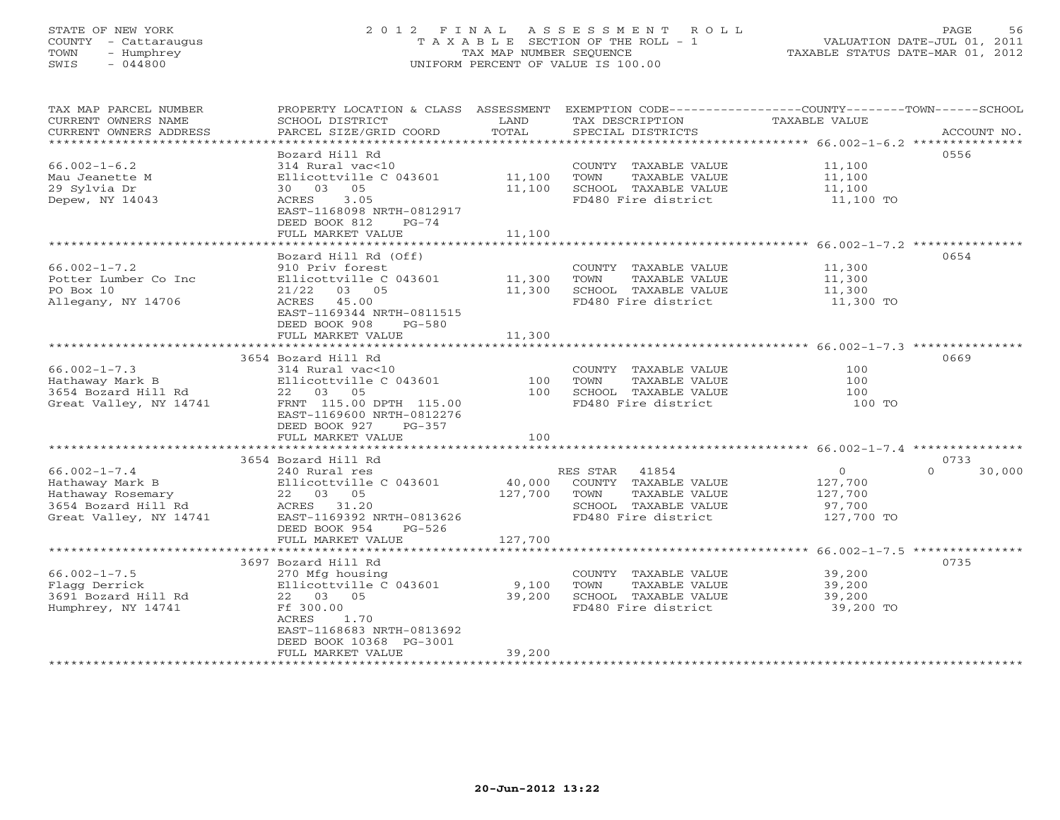# STATE OF NEW YORK 2 0 1 2 F I N A L A S S E S S M E N T R O L L PAGE 56 COUNTY - Cattaraugus T A X A B L E SECTION OF THE ROLL - 1 VALUATION DATE-JUL 01, 2011 TOWN - Humphrey TAX MAP NUMBER SEQUENCE TAXABLE STATUS DATE-MAR 01, 2012 SWIS - 044800 UNIFORM PERCENT OF VALUE IS 100.00UNIFORM PERCENT OF VALUE IS 100.00

| Bozard Hill Rd<br>0556<br>$66.002 - 1 - 6.2$<br>314 Rural vac<10<br>COUNTY TAXABLE VALUE<br>11,100<br>Ellicottville C 043601<br>Mau Jeanette M<br>11,100<br>TOWN<br>TAXABLE VALUE<br>11,100<br>29 Sylvia Dr<br>05<br>11,100<br>SCHOOL TAXABLE VALUE<br>11,100<br>30 03<br>Depew, NY 14043<br>3.05<br>FD480 Fire district<br>ACRES<br>11,100 TO<br>EAST-1168098 NRTH-0812917<br>DEED BOOK 812<br>$PG-74$<br>FULL MARKET VALUE<br>11,100<br>**********<br>************************** 66.002-1-7.2 ****************<br>********************<br>0654<br>Bozard Hill Rd (Off)<br>$66.002 - 1 - 7.2$<br>910 Priv forest<br>COUNTY TAXABLE VALUE<br>11,300<br>Potter Lumber Co Inc<br>Ellicottville C 043601<br>11,300<br>TOWN<br>TAXABLE VALUE<br>11,300<br>PO Box 10<br>21/22<br>03 05<br>11,300<br>SCHOOL TAXABLE VALUE<br>11,300<br>45.00<br>FD480 Fire district<br>Allegany, NY 14706<br>ACRES<br>11,300 TO<br>EAST-1169344 NRTH-0811515<br>DEED BOOK 908<br>$PG-580$<br>FULL MARKET VALUE<br>11,300<br>3654 Bozard Hill Rd<br>0669<br>$66.002 - 1 - 7.3$<br>314 Rural vac<10<br>COUNTY TAXABLE VALUE<br>100<br>Hathaway Mark B<br>Ellicottville C 043601<br>100<br>TOWN<br>TAXABLE VALUE<br>100<br>3654 Bozard Hill Rd<br>100<br>SCHOOL TAXABLE VALUE<br>22 03 05<br>100<br>FD480 Fire district<br>Great Valley, NY 14741<br>FRNT 115.00 DPTH 115.00<br>100 TO<br>EAST-1169600 NRTH-0812276<br>$PG-357$<br>DEED BOOK 927<br>100<br>FULL MARKET VALUE<br>3654 Bozard Hill Rd<br>0733<br>$66.002 - 1 - 7.4$<br>41854<br>$\Omega$<br>$\Omega$<br>30,000<br>240 Rural res<br>RES STAR<br>Hathaway Mark B<br>Ellicottville C 043601<br>40,000<br>COUNTY TAXABLE VALUE<br>127,700<br>22 03 05<br>127,700<br><b>TAXABLE VALUE</b><br>Hathaway Rosemary<br>TOWN<br>127,700<br>3654 Bozard Hill Rd<br>ACRES 31.20<br>SCHOOL TAXABLE VALUE<br>97,700<br>FD480 Fire district<br>Great Valley, NY 14741<br>EAST-1169392 NRTH-0813626<br>127,700 TO<br>DEED BOOK 954<br>$PG-526$<br>127,700<br>FULL MARKET VALUE<br>***************************<br>$66.002 - 1 - 7.5$ ***************<br>3697 Bozard Hill Rd<br>0735<br>$66.002 - 1 - 7.5$<br>270 Mfg housing<br>COUNTY TAXABLE VALUE<br>39,200<br>Ellicottville C 043601<br>Flagg Derrick<br>9,100<br>TOWN<br>TAXABLE VALUE<br>39,200<br>3691 Bozard Hill Rd<br>39,200<br>SCHOOL TAXABLE VALUE<br>39,200<br>22 03 05<br>Ff 300.00<br>FD480 Fire district<br>Humphrey, NY 14741<br>39,200 TO<br>ACRES<br>1.70<br>EAST-1168683 NRTH-0813692<br>DEED BOOK 10368 PG-3001 | TAX MAP PARCEL NUMBER<br>CURRENT OWNERS NAME<br>CURRENT OWNERS ADDRESS<br>********************* | PROPERTY LOCATION & CLASS ASSESSMENT<br>SCHOOL DISTRICT<br>PARCEL SIZE/GRID COORD | LAND<br>TOTAL | TAX DESCRIPTION<br>SPECIAL DISTRICTS | EXEMPTION CODE-----------------COUNTY-------TOWN------SCHOOL<br><b>TAXABLE VALUE</b><br>ACCOUNT NO. |
|---------------------------------------------------------------------------------------------------------------------------------------------------------------------------------------------------------------------------------------------------------------------------------------------------------------------------------------------------------------------------------------------------------------------------------------------------------------------------------------------------------------------------------------------------------------------------------------------------------------------------------------------------------------------------------------------------------------------------------------------------------------------------------------------------------------------------------------------------------------------------------------------------------------------------------------------------------------------------------------------------------------------------------------------------------------------------------------------------------------------------------------------------------------------------------------------------------------------------------------------------------------------------------------------------------------------------------------------------------------------------------------------------------------------------------------------------------------------------------------------------------------------------------------------------------------------------------------------------------------------------------------------------------------------------------------------------------------------------------------------------------------------------------------------------------------------------------------------------------------------------------------------------------------------------------------------------------------------------------------------------------------------------------------------------------------------------------------------------------------------------------------------------------------------------------------------------------------------------------------------------------------------------------------------------------------------------------------------------------------------------------------------------------------------------------------------------------------------------------------------------------|-------------------------------------------------------------------------------------------------|-----------------------------------------------------------------------------------|---------------|--------------------------------------|-----------------------------------------------------------------------------------------------------|
|                                                                                                                                                                                                                                                                                                                                                                                                                                                                                                                                                                                                                                                                                                                                                                                                                                                                                                                                                                                                                                                                                                                                                                                                                                                                                                                                                                                                                                                                                                                                                                                                                                                                                                                                                                                                                                                                                                                                                                                                                                                                                                                                                                                                                                                                                                                                                                                                                                                                                                         |                                                                                                 |                                                                                   |               |                                      |                                                                                                     |
|                                                                                                                                                                                                                                                                                                                                                                                                                                                                                                                                                                                                                                                                                                                                                                                                                                                                                                                                                                                                                                                                                                                                                                                                                                                                                                                                                                                                                                                                                                                                                                                                                                                                                                                                                                                                                                                                                                                                                                                                                                                                                                                                                                                                                                                                                                                                                                                                                                                                                                         |                                                                                                 |                                                                                   |               |                                      |                                                                                                     |
|                                                                                                                                                                                                                                                                                                                                                                                                                                                                                                                                                                                                                                                                                                                                                                                                                                                                                                                                                                                                                                                                                                                                                                                                                                                                                                                                                                                                                                                                                                                                                                                                                                                                                                                                                                                                                                                                                                                                                                                                                                                                                                                                                                                                                                                                                                                                                                                                                                                                                                         |                                                                                                 |                                                                                   |               |                                      |                                                                                                     |
|                                                                                                                                                                                                                                                                                                                                                                                                                                                                                                                                                                                                                                                                                                                                                                                                                                                                                                                                                                                                                                                                                                                                                                                                                                                                                                                                                                                                                                                                                                                                                                                                                                                                                                                                                                                                                                                                                                                                                                                                                                                                                                                                                                                                                                                                                                                                                                                                                                                                                                         |                                                                                                 |                                                                                   |               |                                      |                                                                                                     |
|                                                                                                                                                                                                                                                                                                                                                                                                                                                                                                                                                                                                                                                                                                                                                                                                                                                                                                                                                                                                                                                                                                                                                                                                                                                                                                                                                                                                                                                                                                                                                                                                                                                                                                                                                                                                                                                                                                                                                                                                                                                                                                                                                                                                                                                                                                                                                                                                                                                                                                         |                                                                                                 |                                                                                   |               |                                      |                                                                                                     |
|                                                                                                                                                                                                                                                                                                                                                                                                                                                                                                                                                                                                                                                                                                                                                                                                                                                                                                                                                                                                                                                                                                                                                                                                                                                                                                                                                                                                                                                                                                                                                                                                                                                                                                                                                                                                                                                                                                                                                                                                                                                                                                                                                                                                                                                                                                                                                                                                                                                                                                         |                                                                                                 |                                                                                   |               |                                      |                                                                                                     |
|                                                                                                                                                                                                                                                                                                                                                                                                                                                                                                                                                                                                                                                                                                                                                                                                                                                                                                                                                                                                                                                                                                                                                                                                                                                                                                                                                                                                                                                                                                                                                                                                                                                                                                                                                                                                                                                                                                                                                                                                                                                                                                                                                                                                                                                                                                                                                                                                                                                                                                         |                                                                                                 |                                                                                   |               |                                      |                                                                                                     |
|                                                                                                                                                                                                                                                                                                                                                                                                                                                                                                                                                                                                                                                                                                                                                                                                                                                                                                                                                                                                                                                                                                                                                                                                                                                                                                                                                                                                                                                                                                                                                                                                                                                                                                                                                                                                                                                                                                                                                                                                                                                                                                                                                                                                                                                                                                                                                                                                                                                                                                         |                                                                                                 |                                                                                   |               |                                      |                                                                                                     |
|                                                                                                                                                                                                                                                                                                                                                                                                                                                                                                                                                                                                                                                                                                                                                                                                                                                                                                                                                                                                                                                                                                                                                                                                                                                                                                                                                                                                                                                                                                                                                                                                                                                                                                                                                                                                                                                                                                                                                                                                                                                                                                                                                                                                                                                                                                                                                                                                                                                                                                         |                                                                                                 |                                                                                   |               |                                      |                                                                                                     |
|                                                                                                                                                                                                                                                                                                                                                                                                                                                                                                                                                                                                                                                                                                                                                                                                                                                                                                                                                                                                                                                                                                                                                                                                                                                                                                                                                                                                                                                                                                                                                                                                                                                                                                                                                                                                                                                                                                                                                                                                                                                                                                                                                                                                                                                                                                                                                                                                                                                                                                         |                                                                                                 |                                                                                   |               |                                      |                                                                                                     |
|                                                                                                                                                                                                                                                                                                                                                                                                                                                                                                                                                                                                                                                                                                                                                                                                                                                                                                                                                                                                                                                                                                                                                                                                                                                                                                                                                                                                                                                                                                                                                                                                                                                                                                                                                                                                                                                                                                                                                                                                                                                                                                                                                                                                                                                                                                                                                                                                                                                                                                         |                                                                                                 |                                                                                   |               |                                      |                                                                                                     |
|                                                                                                                                                                                                                                                                                                                                                                                                                                                                                                                                                                                                                                                                                                                                                                                                                                                                                                                                                                                                                                                                                                                                                                                                                                                                                                                                                                                                                                                                                                                                                                                                                                                                                                                                                                                                                                                                                                                                                                                                                                                                                                                                                                                                                                                                                                                                                                                                                                                                                                         |                                                                                                 |                                                                                   |               |                                      |                                                                                                     |
|                                                                                                                                                                                                                                                                                                                                                                                                                                                                                                                                                                                                                                                                                                                                                                                                                                                                                                                                                                                                                                                                                                                                                                                                                                                                                                                                                                                                                                                                                                                                                                                                                                                                                                                                                                                                                                                                                                                                                                                                                                                                                                                                                                                                                                                                                                                                                                                                                                                                                                         |                                                                                                 |                                                                                   |               |                                      |                                                                                                     |
|                                                                                                                                                                                                                                                                                                                                                                                                                                                                                                                                                                                                                                                                                                                                                                                                                                                                                                                                                                                                                                                                                                                                                                                                                                                                                                                                                                                                                                                                                                                                                                                                                                                                                                                                                                                                                                                                                                                                                                                                                                                                                                                                                                                                                                                                                                                                                                                                                                                                                                         |                                                                                                 |                                                                                   |               |                                      |                                                                                                     |
|                                                                                                                                                                                                                                                                                                                                                                                                                                                                                                                                                                                                                                                                                                                                                                                                                                                                                                                                                                                                                                                                                                                                                                                                                                                                                                                                                                                                                                                                                                                                                                                                                                                                                                                                                                                                                                                                                                                                                                                                                                                                                                                                                                                                                                                                                                                                                                                                                                                                                                         |                                                                                                 |                                                                                   |               |                                      |                                                                                                     |
|                                                                                                                                                                                                                                                                                                                                                                                                                                                                                                                                                                                                                                                                                                                                                                                                                                                                                                                                                                                                                                                                                                                                                                                                                                                                                                                                                                                                                                                                                                                                                                                                                                                                                                                                                                                                                                                                                                                                                                                                                                                                                                                                                                                                                                                                                                                                                                                                                                                                                                         |                                                                                                 |                                                                                   |               |                                      |                                                                                                     |
|                                                                                                                                                                                                                                                                                                                                                                                                                                                                                                                                                                                                                                                                                                                                                                                                                                                                                                                                                                                                                                                                                                                                                                                                                                                                                                                                                                                                                                                                                                                                                                                                                                                                                                                                                                                                                                                                                                                                                                                                                                                                                                                                                                                                                                                                                                                                                                                                                                                                                                         |                                                                                                 |                                                                                   |               |                                      |                                                                                                     |
|                                                                                                                                                                                                                                                                                                                                                                                                                                                                                                                                                                                                                                                                                                                                                                                                                                                                                                                                                                                                                                                                                                                                                                                                                                                                                                                                                                                                                                                                                                                                                                                                                                                                                                                                                                                                                                                                                                                                                                                                                                                                                                                                                                                                                                                                                                                                                                                                                                                                                                         |                                                                                                 |                                                                                   |               |                                      |                                                                                                     |
|                                                                                                                                                                                                                                                                                                                                                                                                                                                                                                                                                                                                                                                                                                                                                                                                                                                                                                                                                                                                                                                                                                                                                                                                                                                                                                                                                                                                                                                                                                                                                                                                                                                                                                                                                                                                                                                                                                                                                                                                                                                                                                                                                                                                                                                                                                                                                                                                                                                                                                         |                                                                                                 |                                                                                   |               |                                      |                                                                                                     |
|                                                                                                                                                                                                                                                                                                                                                                                                                                                                                                                                                                                                                                                                                                                                                                                                                                                                                                                                                                                                                                                                                                                                                                                                                                                                                                                                                                                                                                                                                                                                                                                                                                                                                                                                                                                                                                                                                                                                                                                                                                                                                                                                                                                                                                                                                                                                                                                                                                                                                                         |                                                                                                 |                                                                                   |               |                                      |                                                                                                     |
|                                                                                                                                                                                                                                                                                                                                                                                                                                                                                                                                                                                                                                                                                                                                                                                                                                                                                                                                                                                                                                                                                                                                                                                                                                                                                                                                                                                                                                                                                                                                                                                                                                                                                                                                                                                                                                                                                                                                                                                                                                                                                                                                                                                                                                                                                                                                                                                                                                                                                                         |                                                                                                 |                                                                                   |               |                                      |                                                                                                     |
|                                                                                                                                                                                                                                                                                                                                                                                                                                                                                                                                                                                                                                                                                                                                                                                                                                                                                                                                                                                                                                                                                                                                                                                                                                                                                                                                                                                                                                                                                                                                                                                                                                                                                                                                                                                                                                                                                                                                                                                                                                                                                                                                                                                                                                                                                                                                                                                                                                                                                                         |                                                                                                 |                                                                                   |               |                                      |                                                                                                     |
|                                                                                                                                                                                                                                                                                                                                                                                                                                                                                                                                                                                                                                                                                                                                                                                                                                                                                                                                                                                                                                                                                                                                                                                                                                                                                                                                                                                                                                                                                                                                                                                                                                                                                                                                                                                                                                                                                                                                                                                                                                                                                                                                                                                                                                                                                                                                                                                                                                                                                                         |                                                                                                 |                                                                                   |               |                                      |                                                                                                     |
|                                                                                                                                                                                                                                                                                                                                                                                                                                                                                                                                                                                                                                                                                                                                                                                                                                                                                                                                                                                                                                                                                                                                                                                                                                                                                                                                                                                                                                                                                                                                                                                                                                                                                                                                                                                                                                                                                                                                                                                                                                                                                                                                                                                                                                                                                                                                                                                                                                                                                                         |                                                                                                 |                                                                                   |               |                                      |                                                                                                     |
|                                                                                                                                                                                                                                                                                                                                                                                                                                                                                                                                                                                                                                                                                                                                                                                                                                                                                                                                                                                                                                                                                                                                                                                                                                                                                                                                                                                                                                                                                                                                                                                                                                                                                                                                                                                                                                                                                                                                                                                                                                                                                                                                                                                                                                                                                                                                                                                                                                                                                                         |                                                                                                 |                                                                                   |               |                                      |                                                                                                     |
|                                                                                                                                                                                                                                                                                                                                                                                                                                                                                                                                                                                                                                                                                                                                                                                                                                                                                                                                                                                                                                                                                                                                                                                                                                                                                                                                                                                                                                                                                                                                                                                                                                                                                                                                                                                                                                                                                                                                                                                                                                                                                                                                                                                                                                                                                                                                                                                                                                                                                                         |                                                                                                 |                                                                                   |               |                                      |                                                                                                     |
|                                                                                                                                                                                                                                                                                                                                                                                                                                                                                                                                                                                                                                                                                                                                                                                                                                                                                                                                                                                                                                                                                                                                                                                                                                                                                                                                                                                                                                                                                                                                                                                                                                                                                                                                                                                                                                                                                                                                                                                                                                                                                                                                                                                                                                                                                                                                                                                                                                                                                                         |                                                                                                 |                                                                                   |               |                                      |                                                                                                     |
|                                                                                                                                                                                                                                                                                                                                                                                                                                                                                                                                                                                                                                                                                                                                                                                                                                                                                                                                                                                                                                                                                                                                                                                                                                                                                                                                                                                                                                                                                                                                                                                                                                                                                                                                                                                                                                                                                                                                                                                                                                                                                                                                                                                                                                                                                                                                                                                                                                                                                                         |                                                                                                 |                                                                                   |               |                                      |                                                                                                     |
|                                                                                                                                                                                                                                                                                                                                                                                                                                                                                                                                                                                                                                                                                                                                                                                                                                                                                                                                                                                                                                                                                                                                                                                                                                                                                                                                                                                                                                                                                                                                                                                                                                                                                                                                                                                                                                                                                                                                                                                                                                                                                                                                                                                                                                                                                                                                                                                                                                                                                                         |                                                                                                 |                                                                                   |               |                                      |                                                                                                     |
|                                                                                                                                                                                                                                                                                                                                                                                                                                                                                                                                                                                                                                                                                                                                                                                                                                                                                                                                                                                                                                                                                                                                                                                                                                                                                                                                                                                                                                                                                                                                                                                                                                                                                                                                                                                                                                                                                                                                                                                                                                                                                                                                                                                                                                                                                                                                                                                                                                                                                                         |                                                                                                 |                                                                                   |               |                                      |                                                                                                     |
|                                                                                                                                                                                                                                                                                                                                                                                                                                                                                                                                                                                                                                                                                                                                                                                                                                                                                                                                                                                                                                                                                                                                                                                                                                                                                                                                                                                                                                                                                                                                                                                                                                                                                                                                                                                                                                                                                                                                                                                                                                                                                                                                                                                                                                                                                                                                                                                                                                                                                                         |                                                                                                 |                                                                                   |               |                                      |                                                                                                     |
|                                                                                                                                                                                                                                                                                                                                                                                                                                                                                                                                                                                                                                                                                                                                                                                                                                                                                                                                                                                                                                                                                                                                                                                                                                                                                                                                                                                                                                                                                                                                                                                                                                                                                                                                                                                                                                                                                                                                                                                                                                                                                                                                                                                                                                                                                                                                                                                                                                                                                                         |                                                                                                 |                                                                                   |               |                                      |                                                                                                     |
|                                                                                                                                                                                                                                                                                                                                                                                                                                                                                                                                                                                                                                                                                                                                                                                                                                                                                                                                                                                                                                                                                                                                                                                                                                                                                                                                                                                                                                                                                                                                                                                                                                                                                                                                                                                                                                                                                                                                                                                                                                                                                                                                                                                                                                                                                                                                                                                                                                                                                                         |                                                                                                 |                                                                                   |               |                                      |                                                                                                     |
|                                                                                                                                                                                                                                                                                                                                                                                                                                                                                                                                                                                                                                                                                                                                                                                                                                                                                                                                                                                                                                                                                                                                                                                                                                                                                                                                                                                                                                                                                                                                                                                                                                                                                                                                                                                                                                                                                                                                                                                                                                                                                                                                                                                                                                                                                                                                                                                                                                                                                                         |                                                                                                 |                                                                                   |               |                                      |                                                                                                     |
|                                                                                                                                                                                                                                                                                                                                                                                                                                                                                                                                                                                                                                                                                                                                                                                                                                                                                                                                                                                                                                                                                                                                                                                                                                                                                                                                                                                                                                                                                                                                                                                                                                                                                                                                                                                                                                                                                                                                                                                                                                                                                                                                                                                                                                                                                                                                                                                                                                                                                                         |                                                                                                 |                                                                                   |               |                                      |                                                                                                     |
| *****************************                                                                                                                                                                                                                                                                                                                                                                                                                                                                                                                                                                                                                                                                                                                                                                                                                                                                                                                                                                                                                                                                                                                                                                                                                                                                                                                                                                                                                                                                                                                                                                                                                                                                                                                                                                                                                                                                                                                                                                                                                                                                                                                                                                                                                                                                                                                                                                                                                                                                           |                                                                                                 | FULL MARKET VALUE                                                                 | 39,200        |                                      |                                                                                                     |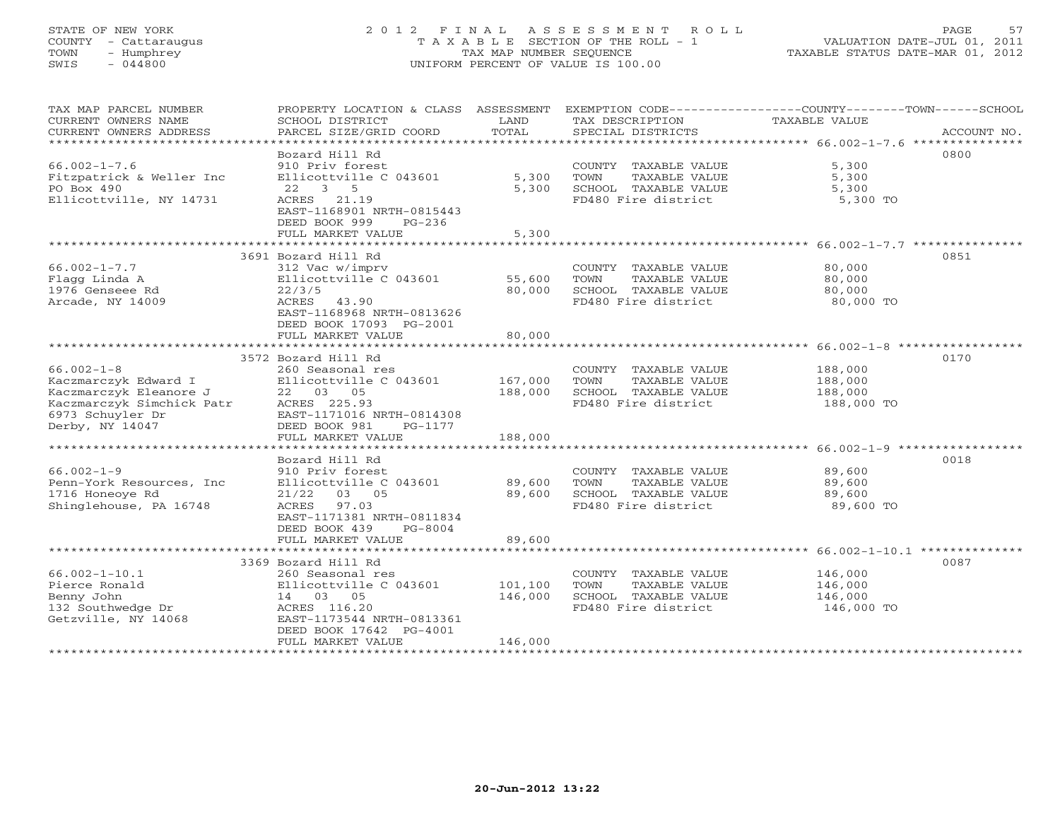# STATE OF NEW YORK 2 0 1 2 F I N A L A S S E S S M E N T R O L L PAGE 57 COUNTY - Cattaraugus T A X A B L E SECTION OF THE ROLL - 1 VALUATION DATE-JUL 01, 2011 TOWN - Humphrey TAX MAP NUMBER SEQUENCE TAXABLE STATUS DATE-MAR 01, 2012 SWIS - 044800 UNIFORM PERCENT OF VALUE IS 100.00UNIFORM PERCENT OF VALUE IS 100.00

| TAX MAP PARCEL NUMBER<br>CURRENT OWNERS NAME<br>CURRENT OWNERS ADDRESS<br>******************************                               | PROPERTY LOCATION & CLASS ASSESSMENT<br>SCHOOL DISTRICT<br>PARCEL SIZE/GRID COORD                                                                                                 | LAND<br>TOTAL                 | TAX DESCRIPTION<br>SPECIAL DISTRICTS                                                         | EXEMPTION CODE-----------------COUNTY-------TOWN------SCHOOL<br>TAXABLE VALUE<br>ACCOUNT NO.           |
|----------------------------------------------------------------------------------------------------------------------------------------|-----------------------------------------------------------------------------------------------------------------------------------------------------------------------------------|-------------------------------|----------------------------------------------------------------------------------------------|--------------------------------------------------------------------------------------------------------|
| $66.002 - 1 - 7.6$<br>Fitzpatrick & Weller Inc<br>PO Box 490<br>Ellicottville, NY 14731                                                | Bozard Hill Rd<br>910 Priv forest<br>Ellicottville C 043601<br>$22 \t 3 \t 5$<br>ACRES 21.19<br>EAST-1168901 NRTH-0815443<br>DEED BOOK 999<br>$PG-236$<br>FULL MARKET VALUE       | 5,300<br>5,300<br>5,300       | COUNTY TAXABLE VALUE<br>TAXABLE VALUE<br>TOWN<br>SCHOOL TAXABLE VALUE<br>FD480 Fire district | 0800<br>5,300<br>5,300<br>5,300<br>5,300 TO                                                            |
|                                                                                                                                        |                                                                                                                                                                                   |                               |                                                                                              |                                                                                                        |
| $66.002 - 1 - 7.7$<br>Flagg Linda A<br>1976 Genseee Rd<br>Arcade, NY 14009                                                             | 3691 Bozard Hill Rd<br>312 Vac w/imprv<br>Ellicottville C 043601<br>22/3/5<br>ACRES<br>43.90<br>EAST-1168968 NRTH-0813626<br>DEED BOOK 17093 PG-2001                              | 55,600<br>80,000              | COUNTY TAXABLE VALUE<br>TAXABLE VALUE<br>TOWN<br>SCHOOL TAXABLE VALUE<br>FD480 Fire district | 0851<br>80,000<br>80,000<br>80,000<br>80,000 TO                                                        |
|                                                                                                                                        | FULL MARKET VALUE                                                                                                                                                                 | 80,000                        |                                                                                              |                                                                                                        |
|                                                                                                                                        |                                                                                                                                                                                   |                               |                                                                                              |                                                                                                        |
| $66.002 - 1 - 8$<br>Kaczmarczyk Edward I<br>Kaczmarczyk Eleanore J<br>Kaczmarczyk Simchick Patr<br>6973 Schuyler Dr<br>Derby, NY 14047 | 3572 Bozard Hill Rd<br>260 Seasonal res<br>Ellicottville C 043601<br>22 03 05<br>ACRES 225.93<br>EAST-1171016 NRTH-0814308<br>DEED BOOK 981<br>PG-1177                            | 167,000<br>188,000            | COUNTY TAXABLE VALUE<br>TOWN<br>TAXABLE VALUE<br>SCHOOL TAXABLE VALUE<br>FD480 Fire district | 0170<br>188,000<br>188,000<br>188,000<br>188,000 TO                                                    |
|                                                                                                                                        | FULL MARKET VALUE                                                                                                                                                                 | 188,000                       |                                                                                              |                                                                                                        |
| $66.002 - 1 - 9$<br>Penn-York Resources, Inc<br>1716 Honeoye Rd<br>Shinglehouse, PA 16748                                              | *******************<br>Bozard Hill Rd<br>910 Priv forest<br>Ellicottville C 043601<br>21/22<br>03 05<br>ACRES<br>97.03<br>EAST-1171381 NRTH-0811834<br>DEED BOOK 439<br>$PG-8004$ | *********<br>89,600<br>89,600 | COUNTY TAXABLE VALUE<br>TOWN<br>TAXABLE VALUE<br>SCHOOL TAXABLE VALUE<br>FD480 Fire district | ********************* 66.002-1-9 ******************<br>0018<br>89,600<br>89,600<br>89,600<br>89,600 TO |
|                                                                                                                                        | FULL MARKET VALUE                                                                                                                                                                 | 89,600                        |                                                                                              |                                                                                                        |
|                                                                                                                                        |                                                                                                                                                                                   |                               |                                                                                              |                                                                                                        |
| $66.002 - 1 - 10.1$<br>Pierce Ronald<br>Benny John<br>132 Southwedge Dr<br>Getzville, NY 14068                                         | 3369 Bozard Hill Rd<br>260 Seasonal res<br>Ellicottville C 043601<br>14 03 05<br>ACRES 116.20<br>EAST-1173544 NRTH-0813361<br>DEED BOOK 17642 PG-4001<br>FULL MARKET VALUE        | 101,100<br>146,000<br>146,000 | COUNTY TAXABLE VALUE<br>TOWN<br>TAXABLE VALUE<br>SCHOOL TAXABLE VALUE<br>FD480 Fire district | 0087<br>146,000<br>146,000<br>146,000<br>146,000 TO                                                    |
|                                                                                                                                        |                                                                                                                                                                                   |                               |                                                                                              |                                                                                                        |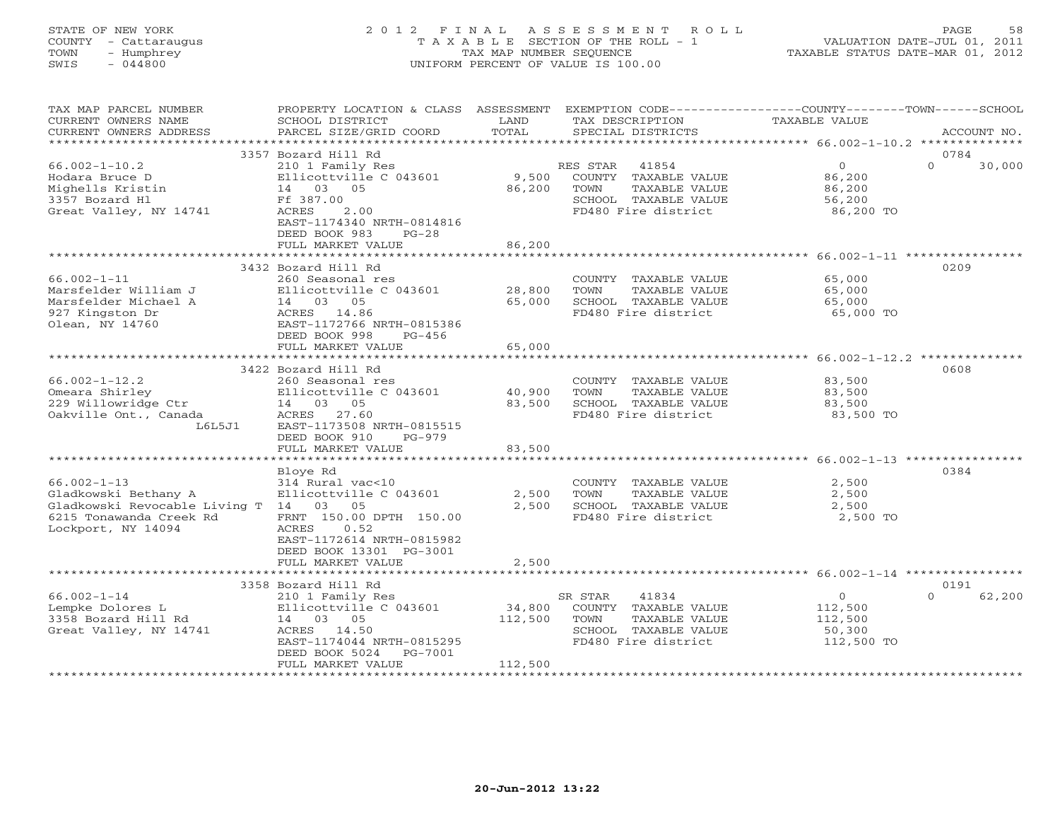# STATE OF NEW YORK 2 0 1 2 F I N A L A S S E S S M E N T R O L L PAGE 58 COUNTY - Cattaraugus T A X A B L E SECTION OF THE ROLL - 1 VALUATION DATE-JUL 01, 2011 TOWN - Humphrey TAX MAP NUMBER SEQUENCE TAXABLE STATUS DATE-MAR 01, 2012 SWIS - 044800 UNIFORM PERCENT OF VALUE IS 100.00UNIFORM PERCENT OF VALUE IS 100.00

| TAX MAP PARCEL NUMBER<br>CURRENT OWNERS NAME<br>CURRENT OWNERS ADDRESS                                                            | PROPERTY LOCATION & CLASS<br>SCHOOL DISTRICT<br>PARCEL SIZE/GRID COORD                                                                                                         | ASSESSMENT<br>LAND<br>TOTAL  | EXEMPTION CODE-----------------COUNTY-------TOWN------SCHOOL<br>TAX DESCRIPTION<br>SPECIAL DISTRICTS              | <b>TAXABLE VALUE</b>                                      | ACCOUNT NO.                |
|-----------------------------------------------------------------------------------------------------------------------------------|--------------------------------------------------------------------------------------------------------------------------------------------------------------------------------|------------------------------|-------------------------------------------------------------------------------------------------------------------|-----------------------------------------------------------|----------------------------|
| *********************                                                                                                             |                                                                                                                                                                                |                              |                                                                                                                   |                                                           |                            |
|                                                                                                                                   | 3357 Bozard Hill Rd                                                                                                                                                            |                              |                                                                                                                   |                                                           | 0784                       |
| $66.002 - 1 - 10.2$<br>Hodara Bruce D<br>Mighells Kristin<br>3357 Bozard H1<br>Great Valley, NY 14741                             | 210 1 Family Res<br>Ellicottville C 043601<br>14 03 05<br>Ff 387.00<br>ACRES<br>2.00<br>EAST-1174340 NRTH-0814816<br>DEED BOOK 983<br>$PG-28$                                  | 9,500<br>86,200              | RES STAR<br>41854<br>COUNTY TAXABLE VALUE<br>TAXABLE VALUE<br>TOWN<br>SCHOOL TAXABLE VALUE<br>FD480 Fire district | $\overline{0}$<br>86,200<br>86,200<br>56,200<br>86,200 TO | $\Omega$<br>30,000         |
|                                                                                                                                   | FULL MARKET VALUE                                                                                                                                                              | 86,200                       |                                                                                                                   |                                                           |                            |
|                                                                                                                                   | 3432 Bozard Hill Rd                                                                                                                                                            |                              |                                                                                                                   |                                                           | 0209                       |
| $66.002 - 1 - 11$<br>Marsfelder William J<br>Marsfelder Michael A<br>927 Kingston Dr<br>Olean, NY 14760                           | 260 Seasonal res<br>Ellicottville C 043601<br>14 03 05<br>ACRES 14.86<br>EAST-1172766 NRTH-0815386                                                                             | 28,800<br>65,000             | COUNTY TAXABLE VALUE<br>TOWN<br>TAXABLE VALUE<br>SCHOOL TAXABLE VALUE<br>FD480 Fire district                      | 65,000<br>65,000<br>65,000<br>65,000 TO                   |                            |
|                                                                                                                                   | DEED BOOK 998<br>$PG-456$<br>FULL MARKET VALUE<br>********************************                                                                                             | 65,000<br>*************      |                                                                                                                   |                                                           |                            |
|                                                                                                                                   | 3422 Bozard Hill Rd                                                                                                                                                            |                              |                                                                                                                   |                                                           | 0608                       |
| $66.002 - 1 - 12.2$<br>Omeara Shirley<br>229 Willowridge Ctr<br>Oakville Ont., Canada<br>L6L5J1                                   | 260 Seasonal res<br>Ellicottville C 043601<br>14 03 05<br>27.60<br>ACRES<br>EAST-1173508 NRTH-0815515<br>DEED BOOK 910<br>PG-979                                               | 40,900<br>83,500             | COUNTY TAXABLE VALUE<br>TOWN<br>TAXABLE VALUE<br>SCHOOL TAXABLE VALUE<br>FD480 Fire district                      | 83,500<br>83,500<br>83,500<br>83,500 TO                   |                            |
|                                                                                                                                   | FULL MARKET VALUE                                                                                                                                                              | 83,500                       |                                                                                                                   |                                                           |                            |
|                                                                                                                                   | Bloye Rd                                                                                                                                                                       |                              |                                                                                                                   |                                                           | 0384                       |
| $66.002 - 1 - 13$<br>Gladkowski Bethany A<br>Gladkowski Revocable Living T 14 03<br>6215 Tonawanda Creek Rd<br>Lockport, NY 14094 | 314 Rural vac<10<br>Ellicottville C 043601<br>05<br>FRNT 150.00 DPTH 150.00<br>0.52<br>ACRES<br>EAST-1172614 NRTH-0815982                                                      | 2,500<br>2,500               | COUNTY TAXABLE VALUE<br>TOWN<br>TAXABLE VALUE<br>SCHOOL TAXABLE VALUE<br>FD480 Fire district                      | 2,500<br>2,500<br>2,500<br>2,500 TO                       |                            |
|                                                                                                                                   | DEED BOOK 13301 PG-3001<br>FULL MARKET VALUE                                                                                                                                   | 2,500                        |                                                                                                                   |                                                           |                            |
|                                                                                                                                   |                                                                                                                                                                                |                              |                                                                                                                   | *************************** 66.002-1-14 ***************** |                            |
| $66.002 - 1 - 14$<br>Lempke Dolores L<br>3358 Bozard Hill Rd<br>Great Valley, NY 14741                                            | 3358 Bozard Hill Rd<br>210 1 Family Res<br>Ellicottville C 043601<br>14 03 05<br>14.50<br>ACRES<br>EAST-1174044 NRTH-0815295<br>DEED BOOK 5024<br>PG-7001<br>FULL MARKET VALUE | 34,800<br>112,500<br>112,500 | SR STAR<br>41834<br>COUNTY TAXABLE VALUE<br>TOWN<br>TAXABLE VALUE<br>SCHOOL TAXABLE VALUE<br>FD480 Fire district  | $\circ$<br>112,500<br>112,500<br>50,300<br>112,500 TO     | 0191<br>62,200<br>$\Omega$ |
|                                                                                                                                   |                                                                                                                                                                                |                              |                                                                                                                   |                                                           |                            |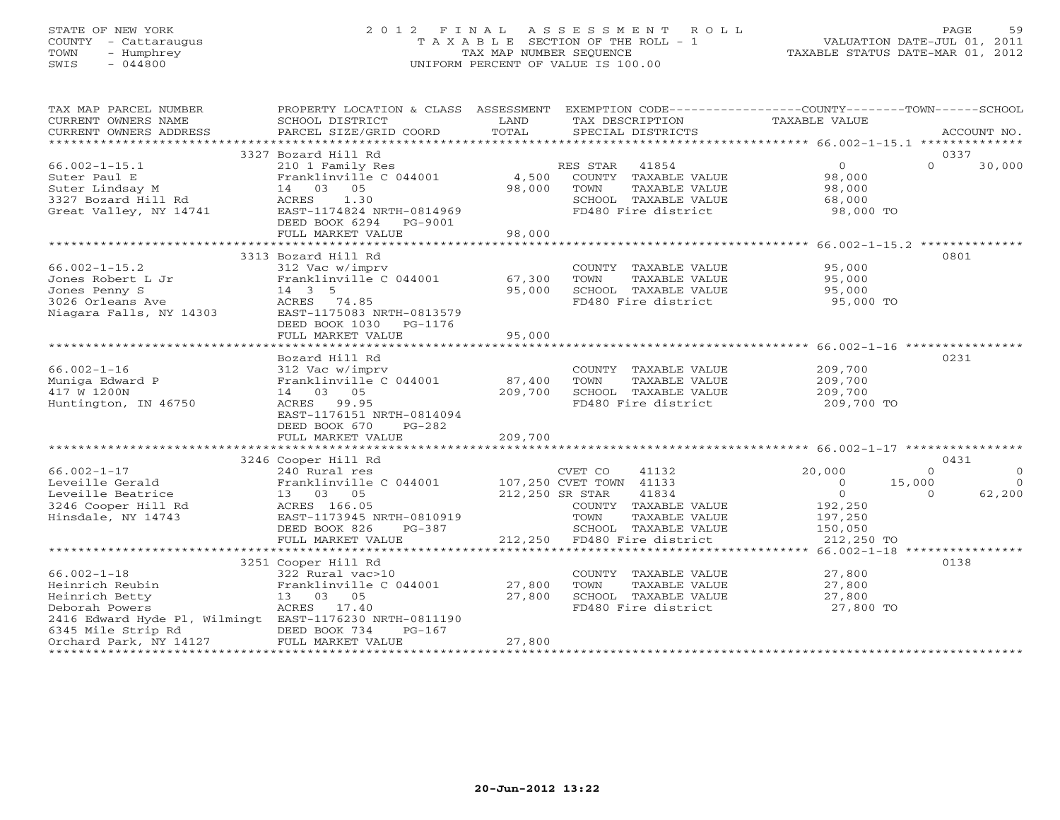## STATE OF NEW YORK 2 0 1 2 F I N A L A S S E S S M E N T R O L L PAGE 59 COUNTY - Cattaraugus T A X A B L E SECTION OF THE ROLL - 1 VALUATION DATE-JUL 01, 2011 TOWN - Humphrey TAX MAP NUMBER SEQUENCE TAXABLE STATUS DATE-MAR 01, 2012 SWIS - 044800 UNIFORM PERCENT OF VALUE IS 100.00UNIFORM PERCENT OF VALUE IS 100.00

| TAX MAP PARCEL NUMBER<br>CURRENT OWNERS NAME<br>CURRENT OWNERS ADDRESS                                                                                                              | PROPERTY LOCATION & CLASS ASSESSMENT EXEMPTION CODE----------------COUNTY-------TOWN------SCHOOL<br>SCHOOL DISTRICT<br>PARCEL SIZE/GRID COORD                                 | LAND<br>TOTAL                              |                        | TAX DESCRIPTION<br>SPECIAL DISTRICTS                                                 | TAXABLE VALUE                                             |                              | ACCOUNT NO.                            |
|-------------------------------------------------------------------------------------------------------------------------------------------------------------------------------------|-------------------------------------------------------------------------------------------------------------------------------------------------------------------------------|--------------------------------------------|------------------------|--------------------------------------------------------------------------------------|-----------------------------------------------------------|------------------------------|----------------------------------------|
|                                                                                                                                                                                     |                                                                                                                                                                               |                                            |                        |                                                                                      |                                                           |                              |                                        |
| $66.002 - 1 - 15.1$<br>Suter Paul E<br>Suter Lindsay M<br>3327 Bozard Hill Rd<br>Great Valley, NY 14741                                                                             | 3327 Bozard Hill Rd<br>210 1 Family Res<br>Franklinville C 044001<br>14 03 05<br>1.30<br>ACRES<br>EAST-1174824 NRTH-0814969<br>DEED BOOK 6294<br>PG-9001<br>FULL MARKET VALUE | 4,500<br>98,000<br>98,000                  | RES STAR 41854<br>TOWN | COUNTY TAXABLE VALUE<br>TAXABLE VALUE<br>SCHOOL TAXABLE VALUE<br>FD480 Fire district | $\overline{0}$<br>98,000<br>98,000<br>68,000<br>98,000 TO | $\Omega$                     | 0337<br>30,000                         |
|                                                                                                                                                                                     |                                                                                                                                                                               |                                            |                        |                                                                                      | ********************** 66.002-1-15.2 ***************      |                              |                                        |
| $66.002 - 1 - 15.2$<br>Jones Robert L Jr<br>Jones Penny S<br>3026 Orleans Ave<br>Niagara Falls, NY 14303                                                                            | 3313 Bozard Hill Rd<br>312 Vac w/imprv<br>Franklinville C 044001<br>14 3 5<br>ACRES 74.85<br>EAST-1175083 NRTH-0813579                                                        | 67,300<br>95,000                           | TOWN                   | COUNTY TAXABLE VALUE<br>TAXABLE VALUE<br>SCHOOL TAXABLE VALUE<br>FD480 Fire district | 95,000<br>95,000<br>95,000<br>95,000 TO                   |                              | 0801                                   |
|                                                                                                                                                                                     | DEED BOOK 1030<br>PG-1176<br>FULL MARKET VALUE                                                                                                                                | 95,000                                     |                        |                                                                                      |                                                           |                              |                                        |
|                                                                                                                                                                                     | Bozard Hill Rd                                                                                                                                                                |                                            |                        |                                                                                      |                                                           |                              | 0231                                   |
| $66.002 - 1 - 16$<br>Muniga Edward P<br>417 W 1200N<br>Huntington, IN 46750                                                                                                         | 312 Vac w/imprv<br>Franklinville C 044001<br>14 03 05<br>ACRES 99.95<br>EAST-1176151 NRTH-0814094<br>DEED BOOK 670<br>$PG-282$                                                | 87,400<br>209,700                          | TOWN                   | COUNTY TAXABLE VALUE<br>TAXABLE VALUE<br>SCHOOL TAXABLE VALUE<br>FD480 Fire district | 209,700<br>209,700<br>209,700<br>209,700 TO               |                              |                                        |
|                                                                                                                                                                                     | FULL MARKET VALUE                                                                                                                                                             | 209,700                                    |                        |                                                                                      |                                                           |                              |                                        |
|                                                                                                                                                                                     |                                                                                                                                                                               |                                            |                        |                                                                                      |                                                           |                              |                                        |
| $66.002 - 1 - 17$<br>Leveille Gerald<br>Leveille Beatrice<br>3246 Cooper Hill Rd<br>Hinsdale, NY 14743                                                                              | 3246 Cooper Hill Rd<br>240 Rural res<br>Franklinville C 044001<br>13 03 05<br>ACRES 166.05<br>EAST-1173945 NRTH-0810919                                                       | 107,250 CVET TOWN 41133<br>212,250 SR STAR | CVET CO<br>TOWN        | 41132<br>41834<br>COUNTY TAXABLE VALUE<br>TAXABLE VALUE                              | 20,000<br>$\Omega$<br>$\circ$<br>192,250<br>197,250       | $\Omega$<br>15,000<br>$\cap$ | 0431<br>$\Omega$<br>$\Omega$<br>62,200 |
|                                                                                                                                                                                     | DEED BOOK 826<br>PG-387<br>FULL MARKET VALUE                                                                                                                                  |                                            |                        | SCHOOL TAXABLE VALUE<br>212,250 FD480 Fire district                                  | 150,050<br>212,250 TO                                     |                              |                                        |
|                                                                                                                                                                                     |                                                                                                                                                                               |                                            |                        |                                                                                      |                                                           |                              |                                        |
| $66.002 - 1 - 18$<br>Heinrich Reubin<br>Heinrich Betty<br>Deborah Powers<br>2416 Edward Hyde Pl, Wilmingt EAST-1176230 NRTH-0811190<br>6345 Mile Strip Rd<br>Orchard Park, NY 14127 | 3251 Cooper Hill Rd<br>322 Rural vac>10<br>Franklinville C 044001<br>13 03 05<br>ACRES 17.40<br>DEED BOOK 734<br>$PG-167$<br>FULL MARKET VALUE                                | 27,800<br>27,800<br>27,800                 | TOWN                   | COUNTY TAXABLE VALUE<br>TAXABLE VALUE<br>SCHOOL TAXABLE VALUE<br>FD480 Fire district | 27,800<br>27,800<br>27,800<br>27,800 TO                   |                              | 0138                                   |
|                                                                                                                                                                                     |                                                                                                                                                                               |                                            |                        |                                                                                      |                                                           |                              |                                        |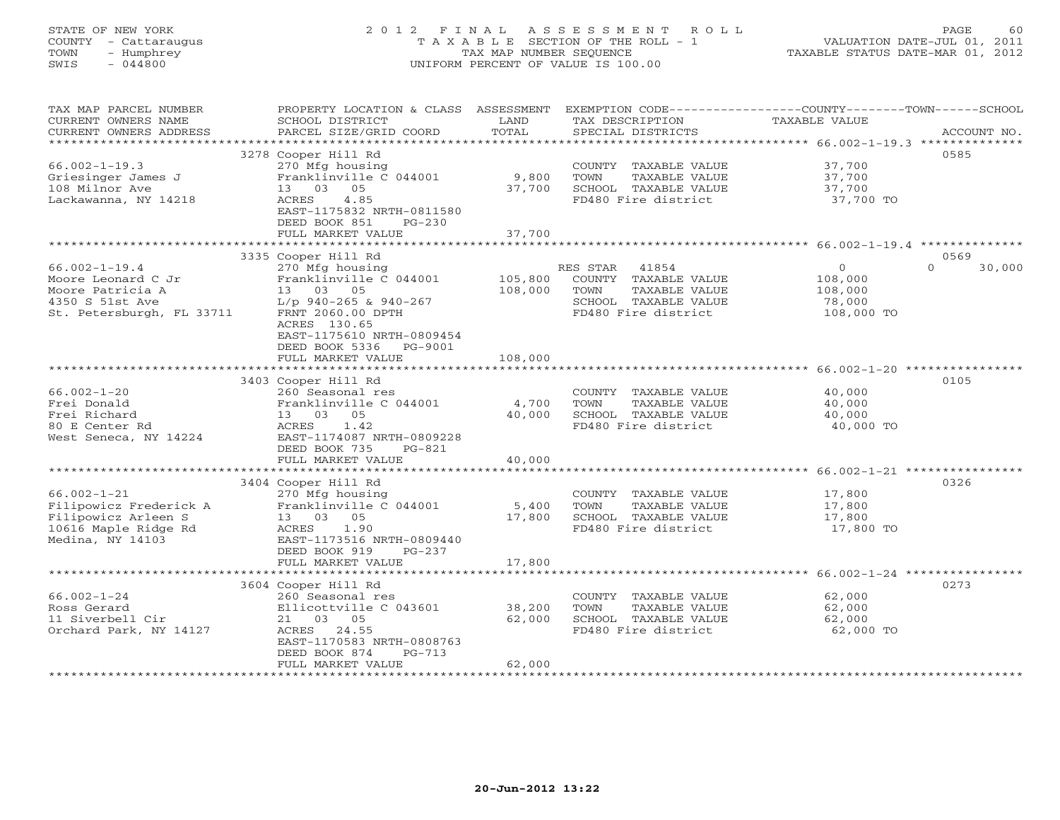# STATE OF NEW YORK 2 0 1 2 F I N A L A S S E S S M E N T R O L L PAGE 60 COUNTY - Cattaraugus T A X A B L E SECTION OF THE ROLL - 1 VALUATION DATE-JUL 01, 2011 TOWN - Humphrey TAX MAP NUMBER SEQUENCE TAXABLE STATUS DATE-MAR 01, 2012 SWIS - 044800 UNIFORM PERCENT OF VALUE IS 100.00UNIFORM PERCENT OF VALUE IS 100.00

| TAX MAP PARCEL NUMBER<br>CURRENT OWNERS NAME<br>CURRENT OWNERS ADDRESS                                         | PROPERTY LOCATION & CLASS ASSESSMENT<br>SCHOOL DISTRICT<br>PARCEL SIZE/GRID COORD                                                                                             | LAND<br>TOTAL      | EXEMPTION CODE-----------------COUNTY-------TOWN------SCHOOL<br>TAX DESCRIPTION<br>SPECIAL DISTRICTS           | TAXABLE VALUE                                         | ACCOUNT NO.      |
|----------------------------------------------------------------------------------------------------------------|-------------------------------------------------------------------------------------------------------------------------------------------------------------------------------|--------------------|----------------------------------------------------------------------------------------------------------------|-------------------------------------------------------|------------------|
| **********************                                                                                         |                                                                                                                                                                               |                    |                                                                                                                |                                                       |                  |
|                                                                                                                | 3278 Cooper Hill Rd                                                                                                                                                           |                    |                                                                                                                |                                                       | 0585             |
| $66.002 - 1 - 19.3$<br>Griesinger James J<br>108 Milnor Ave<br>Lackawanna, NY 14218                            | 270 Mfg housing<br>Franklinville C 044001<br>13 03<br>05<br>4.85<br>ACRES<br>EAST-1175832 NRTH-0811580                                                                        | 9,800<br>37,700    | COUNTY TAXABLE VALUE<br>TOWN<br>TAXABLE VALUE<br>SCHOOL TAXABLE VALUE<br>FD480 Fire district                   | 37,700<br>37,700<br>37,700<br>37,700 TO               |                  |
|                                                                                                                | DEED BOOK 851<br>$PG-230$                                                                                                                                                     |                    |                                                                                                                |                                                       |                  |
|                                                                                                                | FULL MARKET VALUE                                                                                                                                                             | 37,700             |                                                                                                                |                                                       |                  |
|                                                                                                                | 3335 Cooper Hill Rd                                                                                                                                                           |                    |                                                                                                                |                                                       | 0569             |
| $66.002 - 1 - 19.4$<br>Moore Leonard C Jr<br>Moore Patricia A<br>4350 S 51st Ave<br>St. Petersburgh, FL 33711  | 270 Mfg housing<br>Franklinville C 044001<br>13 03 05<br>L/p 940-265 & 940-267<br>FRNT 2060.00 DPTH<br>ACRES 130.65<br>EAST-1175610 NRTH-0809454<br>DEED BOOK 5336<br>PG-9001 | 105,800<br>108,000 | RES STAR 41854<br>COUNTY TAXABLE VALUE<br>TOWN<br>TAXABLE VALUE<br>SCHOOL TAXABLE VALUE<br>FD480 Fire district | $\circ$<br>108,000<br>108,000<br>78,000<br>108,000 TO | $\cap$<br>30,000 |
|                                                                                                                | FULL MARKET VALUE                                                                                                                                                             | 108,000            |                                                                                                                |                                                       |                  |
|                                                                                                                | 3403 Cooper Hill Rd                                                                                                                                                           |                    |                                                                                                                |                                                       | 0105             |
| $66.002 - 1 - 20$<br>Frei Donald<br>Frei Richard<br>80 E Center Rd<br>West Seneca, NY 14224                    | 260 Seasonal res<br>Franklinville C 044001<br>13 03 05<br>ACRES<br>1.42<br>EAST-1174087 NRTH-0809228<br>DEED BOOK 735<br>$PG-821$                                             | 4,700<br>40,000    | COUNTY TAXABLE VALUE<br>TOWN<br>TAXABLE VALUE<br>SCHOOL TAXABLE VALUE<br>FD480 Fire district                   | 40,000<br>40,000<br>40,000<br>40,000 TO               |                  |
|                                                                                                                | FULL MARKET VALUE                                                                                                                                                             | 40,000             |                                                                                                                |                                                       |                  |
| $66.002 - 1 - 21$<br>Filipowicz Frederick A<br>Filipowicz Arleen S<br>10616 Maple Ridge Rd<br>Medina, NY 14103 | 3404 Cooper Hill Rd<br>270 Mfg housing<br>Franklinville C 044001<br>13 03 05<br>ACRES<br>1.90<br>EAST-1173516 NRTH-0809440                                                    | 5,400<br>17,800    | COUNTY TAXABLE VALUE<br>TOWN<br>TAXABLE VALUE<br>SCHOOL TAXABLE VALUE<br>FD480 Fire district                   | 17,800<br>17,800<br>17,800<br>17,800 TO               | 0326             |
|                                                                                                                | DEED BOOK 919<br>$PG-237$<br>FULL MARKET VALUE                                                                                                                                | 17,800             |                                                                                                                |                                                       |                  |
|                                                                                                                | 3604 Cooper Hill Rd                                                                                                                                                           |                    |                                                                                                                |                                                       | 0273             |
| $66.002 - 1 - 24$<br>Ross Gerard<br>11 Siverbell Cir<br>Orchard Park, NY 14127                                 | 260 Seasonal res<br>Ellicottville C 043601<br>21 03 05<br>ACRES 24.55<br>EAST-1170583 NRTH-0808763<br>DEED BOOK 874<br>$PG-713$                                               | 38,200<br>62,000   | COUNTY TAXABLE VALUE<br>TOWN<br>TAXABLE VALUE<br>SCHOOL TAXABLE VALUE<br>FD480 Fire district                   | 62,000<br>62,000<br>62,000<br>62,000 TO               |                  |
|                                                                                                                | FULL MARKET VALUE                                                                                                                                                             | 62,000             |                                                                                                                |                                                       |                  |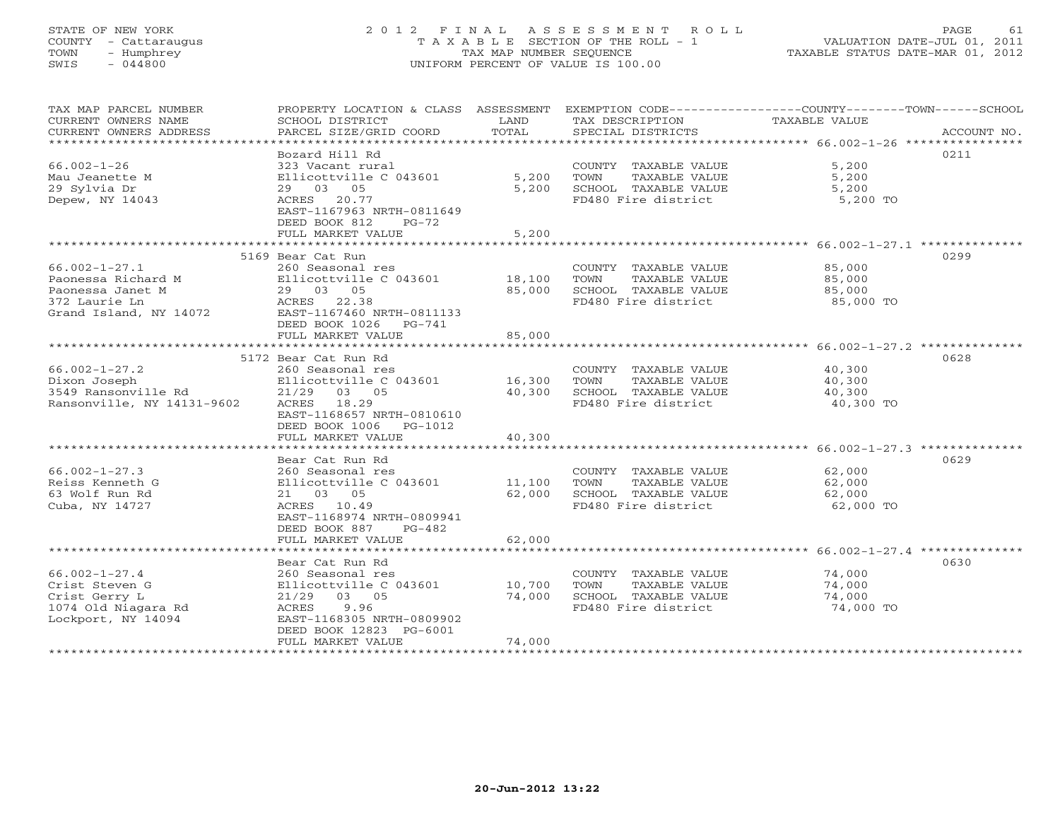# STATE OF NEW YORK 2 0 1 2 F I N A L A S S E S S M E N T R O L L PAGE 61 COUNTY - Cattaraugus T A X A B L E SECTION OF THE ROLL - 1 VALUATION DATE-JUL 01, 2011 TOWN - Humphrey TAX MAP NUMBER SEQUENCE TAXABLE STATUS DATE-MAR 01, 2012 SWIS - 044800 UNIFORM PERCENT OF VALUE IS 100.00UNIFORM PERCENT OF VALUE IS 100.00

| TAX MAP PARCEL NUMBER<br>CURRENT OWNERS NAME<br>CURRENT OWNERS ADDRESS                                   | PROPERTY LOCATION & CLASS ASSESSMENT<br>SCHOOL DISTRICT<br>PARCEL SIZE/GRID COORD                                                                                     | LAND<br>TOTAL              | TAX DESCRIPTION<br>SPECIAL DISTRICTS                                                         | EXEMPTION CODE-----------------COUNTY-------TOWN------SCHOOL<br><b>TAXABLE VALUE</b><br>ACCOUNT NO. |
|----------------------------------------------------------------------------------------------------------|-----------------------------------------------------------------------------------------------------------------------------------------------------------------------|----------------------------|----------------------------------------------------------------------------------------------|-----------------------------------------------------------------------------------------------------|
| $66.002 - 1 - 26$<br>Mau Jeanette M<br>29 Sylvia Dr<br>Depew, NY 14043                                   | Bozard Hill Rd<br>323 Vacant rural<br>Ellicottville C 043601<br>29 03 05<br>ACRES 20.77<br>EAST-1167963 NRTH-0811649<br>DEED BOOK 812<br>$PG-72$<br>FULL MARKET VALUE | 5,200<br>5,200<br>5,200    | COUNTY TAXABLE VALUE<br>TOWN<br>TAXABLE VALUE<br>SCHOOL TAXABLE VALUE<br>FD480 Fire district | 0211<br>5,200<br>5,200<br>5,200<br>5,200 TO                                                         |
|                                                                                                          | 5169 Bear Cat Run                                                                                                                                                     |                            |                                                                                              | 0299                                                                                                |
| $66.002 - 1 - 27.1$<br>Paonessa Richard M<br>Paonessa Janet M<br>372 Laurie Ln<br>Grand Island, NY 14072 | 260 Seasonal res<br>Ellicottville C 043601<br>29 03 05<br>ACRES<br>22.38<br>EAST-1167460 NRTH-0811133<br>DEED BOOK 1026<br>$PG-741$<br>FULL MARKET VALUE              | 18,100<br>85,000<br>85,000 | COUNTY TAXABLE VALUE<br>TOWN<br>TAXABLE VALUE<br>SCHOOL TAXABLE VALUE<br>FD480 Fire district | 85,000<br>85,000<br>85,000<br>85,000 TO                                                             |
|                                                                                                          |                                                                                                                                                                       |                            |                                                                                              | ************************************** 66.002-1-27.2 **************                                 |
| $66.002 - 1 - 27.2$<br>Dixon Joseph<br>3549 Ransonville Rd<br>Ransonville, NY 14131-9602                 | 5172 Bear Cat Run Rd<br>260 Seasonal res<br>Ellicottville C 043601<br>21/29 03 05<br>ACRES 18.29<br>EAST-1168657 NRTH-0810610<br>DEED BOOK 1006<br>PG-1012            | 16,300<br>40,300           | COUNTY TAXABLE VALUE<br>TOWN<br>TAXABLE VALUE<br>SCHOOL TAXABLE VALUE<br>FD480 Fire district | 0628<br>40,300<br>40,300<br>40,300<br>40,300 TO                                                     |
|                                                                                                          | FULL MARKET VALUE                                                                                                                                                     | 40,300                     |                                                                                              |                                                                                                     |
| $66.002 - 1 - 27.3$<br>Reiss Kenneth G<br>63 Wolf Run Rd<br>Cuba, NY 14727                               | Bear Cat Run Rd<br>260 Seasonal res<br>Ellicottville C 043601<br>21 03 05<br>ACRES 10.49<br>EAST-1168974 NRTH-0809941<br>DEED BOOK 887<br>$PG-482$                    | 11,100<br>62,000           | COUNTY TAXABLE VALUE<br>TOWN<br>TAXABLE VALUE<br>SCHOOL TAXABLE VALUE<br>FD480 Fire district | 0629<br>62,000<br>62,000<br>62,000<br>62,000 TO                                                     |
|                                                                                                          | FULL MARKET VALUE                                                                                                                                                     | 62,000                     |                                                                                              |                                                                                                     |
| $66.002 - 1 - 27.4$<br>Crist Steven G<br>Crist Gerry L<br>1074 Old Niagara Rd<br>Lockport, NY 14094      | **************************<br>Bear Cat Run Rd<br>260 Seasonal res<br>Ellicottville C 043601<br>21/29 03 05<br>ACRES<br>9.96<br>EAST-1168305 NRTH-0809902              | 10,700<br>74,000           | COUNTY TAXABLE VALUE<br>TOWN<br>TAXABLE VALUE<br>SCHOOL TAXABLE VALUE<br>FD480 Fire district | 0630<br>74,000<br>74,000<br>74,000<br>74,000 TO                                                     |
|                                                                                                          | DEED BOOK 12823 PG-6001<br>FULL MARKET VALUE                                                                                                                          | 74,000                     |                                                                                              |                                                                                                     |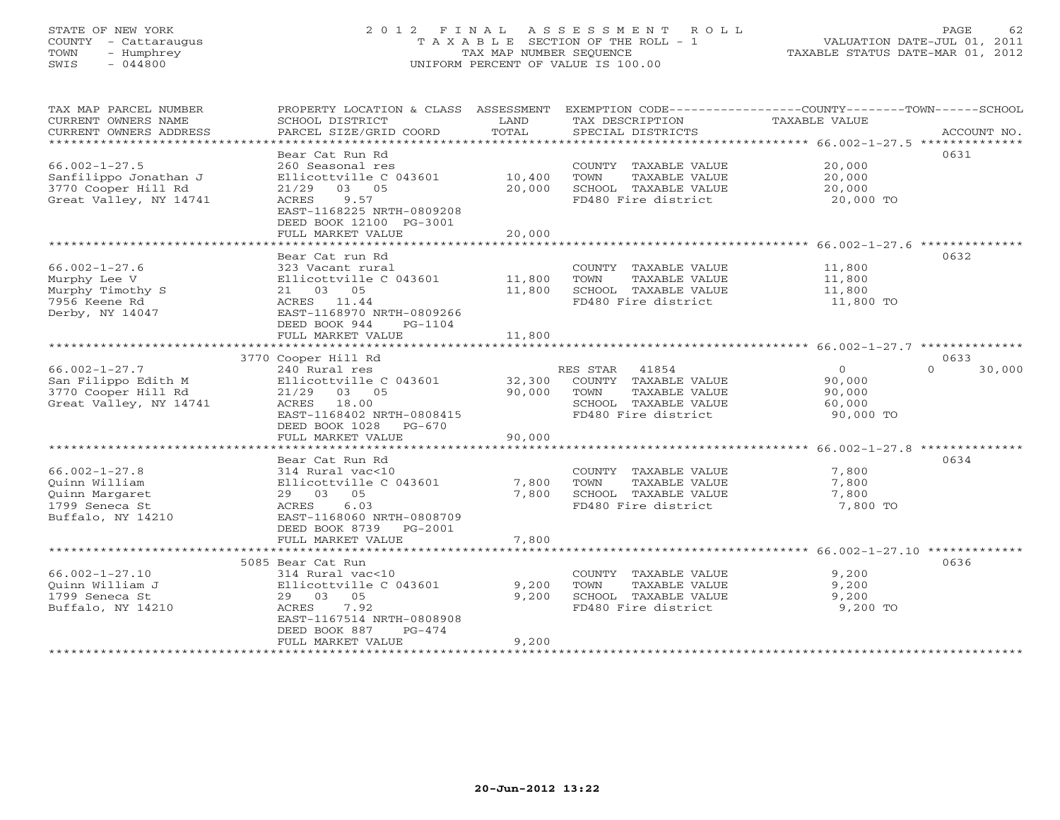# STATE OF NEW YORK 2 0 1 2 F I N A L A S S E S S M E N T R O L L PAGE 62 COUNTY - Cattaraugus T A X A B L E SECTION OF THE ROLL - 1 VALUATION DATE-JUL 01, 2011 TOWN - Humphrey TAX MAP NUMBER SEQUENCE TAXABLE STATUS DATE-MAR 01, 2012 SWIS - 044800 UNIFORM PERCENT OF VALUE IS 100.00UNIFORM PERCENT OF VALUE IS 100.00

| TAX MAP PARCEL NUMBER         | PROPERTY LOCATION & CLASS ASSESSMENT     |        | EXEMPTION CODE-----------------COUNTY-------TOWN------SCHOOL |                                                                   |                    |
|-------------------------------|------------------------------------------|--------|--------------------------------------------------------------|-------------------------------------------------------------------|--------------------|
| CURRENT OWNERS NAME           | SCHOOL DISTRICT                          | LAND   | TAX DESCRIPTION                                              | <b>TAXABLE VALUE</b>                                              |                    |
| CURRENT OWNERS ADDRESS        | PARCEL SIZE/GRID COORD                   | TOTAL  | SPECIAL DISTRICTS                                            |                                                                   | ACCOUNT NO.        |
| ***************************** |                                          |        |                                                              |                                                                   |                    |
|                               | Bear Cat Run Rd                          |        |                                                              |                                                                   | 0631               |
| $66.002 - 1 - 27.5$           | 260 Seasonal res                         |        | COUNTY TAXABLE VALUE                                         | 20,000                                                            |                    |
| Sanfilippo Jonathan J         | Ellicottville C 043601                   | 10,400 | TAXABLE VALUE<br>TOWN                                        | 20,000                                                            |                    |
| 3770 Cooper Hill Rd           | 21/29<br>03 05                           | 20,000 | SCHOOL TAXABLE VALUE                                         | 20,000                                                            |                    |
| Great Valley, NY 14741        | 9.57<br>ACRES                            |        | FD480 Fire district                                          | 20,000 TO                                                         |                    |
|                               | EAST-1168225 NRTH-0809208                |        |                                                              |                                                                   |                    |
|                               | DEED BOOK 12100 PG-3001                  |        |                                                              |                                                                   |                    |
|                               | FULL MARKET VALUE                        | 20,000 |                                                              |                                                                   |                    |
|                               |                                          |        |                                                              | ************************************66.002-1-27.6 *************** |                    |
|                               | Bear Cat run Rd                          |        |                                                              |                                                                   | 0632               |
| $66.002 - 1 - 27.6$           | 323 Vacant rural                         |        | COUNTY TAXABLE VALUE                                         | 11,800                                                            |                    |
| Murphy Lee V                  | Ellicottville C 043601                   | 11,800 | TOWN<br>TAXABLE VALUE                                        | 11,800                                                            |                    |
| Murphy Timothy S              | 21 03 05                                 | 11,800 | SCHOOL TAXABLE VALUE                                         | 11,800                                                            |                    |
| 7956 Keene Rd                 | ACRES 11.44                              |        | FD480 Fire district                                          | 11,800 TO                                                         |                    |
| Derby, NY 14047               | EAST-1168970 NRTH-0809266                |        |                                                              |                                                                   |                    |
|                               | DEED BOOK 944<br>PG-1104                 |        |                                                              |                                                                   |                    |
|                               | FULL MARKET VALUE                        | 11,800 |                                                              |                                                                   |                    |
|                               |                                          |        |                                                              |                                                                   |                    |
|                               | 3770 Cooper Hill Rd                      |        |                                                              |                                                                   | 0633               |
| $66.002 - 1 - 27.7$           | 240 Rural res                            |        | RES STAR<br>41854                                            | $\overline{0}$                                                    | $\Omega$<br>30,000 |
| San Filippo Edith M           | Ellicottville C 043601                   | 32,300 | COUNTY TAXABLE VALUE                                         | 90,000                                                            |                    |
| 3770 Cooper Hill Rd           | 21/29 03 05                              | 90,000 | TOWN<br>TAXABLE VALUE                                        | 90,000                                                            |                    |
| Great Valley, NY 14741        | ACRES 18.00                              |        | SCHOOL TAXABLE VALUE                                         | 60,000                                                            |                    |
|                               | EAST-1168402 NRTH-0808415                |        | FD480 Fire district                                          | 90,000 TO                                                         |                    |
|                               | DEED BOOK 1028 PG-670                    |        |                                                              |                                                                   |                    |
|                               | FULL MARKET VALUE                        | 90,000 |                                                              |                                                                   |                    |
|                               |                                          |        |                                                              |                                                                   |                    |
|                               | Bear Cat Run Rd                          |        |                                                              |                                                                   | 0634               |
| $66.002 - 1 - 27.8$           | 314 Rural vac<10                         |        | COUNTY TAXABLE VALUE                                         | 7,800                                                             |                    |
| Ouinn William                 | Ellicottville C 043601                   | 7,800  | TOWN<br>TAXABLE VALUE                                        | 7,800                                                             |                    |
| Ouinn Margaret                | 29 03 05                                 | 7,800  | SCHOOL TAXABLE VALUE                                         | 7,800                                                             |                    |
| 1799 Seneca St                | ACRES<br>6.03                            |        | FD480 Fire district                                          | 7,800 TO                                                          |                    |
| Buffalo, NY 14210             | EAST-1168060 NRTH-0808709                |        |                                                              |                                                                   |                    |
|                               | DEED BOOK 8739 PG-2001                   |        |                                                              |                                                                   |                    |
|                               | FULL MARKET VALUE                        | 7,800  |                                                              |                                                                   |                    |
|                               |                                          |        |                                                              |                                                                   |                    |
|                               | 5085 Bear Cat Run                        |        |                                                              |                                                                   | 0636               |
| $66.002 - 1 - 27.10$          | 314 Rural vac<10                         |        | COUNTY TAXABLE VALUE                                         | 9,200                                                             |                    |
| Ouinn William J               | Ellicottville C 043601                   | 9,200  | TAXABLE VALUE<br>TOWN                                        | 9,200                                                             |                    |
| 1799 Seneca St                | 29 03 05                                 | 9,200  | SCHOOL TAXABLE VALUE                                         | 9,200                                                             |                    |
| Buffalo, NY 14210             | ACRES<br>7.92                            |        | FD480 Fire district                                          | 9,200 TO                                                          |                    |
|                               | EAST-1167514 NRTH-0808908                |        |                                                              |                                                                   |                    |
|                               | DEED BOOK 887<br>$PG-474$                |        |                                                              |                                                                   |                    |
|                               | FULL MARKET VALUE<br>******************* | 9,200  |                                                              |                                                                   |                    |
|                               |                                          |        |                                                              |                                                                   |                    |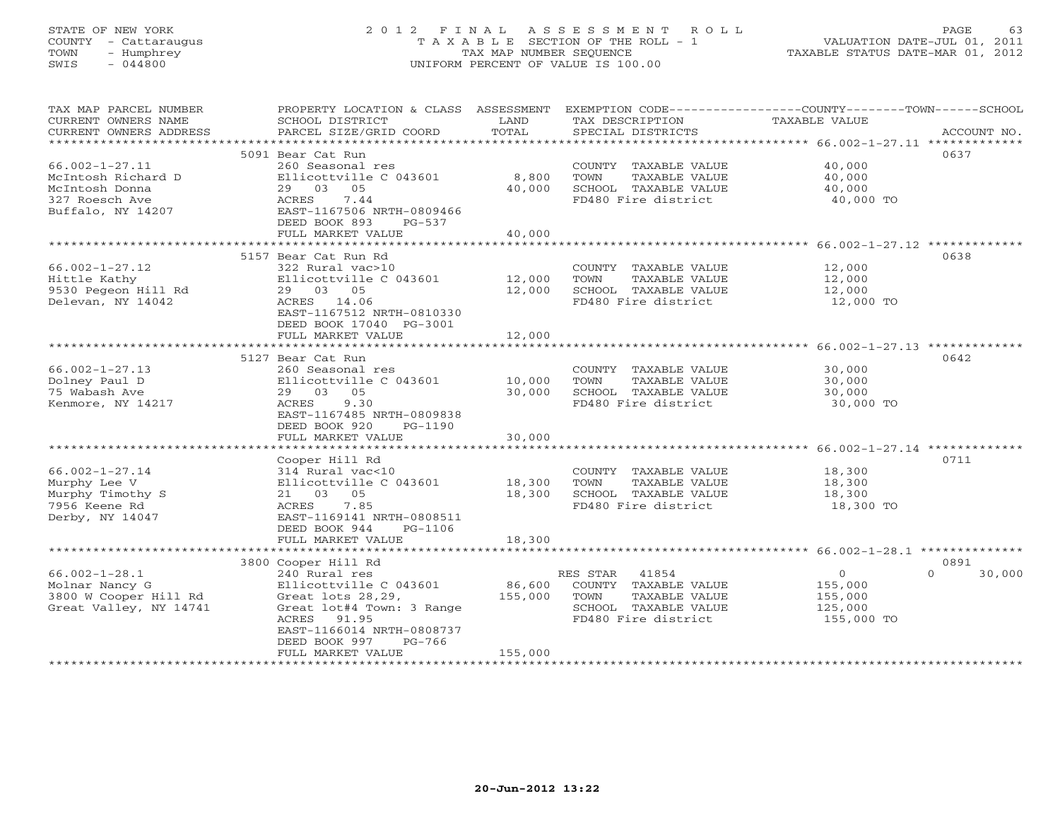# STATE OF NEW YORK 2 0 1 2 F I N A L A S S E S S M E N T R O L L PAGE 63 COUNTY - Cattaraugus T A X A B L E SECTION OF THE ROLL - 1 VALUATION DATE-JUL 01, 2011 TOWN - Humphrey TAX MAP NUMBER SEQUENCE TAXABLE STATUS DATE-MAR 01, 2012 SWIS - 044800 UNIFORM PERCENT OF VALUE IS 100.00UNIFORM PERCENT OF VALUE IS 100.00

| TAX MAP PARCEL NUMBER      |                           |         |                       | PROPERTY LOCATION & CLASS ASSESSMENT EXEMPTION CODE---------------COUNTY-------TOWN-----SCHOOL |             |
|----------------------------|---------------------------|---------|-----------------------|------------------------------------------------------------------------------------------------|-------------|
| CURRENT OWNERS NAME        | SCHOOL DISTRICT           | LAND    | TAX DESCRIPTION       | TAXABLE VALUE                                                                                  |             |
| CURRENT OWNERS ADDRESS     | PARCEL SIZE/GRID COORD    | TOTAL   | SPECIAL DISTRICTS     |                                                                                                | ACCOUNT NO. |
| **********************     |                           |         |                       |                                                                                                |             |
|                            | 5091 Bear Cat Run         |         |                       | 0637                                                                                           |             |
| $66.002 - 1 - 27.11$       | 260 Seasonal res          |         | COUNTY TAXABLE VALUE  | 40,000                                                                                         |             |
| McIntosh Richard D         | Ellicottville C 043601    | 8,800   | TOWN<br>TAXABLE VALUE | 40,000                                                                                         |             |
| McIntosh Donna             | 29 03 05                  | 40,000  | SCHOOL TAXABLE VALUE  | 40,000                                                                                         |             |
| 327 Roesch Ave             | 7.44<br>ACRES             |         | FD480 Fire district   | 40,000 TO                                                                                      |             |
| Buffalo, NY 14207          | EAST-1167506 NRTH-0809466 |         |                       |                                                                                                |             |
|                            | DEED BOOK 893<br>PG-537   |         |                       |                                                                                                |             |
|                            | FULL MARKET VALUE         | 40,000  |                       |                                                                                                |             |
|                            |                           |         |                       |                                                                                                |             |
|                            | 5157 Bear Cat Run Rd      |         |                       | 0638                                                                                           |             |
| $66.002 - 1 - 27.12$       | 322 Rural vac>10          |         | COUNTY TAXABLE VALUE  | 12,000                                                                                         |             |
| Hittle Kathy               | Ellicottville C 043601    | 12,000  | TOWN<br>TAXABLE VALUE | 12,000                                                                                         |             |
| 9530 Pegeon Hill Rd        | 29 03 05                  | 12,000  | SCHOOL TAXABLE VALUE  | 12,000                                                                                         |             |
| Delevan, NY 14042          | ACRES 14.06               |         | FD480 Fire district   | 12,000 TO                                                                                      |             |
|                            | EAST-1167512 NRTH-0810330 |         |                       |                                                                                                |             |
|                            | DEED BOOK 17040 PG-3001   |         |                       |                                                                                                |             |
|                            | FULL MARKET VALUE         | 12,000  |                       |                                                                                                |             |
|                            |                           |         |                       |                                                                                                |             |
|                            | 5127 Bear Cat Run         |         |                       | 0642                                                                                           |             |
| $66.002 - 1 - 27.13$       | 260 Seasonal res          |         | COUNTY TAXABLE VALUE  | 30,000                                                                                         |             |
| Dolney Paul D              | Ellicottville C 043601    | 10,000  | TAXABLE VALUE<br>TOWN | 30,000                                                                                         |             |
| 75 Wabash Ave              | 29 03 05                  | 30,000  | SCHOOL TAXABLE VALUE  | 30,000                                                                                         |             |
| Kenmore, NY 14217          | ACRES<br>9.30             |         | FD480 Fire district   | 30,000 TO                                                                                      |             |
|                            | EAST-1167485 NRTH-0809838 |         |                       |                                                                                                |             |
|                            | DEED BOOK 920<br>PG-1190  |         |                       |                                                                                                |             |
|                            | FULL MARKET VALUE         | 30,000  |                       |                                                                                                |             |
|                            |                           |         |                       |                                                                                                |             |
|                            | Cooper Hill Rd            |         |                       | 0711                                                                                           |             |
| $66.002 - 1 - 27.14$       | 314 Rural vac<10          |         | COUNTY TAXABLE VALUE  | 18,300                                                                                         |             |
| Murphy Lee V               | Ellicottville C 043601    | 18,300  | TOWN<br>TAXABLE VALUE | 18,300                                                                                         |             |
| Murphy Timothy S           | 21 03 05                  | 18,300  | SCHOOL TAXABLE VALUE  | 18,300                                                                                         |             |
| 7956 Keene Rd              | ACRES<br>7.85             |         | FD480 Fire district   | 18,300 TO                                                                                      |             |
| Derby, NY 14047            | EAST-1169141 NRTH-0808511 |         |                       |                                                                                                |             |
|                            | DEED BOOK 944<br>PG-1106  |         |                       |                                                                                                |             |
|                            | FULL MARKET VALUE         | 18,300  |                       |                                                                                                |             |
|                            |                           |         |                       |                                                                                                |             |
|                            | 3800 Cooper Hill Rd       |         |                       | 0891                                                                                           |             |
| $66.002 - 1 - 28.1$        | 240 Rural res             |         | RES STAR 41854        | $\overline{0}$<br>$\Omega$                                                                     | 30,000      |
| Molnar Nancy G             | Ellicottville C 043601    | 86,600  | COUNTY TAXABLE VALUE  | 155,000                                                                                        |             |
| 3800 W Cooper Hill Rd      | Great lots 28,29,         | 155,000 | TOWN<br>TAXABLE VALUE | 155,000                                                                                        |             |
| Great Valley, NY 14741     | Great lot#4 Town: 3 Range |         | SCHOOL TAXABLE VALUE  | 125,000                                                                                        |             |
|                            | ACRES 91.95               |         | FD480 Fire district   | 155,000 TO                                                                                     |             |
|                            | EAST-1166014 NRTH-0808737 |         |                       |                                                                                                |             |
|                            | DEED BOOK 997<br>PG-766   |         |                       |                                                                                                |             |
|                            | FULL MARKET VALUE         | 155,000 |                       |                                                                                                |             |
| ************************** |                           |         |                       |                                                                                                |             |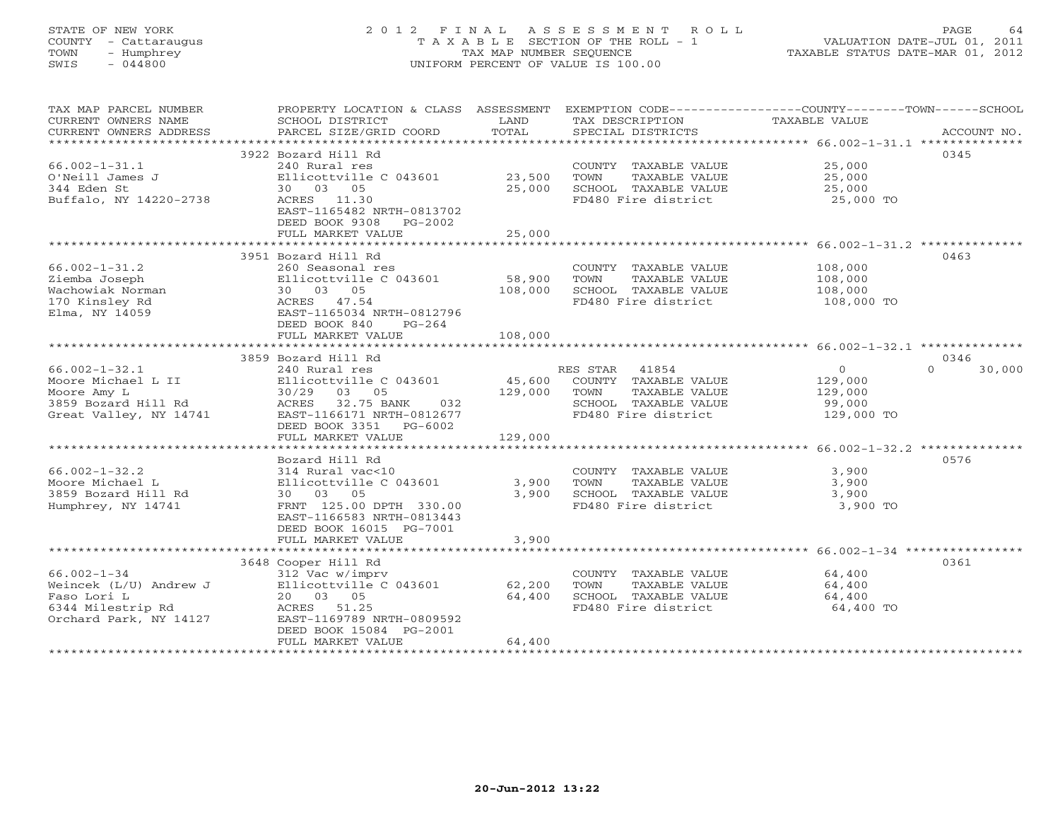# STATE OF NEW YORK 2 0 1 2 F I N A L A S S E S S M E N T R O L L PAGE 64 COUNTY - Cattaraugus T A X A B L E SECTION OF THE ROLL - 1 VALUATION DATE-JUL 01, 2011 TOWN - Humphrey TAX MAP NUMBER SEQUENCE TAXABLE STATUS DATE-MAR 01, 2012 SWIS - 044800 UNIFORM PERCENT OF VALUE IS 100.00UNIFORM PERCENT OF VALUE IS 100.00

| TAX MAP PARCEL NUMBER   | PROPERTY LOCATION & CLASS ASSESSMENT |         | EXEMPTION CODE-----------------COUNTY-------TOWN-----SCHOOL |               |                    |
|-------------------------|--------------------------------------|---------|-------------------------------------------------------------|---------------|--------------------|
| CURRENT OWNERS NAME     | SCHOOL DISTRICT                      | LAND    | TAX DESCRIPTION                                             | TAXABLE VALUE |                    |
| CURRENT OWNERS ADDRESS  | PARCEL SIZE/GRID COORD               | TOTAL   | SPECIAL DISTRICTS                                           |               | ACCOUNT NO.        |
| *********************** |                                      |         |                                                             |               |                    |
|                         | 3922 Bozard Hill Rd                  |         |                                                             |               | 0345               |
| $66.002 - 1 - 31.1$     | 240 Rural res                        |         | COUNTY TAXABLE VALUE                                        | 25,000        |                    |
| O'Neill James J         | Ellicottville C 043601               | 23,500  | TAXABLE VALUE<br>TOWN                                       | 25,000        |                    |
| 344 Eden St             | 30 03 05                             | 25,000  | SCHOOL TAXABLE VALUE                                        | 25,000        |                    |
| Buffalo, NY 14220-2738  | ACRES 11.30                          |         | FD480 Fire district                                         | 25,000 TO     |                    |
|                         | EAST-1165482 NRTH-0813702            |         |                                                             |               |                    |
|                         | DEED BOOK 9308 PG-2002               |         |                                                             |               |                    |
|                         | FULL MARKET VALUE                    | 25,000  |                                                             |               |                    |
|                         |                                      |         |                                                             |               |                    |
|                         | 3951 Bozard Hill Rd                  |         |                                                             |               | 0463               |
| $66.002 - 1 - 31.2$     | 260 Seasonal res                     |         | COUNTY TAXABLE VALUE                                        | 108,000       |                    |
| Ziemba Joseph           | Ellicottville C $043601$ 58,900      |         | TOWN<br>TAXABLE VALUE                                       | 108,000       |                    |
| Wachowiak Norman        | 30 03 05                             | 108,000 | SCHOOL TAXABLE VALUE                                        | 108,000       |                    |
| 170 Kinsley Rd          | ACRES 47.54                          |         | FD480 Fire district                                         | 108,000 TO    |                    |
| Elma, NY 14059          | EAST-1165034 NRTH-0812796            |         |                                                             |               |                    |
|                         | DEED BOOK 840<br>$PG-264$            |         |                                                             |               |                    |
|                         | FULL MARKET VALUE                    | 108,000 |                                                             |               |                    |
|                         |                                      |         |                                                             |               |                    |
|                         | 3859 Bozard Hill Rd                  |         |                                                             |               | 0346               |
| $66.002 - 1 - 32.1$     | 240 Rural res                        |         | RES STAR 41854                                              | $\Omega$      | $\Omega$<br>30,000 |
| Moore Michael L II      | Ellicottville C 043601               | 45,600  | COUNTY TAXABLE VALUE                                        | 129,000       |                    |
| Moore Amy L             | 30/29 03 05                          | 129,000 | TOWN<br>TAXABLE VALUE                                       | 129,000       |                    |
| 3859 Bozard Hill Rd     | ACRES 32.75 BANK<br>032              |         | SCHOOL TAXABLE VALUE                                        | 99,000        |                    |
| Great Valley, NY 14741  | EAST-1166171 NRTH-0812677            |         | FD480 Fire district                                         | 129,000 TO    |                    |
|                         | DEED BOOK 3351 PG-6002               |         |                                                             |               |                    |
|                         | FULL MARKET VALUE                    | 129,000 |                                                             |               |                    |
|                         |                                      |         |                                                             |               |                    |
|                         | Bozard Hill Rd                       |         |                                                             |               | 0576               |
| $66.002 - 1 - 32.2$     | 314 Rural vac<10                     |         | COUNTY TAXABLE VALUE                                        | 3,900         |                    |
| Moore Michael L         | Ellicottville C 043601               | 3,900   | TOWN<br>TAXABLE VALUE                                       | 3,900         |                    |
| 3859 Bozard Hill Rd     | 30 03 05                             | 3,900   | SCHOOL TAXABLE VALUE                                        | 3,900         |                    |
| Humphrey, NY 14741      | FRNT 125.00 DPTH 330.00              |         | FD480 Fire district                                         | 3,900 TO      |                    |
|                         | EAST-1166583 NRTH-0813443            |         |                                                             |               |                    |
|                         | DEED BOOK 16015 PG-7001              |         |                                                             |               |                    |
|                         | FULL MARKET VALUE                    | 3,900   |                                                             |               |                    |
|                         |                                      |         |                                                             |               |                    |
|                         | 3648 Cooper Hill Rd                  |         |                                                             |               | 0361               |
| $66.002 - 1 - 34$       | 312 Vac w/imprv                      |         | COUNTY TAXABLE VALUE                                        | 64,400        |                    |
| Weincek (L/U) Andrew J  | Ellicottville C 043601               | 62,200  | TAXABLE VALUE<br>TOWN                                       | 64,400        |                    |
| Faso Lori L             | 20 03 05                             | 64,400  | SCHOOL TAXABLE VALUE                                        | 64,400        |                    |
| 6344 Milestrip Rd       | ACRES 51.25                          |         | FD480 Fire district                                         | 64,400 TO     |                    |
| Orchard Park, NY 14127  | EAST-1169789 NRTH-0809592            |         |                                                             |               |                    |
|                         | DEED BOOK 15084 PG-2001              |         |                                                             |               |                    |
|                         | FULL MARKET VALUE                    | 64,400  |                                                             |               |                    |
|                         |                                      |         |                                                             |               |                    |
|                         |                                      |         |                                                             |               |                    |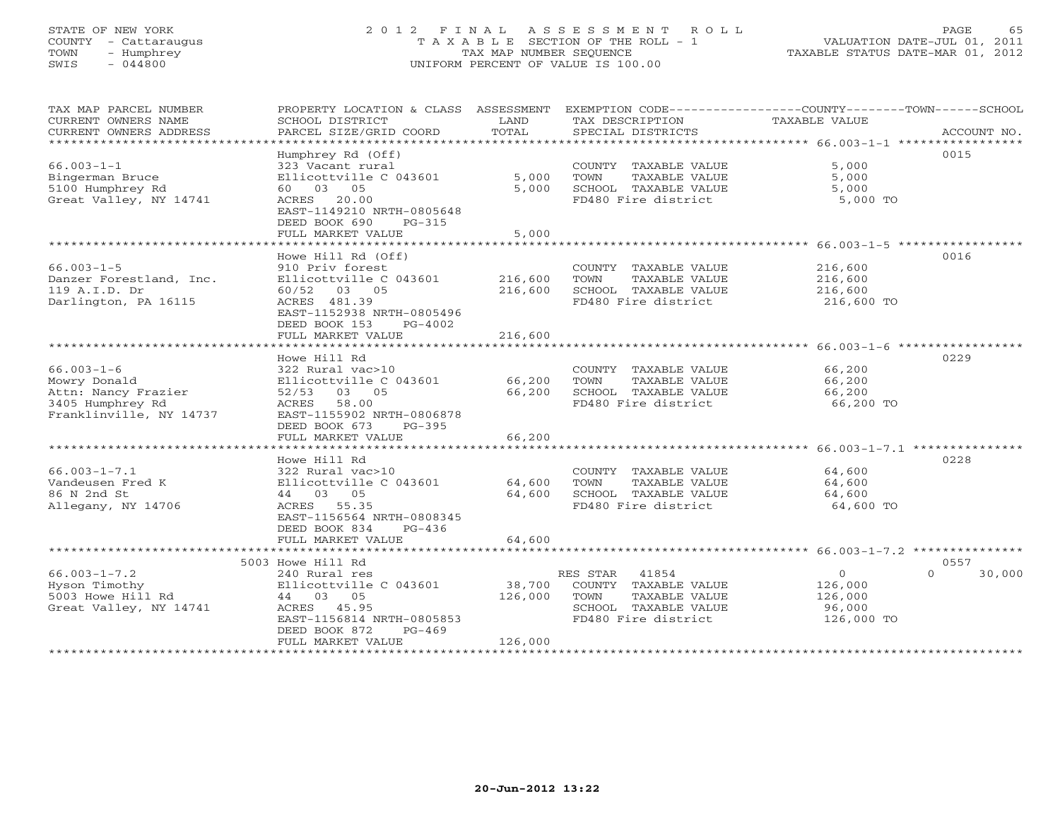# STATE OF NEW YORK 2 0 1 2 F I N A L A S S E S S M E N T R O L L PAGE 65 COUNTY - Cattaraugus T A X A B L E SECTION OF THE ROLL - 1 VALUATION DATE-JUL 01, 2011 TOWN - Humphrey TAX MAP NUMBER SEQUENCE TAXABLE STATUS DATE-MAR 01, 2012 SWIS - 044800 UNIFORM PERCENT OF VALUE IS 100.00

| TAX MAP PARCEL NUMBER          |                                 |         |                                             | PROPERTY LOCATION & CLASS ASSESSMENT EXEMPTION CODE---------------COUNTY-------TOWN------SCHOOL                                                                                                                                                                                                                                                                                                                                                                                                                        |
|--------------------------------|---------------------------------|---------|---------------------------------------------|------------------------------------------------------------------------------------------------------------------------------------------------------------------------------------------------------------------------------------------------------------------------------------------------------------------------------------------------------------------------------------------------------------------------------------------------------------------------------------------------------------------------|
| CURRENT OWNERS NAME            | SCHOOL DISTRICT                 | LAND    | TAX DESCRIPTION                             | TAXABLE VALUE                                                                                                                                                                                                                                                                                                                                                                                                                                                                                                          |
| CURRENT OWNERS ADDRESS         |                                 |         |                                             | $\begin{minipage}{.45\textwidth} \begin{minipage}{.45\textwidth} \begin{minipage}{.45\textwidth} \begin{minipage}{.45\textwidth} \begin{minipage}{.45\textwidth} \begin{minipage}{.45\textwidth} \begin{minipage}{.45\textwidth} \begin{minipage}{.45\textwidth} \begin{minipage}{.45\textwidth} \begin{minipage}{.45\textwidth} \begin{minipage}{.45\textwidth} \begin{minipage}{.45\textwidth} \begin{minipage}{.45\textwidth} \begin{minipage}{.45\textwidth} \begin{minipage}{.45\textwidth} \begin{minipage}{.45$ |
| ****************************** |                                 |         |                                             |                                                                                                                                                                                                                                                                                                                                                                                                                                                                                                                        |
|                                | Humphrey Rd (Off)               |         |                                             | 0015                                                                                                                                                                                                                                                                                                                                                                                                                                                                                                                   |
| $66.003 - 1 - 1$               | 323 Vacant rural                |         | COUNTY TAXABLE VALUE                        | 5,000                                                                                                                                                                                                                                                                                                                                                                                                                                                                                                                  |
| Bingerman Bruce                | Ellicottville C 043601          | 5,000   | TOWN<br>TAXABLE VALUE                       | 5,000                                                                                                                                                                                                                                                                                                                                                                                                                                                                                                                  |
| 5100 Humphrey Rd               | 60 03 05                        | 5,000   | SCHOOL TAXABLE VALUE                        | 5,000                                                                                                                                                                                                                                                                                                                                                                                                                                                                                                                  |
| Great Valley, NY 14741         | ACRES 20.00                     |         | FD480 Fire district                         | 5,000 TO                                                                                                                                                                                                                                                                                                                                                                                                                                                                                                               |
|                                | EAST-1149210 NRTH-0805648       |         |                                             |                                                                                                                                                                                                                                                                                                                                                                                                                                                                                                                        |
|                                | DEED BOOK 690<br>PG-315         |         |                                             |                                                                                                                                                                                                                                                                                                                                                                                                                                                                                                                        |
|                                | FULL MARKET VALUE               | 5,000   |                                             |                                                                                                                                                                                                                                                                                                                                                                                                                                                                                                                        |
|                                |                                 |         |                                             |                                                                                                                                                                                                                                                                                                                                                                                                                                                                                                                        |
|                                | Howe Hill Rd (Off)              |         |                                             | 0016                                                                                                                                                                                                                                                                                                                                                                                                                                                                                                                   |
| $66.003 - 1 - 5$               | 910 Priv forest                 |         | COUNTY TAXABLE VALUE                        | 216,600                                                                                                                                                                                                                                                                                                                                                                                                                                                                                                                |
| Danzer Forestland, Inc.        | Ellicottville C 043601          | 216,600 | TOWN TAXABLE VALUE                          | 216,600                                                                                                                                                                                                                                                                                                                                                                                                                                                                                                                |
| 119 A.I.D. Dr                  | 60/52 03 05                     | 216,600 | SCHOOL TAXABLE VALUE                        | 216,600                                                                                                                                                                                                                                                                                                                                                                                                                                                                                                                |
| Darlington, PA 16115           | ACRES 481.39                    |         | FD480 Fire district                         | 216,600 TO                                                                                                                                                                                                                                                                                                                                                                                                                                                                                                             |
|                                | EAST-1152938 NRTH-0805496       |         |                                             |                                                                                                                                                                                                                                                                                                                                                                                                                                                                                                                        |
|                                | DEED BOOK 153 PG-4002           |         |                                             |                                                                                                                                                                                                                                                                                                                                                                                                                                                                                                                        |
|                                | FULL MARKET VALUE               | 216,600 |                                             |                                                                                                                                                                                                                                                                                                                                                                                                                                                                                                                        |
|                                |                                 |         |                                             |                                                                                                                                                                                                                                                                                                                                                                                                                                                                                                                        |
|                                | Howe Hill Rd                    |         |                                             | 0229                                                                                                                                                                                                                                                                                                                                                                                                                                                                                                                   |
| $66.003 - 1 - 6$               | 322 Rural vac>10                |         | COUNTY TAXABLE VALUE                        | 66,200                                                                                                                                                                                                                                                                                                                                                                                                                                                                                                                 |
| Mowry Donald                   | Ellicottville C $043601$ 66,200 |         | TOWN TAXABLE VALUE                          | 66,200                                                                                                                                                                                                                                                                                                                                                                                                                                                                                                                 |
| Attn: Nancy Frazier            | 52/53 03 05                     | 66,200  | SCHOOL TAXABLE VALUE                        | 66,200                                                                                                                                                                                                                                                                                                                                                                                                                                                                                                                 |
| 3405 Humphrey Rd               | ACRES 58.00                     |         | FD480 Fire district                         | 66,200 TO                                                                                                                                                                                                                                                                                                                                                                                                                                                                                                              |
| Franklinville, NY 14737        | EAST-1155902 NRTH-0806878       |         |                                             |                                                                                                                                                                                                                                                                                                                                                                                                                                                                                                                        |
|                                | DEED BOOK 673<br>PG-395         |         |                                             |                                                                                                                                                                                                                                                                                                                                                                                                                                                                                                                        |
|                                | FULL MARKET VALUE               | 66,200  |                                             |                                                                                                                                                                                                                                                                                                                                                                                                                                                                                                                        |
|                                |                                 |         |                                             |                                                                                                                                                                                                                                                                                                                                                                                                                                                                                                                        |
|                                | Howe Hill Rd                    |         |                                             | 0228                                                                                                                                                                                                                                                                                                                                                                                                                                                                                                                   |
| $66.003 - 1 - 7.1$             | 322 Rural vac>10                |         | COUNTY TAXABLE VALUE                        | 64,600                                                                                                                                                                                                                                                                                                                                                                                                                                                                                                                 |
| Vandeusen Fred K               | Ellicottville C 043601 64,600   |         | TAXABLE VALUE<br>TOWN                       | 64,600                                                                                                                                                                                                                                                                                                                                                                                                                                                                                                                 |
| 86 N 2nd St                    | 44 03 05                        | 64,600  |                                             | 64,600                                                                                                                                                                                                                                                                                                                                                                                                                                                                                                                 |
| Allegany, NY 14706             | ACRES 55.35                     |         | SCHOOL TAXABLE VALUE<br>FD480 Fire district | 64,600 TO                                                                                                                                                                                                                                                                                                                                                                                                                                                                                                              |
|                                | EAST-1156564 NRTH-0808345       |         |                                             |                                                                                                                                                                                                                                                                                                                                                                                                                                                                                                                        |
|                                | DEED BOOK 834 PG-436            |         |                                             |                                                                                                                                                                                                                                                                                                                                                                                                                                                                                                                        |
|                                | FULL MARKET VALUE               | 64,600  |                                             |                                                                                                                                                                                                                                                                                                                                                                                                                                                                                                                        |
|                                |                                 |         |                                             |                                                                                                                                                                                                                                                                                                                                                                                                                                                                                                                        |
|                                | 5003 Howe Hill Rd               |         |                                             | 0557                                                                                                                                                                                                                                                                                                                                                                                                                                                                                                                   |
| $66.003 - 1 - 7.2$             | 240 Rural res                   |         | RES STAR 41854                              | $\overline{0}$<br>$\Omega$<br>30,000                                                                                                                                                                                                                                                                                                                                                                                                                                                                                   |
| Hyson Timothy                  | Ellicottville C 043601          | 38,700  | COUNTY TAXABLE VALUE                        | 126,000                                                                                                                                                                                                                                                                                                                                                                                                                                                                                                                |
| 5003 Howe Hill Rd              | 44 03 05                        | 126,000 | TOWN<br>TAXABLE VALUE                       | 126,000                                                                                                                                                                                                                                                                                                                                                                                                                                                                                                                |
| Great Valley, NY 14741         | ACRES 45.95                     |         | SCHOOL TAXABLE VALUE                        | 96,000                                                                                                                                                                                                                                                                                                                                                                                                                                                                                                                 |
|                                | EAST-1156814 NRTH-0805853       |         | FD480 Fire district                         | 126,000 TO                                                                                                                                                                                                                                                                                                                                                                                                                                                                                                             |
|                                | DEED BOOK 872<br>PG-469         |         |                                             |                                                                                                                                                                                                                                                                                                                                                                                                                                                                                                                        |
|                                | FULL MARKET VALUE               | 126,000 |                                             |                                                                                                                                                                                                                                                                                                                                                                                                                                                                                                                        |
|                                |                                 |         |                                             |                                                                                                                                                                                                                                                                                                                                                                                                                                                                                                                        |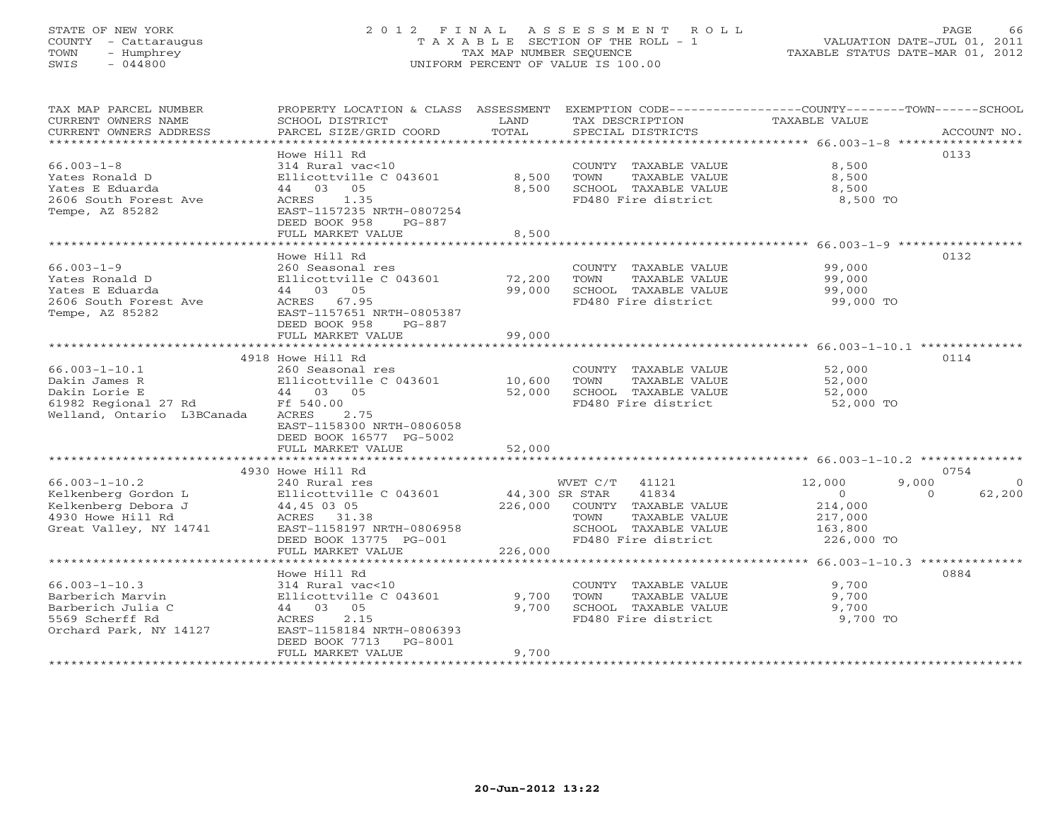# STATE OF NEW YORK 2 0 1 2 F I N A L A S S E S S M E N T R O L L PAGE 66 COUNTY - Cattaraugus T A X A B L E SECTION OF THE ROLL - 1 VALUATION DATE-JUL 01, 2011 TOWN - Humphrey TAX MAP NUMBER SEQUENCE TAXABLE STATUS DATE-MAR 01, 2012 SWIS - 044800 UNIFORM PERCENT OF VALUE IS 100.00UNIFORM PERCENT OF VALUE IS 100.00

| TAX MAP PARCEL NUMBER                            | PROPERTY LOCATION & CLASS ASSESSMENT |                  |                              | EXEMPTION CODE-----------------COUNTY-------TOWN------SCHOOL |                    |
|--------------------------------------------------|--------------------------------------|------------------|------------------------------|--------------------------------------------------------------|--------------------|
| CURRENT OWNERS NAME                              | SCHOOL DISTRICT                      | LAND             | TAX DESCRIPTION              | TAXABLE VALUE                                                |                    |
| CURRENT OWNERS ADDRESS                           | PARCEL SIZE/GRID COORD               | TOTAL            | SPECIAL DISTRICTS            |                                                              | ACCOUNT NO.        |
|                                                  |                                      |                  |                              |                                                              |                    |
|                                                  | Howe Hill Rd                         |                  |                              |                                                              | 0133               |
|                                                  |                                      |                  |                              |                                                              |                    |
| $66.003 - 1 - 8$                                 | 314 Rural vac<10                     |                  | COUNTY TAXABLE VALUE         | 8,500                                                        |                    |
| Yates Ronald D                                   | Ellicottville C 043601               | 8,500            | TAXABLE VALUE<br>TOWN        | 8,500                                                        |                    |
| Yates E Eduarda                                  | 44 03 05                             | 8,500            | SCHOOL TAXABLE VALUE         | 8,500                                                        |                    |
| 2606 South Forest Ave                            | ACRES 1.35                           |                  | FD480 Fire district          | 8,500 TO                                                     |                    |
| Tempe, AZ 85282                                  | EAST-1157235 NRTH-0807254            |                  |                              |                                                              |                    |
|                                                  | DEED BOOK 958<br>PG-887              |                  |                              |                                                              |                    |
|                                                  | FULL MARKET VALUE                    | 8,500            |                              |                                                              |                    |
|                                                  |                                      |                  |                              |                                                              |                    |
|                                                  | Howe Hill Rd                         |                  |                              |                                                              | 0132               |
|                                                  |                                      |                  |                              |                                                              |                    |
| $66.003 - 1 - 9$                                 | 260 Seasonal res                     |                  | COUNTY TAXABLE VALUE 99,000  |                                                              |                    |
| Yates Ronald D                                   | Ellicottville C 043601               | 72,200<br>99.000 | TAXABLE VALUE<br>TOWN        | 99,000<br>99,000                                             |                    |
| Yates E Eduarda                                  | 44 03 05                             | 99,000           | SCHOOL TAXABLE VALUE         |                                                              |                    |
| 2606 South Forest Ave                            | ACRES 67.95                          |                  | FD480 Fire district          | 99,000 TO                                                    |                    |
| Tempe, AZ 85282                                  | EAST-1157651 NRTH-0805387            |                  |                              |                                                              |                    |
|                                                  | DEED BOOK 958<br>PG-887              |                  |                              |                                                              |                    |
|                                                  | FULL MARKET VALUE                    | 99,000           |                              |                                                              |                    |
|                                                  |                                      |                  |                              |                                                              |                    |
|                                                  |                                      |                  |                              |                                                              |                    |
|                                                  | 4918 Howe Hill Rd                    |                  |                              |                                                              | 0114               |
| $66.003 - 1 - 10.1$                              | 260 Seasonal res                     |                  | COUNTY TAXABLE VALUE         |                                                              |                    |
| Dakin James R                                    | Ellicottville C 043601 10,600 TOWN   |                  | TAXABLE VALUE                | 52,000<br>52,000                                             |                    |
| Dakin Lorie E                                    | 44 03 05                             |                  | 52,000 SCHOOL TAXABLE VALUE  | 52,000                                                       |                    |
| 61982 Regional 27 Rd Ff 540.00                   |                                      |                  | FD480 Fire district          | 52,000 TO                                                    |                    |
| Welland, Ontario L3BCanada                       | 2.75<br>ACRES                        |                  |                              |                                                              |                    |
|                                                  | EAST-1158300 NRTH-0806058            |                  |                              |                                                              |                    |
|                                                  |                                      |                  |                              |                                                              |                    |
|                                                  | DEED BOOK 16577 PG-5002              |                  |                              |                                                              |                    |
|                                                  | FULL MARKET VALUE                    | 52,000           |                              |                                                              |                    |
|                                                  |                                      |                  |                              |                                                              |                    |
|                                                  | 4930 Howe Hill Rd                    |                  |                              |                                                              | 0754               |
| $66.003 - 1 - 10.2$                              | 240 Rural res                        |                  | WVET C/T 41121               | 9,000<br>12,000                                              | $\circ$            |
| Kelkenberg Gordon L                              | Ellicottville C 043601               |                  | 44,300 SR STAR 41834         | $\sim$ 0                                                     | 62,200<br>$\Omega$ |
| Kelkenberg Debora J                              |                                      |                  | 226,000 COUNTY TAXABLE VALUE | 214,000                                                      |                    |
| 4930 Howe Hill Rd                                |                                      |                  | TOWN<br>TAXABLE VALUE        | 217,000                                                      |                    |
| Great Valley, NY 14741 EAST-1158197 NRTH-0806958 |                                      |                  |                              |                                                              |                    |
|                                                  |                                      |                  | SCHOOL TAXABLE VALUE 163,800 |                                                              |                    |
|                                                  | DEED BOOK 13775 PG-001               |                  | FD480 Fire district          | 226,000 TO                                                   |                    |
|                                                  | FULL MARKET VALUE                    | 226,000          |                              |                                                              |                    |
|                                                  |                                      |                  |                              |                                                              |                    |
|                                                  | Howe Hill Rd                         |                  |                              |                                                              | 0884               |
| $66.003 - 1 - 10.3$                              | 314 Rural vac<10                     |                  | COUNTY TAXABLE VALUE         | 9,700                                                        |                    |
| Barberich Marvin                                 | Ellicottville C 043601               | 9,700            | TOWN<br>TAXABLE VALUE        | 9,700                                                        |                    |
| Barberich Julia C                                | 44 03 05                             | 9,700            | SCHOOL TAXABLE VALUE         | 9,700                                                        |                    |
| 5569 Scherff Rd                                  | 2.15<br>ACRES                        |                  | FD480 Fire district          | 9,700 TO                                                     |                    |
|                                                  |                                      |                  |                              |                                                              |                    |
| Orchard Park, NY 14127                           | EAST-1158184 NRTH-0806393            |                  |                              |                                                              |                    |
|                                                  | DEED BOOK 7713 PG-8001               |                  |                              |                                                              |                    |
|                                                  | FULL MARKET VALUE                    | 9,700            |                              |                                                              |                    |
|                                                  |                                      |                  |                              |                                                              |                    |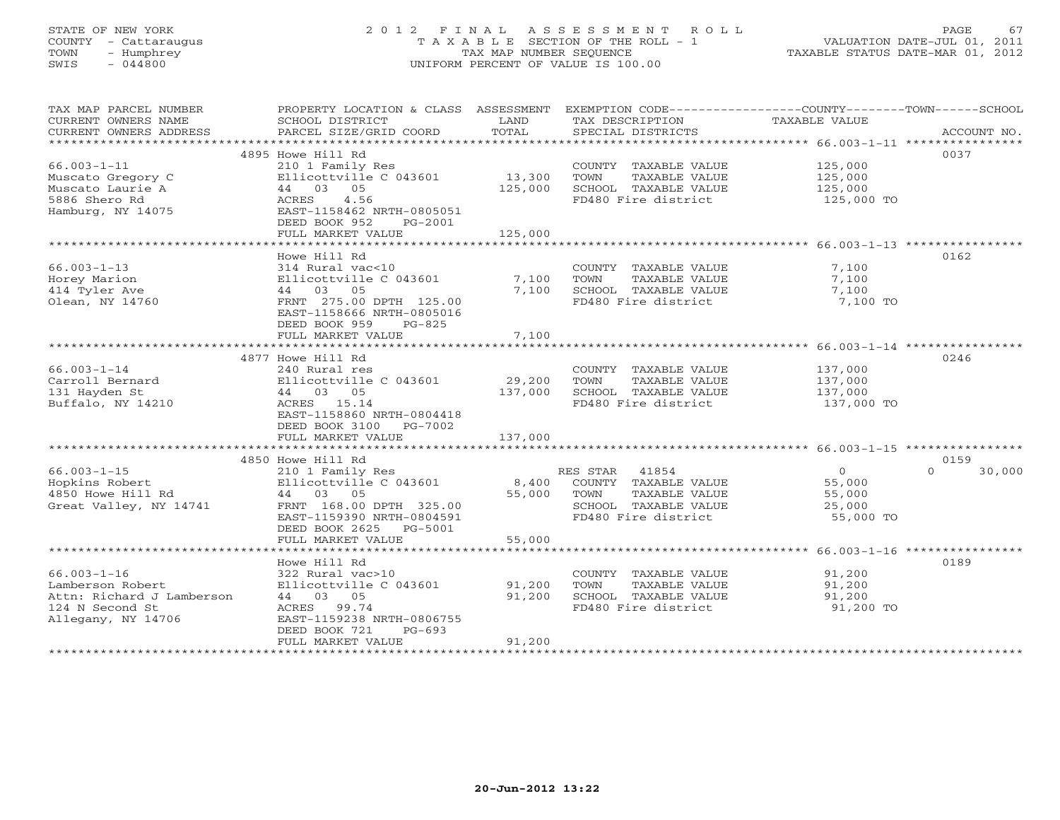# STATE OF NEW YORK 2 0 1 2 F I N A L A S S E S S M E N T R O L L PAGE 67 COUNTY - Cattaraugus T A X A B L E SECTION OF THE ROLL - 1 VALUATION DATE-JUL 01, 2011 TOWN - Humphrey TAX MAP NUMBER SEQUENCE TAXABLE STATUS DATE-MAR 01, 2012 SWIS - 044800 UNIFORM PERCENT OF VALUE IS 100.00UNIFORM PERCENT OF VALUE IS 100.00

| TAX MAP PARCEL NUMBER     | PROPERTY LOCATION & CLASS ASSESSMENT EXEMPTION CODE----------------COUNTY-------TOWN------SCHOOL |             |                       |               |                    |
|---------------------------|--------------------------------------------------------------------------------------------------|-------------|-----------------------|---------------|--------------------|
| CURRENT OWNERS NAME       | SCHOOL DISTRICT                                                                                  | LAND        | TAX DESCRIPTION       | TAXABLE VALUE |                    |
| CURRENT OWNERS ADDRESS    | PARCEL SIZE/GRID COORD                                                                           | TOTAL       | SPECIAL DISTRICTS     |               | ACCOUNT NO.        |
|                           |                                                                                                  |             |                       |               |                    |
|                           | 4895 Howe Hill Rd                                                                                |             |                       |               | 0037               |
| $66.003 - 1 - 11$         | 210 1 Family Res                                                                                 |             | COUNTY TAXABLE VALUE  | 125,000       |                    |
| Muscato Gregory C         | Ellicottville C 043601                                                                           | 13,300      | TOWN<br>TAXABLE VALUE | 125,000       |                    |
| Muscato Laurie A          | 44 03 05                                                                                         | 125,000     | SCHOOL TAXABLE VALUE  | 125,000       |                    |
| 5886 Shero Rd             | 4.56<br>ACRES                                                                                    |             | FD480 Fire district   | 125,000 TO    |                    |
| Hamburg, NY 14075         | EAST-1158462 NRTH-0805051                                                                        |             |                       |               |                    |
|                           | DEED BOOK 952<br>PG-2001                                                                         |             |                       |               |                    |
|                           | FULL MARKET VALUE                                                                                | 125,000     |                       |               |                    |
|                           |                                                                                                  |             |                       |               |                    |
|                           | Howe Hill Rd                                                                                     |             |                       |               | 0162               |
| $66.003 - 1 - 13$         | 314 Rural vac<10                                                                                 |             | COUNTY TAXABLE VALUE  | 7,100         |                    |
| Horey Marion              | Ellicottville C 043601                                                                           | 7,100       | TOWN<br>TAXABLE VALUE | 7,100         |                    |
| 414 Tyler Ave             | 44 03 05                                                                                         | 7,100       | SCHOOL TAXABLE VALUE  | 7,100         |                    |
| Olean, NY 14760           | FRNT 275.00 DPTH 125.00                                                                          |             | FD480 Fire district   | 7,100 TO      |                    |
|                           | EAST-1158666 NRTH-0805016                                                                        |             |                       |               |                    |
|                           | DEED BOOK 959<br>PG-825                                                                          |             |                       |               |                    |
|                           | FULL MARKET VALUE                                                                                | 7,100       |                       |               |                    |
|                           |                                                                                                  |             |                       |               |                    |
|                           | 4877 Howe Hill Rd                                                                                |             |                       |               | 0246               |
| $66.003 - 1 - 14$         | 240 Rural res                                                                                    |             | COUNTY TAXABLE VALUE  | 137,000       |                    |
| Carroll Bernard           | Ellicottville C $043601$ 29,200                                                                  |             | TOWN<br>TAXABLE VALUE | 137,000       |                    |
| 131 Hayden St             | 44 03 05                                                                                         | 137,000     | SCHOOL TAXABLE VALUE  | 137,000       |                    |
| Buffalo, NY 14210         | ACRES 15.14                                                                                      |             | FD480 Fire district   | 137,000 TO    |                    |
|                           | EAST-1158860 NRTH-0804418                                                                        |             |                       |               |                    |
|                           | DEED BOOK 3100 PG-7002                                                                           |             |                       |               |                    |
|                           | FULL MARKET VALUE                                                                                | 137,000     |                       |               |                    |
|                           |                                                                                                  |             |                       |               |                    |
|                           | 4850 Howe Hill Rd                                                                                |             |                       |               | 0159               |
| $66.003 - 1 - 15$         | 210 1 Family Res                                                                                 |             | RES STAR 41854        | 0             | $\Omega$<br>30,000 |
| Hopkins Robert            | Ellicottville C 043601                                                                           | 8,400       | COUNTY TAXABLE VALUE  | 55,000        |                    |
| 4850 Howe Hill Rd         | 44 03 05                                                                                         | 55,000 TOWN | TAXABLE VALUE         | 55,000        |                    |
| Great Valley, NY 14741    | FRNT 168.00 DPTH 325.00                                                                          |             | SCHOOL TAXABLE VALUE  | 25,000        |                    |
|                           | EAST-1159390 NRTH-0804591                                                                        |             | FD480 Fire district   | 55,000 TO     |                    |
|                           | DEED BOOK 2625 PG-5001                                                                           |             |                       |               |                    |
|                           | FULL MARKET VALUE                                                                                | 55,000      |                       |               |                    |
|                           |                                                                                                  |             |                       |               |                    |
|                           | Howe Hill Rd                                                                                     |             |                       |               | 0189               |
| $66.003 - 1 - 16$         | 322 Rural vac>10                                                                                 |             | COUNTY TAXABLE VALUE  | 91,200        |                    |
| Lamberson Robert          | Ellicottville C 043601                                                                           | 91,200      | TOWN<br>TAXABLE VALUE | 91,200        |                    |
| Attn: Richard J Lamberson | 44 03 05                                                                                         | 91,200      | SCHOOL TAXABLE VALUE  | 91,200        |                    |
| 124 N Second St           | ACRES 99.74                                                                                      |             | FD480 Fire district   | 91,200 TO     |                    |
| Allegany, NY 14706        | EAST-1159238 NRTH-0806755                                                                        |             |                       |               |                    |
|                           | DEED BOOK 721<br>$PG-693$                                                                        |             |                       |               |                    |
|                           | FULL MARKET VALUE                                                                                | 91,200      |                       |               |                    |
|                           |                                                                                                  |             |                       |               |                    |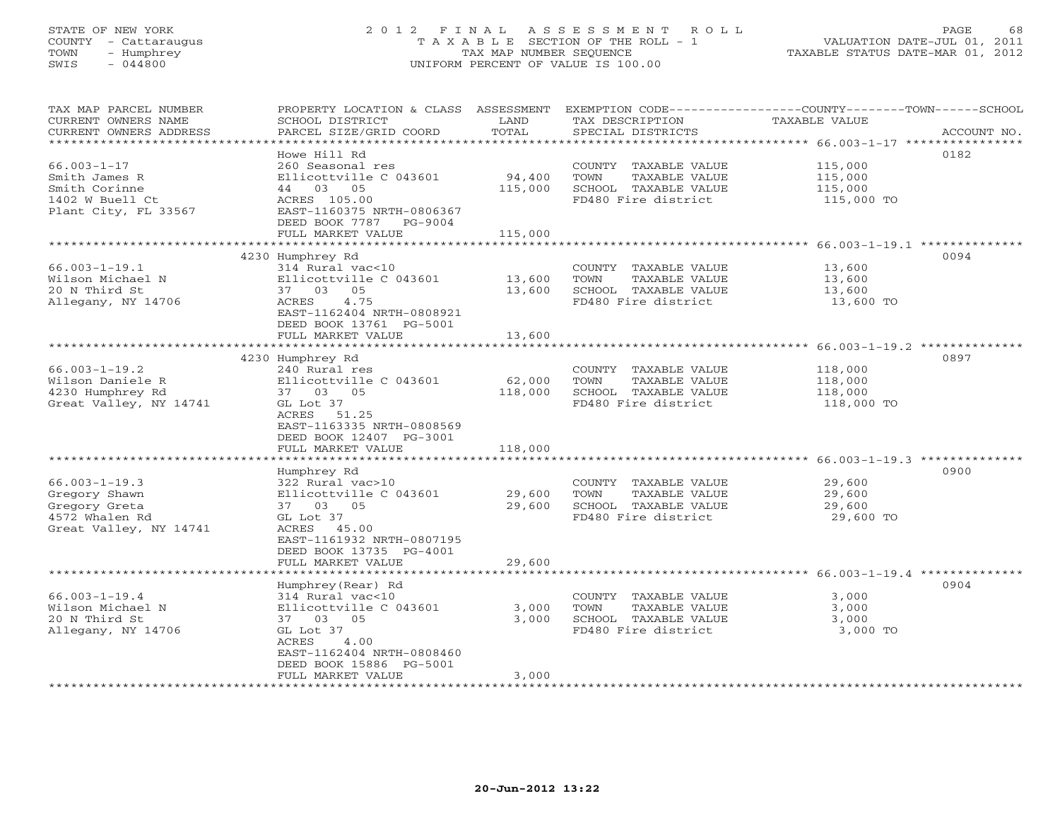# STATE OF NEW YORK 2 0 1 2 F I N A L A S S E S S M E N T R O L L PAGE 68 COUNTY - Cattaraugus T A X A B L E SECTION OF THE ROLL - 1 VALUATION DATE-JUL 01, 2011 TOWN - Humphrey TAX MAP NUMBER SEQUENCE TAXABLE STATUS DATE-MAR 01, 2012 SWIS - 044800 UNIFORM PERCENT OF VALUE IS 100.00UNIFORM PERCENT OF VALUE IS 100.00

| TAX MAP PARCEL NUMBER<br>CURRENT OWNERS NAME<br>CURRENT OWNERS ADDRESS | PROPERTY LOCATION & CLASS ASSESSMENT<br>SCHOOL DISTRICT<br>PARCEL SIZE/GRID COORD | LAND<br>TOTAL      | TAX DESCRIPTION<br>SPECIAL DISTRICTS | EXEMPTION CODE-----------------COUNTY-------TOWN------SCHOOL<br>TAXABLE VALUE<br>ACCOUNT NO. |
|------------------------------------------------------------------------|-----------------------------------------------------------------------------------|--------------------|--------------------------------------|----------------------------------------------------------------------------------------------|
| ************************                                               |                                                                                   |                    |                                      |                                                                                              |
|                                                                        | Howe Hill Rd                                                                      |                    |                                      | 0182                                                                                         |
| $66.003 - 1 - 17$                                                      | 260 Seasonal res                                                                  |                    | COUNTY TAXABLE VALUE                 | 115,000                                                                                      |
| Smith James R                                                          | Ellicottville C 043601                                                            | 94,400             | TOWN<br>TAXABLE VALUE                | 115,000                                                                                      |
| Smith Corinne                                                          | 44<br>03 05                                                                       | 115,000            | SCHOOL TAXABLE VALUE                 | 115,000                                                                                      |
| 1402 W Buell Ct                                                        | ACRES 105.00                                                                      |                    | FD480 Fire district                  | 115,000 TO                                                                                   |
| Plant City, FL 33567                                                   | EAST-1160375 NRTH-0806367                                                         |                    |                                      |                                                                                              |
|                                                                        | DEED BOOK 7787<br>PG-9004                                                         |                    |                                      |                                                                                              |
|                                                                        | FULL MARKET VALUE                                                                 | 115,000            |                                      |                                                                                              |
|                                                                        | *******************                                                               | ****************** |                                      | ******************************* 66.003-1-19.1 **************                                 |
|                                                                        | 4230 Humphrey Rd                                                                  |                    |                                      | 0094                                                                                         |
| $66.003 - 1 - 19.1$                                                    | 314 Rural vac<10                                                                  |                    | COUNTY TAXABLE VALUE                 | 13,600                                                                                       |
| Wilson Michael N                                                       | Ellicottville C 043601                                                            | 13,600             | TAXABLE VALUE<br>TOWN                | 13,600                                                                                       |
| 20 N Third St                                                          | 37 03<br>05                                                                       | 13,600             | SCHOOL TAXABLE VALUE                 | 13,600                                                                                       |
| Allegany, NY 14706                                                     | <b>ACRES</b><br>4.75                                                              |                    | FD480 Fire district                  | 13,600 TO                                                                                    |
|                                                                        | EAST-1162404 NRTH-0808921                                                         |                    |                                      |                                                                                              |
|                                                                        | DEED BOOK 13761 PG-5001                                                           |                    |                                      |                                                                                              |
|                                                                        | FULL MARKET VALUE                                                                 | 13,600             |                                      |                                                                                              |
|                                                                        |                                                                                   | ********           | ********************                 | $66.003 - 1 - 19.2$ **************                                                           |
|                                                                        | 4230 Humphrey Rd                                                                  |                    |                                      | 0897                                                                                         |
| $66.003 - 1 - 19.2$                                                    | 240 Rural res                                                                     |                    | COUNTY TAXABLE VALUE                 | 118,000                                                                                      |
| Wilson Daniele R                                                       | Ellicottville C 043601                                                            | 62,000             | TOWN<br>TAXABLE VALUE                | 118,000                                                                                      |
| 4230 Humphrey Rd                                                       | 37 03 05                                                                          | 118,000            | SCHOOL TAXABLE VALUE                 | 118,000                                                                                      |
| Great Valley, NY 14741                                                 | GL Lot 37                                                                         |                    | FD480 Fire district                  | 118,000 TO                                                                                   |
|                                                                        | ACRES 51.25                                                                       |                    |                                      |                                                                                              |
|                                                                        | EAST-1163335 NRTH-0808569                                                         |                    |                                      |                                                                                              |
|                                                                        | DEED BOOK 12407 PG-3001                                                           |                    |                                      |                                                                                              |
|                                                                        | FULL MARKET VALUE                                                                 | 118,000            |                                      |                                                                                              |
|                                                                        |                                                                                   |                    |                                      |                                                                                              |
|                                                                        | Humphrey Rd                                                                       |                    |                                      | 0900                                                                                         |
| $66.003 - 1 - 19.3$                                                    | 322 Rural vac>10                                                                  |                    | COUNTY TAXABLE VALUE                 | 29,600                                                                                       |
| Gregory Shawn                                                          | Ellicottville C 043601                                                            | 29,600             | TOWN<br>TAXABLE VALUE                | 29,600                                                                                       |
| Gregory Greta                                                          | 37 03 05                                                                          | 29,600             | SCHOOL TAXABLE VALUE                 | 29,600                                                                                       |
| 4572 Whalen Rd                                                         | GL Lot 37                                                                         |                    | FD480 Fire district                  | 29,600 TO                                                                                    |
| Great Valley, NY 14741                                                 | ACRES 45.00                                                                       |                    |                                      |                                                                                              |
|                                                                        | EAST-1161932 NRTH-0807195                                                         |                    |                                      |                                                                                              |
|                                                                        | DEED BOOK 13735 PG-4001                                                           |                    |                                      |                                                                                              |
|                                                                        | FULL MARKET VALUE                                                                 | 29,600             |                                      |                                                                                              |
|                                                                        |                                                                                   | ********           |                                      | ****************************** 66.003-1-19.4 *************                                   |
|                                                                        | Humphrey (Rear) Rd                                                                |                    |                                      | 0904                                                                                         |
| $66.003 - 1 - 19.4$                                                    | 314 Rural vac<10                                                                  |                    | COUNTY TAXABLE VALUE                 | 3,000                                                                                        |
| Wilson Michael N                                                       | Ellicottville C 043601                                                            | 3,000              | TOWN<br>TAXABLE VALUE                | 3,000                                                                                        |
| 20 N Third St                                                          | 37 03<br>05                                                                       | 3,000              | SCHOOL TAXABLE VALUE                 | 3,000                                                                                        |
| Allegany, NY 14706                                                     | GL Lot 37                                                                         |                    | FD480 Fire district                  | 3,000 TO                                                                                     |
|                                                                        | ACRES<br>4.00                                                                     |                    |                                      |                                                                                              |
|                                                                        | EAST-1162404 NRTH-0808460                                                         |                    |                                      |                                                                                              |
|                                                                        | DEED BOOK 15886 PG-5001                                                           |                    |                                      |                                                                                              |
|                                                                        | FULL MARKET VALUE                                                                 | 3,000              |                                      |                                                                                              |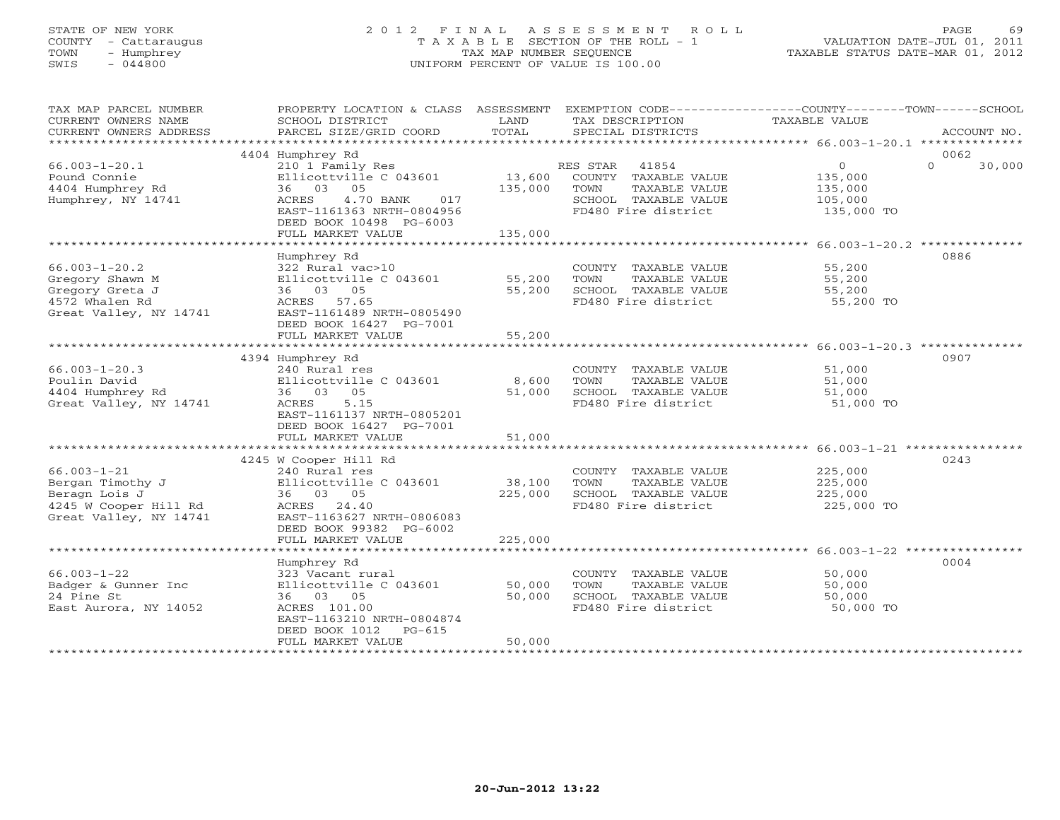# STATE OF NEW YORK 2 0 1 2 F I N A L A S S E S S M E N T R O L L PAGE 69 COUNTY - Cattaraugus T A X A B L E SECTION OF THE ROLL - 1 VALUATION DATE-JUL 01, 2011 TOWN - Humphrey TAX MAP NUMBER SEQUENCE TAXABLE STATUS DATE-MAR 01, 2012 SWIS - 044800 UNIFORM PERCENT OF VALUE IS 100.00UNIFORM PERCENT OF VALUE IS 100.00

| TAX MAP PARCEL NUMBER             | PROPERTY LOCATION & CLASS ASSESSMENT                                                                          |         | EXEMPTION CODE-----------------COUNTY-------TOWN------SCHOOL |                      |                    |
|-----------------------------------|---------------------------------------------------------------------------------------------------------------|---------|--------------------------------------------------------------|----------------------|--------------------|
| CURRENT OWNERS NAME               | SCHOOL DISTRICT                                                                                               | LAND    | TAX DESCRIPTION                                              | TAXABLE VALUE        |                    |
|                                   |                                                                                                               |         |                                                              |                      |                    |
|                                   |                                                                                                               |         |                                                              |                      |                    |
|                                   | 4404 Humphrey Rd                                                                                              |         |                                                              |                      | 0062               |
| $66.003 - 1 - 20.1$               | 210 1 Family Res<br>Ellicottville C 043601 13,600 COUNTY TAXABLE VALUE<br>36 03 05 135,000 TOWN TAXABLE VALUE |         |                                                              | $\overline{O}$       | $\Omega$<br>30,000 |
| Pound Connie                      |                                                                                                               |         |                                                              | 135,000              |                    |
| 4404 Humphrey Rd                  |                                                                                                               |         | TAXABLE VALUE                                                | 135,000              |                    |
| Humphrey, NY 14741                | 4.70 BANK 017<br>ACRES                                                                                        |         | SCHOOL TAXABLE VALUE                                         | 105,000              |                    |
|                                   | EAST-1161363 NRTH-0804956                                                                                     |         | FD480 Fire district 135,000 TO                               |                      |                    |
|                                   | DEED BOOK 10498 PG-6003                                                                                       |         |                                                              |                      |                    |
|                                   | FULL MARKET VALUE                                                                                             | 135,000 |                                                              |                      |                    |
|                                   |                                                                                                               |         |                                                              |                      |                    |
|                                   | Humphrey Rd                                                                                                   |         |                                                              |                      | 0886               |
| $66.003 - 1 - 20.2$               |                                                                                                               |         |                                                              |                      |                    |
| Gregory Shawn M                   |                                                                                                               |         | COUNTY TAXABLE VALUE<br>TOWN     TAXABLE VALUE               | 55,200<br>55,200     |                    |
| Gregory Greta J                   |                                                                                                               |         |                                                              |                      |                    |
| 4572 Whalen Rd                    |                                                                                                               |         |                                                              |                      |                    |
| Great Valley, NY 14741            |                                                                                                               |         |                                                              |                      |                    |
|                                   | EAST-1161489 NRTH-0805490                                                                                     |         |                                                              |                      |                    |
|                                   | DEED BOOK 16427 PG-7001                                                                                       |         |                                                              |                      |                    |
|                                   | FULL MARKET VALUE                                                                                             | 55,200  |                                                              |                      |                    |
|                                   |                                                                                                               |         |                                                              |                      |                    |
|                                   | 4394 Humphrey Rd                                                                                              |         |                                                              |                      | 0907               |
| $66.003 - 1 - 20.3$               | 240 Rural res                                                                                                 |         | COUNTY TAXABLE VALUE                                         | 51,000               |                    |
| Poulin David                      | Ellicottville C 043601 8,600                                                                                  |         | TOWN                                                         | TAXABLE VALUE 51,000 |                    |
| 4404 Humphrey Rd                  | 36 03 05                                                                                                      | 51,000  | SCHOOL TAXABLE VALUE<br>FD480 Fire district                  | 51,000<br>51,000 TO  |                    |
| Great Valley, NY 14741            | ACRES<br>5.15                                                                                                 |         |                                                              |                      |                    |
|                                   | EAST-1161137 NRTH-0805201                                                                                     |         |                                                              |                      |                    |
|                                   | DEED BOOK 16427 PG-7001                                                                                       |         |                                                              |                      |                    |
|                                   | FULL MARKET VALUE                                                                                             | 51,000  |                                                              |                      |                    |
|                                   |                                                                                                               |         |                                                              |                      |                    |
|                                   | 4245 W Cooper Hill Rd                                                                                         |         |                                                              |                      | 0243               |
| $66.003 - 1 - 21$                 |                                                                                                               |         | COUNTY TAXABLE VALUE                                         | 225,000              |                    |
| Bergan Timothy J                  |                                                                                                               | 38,100  | TAXABLE VALUE<br>TOWN                                        | 225,000              |                    |
| Beragn Lois J                     | 240 Rural res<br>Ellicottville C 043601<br>36 03 05                                                           | 225,000 | SCHOOL TAXABLE VALUE                                         | 225,000              |                    |
| 4245 W Cooper Hill Rd ACRES 24.40 |                                                                                                               |         | FD480 Fire district                                          | 225,000 TO           |                    |
| Great Valley, NY 14741            | EAST-1163627 NRTH-0806083                                                                                     |         |                                                              |                      |                    |
|                                   | DEED BOOK 99382 PG-6002                                                                                       |         |                                                              |                      |                    |
|                                   | FULL MARKET VALUE                                                                                             | 225,000 |                                                              |                      |                    |
|                                   |                                                                                                               |         |                                                              |                      |                    |
|                                   | Humphrey Rd                                                                                                   |         |                                                              |                      | 0004               |
| $66.003 - 1 - 22$                 | 323 Vacant rural                                                                                              |         | COUNTY TAXABLE VALUE                                         | 50,000               |                    |
| Badger & Gunner Inc               |                                                                                                               |         | TOWN<br>TAXABLE VALUE                                        |                      |                    |
| 24 Pine St                        | Ellicottville C 043601 50,000<br>36 03 05 50,000<br>36 03 05                                                  | 50,000  | SCHOOL TAXABLE VALUE                                         | $50,000$<br>$50,000$ |                    |
| East Aurora, NY 14052             | ACRES 101.00                                                                                                  |         | FD480 Fire district                                          | 50,000 TO            |                    |
|                                   | EAST-1163210 NRTH-0804874                                                                                     |         |                                                              |                      |                    |
|                                   | DEED BOOK 1012 PG-615                                                                                         |         |                                                              |                      |                    |
|                                   | FULL MARKET VALUE                                                                                             | 50,000  |                                                              |                      |                    |
|                                   |                                                                                                               |         |                                                              |                      |                    |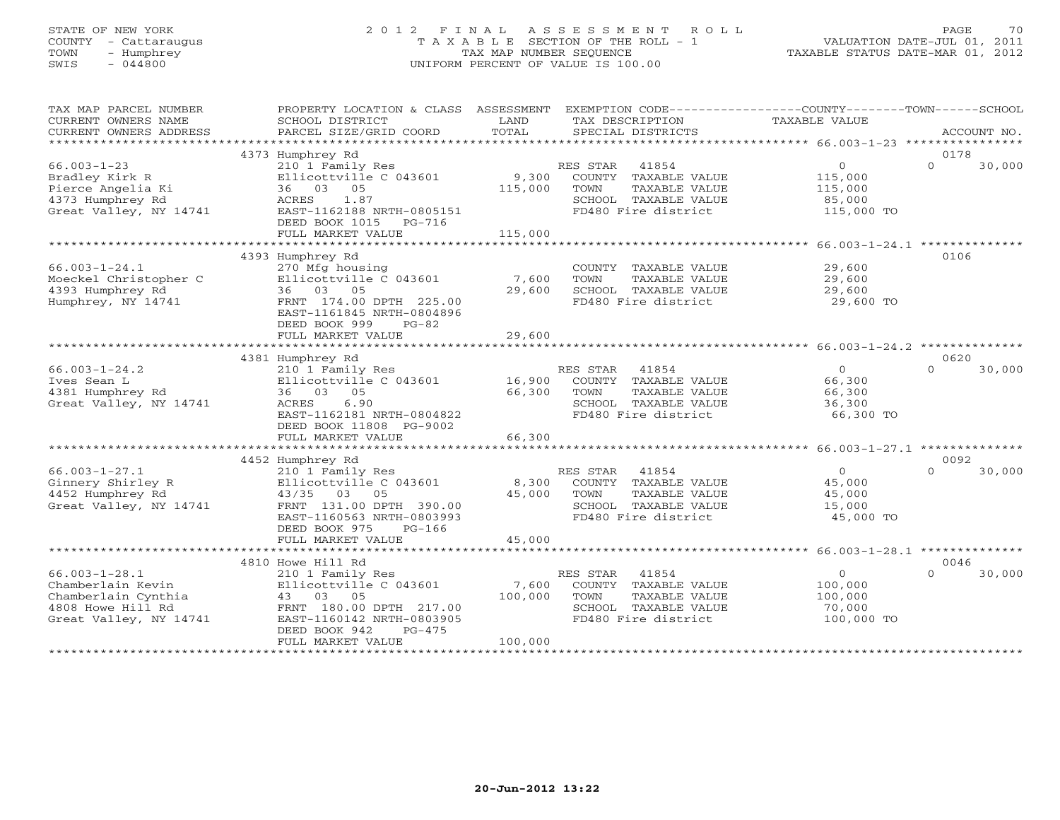# STATE OF NEW YORK 2 0 1 2 F I N A L A S S E S S M E N T R O L L PAGE 70 COUNTY - Cattaraugus T A X A B L E SECTION OF THE ROLL - 1 VALUATION DATE-JUL 01, 2011 TOWN - Humphrey TAX MAP NUMBER SEQUENCE TAXABLE STATUS DATE-MAR 01, 2012 SWIS - 044800 UNIFORM PERCENT OF VALUE IS 100.00UNIFORM PERCENT OF VALUE IS 100.00

| TAX MAP PARCEL NUMBER<br>CURRENT OWNERS NAME<br>CURRENT OWNERS ADDRESS                                         | PROPERTY LOCATION & CLASS ASSESSMENT<br>SCHOOL DISTRICT<br>PARCEL SIZE/GRID COORD                                                                                                          | LAND<br>TOTAL               | EXEMPTION CODE----------------COUNTY-------TOWN------SCHOOL<br>TAX DESCRIPTION<br>SPECIAL DISTRICTS                  | TAXABLE VALUE                                                | ACCOUNT NO.                |
|----------------------------------------------------------------------------------------------------------------|--------------------------------------------------------------------------------------------------------------------------------------------------------------------------------------------|-----------------------------|----------------------------------------------------------------------------------------------------------------------|--------------------------------------------------------------|----------------------------|
|                                                                                                                |                                                                                                                                                                                            |                             |                                                                                                                      |                                                              | 0178                       |
| $66.003 - 1 - 23$<br>Bradley Kirk R<br>Pierce Angelia Ki<br>4373 Humphrey Rd<br>Great Valley, NY 14741         | 4373 Humphrey Rd<br>210 1 Family Res<br>Ellicottville C 043601<br>36 03 05<br>ACRES<br>1.87<br>EAST-1162188 NRTH-0805151<br>DEED BOOK 1015<br>$PG-716$<br>FULL MARKET VALUE                | 9,300<br>115,000<br>115,000 | RES STAR<br>41854<br>COUNTY TAXABLE VALUE<br>TOWN<br>TAXABLE VALUE<br>SCHOOL TAXABLE VALUE<br>FD480 Fire district    | $\overline{0}$<br>115,000<br>115,000<br>85,000<br>115,000 TO | $\Omega$<br>30,000         |
|                                                                                                                |                                                                                                                                                                                            |                             |                                                                                                                      |                                                              | 0106                       |
| $66.003 - 1 - 24.1$<br>Moeckel Christopher C<br>4393 Humphrey Rd<br>Humphrey, NY 14741                         | 4393 Humphrey Rd<br>270 Mfg housing<br>Ellicottville C 043601<br>36 03 05<br>FRNT 174.00 DPTH 225.00<br>EAST-1161845 NRTH-0804896<br>DEED BOOK 999<br>$PG-82$                              | 7,600<br>29,600             | COUNTY TAXABLE VALUE<br>TOWN<br>TAXABLE VALUE<br>SCHOOL TAXABLE VALUE<br>FD480 Fire district                         | 29,600<br>29,600<br>29,600<br>29,600 TO                      |                            |
|                                                                                                                | FULL MARKET VALUE                                                                                                                                                                          | 29,600                      |                                                                                                                      |                                                              |                            |
|                                                                                                                | 4381 Humphrey Rd                                                                                                                                                                           |                             |                                                                                                                      |                                                              | 0620                       |
| $66.003 - 1 - 24.2$<br>Ives Sean L<br>4381 Humphrey Rd<br>Great Valley, NY 14741                               | 210 1 Family Res<br>Ellicottville C 043601<br>36 03 05<br>ACRES<br>6.90<br>EAST-1162181 NRTH-0804822<br>DEED BOOK 11808 PG-9002<br>FULL MARKET VALUE                                       | 16,900<br>66,300<br>66,300  | RES STAR<br>41854<br>COUNTY TAXABLE VALUE<br>TOWN<br>TAXABLE VALUE<br>SCHOOL TAXABLE VALUE<br>FD480 Fire district    | $\circ$<br>66,300<br>66,300<br>36,300<br>66,300 TO           | 30,000<br>$\Omega$         |
|                                                                                                                |                                                                                                                                                                                            |                             |                                                                                                                      |                                                              |                            |
| $66.003 - 1 - 27.1$<br>Ginnery Shirley R<br>4452 Humphrey Rd<br>Great Valley, NY 14741                         | 4452 Humphrey Rd<br>210 1 Family Res<br>Ellicottville C 043601<br>43/35 03<br>05<br>FRNT 131.00 DPTH 390.00<br>EAST-1160563 NRTH-0803993<br>DEED BOOK 975<br>$PG-166$<br>FULL MARKET VALUE | 8,300<br>45,000<br>45,000   | RES STAR<br>41854<br>COUNTY TAXABLE VALUE<br>TOWN<br>TAXABLE VALUE<br>SCHOOL TAXABLE VALUE<br>FD480 Fire district    | $\overline{O}$<br>45,000<br>45,000<br>15,000<br>45,000 TO    | 0092<br>$\Omega$<br>30,000 |
|                                                                                                                |                                                                                                                                                                                            |                             |                                                                                                                      |                                                              |                            |
| $66.003 - 1 - 28.1$<br>Chamberlain Kevin<br>Chamberlain Cynthia<br>4808 Howe Hill Rd<br>Great Valley, NY 14741 | 4810 Howe Hill Rd<br>210 1 Family Res<br>Ellicottville C 043601<br>43 03 05<br>FRNT 180.00 DPTH 217.00<br>EAST-1160142 NRTH-0803905<br>DEED BOOK 942<br>$PG-475$<br>FULL MARKET VALUE      | 7,600<br>100,000<br>100,000 | RES STAR<br>41854<br>TAXABLE VALUE<br>COUNTY<br>TOWN<br>TAXABLE VALUE<br>SCHOOL TAXABLE VALUE<br>FD480 Fire district | $\overline{O}$<br>100,000<br>100,000<br>70,000<br>100,000 TO | 0046<br>$\Omega$<br>30,000 |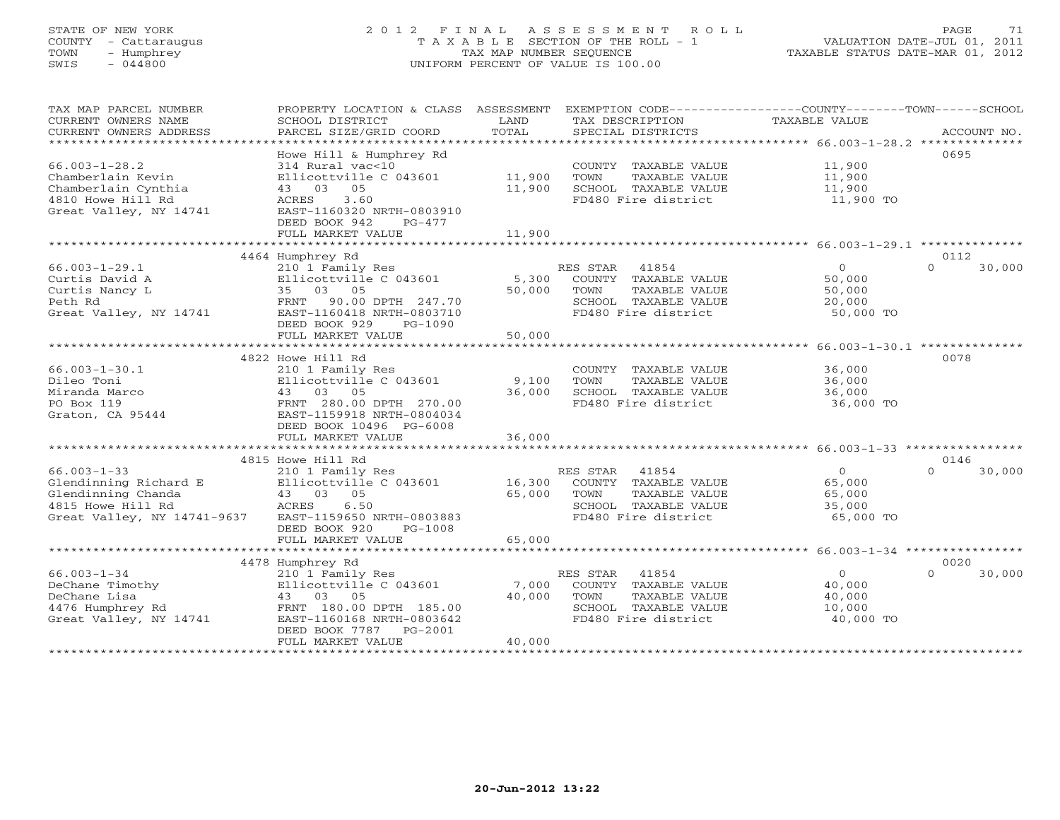# STATE OF NEW YORK 2 0 1 2 F I N A L A S S E S S M E N T R O L L PAGE 71 COUNTY - Cattaraugus T A X A B L E SECTION OF THE ROLL - 1 VALUATION DATE-JUL 01, 2011 TOWN - Humphrey TAX MAP NUMBER SEQUENCE TAXABLE STATUS DATE-MAR 01, 2012 SWIS - 044800 UNIFORM PERCENT OF VALUE IS 100.00UNIFORM PERCENT OF VALUE IS 100.00

| TAX MAP PARCEL NUMBER<br>CURRENT OWNERS NAME<br>CURRENT OWNERS ADDRESS                                         | PROPERTY LOCATION & CLASS ASSESSMENT<br>SCHOOL DISTRICT<br>PARCEL SIZE/GRID COORD                                                                                                 | LAND<br>TOTAL                   | EXEMPTION CODE-----------------COUNTY-------TOWN------SCHOOL<br>TAX DESCRIPTION<br>SPECIAL DISTRICTS              | TAXABLE VALUE                                      | ACCOUNT NO.                                |
|----------------------------------------------------------------------------------------------------------------|-----------------------------------------------------------------------------------------------------------------------------------------------------------------------------------|---------------------------------|-------------------------------------------------------------------------------------------------------------------|----------------------------------------------------|--------------------------------------------|
| $66.003 - 1 - 28.2$<br>Chamberlain Kevin<br>Chamberlain Cynthia<br>4810 Howe Hill Rd<br>Great Valley, NY 14741 | Howe Hill & Humphrey Rd<br>314 Rural vac<10<br>Ellicottville C 043601<br>43 03 05<br>ACRES<br>3.60<br>EAST-1160320 NRTH-0803910<br>DEED BOOK 942<br>$PG-477$<br>FULL MARKET VALUE | 11,900<br>11,900<br>11,900      | COUNTY TAXABLE VALUE<br>TOWN<br>TAXABLE VALUE<br>SCHOOL TAXABLE VALUE<br>FD480 Fire district                      | 11,900<br>11,900<br>11,900<br>11,900 TO            | 0695                                       |
|                                                                                                                |                                                                                                                                                                                   |                                 |                                                                                                                   |                                                    |                                            |
|                                                                                                                | 4464 Humphrey Rd                                                                                                                                                                  |                                 |                                                                                                                   |                                                    | 0112                                       |
| $66.003 - 1 - 29.1$<br>Curtis David A<br>Curtis Nancy L<br>Peth Rd<br>Great Valley, NY 14741                   | 210 1 Family Res<br>Ellicottville C 043601<br>35 03 05<br>90.00 DPTH 247.70<br>FRNT<br>EAST-1160418 NRTH-0803710<br>DEED BOOK 929<br>PG-1090                                      | 5,300<br>50,000                 | RES STAR<br>41854<br>COUNTY TAXABLE VALUE<br>TOWN<br>TAXABLE VALUE<br>SCHOOL TAXABLE VALUE<br>FD480 Fire district | $\circ$<br>50,000<br>50,000<br>20,000<br>50,000 TO | $\Omega$<br>30,000                         |
|                                                                                                                | FULL MARKET VALUE<br>********************************                                                                                                                             | 50,000<br>********************* | *********************                                                                                             |                                                    |                                            |
|                                                                                                                | 4822 Howe Hill Rd                                                                                                                                                                 |                                 |                                                                                                                   |                                                    | $66.003 - 1 - 30.1$ **************<br>0078 |
| $66.003 - 1 - 30.1$                                                                                            | 210 1 Family Res                                                                                                                                                                  |                                 | COUNTY TAXABLE VALUE                                                                                              | 36,000                                             |                                            |
| Dileo Toni                                                                                                     | Ellicottville C 043601                                                                                                                                                            | 9,100                           | TOWN<br>TAXABLE VALUE                                                                                             | 36,000                                             |                                            |
| Miranda Marco                                                                                                  | 43 03 05                                                                                                                                                                          | 36,000                          | SCHOOL TAXABLE VALUE                                                                                              | 36,000                                             |                                            |
| PO Box 119<br>Graton, CA 95444                                                                                 | FRNT 280.00 DPTH 270.00<br>EAST-1159918 NRTH-0804034<br>DEED BOOK 10496 PG-6008                                                                                                   |                                 | FD480 Fire district                                                                                               | 36,000 TO                                          |                                            |
|                                                                                                                | FULL MARKET VALUE                                                                                                                                                                 | 36,000                          |                                                                                                                   |                                                    |                                            |
|                                                                                                                |                                                                                                                                                                                   | *************                   |                                                                                                                   |                                                    |                                            |
| $66.003 - 1 - 33$                                                                                              | 4815 Howe Hill Rd                                                                                                                                                                 |                                 |                                                                                                                   | $\circ$                                            | 0146<br>$\Omega$                           |
| Glendinning Richard E                                                                                          | 210 1 Family Res<br>Ellicottville C 043601                                                                                                                                        | 16,300                          | RES STAR<br>41854<br>COUNTY TAXABLE VALUE                                                                         | 65,000                                             | 30,000                                     |
| Glendinning Chanda                                                                                             | 43 03 05                                                                                                                                                                          | 65,000                          | TOWN<br>TAXABLE VALUE                                                                                             | 65,000                                             |                                            |
| 4815 Howe Hill Rd                                                                                              | ACRES<br>6.50                                                                                                                                                                     |                                 | SCHOOL TAXABLE VALUE                                                                                              | 35,000                                             |                                            |
| Great Valley, NY 14741-9637                                                                                    | EAST-1159650 NRTH-0803883<br>DEED BOOK 920<br>$PG-1008$                                                                                                                           |                                 | FD480 Fire district                                                                                               | 65,000 TO                                          |                                            |
|                                                                                                                | FULL MARKET VALUE                                                                                                                                                                 | 65,000                          |                                                                                                                   |                                                    |                                            |
|                                                                                                                | 4478 Humphrey Rd                                                                                                                                                                  |                                 |                                                                                                                   |                                                    | 0020                                       |
| $66.003 - 1 - 34$                                                                                              | 210 1 Family Res                                                                                                                                                                  |                                 | RES STAR<br>41854                                                                                                 | $\circ$                                            | $\Omega$<br>30,000                         |
| DeChane Timothy                                                                                                | Ellicottville C 043601                                                                                                                                                            | 7,000                           | COUNTY TAXABLE VALUE                                                                                              | 40,000                                             |                                            |
| DeChane Lisa                                                                                                   | 43 03<br>05                                                                                                                                                                       | 40,000                          | TOWN<br>TAXABLE VALUE                                                                                             | 40,000                                             |                                            |
| 4476 Humphrey Rd                                                                                               | FRNT 180.00 DPTH 185.00                                                                                                                                                           |                                 | SCHOOL TAXABLE VALUE                                                                                              | 10,000                                             |                                            |
| Great Valley, NY 14741                                                                                         | EAST-1160168 NRTH-0803642                                                                                                                                                         |                                 | FD480 Fire district                                                                                               | 40,000 TO                                          |                                            |
|                                                                                                                | DEED BOOK 7787<br>$PG-2001$                                                                                                                                                       |                                 |                                                                                                                   |                                                    |                                            |
|                                                                                                                | FULL MARKET VALUE                                                                                                                                                                 | 40,000                          |                                                                                                                   |                                                    |                                            |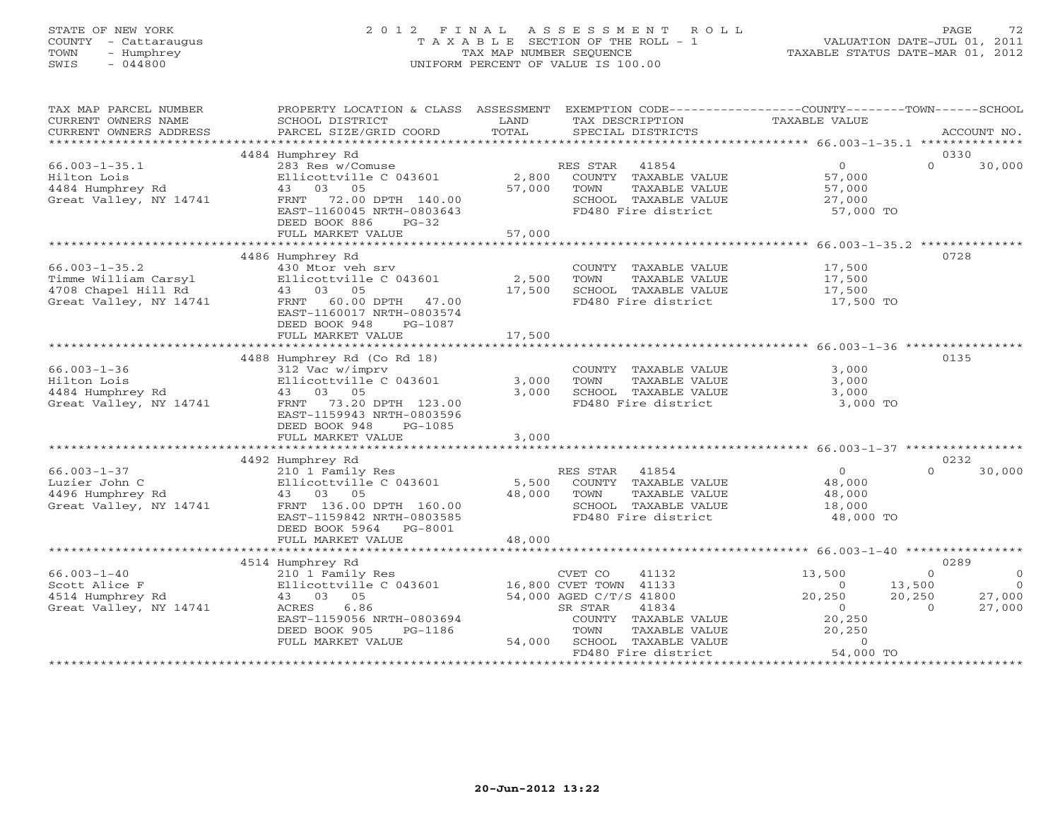# STATE OF NEW YORK 2 0 1 2 F I N A L A S S E S S M E N T R O L L PAGE 72 COUNTY - Cattaraugus T A X A B L E SECTION OF THE ROLL - 1 VALUATION DATE-JUL 01, 2011 TOWN - Humphrey TAX MAP NUMBER SEQUENCE TAXABLE STATUS DATE-MAR 01, 2012 SWIS - 044800 UNIFORM PERCENT OF VALUE IS 100.00UNIFORM PERCENT OF VALUE IS 100.00

| TAX MAP PARCEL NUMBER<br>CURRENT OWNERS NAME<br>CURRENT OWNERS ADDRESS                       | PROPERTY LOCATION & CLASS ASSESSMENT<br>SCHOOL DISTRICT<br>PARCEL SIZE/GRID COORD                                                                                                            | LAND<br>TAX DESCRIPTION<br>TOTAL<br>SPECIAL DISTRICTS                                                                                                                                                                      | EXEMPTION CODE-----------------COUNTY-------TOWN------SCHOOL<br><b>TAXABLE VALUE</b><br>ACCOUNT NO.                                                                           |
|----------------------------------------------------------------------------------------------|----------------------------------------------------------------------------------------------------------------------------------------------------------------------------------------------|----------------------------------------------------------------------------------------------------------------------------------------------------------------------------------------------------------------------------|-------------------------------------------------------------------------------------------------------------------------------------------------------------------------------|
|                                                                                              |                                                                                                                                                                                              |                                                                                                                                                                                                                            |                                                                                                                                                                               |
| $66.003 - 1 - 35.1$<br>Hilton Lois<br>4484 Humphrey Rd<br>Great Valley, NY 14741             | 4484 Humphrey Rd<br>283 Res w/Comuse<br>Ellicottville C 043601<br>43 03 05<br>FRNT 72.00 DPTH 140.00<br>EAST-1160045 NRTH-0803643<br>DEED BOOK 886<br>$PG-32$<br>FULL MARKET VALUE           | RES STAR 41854<br>2,800<br>COUNTY TAXABLE VALUE<br>57,000<br>TOWN<br>TAXABLE VALUE<br>SCHOOL TAXABLE VALUE<br>FD480 Fire district<br>57,000                                                                                | 0330<br>$\overline{0}$<br>$\Omega$<br>30,000<br>57,000<br>57,000<br>27,000<br>57,000 TO                                                                                       |
|                                                                                              |                                                                                                                                                                                              |                                                                                                                                                                                                                            |                                                                                                                                                                               |
| $66.003 - 1 - 35.2$<br>Timme William Carsyl<br>4708 Chapel Hill Rd<br>Great Valley, NY 14741 | 4486 Humphrey Rd<br>430 Mtor veh srv<br>Ellicottville C 043601<br>43 03 05<br>60.00 DPTH 47.00<br>FRNT<br>EAST-1160017 NRTH-0803574<br>DEED BOOK 948<br>PG-1087<br>FULL MARKET VALUE         | COUNTY TAXABLE VALUE<br>2,500<br>TOWN<br>TAXABLE VALUE<br>17,500<br>SCHOOL TAXABLE VALUE<br>FD480 Fire district<br>17,500                                                                                                  | 0728<br>17,500<br>17,500<br>17,500<br>17,500 TO                                                                                                                               |
|                                                                                              |                                                                                                                                                                                              |                                                                                                                                                                                                                            |                                                                                                                                                                               |
| $66.003 - 1 - 36$<br>Hilton Lois<br>4484 Humphrey Rd<br>Great Valley, NY 14741               | 4488 Humphrey Rd (Co Rd 18)<br>312 Vac w/imprv<br>Ellicottville C 043601<br>43 03 05<br>FRNT 73.20 DPTH 123.00<br>EAST-1159943 NRTH-0803596<br>DEED BOOK 948<br>PG-1085<br>FULL MARKET VALUE | COUNTY TAXABLE VALUE<br>3,000<br>TOWN<br>TAXABLE VALUE<br>3,000<br>SCHOOL TAXABLE VALUE<br>FD480 Fire district<br>3,000                                                                                                    | 0135<br>3,000<br>3,000<br>3,000<br>3,000 TO                                                                                                                                   |
|                                                                                              |                                                                                                                                                                                              |                                                                                                                                                                                                                            |                                                                                                                                                                               |
| $66.003 - 1 - 37$<br>Luzier John C<br>4496 Humphrey Rd<br>Great Valley, NY 14741             | 4492 Humphrey Rd<br>210 1 Family Res<br>Ellicottville C 043601<br>43 03 05<br>FRNT 136.00 DPTH 160.00<br>EAST-1159842 NRTH-0803585<br>DEED BOOK 5964 PG-8001                                 | RES STAR 41854<br>COUNTY TAXABLE VALUE<br>5,500<br>48,000<br>TOWN<br>TAXABLE VALUE<br>SCHOOL TAXABLE VALUE<br>FD480 Fire district                                                                                          | 0232<br>$\overline{0}$<br>$\Omega$<br>30,000<br>48,000<br>48,000<br>18,000<br>48,000 TO                                                                                       |
|                                                                                              | FULL MARKET VALUE                                                                                                                                                                            | 48,000                                                                                                                                                                                                                     |                                                                                                                                                                               |
|                                                                                              | 4514 Humphrey Rd                                                                                                                                                                             |                                                                                                                                                                                                                            | 0289                                                                                                                                                                          |
| $66.003 - 1 - 40$<br>Scott Alice F<br>4514 Humphrey Rd<br>Great Valley, NY 14741             | 210 1 Family Res<br>43 03 05<br>6.86<br>ACRES<br>EAST-1159056 NRTH-0803694<br>DEED BOOK 905<br>PG-1186<br>FULL MARKET VALUE                                                                  | CVET CO<br>41132<br>Ellicottville C 043601 16,800 CVET TOWN 41133<br>54,000 AGED C/T/S 41800<br>41834<br>SR STAR<br>COUNTY TAXABLE VALUE<br>TOWN<br>TAXABLE VALUE<br>54,000<br>SCHOOL TAXABLE VALUE<br>FD480 Fire district | 13,500<br>$\Omega$<br>$\circ$<br>13,500<br>$\bigcap$<br>$\Omega$<br>20,250<br>20,250<br>27,000<br>27,000<br>$\Omega$<br>$\Omega$<br>20,250<br>20,250<br>$\Omega$<br>54,000 TO |
|                                                                                              |                                                                                                                                                                                              |                                                                                                                                                                                                                            | ******************                                                                                                                                                            |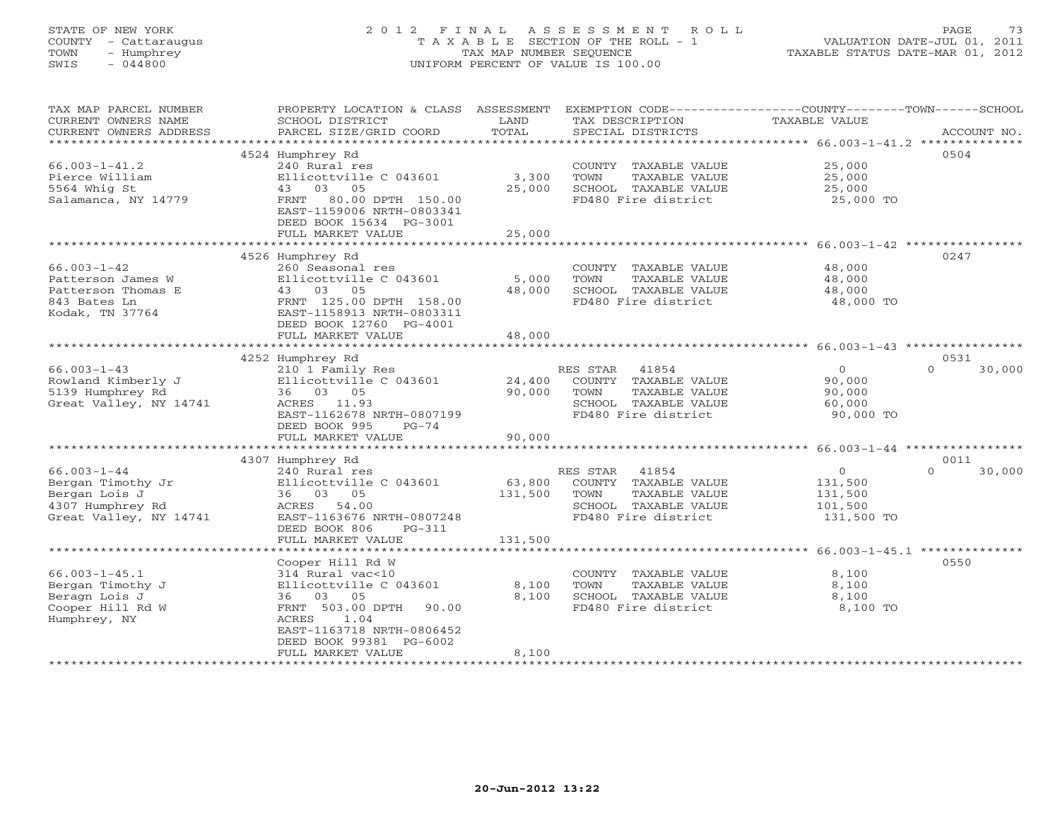# STATE OF NEW YORK 2 0 1 2 F I N A L A S S E S S M E N T R O L L PAGE 73 COUNTY - Cattaraugus T A X A B L E SECTION OF THE ROLL - 1 VALUATION DATE-JUL 01, 2011 TOWN - Humphrey TAX MAP NUMBER SEQUENCE TAXABLE STATUS DATE-MAR 01, 2012 SWIS - 044800 UNIFORM PERCENT OF VALUE IS 100.00UNIFORM PERCENT OF VALUE IS 100.00

| TAX MAP PARCEL NUMBER     | PROPERTY LOCATION & CLASS ASSESSMENT                   |         | EXEMPTION CODE-----------------COUNTY-------TOWN------SCHOOL |                                                               |                    |
|---------------------------|--------------------------------------------------------|---------|--------------------------------------------------------------|---------------------------------------------------------------|--------------------|
| CURRENT OWNERS NAME       | SCHOOL DISTRICT                                        | LAND    | TAX DESCRIPTION                                              | TAXABLE VALUE                                                 |                    |
| CURRENT OWNERS ADDRESS    | PARCEL SIZE/GRID COORD                                 | TOTAL   | SPECIAL DISTRICTS                                            |                                                               | ACCOUNT NO.        |
| ************************* |                                                        |         |                                                              |                                                               |                    |
|                           | 4524 Humphrey Rd                                       |         |                                                              |                                                               | 0504               |
| $66.003 - 1 - 41.2$       | 240 Rural res                                          |         | COUNTY TAXABLE VALUE                                         | 25,000                                                        |                    |
| Pierce William            | Ellicottville C 043601                                 | 3,300   | TOWN<br>TAXABLE VALUE                                        | 25,000                                                        |                    |
| 5564 Whig St              | 43 03 05                                               | 25,000  | SCHOOL TAXABLE VALUE                                         | 25,000                                                        |                    |
| Salamanca, NY 14779       | FRNT<br>80.00 DPTH 150.00<br>EAST-1159006 NRTH-0803341 |         | FD480 Fire district                                          | 25,000 TO                                                     |                    |
|                           | DEED BOOK 15634 PG-3001                                |         |                                                              |                                                               |                    |
|                           | FULL MARKET VALUE                                      | 25,000  |                                                              |                                                               |                    |
|                           |                                                        |         |                                                              |                                                               |                    |
|                           | 4526 Humphrey Rd                                       |         |                                                              |                                                               | 0247               |
| $66.003 - 1 - 42$         | 260 Seasonal res                                       |         | COUNTY TAXABLE VALUE                                         | 48,000                                                        |                    |
| Patterson James W         | Ellicottville C 043601                                 | 5,000   | TOWN<br>TAXABLE VALUE                                        | 48,000                                                        |                    |
| Patterson Thomas E        | 43 03 05                                               | 48,000  | SCHOOL TAXABLE VALUE                                         | 48,000                                                        |                    |
| 843 Bates Ln              | FRNT 125.00 DPTH 158.00                                |         | FD480 Fire district                                          | 48,000 TO                                                     |                    |
| Kodak, TN 37764           | EAST-1158913 NRTH-0803311                              |         |                                                              |                                                               |                    |
|                           | DEED BOOK 12760 PG-4001                                |         |                                                              |                                                               |                    |
|                           | FULL MARKET VALUE                                      | 48,000  |                                                              |                                                               |                    |
|                           |                                                        |         |                                                              |                                                               |                    |
|                           | 4252 Humphrey Rd                                       |         |                                                              |                                                               | 0531               |
| $66.003 - 1 - 43$         | 210 1 Family Res                                       |         | RES STAR<br>41854                                            | $\overline{0}$                                                | $\Omega$<br>30,000 |
| Rowland Kimberly J        | Ellicottville C 043601                                 | 24,400  | COUNTY TAXABLE VALUE                                         | 90,000                                                        |                    |
| 5139 Humphrey Rd          | 36 03 05                                               | 90,000  | TOWN<br>TAXABLE VALUE                                        | 90,000                                                        |                    |
| Great Valley, NY 14741    | ACRES 11.93                                            |         | SCHOOL TAXABLE VALUE                                         | 60,000                                                        |                    |
|                           | EAST-1162678 NRTH-0807199                              |         | FD480 Fire district                                          | 90,000 TO                                                     |                    |
|                           | DEED BOOK 995<br>$PG-74$                               |         |                                                              |                                                               |                    |
|                           | FULL MARKET VALUE                                      | 90,000  |                                                              |                                                               |                    |
|                           |                                                        |         |                                                              |                                                               |                    |
|                           | 4307 Humphrey Rd                                       |         |                                                              |                                                               | 0011               |
| $66.003 - 1 - 44$         | 240 Rural res                                          |         | RES STAR 41854                                               | $\Omega$                                                      | $\Omega$<br>30,000 |
| Bergan Timothy Jr         | Ellicottville C 043601                                 | 63,800  | COUNTY TAXABLE VALUE                                         | 131,500                                                       |                    |
| Bergan Lois J             | 36 03 05                                               | 131,500 | TOWN<br>TAXABLE VALUE                                        | 131,500                                                       |                    |
| 4307 Humphrey Rd          | ACRES<br>54.00                                         |         | SCHOOL TAXABLE VALUE                                         | 101,500                                                       |                    |
| Great Valley, NY 14741    | EAST-1163676 NRTH-0807248                              |         | FD480 Fire district                                          | 131,500 TO                                                    |                    |
|                           | DEED BOOK 806<br>$PG - 311$                            |         |                                                              |                                                               |                    |
|                           | FULL MARKET VALUE                                      | 131,500 |                                                              |                                                               |                    |
|                           |                                                        |         |                                                              | ******************************* 66.003-1-45.1 *************** |                    |
|                           | Cooper Hill Rd W                                       |         |                                                              |                                                               | 0550               |
| $66.003 - 1 - 45.1$       | 314 Rural vac<10                                       |         | COUNTY TAXABLE VALUE                                         | 8,100                                                         |                    |
| Bergan Timothy J          | Ellicottville C 043601                                 | 8,100   | TOWN<br>TAXABLE VALUE                                        | 8,100                                                         |                    |
| Beragn Lois J             | 36 03 05                                               | 8,100   | SCHOOL TAXABLE VALUE                                         | 8,100                                                         |                    |
| Cooper Hill Rd W          | FRNT 503.00 DPTH<br>90.00                              |         | FD480 Fire district                                          | 8,100 TO                                                      |                    |
| Humphrey, NY              | ACRES<br>1.04                                          |         |                                                              |                                                               |                    |
|                           | EAST-1163718 NRTH-0806452                              |         |                                                              |                                                               |                    |
|                           | DEED BOOK 99381 PG-6002                                |         |                                                              |                                                               |                    |
|                           | FULL MARKET VALUE                                      | 8,100   |                                                              |                                                               |                    |
|                           |                                                        |         |                                                              |                                                               |                    |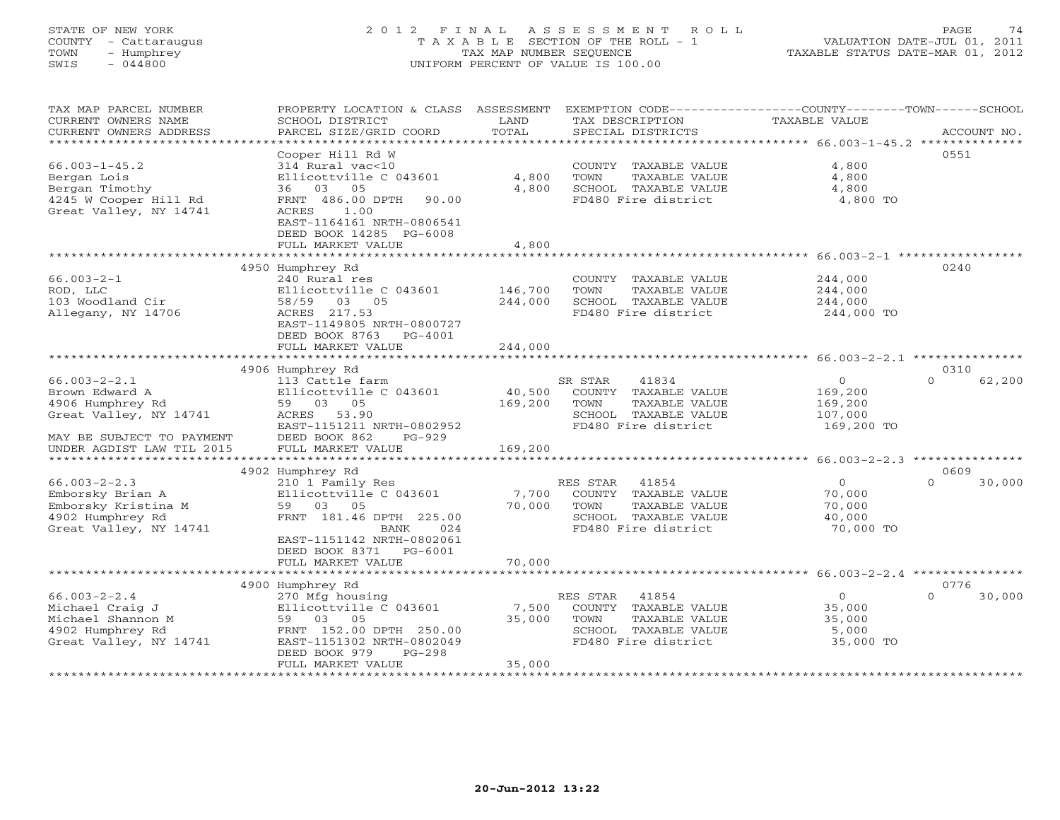# STATE OF NEW YORK 2 0 1 2 F I N A L A S S E S S M E N T R O L L PAGE 74 COUNTY - Cattaraugus T A X A B L E SECTION OF THE ROLL - 1 VALUATION DATE-JUL 01, 2011 TOWN - Humphrey TAX MAP NUMBER SEQUENCE TAXABLE STATUS DATE-MAR 01, 2012 SWIS - 044800 UNIFORM PERCENT OF VALUE IS 100.00UNIFORM PERCENT OF VALUE IS 100.00

| TAX MAP PARCEL NUMBER<br>CURRENT OWNERS NAME<br>CURRENT OWNERS ADDRESS | PROPERTY LOCATION & CLASS ASSESSMENT<br>SCHOOL DISTRICT<br>PARCEL SIZE/GRID COORD | LAND<br>TOTAL | EXEMPTION CODE-----------------COUNTY-------TOWN------SCHOOL<br>TAX DESCRIPTION<br>SPECIAL DISTRICTS | <b>TAXABLE VALUE</b> | ACCOUNT NO.        |
|------------------------------------------------------------------------|-----------------------------------------------------------------------------------|---------------|------------------------------------------------------------------------------------------------------|----------------------|--------------------|
| ***********************                                                |                                                                                   |               |                                                                                                      |                      |                    |
|                                                                        | Cooper Hill Rd W                                                                  |               |                                                                                                      |                      | 0551               |
| $66.003 - 1 - 45.2$                                                    | 314 Rural vac<10                                                                  |               | COUNTY TAXABLE VALUE                                                                                 | 4,800                |                    |
| Bergan Lois                                                            | Ellicottville C 043601                                                            | 4,800         | TOWN<br>TAXABLE VALUE                                                                                | 4,800                |                    |
| Bergan Timothy                                                         | 36 03 05                                                                          | 4,800         | SCHOOL TAXABLE VALUE                                                                                 | 4,800                |                    |
| 4245 W Cooper Hill Rd<br>Great Valley, NY 14741                        | FRNT 486.00 DPTH<br>90.00<br>ACRES<br>1.00<br>EAST-1164161 NRTH-0806541           |               | FD480 Fire district                                                                                  | 4,800 TO             |                    |
|                                                                        | DEED BOOK 14285 PG-6008                                                           |               |                                                                                                      |                      |                    |
|                                                                        | FULL MARKET VALUE                                                                 | 4,800         |                                                                                                      |                      |                    |
|                                                                        |                                                                                   |               |                                                                                                      |                      |                    |
|                                                                        | 4950 Humphrey Rd                                                                  |               |                                                                                                      |                      | 0240               |
| $66.003 - 2 - 1$                                                       | 240 Rural res                                                                     |               | COUNTY TAXABLE VALUE                                                                                 | 244,000              |                    |
| ROD, LLC                                                               | Ellicottville C 043601                                                            | 146,700       | TOWN<br>TAXABLE VALUE                                                                                | 244,000              |                    |
| 103 Woodland Cir                                                       | 58/59 03 05                                                                       | 244,000       | SCHOOL TAXABLE VALUE                                                                                 | 244,000              |                    |
| Allegany, NY 14706                                                     | ACRES 217.53                                                                      |               | FD480 Fire district                                                                                  | 244,000 TO           |                    |
|                                                                        | EAST-1149805 NRTH-0800727                                                         |               |                                                                                                      |                      |                    |
|                                                                        | DEED BOOK 8763<br>PG-4001                                                         | 244,000       |                                                                                                      |                      |                    |
|                                                                        | FULL MARKET VALUE                                                                 |               |                                                                                                      |                      |                    |
|                                                                        | 4906 Humphrey Rd                                                                  |               |                                                                                                      |                      | 0310               |
| $66.003 - 2 - 2.1$                                                     | 113 Cattle farm                                                                   |               | 41834<br>SR STAR                                                                                     | $\overline{0}$       | $\Omega$<br>62,200 |
| Brown Edward A                                                         | Ellicottville C 043601                                                            | 40,500        | COUNTY TAXABLE VALUE                                                                                 | 169,200              |                    |
| 4906 Humphrey Rd                                                       | 59 03 05                                                                          | 169,200       | TAXABLE VALUE<br>TOWN                                                                                | 169,200              |                    |
| Great Valley, NY 14741                                                 | ACRES 53.90                                                                       |               | SCHOOL TAXABLE VALUE                                                                                 | 107,000              |                    |
|                                                                        | EAST-1151211 NRTH-0802952                                                         |               | FD480 Fire district                                                                                  | 169,200 TO           |                    |
| MAY BE SUBJECT TO PAYMENT                                              | DEED BOOK 862<br>PG-929                                                           |               |                                                                                                      |                      |                    |
| UNDER AGDIST LAW TIL 2015                                              | FULL MARKET VALUE                                                                 | 169,200       |                                                                                                      |                      |                    |
|                                                                        |                                                                                   |               |                                                                                                      |                      |                    |
|                                                                        | 4902 Humphrey Rd                                                                  |               |                                                                                                      |                      | 0609               |
| $66.003 - 2 - 2.3$                                                     | 210 1 Family Res                                                                  |               | RES STAR<br>41854                                                                                    | $\circ$              | $\Omega$<br>30,000 |
| Emborsky Brian A                                                       | Ellicottville C 043601                                                            | 7,700         | COUNTY TAXABLE VALUE                                                                                 | 70,000               |                    |
| Emborsky Kristina M                                                    | 59 03 05                                                                          | 70,000        | TOWN<br>TAXABLE VALUE                                                                                | 70,000               |                    |
| 4902 Humphrey Rd<br>Great Valley, NY 14741                             | FRNT 181.46 DPTH 225.00<br>024<br>BANK                                            |               | SCHOOL TAXABLE VALUE<br>FD480 Fire district                                                          | 40,000<br>70,000 TO  |                    |
|                                                                        | EAST-1151142 NRTH-0802061                                                         |               |                                                                                                      |                      |                    |
|                                                                        | DEED BOOK 8371 PG-6001                                                            |               |                                                                                                      |                      |                    |
|                                                                        | FULL MARKET VALUE                                                                 | 70,000        |                                                                                                      |                      |                    |
|                                                                        |                                                                                   |               |                                                                                                      |                      |                    |
|                                                                        | 4900 Humphrey Rd                                                                  |               |                                                                                                      |                      | 0776               |
| $66.003 - 2 - 2.4$                                                     | 270 Mfg housing                                                                   |               | RES STAR<br>41854                                                                                    | $\overline{0}$       | $\Omega$<br>30,000 |
| Michael Craig J                                                        | Ellicottville C 043601                                                            | 7,500         | COUNTY TAXABLE VALUE                                                                                 | 35,000               |                    |
| Michael Shannon M                                                      | 59 03 05                                                                          | 35,000        | TOWN<br>TAXABLE VALUE                                                                                | 35,000               |                    |
| 4902 Humphrey Rd                                                       | FRNT 152.00 DPTH 250.00                                                           |               | SCHOOL TAXABLE VALUE                                                                                 | 5,000                |                    |
| Great Valley, NY 14741                                                 | EAST-1151302 NRTH-0802049                                                         |               | FD480 Fire district                                                                                  | 35,000 TO            |                    |
|                                                                        | DEED BOOK 979<br>PG-298                                                           |               |                                                                                                      |                      |                    |
|                                                                        | FULL MARKET VALUE                                                                 | 35,000        |                                                                                                      |                      |                    |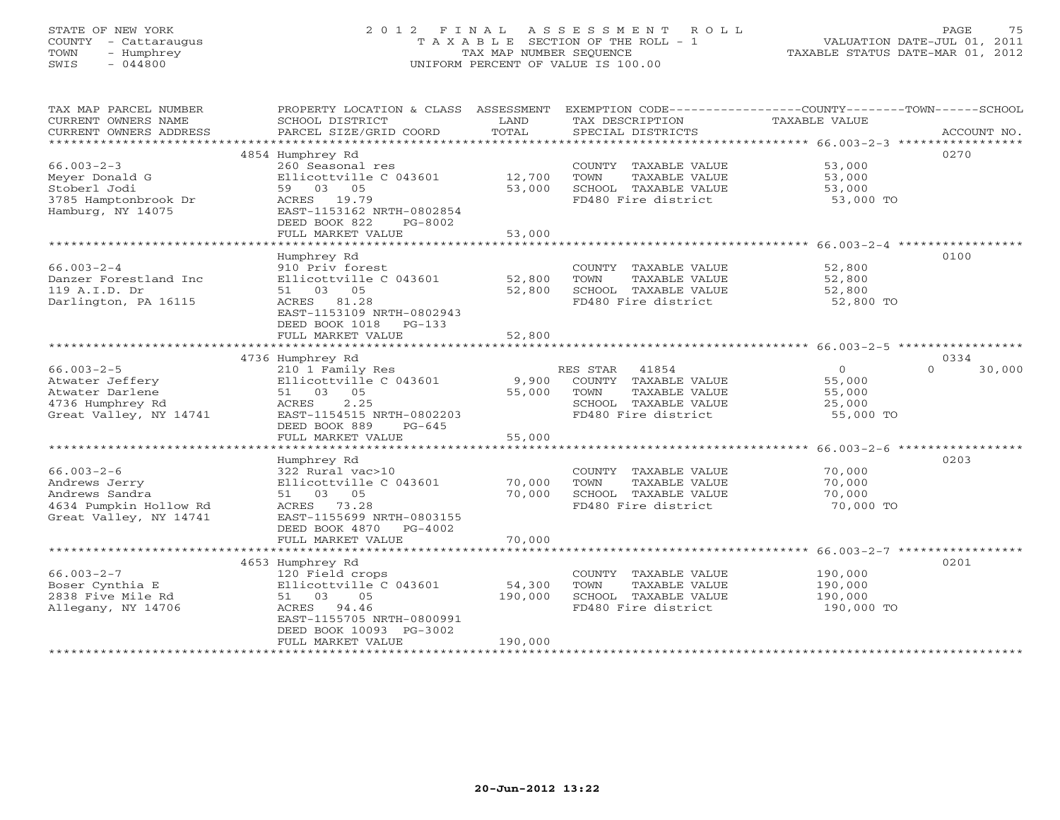# STATE OF NEW YORK 2 0 1 2 F I N A L A S S E S S M E N T R O L L PAGE 75 COUNTY - Cattaraugus T A X A B L E SECTION OF THE ROLL - 1 VALUATION DATE-JUL 01, 2011 TOWN - Humphrey TAX MAP NUMBER SEQUENCE TAXABLE STATUS DATE-MAR 01, 2012 SWIS - 044800 UNIFORM PERCENT OF VALUE IS 100.00UNIFORM PERCENT OF VALUE IS 100.00

| PARCEL SIZE/GRID COORD<br>TOTAL<br>CURRENT OWNERS ADDRESS<br>SPECIAL DISTRICTS<br>ACCOUNT NO. |
|-----------------------------------------------------------------------------------------------|
|                                                                                               |
| 0270<br>4854 Humphrey Rd                                                                      |
| $66.003 - 2 - 3$<br>260 Seasonal res<br>53,000<br>COUNTY TAXABLE VALUE                        |
| 12,700<br>Meyer Donald G<br>Ellicottville C 043601<br>TOWN<br>TAXABLE VALUE<br>53,000         |
| 53,000<br>Stoberl Jodi<br>59 03 05<br>SCHOOL TAXABLE VALUE<br>53,000                          |
| 3785 Hamptonbrook Dr<br>ACRES 19.79<br>FD480 Fire district<br>53,000 TO                       |
| Hamburg, NY 14075                                                                             |
| EAST-1153162 NRTH-0802854                                                                     |
| DEED BOOK 822<br>PG-8002                                                                      |
| FULL MARKET VALUE<br>53,000                                                                   |
|                                                                                               |
| 0100<br>Humphrey Rd                                                                           |
| $66.003 - 2 - 4$<br>910 Priv forest<br>52,800<br>COUNTY TAXABLE VALUE                         |
| Danzer Forestland Inc<br>Ellicottville C 043601<br>52,800<br>TOWN<br>TAXABLE VALUE<br>52,800  |
| 119 A.I.D. Dr<br>51 03 05<br>52,800<br>SCHOOL TAXABLE VALUE<br>52,800                         |
| ACRES 81.28<br>FD480 Fire district<br>Darlington, PA 16115<br>52,800 TO                       |
|                                                                                               |
| EAST-1153109 NRTH-0802943                                                                     |
| DEED BOOK 1018<br>PG-133                                                                      |
| FULL MARKET VALUE<br>52,800                                                                   |
|                                                                                               |
| 0334<br>4736 Humphrey Rd                                                                      |
| $66.003 - 2 - 5$<br>$\circ$<br>30,000<br>210 1 Family Res<br>RES STAR 41854<br>$\Omega$       |
| Atwater Jeffery<br>Ellicottville C 043601<br>9,900<br>COUNTY TAXABLE VALUE<br>55,000          |
| Atwater Darlene<br>51 03 05<br>55,000<br>TAXABLE VALUE<br>TOWN<br>55,000                      |
| 4736 Humphrey Rd<br>2.25<br>SCHOOL TAXABLE VALUE<br>ACRES<br>25,000                           |
| EAST-1154515 NRTH-0802203<br>55,000 TO                                                        |
| Great Valley, NY 14741<br>FD480 Fire district                                                 |
| DEED BOOK 889<br>$PG-645$                                                                     |
| 55,000<br>FULL MARKET VALUE                                                                   |
|                                                                                               |
| 0203<br>Humphrey Rd                                                                           |
| $66.003 - 2 - 6$<br>322 Rural vac>10<br>COUNTY TAXABLE VALUE<br>70,000                        |
| Andrews Jerry<br>Ellicottville C 043601<br>70,000<br>TOWN<br>TAXABLE VALUE<br>70,000          |
| Andrews Sandra<br>51 03 05<br>70,000<br>SCHOOL TAXABLE VALUE<br>70,000                        |
| 4634 Pumpkin Hollow Rd<br>ACRES 73.28<br>FD480 Fire district<br>70,000 TO                     |
| Great Valley, NY 14741<br>EAST-1155699 NRTH-0803155                                           |
|                                                                                               |
| DEED BOOK 4870 PG-4002                                                                        |
| FULL MARKET VALUE<br>70,000                                                                   |
|                                                                                               |
| 0201<br>4653 Humphrey Rd                                                                      |
| $66.003 - 2 - 7$<br>120 Field crops<br>190,000<br>COUNTY TAXABLE VALUE                        |
| 54,300<br>Boser Cynthia E<br>Ellicottville C 043601<br>TOWN<br>TAXABLE VALUE<br>190,000       |
| 2838 Five Mile Rd<br>51 03 05<br>190,000<br>SCHOOL TAXABLE VALUE<br>190,000                   |
| Allegany, NY 14706<br>FD480 Fire district<br>190,000 TO<br>ACRES 94.46                        |
| EAST-1155705 NRTH-0800991                                                                     |
| DEED BOOK 10093 PG-3002                                                                       |
| 190,000<br>FULL MARKET VALUE                                                                  |
|                                                                                               |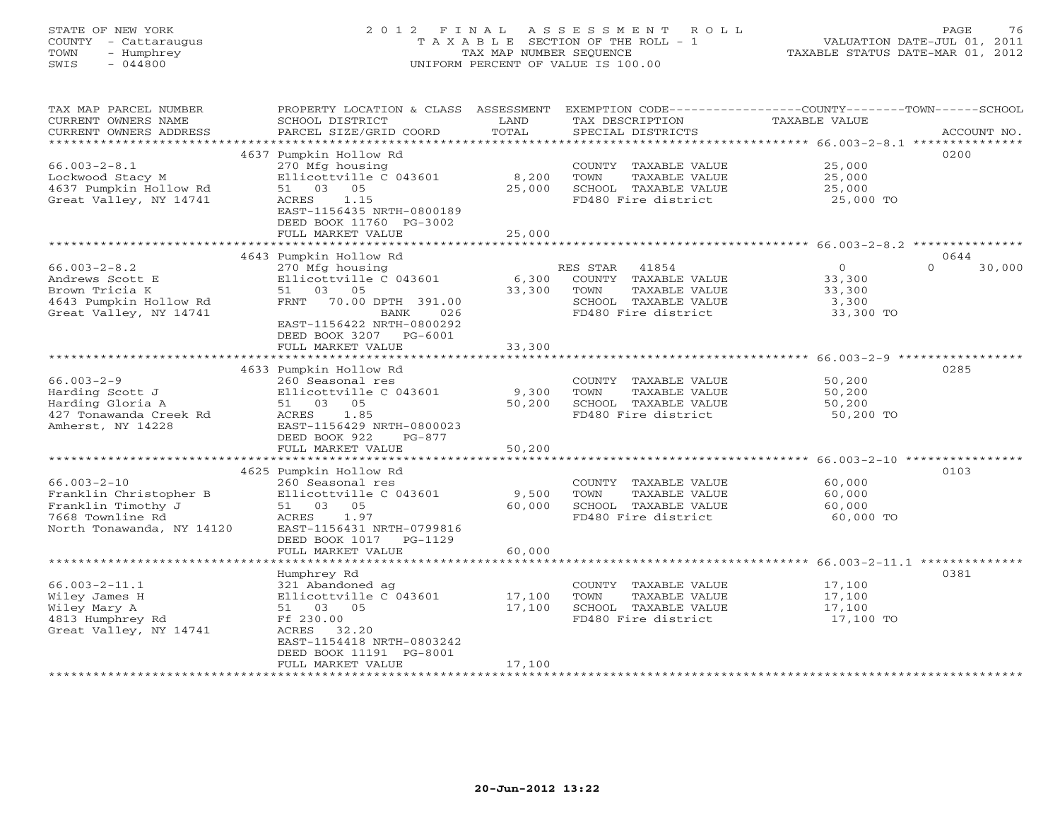# STATE OF NEW YORK 2 0 1 2 F I N A L A S S E S S M E N T R O L L PAGE 76 COUNTY - Cattaraugus T A X A B L E SECTION OF THE ROLL - 1 VALUATION DATE-JUL 01, 2011 TOWN - Humphrey TAX MAP NUMBER SEQUENCE TAXABLE STATUS DATE-MAR 01, 2012 SWIS - 044800 UNIFORM PERCENT OF VALUE IS 100.00UNIFORM PERCENT OF VALUE IS 100.00

| TAX MAP PARCEL NUMBER<br>CURRENT OWNERS NAME<br>CURRENT OWNERS ADDRESS | PROPERTY LOCATION & CLASS<br>SCHOOL DISTRICT<br>PARCEL SIZE/GRID COORD | ASSESSMENT<br>LAND<br>TOTAL | TAX DESCRIPTION<br>SPECIAL DISTRICTS          | EXEMPTION CODE-----------------COUNTY-------TOWN------SCHOOL<br>TAXABLE VALUE<br>ACCOUNT NO. |
|------------------------------------------------------------------------|------------------------------------------------------------------------|-----------------------------|-----------------------------------------------|----------------------------------------------------------------------------------------------|
| ******************                                                     |                                                                        |                             |                                               |                                                                                              |
|                                                                        | 4637 Pumpkin Hollow Rd                                                 |                             |                                               | 0200                                                                                         |
| $66.003 - 2 - 8.1$                                                     | 270 Mfg housing                                                        |                             | COUNTY TAXABLE VALUE                          | 25,000                                                                                       |
| Lockwood Stacy M                                                       | Ellicottville C 043601                                                 | 8,200                       | TOWN<br>TAXABLE VALUE                         | 25,000                                                                                       |
| 4637 Pumpkin Hollow Rd                                                 | 51 03 05                                                               | 25,000                      | SCHOOL TAXABLE VALUE                          | 25,000                                                                                       |
| Great Valley, NY 14741                                                 | <b>ACRES</b><br>1.15<br>EAST-1156435 NRTH-0800189                      |                             | FD480 Fire district                           | 25,000 TO                                                                                    |
|                                                                        | DEED BOOK 11760 PG-3002                                                |                             |                                               |                                                                                              |
|                                                                        | FULL MARKET VALUE                                                      | 25,000                      |                                               |                                                                                              |
|                                                                        |                                                                        |                             |                                               |                                                                                              |
|                                                                        | 4643 Pumpkin Hollow Rd                                                 |                             |                                               | 0644                                                                                         |
| $66.003 - 2 - 8.2$                                                     | 270 Mfg housing                                                        |                             | 41854<br>RES STAR                             | $\Omega$<br>$\Omega$<br>30,000                                                               |
| Andrews Scott E                                                        | Ellicottville C 043601                                                 | 6,300                       | COUNTY TAXABLE VALUE                          | 33,300                                                                                       |
| Brown Tricia K                                                         | 51 03 05                                                               | 33,300                      | TOWN<br>TAXABLE VALUE                         | 33,300                                                                                       |
| 4643 Pumpkin Hollow Rd                                                 | 70.00 DPTH 391.00<br>FRNT                                              |                             | SCHOOL TAXABLE VALUE                          | 3,300                                                                                        |
| Great Valley, NY 14741                                                 | BANK<br>026                                                            |                             | FD480 Fire district                           | 33,300 TO                                                                                    |
|                                                                        | EAST-1156422 NRTH-0800292                                              |                             |                                               |                                                                                              |
|                                                                        | DEED BOOK 3207<br>$PG-6001$<br>FULL MARKET VALUE                       |                             |                                               |                                                                                              |
|                                                                        |                                                                        | 33,300<br>***********       |                                               | ****************************** 66.003-2-9 ************                                       |
|                                                                        | 4633 Pumpkin Hollow Rd                                                 |                             |                                               | 0285                                                                                         |
| $66.003 - 2 - 9$                                                       | 260 Seasonal res                                                       |                             | COUNTY TAXABLE VALUE                          | 50,200                                                                                       |
| Harding Scott J                                                        | Ellicottville C 043601                                                 | 9,300                       | TOWN<br>TAXABLE VALUE                         | 50,200                                                                                       |
| Harding Gloria A                                                       | 51 03 05                                                               | 50,200                      | SCHOOL TAXABLE VALUE                          | 50,200                                                                                       |
| 427 Tonawanda Creek Rd                                                 | ACRES<br>1.85                                                          |                             | FD480 Fire district                           | 50,200 TO                                                                                    |
| Amherst, NY 14228                                                      | EAST-1156429 NRTH-0800023                                              |                             |                                               |                                                                                              |
|                                                                        | DEED BOOK 922<br>$PG-877$                                              |                             |                                               |                                                                                              |
|                                                                        | FULL MARKET VALUE                                                      | 50,200                      |                                               |                                                                                              |
|                                                                        |                                                                        |                             |                                               |                                                                                              |
| $66.003 - 2 - 10$                                                      | 4625 Pumpkin Hollow Rd<br>260 Seasonal res                             |                             |                                               | 0103<br>60,000                                                                               |
| Franklin Christopher B                                                 | Ellicottville C 043601                                                 | 9,500                       | COUNTY TAXABLE VALUE<br>TOWN<br>TAXABLE VALUE | 60,000                                                                                       |
| Franklin Timothy J                                                     | 51 03 05                                                               | 60,000                      | SCHOOL TAXABLE VALUE                          | 60,000                                                                                       |
| 7668 Townline Rd                                                       | ACRES<br>1.97                                                          |                             | FD480 Fire district                           | 60,000 TO                                                                                    |
| North Tonawanda, NY 14120                                              | EAST-1156431 NRTH-0799816                                              |                             |                                               |                                                                                              |
|                                                                        | DEED BOOK 1017<br>$PG-1129$                                            |                             |                                               |                                                                                              |
|                                                                        | FULL MARKET VALUE                                                      | 60,000                      |                                               |                                                                                              |
|                                                                        |                                                                        |                             |                                               | ***** 66.003-2-11.1 ***                                                                      |
|                                                                        | Humphrey Rd                                                            |                             |                                               | 0381                                                                                         |
| $66.003 - 2 - 11.1$                                                    | 321 Abandoned ag                                                       |                             | COUNTY TAXABLE VALUE                          | 17,100                                                                                       |
| Wiley James H                                                          | Ellicottville C 043601                                                 | 17,100                      | TOWN<br>TAXABLE VALUE                         | 17,100                                                                                       |
| Wiley Mary A<br>4813 Humphrey Rd                                       | 51 03 05<br>Ff 230.00                                                  | 17,100                      | SCHOOL TAXABLE VALUE<br>FD480 Fire district   | 17,100<br>17,100 TO                                                                          |
| Great Valley, NY 14741                                                 | ACRES<br>32.20                                                         |                             |                                               |                                                                                              |
|                                                                        | EAST-1154418 NRTH-0803242                                              |                             |                                               |                                                                                              |
|                                                                        | DEED BOOK 11191 PG-8001                                                |                             |                                               |                                                                                              |
|                                                                        | FULL MARKET VALUE                                                      | 17,100                      |                                               |                                                                                              |
|                                                                        | *********************                                                  |                             |                                               |                                                                                              |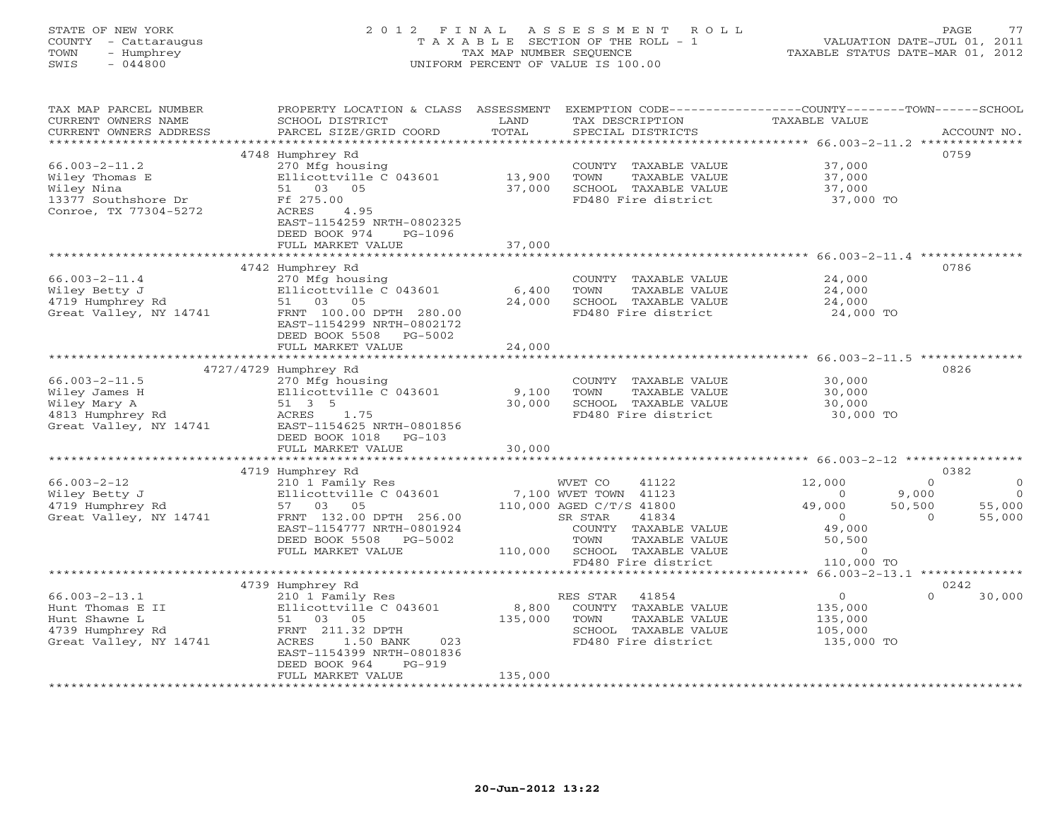| STATE OF NEW YORK<br>COUNTY<br>- Cattaraugus<br>- Humphrey<br>TOWN<br>$-044800$<br>SWIS | 2 0 1 2<br>TAXABLE         | FINAL<br>TAX MAP NUMBER SEOUENCE | ASSESSMENT<br>R O L L<br>SECTION OF THE ROLL - 1<br>UNIFORM PERCENT OF VALUE IS 100.00 | VALUATION DATE-JUL 01,<br>TAXABLE STATUS DATE-MAR 01, 2012 | 77<br>PAGE<br>2011 |
|-----------------------------------------------------------------------------------------|----------------------------|----------------------------------|----------------------------------------------------------------------------------------|------------------------------------------------------------|--------------------|
| TAX MAP PARCEL NUMBER                                                                   | PROPERTY LOCATION & CLASS  | ASSESSMENT                       | EXEMPTION CODE-----------------COUNTY-------                                           |                                                            | -TOWN------SCHOOL  |
| CURRENT OWNERS NAME                                                                     | SCHOOL DISTRICT            | LAND                             | TAX DESCRIPTION                                                                        | TAXABLE VALUE                                              |                    |
| CURRENT OWNERS ADDRESS                                                                  | PARCEL SIZE/GRID COORD     | TOTAL                            | SPECIAL DISTRICTS                                                                      |                                                            | ACCOUNT NO.        |
| ************************                                                                |                            |                                  |                                                                                        |                                                            | **************     |
|                                                                                         | 4748 Humphrey Rd           |                                  |                                                                                        |                                                            | 0759               |
| 66.003-2-11.2                                                                           | 270 Mfg housing            |                                  | COUNTY<br>TAXABLE VALUE                                                                | 37,000                                                     |                    |
| Wiley Thomas E                                                                          | Ellicottville C 043601     | 13,900                           | TOWN<br>TAXABLE VALUE                                                                  | 37,000                                                     |                    |
| Wiley Nina                                                                              | 51 03<br>05                | 37,000                           | SCHOOL<br>TAXABLE VALUE                                                                | 37,000                                                     |                    |
| 13377 Southshore Dr                                                                     | Ff 275.00                  |                                  | FD480 Fire district                                                                    | 37,000 TO                                                  |                    |
| Conroe, TX 77304-5272                                                                   | 4.95<br>ACRES              |                                  |                                                                                        |                                                            |                    |
|                                                                                         | EAST-1154259 NRTH-0802325  |                                  |                                                                                        |                                                            |                    |
|                                                                                         | DEED BOOK 974<br>$PG-1096$ |                                  |                                                                                        |                                                            |                    |

|                        | EAST-1154259 NRTH-0802325<br>DEED BOOK 974<br>PG-1096                                                  |                                   |                                          |
|------------------------|--------------------------------------------------------------------------------------------------------|-----------------------------------|------------------------------------------|
|                        | FULL MARKET VALUE                                                                                      | 37,000                            |                                          |
|                        |                                                                                                        |                                   | $66.003 - 2 - 11.4$ **************       |
|                        | 4742 Humphrey Rd                                                                                       |                                   | 0786                                     |
| $66.003 - 2 - 11.4$    | 270 Mfg housing                                                                                        | <b>COUNTY</b><br>TAXABLE VALUE    | 24,000                                   |
| Wiley Betty J          | Ellicottville C 043601                                                                                 | 6,400<br>TOWN<br>TAXABLE VALUE    | 24,000                                   |
| 4719 Humphrey Rd       | 03 05<br>51                                                                                            | 24,000<br>SCHOOL TAXABLE VALUE    | 24,000                                   |
| Great Valley, NY 14741 | FRNT 100.00 DPTH 280.00<br>EAST-1154299 NRTH-0802172<br>DEED BOOK 5508<br>PG-5002<br>FULL MARKET VALUE | FD480 Fire district<br>24,000     | 24,000 TO                                |
|                        |                                                                                                        |                                   | $66.003 - 2 - 11.5$ *********            |
|                        | 4727/4729 Humphrey Rd                                                                                  |                                   | 0826                                     |
| $66.003 - 2 - 11.5$    | 270 Mfg housing                                                                                        | COUNTY<br>TAXABLE VALUE           | 30,000                                   |
| Wiley James H          | Ellicottville C 043601                                                                                 | 9,100<br>TOWN<br>TAXABLE VALUE    | 30,000                                   |
| Wiley Mary A           | 51 3 5                                                                                                 | SCHOOL<br>30,000<br>TAXABLE VALUE | 30,000                                   |
| 4813 Humphrey Rd       | 1.75<br>ACRES                                                                                          | FD480 Fire district               | 30,000 TO                                |
| Great Valley, NY 14741 | EAST-1154625 NRTH-0801856<br>DEED BOOK 1018<br>$PG-103$                                                |                                   |                                          |
|                        | FULL MARKET VALUE                                                                                      | 30,000                            |                                          |
|                        |                                                                                                        |                                   | $66.003 - 2 - 12$ *****                  |
| $66.003 - 2 - 12$      | 4719 Humphrey Rd                                                                                       | 41122                             | 0382<br>12,000<br>$\Omega$               |
| Wiley Betty J          | 210 1 Family Res<br>Ellicottville C 043601                                                             | WVET CO<br>7,100 WVET TOWN 41123  | $\circ$<br>9,000<br>$\Omega$<br>$\Omega$ |
| 4719 Humphrey Rd       | 03<br>05<br>57                                                                                         | 110,000 AGED C/T/S 41800          | 49,000<br>50,500<br>55,000               |
| Great Valley, NY 14741 | FRNT 132.00 DPTH 256.00                                                                                | SR STAR<br>41834                  | 55,000<br>$\Omega$<br>$\Omega$           |
|                        | EAST-1154777 NRTH-0801924                                                                              | COUNTY TAXABLE VALUE              | 49,000                                   |
|                        | DEED BOOK 5508<br>PG-5002                                                                              | TOWN<br>TAXABLE VALUE             | 50,500                                   |
|                        | FULL MARKET VALUE                                                                                      | 110,000<br>SCHOOL TAXABLE VALUE   | $\circ$                                  |
|                        |                                                                                                        | FD480 Fire district               | 110,000 TO                               |
|                        |                                                                                                        |                                   | $66.003 - 2 - 13.1$ **************       |
|                        | 4739 Humphrey Rd                                                                                       |                                   | 0242                                     |
| $66.003 - 2 - 13.1$    | 210 1 Family Res                                                                                       | 41854<br>RES STAR                 | 30,000<br>$\Omega$<br>$\Omega$           |
| Hunt Thomas E II       | Ellicottville C 043601                                                                                 | COUNTY<br>TAXABLE VALUE<br>8,800  | 135,000                                  |
| Hunt Shawne L          | 03<br>05<br>51                                                                                         | 135,000<br>TOWN<br>TAXABLE VALUE  | 135,000                                  |
| 4739 Humphrey Rd       | FRNT 211.32 DPTH                                                                                       | SCHOOL<br>TAXABLE VALUE           | 105,000                                  |
| Great Valley, NY 14741 | 1.50 BANK<br>ACRES<br>023<br>EAST-1154399 NRTH-0801836<br>DEED BOOK 964<br>$PG-919$                    | FD480 Fire district               | 135,000 TO                               |
|                        | FULL MARKET VALUE                                                                                      | 135,000                           |                                          |
|                        |                                                                                                        |                                   |                                          |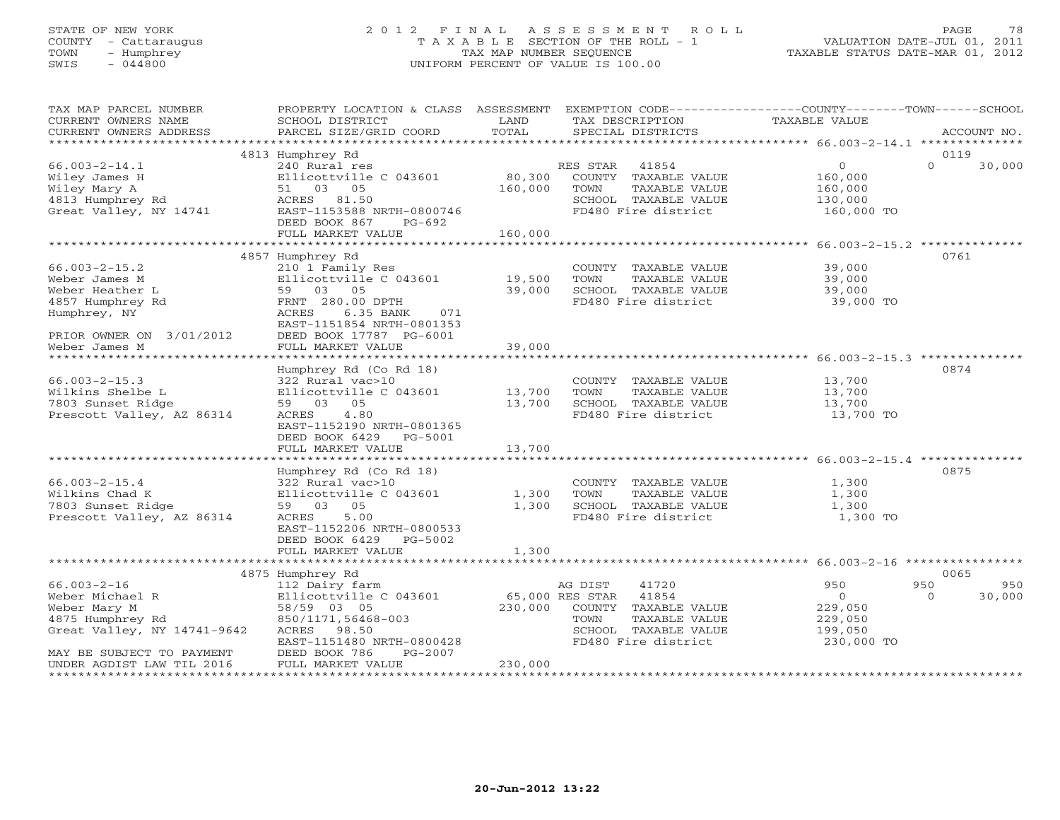# STATE OF NEW YORK 2 0 1 2 F I N A L A S S E S S M E N T R O L L PAGE 78 COUNTY - Cattaraugus T A X A B L E SECTION OF THE ROLL - 1 VALUATION DATE-JUL 01, 2011 TOWN - Humphrey TAX MAP NUMBER SEQUENCE TAXABLE STATUS DATE-MAR 01, 2012 SWIS - 044800 UNIFORM PERCENT OF VALUE IS 100.00UNIFORM PERCENT OF VALUE IS 100.00

| TAX MAP PARCEL NUMBER<br>CURRENT OWNERS NAME<br>CURRENT OWNERS ADDRESS                                                               | PROPERTY LOCATION & CLASS ASSESSMENT EXEMPTION CODE---------------COUNTY-------TOWN------SCHOOL<br>SCHOOL DISTRICT<br>PARCEL SIZE/GRID COORD                                           | LAND<br>TOTAL           | TAX DESCRIPTION<br>SPECIAL DISTRICTS                                                                                              | TAXABLE VALUE                                                                           | ACCOUNT NO.   |
|--------------------------------------------------------------------------------------------------------------------------------------|----------------------------------------------------------------------------------------------------------------------------------------------------------------------------------------|-------------------------|-----------------------------------------------------------------------------------------------------------------------------------|-----------------------------------------------------------------------------------------|---------------|
|                                                                                                                                      |                                                                                                                                                                                        |                         |                                                                                                                                   |                                                                                         |               |
|                                                                                                                                      | 4813 Humphrey Rd                                                                                                                                                                       |                         |                                                                                                                                   |                                                                                         | 0119          |
| $66.003 - 2 - 14.1$<br>Wiley James H<br>Wiley Mary A<br>4813 Humphrey Rd<br>Great Valley, NY 14741                                   | 240 Rural res<br>Ellicottville C 043601<br>51 03 05<br>ACRES 81.50<br>EAST-1153588 NRTH-0800746<br>DEED BOOK 867<br>PG-692                                                             | 80,300<br>160,000       | RES STAR 41854<br>COUNTY TAXABLE VALUE<br>TOWN<br>TAXABLE VALUE<br>SCHOOL TAXABLE VALUE<br>FD480 Fire district                    | $\overline{0}$<br>$\Omega$<br>160,000<br>160,000<br>130,000<br>160,000 TO               | 30,000        |
|                                                                                                                                      | FULL MARKET VALUE                                                                                                                                                                      | 160,000                 |                                                                                                                                   |                                                                                         |               |
|                                                                                                                                      |                                                                                                                                                                                        |                         |                                                                                                                                   |                                                                                         |               |
| $66.003 - 2 - 15.2$<br>Weber James M<br>Weber Heather L<br>4857 Humphrey Rd<br>Humphrey, NY<br>PRIOR OWNER ON 3/01/2012              | 4857 Humphrey Rd<br>210 1 Family Res<br>Ellicottville C 043601<br>59 03 05<br>FRNT 280.00 DPTH<br>ACRES<br>6.35 BANK<br>071<br>EAST-1151854 NRTH-0801353<br>DEED BOOK 17787 PG-6001    | 19,500<br>39,000        | COUNTY TAXABLE VALUE<br>TOWN<br>TAXABLE VALUE<br>SCHOOL TAXABLE VALUE<br>FD480 Fire district                                      | 39,000<br>39,000<br>39,000<br>39,000 TO                                                 | 0761          |
| Weber James M                                                                                                                        | FULL MARKET VALUE                                                                                                                                                                      | 39,000                  |                                                                                                                                   |                                                                                         |               |
|                                                                                                                                      |                                                                                                                                                                                        |                         |                                                                                                                                   |                                                                                         |               |
| $66.003 - 2 - 15.3$<br>Wilkins Shelbe L<br>7803 Sunset Ridge<br>Prescott Valley, AZ 86314                                            | Humphrey Rd (Co Rd 18)<br>322 Rural vac>10<br>Ellicottville C $043601$ 13,700<br>59 03 05<br>4.80<br>ACRES<br>EAST-1152190 NRTH-0801365<br>DEED BOOK 6429 PG-5001<br>FULL MARKET VALUE | 13,700<br>13,700        | COUNTY TAXABLE VALUE<br>TOWN<br>TAXABLE VALUE<br>SCHOOL TAXABLE VALUE<br>FD480 Fire district                                      | 13,700<br>13,700<br>13,700<br>13,700 TO                                                 | 0874          |
|                                                                                                                                      |                                                                                                                                                                                        |                         |                                                                                                                                   |                                                                                         |               |
| $66.003 - 2 - 15.4$<br>Wilkins Chad K<br>7803 Sunset Ridge<br>Prescott Valley, AZ 86314                                              | Humphrey Rd (Co Rd 18)<br>322 Rural vac>10<br>Ellicottville C 043601<br>59 03 05<br>ACRES<br>5.00<br>EAST-1152206 NRTH-0800533<br>DEED BOOK 6429 PG-5002<br>FULL MARKET VALUE          | 1,300<br>1,300<br>1,300 | COUNTY TAXABLE VALUE<br>TOWN<br>TAXABLE VALUE<br>SCHOOL TAXABLE VALUE<br>FD480 Fire district                                      | 1,300<br>1,300<br>1,300<br>1,300 TO                                                     | 0875          |
|                                                                                                                                      |                                                                                                                                                                                        |                         |                                                                                                                                   |                                                                                         |               |
|                                                                                                                                      | 4875 Humphrey Rd                                                                                                                                                                       |                         |                                                                                                                                   |                                                                                         | 0065          |
| $66.003 - 2 - 16$<br>Weber Michael R<br>Weber Mary M<br>4875 Humphrey Rd<br>Great Valley, NY 14741-9642<br>MAY BE SUBJECT TO PAYMENT | 112 Dairy farm<br>Ellicottville C 043601<br>58/59 03 05<br>850/1171,56468-003<br>ACRES 98.50<br>EAST-1151480 NRTH-0800428<br>DEED BOOK 786<br>PG-2007                                  | 65,000 RES STAR         | AG DIST<br>41720<br>41854<br>230,000 COUNTY TAXABLE VALUE<br>TOWN<br>TAXABLE VALUE<br>SCHOOL TAXABLE VALUE<br>FD480 Fire district | 950<br>950<br>$\overline{0}$<br>$\Omega$<br>229,050<br>229,050<br>199,050<br>230,000 TO | 950<br>30,000 |
| UNDER AGDIST LAW TIL 2016                                                                                                            | FULL MARKET VALUE                                                                                                                                                                      | 230,000                 |                                                                                                                                   |                                                                                         |               |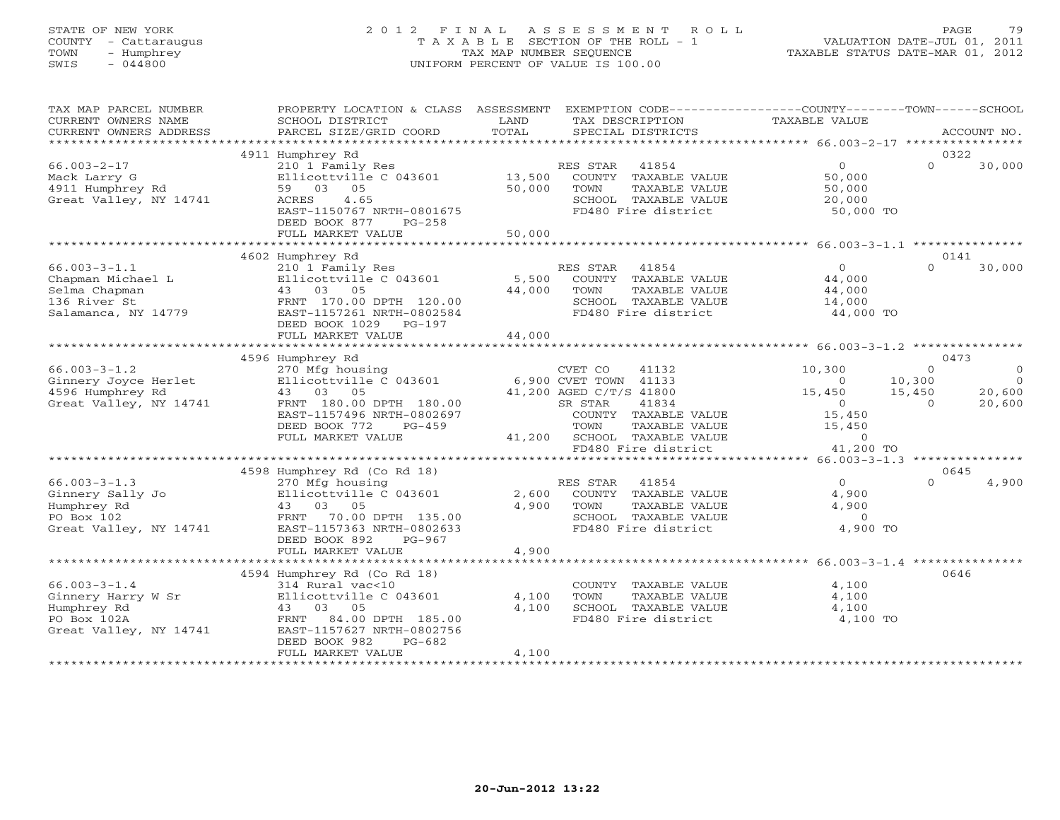# STATE OF NEW YORK 2 0 1 2 F I N A L A S S E S S M E N T R O L L PAGE 79 COUNTY - Cattaraugus T A X A B L E SECTION OF THE ROLL - 1 VALUATION DATE-JUL 01, 2011 TOWN - Humphrey TAX MAP NUMBER SEQUENCE TAXABLE STATUS DATE-MAR 01, 2012 SWIS - 044800 UNIFORM PERCENT OF VALUE IS 100.00UNIFORM PERCENT OF VALUE IS 100.00

| TAX MAP PARCEL NUMBER<br>CURRENT OWNERS NAME<br>CURRENT OWNERS ADDRESS                           | PROPERTY LOCATION & CLASS ASSESSMENT<br>SCHOOL DISTRICT<br>PARCEL SIZE/GRID COORD                                                                                                                                  | LAND<br>TOTAL                             | EXEMPTION CODE-----------------COUNTY-------TOWN------SCHOOL<br>TAX DESCRIPTION<br>SPECIAL DISTRICTS                                                                                     | <b>TAXABLE VALUE</b>                                                                                           |                                                          | ACCOUNT NO.                             |
|--------------------------------------------------------------------------------------------------|--------------------------------------------------------------------------------------------------------------------------------------------------------------------------------------------------------------------|-------------------------------------------|------------------------------------------------------------------------------------------------------------------------------------------------------------------------------------------|----------------------------------------------------------------------------------------------------------------|----------------------------------------------------------|-----------------------------------------|
|                                                                                                  |                                                                                                                                                                                                                    |                                           |                                                                                                                                                                                          |                                                                                                                |                                                          |                                         |
| $66.003 - 2 - 17$<br>Mack Larry G<br>4911 Humphrey Rd<br>Great Valley, NY 14741                  | 4911 Humphrey Rd<br>210 1 Family Res<br>Ellicottville C 043601<br>59 03 05<br>4.65<br>ACRES<br>EAST-1150767 NRTH-0801675<br>DEED BOOK 877<br>$PG-258$                                                              | 13,500<br>50,000                          | RES STAR<br>41854<br>COUNTY TAXABLE VALUE<br>TAXABLE VALUE<br>TOWN<br>SCHOOL TAXABLE VALUE<br>FD480 Fire district                                                                        | $\Omega$<br>50,000<br>50,000<br>20,000<br>50,000 TO                                                            | 0322<br>$\Omega$                                         | 30,000                                  |
|                                                                                                  | FULL MARKET VALUE                                                                                                                                                                                                  | 50,000                                    |                                                                                                                                                                                          |                                                                                                                |                                                          |                                         |
| $66.003 - 3 - 1.1$<br>Chapman Michael L<br>Selma Chapman<br>136 River St<br>Salamanca, NY 14779  | 4602 Humphrey Rd<br>210 1 Family Res<br>Ellicottville C 043601<br>43 03 05<br>FRNT 170.00 DPTH 120.00<br>EAST-1157261 NRTH-0802584<br>DEED BOOK 1029 PG-197                                                        | 5,500<br>44,000                           | RES STAR<br>41854<br>COUNTY TAXABLE VALUE<br>TOWN<br>TAXABLE VALUE<br>SCHOOL TAXABLE VALUE<br>FD480 Fire district                                                                        | $\overline{0}$<br>44,000<br>44,000<br>14,000<br>44,000 TO                                                      | 0141<br>$\Omega$                                         | 30,000                                  |
|                                                                                                  | FULL MARKET VALUE                                                                                                                                                                                                  | 44,000                                    |                                                                                                                                                                                          |                                                                                                                |                                                          |                                         |
|                                                                                                  |                                                                                                                                                                                                                    |                                           |                                                                                                                                                                                          |                                                                                                                |                                                          |                                         |
| $66.003 - 3 - 1.2$<br>Ginnery Joyce Herlet<br>4596 Humphrey Rd<br>Great Valley, NY 14741         | 4596 Humphrey Rd<br>270 Mfg housing<br>Ellicottville C 043601<br>43 03 05<br>FRNT 180.00 DPTH 180.00<br>EAST-1157496 NRTH-0802697<br>DEED BOOK 772<br>$PG-459$<br>FULL MARKET VALUE<br>4598 Humphrey Rd (Co Rd 18) | 41,200                                    | CVET CO<br>41132<br>6,900 CVET TOWN 41133<br>41,200 AGED C/T/S 41800<br>SR STAR<br>41834<br>COUNTY TAXABLE VALUE<br>TOWN<br>TAXABLE VALUE<br>SCHOOL TAXABLE VALUE<br>FD480 Fire district | 10,300<br>$\Omega$<br>15,450<br>$\overline{O}$<br>15,450<br>15,450<br>$\circ$<br>41,200 TO                     | 0473<br>$\Omega$<br>10,300<br>15,450<br>$\Omega$<br>0645 | $\circ$<br>$\Omega$<br>20,600<br>20,600 |
| $66.003 - 3 - 1.3$<br>Ginnery Sally Jo<br>Humphrey Rd<br>PO Box 102<br>Great Valley, NY 14741    | 270 Mfg housing<br>Ellicottville C 043601<br>43 03 05<br>FRNT<br>70.00 DPTH 135.00<br>EAST-1157363 NRTH-0802633<br>DEED BOOK 892<br>$PG-967$<br>FULL MARKET VALUE<br>*****************************                 | 2,600<br>4,900<br>4,900<br>************** | RES STAR<br>41854<br>COUNTY TAXABLE VALUE<br>TOWN<br>TAXABLE VALUE<br>SCHOOL TAXABLE VALUE<br>FD480 Fire district                                                                        | $\Omega$<br>4,900<br>4,900<br>$\overline{0}$<br>4,900 TO<br>********************* 66.003-3-1.4 *************** | $\Omega$                                                 | 4,900                                   |
|                                                                                                  | 4594 Humphrey Rd (Co Rd 18)                                                                                                                                                                                        |                                           |                                                                                                                                                                                          |                                                                                                                | 0646                                                     |                                         |
| $66.003 - 3 - 1.4$<br>Ginnery Harry W Sr<br>Humphrey Rd<br>PO Box 102A<br>Great Valley, NY 14741 | 314 Rural vac<10<br>Ellicottville C 043601<br>43 03 05<br>84.00 DPTH 185.00<br>FRNT<br>EAST-1157627 NRTH-0802756<br>DEED BOOK 982<br>$PG-682$                                                                      | 4,100<br>4,100                            | COUNTY TAXABLE VALUE<br>TOWN<br>TAXABLE VALUE<br>SCHOOL TAXABLE VALUE<br>FD480 Fire district                                                                                             | 4,100<br>4,100<br>4,100<br>4,100 TO                                                                            |                                                          |                                         |
|                                                                                                  | FULL MARKET VALUE                                                                                                                                                                                                  | 4,100                                     |                                                                                                                                                                                          |                                                                                                                |                                                          |                                         |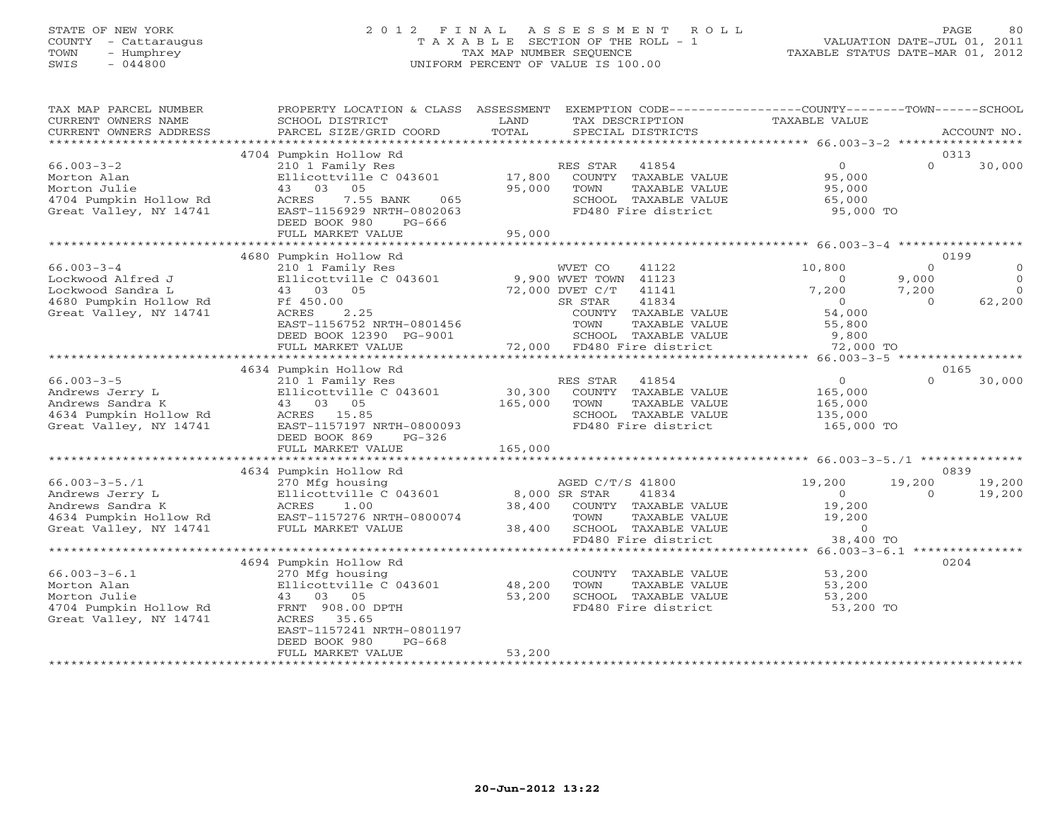## STATE OF NEW YORK 2 0 1 2 F I N A L A S S E S S M E N T R O L L PAGE 80 COUNTY - Cattaraugus T A X A B L E SECTION OF THE ROLL - 1 VALUATION DATE-JUL 01, 2011 TOWN - Humphrey TAX MAP NUMBER SEQUENCE TAXABLE STATUS DATE-MAR 01, 2012 SWIS - 044800 UNIFORM PERCENT OF VALUE IS 100.00UNIFORM PERCENT OF VALUE IS 100.00

| TAX MAP PARCEL NUMBER<br>CURRENT OWNERS NAME<br>CURRENT OWNERS ADDRESS                                         | PROPERTY LOCATION & CLASS ASSESSMENT<br>SCHOOL DISTRICT<br>PARCEL SIZE/GRID COORD                                                      | LAND<br>TOTAL                     | EXEMPTION CODE-----------------COUNTY-------TOWN------SCHOOL<br>TAX DESCRIPTION<br>SPECIAL DISTRICTS                                       | TAXABLE VALUE                                               | ACCOUNT NO.                                                                          |
|----------------------------------------------------------------------------------------------------------------|----------------------------------------------------------------------------------------------------------------------------------------|-----------------------------------|--------------------------------------------------------------------------------------------------------------------------------------------|-------------------------------------------------------------|--------------------------------------------------------------------------------------|
|                                                                                                                |                                                                                                                                        |                                   |                                                                                                                                            |                                                             |                                                                                      |
|                                                                                                                | 4704 Pumpkin Hollow Rd                                                                                                                 |                                   |                                                                                                                                            |                                                             | 0313                                                                                 |
| $66.003 - 3 - 2$<br>Morton Alan<br>Morton Julie<br>4704 Pumpkin Hollow Rd<br>Great Valley, NY 14741            | 210 1 Family Res<br>Ellicottville C 043601<br>43 03 05<br>7.55 BANK<br>ACRES<br>065<br>EAST-1156929 NRTH-0802063                       | 17,800<br>95,000                  | RES STAR 41854<br>COUNTY TAXABLE VALUE<br>TOWN<br>TAXABLE VALUE<br>SCHOOL TAXABLE VALUE<br>FD480 Fire district                             | $\overline{0}$<br>95,000<br>95,000<br>65,000<br>95,000 TO   | $\Omega$<br>30,000                                                                   |
|                                                                                                                | DEED BOOK 980<br>PG-666<br>FULL MARKET VALUE                                                                                           | 95,000                            |                                                                                                                                            |                                                             |                                                                                      |
|                                                                                                                |                                                                                                                                        |                                   |                                                                                                                                            |                                                             |                                                                                      |
|                                                                                                                | 4680 Pumpkin Hollow Rd                                                                                                                 |                                   |                                                                                                                                            |                                                             | 0199                                                                                 |
| $66.003 - 3 - 4$<br>Lockwood Alfred J<br>Lockwood Sandra L<br>4680 Pumpkin Hollow Rd<br>Great Valley, NY 14741 | 210 1 Family Res<br>Ellicottville C 043601<br>43 03 05<br>Ff 450.00<br>2.25<br>ACRES<br>EAST-1156752 NRTH-0801456                      |                                   | WVET CO<br>41122<br>9,900 WVET TOWN 41123<br>72,000 DVET C/T<br>41141<br>41834<br>SR STAR<br>COUNTY TAXABLE VALUE<br>TOWN<br>TAXABLE VALUE | 10,800<br>$\Omega$<br>7,200<br>$\Omega$<br>54,000<br>55,800 | $\Omega$<br>$\Omega$<br>9,000<br>$\Omega$<br>$\Omega$<br>7,200<br>$\Omega$<br>62,200 |
|                                                                                                                | DEED BOOK 12390 PG-9001                                                                                                                |                                   | SCHOOL TAXABLE VALUE<br>72,000 FD480 Fire district                                                                                         | 9,800<br>72,000 TO                                          |                                                                                      |
|                                                                                                                | FULL MARKET VALUE                                                                                                                      |                                   |                                                                                                                                            |                                                             |                                                                                      |
|                                                                                                                | 4634 Pumpkin Hollow Rd                                                                                                                 |                                   |                                                                                                                                            |                                                             | 0165                                                                                 |
| $66.003 - 3 - 5$<br>Andrews Jerry L<br>Andrews Sandra K<br>4634 Pumpkin Hollow Rd<br>Great Valley, NY 14741    | 210 1 Family Res<br>Ellicottville C 043601<br>43 03 05<br>ACRES 15.85<br>EAST-1157197 NRTH-0800093<br>DEED BOOK 869<br>$PG-326$        | 30,300<br>165,000                 | RES STAR<br>41854<br>COUNTY TAXABLE VALUE<br>TAXABLE VALUE<br>TOWN<br>SCHOOL TAXABLE VALUE<br>FD480 Fire district                          | 0<br>165,000<br>165,000<br>135,000<br>165,000 TO            | $\Omega$<br>30,000                                                                   |
|                                                                                                                | FULL MARKET VALUE                                                                                                                      | 165,000                           |                                                                                                                                            |                                                             |                                                                                      |
|                                                                                                                |                                                                                                                                        |                                   |                                                                                                                                            |                                                             |                                                                                      |
| $66.003 - 3 - 5.71$<br>Andrews Jerry L<br>Andrews Sandra K<br>4634 Pumpkin Hollow Rd<br>Great Valley, NY 14741 | 4634 Pumpkin Hollow Rd<br>270 Mfg housing<br>Ellicottville C 043601<br>1.00<br>ACRES<br>EAST-1157276 NRTH-0800074<br>FULL MARKET VALUE | 8,000 SR STAR<br>38,400<br>38,400 | AGED C/T/S 41800<br>41834<br>COUNTY TAXABLE VALUE<br>TOWN<br>TAXABLE VALUE<br>SCHOOL TAXABLE VALUE                                         | 19,200<br>$\circ$<br>19,200<br>19,200<br>$\overline{0}$     | 0839<br>19,200<br>19,200<br>19,200<br>$\Omega$                                       |
|                                                                                                                |                                                                                                                                        |                                   | FD480 Fire district                                                                                                                        | 38,400 TO                                                   |                                                                                      |
| $66.003 - 3 - 6.1$                                                                                             | 4694 Pumpkin Hollow Rd<br>270 Mfg housing                                                                                              |                                   | COUNTY TAXABLE VALUE                                                                                                                       | 53,200                                                      | 0204                                                                                 |
| Morton Alan<br>Morton Julie<br>4704 Pumpkin Hollow Rd<br>Great Valley, NY 14741                                | Ellicottville C 043601<br>43 03 05<br>FRNT 908.00 DPTH<br>ACRES 35.65<br>EAST-1157241 NRTH-0801197<br>DEED BOOK 980<br>$PG-668$        | 48,200<br>53,200                  | TOWN<br>TAXABLE VALUE<br>SCHOOL TAXABLE VALUE<br>FD480 Fire district                                                                       | 53,200<br>53,200<br>53,200 TO                               |                                                                                      |
|                                                                                                                | FULL MARKET VALUE<br>************************                                                                                          | 53,200                            |                                                                                                                                            |                                                             |                                                                                      |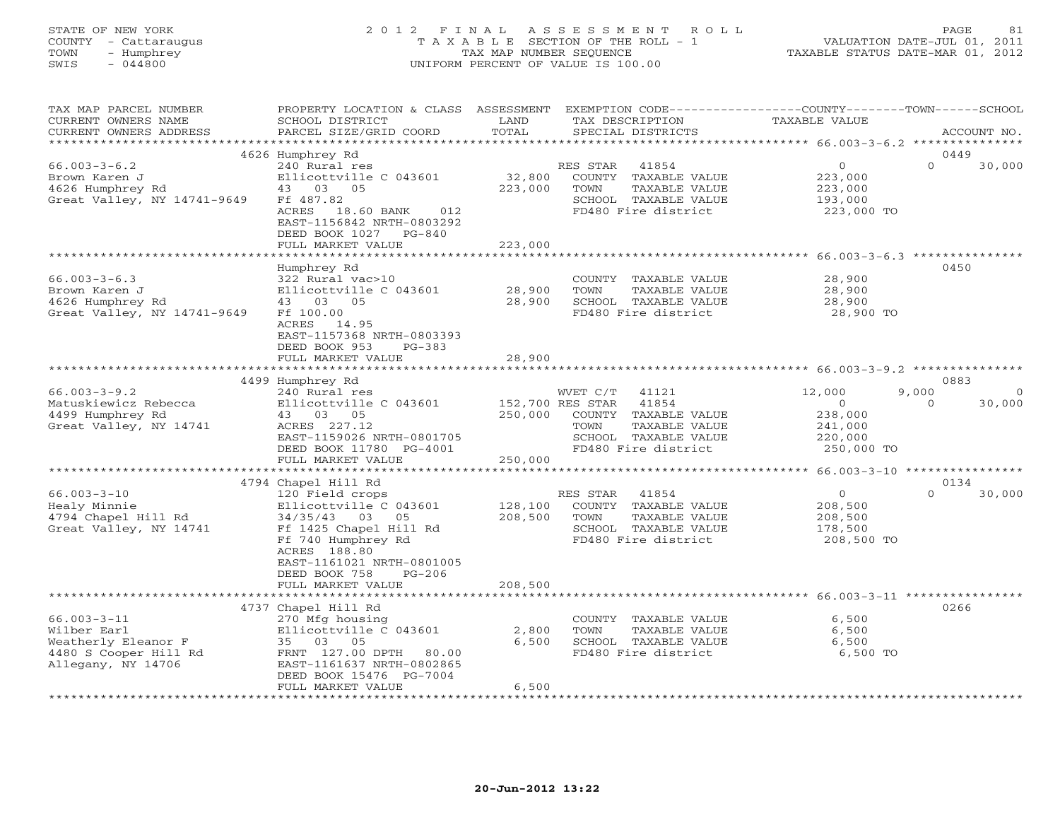### STATE OF NEW YORK 2 0 1 2 F I N A L A S S E S S M E N T R O L L PAGE 81 COUNTY - Cattaraugus T A X A B L E SECTION OF THE ROLL - 1 VALUATION DATE-JUL 01, 2011 TOWN - Humphrey TAX MAP NUMBER SEQUENCE TAXABLE STATUS DATE-MAR 01, 2012 SWIS - 044800 UNIFORM PERCENT OF VALUE IS 100.00UNIFORM PERCENT OF VALUE IS 100.00

| TAX MAP PARCEL NUMBER<br>CURRENT OWNERS NAME<br>CURRENT OWNERS ADDRESS                                 | PROPERTY LOCATION & CLASS ASSESSMENT<br>SCHOOL DISTRICT<br>PARCEL SIZE/GRID COORD                                                                                                                            | LAND<br>TOTAL                | EXEMPTION CODE-----------------COUNTY-------TOWN------SCHOOL<br>TAX DESCRIPTION<br>SPECIAL DISTRICTS                                           | <b>TAXABLE VALUE</b>                                             | ACCOUNT NO.                    |
|--------------------------------------------------------------------------------------------------------|--------------------------------------------------------------------------------------------------------------------------------------------------------------------------------------------------------------|------------------------------|------------------------------------------------------------------------------------------------------------------------------------------------|------------------------------------------------------------------|--------------------------------|
| *********************                                                                                  |                                                                                                                                                                                                              |                              |                                                                                                                                                |                                                                  |                                |
| $66.003 - 3 - 6.2$<br>Brown Karen J<br>4626 Humphrey Rd<br>Great Valley, NY 14741-9649                 | 4626 Humphrey Rd<br>240 Rural res<br>Ellicottville C 043601<br>43 03 05<br>Ff 487.82<br>ACRES 18.60 BANK<br>012<br>EAST-1156842 NRTH-0803292<br>DEED BOOK 1027<br>$PG-840$<br>FULL MARKET VALUE              | 32,800<br>223,000<br>223,000 | 41854<br>RES STAR<br>COUNTY TAXABLE VALUE<br>TOWN<br>TAXABLE VALUE<br>SCHOOL TAXABLE VALUE<br>FD480 Fire district                              | $\overline{0}$<br>223,000<br>223,000<br>193,000<br>223,000 TO    | 0449<br>$\Omega$<br>30,000     |
|                                                                                                        |                                                                                                                                                                                                              |                              |                                                                                                                                                |                                                                  |                                |
| $66.003 - 3 - 6.3$<br>Brown Karen J<br>4626 Humphrey Rd<br>Great Valley, NY 14741-9649                 | Humphrey Rd<br>322 Rural vac>10<br>Ellicottville C 043601<br>43 03 05<br>Ff 100.00<br>ACRES 14.95<br>EAST-1157368 NRTH-0803393<br>DEED BOOK 953<br>$PG-383$                                                  | 28,900<br>28,900             | COUNTY TAXABLE VALUE<br>TOWN<br>TAXABLE VALUE<br>SCHOOL TAXABLE VALUE<br>FD480 Fire district                                                   | 28,900<br>28,900<br>28,900<br>28,900 TO                          | 0450                           |
|                                                                                                        | FULL MARKET VALUE                                                                                                                                                                                            | 28,900                       |                                                                                                                                                |                                                                  |                                |
|                                                                                                        |                                                                                                                                                                                                              |                              |                                                                                                                                                |                                                                  |                                |
|                                                                                                        | 4499 Humphrey Rd                                                                                                                                                                                             |                              |                                                                                                                                                |                                                                  | 0883<br>9,000                  |
| $66.003 - 3 - 9.2$<br>Matuskiewicz Rebecca<br>4499 Humphrey Rd<br>Great Valley, NY 14741               | 240 Rural res<br>Ellicottville C 043601<br>43 03 05<br>ACRES 227.12<br>EAST-1159026 NRTH-0801705<br>DEED BOOK 11780 PG-4001<br>FULL MARKET VALUE                                                             | 250,000<br>250,000           | WVET C/T<br>41121<br>152,700 RES STAR<br>41854<br>COUNTY TAXABLE VALUE<br>TOWN<br>TAXABLE VALUE<br>SCHOOL TAXABLE VALUE<br>FD480 Fire district | 12,000<br>$\circ$<br>238,000<br>241,000<br>220,000<br>250,000 TO | $\Omega$<br>30,000<br>$\Omega$ |
|                                                                                                        |                                                                                                                                                                                                              |                              |                                                                                                                                                | ****************** 66.003-3-10 *****************                 |                                |
| $66.003 - 3 - 10$<br>Healy Minnie<br>4794 Chapel Hill Rd<br>Great Valley, NY 14741                     | 4794 Chapel Hill Rd<br>120 Field crops<br>Ellicottville C 043601<br>34/35/43 03 05<br>Ff 1425 Chapel Hill Rd<br>Ff 740 Humphrey Rd<br>ACRES 188.80<br>EAST-1161021 NRTH-0801005<br>DEED BOOK 758<br>$PG-206$ | 128,100<br>208,500           | RES STAR<br>41854<br>COUNTY TAXABLE VALUE<br>TAXABLE VALUE<br>TOWN<br>SCHOOL TAXABLE VALUE<br>FD480 Fire district                              | $\overline{O}$<br>208,500<br>208,500<br>178,500<br>208,500 TO    | 0134<br>$\Omega$<br>30,000     |
|                                                                                                        | FULL MARKET VALUE                                                                                                                                                                                            | 208,500                      |                                                                                                                                                |                                                                  |                                |
| $66.003 - 3 - 11$<br>Wilber Earl<br>Weatherly Eleanor F<br>4480 S Cooper Hill Rd<br>Allegany, NY 14706 | 4737 Chapel Hill Rd<br>270 Mfg housing<br>Ellicottville C 043601<br>35 03 05<br>FRNT 127.00 DPTH 80.00<br>EAST-1161637 NRTH-0802865<br>DEED BOOK 15476 PG-7004<br>FULL MARKET VALUE                          | 2,800<br>6,500<br>6,500      | COUNTY TAXABLE VALUE<br>TOWN<br>TAXABLE VALUE<br>SCHOOL TAXABLE VALUE<br>FD480 Fire district                                                   | 6,500<br>6,500<br>6,500<br>6,500 TO                              | 0266                           |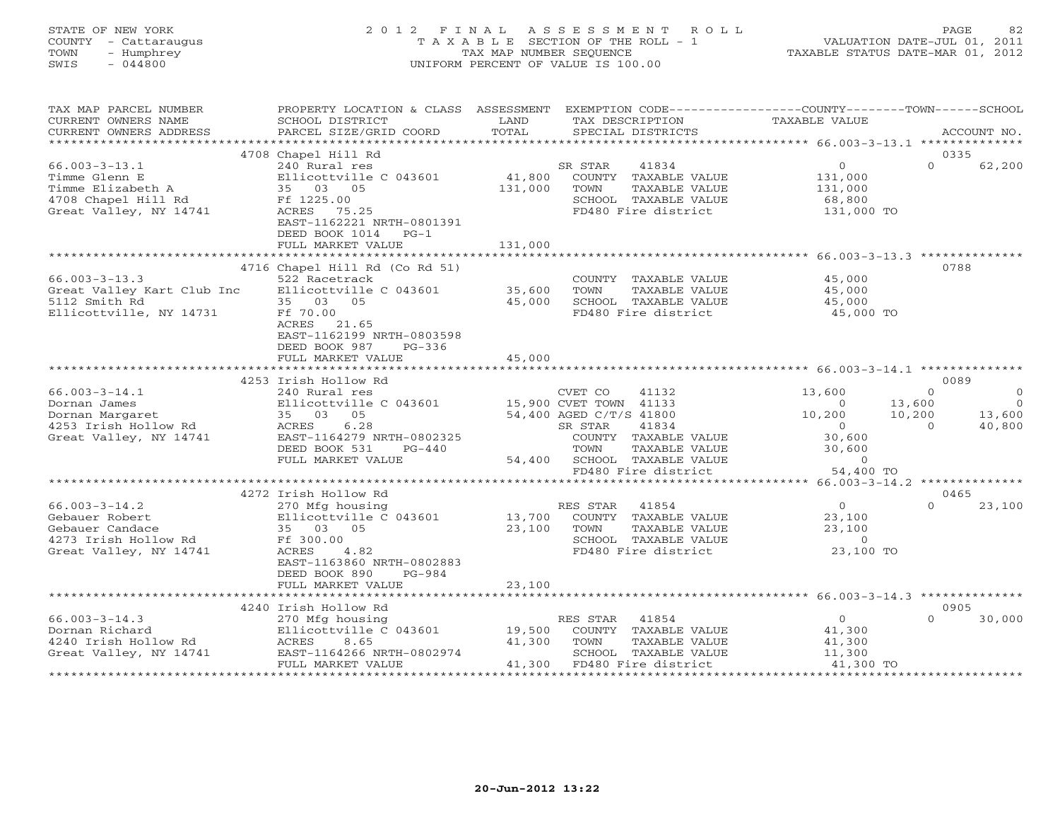# STATE OF NEW YORK 2 0 1 2 F I N A L A S S E S S M E N T R O L L PAGE 82 COUNTY - Cattaraugus T A X A B L E SECTION OF THE ROLL - 1 VALUATION DATE-JUL 01, 2011 TOWN - Humphrey TAX MAP NUMBER SEQUENCE TAXABLE STATUS DATE-MAR 01, 2012 SWIS - 044800 UNIFORM PERCENT OF VALUE IS 100.00UNIFORM PERCENT OF VALUE IS 100.00

| TAX MAP PARCEL NUMBER<br>CURRENT OWNERS NAME                                                               | PROPERTY LOCATION & CLASS<br>SCHOOL DISTRICT                                                                                                                     | ASSESSMENT<br>LAND         | EXEMPTION CODE-----------------COUNTY-------TOWN------SCHOOL<br>TAX DESCRIPTION                                      | <b>TAXABLE VALUE</b>                                       |                                           |
|------------------------------------------------------------------------------------------------------------|------------------------------------------------------------------------------------------------------------------------------------------------------------------|----------------------------|----------------------------------------------------------------------------------------------------------------------|------------------------------------------------------------|-------------------------------------------|
| CURRENT OWNERS ADDRESS<br>*************************                                                        | PARCEL SIZE/GRID COORD                                                                                                                                           | TOTAL                      | SPECIAL DISTRICTS                                                                                                    |                                                            | ACCOUNT NO.                               |
|                                                                                                            |                                                                                                                                                                  |                            |                                                                                                                      |                                                            |                                           |
| $66.003 - 3 - 13.1$<br>Timme Glenn E<br>Timme Elizabeth A<br>4708 Chapel Hill Rd<br>Great Valley, NY 14741 | 4708 Chapel Hill Rd<br>240 Rural res<br>Ellicottville C 043601<br>35 03 05<br>Ff 1225.00<br>ACRES 75.25<br>EAST-1162221 NRTH-0801391<br>DEED BOOK 1014<br>$PG-1$ | 41,800<br>131,000          | 41834<br>SR STAR<br>COUNTY TAXABLE VALUE<br>TAXABLE VALUE<br>TOWN<br>SCHOOL TAXABLE VALUE<br>FD480 Fire district     | $\circ$<br>131,000<br>131,000<br>68,800<br>131,000 TO      | 0335<br>$\Omega$<br>62,200                |
|                                                                                                            | FULL MARKET VALUE                                                                                                                                                | 131,000                    |                                                                                                                      |                                                            |                                           |
| $66.003 - 3 - 13.3$<br>Great Valley Kart Club Inc                                                          | *************************<br>4716 Chapel Hill Rd (Co Rd 51)<br>522 Racetrack<br>Ellicottville C 043601                                                           | 35,600                     | COUNTY TAXABLE VALUE<br>TOWN<br>TAXABLE VALUE                                                                        | 45,000<br>45,000                                           | 0788                                      |
| 5112 Smith Rd<br>Ellicottville, NY 14731                                                                   | 35 03 05<br>Ff 70.00<br>ACRES<br>21.65<br>EAST-1162199 NRTH-0803598<br>DEED BOOK 987<br>$PG-336$                                                                 | 45,000                     | SCHOOL TAXABLE VALUE<br>FD480 Fire district                                                                          | 45,000<br>45,000 TO                                        |                                           |
|                                                                                                            | FULL MARKET VALUE                                                                                                                                                | 45,000                     |                                                                                                                      |                                                            |                                           |
|                                                                                                            | ********************                                                                                                                                             |                            |                                                                                                                      |                                                            |                                           |
|                                                                                                            | 4253 Irish Hollow Rd                                                                                                                                             |                            |                                                                                                                      |                                                            | 0089                                      |
| $66.003 - 3 - 14.1$<br>Dornan James                                                                        | 240 Rural res<br>Ellicottville C 043601                                                                                                                          |                            | CVET CO<br>41132<br>15,900 CVET TOWN 41133                                                                           | 13,600<br>$\Omega$                                         | $\Omega$<br>$\circ$<br>13,600<br>$\Omega$ |
| Dornan Margaret<br>4253 Irish Hollow Rd<br>Great Valley, NY 14741                                          | 35 03 05<br>6.28<br>ACRES<br>EAST-1164279 NRTH-0802325<br>DEED BOOK 531<br>$PG-440$<br>FULL MARKET VALUE                                                         | 54,400                     | 54,400 AGED C/T/S 41800<br>41834<br>SR STAR<br>COUNTY TAXABLE VALUE<br>TOWN<br>TAXABLE VALUE<br>SCHOOL TAXABLE VALUE | 10,200<br>$\circ$<br>30,600<br>30,600<br>$\overline{0}$    | 10,200<br>13,600<br>40,800<br>$\Omega$    |
|                                                                                                            |                                                                                                                                                                  |                            | FD480 Fire district                                                                                                  | 54,400 TO                                                  |                                           |
|                                                                                                            |                                                                                                                                                                  |                            |                                                                                                                      |                                                            | $66.003 - 3 - 14.2$ **************        |
|                                                                                                            | 4272 Irish Hollow Rd                                                                                                                                             |                            |                                                                                                                      |                                                            | 0465                                      |
| $66.003 - 3 - 14.2$<br>Gebauer Robert<br>Gebauer Candace<br>4273 Irish Hollow Rd<br>Great Valley, NY 14741 | 270 Mfg housing<br>Ellicottville C 043601<br>35 03 05<br>Ff 300.00<br>ACRES<br>4.82<br>EAST-1163860 NRTH-0802883<br>DEED BOOK 890<br>PG-984                      | 13,700<br>23,100           | RES STAR<br>41854<br>COUNTY TAXABLE VALUE<br>TOWN<br>TAXABLE VALUE<br>SCHOOL TAXABLE VALUE<br>FD480 Fire district    | $\circ$<br>23,100<br>23,100<br>$\overline{0}$<br>23,100 TO | $\Omega$<br>23,100                        |
|                                                                                                            | FULL MARKET VALUE                                                                                                                                                | 23,100                     |                                                                                                                      |                                                            |                                           |
|                                                                                                            |                                                                                                                                                                  |                            |                                                                                                                      |                                                            |                                           |
|                                                                                                            | 4240 Irish Hollow Rd                                                                                                                                             |                            |                                                                                                                      |                                                            | 0905                                      |
| $66.003 - 3 - 14.3$<br>Dornan Richard<br>4240 Irish Hollow Rd<br>Great Valley, NY 14741                    | 270 Mfg housing<br>Ellicottville C 043601<br>ACRES<br>8.65<br>EAST-1164266 NRTH-0802974<br>FULL MARKET VALUE                                                     | 19,500<br>41,300<br>41,300 | 41854<br>RES STAR<br>COUNTY TAXABLE VALUE<br>TOWN<br>TAXABLE VALUE<br>SCHOOL TAXABLE VALUE<br>FD480 Fire district    | $\Omega$<br>41,300<br>41,300<br>11,300<br>41,300 TO        | $\Omega$<br>30,000                        |
|                                                                                                            |                                                                                                                                                                  |                            |                                                                                                                      |                                                            |                                           |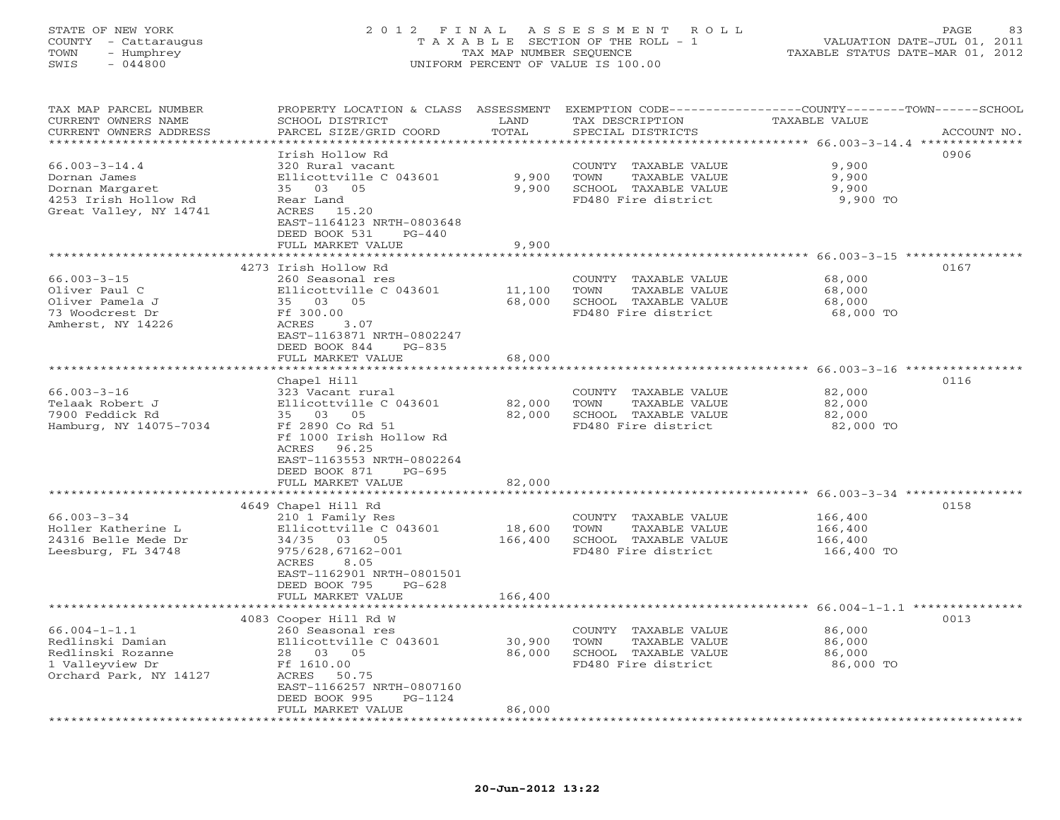## STATE OF NEW YORK 2 0 1 2 F I N A L A S S E S S M E N T R O L L PAGE 83 COUNTY - Cattaraugus T A X A B L E SECTION OF THE ROLL - 1 VALUATION DATE-JUL 01, 2011 TOWN - Humphrey TAX MAP NUMBER SEQUENCE TAXABLE STATUS DATE-MAR 01, 2012 SWIS - 044800 UNIFORM PERCENT OF VALUE IS 100.00UNIFORM PERCENT OF VALUE IS 100.00

| TAX MAP PARCEL NUMBER  | PROPERTY LOCATION & CLASS ASSESSMENT             |                         | EXEMPTION CODE-----------------COUNTY-------TOWN------SCHOOL |                                                                 |             |
|------------------------|--------------------------------------------------|-------------------------|--------------------------------------------------------------|-----------------------------------------------------------------|-------------|
| CURRENT OWNERS NAME    | SCHOOL DISTRICT                                  | LAND                    | TAX DESCRIPTION                                              | <b>TAXABLE VALUE</b>                                            |             |
| CURRENT OWNERS ADDRESS | PARCEL SIZE/GRID COORD                           | TOTAL                   | SPECIAL DISTRICTS                                            |                                                                 | ACCOUNT NO. |
| *********************  |                                                  | ***********             |                                                              | ********************************** 66.003-3-14.4 ************** |             |
|                        | Irish Hollow Rd                                  |                         |                                                              |                                                                 | 0906        |
| $66.003 - 3 - 14.4$    | 320 Rural vacant                                 |                         | COUNTY TAXABLE VALUE                                         | 9,900                                                           |             |
| Dornan James           | Ellicottville C 043601                           | 9,900                   | TOWN<br>TAXABLE VALUE                                        | 9,900                                                           |             |
| Dornan Margaret        | 35 03 05                                         | 9,900                   | SCHOOL TAXABLE VALUE                                         | 9,900                                                           |             |
| 4253 Irish Hollow Rd   | Rear Land                                        |                         | FD480 Fire district                                          | 9,900 TO                                                        |             |
| Great Valley, NY 14741 | ACRES 15.20                                      |                         |                                                              |                                                                 |             |
|                        | EAST-1164123 NRTH-0803648                        |                         |                                                              |                                                                 |             |
|                        | DEED BOOK 531<br>$PG-440$                        |                         |                                                              |                                                                 |             |
|                        | FULL MARKET VALUE<br>**********************      | 9,900<br>**********     |                                                              | ******************** 66.003-3-15 *****************              |             |
|                        |                                                  |                         |                                                              |                                                                 |             |
|                        | 4273 Irish Hollow Rd                             |                         |                                                              |                                                                 | 0167        |
| $66.003 - 3 - 15$      | 260 Seasonal res                                 |                         | COUNTY TAXABLE VALUE                                         | 68,000                                                          |             |
| Oliver Paul C          | Ellicottville C 043601                           | 11,100                  | TAXABLE VALUE<br>TOWN                                        | 68,000                                                          |             |
| Oliver Pamela J        | 35 03 05                                         | 68,000                  | SCHOOL TAXABLE VALUE                                         | 68,000                                                          |             |
| 73 Woodcrest Dr        | Ff 300.00                                        |                         | FD480 Fire district                                          | 68,000 TO                                                       |             |
| Amherst, NY 14226      | ACRES<br>3.07                                    |                         |                                                              |                                                                 |             |
|                        | EAST-1163871 NRTH-0802247                        |                         |                                                              |                                                                 |             |
|                        | DEED BOOK 844<br>$PG-835$                        |                         |                                                              |                                                                 |             |
|                        | FULL MARKET VALUE                                | 68,000                  |                                                              |                                                                 |             |
|                        |                                                  |                         |                                                              |                                                                 |             |
|                        | Chapel Hill                                      |                         |                                                              |                                                                 | 0116        |
| $66.003 - 3 - 16$      | 323 Vacant rural                                 |                         | COUNTY TAXABLE VALUE                                         | 82,000                                                          |             |
| Telaak Robert J        | Ellicottville C 043601                           | 82,000                  | TOWN<br>TAXABLE VALUE                                        | 82,000                                                          |             |
| 7900 Feddick Rd        | 35 03 05                                         | 82,000                  | SCHOOL TAXABLE VALUE                                         | 82,000                                                          |             |
| Hamburg, NY 14075-7034 | Ff 2890 Co Rd 51                                 |                         | FD480 Fire district                                          | 82,000 TO                                                       |             |
|                        | Ff 1000 Irish Hollow Rd                          |                         |                                                              |                                                                 |             |
|                        | ACRES<br>96.25                                   |                         |                                                              |                                                                 |             |
|                        | EAST-1163553 NRTH-0802264                        |                         |                                                              |                                                                 |             |
|                        | DEED BOOK 871<br>$PG-695$                        |                         |                                                              |                                                                 |             |
|                        | FULL MARKET VALUE                                | 82,000<br>************* |                                                              |                                                                 |             |
|                        |                                                  |                         |                                                              |                                                                 |             |
|                        | 4649 Chapel Hill Rd                              |                         |                                                              |                                                                 | 0158        |
| $66.003 - 3 - 34$      | 210 1 Family Res                                 |                         | COUNTY TAXABLE VALUE                                         | 166,400                                                         |             |
| Holler Katherine L     | Ellicottville C 043601                           | 18,600                  | TOWN<br>TAXABLE VALUE                                        | 166,400                                                         |             |
| 24316 Belle Mede Dr    | 34/35 03 05                                      | 166,400                 | SCHOOL TAXABLE VALUE                                         | 166,400                                                         |             |
| Leesburg, FL 34748     | 975/628,67162-001                                |                         | FD480 Fire district                                          | 166,400 TO                                                      |             |
|                        | 8.05<br>ACRES                                    |                         |                                                              |                                                                 |             |
|                        | EAST-1162901 NRTH-0801501                        |                         |                                                              |                                                                 |             |
|                        | DEED BOOK 795<br>$PG-628$                        | 166,400                 |                                                              |                                                                 |             |
|                        | FULL MARKET VALUE<br>*************************** |                         |                                                              |                                                                 |             |
|                        | 4083 Cooper Hill Rd W                            |                         |                                                              |                                                                 | 0013        |
| $66.004 - 1 - 1.1$     | 260 Seasonal res                                 |                         | COUNTY TAXABLE VALUE                                         | 86,000                                                          |             |
| Redlinski Damian       | Ellicottville C 043601                           | 30,900                  | TOWN<br>TAXABLE VALUE                                        | 86,000                                                          |             |
| Redlinski Rozanne      | 28 03 05                                         | 86,000                  | SCHOOL TAXABLE VALUE                                         | 86,000                                                          |             |
| 1 Valleyview Dr        | Ff 1610.00                                       |                         | FD480 Fire district                                          | 86,000 TO                                                       |             |
| Orchard Park, NY 14127 | ACRES<br>50.75                                   |                         |                                                              |                                                                 |             |
|                        | EAST-1166257 NRTH-0807160                        |                         |                                                              |                                                                 |             |
|                        | DEED BOOK 995<br>$PG-1124$                       |                         |                                                              |                                                                 |             |
|                        | FULL MARKET VALUE                                | 86,000                  |                                                              |                                                                 |             |
|                        |                                                  |                         |                                                              |                                                                 |             |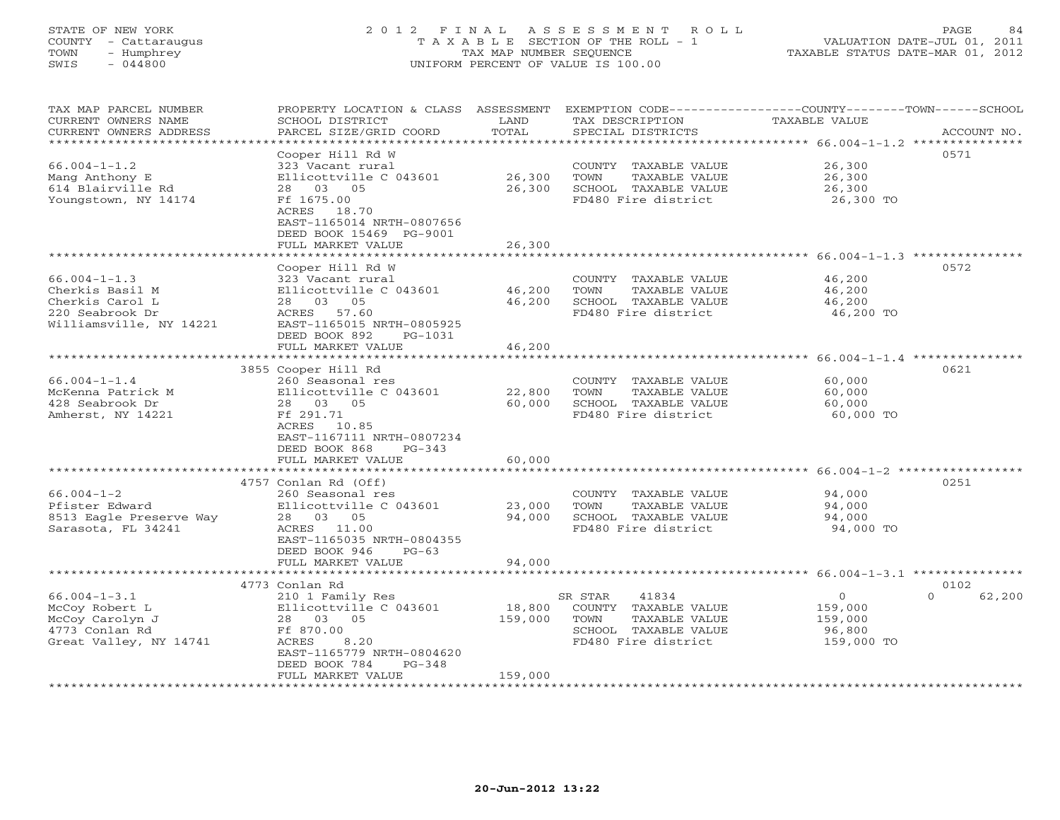# STATE OF NEW YORK 2 0 1 2 F I N A L A S S E S S M E N T R O L L PAGE 84 COUNTY - Cattaraugus T A X A B L E SECTION OF THE ROLL - 1 VALUATION DATE-JUL 01, 2011 TOWN - Humphrey TAX MAP NUMBER SEQUENCE TAXABLE STATUS DATE-MAR 01, 2012 SWIS - 044800 UNIFORM PERCENT OF VALUE IS 100.00UNIFORM PERCENT OF VALUE IS 100.00

| TAX MAP PARCEL NUMBER<br>CURRENT OWNERS NAME<br>CURRENT OWNERS ADDRESS<br>*******************                 | PROPERTY LOCATION & CLASS ASSESSMENT<br>SCHOOL DISTRICT<br>PARCEL SIZE/GRID COORD                                                                                                     | LAND<br>TOTAL                              | TAX DESCRIPTION<br>SPECIAL DISTRICTS                                                                             | EXEMPTION CODE-----------------COUNTY-------TOWN-----SCHOOL<br>TAXABLE VALUE<br>ACCOUNT NO. |
|---------------------------------------------------------------------------------------------------------------|---------------------------------------------------------------------------------------------------------------------------------------------------------------------------------------|--------------------------------------------|------------------------------------------------------------------------------------------------------------------|---------------------------------------------------------------------------------------------|
| $66.004 - 1 - 1.2$<br>Mang Anthony E<br>614 Blairville Rd<br>Youngstown, NY 14174                             | Cooper Hill Rd W<br>323 Vacant rural<br>Ellicottville C 043601<br>28 03 05<br>Ff 1675.00<br>ACRES 18.70<br>EAST-1165014 NRTH-0807656<br>DEED BOOK 15469 PG-9001<br>FULL MARKET VALUE  | 26,300<br>26,300<br>26,300                 | COUNTY TAXABLE VALUE<br>TOWN<br>TAXABLE VALUE<br>SCHOOL TAXABLE VALUE<br>FD480 Fire district                     | 0571<br>26,300<br>26,300<br>26,300<br>26,300 TO                                             |
|                                                                                                               | **********************                                                                                                                                                                |                                            |                                                                                                                  |                                                                                             |
| $66.004 - 1 - 1.3$<br>Cherkis Basil M<br>Cherkis Carol L<br>220 Seabrook Dr<br>Williamsville, NY 14221        | Cooper Hill Rd W<br>323 Vacant rural<br>Ellicottville C 043601<br>28 03 05<br>ACRES 57.60<br>EAST-1165015 NRTH-0805925<br>DEED BOOK 892<br>PG-1031                                    | 46,200<br>46,200                           | COUNTY TAXABLE VALUE<br>TOWN<br>TAXABLE VALUE<br>SCHOOL TAXABLE VALUE<br>FD480 Fire district                     | 0572<br>46,200<br>46,200<br>46,200<br>46,200 TO                                             |
|                                                                                                               | FULL MARKET VALUE                                                                                                                                                                     | 46,200                                     |                                                                                                                  |                                                                                             |
|                                                                                                               | 3855 Cooper Hill Rd                                                                                                                                                                   |                                            |                                                                                                                  | 0621                                                                                        |
| $66.004 - 1 - 1.4$<br>McKenna Patrick M<br>428 Seabrook Dr<br>Amherst, NY 14221                               | 260 Seasonal res<br>Ellicottville C 043601<br>28 03 05<br>Ff 291.71<br>ACRES<br>10.85<br>EAST-1167111 NRTH-0807234<br>DEED BOOK 868<br>$PG-343$                                       | 22,800<br>60,000                           | COUNTY TAXABLE VALUE<br>TOWN<br>TAXABLE VALUE<br>SCHOOL TAXABLE VALUE<br>FD480 Fire district                     | 60,000<br>60,000<br>60,000<br>60,000 TO                                                     |
|                                                                                                               | FULL MARKET VALUE<br>*********************                                                                                                                                            | 60,000                                     |                                                                                                                  |                                                                                             |
| **********************<br>$66.004 - 1 - 2$<br>Pfister Edward<br>8513 Eagle Preserve Way<br>Sarasota, FL 34241 | 4757 Conlan Rd (Off)<br>260 Seasonal res<br>Ellicottville C 043601<br>28 03 05<br>ACRES 11.00<br>EAST-1165035 NRTH-0804355<br>DEED BOOK 946<br>$PG-63$<br>FULL MARKET VALUE           | ************<br>23,000<br>94,000<br>94,000 | COUNTY TAXABLE VALUE<br>TOWN<br>TAXABLE VALUE<br>SCHOOL TAXABLE VALUE<br>FD480 Fire district                     | 0251<br>94,000<br>94,000<br>94,000<br>94,000 TO                                             |
|                                                                                                               | *******************                                                                                                                                                                   |                                            |                                                                                                                  |                                                                                             |
| $66.004 - 1 - 3.1$<br>McCoy Robert L<br>McCoy Carolyn J<br>4773 Conlan Rd<br>Great Valley, NY 14741           | 4773 Conlan Rd<br>210 1 Family Res<br>Ellicottville C 043601<br>28 03 05<br>Ff 870.00<br>8.20<br>ACRES<br>EAST-1165779 NRTH-0804620<br>DEED BOOK 784<br>$PG-348$<br>FULL MARKET VALUE | 18,800<br>159,000<br>159,000               | SR STAR<br>41834<br>COUNTY TAXABLE VALUE<br>TOWN<br>TAXABLE VALUE<br>SCHOOL TAXABLE VALUE<br>FD480 Fire district | 0102<br>$\circ$<br>$\Omega$<br>62,200<br>159,000<br>159,000<br>96,800<br>159,000 TO         |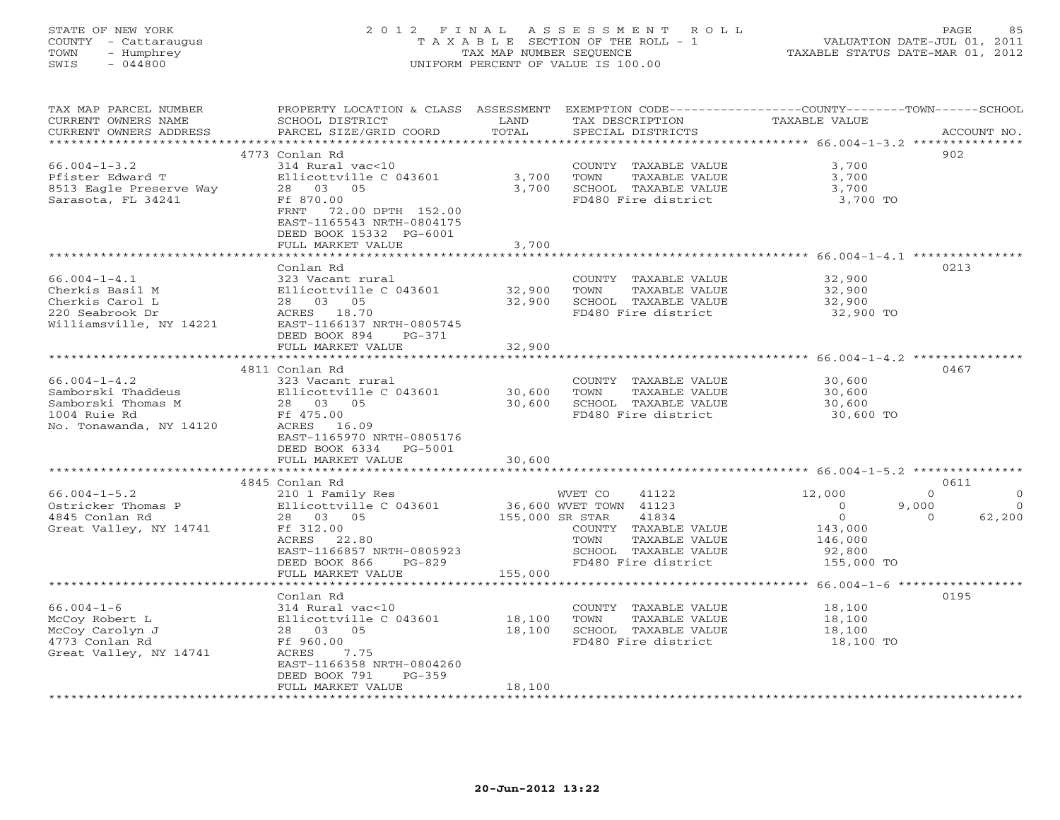# STATE OF NEW YORK 2 0 1 2 F I N A L A S S E S S M E N T R O L L PAGE 85 COUNTY - Cattaraugus T A X A B L E SECTION OF THE ROLL - 1 VALUATION DATE-JUL 01, 2011 TOWN - Humphrey TAX MAP NUMBER SEQUENCE TAXABLE STATUS DATE-MAR 01, 2012 SWIS - 044800 UNIFORM PERCENT OF VALUE IS 100.00UNIFORM PERCENT OF VALUE IS 100.00

| TAX MAP PARCEL NUMBER<br>CURRENT OWNERS NAME<br>CURRENT OWNERS ADDRESS                                 | PROPERTY LOCATION & CLASS ASSESSMENT<br>SCHOOL DISTRICT<br>PARCEL SIZE/GRID COORD                                                                                       | LAND<br>TOTAL    | TAX DESCRIPTION<br>SPECIAL DISTRICTS                                                                                                                | EXEMPTION CODE-----------------COUNTY-------TOWN------SCHOOL<br><b>TAXABLE VALUE</b>                           | ACCOUNT NO.                                           |
|--------------------------------------------------------------------------------------------------------|-------------------------------------------------------------------------------------------------------------------------------------------------------------------------|------------------|-----------------------------------------------------------------------------------------------------------------------------------------------------|----------------------------------------------------------------------------------------------------------------|-------------------------------------------------------|
| ********************                                                                                   |                                                                                                                                                                         |                  |                                                                                                                                                     |                                                                                                                |                                                       |
| $66.004 - 1 - 3.2$<br>Pfister Edward T<br>8513 Eagle Preserve Way<br>Sarasota, FL 34241                | 4773 Conlan Rd<br>314 Rural vac<10<br>Ellicottville C 043601<br>28 03 05<br>Ff 870.00<br>FRNT 72.00 DPTH 152.00<br>EAST-1165543 NRTH-0804175<br>DEED BOOK 15332 PG-6001 | 3,700<br>3,700   | COUNTY TAXABLE VALUE<br>TOWN<br>TAXABLE VALUE<br>SCHOOL TAXABLE VALUE<br>FD480 Fire district                                                        | 3,700<br>3,700<br>3,700<br>3,700 TO                                                                            | 902                                                   |
|                                                                                                        | FULL MARKET VALUE                                                                                                                                                       | 3,700            |                                                                                                                                                     |                                                                                                                |                                                       |
| $66.004 - 1 - 4.1$<br>Cherkis Basil M<br>Cherkis Carol L<br>220 Seabrook Dr<br>Williamsville, NY 14221 | Conlan Rd<br>323 Vacant rural<br>Ellicottville C 043601<br>28 03 05<br>ACRES 18.70<br>EAST-1166137 NRTH-0805745<br>DEED BOOK 894<br>PG-371                              | 32,900<br>32,900 | COUNTY TAXABLE VALUE<br>TOWN<br>TAXABLE VALUE<br>SCHOOL TAXABLE VALUE<br>FD480 Fire district                                                        | **************************************66.004-1-4.1 ****************<br>32,900<br>32,900<br>32,900<br>32,900 TO | 0213                                                  |
|                                                                                                        | FULL MARKET VALUE                                                                                                                                                       | 32,900           |                                                                                                                                                     |                                                                                                                |                                                       |
| $66.004 - 1 - 4.2$<br>Samborski Thaddeus                                                               | ******************<br>4811 Conlan Rd<br>323 Vacant rural<br>Ellicottville C 043601                                                                                      | 30,600           | COUNTY TAXABLE VALUE<br>TOWN<br>TAXABLE VALUE                                                                                                       | *********************** 66.004-1-4.2 ***********<br>30,600<br>30,600                                           | 0467                                                  |
| Samborski Thomas M<br>1004 Ruie Rd<br>No. Tonawanda, NY 14120                                          | 28 03 05<br>Ff 475.00<br>ACRES 16.09<br>EAST-1165970 NRTH-0805176<br>DEED BOOK 6334<br>PG-5001<br>FULL MARKET VALUE                                                     | 30,600<br>30,600 | SCHOOL TAXABLE VALUE<br>FD480 Fire district                                                                                                         | 30,600<br>30,600 TO                                                                                            |                                                       |
|                                                                                                        |                                                                                                                                                                         |                  |                                                                                                                                                     | ****************************** 66.004-1-5.2 ********                                                           |                                                       |
|                                                                                                        | 4845 Conlan Rd                                                                                                                                                          |                  |                                                                                                                                                     |                                                                                                                | 0611                                                  |
| $66.004 - 1 - 5.2$<br>Ostricker Thomas P<br>4845 Conlan Rd<br>Great Valley, NY 14741                   | 210 1 Family Res<br>Ellicottville C 043601<br>28 03 05<br>Ff 312.00<br>ACRES<br>22.80<br>EAST-1166857 NRTH-0805923<br>DEED BOOK 866<br>$PG-829$                         | 155,000 SR STAR  | 41122<br>WVET CO<br>36,600 WVET TOWN 41123<br>41834<br>COUNTY TAXABLE VALUE<br>TAXABLE VALUE<br>TOWN<br>SCHOOL TAXABLE VALUE<br>FD480 Fire district | 12,000<br>9,000<br>$\overline{0}$<br>$\overline{0}$<br>143,000<br>146,000<br>92,800<br>155,000 TO              | $\Omega$<br>$\Omega$<br>$\circ$<br>62,200<br>$\Omega$ |
|                                                                                                        | FULL MARKET VALUE<br>**********************                                                                                                                             | 155,000          |                                                                                                                                                     | *************************** 66.004-1-6 ******************                                                      |                                                       |
| $66.004 - 1 - 6$<br>McCoy Robert L<br>McCoy Carolyn J<br>4773 Conlan Rd<br>Great Valley, NY 14741      | Conlan Rd<br>314 Rural vac<10<br>Ellicottville C 043601<br>28 03 05<br>Ff 960.00<br>ACRES<br>7.75<br>EAST-1166358 NRTH-0804260<br>DEED BOOK 791<br>$PG-359$             | 18,100<br>18,100 | COUNTY TAXABLE VALUE<br>TOWN<br>TAXABLE VALUE<br>SCHOOL TAXABLE VALUE<br>FD480 Fire district                                                        | 18,100<br>18,100<br>18,100<br>18,100 TO                                                                        | 0195                                                  |
|                                                                                                        | FULL MARKET VALUE                                                                                                                                                       | 18,100           |                                                                                                                                                     |                                                                                                                |                                                       |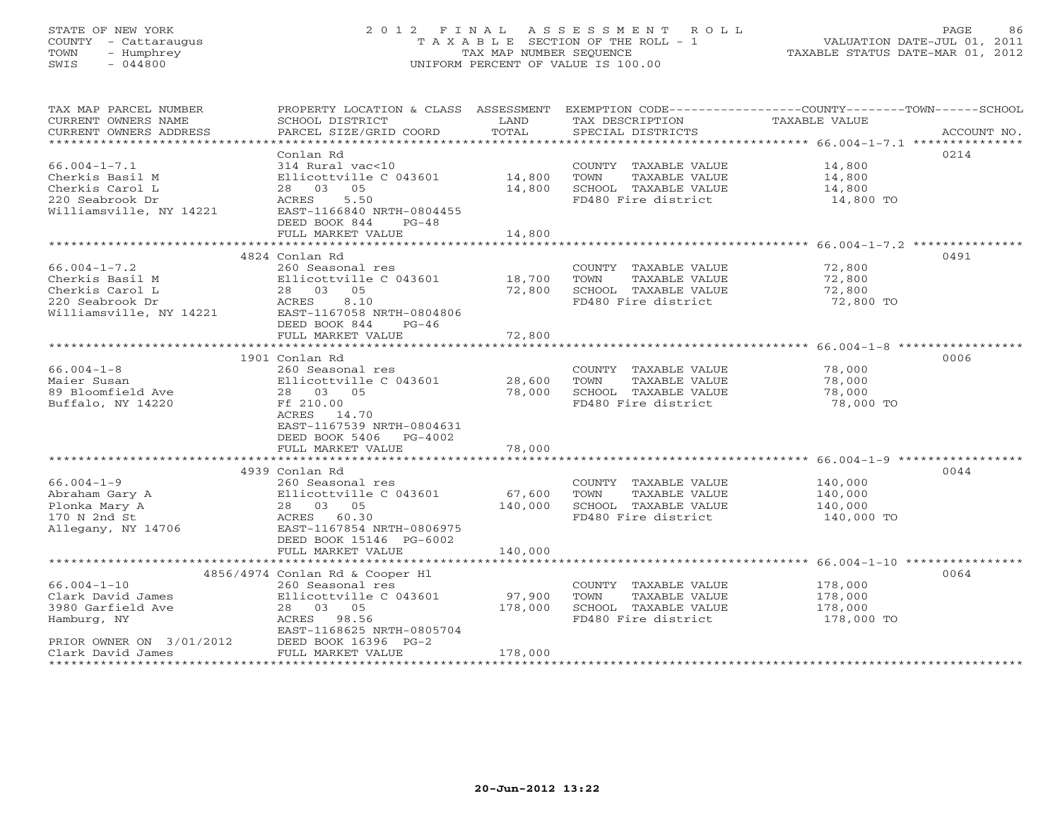# STATE OF NEW YORK 2 0 1 2 F I N A L A S S E S S M E N T R O L L PAGE 86 COUNTY - Cattaraugus T A X A B L E SECTION OF THE ROLL - 1 VALUATION DATE-JUL 01, 2011 TOWN - Humphrey TAX MAP NUMBER SEQUENCE TAXABLE STATUS DATE-MAR 01, 2012 SWIS - 044800 UNIFORM PERCENT OF VALUE IS 100.00UNIFORM PERCENT OF VALUE IS 100.00

| TAX MAP PARCEL NUMBER<br>CURRENT OWNERS NAME<br>CURRENT OWNERS ADDRESS | SCHOOL DISTRICT<br>PARCEL SIZE/GRID COORD | LAND<br>TOTAL    | TAX DESCRIPTION<br>SPECIAL DISTRICTS | PROPERTY LOCATION & CLASS ASSESSMENT EXEMPTION CODE----------------COUNTY-------TOWN------SCHOOL<br>TAXABLE VALUE<br>ACCOUNT NO. |
|------------------------------------------------------------------------|-------------------------------------------|------------------|--------------------------------------|----------------------------------------------------------------------------------------------------------------------------------|
|                                                                        |                                           |                  |                                      |                                                                                                                                  |
|                                                                        | Conlan Rd                                 |                  |                                      | 0214                                                                                                                             |
| $66.004 - 1 - 7.1$                                                     | 314 Rural vac<10                          |                  | COUNTY TAXABLE VALUE                 | 14,800                                                                                                                           |
| Cherkis Basil M                                                        | Ellicottville C 043601                    | 14,800           | TOWN<br>TAXABLE VALUE                | 14,800                                                                                                                           |
| Cherkis Carol L                                                        | 28 03 05                                  | 14,800           | SCHOOL TAXABLE VALUE                 | 14,800                                                                                                                           |
| 220 Seabrook Dr                                                        | ACRES<br>5.50                             |                  | FD480 Fire district                  | 14,800 TO                                                                                                                        |
| Williamsville, NY 14221                                                | EAST-1166840 NRTH-0804455                 |                  |                                      |                                                                                                                                  |
|                                                                        | DEED BOOK 844<br>$PG-48$                  |                  |                                      |                                                                                                                                  |
|                                                                        | FULL MARKET VALUE                         | 14,800           |                                      |                                                                                                                                  |
|                                                                        | 4824 Conlan Rd                            |                  |                                      | 0491                                                                                                                             |
| $66.004 - 1 - 7.2$                                                     | 260 Seasonal res                          |                  | COUNTY TAXABLE VALUE                 | 72,800                                                                                                                           |
| Cherkis Basil M                                                        | Ellicottville C 043601                    |                  | TOWN<br>TAXABLE VALUE                | 72,800                                                                                                                           |
| Cherkis Carol L                                                        | 28 03 05                                  | 18,700<br>72,800 | SCHOOL TAXABLE VALUE                 | 72,800                                                                                                                           |
| 220 Seabrook Dr                                                        | 8.10<br>ACRES                             |                  | FD480 Fire district                  | 72,800 TO                                                                                                                        |
| Williamsville, NY 14221                                                | EAST-1167058 NRTH-0804806                 |                  |                                      |                                                                                                                                  |
|                                                                        | DEED BOOK 844<br>$PG-46$                  |                  |                                      |                                                                                                                                  |
|                                                                        | FULL MARKET VALUE                         | 72,800           |                                      |                                                                                                                                  |
|                                                                        |                                           |                  |                                      |                                                                                                                                  |
|                                                                        | 1901 Conlan Rd                            |                  |                                      | 0006                                                                                                                             |
| $66.004 - 1 - 8$                                                       | 260 Seasonal res                          |                  | COUNTY TAXABLE VALUE                 | 78,000                                                                                                                           |
| Maier Susan                                                            | Ellicottville C 043601                    | 28,600           | TAXABLE VALUE<br>TOWN                | 78,000                                                                                                                           |
| 89 Bloomfield Ave                                                      | 28 03 05                                  | 78,000           | SCHOOL TAXABLE VALUE                 | 78,000                                                                                                                           |
| Buffalo, NY 14220                                                      | Ff 210.00                                 |                  | FD480 Fire district                  | 78,000 TO                                                                                                                        |
|                                                                        | ACRES 14.70                               |                  |                                      |                                                                                                                                  |
|                                                                        | EAST-1167539 NRTH-0804631                 |                  |                                      |                                                                                                                                  |
|                                                                        | DEED BOOK 5406<br>$PG-4002$               |                  |                                      |                                                                                                                                  |
|                                                                        | FULL MARKET VALUE                         | 78,000           |                                      |                                                                                                                                  |
|                                                                        |                                           |                  |                                      |                                                                                                                                  |
|                                                                        | 4939 Conlan Rd                            |                  |                                      | 0044                                                                                                                             |
| $66.004 - 1 - 9$                                                       | 260 Seasonal res                          |                  | COUNTY TAXABLE VALUE                 | 140,000                                                                                                                          |
| Abraham Gary A                                                         | Ellicottville C 043601                    | 67,600           | TOWN<br>TAXABLE VALUE                | 140,000                                                                                                                          |
| Plonka Mary A                                                          | 28 03 05                                  | 140,000          | SCHOOL TAXABLE VALUE                 | 140,000                                                                                                                          |
| 170 N 2nd St                                                           | ACRES 60.30                               |                  | FD480 Fire district                  | 140,000 TO                                                                                                                       |
| Allegany, NY 14706                                                     | EAST-1167854 NRTH-0806975                 |                  |                                      |                                                                                                                                  |
|                                                                        | DEED BOOK 15146 PG-6002                   |                  |                                      |                                                                                                                                  |
|                                                                        | FULL MARKET VALUE                         | 140,000          |                                      |                                                                                                                                  |
|                                                                        |                                           |                  |                                      |                                                                                                                                  |
|                                                                        | 4856/4974 Conlan Rd & Cooper Hl           |                  |                                      | 0064                                                                                                                             |
| $66.004 - 1 - 10$                                                      | 260 Seasonal res                          |                  | COUNTY TAXABLE VALUE                 | 178,000                                                                                                                          |
| Clark David James                                                      | Ellicottville C 043601                    | 97,900           | TOWN<br>TAXABLE VALUE                | 178,000                                                                                                                          |
| 3980 Garfield Ave                                                      | 28 03 05                                  | 178,000          | SCHOOL TAXABLE VALUE                 | 178,000                                                                                                                          |
| Hamburg, NY                                                            | ACRES 98.56                               |                  | FD480 Fire district                  | 178,000 TO                                                                                                                       |
|                                                                        | EAST-1168625 NRTH-0805704                 |                  |                                      |                                                                                                                                  |
| PRIOR OWNER ON 3/01/2012                                               | DEED BOOK 16396 PG-2                      |                  |                                      |                                                                                                                                  |
| Clark David James                                                      | FULL MARKET VALUE                         | 178,000          |                                      |                                                                                                                                  |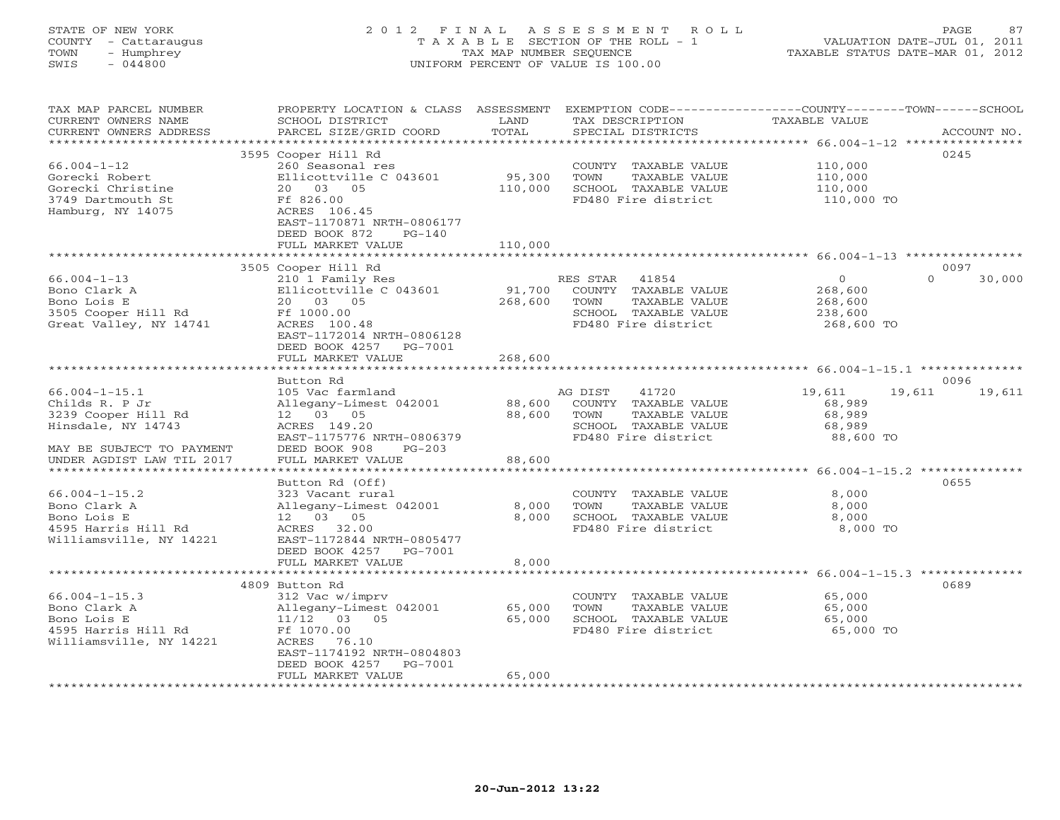# STATE OF NEW YORK 2 0 1 2 F I N A L A S S E S S M E N T R O L L PAGE 87 COUNTY - Cattaraugus T A X A B L E SECTION OF THE ROLL - 1 VALUATION DATE-JUL 01, 2011 TOWN - Humphrey TAX MAP NUMBER SEQUENCE TAXABLE STATUS DATE-MAR 01, 2012 SWIS - 044800 UNIFORM PERCENT OF VALUE IS 100.00UNIFORM PERCENT OF VALUE IS 100.00

| TAX MAP PARCEL NUMBER<br>CURRENT OWNERS NAME                                                      | PROPERTY LOCATION & CLASS ASSESSMENT<br>SCHOOL DISTRICT                                     | LAND<br>TOTAL      | EXEMPTION CODE-----------------COUNTY-------TOWN------SCHOOL<br>TAX DESCRIPTION                                   | <b>TAXABLE VALUE</b>                                                      |             |
|---------------------------------------------------------------------------------------------------|---------------------------------------------------------------------------------------------|--------------------|-------------------------------------------------------------------------------------------------------------------|---------------------------------------------------------------------------|-------------|
| CURRENT OWNERS ADDRESS<br>******************                                                      | PARCEL SIZE/GRID COORD                                                                      |                    | SPECIAL DISTRICTS                                                                                                 |                                                                           | ACCOUNT NO. |
| $66.004 - 1 - 12$                                                                                 | 3595 Cooper Hill Rd<br>260 Seasonal res                                                     |                    | COUNTY TAXABLE VALUE                                                                                              | 110,000                                                                   | 0245        |
| Gorecki Robert<br>Gorecki Christine<br>3749 Dartmouth St                                          | Ellicottville C 043601<br>20  03  05<br>Ff 826.00                                           | 95,300<br>110,000  | TOWN<br>TAXABLE VALUE<br>SCHOOL TAXABLE VALUE<br>FD480 Fire district                                              | 110,000<br>110,000<br>110,000 TO                                          |             |
| Hamburg, NY 14075                                                                                 | ACRES 106.45<br>EAST-1170871 NRTH-0806177<br>DEED BOOK 872<br>$PG-140$<br>FULL MARKET VALUE | 110,000            |                                                                                                                   |                                                                           |             |
|                                                                                                   |                                                                                             |                    |                                                                                                                   |                                                                           |             |
|                                                                                                   | 3505 Cooper Hill Rd                                                                         |                    |                                                                                                                   |                                                                           | 0097        |
| $66.004 - 1 - 13$<br>Bono Clark A<br>Bono Lois E<br>3505 Cooper Hill Rd<br>Great Valley, NY 14741 | 210 1 Family Res<br>Ellicottville C 043601<br>20 03 05<br>Ff 1000.00<br>ACRES 100.48        | 91,700<br>268,600  | RES STAR<br>41854<br>COUNTY TAXABLE VALUE<br>TOWN<br>TAXABLE VALUE<br>SCHOOL TAXABLE VALUE<br>FD480 Fire district | $\Omega$<br>$\overline{0}$<br>268,600<br>268,600<br>238,600<br>268,600 TO | 30,000      |
|                                                                                                   | EAST-1172014 NRTH-0806128<br>DEED BOOK 4257 PG-7001<br>FULL MARKET VALUE                    | 268,600            |                                                                                                                   |                                                                           |             |
|                                                                                                   |                                                                                             | **************     |                                                                                                                   | ********************************* 66.004-1-15.1 ***************           |             |
|                                                                                                   | Button Rd                                                                                   |                    | 41720<br>AG DIST                                                                                                  |                                                                           | 0096        |
| $66.004 - 1 - 15.1$<br>Childs R. P Jr                                                             | 105 Vac farmland<br>Allegany-Limest 042001                                                  | 88,600             | COUNTY TAXABLE VALUE                                                                                              | 19,611<br>19,611<br>68,989                                                | 19,611      |
| 3239 Cooper Hill Rd                                                                               | 12 03 05                                                                                    | 88,600             | TOWN<br>TAXABLE VALUE                                                                                             | 68,989                                                                    |             |
| Hinsdale, NY 14743                                                                                | ACRES 149.20<br>EAST-1175776 NRTH-0806379                                                   |                    | SCHOOL TAXABLE VALUE<br>FD480 Fire district                                                                       | 68,989<br>88,600 TO                                                       |             |
| MAY BE SUBJECT TO PAYMENT<br>UNDER AGDIST LAW TIL 2017<br>* * * * * * * * * * * * * * * * * * * * | DEED BOOK 908<br>$PG-203$<br>FULL MARKET VALUE<br>*****************                         | 88,600<br>******** |                                                                                                                   | *************** 66.004-1-15.2 ***************                             |             |
|                                                                                                   | Button Rd (Off)                                                                             |                    |                                                                                                                   |                                                                           | 0655        |
| $66.004 - 1 - 15.2$                                                                               | 323 Vacant rural                                                                            |                    | COUNTY TAXABLE VALUE                                                                                              | 8,000                                                                     |             |
| Bono Clark A                                                                                      | Allegany-Limest 042001                                                                      | 8,000              | TOWN<br>TAXABLE VALUE                                                                                             | 8,000                                                                     |             |
| Bono Lois E                                                                                       | 12  03  05                                                                                  | 8,000              | SCHOOL TAXABLE VALUE                                                                                              | 8,000                                                                     |             |
| 4595 Harris Hill Rd<br>Williamsville, NY 14221                                                    | 32.00<br>ACRES<br>EAST-1172844 NRTH-0805477<br>DEED BOOK 4257<br>PG-7001                    |                    | FD480 Fire district                                                                                               | 8,000 TO                                                                  |             |
|                                                                                                   | FULL MARKET VALUE                                                                           | 8,000              |                                                                                                                   |                                                                           |             |
|                                                                                                   | *********************                                                                       | ****************   |                                                                                                                   |                                                                           |             |
|                                                                                                   | 4809 Button Rd                                                                              |                    |                                                                                                                   |                                                                           | 0689        |
| $66.004 - 1 - 15.3$                                                                               | 312 Vac w/imprv                                                                             |                    | COUNTY TAXABLE VALUE                                                                                              | 65,000                                                                    |             |
| Bono Clark A<br>Bono Lois E                                                                       | Allegany-Limest 042001                                                                      | 65,000<br>65,000   | TOWN<br>TAXABLE VALUE<br>SCHOOL TAXABLE VALUE                                                                     | 65,000<br>65,000                                                          |             |
| 4595 Harris Hill Rd                                                                               | 11/12 03 05<br>Ff 1070.00                                                                   |                    | FD480 Fire district                                                                                               | 65,000 TO                                                                 |             |
| Williamsville, NY 14221                                                                           | ACRES<br>76.10<br>EAST-1174192 NRTH-0804803<br>DEED BOOK 4257<br>PG-7001                    |                    |                                                                                                                   |                                                                           |             |
|                                                                                                   | FULL MARKET VALUE                                                                           | 65,000             |                                                                                                                   |                                                                           |             |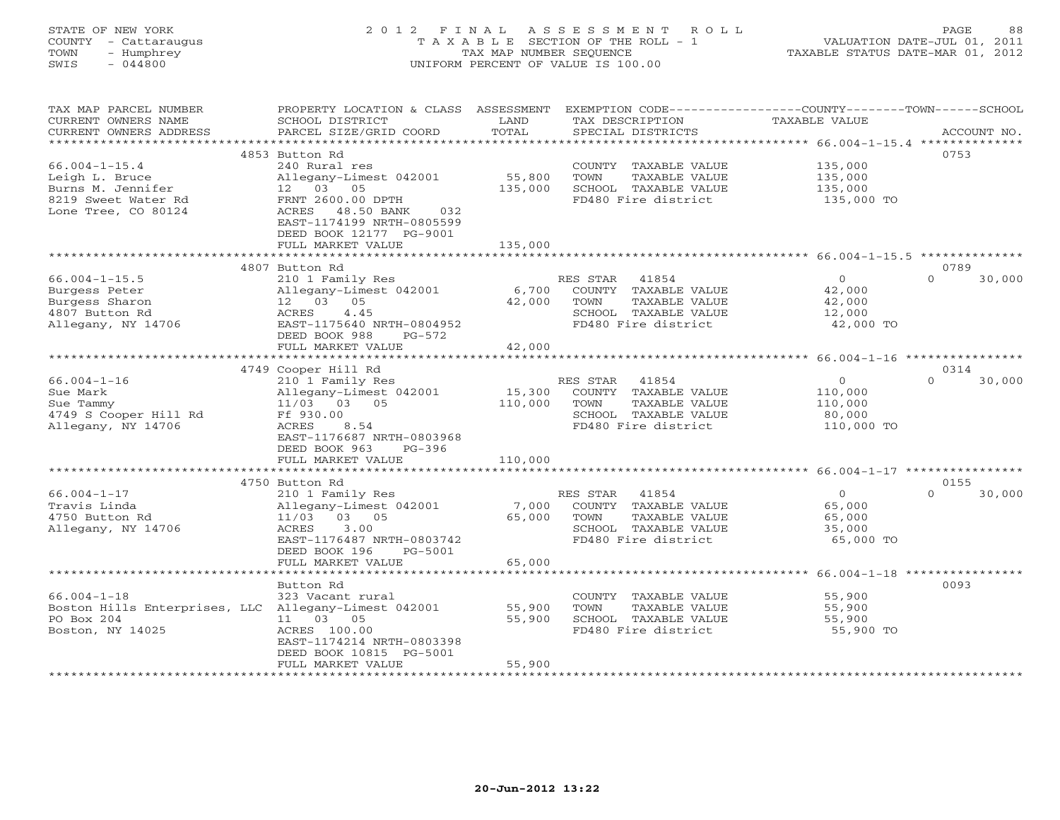# STATE OF NEW YORK 2 0 1 2 F I N A L A S S E S S M E N T R O L L PAGE 88 COUNTY - Cattaraugus T A X A B L E SECTION OF THE ROLL - 1 VALUATION DATE-JUL 01, 2011 TOWN - Humphrey TAX MAP NUMBER SEQUENCE TAXABLE STATUS DATE-MAR 01, 2012 SWIS - 044800 UNIFORM PERCENT OF VALUE IS 100.00UNIFORM PERCENT OF VALUE IS 100.00

| TAX MAP PARCEL NUMBER<br>CURRENT OWNERS NAME<br>CURRENT OWNERS ADDRESS | PROPERTY LOCATION & CLASS ASSESSMENT<br>SCHOOL DISTRICT<br>PARCEL SIZE/GRID COORD                    | LAND<br>TOTAL                       | EXEMPTION CODE-----------------COUNTY-------TOWN------SCHOOL<br>TAX DESCRIPTION<br>SPECIAL DISTRICTS | TAXABLE VALUE      | ACCOUNT NO.      |        |
|------------------------------------------------------------------------|------------------------------------------------------------------------------------------------------|-------------------------------------|------------------------------------------------------------------------------------------------------|--------------------|------------------|--------|
|                                                                        |                                                                                                      | **************                      |                                                                                                      |                    |                  |        |
| $66.004 - 1 - 15.4$                                                    | 4853 Button Rd<br>240 Rural res                                                                      |                                     | COUNTY TAXABLE VALUE                                                                                 | 135,000            | 0753             |        |
| Leigh L. Bruce<br>Burns M. Jennifer                                    | Allegany-Limest 042001<br>05<br>12 03                                                                | 55,800<br>135,000                   | TOWN<br>TAXABLE VALUE<br>SCHOOL TAXABLE VALUE                                                        | 135,000<br>135,000 |                  |        |
| 8219 Sweet Water Rd<br>Lone Tree, CO 80124                             | FRNT 2600.00 DPTH<br>ACRES 48.50 BANK<br>032<br>EAST-1174199 NRTH-0805599<br>DEED BOOK 12177 PG-9001 |                                     | FD480 Fire district                                                                                  | 135,000 TO         |                  |        |
|                                                                        | FULL MARKET VALUE                                                                                    | 135,000                             |                                                                                                      |                    |                  |        |
|                                                                        | 4807 Button Rd                                                                                       |                                     |                                                                                                      |                    | 0789             |        |
| $66.004 - 1 - 15.5$                                                    | 210 1 Family Res                                                                                     |                                     | 41854<br>RES STAR                                                                                    | $\Omega$           | $\Omega$         | 30,000 |
| Burgess Peter                                                          | Allegany-Limest 042001                                                                               | 6,700                               | COUNTY TAXABLE VALUE                                                                                 | 42,000             |                  |        |
| Burgess Sharon                                                         | 12 03<br>05                                                                                          | 42,000                              | TOWN<br>TAXABLE VALUE                                                                                | 42,000             |                  |        |
| 4807 Button Rd                                                         | 4.45<br>ACRES                                                                                        |                                     | SCHOOL TAXABLE VALUE                                                                                 | 12,000             |                  |        |
| Allegany, NY 14706                                                     | EAST-1175640 NRTH-0804952<br>DEED BOOK 988<br>$PG-572$                                               |                                     | FD480 Fire district                                                                                  | 42,000 TO          |                  |        |
|                                                                        | FULL MARKET VALUE<br>**************************                                                      | 42,000<br>* * * * * * * * * * * * * |                                                                                                      |                    |                  |        |
|                                                                        |                                                                                                      |                                     | *********************************** 66.004-1-16 ****************                                     |                    |                  |        |
| $66.004 - 1 - 16$                                                      | 4749 Cooper Hill Rd                                                                                  |                                     | RES STAR<br>41854                                                                                    | $\circ$            | 0314<br>$\Omega$ | 30,000 |
| Sue Mark                                                               | 210 1 Family Res<br>Allegany-Limest 042001                                                           | 15,300                              | COUNTY TAXABLE VALUE                                                                                 | 110,000            |                  |        |
| Sue Tammy                                                              | 11/03 03 05                                                                                          | 110,000                             | TOWN<br>TAXABLE VALUE                                                                                | 110,000            |                  |        |
| 4749 S Cooper Hill Rd                                                  | Ff 930.00                                                                                            |                                     | SCHOOL TAXABLE VALUE                                                                                 | 80,000             |                  |        |
| Allegany, NY 14706                                                     | ACRES<br>8.54                                                                                        |                                     | FD480 Fire district                                                                                  | 110,000 TO         |                  |        |
|                                                                        | EAST-1176687 NRTH-0803968                                                                            |                                     |                                                                                                      |                    |                  |        |
|                                                                        | DEED BOOK 963<br>$PG-396$                                                                            |                                     |                                                                                                      |                    |                  |        |
|                                                                        | FULL MARKET VALUE                                                                                    | 110,000                             |                                                                                                      |                    |                  |        |
|                                                                        |                                                                                                      |                                     |                                                                                                      |                    |                  |        |
|                                                                        | 4750 Button Rd                                                                                       |                                     |                                                                                                      |                    | 0155<br>$\Omega$ |        |
| $66.004 - 1 - 17$<br>Travis Linda                                      | 210 1 Family Res                                                                                     |                                     | RES STAR<br>41854<br>COUNTY TAXABLE VALUE                                                            | $\Omega$           |                  | 30,000 |
| 4750 Button Rd                                                         | Allegany-Limest 042001<br>11/03 03 05                                                                | 7,000<br>65,000                     | TOWN<br>TAXABLE VALUE                                                                                | 65,000<br>65,000   |                  |        |
| Allegany, NY 14706                                                     | ACRES<br>3.00                                                                                        |                                     | SCHOOL TAXABLE VALUE                                                                                 | 35,000             |                  |        |
|                                                                        | EAST-1176487 NRTH-0803742                                                                            |                                     | FD480 Fire district                                                                                  | 65,000 TO          |                  |        |
|                                                                        | DEED BOOK 196<br>PG-5001                                                                             |                                     |                                                                                                      |                    |                  |        |
|                                                                        | FULL MARKET VALUE                                                                                    | 65,000                              |                                                                                                      |                    |                  |        |
|                                                                        |                                                                                                      |                                     |                                                                                                      |                    |                  |        |
|                                                                        | Button Rd                                                                                            |                                     |                                                                                                      |                    | 0093             |        |
| $66.004 - 1 - 18$                                                      | 323 Vacant rural                                                                                     |                                     | COUNTY TAXABLE VALUE                                                                                 | 55,900             |                  |        |
| Boston Hills Enterprises, LLC Allegany-Limest 042001                   |                                                                                                      | 55,900                              | TOWN<br>TAXABLE VALUE                                                                                | 55,900             |                  |        |
| PO Box 204                                                             | 11 03 05                                                                                             | 55,900                              | SCHOOL TAXABLE VALUE<br>FD480 Fire district                                                          | 55,900             |                  |        |
| Boston, NY 14025                                                       | ACRES 100.00<br>EAST-1174214 NRTH-0803398                                                            |                                     |                                                                                                      | 55,900 TO          |                  |        |
|                                                                        | DEED BOOK 10815 PG-5001                                                                              |                                     |                                                                                                      |                    |                  |        |
|                                                                        | FULL MARKET VALUE                                                                                    | 55,900                              |                                                                                                      |                    |                  |        |
|                                                                        |                                                                                                      |                                     |                                                                                                      |                    |                  |        |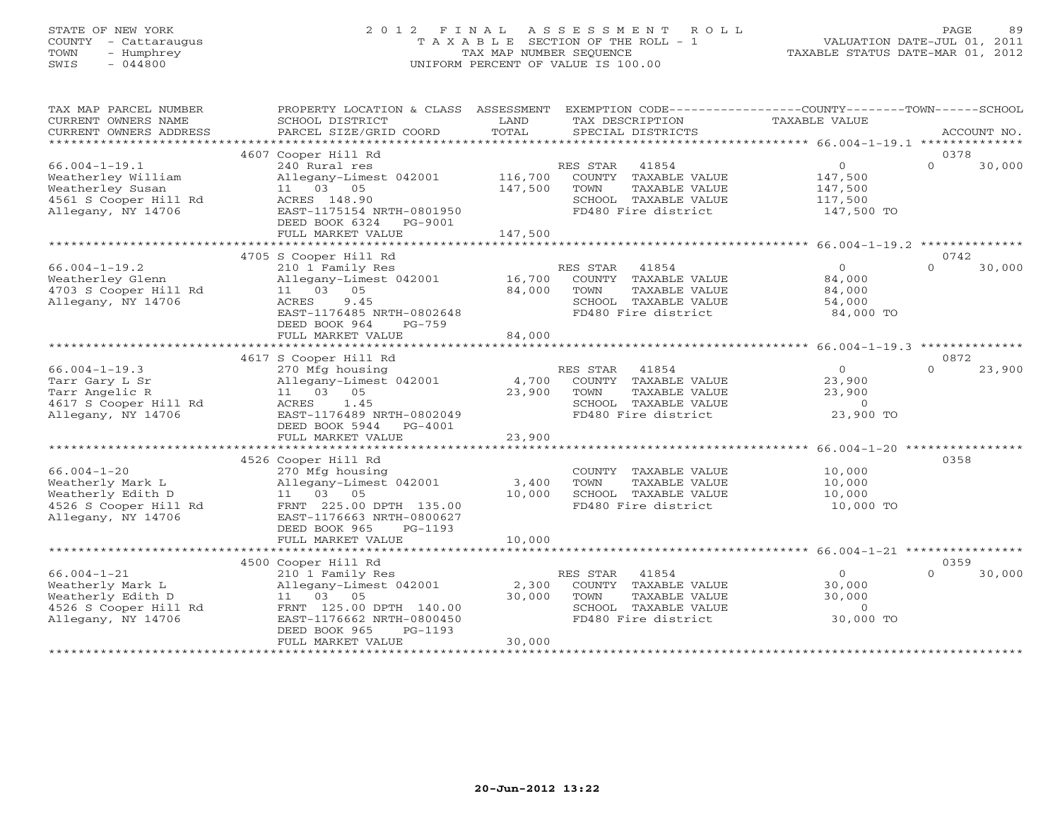# STATE OF NEW YORK 2 0 1 2 F I N A L A S S E S S M E N T R O L L PAGE 89 COUNTY - Cattaraugus T A X A B L E SECTION OF THE ROLL - 1 VALUATION DATE-JUL 01, 2011 TOWN - Humphrey TAX MAP NUMBER SEQUENCE TAXABLE STATUS DATE-MAR 01, 2012 SWIS - 044800 UNIFORM PERCENT OF VALUE IS 100.00UNIFORM PERCENT OF VALUE IS 100.00

| TAX MAP PARCEL NUMBER                               | PROPERTY LOCATION & CLASS ASSESSMENT |                | EXEMPTION CODE-----------------COUNTY-------TOWN------SCHOOL      |                |                    |
|-----------------------------------------------------|--------------------------------------|----------------|-------------------------------------------------------------------|----------------|--------------------|
| CURRENT OWNERS NAME                                 | SCHOOL DISTRICT                      | LAND<br>TOTAL  | TAX DESCRIPTION                                                   | TAXABLE VALUE  |                    |
| CURRENT OWNERS ADDRESS<br>************************* | PARCEL SIZE/GRID COORD               |                | SPECIAL DISTRICTS                                                 |                | ACCOUNT NO.        |
|                                                     | 4607 Cooper Hill Rd                  |                |                                                                   |                | 0378               |
| $66.004 - 1 - 19.1$                                 | 240 Rural res                        |                | 41854<br>RES STAR                                                 | $\overline{0}$ | $\Omega$<br>30,000 |
| Weatherley William                                  | Allegany-Limest 042001               | 116,700        | COUNTY TAXABLE VALUE                                              | 147,500        |                    |
| Weatherley Susan                                    | 11 03 05                             | 147,500        | TAXABLE VALUE<br>TOWN                                             | 147,500        |                    |
| 4561 S Cooper Hill Rd                               | ACRES 148.90                         |                | SCHOOL TAXABLE VALUE                                              | 117,500        |                    |
| Allegany, NY 14706                                  | EAST-1175154 NRTH-0801950            |                | FD480 Fire district                                               | 147,500 TO     |                    |
|                                                     | DEED BOOK 6324<br>PG-9001            |                |                                                                   |                |                    |
|                                                     | FULL MARKET VALUE                    | 147,500        |                                                                   |                |                    |
|                                                     |                                      |                |                                                                   |                |                    |
|                                                     | 4705 S Cooper Hill Rd                |                |                                                                   |                | 0742               |
| $66.004 - 1 - 19.2$                                 | 210 1 Family Res                     |                | RES STAR<br>41854                                                 | $\overline{O}$ | $\Omega$<br>30,000 |
| Weatherley Glenn                                    | Allegany-Limest 042001               | 16,700         | COUNTY TAXABLE VALUE                                              | 84,000         |                    |
| 4703 S Cooper Hill Rd                               | 11 03 05                             | 84,000         | TAXABLE VALUE<br>TOWN                                             | 84,000         |                    |
| Allegany, NY 14706                                  | 9.45<br>ACRES                        |                | SCHOOL TAXABLE VALUE                                              | 54,000         |                    |
|                                                     | EAST-1176485 NRTH-0802648            |                | FD480 Fire district                                               | 84,000 TO      |                    |
|                                                     | DEED BOOK 964<br>$PG-759$            |                |                                                                   |                |                    |
|                                                     | FULL MARKET VALUE                    | 84,000         |                                                                   |                |                    |
|                                                     |                                      | ************** | ************************************66.004-1-19.3 *************** |                |                    |
|                                                     | 4617 S Cooper Hill Rd                |                |                                                                   |                | 0872               |
| $66.004 - 1 - 19.3$                                 | 270 Mfg housing                      |                | 41854<br>RES STAR                                                 | $\Omega$       | 23,900<br>$\Omega$ |
| Tarr Gary L Sr                                      | Allegany-Limest 042001               | 4,700          | COUNTY TAXABLE VALUE                                              | 23,900         |                    |
| Tarr Angelic R                                      | 11 03 05                             | 23,900         | TOWN<br>TAXABLE VALUE                                             | 23,900         |                    |
| 4617 S Cooper Hill Rd                               | 1.45<br>ACRES                        |                | SCHOOL TAXABLE VALUE                                              | $\overline{0}$ |                    |
| Allegany, NY 14706                                  | EAST-1176489 NRTH-0802049            |                | FD480 Fire district                                               | 23,900 TO      |                    |
|                                                     | DEED BOOK 5944<br>$PG-4001$          |                |                                                                   |                |                    |
|                                                     | FULL MARKET VALUE                    | 23,900         |                                                                   |                |                    |
|                                                     |                                      |                |                                                                   |                |                    |
|                                                     | 4526 Cooper Hill Rd                  |                |                                                                   |                | 0358               |
| $66.004 - 1 - 20$                                   | 270 Mfg housing                      |                | COUNTY TAXABLE VALUE                                              | 10,000         |                    |
| Weatherly Mark L                                    | Allegany-Limest 042001               | 3,400          | TAXABLE VALUE<br>TOWN                                             | 10,000         |                    |
| Weatherly Edith D                                   | 11 03 05                             | 10,000         | SCHOOL TAXABLE VALUE                                              | 10,000         |                    |
| 4526 S Cooper Hill Rd                               | FRNT 225.00 DPTH 135.00              |                | FD480 Fire district                                               | 10,000 TO      |                    |
| Allegany, NY 14706                                  | EAST-1176663 NRTH-0800627            |                |                                                                   |                |                    |
|                                                     | DEED BOOK 965<br>PG-1193             |                |                                                                   |                |                    |
|                                                     | FULL MARKET VALUE                    | 10,000         |                                                                   |                |                    |
|                                                     |                                      |                |                                                                   |                |                    |
|                                                     | 4500 Cooper Hill Rd                  |                |                                                                   |                | 0359               |
| $66.004 - 1 - 21$                                   | 210 1 Family Res                     |                | RES STAR<br>41854                                                 | $\Omega$       | $\Omega$<br>30,000 |
| Weatherly Mark L                                    | Allegany-Limest 042001               | 2,300          | COUNTY TAXABLE VALUE                                              | 30,000         |                    |
| Weatherly Edith D                                   | 11 03 05                             | 30,000         | TAXABLE VALUE<br>TOWN                                             | 30,000         |                    |
| 4526 S Cooper Hill Rd                               | FRNT 125.00 DPTH 140.00              |                | SCHOOL TAXABLE VALUE                                              | $\Omega$       |                    |
| Allegany, NY 14706                                  | EAST-1176662 NRTH-0800450            |                | FD480 Fire district                                               | 30,000 TO      |                    |
|                                                     | DEED BOOK 965<br>$PG-1193$           |                |                                                                   |                |                    |
|                                                     | FULL MARKET VALUE                    | 30,000         |                                                                   |                |                    |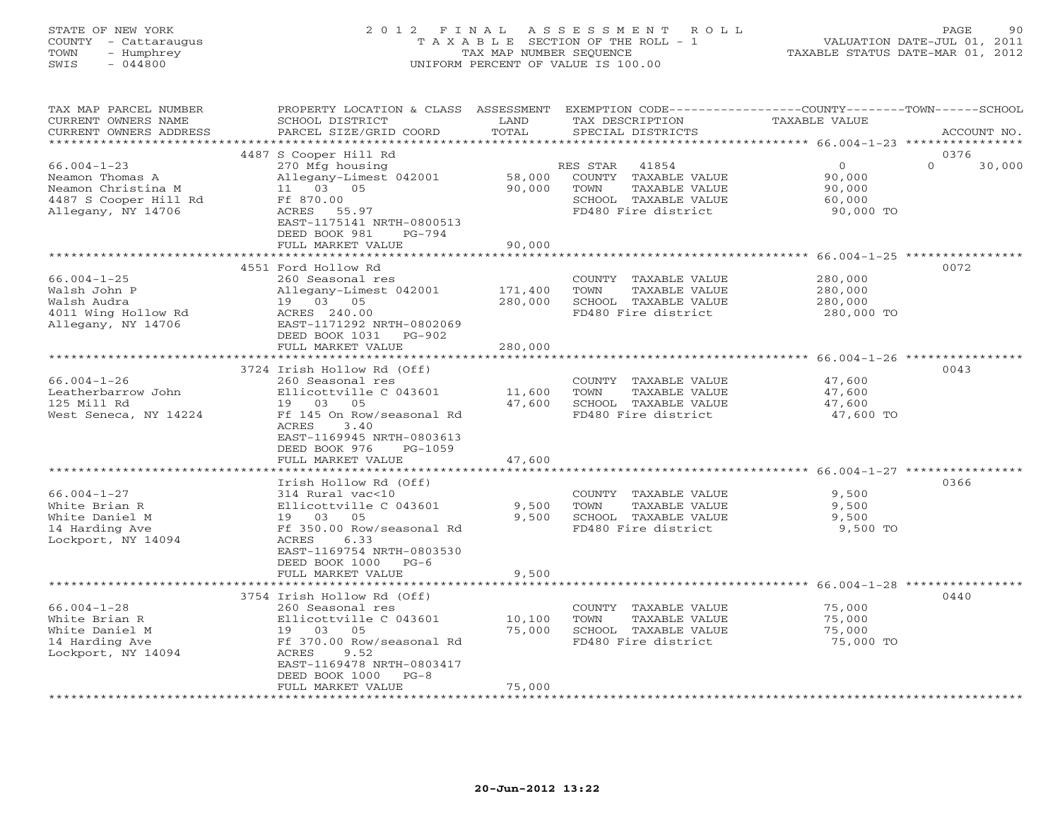# STATE OF NEW YORK 2 0 1 2 F I N A L A S S E S S M E N T R O L L PAGE 90 COUNTY - Cattaraugus T A X A B L E SECTION OF THE ROLL - 1 VALUATION DATE-JUL 01, 2011 TOWN - Humphrey TAX MAP NUMBER SEQUENCE TAXABLE STATUS DATE-MAR 01, 2012 SWIS - 044800 UNIFORM PERCENT OF VALUE IS 100.00UNIFORM PERCENT OF VALUE IS 100.00

| TAX MAP PARCEL NUMBER<br>CURRENT OWNERS NAME<br>CURRENT OWNERS ADDRESS                        | PROPERTY LOCATION & CLASS ASSESSMENT<br>SCHOOL DISTRICT<br>PARCEL SIZE/GRID COORD                                                                                                                    | LAND<br>TOTAL                 | EXEMPTION CODE-----------------COUNTY-------TOWN------SCHOOL<br>TAX DESCRIPTION<br>SPECIAL DISTRICTS              | TAXABLE VALUE                                                                         | ACCOUNT NO.                |
|-----------------------------------------------------------------------------------------------|------------------------------------------------------------------------------------------------------------------------------------------------------------------------------------------------------|-------------------------------|-------------------------------------------------------------------------------------------------------------------|---------------------------------------------------------------------------------------|----------------------------|
|                                                                                               |                                                                                                                                                                                                      | ***********************       |                                                                                                                   | ************************ 66.004-1-23 ****************                                 |                            |
| $66.004 - 1 - 23$<br>Neamon Thomas A<br>Neamon Christina M<br>4487 S Cooper Hill Rd           | 4487 S Cooper Hill Rd<br>270 Mfg housing<br>Allegany-Limest 042001<br>11 03 05<br>Ff 870.00                                                                                                          | 58,000<br>90,000              | 41854<br>RES STAR<br>COUNTY TAXABLE VALUE<br>TOWN<br>TAXABLE VALUE<br>SCHOOL TAXABLE VALUE<br>FD480 Fire district | $\circ$<br>90,000<br>90,000<br>60,000                                                 | 0376<br>$\Omega$<br>30,000 |
| Allegany, NY 14706                                                                            | ACRES 55.97<br>EAST-1175141 NRTH-0800513<br>DEED BOOK 981<br>$PG-794$<br>FULL MARKET VALUE                                                                                                           | 90,000                        |                                                                                                                   | 90,000 TO<br>***************** 66.004-1-25 **********                                 |                            |
|                                                                                               | 4551 Ford Hollow Rd                                                                                                                                                                                  |                               |                                                                                                                   |                                                                                       | 0072                       |
| $66.004 - 1 - 25$<br>Walsh John P<br>Walsh Audra<br>4011 Wing Hollow Rd<br>Allegany, NY 14706 | 260 Seasonal res<br>Allegany-Limest 042001<br>19 03 05<br>ACRES 240.00<br>EAST-1171292 NRTH-0802069<br>DEED BOOK 1031<br>PG-902<br>FULL MARKET VALUE                                                 | 171,400<br>280,000<br>280,000 | COUNTY TAXABLE VALUE<br>TOWN<br>TAXABLE VALUE<br>SCHOOL TAXABLE VALUE<br>FD480 Fire district                      | 280,000<br>280,000<br>280,000<br>280,000 TO                                           |                            |
|                                                                                               | **********************                                                                                                                                                                               | ***********                   |                                                                                                                   | ************************* 66.004-1-26 **************                                  |                            |
| $66.004 - 1 - 26$<br>Leatherbarrow John<br>125 Mill Rd<br>West Seneca, NY 14224               | 3724 Irish Hollow Rd (Off)<br>260 Seasonal res<br>Ellicottville C 043601<br>19 03 05<br>Ff 145 On Row/seasonal Rd<br><b>ACRES</b><br>3.40<br>EAST-1169945 NRTH-0803613<br>DEED BOOK 976<br>$PG-1059$ | 11,600<br>47,600              | COUNTY TAXABLE VALUE<br>TOWN<br>TAXABLE VALUE<br>SCHOOL TAXABLE VALUE<br>FD480 Fire district                      | 47,600<br>47,600<br>47,600<br>47,600 TO                                               | 0043                       |
|                                                                                               | FULL MARKET VALUE                                                                                                                                                                                    | 47,600                        |                                                                                                                   |                                                                                       |                            |
| $66.004 - 1 - 27$<br>White Brian R<br>White Daniel M<br>14 Harding Ave<br>Lockport, NY 14094  | Irish Hollow Rd (Off)<br>314 Rural vac<10<br>Ellicottville C 043601<br>19 03 05<br>Ff 350.00 Row/seasonal Rd<br>ACRES<br>6.33<br>EAST-1169754 NRTH-0803530<br>DEED BOOK 1000<br>$PG-6$               | 9,500<br>9,500                | COUNTY TAXABLE VALUE<br>TOWN<br>TAXABLE VALUE<br>SCHOOL TAXABLE VALUE<br>FD480 Fire district                      | **************************** 66.004-1-27 *****<br>9,500<br>9,500<br>9,500<br>9,500 TO | 0366                       |
|                                                                                               | FULL MARKET VALUE                                                                                                                                                                                    | 9,500                         |                                                                                                                   |                                                                                       |                            |
|                                                                                               | 3754 Irish Hollow Rd (Off)                                                                                                                                                                           |                               |                                                                                                                   | *********************** 66.004-1-28 ***********                                       | 0440                       |
| $66.004 - 1 - 28$<br>White Brian R<br>White Daniel M<br>14 Harding Ave<br>Lockport, NY 14094  | 260 Seasonal res<br>Ellicottville C 043601<br>19 03 05<br>Ff 370.00 Row/seasonal Rd<br>9.52<br>ACRES<br>EAST-1169478 NRTH-0803417<br>DEED BOOK 1000<br>$PG-8$                                        | 10,100<br>75,000              | COUNTY TAXABLE VALUE<br>TOWN<br>TAXABLE VALUE<br>SCHOOL TAXABLE VALUE<br>FD480 Fire district                      | 75,000<br>75,000<br>75,000<br>75,000 TO                                               |                            |
|                                                                                               | FULL MARKET VALUE                                                                                                                                                                                    | 75,000                        |                                                                                                                   |                                                                                       |                            |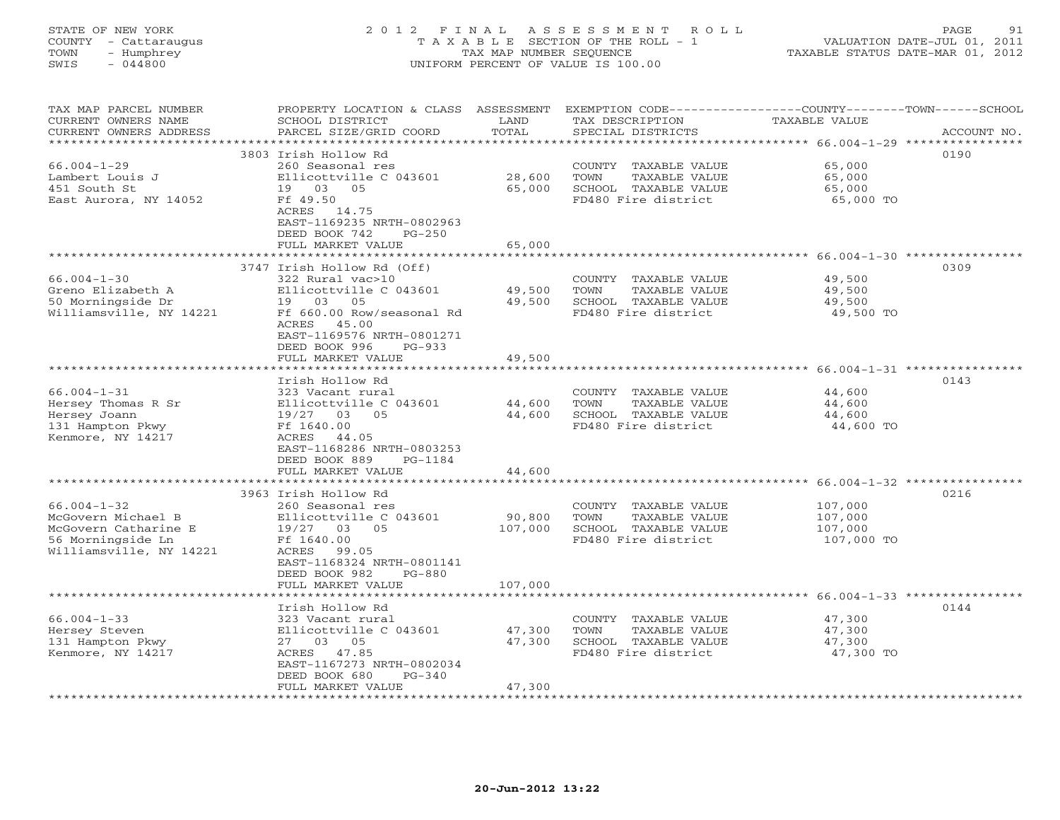# STATE OF NEW YORK 2 0 1 2 F I N A L A S S E S S M E N T R O L L PAGE 91 COUNTY - Cattaraugus T A X A B L E SECTION OF THE ROLL - 1 VALUATION DATE-JUL 01, 2011 TOWN - Humphrey TAX MAP NUMBER SEQUENCE TAXABLE STATUS DATE-MAR 01, 2012 SWIS - 044800 UNIFORM PERCENT OF VALUE IS 100.00UNIFORM PERCENT OF VALUE IS 100.00

| TAX MAP PARCEL NUMBER<br>CURRENT OWNERS NAME<br>CURRENT OWNERS ADDRESS | PROPERTY LOCATION & CLASS ASSESSMENT<br>SCHOOL DISTRICT<br>PARCEL SIZE/GRID COORD | LAND<br>TOTAL | EXEMPTION CODE-----------------COUNTY-------TOWN------SCHOOL<br>TAX DESCRIPTION<br>SPECIAL DISTRICTS | TAXABLE VALUE                                           | ACCOUNT NO. |
|------------------------------------------------------------------------|-----------------------------------------------------------------------------------|---------------|------------------------------------------------------------------------------------------------------|---------------------------------------------------------|-------------|
| **********************                                                 |                                                                                   |               |                                                                                                      |                                                         |             |
|                                                                        | 3803 Irish Hollow Rd                                                              |               |                                                                                                      |                                                         | 0190        |
| $66.004 - 1 - 29$                                                      | 260 Seasonal res                                                                  |               | COUNTY TAXABLE VALUE                                                                                 | 65,000                                                  |             |
| Lambert Louis J                                                        | Ellicottville C 043601                                                            | 28,600        | TAXABLE VALUE<br>TOWN                                                                                | 65,000                                                  |             |
| 451 South St                                                           | 19 03 05                                                                          | 65,000        | SCHOOL TAXABLE VALUE                                                                                 | 65,000                                                  |             |
| East Aurora, NY 14052                                                  | Ff 49.50                                                                          |               | FD480 Fire district                                                                                  | 65,000 TO                                               |             |
|                                                                        | ACRES<br>14.75                                                                    |               |                                                                                                      |                                                         |             |
|                                                                        | EAST-1169235 NRTH-0802963                                                         |               |                                                                                                      |                                                         |             |
|                                                                        | DEED BOOK 742<br>$PG-250$                                                         |               |                                                                                                      |                                                         |             |
|                                                                        | FULL MARKET VALUE                                                                 | 65,000        |                                                                                                      |                                                         |             |
|                                                                        | ******************                                                                | ********      |                                                                                                      | ************************* 66.004-1-30 ***************** |             |
|                                                                        | 3747 Irish Hollow Rd (Off)                                                        |               |                                                                                                      |                                                         | 0309        |
| $66.004 - 1 - 30$                                                      | 322 Rural vac>10                                                                  |               | COUNTY TAXABLE VALUE                                                                                 | 49,500                                                  |             |
| Greno Elizabeth A                                                      | Ellicottville C 043601                                                            | 49,500        | TAXABLE VALUE<br>TOWN                                                                                | 49,500                                                  |             |
| 50 Morningside Dr                                                      | 19 03<br>05                                                                       | 49,500        | SCHOOL TAXABLE VALUE                                                                                 | 49,500                                                  |             |
| Williamsville, NY 14221                                                | Ff 660.00 Row/seasonal Rd                                                         |               | FD480 Fire district                                                                                  | 49,500 TO                                               |             |
|                                                                        | 45.00<br>ACRES                                                                    |               |                                                                                                      |                                                         |             |
|                                                                        | EAST-1169576 NRTH-0801271                                                         |               |                                                                                                      |                                                         |             |
|                                                                        | DEED BOOK 996<br>$PG-933$                                                         |               |                                                                                                      |                                                         |             |
|                                                                        | FULL MARKET VALUE                                                                 | 49,500        |                                                                                                      |                                                         |             |
|                                                                        |                                                                                   | ********      |                                                                                                      | **************** 66.004-1-31 *****************          |             |
|                                                                        | Irish Hollow Rd                                                                   |               |                                                                                                      |                                                         | 0143        |
| $66.004 - 1 - 31$                                                      | 323 Vacant rural                                                                  |               | COUNTY TAXABLE VALUE                                                                                 | 44,600                                                  |             |
| Hersey Thomas R Sr                                                     | Ellicottville C 043601                                                            | 44,600        | TOWN<br>TAXABLE VALUE                                                                                | 44,600                                                  |             |
| Hersey Joann                                                           | 19/27 03<br>05                                                                    | 44,600        | SCHOOL TAXABLE VALUE                                                                                 | 44,600                                                  |             |
| 131 Hampton Pkwy                                                       | Ff 1640.00                                                                        |               | FD480 Fire district                                                                                  | 44,600 TO                                               |             |
| Kenmore, NY 14217                                                      | ACRES<br>44.05                                                                    |               |                                                                                                      |                                                         |             |
|                                                                        | EAST-1168286 NRTH-0803253<br>DEED BOOK 889<br>PG-1184                             |               |                                                                                                      |                                                         |             |
|                                                                        | FULL MARKET VALUE                                                                 | 44,600        |                                                                                                      |                                                         |             |
|                                                                        |                                                                                   |               |                                                                                                      | **************** 66.004-1-32 *****************          |             |
|                                                                        | 3963 Irish Hollow Rd                                                              |               |                                                                                                      |                                                         | 0216        |
| $66.004 - 1 - 32$                                                      | 260 Seasonal res                                                                  |               | COUNTY TAXABLE VALUE                                                                                 | 107,000                                                 |             |
| McGovern Michael B                                                     | Ellicottville C 043601                                                            | 90,800        | TAXABLE VALUE<br>TOWN                                                                                | 107,000                                                 |             |
| McGovern Catharine E                                                   | 19/27 03<br>0.5                                                                   | 107,000       | SCHOOL TAXABLE VALUE                                                                                 | 107,000                                                 |             |
| 56 Morningside Ln                                                      | Ff 1640.00                                                                        |               | FD480 Fire district                                                                                  | 107,000 TO                                              |             |
| Williamsville, NY 14221                                                | ACRES<br>99.05                                                                    |               |                                                                                                      |                                                         |             |
|                                                                        | EAST-1168324 NRTH-0801141                                                         |               |                                                                                                      |                                                         |             |
|                                                                        | DEED BOOK 982<br>$PG-880$                                                         |               |                                                                                                      |                                                         |             |
|                                                                        | FULL MARKET VALUE                                                                 | 107,000       |                                                                                                      |                                                         |             |
|                                                                        |                                                                                   |               |                                                                                                      | ***************** 66.004-1-33 ****************          |             |
|                                                                        | Irish Hollow Rd                                                                   |               |                                                                                                      |                                                         | 0144        |
| $66.004 - 1 - 33$                                                      | 323 Vacant rural                                                                  |               | COUNTY TAXABLE VALUE                                                                                 | 47,300                                                  |             |
| Hersey Steven                                                          | Ellicottville C 043601                                                            | 47,300        | TOWN<br>TAXABLE VALUE                                                                                | 47,300                                                  |             |
| 131 Hampton Pkwy                                                       | 27 03 05                                                                          | 47,300        | SCHOOL TAXABLE VALUE                                                                                 | 47,300                                                  |             |
| Kenmore, NY 14217                                                      | ACRES 47.85                                                                       |               | FD480 Fire district                                                                                  | 47,300 TO                                               |             |
|                                                                        | EAST-1167273 NRTH-0802034                                                         |               |                                                                                                      |                                                         |             |
|                                                                        | DEED BOOK 680<br>$PG-340$                                                         |               |                                                                                                      |                                                         |             |
|                                                                        | FULL MARKET VALUE                                                                 | 47,300        |                                                                                                      |                                                         |             |
|                                                                        |                                                                                   |               |                                                                                                      |                                                         |             |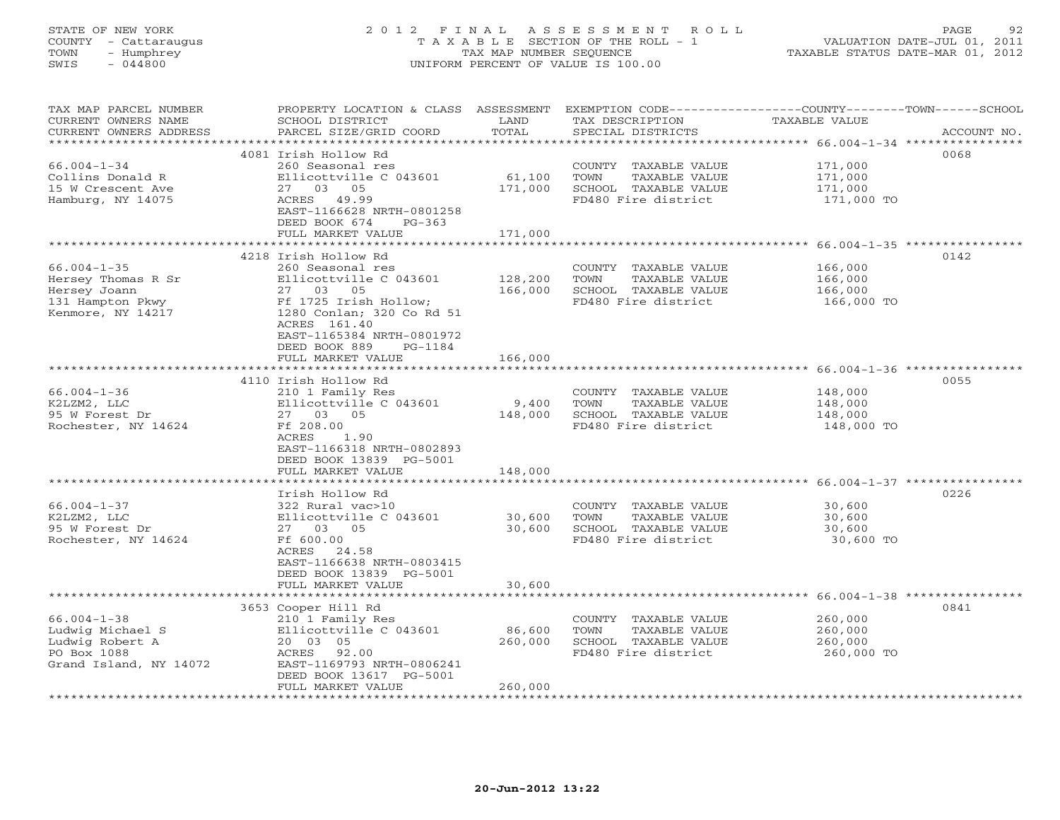# STATE OF NEW YORK 2 0 1 2 F I N A L A S S E S S M E N T R O L L PAGE 92 COUNTY - Cattaraugus T A X A B L E SECTION OF THE ROLL - 1 VALUATION DATE-JUL 01, 2011 TOWN - Humphrey TAX MAP NUMBER SEQUENCE TAXABLE STATUS DATE-MAR 01, 2012 SWIS - 044800 UNIFORM PERCENT OF VALUE IS 100.00UNIFORM PERCENT OF VALUE IS 100.00

| TAX MAP PARCEL NUMBER<br>CURRENT OWNERS NAME<br>CURRENT OWNERS ADDRESS                                   | PROPERTY LOCATION & CLASS ASSESSMENT<br>SCHOOL DISTRICT<br>PARCEL SIZE/GRID COORD                                                                                                        | LAND<br>TOTAL                     | TAX DESCRIPTION<br>SPECIAL DISTRICTS                                                         | EXEMPTION CODE----------------COUNTY-------TOWN-----SCHOOL<br>TAXABLE VALUE<br>ACCOUNT NO. |
|----------------------------------------------------------------------------------------------------------|------------------------------------------------------------------------------------------------------------------------------------------------------------------------------------------|-----------------------------------|----------------------------------------------------------------------------------------------|--------------------------------------------------------------------------------------------|
| *********************<br>$66.004 - 1 - 34$<br>Collins Donald R<br>15 W Crescent Ave<br>Hamburg, NY 14075 | 4081 Irish Hollow Rd<br>260 Seasonal res<br>Ellicottville C 043601<br>27 03 05<br>ACRES 49.99<br>EAST-1166628 NRTH-0801258<br>DEED BOOK 674<br>$PG-363$<br>FULL MARKET VALUE             | 61,100<br>171,000<br>171,000      | COUNTY TAXABLE VALUE<br>TOWN<br>TAXABLE VALUE<br>SCHOOL TAXABLE VALUE<br>FD480 Fire district | 0068<br>171,000<br>171,000<br>171,000<br>171,000 TO                                        |
|                                                                                                          | *****************************<br>4218 Irish Hollow Rd                                                                                                                                    |                                   |                                                                                              | 0142                                                                                       |
| $66.004 - 1 - 35$<br>Hersey Thomas R Sr<br>Hersey Joann<br>131 Hampton Pkwy<br>Kenmore, NY 14217         | 260 Seasonal res<br>Ellicottville C 043601<br>27 03<br>05<br>Ff 1725 Irish Hollow;<br>1280 Conlan; 320 Co Rd 51<br>ACRES 161.40<br>EAST-1165384 NRTH-0801972<br>DEED BOOK 889<br>PG-1184 | 128,200<br>166,000                | COUNTY TAXABLE VALUE<br>TOWN<br>TAXABLE VALUE<br>SCHOOL TAXABLE VALUE<br>FD480 Fire district | 166,000<br>166,000<br>166,000<br>166,000 TO                                                |
|                                                                                                          | FULL MARKET VALUE<br>**************                                                                                                                                                      | 166,000<br>************           |                                                                                              |                                                                                            |
|                                                                                                          | 4110 Irish Hollow Rd                                                                                                                                                                     |                                   |                                                                                              | ******************************** 66.004-1-36 ****************<br>0055                      |
| $66.004 - 1 - 36$<br>K2LZM2, LLC<br>95 W Forest Dr<br>Rochester, NY 14624                                | 210 1 Family Res<br>Ellicottville C 043601<br>27 03 05<br>Ff 208.00<br>ACRES<br>1.90<br>EAST-1166318 NRTH-0802893                                                                        | 9,400<br>148,000                  | COUNTY TAXABLE VALUE<br>TOWN<br>TAXABLE VALUE<br>SCHOOL TAXABLE VALUE<br>FD480 Fire district | 148,000<br>148,000<br>148,000<br>148,000 TO                                                |
|                                                                                                          | DEED BOOK 13839 PG-5001<br>FULL MARKET VALUE                                                                                                                                             | 148,000                           |                                                                                              |                                                                                            |
| $66.004 - 1 - 37$<br>K2LZM2, LLC<br>95 W Forest Dr<br>Rochester, NY 14624                                | Irish Hollow Rd<br>322 Rural vac>10<br>Ellicottville C 043601<br>27 03 05<br>Ff 600.00<br>ACRES 24.58<br>EAST-1166638 NRTH-0803415<br>DEED BOOK 13839 PG-5001                            | *************<br>30,600<br>30,600 | COUNTY TAXABLE VALUE<br>TOWN<br>TAXABLE VALUE<br>SCHOOL TAXABLE VALUE<br>FD480 Fire district | 0226<br>30,600<br>30,600<br>30,600<br>30,600 TO                                            |
|                                                                                                          | FULL MARKET VALUE                                                                                                                                                                        |                                   |                                                                                              |                                                                                            |
| $66.004 - 1 - 38$<br>Ludwig Michael S<br>Ludwig Robert A<br>PO Box 1088<br>Grand Island, NY 14072        | 3653 Cooper Hill Rd<br>210 1 Family Res<br>Ellicottville C 043601<br>20 03 05<br>ACRES 92.00<br>EAST-1169793 NRTH-0806241<br>DEED BOOK 13617 PG-5001<br>FULL MARKET VALUE                | 86,600<br>260,000<br>260,000      | COUNTY TAXABLE VALUE<br>TOWN<br>TAXABLE VALUE<br>SCHOOL TAXABLE VALUE<br>FD480 Fire district | 0841<br>260,000<br>260,000<br>260,000<br>260,000 TO                                        |
| ********************                                                                                     | *********************                                                                                                                                                                    | 30,600                            | ***********************                                                                      |                                                                                            |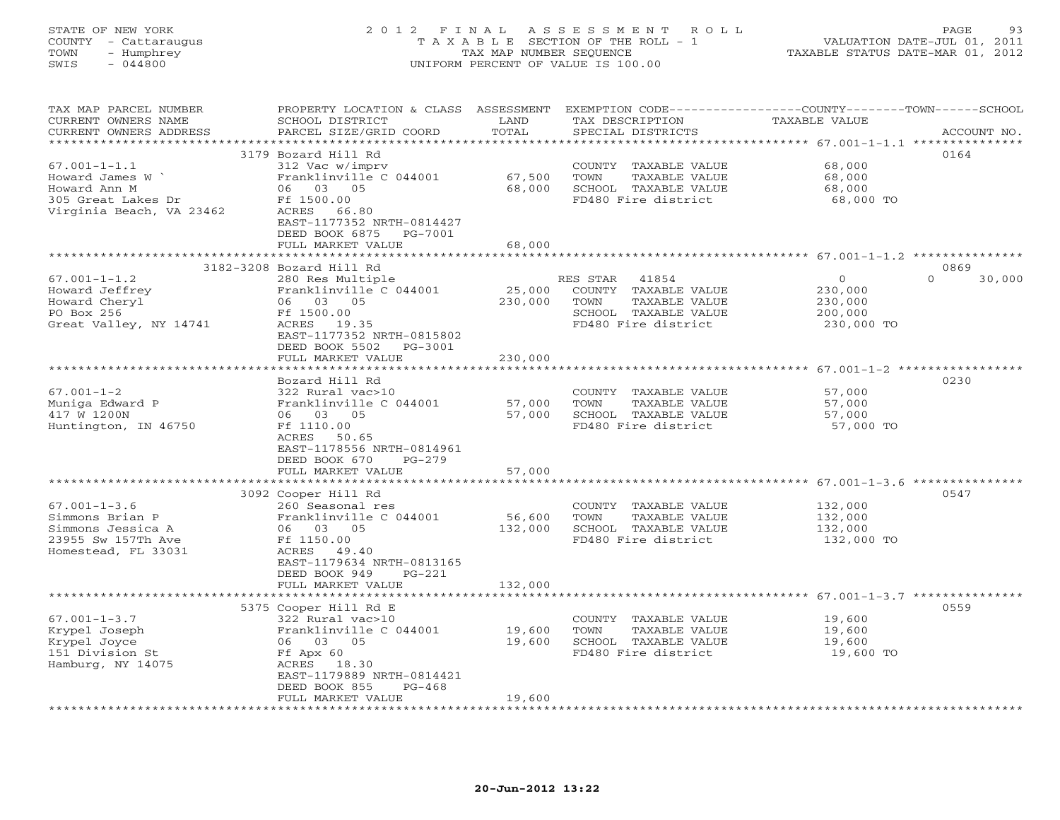STATE OF NEW YORK 2 0 1 2 F I N A L A S S E S S M E N T R O L L PAGE 93VALUATION DATE-JUL 01, 2011 COUNTY - Cattaraugus T A X A B L E SECTION OF THE ROLL - 1<br>
TOWN - Humphrey TAX MAP NUMBER SEQUENCE<br>
SWIS - 044800 TAXABLE STATUS DATE-MAR 01, 2012 SWIS - 044800 UNIFORM PERCENT OF VALUE IS 100.00

| TAX MAP PARCEL NUMBER<br>CURRENT OWNERS NAME<br>CURRENT OWNERS ADDRESS                                   | PROPERTY LOCATION & CLASS ASSESSMENT<br>SCHOOL DISTRICT<br>PARCEL SIZE/GRID COORD                                | LAND<br>TOTAL     | EXEMPTION CODE-----------------COUNTY-------TOWN------SCHOOL<br>TAX DESCRIPTION<br>SPECIAL DISTRICTS              | TAXABLE VALUE                                                     | ACCOUNT NO.        |
|----------------------------------------------------------------------------------------------------------|------------------------------------------------------------------------------------------------------------------|-------------------|-------------------------------------------------------------------------------------------------------------------|-------------------------------------------------------------------|--------------------|
|                                                                                                          |                                                                                                                  |                   |                                                                                                                   |                                                                   |                    |
|                                                                                                          | 3179 Bozard Hill Rd                                                                                              |                   |                                                                                                                   |                                                                   | 0164               |
| $67.001 - 1 - 1.1$<br>Howard James W `<br>Howard Ann M<br>305 Great Lakes Dr<br>Virginia Beach, VA 23462 | 312 Vac w/imprv<br>Franklinville C 044001<br>06 03 05<br>Ff 1500.00<br>ACRES<br>66.80                            | 67,500<br>68,000  | COUNTY TAXABLE VALUE<br>TOWN<br>TAXABLE VALUE<br>SCHOOL TAXABLE VALUE<br>FD480 Fire district                      | 68,000<br>68,000<br>68,000<br>68,000 TO                           |                    |
|                                                                                                          | EAST-1177352 NRTH-0814427<br>DEED BOOK 6875 PG-7001<br>FULL MARKET VALUE                                         | 68,000            |                                                                                                                   |                                                                   |                    |
|                                                                                                          | ******************************                                                                                   | ****************  |                                                                                                                   | ************************************ 67.001-1-1.2 *************** |                    |
|                                                                                                          | 3182-3208 Bozard Hill Rd                                                                                         |                   |                                                                                                                   |                                                                   | 0869               |
| $67.001 - 1 - 1.2$<br>Howard Jeffrey<br>Howard Cheryl<br>PO Box 256<br>Great Valley, NY 14741            | 280 Res Multiple<br>Franklinville C 044001<br>06 03 05<br>Ff 1500.00<br>ACRES 19.35<br>EAST-1177352 NRTH-0815802 | 25,000<br>230,000 | RES STAR<br>41854<br>COUNTY TAXABLE VALUE<br>TOWN<br>TAXABLE VALUE<br>SCHOOL TAXABLE VALUE<br>FD480 Fire district | $\Omega$<br>230,000<br>230,000<br>200,000<br>230,000 TO           | $\Omega$<br>30,000 |
|                                                                                                          | DEED BOOK 5502 PG-3001                                                                                           |                   |                                                                                                                   |                                                                   |                    |
|                                                                                                          | FULL MARKET VALUE                                                                                                | 230,000           |                                                                                                                   |                                                                   |                    |
|                                                                                                          |                                                                                                                  |                   |                                                                                                                   |                                                                   |                    |
|                                                                                                          | Bozard Hill Rd                                                                                                   |                   |                                                                                                                   |                                                                   | 0230               |
| $67.001 - 1 - 2$                                                                                         | 322 Rural vac>10                                                                                                 |                   | COUNTY TAXABLE VALUE                                                                                              | 57,000                                                            |                    |
| Muniqa Edward P                                                                                          | Franklinville C 044001                                                                                           | 57,000            | TOWN<br>TAXABLE VALUE                                                                                             | 57,000                                                            |                    |
| 417 W 1200N                                                                                              | 06 03 05                                                                                                         | 57,000            | SCHOOL TAXABLE VALUE                                                                                              | 57,000                                                            |                    |
| Huntington, IN 46750                                                                                     | Ff 1110.00<br>ACRES 50.65<br>EAST-1178556 NRTH-0814961<br>DEED BOOK 670<br>$PG-279$                              |                   | FD480 Fire district                                                                                               | 57,000 TO                                                         |                    |
|                                                                                                          | FULL MARKET VALUE                                                                                                | 57,000            |                                                                                                                   |                                                                   |                    |
|                                                                                                          | 3092 Cooper Hill Rd                                                                                              |                   |                                                                                                                   |                                                                   | 0547               |
| $67.001 - 1 - 3.6$                                                                                       | 260 Seasonal res                                                                                                 |                   | COUNTY TAXABLE VALUE                                                                                              | 132,000                                                           |                    |
| Simmons Brian P                                                                                          | Franklinville C 044001                                                                                           | 56,600            | TOWN<br>TAXABLE VALUE                                                                                             | 132,000                                                           |                    |
| Simmons Jessica A                                                                                        | 06 03 05                                                                                                         | 132,000           | SCHOOL TAXABLE VALUE                                                                                              | 132,000                                                           |                    |
| 23955 Sw 157Th Ave                                                                                       | Ff 1150.00                                                                                                       |                   | FD480 Fire district                                                                                               | 132,000 TO                                                        |                    |
| Homestead, FL 33031                                                                                      | ACRES 49.40<br>EAST-1179634 NRTH-0813165<br>DEED BOOK 949<br>$PG-221$<br>FULL MARKET VALUE                       | 132,000           |                                                                                                                   |                                                                   |                    |
|                                                                                                          |                                                                                                                  |                   |                                                                                                                   |                                                                   |                    |
|                                                                                                          | 5375 Cooper Hill Rd E                                                                                            |                   |                                                                                                                   |                                                                   | 0559               |
| $67.001 - 1 - 3.7$                                                                                       | 322 Rural vac>10                                                                                                 |                   | COUNTY TAXABLE VALUE                                                                                              | 19,600                                                            |                    |
| Krypel Joseph                                                                                            | Franklinville C 044001                                                                                           | 19,600            | TOWN<br>TAXABLE VALUE                                                                                             | 19,600                                                            |                    |
| Krypel Joyce                                                                                             | 06 03 05                                                                                                         | 19,600            | SCHOOL TAXABLE VALUE                                                                                              | 19,600                                                            |                    |
| 151 Division St                                                                                          | Ff Apx 60                                                                                                        |                   | FD480 Fire district                                                                                               | 19,600 TO                                                         |                    |
| Hamburg, NY 14075                                                                                        | ACRES 18.30<br>EAST-1179889 NRTH-0814421<br>DEED BOOK 855<br>$PG-468$                                            |                   |                                                                                                                   |                                                                   |                    |
|                                                                                                          | FULL MARKET VALUE                                                                                                | 19,600            |                                                                                                                   |                                                                   |                    |
|                                                                                                          |                                                                                                                  |                   |                                                                                                                   |                                                                   |                    |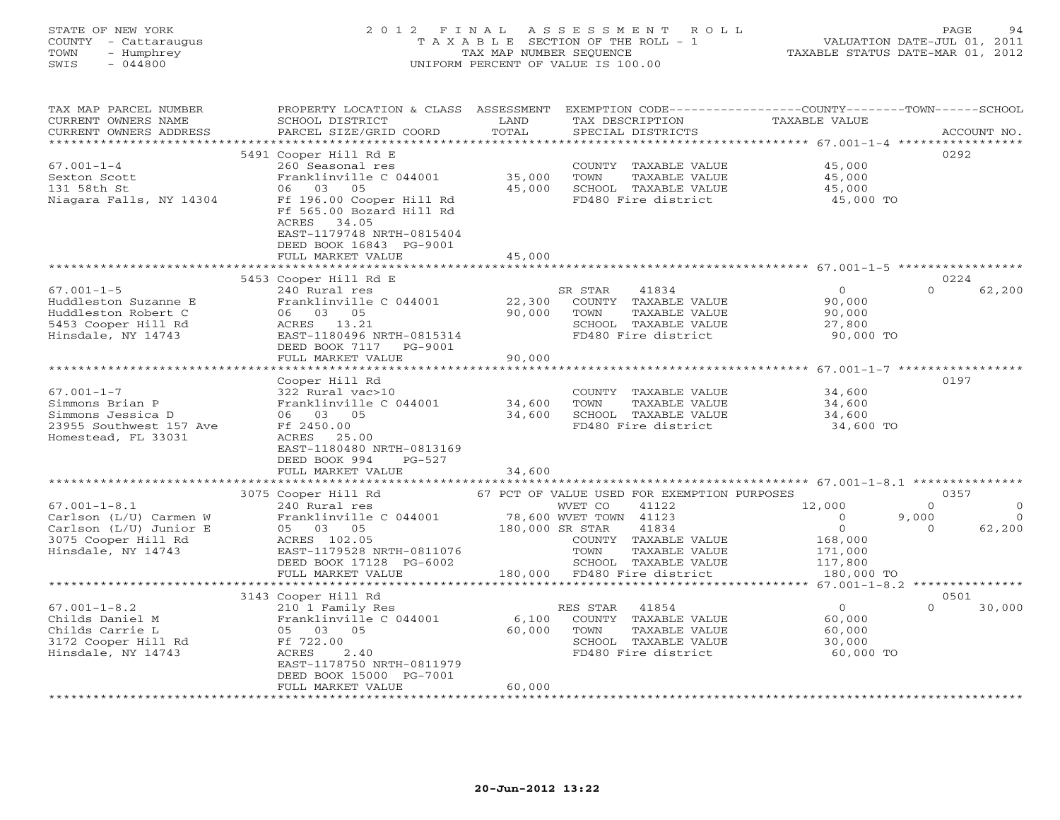### STATE OF NEW YORK 2 0 1 2 F I N A L A S S E S S M E N T R O L L PAGE 94 COUNTY - Cattaraugus T A X A B L E SECTION OF THE ROLL - 1 VALUATION DATE-JUL 01, 2011 TOWN - Humphrey TAX MAP NUMBER SEQUENCE TAXABLE STATUS DATE-MAR 01, 2012 SWIS - 044800 UNIFORM PERCENT OF VALUE IS 100.00UNIFORM PERCENT OF VALUE IS 100.00

| TAX MAP PARCEL NUMBER<br>CURRENT OWNERS NAME<br>CURRENT OWNERS ADDRESS | PROPERTY LOCATION & CLASS ASSESSMENT<br>SCHOOL DISTRICT<br>PARCEL SIZE/GRID COORD                                                             | LAND<br>TOTAL   | EXEMPTION CODE-----------------COUNTY-------TOWN------SCHOOL<br>TAX DESCRIPTION<br>SPECIAL DISTRICTS | TAXABLE VALUE                                       | ACCOUNT NO.                  |
|------------------------------------------------------------------------|-----------------------------------------------------------------------------------------------------------------------------------------------|-----------------|------------------------------------------------------------------------------------------------------|-----------------------------------------------------|------------------------------|
| ***********************                                                |                                                                                                                                               |                 |                                                                                                      |                                                     |                              |
| $67.001 - 1 - 4$<br>Sexton Scott                                       | 5491 Cooper Hill Rd E<br>260 Seasonal res<br>Franklinville C 044001                                                                           | 35,000          | COUNTY TAXABLE VALUE<br>TOWN<br>TAXABLE VALUE                                                        | 45,000<br>45,000                                    | 0292                         |
| 131 58th St<br>Niagara Falls, NY 14304                                 | 06 03<br>05<br>Ff 196.00 Cooper Hill Rd<br>Ff 565.00 Bozard Hill Rd<br>ACRES<br>34.05<br>EAST-1179748 NRTH-0815404<br>DEED BOOK 16843 PG-9001 | 45,000          | SCHOOL TAXABLE VALUE<br>FD480 Fire district                                                          | 45,000<br>45,000 TO                                 |                              |
|                                                                        | FULL MARKET VALUE                                                                                                                             | 45,000          |                                                                                                      |                                                     |                              |
|                                                                        |                                                                                                                                               |                 |                                                                                                      |                                                     |                              |
|                                                                        | 5453 Cooper Hill Rd E                                                                                                                         |                 |                                                                                                      |                                                     | 0224                         |
| $67.001 - 1 - 5$                                                       | 240 Rural res                                                                                                                                 |                 | SR STAR<br>41834                                                                                     | $\circ$                                             | $\Omega$<br>62,200           |
| Huddleston Suzanne E                                                   | Franklinville C 044001                                                                                                                        | 22,300          | COUNTY TAXABLE VALUE                                                                                 | 90,000                                              |                              |
| Huddleston Robert C                                                    | 06 03 05                                                                                                                                      | 90,000          | TOWN<br>TAXABLE VALUE<br>SCHOOL TAXABLE VALUE                                                        | 90,000                                              |                              |
| 5453 Cooper Hill Rd<br>Hinsdale, NY 14743                              | ACRES<br>13.21<br>EAST-1180496 NRTH-0815314                                                                                                   |                 | FD480 Fire district                                                                                  | 27,800<br>90,000 TO                                 |                              |
|                                                                        | DEED BOOK 7117<br>PG-9001                                                                                                                     |                 |                                                                                                      |                                                     |                              |
|                                                                        | FULL MARKET VALUE                                                                                                                             | 90,000          |                                                                                                      |                                                     |                              |
|                                                                        | *********************                                                                                                                         | *************   |                                                                                                      | ********************* 67.001-1-7 ****************** |                              |
|                                                                        | Cooper Hill Rd                                                                                                                                |                 |                                                                                                      |                                                     | 0197                         |
| $67.001 - 1 - 7$                                                       | 322 Rural vac>10                                                                                                                              |                 | COUNTY TAXABLE VALUE                                                                                 | 34,600                                              |                              |
| Simmons Brian P                                                        | Franklinville C 044001                                                                                                                        | 34,600          | TOWN<br>TAXABLE VALUE                                                                                | 34,600                                              |                              |
| Simmons Jessica D                                                      | 06 03 05                                                                                                                                      | 34,600          | SCHOOL TAXABLE VALUE                                                                                 | 34,600                                              |                              |
| 23955 Southwest 157 Ave                                                | Ff 2450.00                                                                                                                                    |                 | FD480 Fire district                                                                                  | 34,600 TO                                           |                              |
| Homestead, FL 33031                                                    | ACRES 25.00                                                                                                                                   |                 |                                                                                                      |                                                     |                              |
|                                                                        | EAST-1180480 NRTH-0813169                                                                                                                     |                 |                                                                                                      |                                                     |                              |
|                                                                        | DEED BOOK 994<br>$PG-527$                                                                                                                     |                 |                                                                                                      |                                                     |                              |
|                                                                        | FULL MARKET VALUE                                                                                                                             | 34,600          |                                                                                                      |                                                     |                              |
|                                                                        |                                                                                                                                               |                 |                                                                                                      |                                                     |                              |
| $67.001 - 1 - 8.1$                                                     | 3075 Cooper Hill Rd<br>240 Rural res                                                                                                          |                 | 67 PCT OF VALUE USED FOR EXEMPTION PURPOSES<br>WVET CO<br>41122                                      | 12,000                                              | 0357<br>$\Omega$<br>$\Omega$ |
| Carlson (L/U) Carmen W                                                 | Franklinville C 044001                                                                                                                        |                 | 78,600 WVET TOWN 41123                                                                               | $\overline{0}$                                      | 9,000<br>$\overline{0}$      |
| Carlson (L/U) Junior E                                                 | 05 03 05                                                                                                                                      | 180,000 SR STAR | 41834                                                                                                | $\circ$                                             | 62,200<br>$\Omega$           |
| 3075 Cooper Hill Rd                                                    | ACRES 102.05                                                                                                                                  |                 | COUNTY TAXABLE VALUE                                                                                 | 168,000                                             |                              |
| Hinsdale, NY 14743                                                     | EAST-1179528 NRTH-0811076                                                                                                                     |                 | TOWN<br>TAXABLE VALUE                                                                                | 171,000                                             |                              |
|                                                                        | DEED BOOK 17128 PG-6002                                                                                                                       |                 | SCHOOL TAXABLE VALUE                                                                                 | 117,800                                             |                              |
|                                                                        | FULL MARKET VALUE                                                                                                                             | 180,000         | FD480 Fire district                                                                                  | 180,000 TO                                          |                              |
|                                                                        | **********************                                                                                                                        |                 |                                                                                                      | ****** 67.001-1-8.2 ****************                |                              |
|                                                                        | 3143 Cooper Hill Rd                                                                                                                           |                 |                                                                                                      |                                                     | 0501                         |
| $67.001 - 1 - 8.2$                                                     | 210 1 Family Res                                                                                                                              |                 | RES STAR<br>41854                                                                                    | $\Omega$                                            | $\Omega$<br>30,000           |
| Childs Daniel M                                                        | Franklinville C 044001                                                                                                                        | 6,100           | COUNTY TAXABLE VALUE                                                                                 | 60,000                                              |                              |
| Childs Carrie L                                                        | 05 03 05                                                                                                                                      | 60,000          | TOWN<br>TAXABLE VALUE                                                                                | 60,000                                              |                              |
| 3172 Cooper Hill Rd                                                    | Ff 722.00                                                                                                                                     |                 | SCHOOL TAXABLE VALUE                                                                                 | 30,000                                              |                              |
| Hinsdale, NY 14743                                                     | ACRES<br>2.40                                                                                                                                 |                 | FD480 Fire district                                                                                  | 60,000 TO                                           |                              |
|                                                                        | EAST-1178750 NRTH-0811979<br>DEED BOOK 15000 PG-7001                                                                                          |                 |                                                                                                      |                                                     |                              |
|                                                                        | FULL MARKET VALUE                                                                                                                             | 60,000          |                                                                                                      |                                                     |                              |
|                                                                        |                                                                                                                                               |                 |                                                                                                      |                                                     |                              |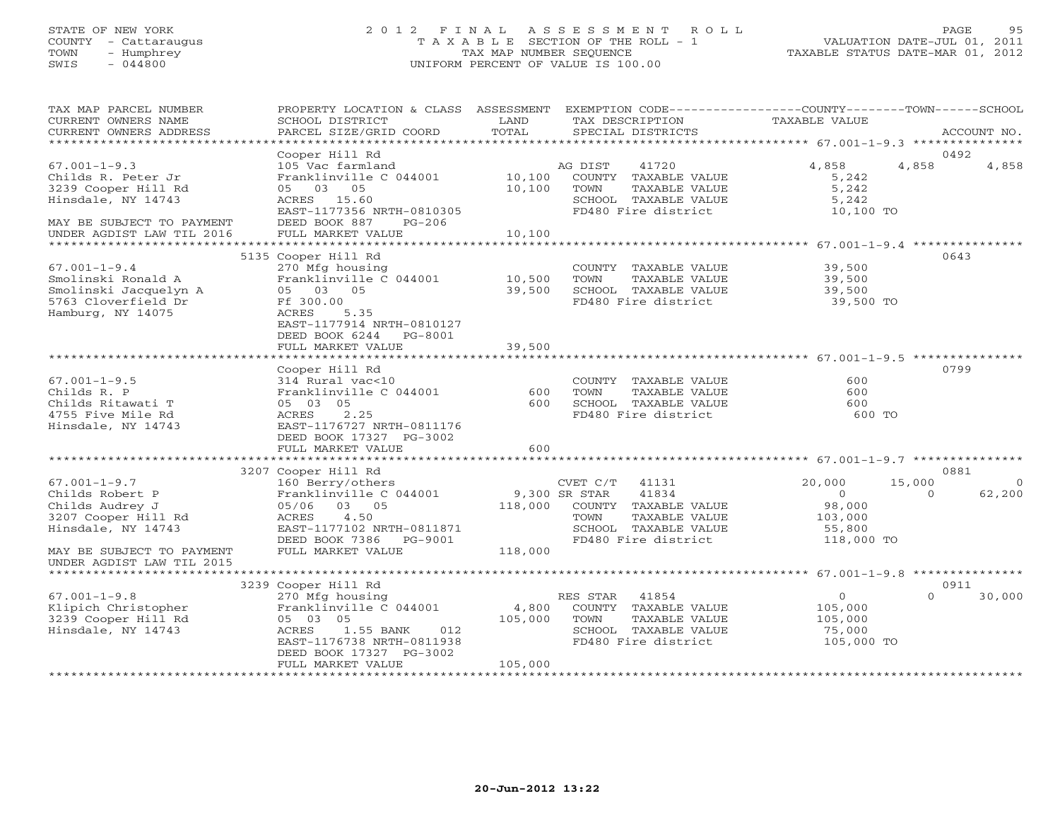#### STATE OF NEW YORK 2 0 1 2 F I N A L A S S E S S M E N T R O L L PAGE 95 COUNTY - Cattaraugus T A X A B L E SECTION OF THE ROLL - 1 VALUATION DATE-JUL 01, 2011 TOWN - Humphrey TAX MAP NUMBER SEQUENCE TAXABLE STATUS DATE-MAR 01, 2012 SWIS - 044800 UNIFORM PERCENT OF VALUE IS 100.00UNIFORM PERCENT OF VALUE IS 100.00

| TAX MAP PARCEL NUMBER<br>CURRENT OWNERS NAME<br>CURRENT OWNERS ADDRESS                                                                                                                                            | PROPERTY LOCATION & CLASS ASSESSMENT EXEMPTION CODE--------------COUNTY-------TOWN------SCHOOL<br>SCHOOL DISTRICT<br>PARCEL SIZE/GRID COORD                                                                                                                      | LAND<br>TOTAL  | TAX DESCRIPTION<br>SPECIAL DISTRICTS                                                                                                                         | TAXABLE VALUE                                                                  | ACCOUNT NO.                                    |
|-------------------------------------------------------------------------------------------------------------------------------------------------------------------------------------------------------------------|------------------------------------------------------------------------------------------------------------------------------------------------------------------------------------------------------------------------------------------------------------------|----------------|--------------------------------------------------------------------------------------------------------------------------------------------------------------|--------------------------------------------------------------------------------|------------------------------------------------|
|                                                                                                                                                                                                                   |                                                                                                                                                                                                                                                                  |                |                                                                                                                                                              |                                                                                |                                                |
|                                                                                                                                                                                                                   | Cooper Hill Rd                                                                                                                                                                                                                                                   |                |                                                                                                                                                              |                                                                                | 0492                                           |
| $67.001 - 1 - 9.3$<br>Childs R. Peter Jr<br>3239 Cooper Hill Rd<br>Hinsdale, NY 14743                                                                                                                             | 105 Vac farmland<br>Franklinville C 044001 10,100 COUNTY TAXABLE VALUE<br>05 03 05<br>ACRES 15.60<br>EAST-1177356 NRTH-0810305                                                                                                                                   | 10,100 TOWN    | AG DIST<br>41720<br>TAXABLE VALUE<br>SCHOOL TAXABLE VALUE<br>FD480 Fire district 10,100 TO                                                                   | 4,858<br>5,242<br>5,242<br>5,242                                               | 4,858<br>4,858                                 |
| MAY BE SUBJECT TO PAYMENT<br>UNDER AGDIST LAW TIL 2016                                                                                                                                                            | DEED BOOK 887 PG-206<br>FULL MARKET VALUE                                                                                                                                                                                                                        | 10,100         |                                                                                                                                                              |                                                                                |                                                |
|                                                                                                                                                                                                                   |                                                                                                                                                                                                                                                                  |                |                                                                                                                                                              |                                                                                |                                                |
|                                                                                                                                                                                                                   | 5135 Cooper Hill Rd                                                                                                                                                                                                                                              |                |                                                                                                                                                              |                                                                                | 0643                                           |
| $67.001 - 1 - 9.4$<br>Smolinski Ronald A – Franklinville C 044001 – 10,500<br>Smolinski Jacquelyn A – 65 03 05 – 39,500<br>5763 Cloverfield Dr – Ff 300.00<br>Hamburg, NY 14075 – ACRES 5.35<br>Hamburg, NY 14075 | 270 Mfg housing<br>EAST-1177914 NRTH-0810127<br>DEED BOOK 6244 PG-8001                                                                                                                                                                                           |                | COUNTY TAXABLE VALUE<br>TOWN<br>TAXABLE VALUE<br>SCHOOL TAXABLE VALUE<br>FD480 Fire district 39,500 TO                                                       | 39,500<br>39,500<br>39,500                                                     |                                                |
|                                                                                                                                                                                                                   | FULL MARKET VALUE                                                                                                                                                                                                                                                | 39,500         |                                                                                                                                                              |                                                                                |                                                |
|                                                                                                                                                                                                                   |                                                                                                                                                                                                                                                                  |                |                                                                                                                                                              |                                                                                |                                                |
| $67.001 - 1 - 9.5$<br>Childs R. P<br>Childs Ritawati T<br>4755 Five Mile Rd<br>Hinsdale, NY 14743                                                                                                                 | Cooper Hill Rd<br>314 Rural vac<10<br>Franklinville C 044001<br>ACRES 2.25<br>EAST-1176727 NRTH-0811176<br>DEED BOOK 17327 PG-3002                                                                                                                               | $600$<br>$600$ | COUNTY TAXABLE VALUE<br>TOWN<br>TAXABLE VALUE<br>SCHOOL TAXABLE VALUE<br>FD480 Fire district                                                                 | 600<br>600<br>600<br>600 TO                                                    | 0799                                           |
|                                                                                                                                                                                                                   | FULL MARKET VALUE                                                                                                                                                                                                                                                | 600            |                                                                                                                                                              |                                                                                |                                                |
|                                                                                                                                                                                                                   |                                                                                                                                                                                                                                                                  |                |                                                                                                                                                              |                                                                                | 0881                                           |
| $67.001 - 1 - 9.7$<br>Childs Robert P<br>Childs Audrey J<br>3207 Cooper Hill Rd<br>Hinsdale, NY 14743                                                                                                             | 3207 Cooper Hill Rd<br>160 Berry/others<br>Franklinville C 044001<br>05/06 03 05<br>ACRES 4.50<br>EAST-1177102 NRTH-0811871<br>DEED BOOK 7386 PG-9001                                                                                                            |                | CVET $C/T$ 41131<br>9,300 SR STAR $41834$<br>118,000 COUNTY TAXABLE VALUE<br>TOWN<br>TAXABLE VALUE<br>SCHOOL TAXABLE VALUE<br>FD480 Fire district 118,000 TO | 20,000<br>$\overline{0}$<br>98,000<br>103,000<br>55,800                        | 15,000<br>$\overline{0}$<br>62,200<br>$\Omega$ |
| MAY BE SUBJECT TO PAYMENT<br>UNDER AGDIST LAW TIL 2015                                                                                                                                                            | FULL MARKET VALUE                                                                                                                                                                                                                                                | 118,000        |                                                                                                                                                              |                                                                                |                                                |
|                                                                                                                                                                                                                   |                                                                                                                                                                                                                                                                  |                |                                                                                                                                                              |                                                                                |                                                |
|                                                                                                                                                                                                                   | 3239 Cooper Hill Rd                                                                                                                                                                                                                                              |                |                                                                                                                                                              |                                                                                | 0911                                           |
| $67.001 - 1 - 9.8$<br>67.001-1-9.8<br>Klipich Christopher<br>3239 Cooper Hill Rd<br>Hinsdale, NY 14743                                                                                                            | Cooper Hill KG<br>270 Mfg housing<br>Franklinville C 044001 (4,800 COUNTY TAXABLE VALUE<br>05 03 05 (105,000 TOWN TAXABLE VALUE<br>2000 COUNTY TAXABLE VALUE<br>ACRES 1.55 BANK 012<br>EAST-1176738 NRTH-0811938<br>DEED BOOK 17327 PG-3002<br>FULL MARKET VALUE | 105,000        | SCHOOL TAXABLE VALUE<br>FD480 Fire district 105,000 TO                                                                                                       | $\begin{array}{c} 0 \\ 105,000 \end{array}$<br>TAXABLE VALUE 105,000<br>75,000 | $\Omega$<br>30,000                             |
|                                                                                                                                                                                                                   |                                                                                                                                                                                                                                                                  |                |                                                                                                                                                              |                                                                                |                                                |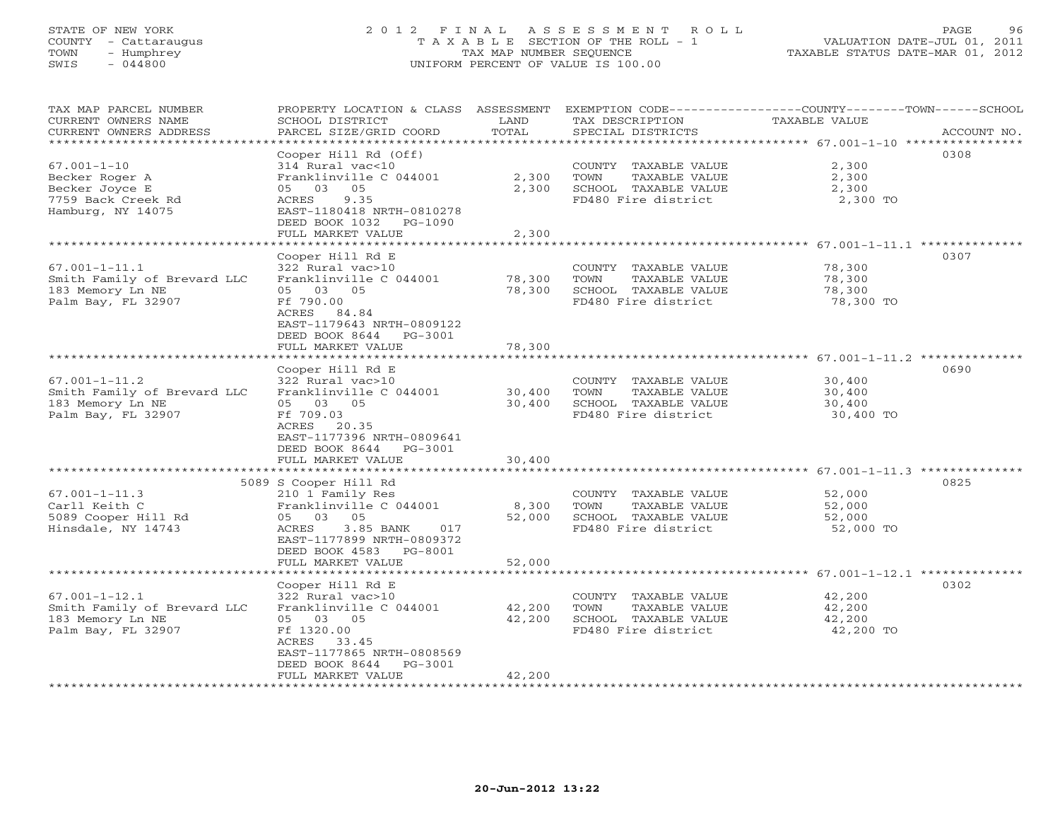# STATE OF NEW YORK 2 0 1 2 F I N A L A S S E S S M E N T R O L L PAGE 96 COUNTY - Cattaraugus T A X A B L E SECTION OF THE ROLL - 1 VALUATION DATE-JUL 01, 2011 TOWN - Humphrey TAX MAP NUMBER SEQUENCE TAXABLE STATUS DATE-MAR 01, 2012 SWIS - 044800 UNIFORM PERCENT OF VALUE IS 100.00UNIFORM PERCENT OF VALUE IS 100.00

| TAX MAP PARCEL NUMBER<br>CURRENT OWNERS NAME<br>CURRENT OWNERS ADDRESS                           | PROPERTY LOCATION & CLASS ASSESSMENT<br>SCHOOL DISTRICT<br>PARCEL SIZE/GRID COORD                                                                                              | LAND<br>TOTAL              | TAX DESCRIPTION<br>SPECIAL DISTRICTS                                                         | EXEMPTION CODE-----------------COUNTY-------TOWN------SCHOOL<br>TAXABLE VALUE<br>ACCOUNT NO. |
|--------------------------------------------------------------------------------------------------|--------------------------------------------------------------------------------------------------------------------------------------------------------------------------------|----------------------------|----------------------------------------------------------------------------------------------|----------------------------------------------------------------------------------------------|
| *******************                                                                              |                                                                                                                                                                                | ***************            |                                                                                              | ********************************** 67.001-1-10 ****************                              |
| $67.001 - 1 - 10$<br>Becker Roger A<br>Becker Joyce E<br>7759 Back Creek Rd<br>Hamburg, NY 14075 | Cooper Hill Rd (Off)<br>314 Rural vac<10<br>Franklinville C 044001<br>05<br>05 03<br>9.35<br>ACRES<br>EAST-1180418 NRTH-0810278<br>DEED BOOK 1032 PG-1090<br>FULL MARKET VALUE | 2,300<br>2,300<br>2,300    | COUNTY TAXABLE VALUE<br>TOWN<br>TAXABLE VALUE<br>SCHOOL TAXABLE VALUE<br>FD480 Fire district | 0308<br>2,300<br>2,300<br>2,300<br>2,300 TO                                                  |
|                                                                                                  | ************************<br>Cooper Hill Rd E                                                                                                                                   |                            |                                                                                              | *********** 67.001-1-11.1 **************<br>0307                                             |
| $67.001 - 1 - 11.1$<br>Smith Family of Brevard LLC<br>183 Memory Ln NE<br>Palm Bay, FL 32907     | 322 Rural vac>10<br>Franklinville C 044001<br>05 03 05<br>Ff 790.00<br>ACRES 84.84<br>EAST-1179643 NRTH-0809122<br>DEED BOOK 8644 PG-3001<br>FULL MARKET VALUE                 | 78,300<br>78,300<br>78,300 | COUNTY TAXABLE VALUE<br>TOWN<br>TAXABLE VALUE<br>SCHOOL TAXABLE VALUE<br>FD480 Fire district | 78,300<br>78,300<br>78,300<br>78,300 TO                                                      |
|                                                                                                  | * * * * * * * * * * * * * * * * * * *                                                                                                                                          | *******************        |                                                                                              | ************************************ 67.001–1–11.2 **************                            |
| $67.001 - 1 - 11.2$<br>Smith Family of Brevard LLC<br>183 Memory Ln NE<br>Palm Bay, FL 32907     | Cooper Hill Rd E<br>322 Rural vac>10<br>Franklinville C 044001<br>05 03 05<br>Ff 709.03<br>ACRES 20.35<br>EAST-1177396 NRTH-0809641<br>DEED BOOK 8644<br>PG-3001               | 30,400<br>30,400           | COUNTY TAXABLE VALUE<br>TOWN<br>TAXABLE VALUE<br>SCHOOL TAXABLE VALUE<br>FD480 Fire district | 0690<br>30,400<br>30,400<br>30,400<br>30,400 TO                                              |
|                                                                                                  | FULL MARKET VALUE                                                                                                                                                              | 30,400                     |                                                                                              |                                                                                              |
|                                                                                                  | 5089 S Cooper Hill Rd                                                                                                                                                          |                            |                                                                                              | 0825                                                                                         |
| $67.001 - 1 - 11.3$<br>Carll Keith C<br>5089 Cooper Hill Rd<br>Hinsdale, NY 14743                | 210 1 Family Res<br>Franklinville C 044001<br>05 03 05<br>ACRES<br>3.85 BANK<br>017<br>EAST-1177899 NRTH-0809372<br>DEED BOOK 4583 PG-8001                                     | 8,300<br>52,000            | COUNTY TAXABLE VALUE<br>TOWN<br>TAXABLE VALUE<br>SCHOOL TAXABLE VALUE<br>FD480 Fire district | 52,000<br>52,000<br>52,000<br>52,000 TO                                                      |
|                                                                                                  | FULL MARKET VALUE                                                                                                                                                              | 52,000                     |                                                                                              |                                                                                              |
|                                                                                                  | Cooper Hill Rd E                                                                                                                                                               |                            |                                                                                              | 0302                                                                                         |
| $67.001 - 1 - 12.1$<br>Smith Family of Brevard LLC<br>183 Memory Ln NE<br>Palm Bay, FL 32907     | 322 Rural vac>10<br>Franklinville C 044001<br>05 03 05<br>Ff 1320.00<br>ACRES 33.45<br>EAST-1177865 NRTH-0808569<br>DEED BOOK 8644<br>PG-3001                                  | 42,200<br>42,200           | COUNTY TAXABLE VALUE<br>TOWN<br>TAXABLE VALUE<br>SCHOOL TAXABLE VALUE<br>FD480 Fire district | 42,200<br>42,200<br>42,200<br>42,200 TO                                                      |
|                                                                                                  | FULL MARKET VALUE                                                                                                                                                              | 42,200                     |                                                                                              |                                                                                              |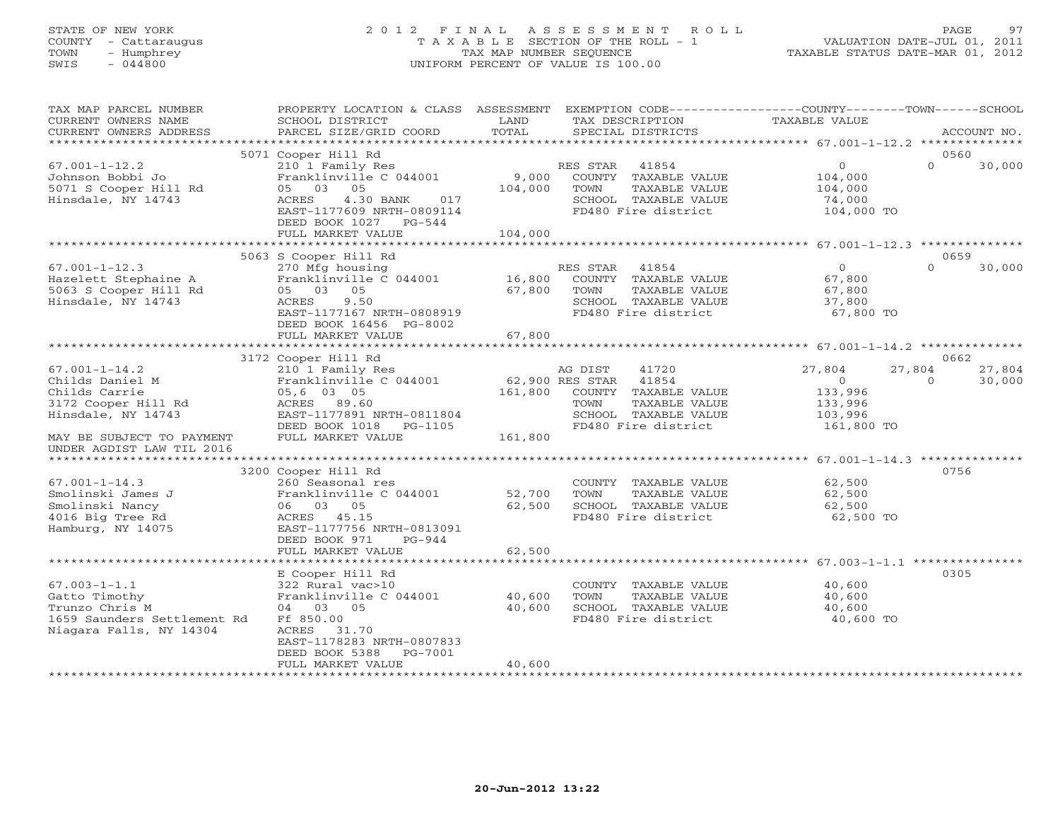# STATE OF NEW YORK 2 0 1 2 F I N A L A S S E S S M E N T R O L L PAGE 97 COUNTY - Cattaraugus T A X A B L E SECTION OF THE ROLL - 1 VALUATION DATE-JUL 01, 2011 TOWN - Humphrey TAX MAP NUMBER SEQUENCE TAXABLE STATUS DATE-MAR 01, 2012 SWIS - 044800 UNIFORM PERCENT OF VALUE IS 100.00UNIFORM PERCENT OF VALUE IS 100.00

| TAX MAP PARCEL NUMBER<br>CURRENT OWNERS NAME<br>CURRENT OWNERS ADDRESS                                          | PROPERTY LOCATION & CLASS ASSESSMENT<br>SCHOOL DISTRICT<br>PARCEL SIZE/GRID COORD                                                                                   | LAND<br>TOTAL               | EXEMPTION CODE----------------COUNTY-------TOWN-----SCHOOL<br>TAX DESCRIPTION<br>SPECIAL DISTRICTS             | TAXABLE VALUE                                                |                    | ACCOUNT NO.      |
|-----------------------------------------------------------------------------------------------------------------|---------------------------------------------------------------------------------------------------------------------------------------------------------------------|-----------------------------|----------------------------------------------------------------------------------------------------------------|--------------------------------------------------------------|--------------------|------------------|
|                                                                                                                 |                                                                                                                                                                     |                             |                                                                                                                |                                                              |                    |                  |
| $67.001 - 1 - 12.2$<br>Johnson Bobbi Jo<br>5071 S Cooper Hill Rd<br>Hinsdale, NY 14743                          | 5071 Cooper Hill Rd<br>210 1 Family Res<br>Franklinville C 044001<br>05<br>05 03<br>4.30 BANK<br>ACRES<br>017<br>EAST-1177609 NRTH-0809114<br>DEED BOOK 1027 PG-544 | 9,000<br>104,000<br>104,000 | RES STAR 41854<br>COUNTY TAXABLE VALUE<br>TAXABLE VALUE<br>TOWN<br>SCHOOL TAXABLE VALUE<br>FD480 Fire district | $\overline{0}$<br>104,000<br>104,000<br>74,000<br>104,000 TO | 0560<br>$\Omega$   | 30,000           |
|                                                                                                                 | FULL MARKET VALUE                                                                                                                                                   |                             |                                                                                                                |                                                              |                    |                  |
|                                                                                                                 | 5063 S Cooper Hill Rd                                                                                                                                               |                             |                                                                                                                |                                                              | 0659               |                  |
| $67.001 - 1 - 12.3$<br>Hazelett Stephaine A<br>5063 S Cooper Hill Rd<br>Hinsdale, NY 14743                      | 270 Mfg housing<br>Franklinville C 044001 16,800<br>05 03 05<br>ACRES<br>9.50<br>EAST-1177167 NRTH-0808919<br>DEED BOOK 16456 PG-8002                               | 67,800                      | RES STAR 41854<br>COUNTY TAXABLE VALUE<br>TOWN<br>TAXABLE VALUE<br>SCHOOL TAXABLE VALUE<br>FD480 Fire district | $\Omega$<br>67,800<br>67,800<br>37,800<br>67,800 TO          | $\cap$             | 30,000           |
|                                                                                                                 | FULL MARKET VALUE                                                                                                                                                   | 67,800                      |                                                                                                                |                                                              |                    |                  |
|                                                                                                                 | 3172 Cooper Hill Rd                                                                                                                                                 |                             |                                                                                                                |                                                              | 0662               |                  |
| $67.001 - 1 - 14.2$<br>Childs Daniel M<br>Childs Carrie<br>3172 Cooper Hill Rd<br>Hinsdale, NY 14743            | 210 1 Family Res<br>Franklinville C 044001<br>05,6 03 05<br>ACRES 89.60<br>EAST-1177891 NRTH-0811804                                                                | 62,900 RES STAR             | 41720<br>AG DIST<br>41854<br>161,800 COUNTY TAXABLE VALUE<br>TOWN<br>TAXABLE VALUE<br>SCHOOL TAXABLE VALUE     | 27,804<br>$\overline{O}$<br>133,996<br>133,996<br>103,996    | 27,804<br>$\Omega$ | 27,804<br>30,000 |
| MAY BE SUBJECT TO PAYMENT<br>UNDER AGDIST LAW TIL 2016                                                          | DEED BOOK 1018 PG-1105<br>FULL MARKET VALUE                                                                                                                         | 161,800                     | FD480 Fire district                                                                                            | 161,800 TO                                                   |                    |                  |
| *********************                                                                                           |                                                                                                                                                                     |                             |                                                                                                                |                                                              |                    |                  |
| $67.001 - 1 - 14.3$<br>Smolinski James J<br>Smolinski Nancy<br>4016 Big Tree Rd<br>Hamburg, NY 14075            | 3200 Cooper Hill Rd<br>260 Seasonal res<br>Franklinville C 044001<br>06 03 05<br>ACRES 45.15<br>EAST-1177756 NRTH-0813091                                           | 52,700<br>62,500            | COUNTY TAXABLE VALUE<br>TOWN<br>TAXABLE VALUE<br>SCHOOL TAXABLE VALUE<br>FD480 Fire district                   | 62,500<br>62,500<br>62,500<br>62,500 TO                      | 0756               |                  |
|                                                                                                                 | DEED BOOK 971<br>$PG-944$<br>FULL MARKET VALUE                                                                                                                      | 62,500                      |                                                                                                                |                                                              |                    |                  |
|                                                                                                                 |                                                                                                                                                                     |                             |                                                                                                                |                                                              |                    |                  |
| $67.003 - 1 - 1.1$<br>Gatto Timothy<br>Trunzo Chris M<br>1659 Saunders Settlement Rd<br>Niagara Falls, NY 14304 | E Cooper Hill Rd<br>322 Rural vac>10<br>Franklinville C 044001<br>04 03 05<br>Ff 850.00<br>ACRES 31.70<br>EAST-1178283 NRTH-0807833<br>DEED BOOK 5388<br>PG-7001    | 40,600<br>40,600            | COUNTY TAXABLE VALUE<br>TOWN<br>TAXABLE VALUE<br>SCHOOL TAXABLE VALUE<br>FD480 Fire district                   | 40,600<br>40,600<br>40,600<br>40,600 TO                      | 0305               |                  |
|                                                                                                                 | FULL MARKET VALUE                                                                                                                                                   | 40,600                      | **************************************                                                                         |                                                              |                    |                  |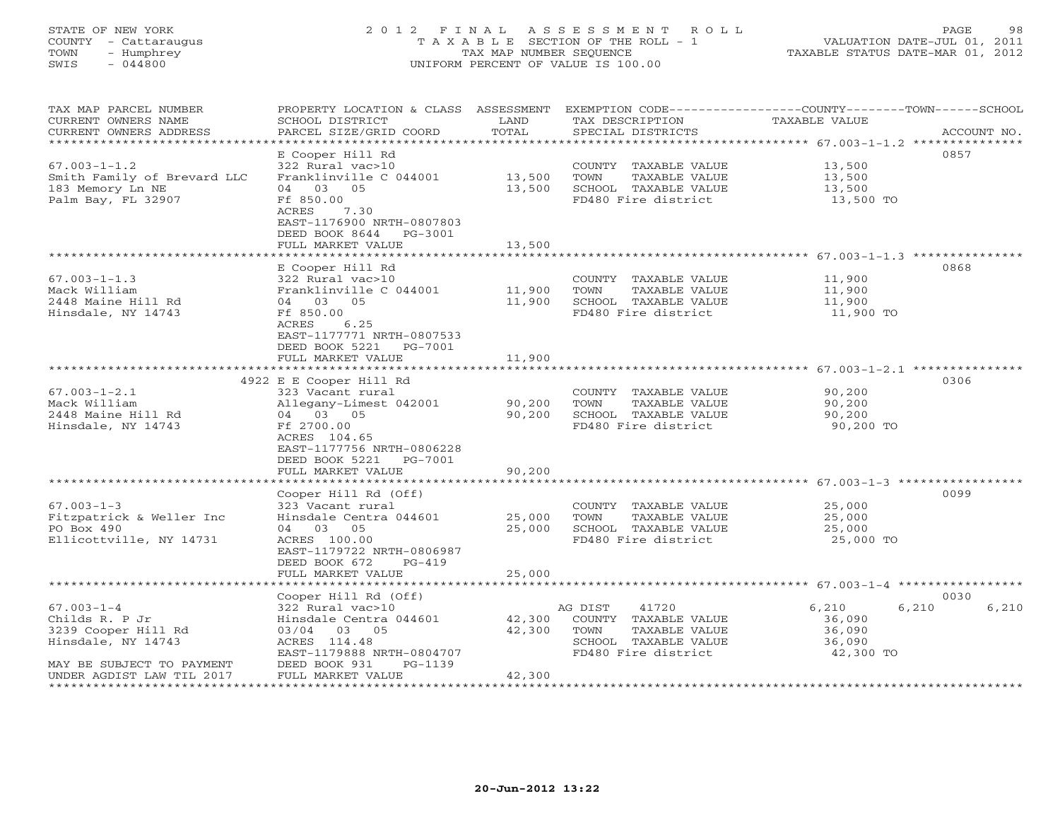# STATE OF NEW YORK 2 0 1 2 F I N A L A S S E S S M E N T R O L L PAGE 98 COUNTY - Cattaraugus T A X A B L E SECTION OF THE ROLL - 1 VALUATION DATE-JUL 01, 2011 TOWN - Humphrey TAX MAP NUMBER SEQUENCE TAXABLE STATUS DATE-MAR 01, 2012 SWIS - 044800 UNIFORM PERCENT OF VALUE IS 100.00UNIFORM PERCENT OF VALUE IS 100.00

| TAX MAP PARCEL NUMBER<br>CURRENT OWNERS NAME<br>CURRENT OWNERS ADDRESS                                                                    | PROPERTY LOCATION & CLASS ASSESSMENT<br>SCHOOL DISTRICT<br>PARCEL SIZE/GRID COORD                                                                         | LAND<br>TOTAL              | TAX DESCRIPTION<br>SPECIAL DISTRICTS                                                                             | EXEMPTION CODE-----------------COUNTY-------TOWN------SCHOOL<br><b>TAXABLE VALUE</b><br>ACCOUNT NO. |
|-------------------------------------------------------------------------------------------------------------------------------------------|-----------------------------------------------------------------------------------------------------------------------------------------------------------|----------------------------|------------------------------------------------------------------------------------------------------------------|-----------------------------------------------------------------------------------------------------|
|                                                                                                                                           | E Cooper Hill Rd                                                                                                                                          |                            |                                                                                                                  | 0857                                                                                                |
| $67.003 - 1 - 1.2$<br>Smith Family of Brevard LLC<br>183 Memory Ln NE<br>Palm Bay, FL 32907                                               | 322 Rural vac>10<br>Franklinville C 044001<br>04 03 05<br>Ff 850.00                                                                                       | 13,500<br>13,500           | COUNTY TAXABLE VALUE<br>TOWN<br>TAXABLE VALUE<br>SCHOOL TAXABLE VALUE<br>FD480 Fire district                     | 13,500<br>13,500<br>13,500<br>13,500 TO                                                             |
|                                                                                                                                           | ACRES<br>7.30<br>EAST-1176900 NRTH-0807803<br>DEED BOOK 8644<br>PG-3001<br>FULL MARKET VALUE                                                              | 13,500                     |                                                                                                                  |                                                                                                     |
|                                                                                                                                           | E Cooper Hill Rd                                                                                                                                          |                            |                                                                                                                  | 0868                                                                                                |
| $67.003 - 1 - 1.3$<br>Mack William<br>2448 Maine Hill Rd<br>Hinsdale, NY 14743                                                            | 322 Rural vac>10<br>Franklinville C 044001<br>04 03 05<br>Ff 850.00<br>6.25<br>ACRES<br>EAST-1177771 NRTH-0807533<br>DEED BOOK 5221<br>PG-7001            | 11,900<br>11,900           | COUNTY TAXABLE VALUE<br>TOWN<br>TAXABLE VALUE<br>SCHOOL TAXABLE VALUE<br>FD480 Fire district                     | 11,900<br>11,900<br>11,900<br>11,900 TO                                                             |
|                                                                                                                                           | FULL MARKET VALUE                                                                                                                                         | 11,900                     |                                                                                                                  |                                                                                                     |
|                                                                                                                                           | 4922 E E Cooper Hill Rd                                                                                                                                   |                            |                                                                                                                  | 0306                                                                                                |
| $67.003 - 1 - 2.1$<br>Mack William<br>2448 Maine Hill Rd<br>Hinsdale, NY 14743                                                            | 323 Vacant rural<br>Allegany-Limest 042001<br>04 03 05<br>Ff 2700.00<br>ACRES 104.65<br>EAST-1177756 NRTH-0806228                                         | 90,200<br>90,200           | COUNTY TAXABLE VALUE<br>TOWN<br>TAXABLE VALUE<br>SCHOOL TAXABLE VALUE<br>FD480 Fire district                     | 90,200<br>90,200<br>90,200<br>90,200 TO                                                             |
|                                                                                                                                           | DEED BOOK 5221<br>PG-7001<br>FULL MARKET VALUE                                                                                                            | 90,200                     |                                                                                                                  | ******************** 67.003-1-3 ************                                                        |
|                                                                                                                                           | Cooper Hill Rd (Off)                                                                                                                                      |                            |                                                                                                                  | 0099                                                                                                |
| $67.003 - 1 - 3$<br>Fitzpatrick & Weller Inc<br>PO Box 490<br>Ellicottville, NY 14731                                                     | 323 Vacant rural<br>Hinsdale Centra 044601<br>04 03 05<br>ACRES 100.00<br>EAST-1179722 NRTH-0806987<br>DEED BOOK 672<br>$PG-419$                          | 25,000<br>25,000           | COUNTY TAXABLE VALUE<br>TAXABLE VALUE<br>TOWN<br>SCHOOL TAXABLE VALUE<br>FD480 Fire district                     | 25,000<br>25,000<br>25,000<br>25,000 TO                                                             |
|                                                                                                                                           | FULL MARKET VALUE                                                                                                                                         | 25,000                     |                                                                                                                  |                                                                                                     |
|                                                                                                                                           | Cooper Hill Rd (Off)                                                                                                                                      |                            |                                                                                                                  | 0030                                                                                                |
| $67.003 - 1 - 4$<br>Childs R. P Jr<br>3239 Cooper Hill Rd<br>Hinsdale, NY 14743<br>MAY BE SUBJECT TO PAYMENT<br>UNDER AGDIST LAW TIL 2017 | 322 Rural vac>10<br>Hinsdale Centra 044601<br>03/04 03 05<br>ACRES 114.48<br>EAST-1179888 NRTH-0804707<br>DEED BOOK 931<br>$PG-1139$<br>FULL MARKET VALUE | 42,300<br>42,300<br>42,300 | 41720<br>AG DIST<br>COUNTY TAXABLE VALUE<br>TAXABLE VALUE<br>TOWN<br>SCHOOL TAXABLE VALUE<br>FD480 Fire district | 6,210<br>6,210<br>6,210<br>36,090<br>36,090<br>36,090<br>42,300 TO                                  |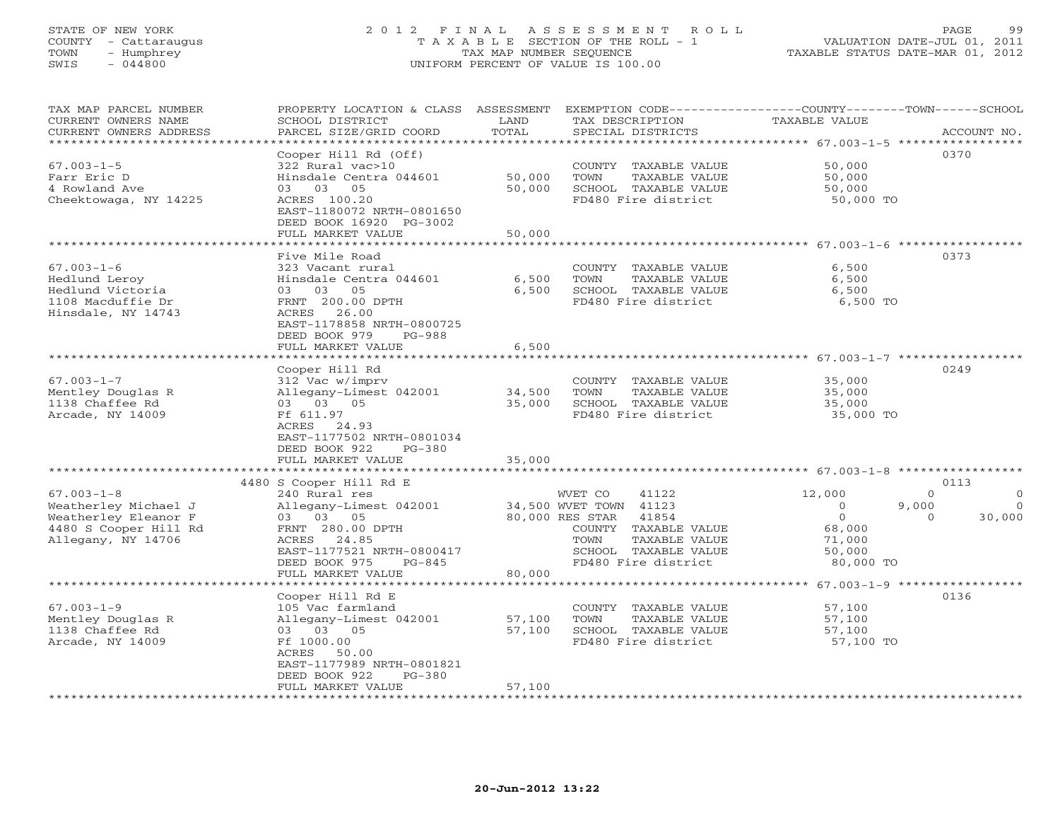# STATE OF NEW YORK 2 0 1 2 F I N A L A S S E S S M E N T R O L L PAGE 99 COUNTY - Cattaraugus T A X A B L E SECTION OF THE ROLL - 1 VALUATION DATE-JUL 01, 2011 TOWN - Humphrey TAX MAP NUMBER SEQUENCE TAXABLE STATUS DATE-MAR 01, 2012 SWIS - 044800 UNIFORM PERCENT OF VALUE IS 100.00UNIFORM PERCENT OF VALUE IS 100.00

| TAX MAP PARCEL NUMBER<br>CURRENT OWNERS NAME<br>CURRENT OWNERS ADDRESS                                          | PROPERTY LOCATION & CLASS ASSESSMENT<br>SCHOOL DISTRICT<br>PARCEL SIZE/GRID COORD                                                                                                                | LAND<br>TOTAL              | TAX DESCRIPTION<br>SPECIAL DISTRICTS                                                                                                                                   | EXEMPTION CODE----------------COUNTY-------TOWN------SCHOOL<br>TAXABLE VALUE                              | ACCOUNT NO.                            |
|-----------------------------------------------------------------------------------------------------------------|--------------------------------------------------------------------------------------------------------------------------------------------------------------------------------------------------|----------------------------|------------------------------------------------------------------------------------------------------------------------------------------------------------------------|-----------------------------------------------------------------------------------------------------------|----------------------------------------|
| ********************<br>$67.003 - 1 - 5$<br>Farr Eric D<br>4 Rowland Ave<br>Cheektowaga, NY 14225               | Cooper Hill Rd (Off)<br>322 Rural vac>10<br>Hinsdale Centra 044601<br>03 05<br>03<br>ACRES 100.20<br>EAST-1180072 NRTH-0801650<br>DEED BOOK 16920 PG-3002<br>FULL MARKET VALUE                   | 50,000<br>50,000<br>50,000 | COUNTY TAXABLE VALUE<br>TOWN<br>TAXABLE VALUE<br>SCHOOL TAXABLE VALUE<br>FD480 Fire district                                                                           | 50,000<br>50,000<br>50,000<br>50,000 TO                                                                   | 0370                                   |
|                                                                                                                 | *************************                                                                                                                                                                        |                            |                                                                                                                                                                        |                                                                                                           |                                        |
| $67.003 - 1 - 6$<br>Hedlund Leroy<br>Hedlund Victoria<br>1108 Macduffie Dr<br>Hinsdale, NY 14743                | Five Mile Road<br>323 Vacant rural<br>Hinsdale Centra 044601<br>03<br>03 05<br>FRNT 200.00 DPTH<br>ACRES 26.00<br>EAST-1178858 NRTH-0800725<br>DEED BOOK 979<br><b>PG-988</b>                    | 6,500<br>6,500             | COUNTY TAXABLE VALUE<br>TOWN<br>TAXABLE VALUE<br>SCHOOL TAXABLE VALUE<br>FD480 Fire district                                                                           | 6,500<br>6,500<br>6,500<br>6,500 TO                                                                       | 0373                                   |
|                                                                                                                 | FULL MARKET VALUE                                                                                                                                                                                | 6,500                      |                                                                                                                                                                        |                                                                                                           |                                        |
| $67.003 - 1 - 7$<br>Mentley Douglas R<br>1138 Chaffee Rd<br>Arcade, NY 14009                                    | Cooper Hill Rd<br>312 Vac w/imprv<br>Allegany-Limest 042001<br>03 03 05<br>Ff 611.97<br>ACRES 24.93<br>EAST-1177502 NRTH-0801034                                                                 | 34,500<br>35,000           | COUNTY TAXABLE VALUE<br>TOWN<br>TAXABLE VALUE<br>SCHOOL TAXABLE VALUE<br>FD480 Fire district                                                                           | 35,000<br>35,000<br>35,000<br>35,000 TO                                                                   | 0249                                   |
|                                                                                                                 | DEED BOOK 922<br>$PG-380$<br>FULL MARKET VALUE                                                                                                                                                   | 35,000                     |                                                                                                                                                                        |                                                                                                           |                                        |
|                                                                                                                 | * * * * * * * * * * * * * * * * * *                                                                                                                                                              |                            |                                                                                                                                                                        | ******************************* 67.003-1-8 *****************                                              |                                        |
| $67.003 - 1 - 8$<br>Weatherley Michael J<br>Weatherley Eleanor F<br>4480 S Cooper Hill Rd<br>Allegany, NY 14706 | 4480 S Cooper Hill Rd E<br>240 Rural res<br>Allegany-Limest 042001<br>03 03 05<br>FRNT 280.00 DPTH<br>ACRES 24.85<br>EAST-1177521 NRTH-0800417<br>DEED BOOK 975<br>$PG-845$<br>FULL MARKET VALUE | 80,000                     | 41122<br>WVET CO<br>34,500 WVET TOWN 41123<br>80,000 RES STAR<br>41854<br>COUNTY TAXABLE VALUE<br>TAXABLE VALUE<br>TOWN<br>SCHOOL TAXABLE VALUE<br>FD480 Fire district | 12,000<br>$\Omega$<br>9,000<br>$\Omega$<br>$\circ$<br>$\Omega$<br>68,000<br>71,000<br>50,000<br>80,000 TO | 0113<br>$\Omega$<br>$\Omega$<br>30,000 |
|                                                                                                                 |                                                                                                                                                                                                  |                            |                                                                                                                                                                        | ********* 67.003-1-9 ******************                                                                   |                                        |
| $67.003 - 1 - 9$<br>Mentley Douglas R<br>1138 Chaffee Rd<br>Arcade, NY 14009                                    | Cooper Hill Rd E<br>105 Vac farmland<br>Allegany-Limest 042001<br>03 03 05<br>Ff 1000.00<br>ACRES 50.00<br>EAST-1177989 NRTH-0801821<br>DEED BOOK 922<br>$PG-380$<br>FULL MARKET VALUE           | 57,100<br>57,100<br>57,100 | COUNTY TAXABLE VALUE<br>TOWN<br>TAXABLE VALUE<br>SCHOOL TAXABLE VALUE<br>FD480 Fire district                                                                           | 57,100<br>57,100<br>57,100<br>57,100 TO                                                                   | 0136                                   |
|                                                                                                                 |                                                                                                                                                                                                  |                            |                                                                                                                                                                        |                                                                                                           |                                        |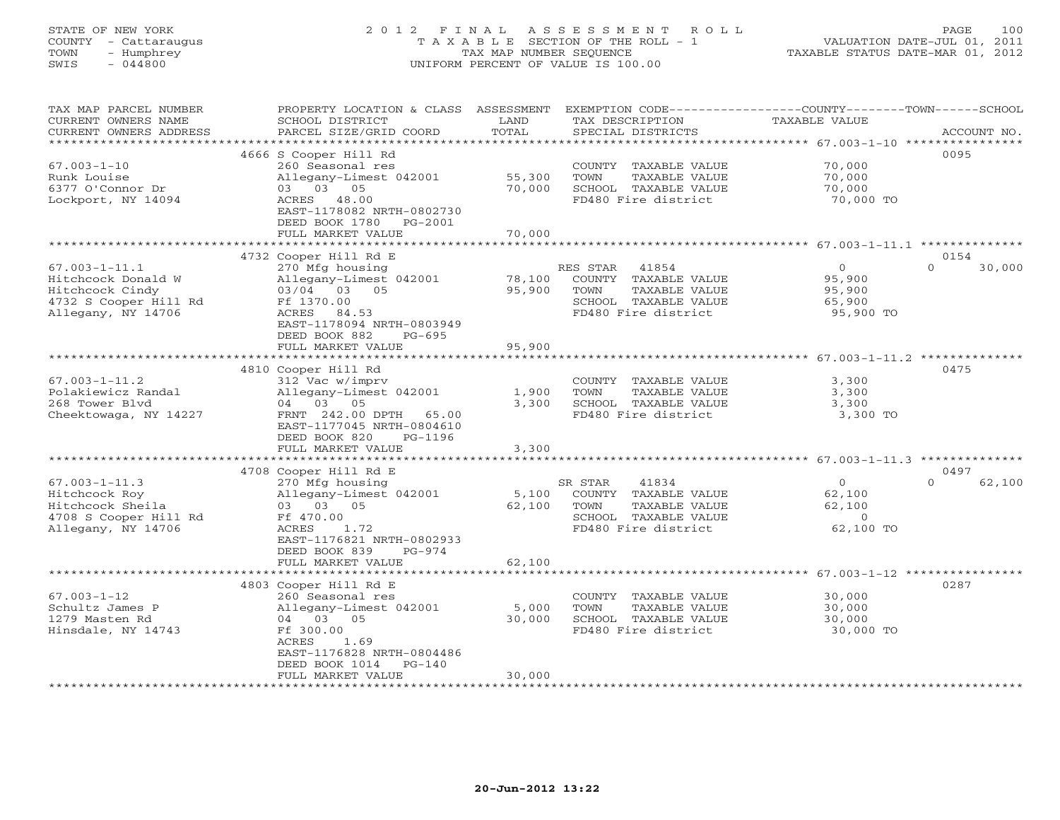# STATE OF NEW YORK 2 0 1 2 F I N A L A S S E S S M E N T R O L L PAGE 100 COUNTY - Cattaraugus T A X A B L E SECTION OF THE ROLL - 1 VALUATION DATE-JUL 01, 2011 TOWN - Humphrey TAX MAP NUMBER SEQUENCE TAXABLE STATUS DATE-MAR 01, 2012 SWIS - 044800 UNIFORM PERCENT OF VALUE IS 100.00UNIFORM PERCENT OF VALUE IS 100.00

| TAX MAP PARCEL NUMBER  | PROPERTY LOCATION & CLASS ASSESSMENT |        | EXEMPTION CODE-----------------COUNTY-------TOWN------SCHOOL |                |                    |
|------------------------|--------------------------------------|--------|--------------------------------------------------------------|----------------|--------------------|
| CURRENT OWNERS NAME    | SCHOOL DISTRICT                      | LAND   | TAX DESCRIPTION                                              | TAXABLE VALUE  |                    |
| CURRENT OWNERS ADDRESS | PARCEL SIZE/GRID COORD               | TOTAL  | SPECIAL DISTRICTS                                            |                | ACCOUNT NO.        |
|                        |                                      |        |                                                              |                |                    |
|                        | 4666 S Cooper Hill Rd                |        |                                                              |                | 0095               |
| $67.003 - 1 - 10$      | 260 Seasonal res                     |        | COUNTY TAXABLE VALUE                                         | 70,000         |                    |
| Runk Louise            | Allegany-Limest 042001               | 55,300 | TOWN<br>TAXABLE VALUE                                        | 70,000         |                    |
| 6377 O'Connor Dr       | 03 03 05                             | 70,000 | SCHOOL TAXABLE VALUE                                         | 70,000         |                    |
| Lockport, NY 14094     | ACRES 48.00                          |        | FD480 Fire district                                          | 70,000 TO      |                    |
|                        | EAST-1178082 NRTH-0802730            |        |                                                              |                |                    |
|                        | DEED BOOK 1780<br>PG-2001            |        |                                                              |                |                    |
|                        | FULL MARKET VALUE                    | 70,000 |                                                              |                |                    |
|                        |                                      |        |                                                              |                |                    |
|                        | 4732 Cooper Hill Rd E                |        |                                                              |                | 0154               |
| $67.003 - 1 - 11.1$    | 270 Mfg housing                      |        | RES STAR 41854                                               | $\overline{O}$ | $\Omega$<br>30,000 |
| Hitchcock Donald W     | Allegany-Limest 042001               | 78,100 | COUNTY TAXABLE VALUE                                         | 95,900         |                    |
| Hitchcock Cindy        | 03/04 03 05                          | 95,900 | TOWN<br>TAXABLE VALUE                                        | 95,900         |                    |
| 4732 S Cooper Hill Rd  | Ff 1370.00                           |        | SCHOOL TAXABLE VALUE                                         | 65,900         |                    |
| Allegany, NY 14706     | ACRES 84.53                          |        | FD480 Fire district                                          | 95,900 TO      |                    |
|                        | EAST-1178094 NRTH-0803949            |        |                                                              |                |                    |
|                        | DEED BOOK 882<br>PG-695              |        |                                                              |                |                    |
|                        | FULL MARKET VALUE                    | 95,900 |                                                              |                |                    |
|                        |                                      |        |                                                              |                |                    |
|                        | 4810 Cooper Hill Rd                  |        |                                                              |                | 0475               |
| $67.003 - 1 - 11.2$    | 312 Vac w/imprv                      |        | COUNTY TAXABLE VALUE                                         | 3,300          |                    |
| Polakiewicz Randal     | Allegany-Limest 042001               | 1,900  | TOWN<br>TAXABLE VALUE                                        | 3,300          |                    |
| 268 Tower Blvd         | 04 03 05                             | 3,300  | SCHOOL TAXABLE VALUE                                         | 3,300          |                    |
| Cheektowaga, NY 14227  | FRNT 242.00 DPTH<br>65.00            |        | FD480 Fire district                                          | 3,300 TO       |                    |
|                        | EAST-1177045 NRTH-0804610            |        |                                                              |                |                    |
|                        | DEED BOOK 820<br>PG-1196             |        |                                                              |                |                    |
|                        | FULL MARKET VALUE                    | 3,300  |                                                              |                |                    |
|                        |                                      |        |                                                              |                |                    |
|                        | 4708 Cooper Hill Rd E                |        |                                                              |                | 0497               |
| $67.003 - 1 - 11.3$    | 270 Mfg housing                      |        | SR STAR<br>41834                                             | $\overline{0}$ | 62,100<br>$\Omega$ |
| Hitchcock Roy          | Allegany-Limest 042001               | 5,100  | COUNTY TAXABLE VALUE                                         | 62,100         |                    |
| Hitchcock Sheila       | 03 03 05                             | 62,100 | TOWN<br>TAXABLE VALUE                                        | 62,100         |                    |
| 4708 S Cooper Hill Rd  | Ff 470.00                            |        | SCHOOL TAXABLE VALUE                                         | $\overline{0}$ |                    |
| Allegany, NY 14706     | ACRES<br>1.72                        |        | FD480 Fire district                                          | 62,100 TO      |                    |
|                        | EAST-1176821 NRTH-0802933            |        |                                                              |                |                    |
|                        | DEED BOOK 839<br>$PG-974$            |        |                                                              |                |                    |
|                        | FULL MARKET VALUE                    | 62,100 |                                                              |                |                    |
|                        |                                      |        |                                                              |                |                    |
|                        | 4803 Cooper Hill Rd E                |        |                                                              |                | 0287               |
| $67.003 - 1 - 12$      | 260 Seasonal res                     |        | COUNTY TAXABLE VALUE                                         | 30,000         |                    |
| Schultz James P        | Allegany-Limest 042001               | 5,000  | TOWN<br>TAXABLE VALUE                                        | 30,000         |                    |
| 1279 Masten Rd         | 04 03 05                             | 30,000 | SCHOOL TAXABLE VALUE                                         | 30,000         |                    |
| Hinsdale, NY 14743     | Ff 300.00<br>ACRES<br>1.69           |        | FD480 Fire district                                          | 30,000 TO      |                    |
|                        | EAST-1176828 NRTH-0804486            |        |                                                              |                |                    |
|                        | DEED BOOK 1014                       |        |                                                              |                |                    |
|                        | $PG-140$<br>FULL MARKET VALUE        | 30,000 |                                                              |                |                    |
|                        |                                      |        |                                                              |                |                    |
|                        |                                      |        |                                                              |                |                    |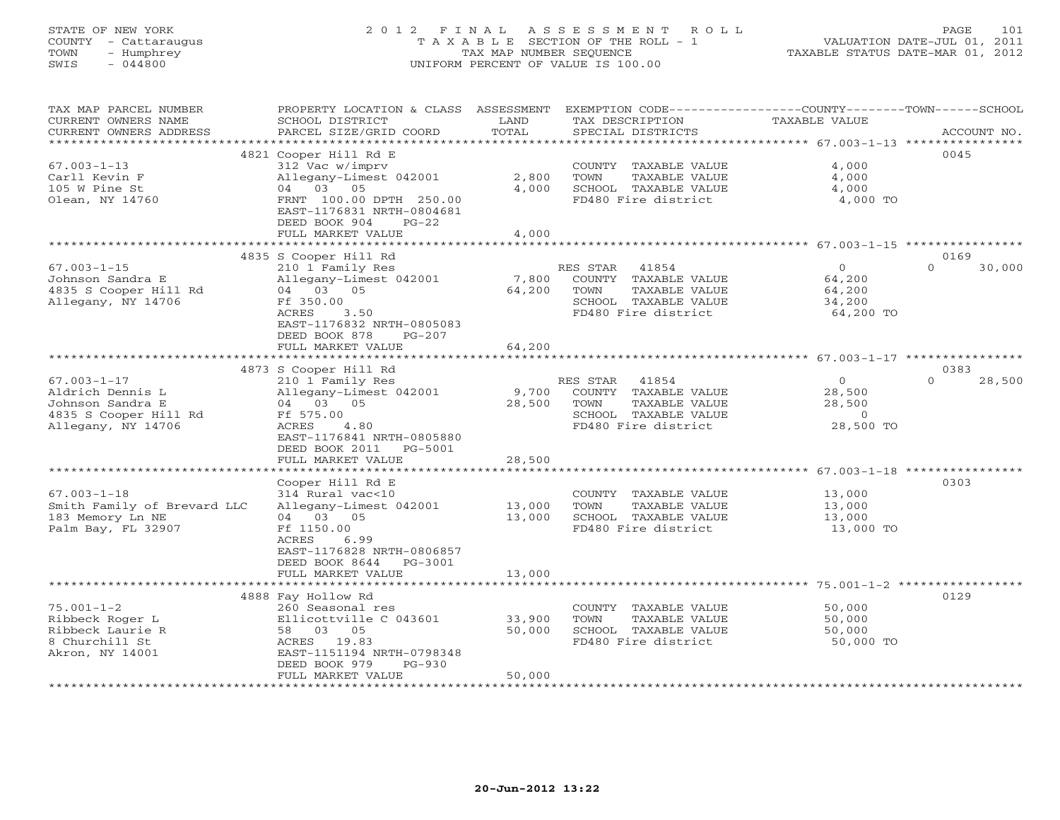# STATE OF NEW YORK 2 0 1 2 F I N A L A S S E S S M E N T R O L L PAGE 101 COUNTY - Cattaraugus T A X A B L E SECTION OF THE ROLL - 1 VALUATION DATE-JUL 01, 2011 TOWN - Humphrey TAX MAP NUMBER SEQUENCE TAXABLE STATUS DATE-MAR 01, 2012 SWIS - 044800 UNIFORM PERCENT OF VALUE IS 100.00UNIFORM PERCENT OF VALUE IS 100.00

| TAX MAP PARCEL NUMBER<br>CURRENT OWNERS NAME<br>CURRENT OWNERS ADDRESS                                   | PROPERTY LOCATION & CLASS ASSESSMENT<br>SCHOOL DISTRICT<br>PARCEL SIZE/GRID COORD                                                                                          | LAND<br>TOTAL                | EXEMPTION CODE-----------------COUNTY-------TOWN------SCHOOL<br>TAX DESCRIPTION<br>SPECIAL DISTRICTS              | TAXABLE VALUE                                                             | ACCOUNT NO.        |
|----------------------------------------------------------------------------------------------------------|----------------------------------------------------------------------------------------------------------------------------------------------------------------------------|------------------------------|-------------------------------------------------------------------------------------------------------------------|---------------------------------------------------------------------------|--------------------|
| *********************                                                                                    |                                                                                                                                                                            |                              |                                                                                                                   |                                                                           |                    |
| $67.003 - 1 - 13$<br>Carll Kevin F<br>105 W Pine St<br>Olean, NY 14760                                   | 4821 Cooper Hill Rd E<br>312 Vac w/imprv<br>Allegany-Limest 042001<br>04 03 05<br>FRNT 100.00 DPTH 250.00<br>EAST-1176831 NRTH-0804681<br>DEED BOOK 904<br>$PG-22$         | 2,800<br>4,000               | COUNTY TAXABLE VALUE<br>TOWN<br>TAXABLE VALUE<br>SCHOOL TAXABLE VALUE<br>FD480 Fire district                      | 4,000<br>4,000<br>4,000<br>4,000 TO                                       | 0045               |
|                                                                                                          | FULL MARKET VALUE                                                                                                                                                          | 4,000                        |                                                                                                                   |                                                                           |                    |
|                                                                                                          | 4835 S Cooper Hill Rd                                                                                                                                                      |                              |                                                                                                                   |                                                                           | 0169               |
| $67.003 - 1 - 15$<br>Johnson Sandra E<br>4835 S Cooper Hill Rd<br>Allegany, NY 14706                     | 210 1 Family Res<br>Allegany-Limest 042001<br>04 03 05<br>Ff 350.00<br>ACRES<br>3.50<br>EAST-1176832 NRTH-0805083<br>DEED BOOK 878<br>$PG-207$                             | 7,800<br>64,200              | 41854<br>RES STAR<br>COUNTY TAXABLE VALUE<br>TOWN<br>TAXABLE VALUE<br>SCHOOL TAXABLE VALUE<br>FD480 Fire district | $\Omega$<br>64,200<br>64,200<br>34,200<br>64,200 TO                       | $\Omega$<br>30,000 |
|                                                                                                          | FULL MARKET VALUE                                                                                                                                                          | 64,200                       |                                                                                                                   |                                                                           |                    |
|                                                                                                          | 4873 S Cooper Hill Rd                                                                                                                                                      |                              |                                                                                                                   |                                                                           | 0383               |
| $67.003 - 1 - 17$<br>Aldrich Dennis L<br>Johnson Sandra E<br>4835 S Cooper Hill Rd<br>Allegany, NY 14706 | 210 1 Family Res<br>Allegany-Limest 042001<br>04 03 05<br>Ff 575.00<br>4.80<br>ACRES<br>EAST-1176841 NRTH-0805880<br>DEED BOOK 2011<br>PG-5001                             | 9,700<br>28,500              | RES STAR 41854<br>COUNTY TAXABLE VALUE<br>TOWN<br>TAXABLE VALUE<br>SCHOOL TAXABLE VALUE<br>FD480 Fire district    | $\circ$<br>28,500<br>28,500<br>$\circ$<br>28,500 TO                       | $\Omega$<br>28,500 |
|                                                                                                          | FULL MARKET VALUE                                                                                                                                                          | 28,500                       |                                                                                                                   |                                                                           |                    |
| $67.003 - 1 - 18$<br>Smith Family of Brevard LLC<br>183 Memory Ln NE<br>Palm Bay, FL 32907               | Cooper Hill Rd E<br>314 Rural vac<10<br>Allegany-Limest 042001<br>04 03 05<br>Ff 1150.00<br>ACRES<br>6.99<br>EAST-1176828 NRTH-0806857<br>DEED BOOK 8644<br>PG-3001        | ********<br>13,000<br>13,000 | COUNTY TAXABLE VALUE<br>TOWN<br>TAXABLE VALUE<br>SCHOOL TAXABLE VALUE<br>FD480 Fire district                      | $67.003 - 1 - 18$ ************<br>13,000<br>13,000<br>13,000<br>13,000 TO | 0303               |
|                                                                                                          | FULL MARKET VALUE                                                                                                                                                          | 13,000                       |                                                                                                                   |                                                                           |                    |
|                                                                                                          |                                                                                                                                                                            |                              |                                                                                                                   |                                                                           |                    |
| $75.001 - 1 - 2$<br>Ribbeck Roger L<br>Ribbeck Laurie R<br>8 Churchill St<br>Akron, NY 14001             | 4888 Fay Hollow Rd<br>260 Seasonal res<br>Ellicottville C 043601<br>58 03 05<br>ACRES 19.83<br>EAST-1151194 NRTH-0798348<br>DEED BOOK 979<br>$PG-930$<br>FULL MARKET VALUE | 33,900<br>50,000<br>50,000   | COUNTY TAXABLE VALUE<br>TOWN<br>TAXABLE VALUE<br>SCHOOL TAXABLE VALUE<br>FD480 Fire district                      | 50,000<br>50,000<br>50,000<br>50,000 TO                                   | 0129               |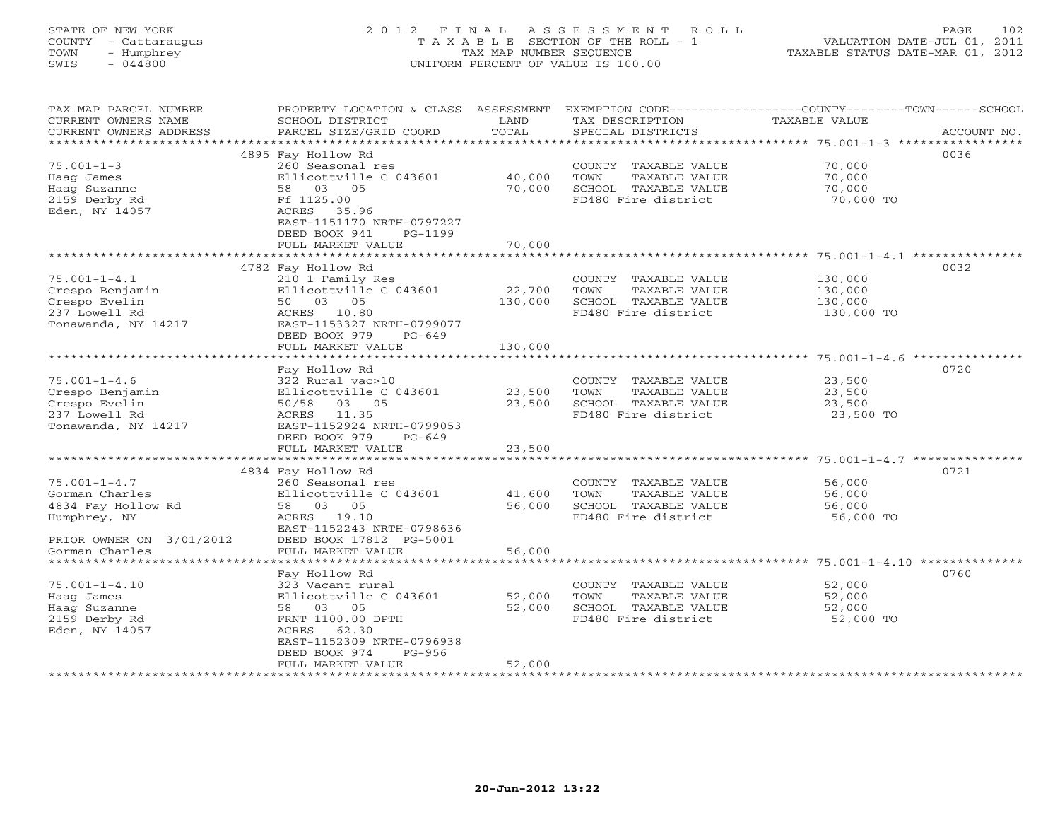# STATE OF NEW YORK 2 0 1 2 F I N A L A S S E S S M E N T R O L L PAGE 102 COUNTY - Cattaraugus T A X A B L E SECTION OF THE ROLL - 1 VALUATION DATE-JUL 01, 2011 TOWN - Humphrey TAX MAP NUMBER SEQUENCE TAXABLE STATUS DATE-MAR 01, 2012 SWIS - 044800 UNIFORM PERCENT OF VALUE IS 100.00UNIFORM PERCENT OF VALUE IS 100.00

| *******************<br>4895 Fay Hollow Rd<br>0036<br>$75.001 - 1 - 3$<br>260 Seasonal res<br>COUNTY TAXABLE VALUE<br>70,000<br>Haag James<br>Ellicottville C 043601<br>40,000<br>TOWN<br>TAXABLE VALUE<br>70,000<br>Haag Suzanne<br>58 03 05<br>70,000<br>SCHOOL TAXABLE VALUE<br>70,000<br>FD480 Fire district<br>2159 Derby Rd<br>Ff 1125.00<br>70,000 TO<br>Eden, NY 14057<br>ACRES<br>35.96<br>EAST-1151170 NRTH-0797227<br>DEED BOOK 941<br>$PG-1199$<br>FULL MARKET VALUE<br>70,000<br>*********** 75.001-1-4.1<br>4782 Fay Hollow Rd<br>0032<br>$75.001 - 1 - 4.1$<br>210 1 Family Res<br>130,000<br>COUNTY TAXABLE VALUE<br>Crespo Benjamin<br>Ellicottville C 043601<br>22,700<br>TOWN<br>TAXABLE VALUE<br>130,000<br>Crespo Evelin<br>50 03 05<br>130,000<br>SCHOOL TAXABLE VALUE<br>130,000<br>237 Lowell Rd<br>ACRES 10.80<br>FD480 Fire district<br>130,000 TO<br>Tonawanda, NY 14217<br>EAST-1153327 NRTH-0799077<br>DEED BOOK 979<br>$PG-649$<br>FULL MARKET VALUE<br>130,000<br>*************************<br>* * * * * * * * * * * *<br>0720<br>Fay Hollow Rd<br>$75.001 - 1 - 4.6$<br>322 Rural vac>10<br>23,500<br>COUNTY TAXABLE VALUE<br>Ellicottville C 043601<br>23,500<br>TOWN<br>TAXABLE VALUE<br>23,500<br>Crespo Benjamin<br>SCHOOL TAXABLE VALUE<br>Crespo Evelin<br>50/58<br>03 05<br>23,500<br>23,500<br>11.35<br>FD480 Fire district<br>23,500 TO<br>237 Lowell Rd<br>ACRES<br>EAST-1152924 NRTH-0799053<br>Tonawanda, NY 14217<br>DEED BOOK 979<br>PG-649<br>FULL MARKET VALUE<br>23,500<br>***********************<br>******************************** 75.001-1-4.7 *********<br>*************<br>4834 Fay Hollow Rd<br>0721<br>$75.001 - 1 - 4.7$<br>COUNTY TAXABLE VALUE<br>260 Seasonal res<br>56,000<br>Gorman Charles<br>Ellicottville C 043601<br>41,600<br><b>TOWN</b><br>TAXABLE VALUE<br>56,000<br>4834 Fay Hollow Rd<br>58 03 05<br>56,000<br>SCHOOL TAXABLE VALUE<br>56,000<br>Humphrey, NY<br>ACRES 19.10<br>FD480 Fire district<br>56,000 TO<br>EAST-1152243 NRTH-0798636<br>PRIOR OWNER ON 3/01/2012<br>DEED BOOK 17812 PG-5001<br>56,000<br>Gorman Charles<br>FULL MARKET VALUE<br>******************<br>Fay Hollow Rd<br>0760<br>$75.001 - 1 - 4.10$<br>323 Vacant rural<br>COUNTY TAXABLE VALUE<br>52,000<br>Ellicottville C 043601<br>52,000<br>TAXABLE VALUE<br>52,000<br>Haag James<br>TOWN<br>52,000<br>SCHOOL TAXABLE VALUE<br>Haag Suzanne<br>58 03 05<br>52,000<br>2159 Derby Rd<br>FD480 Fire district<br>FRNT 1100.00 DPTH<br>52,000 TO<br>Eden, NY 14057<br>62.30<br>ACRES<br>EAST-1152309 NRTH-0796938<br>DEED BOOK 974<br>$PG-956$<br>FULL MARKET VALUE<br>52,000 | TAX MAP PARCEL NUMBER<br>CURRENT OWNERS NAME<br>CURRENT OWNERS ADDRESS | PROPERTY LOCATION & CLASS ASSESSMENT<br>SCHOOL DISTRICT<br>PARCEL SIZE/GRID COORD | LAND<br>TOTAL | TAX DESCRIPTION<br>SPECIAL DISTRICTS | EXEMPTION CODE-----------------COUNTY-------TOWN------SCHOOL<br><b>TAXABLE VALUE</b><br>ACCOUNT NO. |
|--------------------------------------------------------------------------------------------------------------------------------------------------------------------------------------------------------------------------------------------------------------------------------------------------------------------------------------------------------------------------------------------------------------------------------------------------------------------------------------------------------------------------------------------------------------------------------------------------------------------------------------------------------------------------------------------------------------------------------------------------------------------------------------------------------------------------------------------------------------------------------------------------------------------------------------------------------------------------------------------------------------------------------------------------------------------------------------------------------------------------------------------------------------------------------------------------------------------------------------------------------------------------------------------------------------------------------------------------------------------------------------------------------------------------------------------------------------------------------------------------------------------------------------------------------------------------------------------------------------------------------------------------------------------------------------------------------------------------------------------------------------------------------------------------------------------------------------------------------------------------------------------------------------------------------------------------------------------------------------------------------------------------------------------------------------------------------------------------------------------------------------------------------------------------------------------------------------------------------------------------------------------------------------------------------------------------------------------------------------------------------------------------------------------------------------------------------------------------------------------------------------------------------------------------------------------------------------------------------------------------------|------------------------------------------------------------------------|-----------------------------------------------------------------------------------|---------------|--------------------------------------|-----------------------------------------------------------------------------------------------------|
|                                                                                                                                                                                                                                                                                                                                                                                                                                                                                                                                                                                                                                                                                                                                                                                                                                                                                                                                                                                                                                                                                                                                                                                                                                                                                                                                                                                                                                                                                                                                                                                                                                                                                                                                                                                                                                                                                                                                                                                                                                                                                                                                                                                                                                                                                                                                                                                                                                                                                                                                                                                                                                |                                                                        |                                                                                   |               |                                      |                                                                                                     |
|                                                                                                                                                                                                                                                                                                                                                                                                                                                                                                                                                                                                                                                                                                                                                                                                                                                                                                                                                                                                                                                                                                                                                                                                                                                                                                                                                                                                                                                                                                                                                                                                                                                                                                                                                                                                                                                                                                                                                                                                                                                                                                                                                                                                                                                                                                                                                                                                                                                                                                                                                                                                                                |                                                                        |                                                                                   |               |                                      |                                                                                                     |
|                                                                                                                                                                                                                                                                                                                                                                                                                                                                                                                                                                                                                                                                                                                                                                                                                                                                                                                                                                                                                                                                                                                                                                                                                                                                                                                                                                                                                                                                                                                                                                                                                                                                                                                                                                                                                                                                                                                                                                                                                                                                                                                                                                                                                                                                                                                                                                                                                                                                                                                                                                                                                                |                                                                        |                                                                                   |               |                                      |                                                                                                     |
|                                                                                                                                                                                                                                                                                                                                                                                                                                                                                                                                                                                                                                                                                                                                                                                                                                                                                                                                                                                                                                                                                                                                                                                                                                                                                                                                                                                                                                                                                                                                                                                                                                                                                                                                                                                                                                                                                                                                                                                                                                                                                                                                                                                                                                                                                                                                                                                                                                                                                                                                                                                                                                |                                                                        |                                                                                   |               |                                      |                                                                                                     |
|                                                                                                                                                                                                                                                                                                                                                                                                                                                                                                                                                                                                                                                                                                                                                                                                                                                                                                                                                                                                                                                                                                                                                                                                                                                                                                                                                                                                                                                                                                                                                                                                                                                                                                                                                                                                                                                                                                                                                                                                                                                                                                                                                                                                                                                                                                                                                                                                                                                                                                                                                                                                                                |                                                                        |                                                                                   |               |                                      |                                                                                                     |
|                                                                                                                                                                                                                                                                                                                                                                                                                                                                                                                                                                                                                                                                                                                                                                                                                                                                                                                                                                                                                                                                                                                                                                                                                                                                                                                                                                                                                                                                                                                                                                                                                                                                                                                                                                                                                                                                                                                                                                                                                                                                                                                                                                                                                                                                                                                                                                                                                                                                                                                                                                                                                                |                                                                        |                                                                                   |               |                                      |                                                                                                     |
|                                                                                                                                                                                                                                                                                                                                                                                                                                                                                                                                                                                                                                                                                                                                                                                                                                                                                                                                                                                                                                                                                                                                                                                                                                                                                                                                                                                                                                                                                                                                                                                                                                                                                                                                                                                                                                                                                                                                                                                                                                                                                                                                                                                                                                                                                                                                                                                                                                                                                                                                                                                                                                |                                                                        |                                                                                   |               |                                      |                                                                                                     |
|                                                                                                                                                                                                                                                                                                                                                                                                                                                                                                                                                                                                                                                                                                                                                                                                                                                                                                                                                                                                                                                                                                                                                                                                                                                                                                                                                                                                                                                                                                                                                                                                                                                                                                                                                                                                                                                                                                                                                                                                                                                                                                                                                                                                                                                                                                                                                                                                                                                                                                                                                                                                                                |                                                                        |                                                                                   |               |                                      |                                                                                                     |
|                                                                                                                                                                                                                                                                                                                                                                                                                                                                                                                                                                                                                                                                                                                                                                                                                                                                                                                                                                                                                                                                                                                                                                                                                                                                                                                                                                                                                                                                                                                                                                                                                                                                                                                                                                                                                                                                                                                                                                                                                                                                                                                                                                                                                                                                                                                                                                                                                                                                                                                                                                                                                                |                                                                        |                                                                                   |               |                                      |                                                                                                     |
|                                                                                                                                                                                                                                                                                                                                                                                                                                                                                                                                                                                                                                                                                                                                                                                                                                                                                                                                                                                                                                                                                                                                                                                                                                                                                                                                                                                                                                                                                                                                                                                                                                                                                                                                                                                                                                                                                                                                                                                                                                                                                                                                                                                                                                                                                                                                                                                                                                                                                                                                                                                                                                |                                                                        |                                                                                   |               |                                      |                                                                                                     |
|                                                                                                                                                                                                                                                                                                                                                                                                                                                                                                                                                                                                                                                                                                                                                                                                                                                                                                                                                                                                                                                                                                                                                                                                                                                                                                                                                                                                                                                                                                                                                                                                                                                                                                                                                                                                                                                                                                                                                                                                                                                                                                                                                                                                                                                                                                                                                                                                                                                                                                                                                                                                                                |                                                                        |                                                                                   |               |                                      |                                                                                                     |
|                                                                                                                                                                                                                                                                                                                                                                                                                                                                                                                                                                                                                                                                                                                                                                                                                                                                                                                                                                                                                                                                                                                                                                                                                                                                                                                                                                                                                                                                                                                                                                                                                                                                                                                                                                                                                                                                                                                                                                                                                                                                                                                                                                                                                                                                                                                                                                                                                                                                                                                                                                                                                                |                                                                        |                                                                                   |               |                                      |                                                                                                     |
|                                                                                                                                                                                                                                                                                                                                                                                                                                                                                                                                                                                                                                                                                                                                                                                                                                                                                                                                                                                                                                                                                                                                                                                                                                                                                                                                                                                                                                                                                                                                                                                                                                                                                                                                                                                                                                                                                                                                                                                                                                                                                                                                                                                                                                                                                                                                                                                                                                                                                                                                                                                                                                |                                                                        |                                                                                   |               |                                      |                                                                                                     |
|                                                                                                                                                                                                                                                                                                                                                                                                                                                                                                                                                                                                                                                                                                                                                                                                                                                                                                                                                                                                                                                                                                                                                                                                                                                                                                                                                                                                                                                                                                                                                                                                                                                                                                                                                                                                                                                                                                                                                                                                                                                                                                                                                                                                                                                                                                                                                                                                                                                                                                                                                                                                                                |                                                                        |                                                                                   |               |                                      |                                                                                                     |
|                                                                                                                                                                                                                                                                                                                                                                                                                                                                                                                                                                                                                                                                                                                                                                                                                                                                                                                                                                                                                                                                                                                                                                                                                                                                                                                                                                                                                                                                                                                                                                                                                                                                                                                                                                                                                                                                                                                                                                                                                                                                                                                                                                                                                                                                                                                                                                                                                                                                                                                                                                                                                                |                                                                        |                                                                                   |               |                                      |                                                                                                     |
|                                                                                                                                                                                                                                                                                                                                                                                                                                                                                                                                                                                                                                                                                                                                                                                                                                                                                                                                                                                                                                                                                                                                                                                                                                                                                                                                                                                                                                                                                                                                                                                                                                                                                                                                                                                                                                                                                                                                                                                                                                                                                                                                                                                                                                                                                                                                                                                                                                                                                                                                                                                                                                |                                                                        |                                                                                   |               |                                      |                                                                                                     |
|                                                                                                                                                                                                                                                                                                                                                                                                                                                                                                                                                                                                                                                                                                                                                                                                                                                                                                                                                                                                                                                                                                                                                                                                                                                                                                                                                                                                                                                                                                                                                                                                                                                                                                                                                                                                                                                                                                                                                                                                                                                                                                                                                                                                                                                                                                                                                                                                                                                                                                                                                                                                                                |                                                                        |                                                                                   |               |                                      |                                                                                                     |
|                                                                                                                                                                                                                                                                                                                                                                                                                                                                                                                                                                                                                                                                                                                                                                                                                                                                                                                                                                                                                                                                                                                                                                                                                                                                                                                                                                                                                                                                                                                                                                                                                                                                                                                                                                                                                                                                                                                                                                                                                                                                                                                                                                                                                                                                                                                                                                                                                                                                                                                                                                                                                                |                                                                        |                                                                                   |               |                                      |                                                                                                     |
|                                                                                                                                                                                                                                                                                                                                                                                                                                                                                                                                                                                                                                                                                                                                                                                                                                                                                                                                                                                                                                                                                                                                                                                                                                                                                                                                                                                                                                                                                                                                                                                                                                                                                                                                                                                                                                                                                                                                                                                                                                                                                                                                                                                                                                                                                                                                                                                                                                                                                                                                                                                                                                |                                                                        |                                                                                   |               |                                      |                                                                                                     |
|                                                                                                                                                                                                                                                                                                                                                                                                                                                                                                                                                                                                                                                                                                                                                                                                                                                                                                                                                                                                                                                                                                                                                                                                                                                                                                                                                                                                                                                                                                                                                                                                                                                                                                                                                                                                                                                                                                                                                                                                                                                                                                                                                                                                                                                                                                                                                                                                                                                                                                                                                                                                                                |                                                                        |                                                                                   |               |                                      |                                                                                                     |
|                                                                                                                                                                                                                                                                                                                                                                                                                                                                                                                                                                                                                                                                                                                                                                                                                                                                                                                                                                                                                                                                                                                                                                                                                                                                                                                                                                                                                                                                                                                                                                                                                                                                                                                                                                                                                                                                                                                                                                                                                                                                                                                                                                                                                                                                                                                                                                                                                                                                                                                                                                                                                                |                                                                        |                                                                                   |               |                                      |                                                                                                     |
|                                                                                                                                                                                                                                                                                                                                                                                                                                                                                                                                                                                                                                                                                                                                                                                                                                                                                                                                                                                                                                                                                                                                                                                                                                                                                                                                                                                                                                                                                                                                                                                                                                                                                                                                                                                                                                                                                                                                                                                                                                                                                                                                                                                                                                                                                                                                                                                                                                                                                                                                                                                                                                |                                                                        |                                                                                   |               |                                      |                                                                                                     |
|                                                                                                                                                                                                                                                                                                                                                                                                                                                                                                                                                                                                                                                                                                                                                                                                                                                                                                                                                                                                                                                                                                                                                                                                                                                                                                                                                                                                                                                                                                                                                                                                                                                                                                                                                                                                                                                                                                                                                                                                                                                                                                                                                                                                                                                                                                                                                                                                                                                                                                                                                                                                                                |                                                                        |                                                                                   |               |                                      |                                                                                                     |
|                                                                                                                                                                                                                                                                                                                                                                                                                                                                                                                                                                                                                                                                                                                                                                                                                                                                                                                                                                                                                                                                                                                                                                                                                                                                                                                                                                                                                                                                                                                                                                                                                                                                                                                                                                                                                                                                                                                                                                                                                                                                                                                                                                                                                                                                                                                                                                                                                                                                                                                                                                                                                                |                                                                        |                                                                                   |               |                                      |                                                                                                     |
|                                                                                                                                                                                                                                                                                                                                                                                                                                                                                                                                                                                                                                                                                                                                                                                                                                                                                                                                                                                                                                                                                                                                                                                                                                                                                                                                                                                                                                                                                                                                                                                                                                                                                                                                                                                                                                                                                                                                                                                                                                                                                                                                                                                                                                                                                                                                                                                                                                                                                                                                                                                                                                |                                                                        |                                                                                   |               |                                      |                                                                                                     |
|                                                                                                                                                                                                                                                                                                                                                                                                                                                                                                                                                                                                                                                                                                                                                                                                                                                                                                                                                                                                                                                                                                                                                                                                                                                                                                                                                                                                                                                                                                                                                                                                                                                                                                                                                                                                                                                                                                                                                                                                                                                                                                                                                                                                                                                                                                                                                                                                                                                                                                                                                                                                                                |                                                                        |                                                                                   |               |                                      |                                                                                                     |
|                                                                                                                                                                                                                                                                                                                                                                                                                                                                                                                                                                                                                                                                                                                                                                                                                                                                                                                                                                                                                                                                                                                                                                                                                                                                                                                                                                                                                                                                                                                                                                                                                                                                                                                                                                                                                                                                                                                                                                                                                                                                                                                                                                                                                                                                                                                                                                                                                                                                                                                                                                                                                                |                                                                        |                                                                                   |               |                                      |                                                                                                     |
|                                                                                                                                                                                                                                                                                                                                                                                                                                                                                                                                                                                                                                                                                                                                                                                                                                                                                                                                                                                                                                                                                                                                                                                                                                                                                                                                                                                                                                                                                                                                                                                                                                                                                                                                                                                                                                                                                                                                                                                                                                                                                                                                                                                                                                                                                                                                                                                                                                                                                                                                                                                                                                |                                                                        |                                                                                   |               |                                      |                                                                                                     |
|                                                                                                                                                                                                                                                                                                                                                                                                                                                                                                                                                                                                                                                                                                                                                                                                                                                                                                                                                                                                                                                                                                                                                                                                                                                                                                                                                                                                                                                                                                                                                                                                                                                                                                                                                                                                                                                                                                                                                                                                                                                                                                                                                                                                                                                                                                                                                                                                                                                                                                                                                                                                                                |                                                                        |                                                                                   |               |                                      |                                                                                                     |
|                                                                                                                                                                                                                                                                                                                                                                                                                                                                                                                                                                                                                                                                                                                                                                                                                                                                                                                                                                                                                                                                                                                                                                                                                                                                                                                                                                                                                                                                                                                                                                                                                                                                                                                                                                                                                                                                                                                                                                                                                                                                                                                                                                                                                                                                                                                                                                                                                                                                                                                                                                                                                                |                                                                        |                                                                                   |               |                                      |                                                                                                     |
|                                                                                                                                                                                                                                                                                                                                                                                                                                                                                                                                                                                                                                                                                                                                                                                                                                                                                                                                                                                                                                                                                                                                                                                                                                                                                                                                                                                                                                                                                                                                                                                                                                                                                                                                                                                                                                                                                                                                                                                                                                                                                                                                                                                                                                                                                                                                                                                                                                                                                                                                                                                                                                |                                                                        |                                                                                   |               |                                      |                                                                                                     |
|                                                                                                                                                                                                                                                                                                                                                                                                                                                                                                                                                                                                                                                                                                                                                                                                                                                                                                                                                                                                                                                                                                                                                                                                                                                                                                                                                                                                                                                                                                                                                                                                                                                                                                                                                                                                                                                                                                                                                                                                                                                                                                                                                                                                                                                                                                                                                                                                                                                                                                                                                                                                                                |                                                                        |                                                                                   |               |                                      |                                                                                                     |
|                                                                                                                                                                                                                                                                                                                                                                                                                                                                                                                                                                                                                                                                                                                                                                                                                                                                                                                                                                                                                                                                                                                                                                                                                                                                                                                                                                                                                                                                                                                                                                                                                                                                                                                                                                                                                                                                                                                                                                                                                                                                                                                                                                                                                                                                                                                                                                                                                                                                                                                                                                                                                                |                                                                        |                                                                                   |               |                                      |                                                                                                     |
|                                                                                                                                                                                                                                                                                                                                                                                                                                                                                                                                                                                                                                                                                                                                                                                                                                                                                                                                                                                                                                                                                                                                                                                                                                                                                                                                                                                                                                                                                                                                                                                                                                                                                                                                                                                                                                                                                                                                                                                                                                                                                                                                                                                                                                                                                                                                                                                                                                                                                                                                                                                                                                |                                                                        |                                                                                   |               |                                      |                                                                                                     |
|                                                                                                                                                                                                                                                                                                                                                                                                                                                                                                                                                                                                                                                                                                                                                                                                                                                                                                                                                                                                                                                                                                                                                                                                                                                                                                                                                                                                                                                                                                                                                                                                                                                                                                                                                                                                                                                                                                                                                                                                                                                                                                                                                                                                                                                                                                                                                                                                                                                                                                                                                                                                                                |                                                                        |                                                                                   |               |                                      |                                                                                                     |
|                                                                                                                                                                                                                                                                                                                                                                                                                                                                                                                                                                                                                                                                                                                                                                                                                                                                                                                                                                                                                                                                                                                                                                                                                                                                                                                                                                                                                                                                                                                                                                                                                                                                                                                                                                                                                                                                                                                                                                                                                                                                                                                                                                                                                                                                                                                                                                                                                                                                                                                                                                                                                                |                                                                        |                                                                                   |               |                                      |                                                                                                     |
|                                                                                                                                                                                                                                                                                                                                                                                                                                                                                                                                                                                                                                                                                                                                                                                                                                                                                                                                                                                                                                                                                                                                                                                                                                                                                                                                                                                                                                                                                                                                                                                                                                                                                                                                                                                                                                                                                                                                                                                                                                                                                                                                                                                                                                                                                                                                                                                                                                                                                                                                                                                                                                |                                                                        |                                                                                   |               |                                      |                                                                                                     |
|                                                                                                                                                                                                                                                                                                                                                                                                                                                                                                                                                                                                                                                                                                                                                                                                                                                                                                                                                                                                                                                                                                                                                                                                                                                                                                                                                                                                                                                                                                                                                                                                                                                                                                                                                                                                                                                                                                                                                                                                                                                                                                                                                                                                                                                                                                                                                                                                                                                                                                                                                                                                                                |                                                                        |                                                                                   |               |                                      |                                                                                                     |
|                                                                                                                                                                                                                                                                                                                                                                                                                                                                                                                                                                                                                                                                                                                                                                                                                                                                                                                                                                                                                                                                                                                                                                                                                                                                                                                                                                                                                                                                                                                                                                                                                                                                                                                                                                                                                                                                                                                                                                                                                                                                                                                                                                                                                                                                                                                                                                                                                                                                                                                                                                                                                                |                                                                        |                                                                                   |               |                                      |                                                                                                     |
|                                                                                                                                                                                                                                                                                                                                                                                                                                                                                                                                                                                                                                                                                                                                                                                                                                                                                                                                                                                                                                                                                                                                                                                                                                                                                                                                                                                                                                                                                                                                                                                                                                                                                                                                                                                                                                                                                                                                                                                                                                                                                                                                                                                                                                                                                                                                                                                                                                                                                                                                                                                                                                |                                                                        |                                                                                   |               |                                      |                                                                                                     |
|                                                                                                                                                                                                                                                                                                                                                                                                                                                                                                                                                                                                                                                                                                                                                                                                                                                                                                                                                                                                                                                                                                                                                                                                                                                                                                                                                                                                                                                                                                                                                                                                                                                                                                                                                                                                                                                                                                                                                                                                                                                                                                                                                                                                                                                                                                                                                                                                                                                                                                                                                                                                                                |                                                                        |                                                                                   |               |                                      |                                                                                                     |
|                                                                                                                                                                                                                                                                                                                                                                                                                                                                                                                                                                                                                                                                                                                                                                                                                                                                                                                                                                                                                                                                                                                                                                                                                                                                                                                                                                                                                                                                                                                                                                                                                                                                                                                                                                                                                                                                                                                                                                                                                                                                                                                                                                                                                                                                                                                                                                                                                                                                                                                                                                                                                                |                                                                        |                                                                                   |               |                                      |                                                                                                     |
|                                                                                                                                                                                                                                                                                                                                                                                                                                                                                                                                                                                                                                                                                                                                                                                                                                                                                                                                                                                                                                                                                                                                                                                                                                                                                                                                                                                                                                                                                                                                                                                                                                                                                                                                                                                                                                                                                                                                                                                                                                                                                                                                                                                                                                                                                                                                                                                                                                                                                                                                                                                                                                |                                                                        |                                                                                   |               |                                      |                                                                                                     |
|                                                                                                                                                                                                                                                                                                                                                                                                                                                                                                                                                                                                                                                                                                                                                                                                                                                                                                                                                                                                                                                                                                                                                                                                                                                                                                                                                                                                                                                                                                                                                                                                                                                                                                                                                                                                                                                                                                                                                                                                                                                                                                                                                                                                                                                                                                                                                                                                                                                                                                                                                                                                                                |                                                                        |                                                                                   |               |                                      |                                                                                                     |
|                                                                                                                                                                                                                                                                                                                                                                                                                                                                                                                                                                                                                                                                                                                                                                                                                                                                                                                                                                                                                                                                                                                                                                                                                                                                                                                                                                                                                                                                                                                                                                                                                                                                                                                                                                                                                                                                                                                                                                                                                                                                                                                                                                                                                                                                                                                                                                                                                                                                                                                                                                                                                                |                                                                        |                                                                                   |               |                                      |                                                                                                     |
|                                                                                                                                                                                                                                                                                                                                                                                                                                                                                                                                                                                                                                                                                                                                                                                                                                                                                                                                                                                                                                                                                                                                                                                                                                                                                                                                                                                                                                                                                                                                                                                                                                                                                                                                                                                                                                                                                                                                                                                                                                                                                                                                                                                                                                                                                                                                                                                                                                                                                                                                                                                                                                |                                                                        |                                                                                   |               |                                      |                                                                                                     |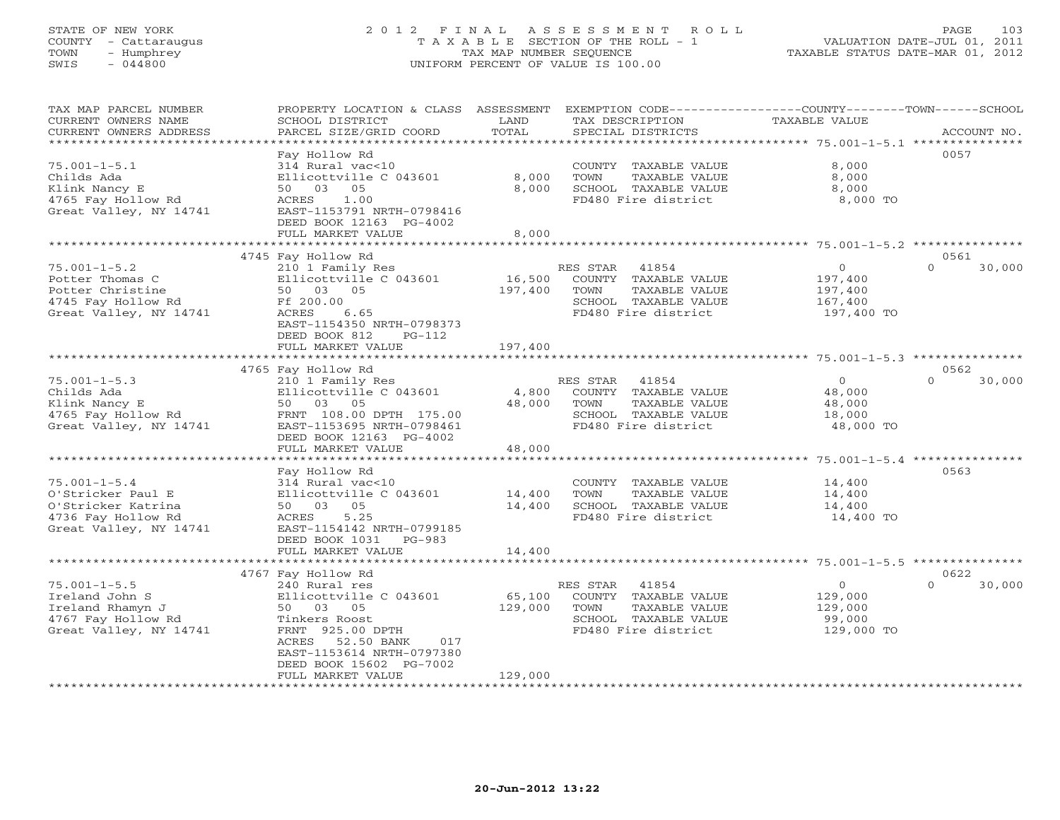## STATE OF NEW YORK 2 0 1 2 F I N A L A S S E S S M E N T R O L L PAGE 103 COUNTY - Cattaraugus T A X A B L E SECTION OF THE ROLL - 1 VALUATION DATE-JUL 01, 2011 TOWN - Humphrey TAX MAP NUMBER SEQUENCE TAXABLE STATUS DATE-MAR 01, 2012 SWIS - 044800 UNIFORM PERCENT OF VALUE IS 100.00UNIFORM PERCENT OF VALUE IS 100.00

| TAX MAP PARCEL NUMBER<br>CURRENT OWNERS NAME<br>CURRENT OWNERS ADDRESS                                        | PROPERTY LOCATION & CLASS ASSESSMENT<br>SCHOOL DISTRICT<br>PARCEL SIZE/GRID COORD                                                                                                                                         | LAND<br>TOTAL                | TAX DESCRIPTION<br>SPECIAL DISTRICTS                                                                                     | EXEMPTION CODE-----------------COUNTY-------TOWN------SCHOOL<br>TAXABLE VALUE | ACCOUNT NO.                |
|---------------------------------------------------------------------------------------------------------------|---------------------------------------------------------------------------------------------------------------------------------------------------------------------------------------------------------------------------|------------------------------|--------------------------------------------------------------------------------------------------------------------------|-------------------------------------------------------------------------------|----------------------------|
| $75.001 - 1 - 5.1$<br>Childs Ada<br>Klink Nancy E<br>4765 Fay Hollow Rd<br>Great Valley, NY 14741             | Fay Hollow Rd<br>314 Rural vac<10<br>Ellicottville C 043601<br>50 03<br>05<br>1.00<br>ACRES<br>EAST-1153791 NRTH-0798416<br>DEED BOOK 12163 PG-4002<br>FULL MARKET VALUE                                                  | 8,000<br>8,000<br>8,000      | COUNTY TAXABLE VALUE<br>TOWN<br>TAXABLE VALUE<br>SCHOOL TAXABLE VALUE<br>FD480 Fire district                             | 8,000<br>8,000<br>8,000<br>8,000 TO                                           | 0057                       |
|                                                                                                               |                                                                                                                                                                                                                           |                              |                                                                                                                          |                                                                               |                            |
| $75.001 - 1 - 5.2$<br>Potter Thomas C<br>Potter Christine<br>4745 Fay Hollow Rd<br>Great Valley, NY 14741     | 4745 Fay Hollow Rd<br>210 1 Family Res<br>Ellicottville C 043601<br>50 03 05<br>Ff 200.00<br>ACRES<br>6.65<br>EAST-1154350 NRTH-0798373<br>DEED BOOK 812<br>$PG-112$<br>FULL MARKET VALUE                                 | 16,500<br>197,400<br>197,400 | RES STAR<br>41854<br>COUNTY TAXABLE VALUE<br>TOWN<br>TAXABLE VALUE<br>SCHOOL TAXABLE VALUE<br>FD480 Fire district        | $\mathbf 0$<br>197,400<br>197,400<br>167,400<br>197,400 TO                    | 0561<br>$\Omega$<br>30,000 |
|                                                                                                               |                                                                                                                                                                                                                           |                              |                                                                                                                          |                                                                               |                            |
|                                                                                                               | 4765 Fay Hollow Rd                                                                                                                                                                                                        |                              |                                                                                                                          |                                                                               | 0562                       |
| $75.001 - 1 - 5.3$<br>Childs Ada<br>Klink Nancy E<br>4765 Fay Hollow Rd<br>Great Valley, NY 14741             | 210 1 Family Res<br>Ellicottville C 043601<br>50 03 05<br>FRNT 108.00 DPTH 175.00<br>EAST-1153695 NRTH-0798461<br>DEED BOOK 12163 PG-4002<br>FULL MARKET VALUE                                                            | 4,800<br>48,000<br>48,000    | 41854<br>RES STAR<br>COUNTY TAXABLE VALUE<br><b>TAXABLE VALUE</b><br>TOWN<br>SCHOOL TAXABLE VALUE<br>FD480 Fire district | $\Omega$<br>48,000<br>48,000<br>18,000<br>48,000 TO                           | $\Omega$<br>30,000         |
|                                                                                                               | ************************                                                                                                                                                                                                  | *************                |                                                                                                                          | $75.001 - 1 - 5.4$ **************                                             |                            |
| $75.001 - 1 - 5.4$<br>O'Stricker Paul E<br>O'Stricker Katrina<br>4736 Fay Hollow Rd<br>Great Valley, NY 14741 | Fay Hollow Rd<br>314 Rural vac<10<br>Ellicottville C 043601<br>05<br>50 03<br>5.25<br>ACRES<br>EAST-1154142 NRTH-0799185<br>DEED BOOK 1031<br>$PG-983$<br>FULL MARKET VALUE                                               | 14,400<br>14,400<br>14,400   | COUNTY TAXABLE VALUE<br>TOWN<br>TAXABLE VALUE<br>SCHOOL TAXABLE VALUE<br>FD480 Fire district                             | 14,400<br>14,400<br>14,400<br>14,400 TO                                       | 0563                       |
|                                                                                                               |                                                                                                                                                                                                                           |                              |                                                                                                                          |                                                                               |                            |
| $75.001 - 1 - 5.5$<br>Ireland John S<br>Ireland Rhamyn J<br>4767 Fay Hollow Rd<br>Great Valley, NY 14741      | 4767 Fay Hollow Rd<br>240 Rural res<br>Ellicottville C 043601<br>50 03 05<br>Tinkers Roost<br>FRNT 925.00 DPTH<br>ACRES<br>52.50 BANK<br>017<br>EAST-1153614 NRTH-0797380<br>DEED BOOK 15602 PG-7002<br>FULL MARKET VALUE | 65,100<br>129,000<br>129,000 | RES STAR<br>41854<br>COUNTY<br>TAXABLE VALUE<br>TOWN<br>TAXABLE VALUE<br>SCHOOL TAXABLE VALUE<br>FD480 Fire district     | $\mathbf{0}$<br>129,000<br>129,000<br>99,000<br>129,000 TO                    | 0622<br>$\Omega$<br>30,000 |
| **********************                                                                                        | *********************                                                                                                                                                                                                     | **************               | * * * * * * * * * * * * * * * *                                                                                          |                                                                               |                            |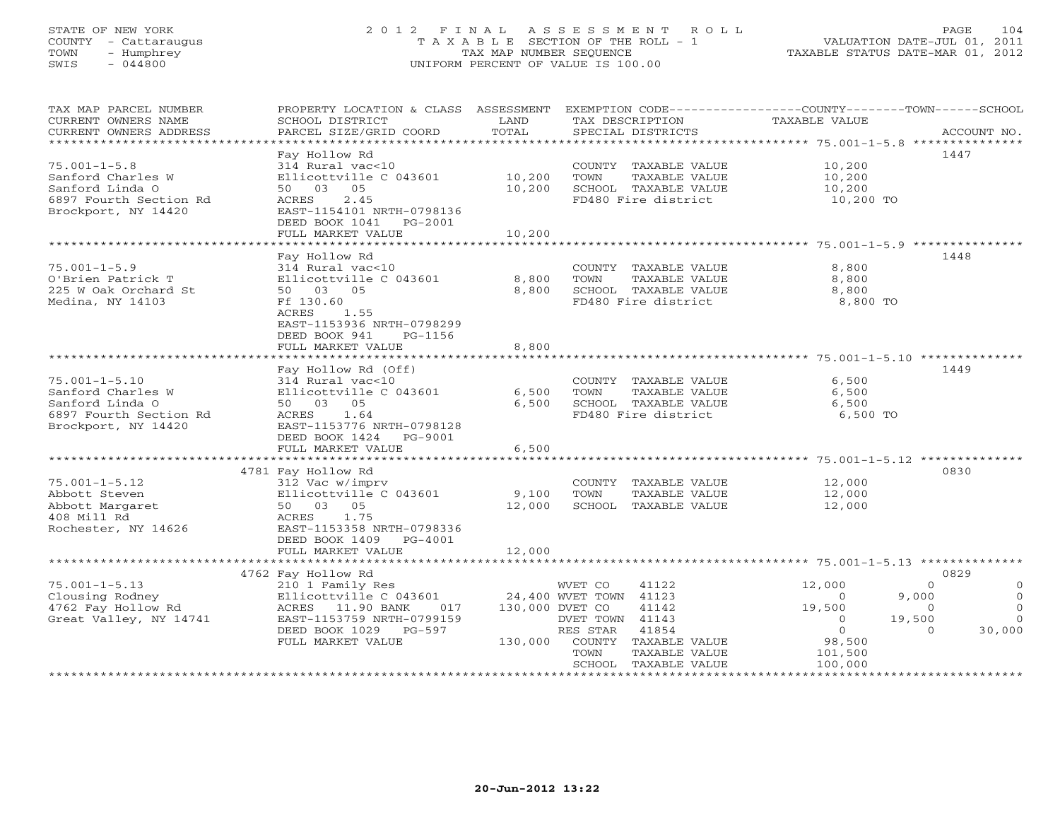# STATE OF NEW YORK 2 0 1 2 F I N A L A S S E S S M E N T R O L L PAGE 104 COUNTY - Cattaraugus T A X A B L E SECTION OF THE ROLL - 1 VALUATION DATE-JUL 01, 2011 TOWN - Humphrey TAX MAP NUMBER SEQUENCE TAXABLE STATUS DATE-MAR 01, 2012 SWIS - 044800 UNIFORM PERCENT OF VALUE IS 100.00UNIFORM PERCENT OF VALUE IS 100.00

| TAX MAP PARCEL NUMBER<br>CURRENT OWNERS NAME<br>CURRENT OWNERS ADDRESS | PROPERTY LOCATION & CLASS ASSESSMENT<br>SCHOOL DISTRICT<br>PARCEL SIZE/GRID COORD | LAND<br>TOTAL   | TAX DESCRIPTION<br>SPECIAL DISTRICTS | EXEMPTION CODE-----------------COUNTY-------TOWN------SCHOOL<br>TAXABLE VALUE | ACCOUNT NO.         |
|------------------------------------------------------------------------|-----------------------------------------------------------------------------------|-----------------|--------------------------------------|-------------------------------------------------------------------------------|---------------------|
| ************************                                               |                                                                                   |                 |                                      |                                                                               |                     |
|                                                                        | Fay Hollow Rd                                                                     |                 |                                      |                                                                               | 1447                |
| $75.001 - 1 - 5.8$                                                     | 314 Rural vac<10                                                                  |                 | COUNTY TAXABLE VALUE                 | 10,200                                                                        |                     |
| Sanford Charles W                                                      | Ellicottville C 043601                                                            | 10,200          | TOWN<br>TAXABLE VALUE                | 10,200                                                                        |                     |
| Sanford Linda O                                                        | 05<br>50 03                                                                       | 10,200          | SCHOOL TAXABLE VALUE                 | 10,200                                                                        |                     |
| 6897 Fourth Section Rd                                                 | 2.45<br>ACRES                                                                     |                 | FD480 Fire district                  | 10,200 TO                                                                     |                     |
| Brockport, NY 14420                                                    | EAST-1154101 NRTH-0798136                                                         |                 |                                      |                                                                               |                     |
|                                                                        | DEED BOOK 1041<br>PG-2001                                                         |                 |                                      |                                                                               |                     |
|                                                                        | FULL MARKET VALUE                                                                 | 10,200          |                                      |                                                                               |                     |
|                                                                        |                                                                                   |                 |                                      |                                                                               |                     |
|                                                                        | Fay Hollow Rd                                                                     |                 |                                      |                                                                               | 1448                |
| $75.001 - 1 - 5.9$                                                     | 314 Rural vac<10                                                                  |                 | COUNTY TAXABLE VALUE                 | 8,800                                                                         |                     |
| O'Brien Patrick T                                                      | Ellicottville C 043601                                                            | 8,800           | TOWN<br>TAXABLE VALUE                | 8,800                                                                         |                     |
| 225 W Oak Orchard St                                                   | 50 03 05                                                                          | 8,800           | SCHOOL TAXABLE VALUE                 | 8,800                                                                         |                     |
| Medina, NY 14103                                                       | Ff 130.60                                                                         |                 | FD480 Fire district                  | 8,800 TO                                                                      |                     |
|                                                                        | 1.55<br>ACRES                                                                     |                 |                                      |                                                                               |                     |
|                                                                        | EAST-1153936 NRTH-0798299                                                         |                 |                                      |                                                                               |                     |
|                                                                        | DEED BOOK 941<br>PG-1156                                                          |                 |                                      |                                                                               |                     |
|                                                                        | FULL MARKET VALUE                                                                 | 8,800           |                                      |                                                                               |                     |
|                                                                        | ***********************                                                           |                 |                                      |                                                                               |                     |
|                                                                        | Fay Hollow Rd (Off)                                                               |                 |                                      |                                                                               | 1449                |
| $75.001 - 1 - 5.10$                                                    | 314 Rural vac<10                                                                  |                 | COUNTY TAXABLE VALUE                 | 6,500                                                                         |                     |
| Sanford Charles W                                                      | Ellicottville C 043601                                                            | 6,500           | TOWN<br>TAXABLE VALUE                | 6,500                                                                         |                     |
| Sanford Linda O                                                        | 50 03 05                                                                          | 6,500           | SCHOOL TAXABLE VALUE                 | 6,500                                                                         |                     |
| 6897 Fourth Section Rd                                                 | 1.64<br>ACRES                                                                     |                 | FD480 Fire district                  | 6,500 TO                                                                      |                     |
|                                                                        | EAST-1153776 NRTH-0798128                                                         |                 |                                      |                                                                               |                     |
| Brockport, NY 14420                                                    | DEED BOOK 1424<br>PG-9001                                                         |                 |                                      |                                                                               |                     |
|                                                                        | FULL MARKET VALUE                                                                 |                 |                                      |                                                                               |                     |
|                                                                        |                                                                                   | 6,500           |                                      | ********************* 75.001-1-5.12 ***************                           |                     |
|                                                                        |                                                                                   |                 |                                      |                                                                               |                     |
|                                                                        | 4781 Fay Hollow Rd                                                                |                 |                                      |                                                                               | 0830                |
| $75.001 - 1 - 5.12$                                                    | 312 Vac w/imprv                                                                   |                 | COUNTY TAXABLE VALUE                 | 12,000                                                                        |                     |
| Abbott Steven                                                          | Ellicottville C 043601                                                            | 9,100           | TOWN<br>TAXABLE VALUE                | 12,000                                                                        |                     |
| Abbott Margaret                                                        | 50 03 05                                                                          | 12,000          | SCHOOL TAXABLE VALUE                 | 12,000                                                                        |                     |
| 408 Mill Rd                                                            | 1.75<br>ACRES                                                                     |                 |                                      |                                                                               |                     |
| Rochester, NY 14626                                                    | EAST-1153358 NRTH-0798336                                                         |                 |                                      |                                                                               |                     |
|                                                                        | DEED BOOK 1409<br>PG-4001                                                         |                 |                                      |                                                                               |                     |
|                                                                        | FULL MARKET VALUE                                                                 | 12,000          |                                      |                                                                               |                     |
|                                                                        |                                                                                   |                 |                                      |                                                                               |                     |
|                                                                        | 4762 Fay Hollow Rd                                                                |                 |                                      |                                                                               | 0829                |
| $75.001 - 1 - 5.13$                                                    | 210 1 Family Res                                                                  |                 | WVET CO<br>41122                     | 12,000<br>$\Omega$                                                            | $\circ$<br>$\Omega$ |
| Clousing Rodney                                                        | Ellicottville C 043601                                                            |                 | 24,400 WVET TOWN 41123               | 9,000<br>$\Omega$                                                             |                     |
| 4762 Fay Hollow Rd                                                     | ACRES 11.90 BANK<br>017                                                           | 130,000 DVET CO | 41142                                | 19,500<br>$\circ$                                                             | $\Omega$            |
| Great Valley, NY 14741                                                 | EAST-1153759 NRTH-0799159                                                         |                 | DVET TOWN 41143                      | 19,500<br>$\Omega$                                                            | $\Omega$            |
|                                                                        | DEED BOOK 1029<br>$PG-597$                                                        |                 | RES STAR<br>41854                    | $\mathbf{0}$<br>$\Omega$                                                      | 30,000              |
|                                                                        | FULL MARKET VALUE                                                                 | 130,000         | COUNTY<br>TAXABLE VALUE              | 98,500                                                                        |                     |
|                                                                        |                                                                                   |                 | TOWN<br>TAXABLE VALUE                | 101,500                                                                       |                     |
|                                                                        |                                                                                   |                 | SCHOOL TAXABLE VALUE                 | 100,000<br>***********************************                                |                     |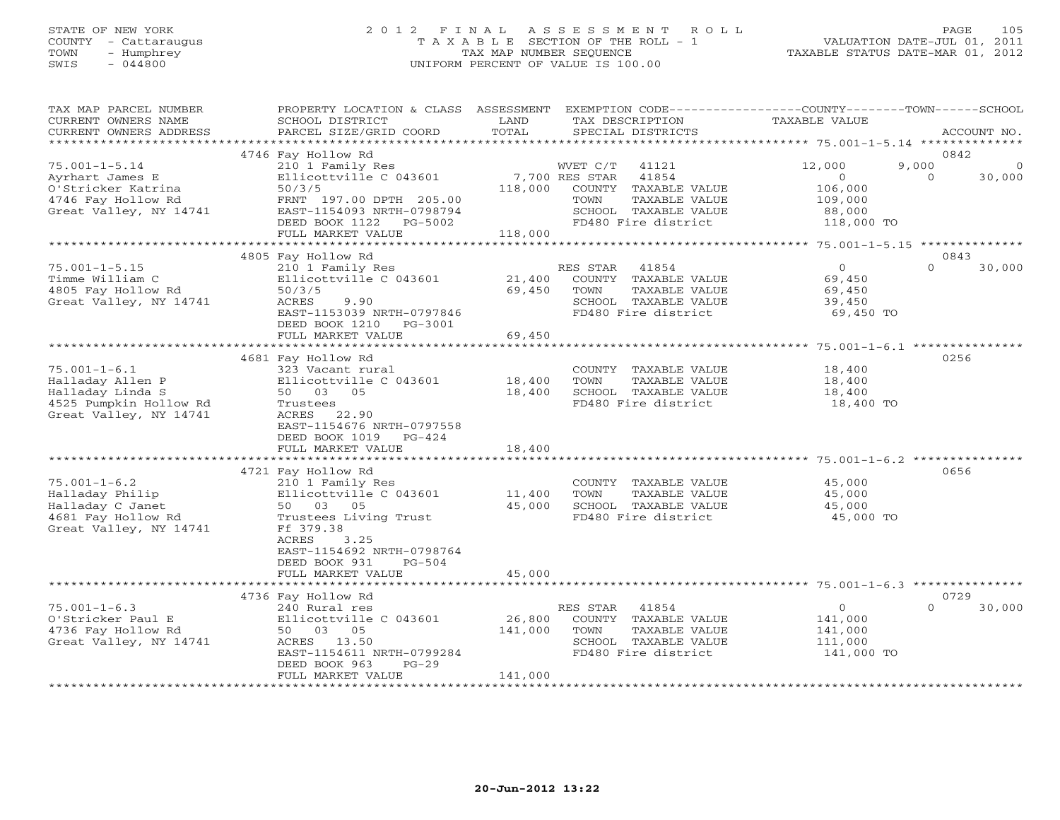# STATE OF NEW YORK 2 0 1 2 F I N A L A S S E S S M E N T R O L L PAGE 105 COUNTY - Cattaraugus T A X A B L E SECTION OF THE ROLL - 1 VALUATION DATE-JUL 01, 2011 TOWN - Humphrey TAX MAP NUMBER SEQUENCE TAXABLE STATUS DATE-MAR 01, 2012 SWIS - 044800 UNIFORM PERCENT OF VALUE IS 100.00UNIFORM PERCENT OF VALUE IS 100.00

| TAX MAP PARCEL NUMBER<br>CURRENT OWNERS NAME                                                                   | PROPERTY LOCATION & CLASS ASSESSMENT<br>SCHOOL DISTRICT                                                                                                            | LAND<br>TOTAL     | EXEMPTION CODE-----------------COUNTY-------TOWN------SCHOOL<br>TAX DESCRIPTION                                   | TAXABLE VALUE                                                 | ACCOUNT NO.                    |
|----------------------------------------------------------------------------------------------------------------|--------------------------------------------------------------------------------------------------------------------------------------------------------------------|-------------------|-------------------------------------------------------------------------------------------------------------------|---------------------------------------------------------------|--------------------------------|
| CURRENT OWNERS ADDRESS<br>*************************                                                            | PARCEL SIZE/GRID COORD                                                                                                                                             |                   | SPECIAL DISTRICTS                                                                                                 |                                                               |                                |
|                                                                                                                | 4746 Fay Hollow Rd                                                                                                                                                 |                   |                                                                                                                   |                                                               | 0842                           |
| $75.001 - 1 - 5.14$<br>Ayrhart James E<br>O'Stricker Katrina<br>4746 Fay Hollow Rd                             | 210 1 Family Res<br>Ellicottville C 043601<br>50/3/5<br>FRNT 197.00 DPTH 205.00                                                                                    | 118,000           | WVET C/T<br>41121<br>7,700 RES STAR<br>41854<br>COUNTY TAXABLE VALUE<br>TOWN<br>TAXABLE VALUE                     | 12,000<br>9,000<br>$\overline{O}$<br>106,000<br>109,000       | $\Omega$<br>$\Omega$<br>30,000 |
| Great Valley, NY 14741                                                                                         | EAST-1154093 NRTH-0798794<br>DEED BOOK 1122 PG-5002<br>FULL MARKET VALUE                                                                                           | 118,000           | SCHOOL TAXABLE VALUE<br>FD480 Fire district                                                                       | 88,000<br>118,000 TO                                          |                                |
|                                                                                                                |                                                                                                                                                                    |                   |                                                                                                                   |                                                               | 0843                           |
| $75.001 - 1 - 5.15$<br>Timme William C<br>4805 Fay Hollow Rd<br>Great Valley, NY 14741                         | 4805 Fay Hollow Rd<br>210 1 Family Res<br>Ellicottville C 043601<br>50/3/5<br>ACRES<br>9.90<br>EAST-1153039 NRTH-0797846<br>DEED BOOK 1210<br>PG-3001              | 21,400<br>69,450  | RES STAR<br>41854<br>COUNTY TAXABLE VALUE<br>TOWN<br>TAXABLE VALUE<br>SCHOOL TAXABLE VALUE<br>FD480 Fire district | $\circ$<br>69,450<br>69,450<br>39,450<br>69,450 TO            | 30,000<br>$\Omega$             |
|                                                                                                                | FULL MARKET VALUE                                                                                                                                                  | 69,450            |                                                                                                                   |                                                               |                                |
|                                                                                                                |                                                                                                                                                                    |                   |                                                                                                                   |                                                               |                                |
| $75.001 - 1 - 6.1$<br>Halladay Allen P<br>Halladay Linda S<br>4525 Pumpkin Hollow Rd<br>Great Valley, NY 14741 | 4681 Fay Hollow Rd<br>323 Vacant rural<br>Ellicottville C 043601<br>50 03 05<br>Trustees<br>ACRES 22.90<br>EAST-1154676 NRTH-0797558<br>DEED BOOK 1019<br>$PG-424$ | 18,400<br>18,400  | COUNTY TAXABLE VALUE<br>TOWN<br>TAXABLE VALUE<br>SCHOOL TAXABLE VALUE<br>FD480 Fire district                      | 18,400<br>18,400<br>18,400<br>18,400 TO                       | 0256                           |
|                                                                                                                | FULL MARKET VALUE                                                                                                                                                  | 18,400            |                                                                                                                   |                                                               |                                |
|                                                                                                                |                                                                                                                                                                    |                   |                                                                                                                   |                                                               |                                |
| $75.001 - 1 - 6.2$<br>Halladay Philip<br>Halladay C Janet<br>4681 Fay Hollow Rd<br>Great Valley, NY 14741      | 4721 Fay Hollow Rd<br>210 1 Family Res<br>Ellicottville C 043601<br>50 03 05<br>Trustees Living Trust<br>Ff 379.38<br>ACRES<br>3.25<br>EAST-1154692 NRTH-0798764   | 11,400<br>45,000  | COUNTY TAXABLE VALUE<br>TOWN<br>TAXABLE VALUE<br>SCHOOL TAXABLE VALUE<br>FD480 Fire district                      | 45,000<br>45,000<br>45,000<br>45,000 TO                       | 0656                           |
|                                                                                                                | DEED BOOK 931<br>$PG-504$<br>FULL MARKET VALUE                                                                                                                     | 45,000            |                                                                                                                   |                                                               |                                |
|                                                                                                                |                                                                                                                                                                    |                   |                                                                                                                   |                                                               |                                |
|                                                                                                                | 4736 Fay Hollow Rd                                                                                                                                                 |                   |                                                                                                                   |                                                               | 0729                           |
| $75.001 - 1 - 6.3$<br>O'Stricker Paul E<br>4736 Fay Hollow Rd<br>Great Valley, NY 14741                        | 240 Rural res<br>Ellicottville C 043601<br>50 03 05<br>ACRES 13.50<br>EAST-1154611 NRTH-0799284<br>DEED BOOK 963<br>$PG-29$                                        | 26,800<br>141,000 | 41854<br>RES STAR<br>COUNTY TAXABLE VALUE<br>TOWN<br>TAXABLE VALUE<br>SCHOOL TAXABLE VALUE<br>FD480 Fire district | $\overline{0}$<br>141,000<br>141,000<br>111,000<br>141,000 TO | $\Omega$<br>30,000             |
|                                                                                                                | FULL MARKET VALUE                                                                                                                                                  | 141,000           |                                                                                                                   |                                                               |                                |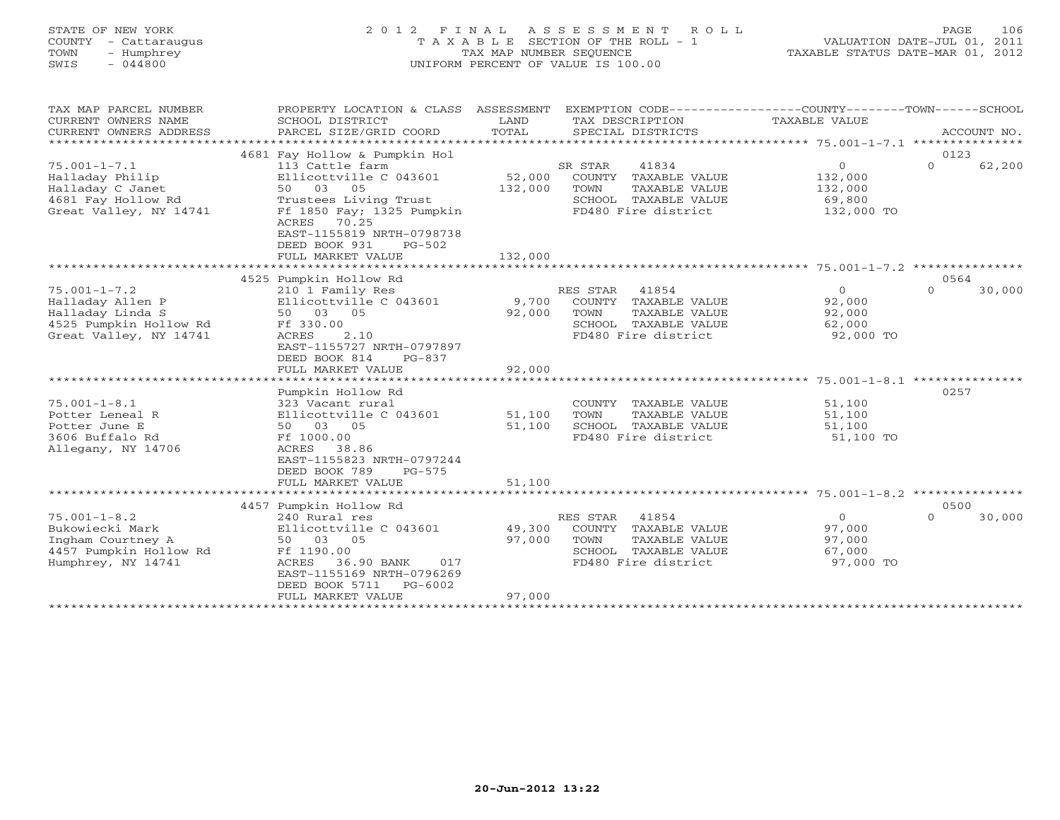# STATE OF NEW YORK 2 0 1 2 F I N A L A S S E S S M E N T R O L L PAGE 106 COUNTY - Cattaraugus T A X A B L E SECTION OF THE ROLL - 1 VALUATION DATE-JUL 01, 2011 TOWN - Humphrey TAX MAP NUMBER SEQUENCE TAXABLE STATUS DATE-MAR 01, 2012 SWIS - 044800 UNIFORM PERCENT OF VALUE IS 100.00UNIFORM PERCENT OF VALUE IS 100.00

| TAX MAP PARCEL NUMBER<br>CURRENT OWNERS NAME<br>CURRENT OWNERS ADDRESS<br>**********************               | PROPERTY LOCATION & CLASS ASSESSMENT<br>SCHOOL DISTRICT<br>PARCEL SIZE/GRID COORD                                                              | LAND<br>TOTAL     | EXEMPTION CODE-----------------COUNTY-------TOWN------SCHOOL<br>TAX DESCRIPTION<br>SPECIAL DISTRICTS           | TAXABLE VALUE                                      | ACCOUNT NO.                |
|----------------------------------------------------------------------------------------------------------------|------------------------------------------------------------------------------------------------------------------------------------------------|-------------------|----------------------------------------------------------------------------------------------------------------|----------------------------------------------------|----------------------------|
|                                                                                                                | 4681 Fay Hollow & Pumpkin Hol                                                                                                                  |                   |                                                                                                                |                                                    | 0123                       |
| $75.001 - 1 - 7.1$<br>Halladay Philip<br>Halladay C Janet<br>4681 Fay Hollow Rd                                | 113 Cattle farm<br>Ellicottville C 043601<br>50 03<br>05<br>Trustees Living Trust                                                              | 52,000<br>132,000 | SR STAR<br>41834<br>COUNTY TAXABLE VALUE<br>TOWN<br>TAXABLE VALUE<br>SCHOOL TAXABLE VALUE                      | $\circ$<br>132,000<br>132,000<br>69,800            | $\Omega$<br>62,200         |
| Great Valley, NY 14741                                                                                         | Ff 1850 Fay; 1325 Pumpkin<br>70.25<br>ACRES<br>EAST-1155819 NRTH-0798738<br>DEED BOOK 931<br>$PG-502$<br>FULL MARKET VALUE                     | 132,000           | FD480 Fire district                                                                                            | 132,000 TO                                         |                            |
|                                                                                                                |                                                                                                                                                |                   |                                                                                                                |                                                    |                            |
|                                                                                                                | 4525 Pumpkin Hollow Rd                                                                                                                         |                   |                                                                                                                |                                                    | 0564                       |
| $75.001 - 1 - 7.2$<br>Halladay Allen P<br>Halladay Linda S<br>4525 Pumpkin Hollow Rd<br>Great Valley, NY 14741 | 210 1 Family Res<br>Ellicottville C 043601<br>50 03 05<br>Ff 330.00<br>2.10<br>ACRES<br>EAST-1155727 NRTH-0797897<br>DEED BOOK 814<br>$PG-837$ | 9,700<br>92,000   | RES STAR 41854<br>COUNTY TAXABLE VALUE<br>TOWN<br>TAXABLE VALUE<br>SCHOOL TAXABLE VALUE<br>FD480 Fire district | $\circ$<br>92,000<br>92,000<br>62,000<br>92,000 TO | $\Omega$<br>30,000         |
|                                                                                                                | FULL MARKET VALUE                                                                                                                              | 92,000            |                                                                                                                |                                                    |                            |
|                                                                                                                | ******************************                                                                                                                 |                   |                                                                                                                |                                                    |                            |
|                                                                                                                | Pumpkin Hollow Rd                                                                                                                              |                   |                                                                                                                |                                                    | 0257                       |
| $75.001 - 1 - 8.1$                                                                                             | 323 Vacant rural                                                                                                                               |                   | COUNTY TAXABLE VALUE                                                                                           | 51,100                                             |                            |
| Potter Leneal R                                                                                                | Ellicottville C 043601                                                                                                                         | 51,100            | TOWN<br>TAXABLE VALUE                                                                                          | 51,100                                             |                            |
| Potter June E                                                                                                  | 50 03 05                                                                                                                                       | 51,100            | SCHOOL TAXABLE VALUE                                                                                           | 51,100                                             |                            |
| 3606 Buffalo Rd<br>Allegany, NY 14706                                                                          | Ff 1000.00<br>38.86<br>ACRES<br>EAST-1155823 NRTH-0797244<br>DEED BOOK 789<br>$PG-575$                                                         |                   | FD480 Fire district                                                                                            | 51,100 TO                                          |                            |
|                                                                                                                | FULL MARKET VALUE                                                                                                                              | 51,100            |                                                                                                                |                                                    |                            |
|                                                                                                                |                                                                                                                                                |                   |                                                                                                                |                                                    |                            |
| $75.001 - 1 - 8.2$                                                                                             | 4457 Pumpkin Hollow Rd<br>240 Rural res                                                                                                        |                   | RES STAR 41854                                                                                                 | $\Omega$                                           | 0500<br>$\Omega$<br>30,000 |
| Bukowiecki Mark                                                                                                | Ellicottville C 043601                                                                                                                         | 49,300            | COUNTY TAXABLE VALUE                                                                                           | 97,000                                             |                            |
| Ingham Courtney A                                                                                              | 50 03 05                                                                                                                                       | 97,000            | TOWN<br>TAXABLE VALUE                                                                                          | 97,000                                             |                            |
| 4457 Pumpkin Hollow Rd                                                                                         | Ff 1190.00                                                                                                                                     |                   | SCHOOL TAXABLE VALUE                                                                                           | 67,000                                             |                            |
| Humphrey, NY 14741                                                                                             | ACRES<br>36.90 BANK<br>017<br>EAST-1155169 NRTH-0796269<br>DEED BOOK 5711<br>$PG-6002$                                                         |                   | FD480 Fire district                                                                                            | 97,000 TO                                          |                            |
|                                                                                                                | FULL MARKET VALUE                                                                                                                              | 97,000            |                                                                                                                |                                                    |                            |
|                                                                                                                |                                                                                                                                                |                   |                                                                                                                |                                                    |                            |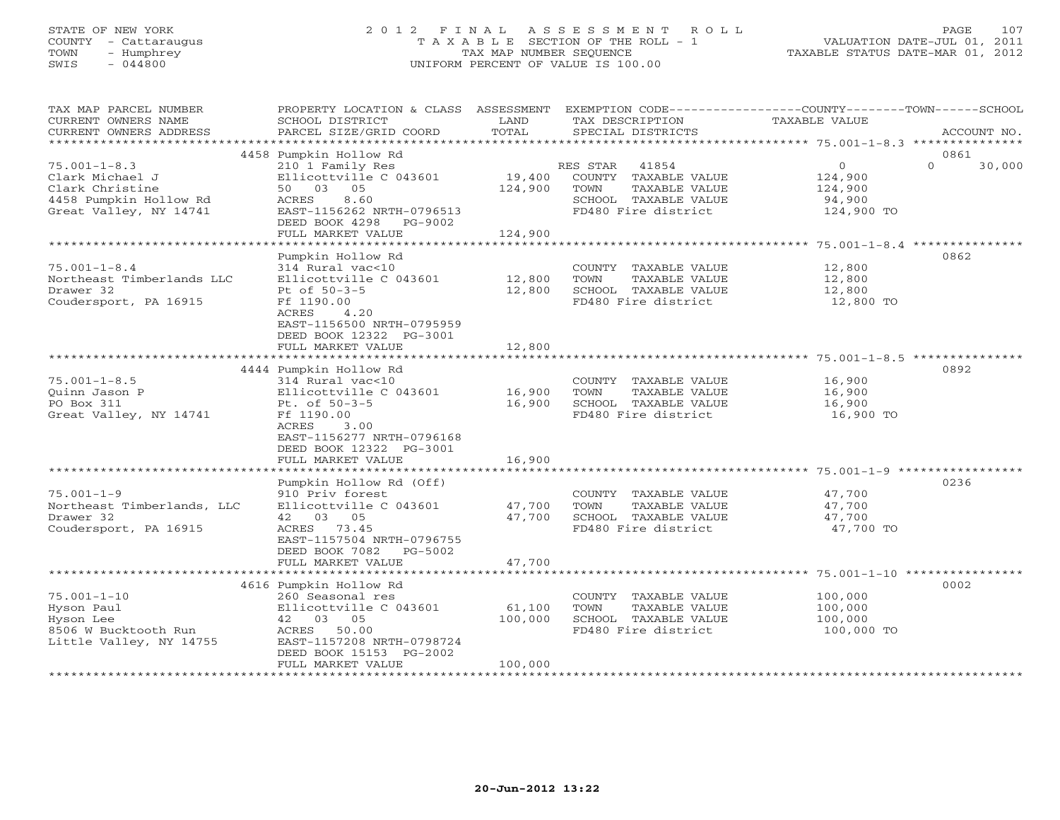# STATE OF NEW YORK 2 0 1 2 F I N A L A S S E S S M E N T R O L L PAGE 107 COUNTY - Cattaraugus T A X A B L E SECTION OF THE ROLL - 1 VALUATION DATE-JUL 01, 2011 TOWN - Humphrey TAX MAP NUMBER SEQUENCE TAXABLE STATUS DATE-MAR 01, 2012 SWIS - 044800 UNIFORM PERCENT OF VALUE IS 100.00UNIFORM PERCENT OF VALUE IS 100.00

| TAX MAP PARCEL NUMBER<br>CURRENT OWNERS NAME<br>CURRENT OWNERS ADDRESS                                       | PROPERTY LOCATION & CLASS ASSESSMENT<br>SCHOOL DISTRICT<br>PARCEL SIZE/GRID COORD                                                                                               | LAND<br>TOTAL                | EXEMPTION CODE-----------------COUNTY-------TOWN------SCHOOL<br>TAX DESCRIPTION<br>SPECIAL DISTRICTS              | TAXABLE VALUE                                                     | ACCOUNT NO.                |
|--------------------------------------------------------------------------------------------------------------|---------------------------------------------------------------------------------------------------------------------------------------------------------------------------------|------------------------------|-------------------------------------------------------------------------------------------------------------------|-------------------------------------------------------------------|----------------------------|
| **********************                                                                                       |                                                                                                                                                                                 |                              |                                                                                                                   |                                                                   |                            |
| $75.001 - 1 - 8.3$<br>Clark Michael J<br>Clark Christine<br>4458 Pumpkin Hollow Rd<br>Great Valley, NY 14741 | 4458 Pumpkin Hollow Rd<br>210 1 Family Res<br>Ellicottville C 043601<br>50 03 05<br>ACRES<br>8.60<br>EAST-1156262 NRTH-0796513<br>DEED BOOK 4298 PG-9002<br>FULL MARKET VALUE   | 19,400<br>124,900<br>124,900 | 41854<br>RES STAR<br>COUNTY TAXABLE VALUE<br>TOWN<br>TAXABLE VALUE<br>SCHOOL TAXABLE VALUE<br>FD480 Fire district | $\circ$<br>124,900<br>124,900<br>94,900<br>124,900 TO             | 0861<br>$\Omega$<br>30,000 |
|                                                                                                              |                                                                                                                                                                                 |                              |                                                                                                                   |                                                                   |                            |
| $75.001 - 1 - 8.4$<br>Northeast Timberlands LLC<br>Drawer 32<br>Coudersport, PA 16915                        | Pumpkin Hollow Rd<br>314 Rural vac<10<br>Ellicottville C 043601<br>Pt of 50-3-5<br>Ff 1190.00<br>ACRES<br>4.20<br>EAST-1156500 NRTH-0795959<br>DEED BOOK 12322 PG-3001          | 12,800<br>12,800             | COUNTY TAXABLE VALUE<br>TOWN<br>TAXABLE VALUE<br>SCHOOL TAXABLE VALUE<br>FD480 Fire district                      | 12,800<br>12,800<br>12,800<br>12,800 TO                           | 0862                       |
|                                                                                                              | FULL MARKET VALUE                                                                                                                                                               | 12,800                       |                                                                                                                   |                                                                   |                            |
|                                                                                                              | *************************                                                                                                                                                       | ********                     |                                                                                                                   | *************************************5.001-1-8.5 **************** |                            |
| $75.001 - 1 - 8.5$<br>Ouinn Jason P<br>PO Box 311<br>Great Valley, NY 14741                                  | 4444 Pumpkin Hollow Rd<br>314 Rural vac<10<br>Ellicottville C 043601<br>Pt. of 50-3-5<br>Ff 1190.00<br>ACRES<br>3.00<br>EAST-1156277 NRTH-0796168<br>DEED BOOK 12322 PG-3001    | 16,900<br>16,900             | COUNTY TAXABLE VALUE<br>TOWN<br>TAXABLE VALUE<br>SCHOOL TAXABLE VALUE<br>FD480 Fire district                      | 16,900<br>16,900<br>16,900<br>16,900 TO                           | 0892                       |
|                                                                                                              | FULL MARKET VALUE<br>*******************                                                                                                                                        | 16,900                       |                                                                                                                   |                                                                   |                            |
| $75.001 - 1 - 9$<br>Northeast Timberlands, LLC<br>Drawer 32<br>Coudersport, PA 16915                         | Pumpkin Hollow Rd (Off)<br>910 Priv forest<br>Ellicottville C 043601<br>42 03 05<br>ACRES 73.45<br>EAST-1157504 NRTH-0796755<br>DEED BOOK 7082<br>PG-5002<br>FULL MARKET VALUE  | 47,700<br>47,700<br>47,700   | COUNTY TAXABLE VALUE<br>TOWN<br>TAXABLE VALUE<br>SCHOOL TAXABLE VALUE<br>FD480 Fire district                      | 47,700<br>47,700<br>47,700<br>47,700 TO                           | 0236                       |
|                                                                                                              | <b>*********************</b>                                                                                                                                                    | ************                 |                                                                                                                   |                                                                   |                            |
| $75.001 - 1 - 10$<br>Hyson Paul<br>Hyson Lee<br>8506 W Bucktooth Run<br>Little Valley, NY 14755              | 4616 Pumpkin Hollow Rd<br>260 Seasonal res<br>Ellicottville C 043601<br>42 03 05<br>ACRES<br>50.00<br>EAST-1157208 NRTH-0798724<br>DEED BOOK 15153 PG-2002<br>FULL MARKET VALUE | 61,100<br>100,000<br>100,000 | COUNTY TAXABLE VALUE<br>TAXABLE VALUE<br>TOWN<br>SCHOOL TAXABLE VALUE<br>FD480 Fire district                      | 100,000<br>100,000<br>100,000<br>100,000 TO                       | 0002                       |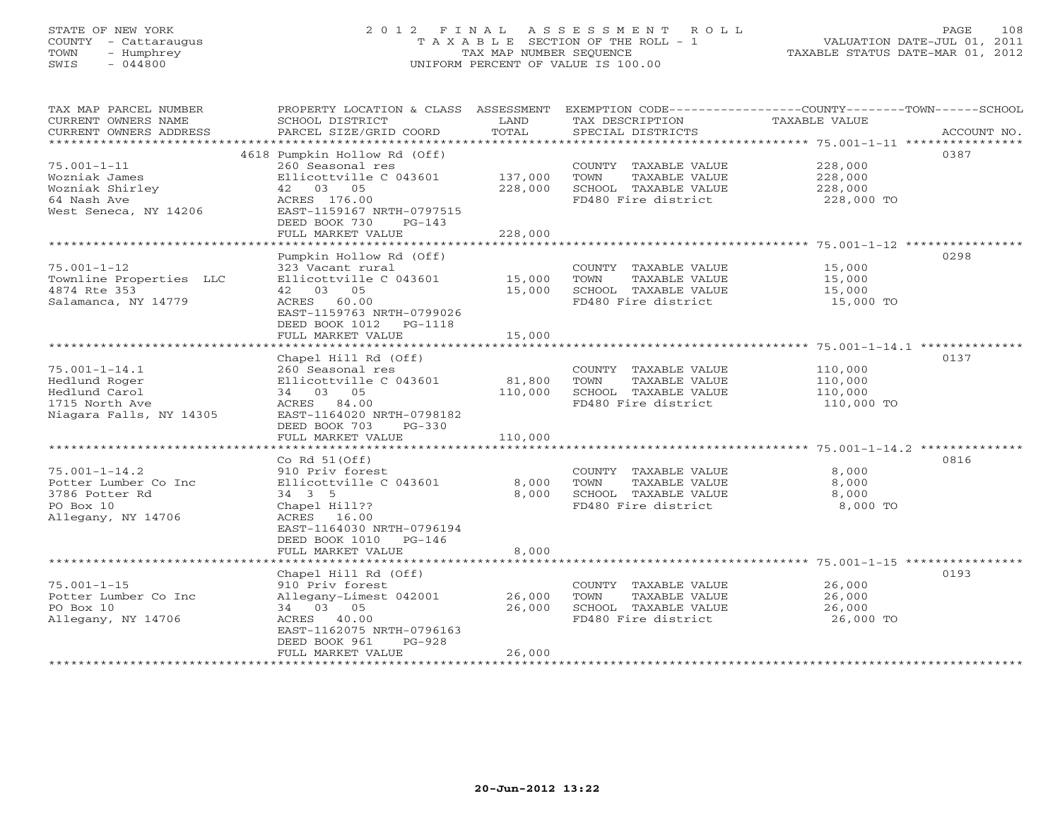# STATE OF NEW YORK 2 0 1 2 F I N A L A S S E S S M E N T R O L L PAGE 108 COUNTY - Cattaraugus T A X A B L E SECTION OF THE ROLL - 1 VALUATION DATE-JUL 01, 2011 TOWN - Humphrey TAX MAP NUMBER SEQUENCE TAXABLE STATUS DATE-MAR 01, 2012 SWIS - 044800 UNIFORM PERCENT OF VALUE IS 100.00UNIFORM PERCENT OF VALUE IS 100.00

| TAX MAP PARCEL NUMBER<br>CURRENT OWNERS NAME<br>CURRENT OWNERS ADDRESS<br>********************        | PROPERTY LOCATION & CLASS ASSESSMENT<br>SCHOOL DISTRICT<br>PARCEL SIZE/GRID COORD | LAND<br>TOTAL     | EXEMPTION CODE----------------COUNTY-------TOWN------SCHOOL<br>TAX DESCRIPTION<br>SPECIAL DISTRICTS | <b>TAXABLE VALUE</b> | ACCOUNT NO. |
|-------------------------------------------------------------------------------------------------------|-----------------------------------------------------------------------------------|-------------------|-----------------------------------------------------------------------------------------------------|----------------------|-------------|
|                                                                                                       |                                                                                   |                   |                                                                                                     |                      |             |
| $75.001 - 1 - 11$<br>Wozniak James                                                                    | 4618 Pumpkin Hollow Rd (Off)<br>260 Seasonal res<br>Ellicottville C 043601        | 137,000           | COUNTY TAXABLE VALUE<br>TOWN<br>TAXABLE VALUE                                                       | 228,000<br>228,000   | 0387        |
| Wozniak Shirley                                                                                       | 42 03 05                                                                          | 228,000           | SCHOOL TAXABLE VALUE                                                                                | 228,000              |             |
| 64 Nash Ave                                                                                           | ACRES 176.00                                                                      |                   | FD480 Fire district                                                                                 | 228,000 TO           |             |
| West Seneca, NY 14206                                                                                 | EAST-1159167 NRTH-0797515<br>DEED BOOK 730<br>$PG-143$                            |                   |                                                                                                     |                      |             |
|                                                                                                       | FULL MARKET VALUE                                                                 | 228,000           |                                                                                                     |                      |             |
| ************<br>************************************* 75.001-1-12 ************<br>******************* |                                                                                   |                   |                                                                                                     |                      |             |
|                                                                                                       | Pumpkin Hollow Rd (Off)                                                           |                   |                                                                                                     |                      | 0298        |
| $75.001 - 1 - 12$                                                                                     | 323 Vacant rural                                                                  |                   | COUNTY TAXABLE VALUE                                                                                | 15,000               |             |
| Townline Properties LLC<br>4874 Rte 353                                                               | Ellicottville C 043601                                                            | 15,000<br>15,000  | TOWN<br>TAXABLE VALUE<br>SCHOOL TAXABLE VALUE                                                       | 15,000               |             |
|                                                                                                       | 42 03 05                                                                          |                   |                                                                                                     | 15,000               |             |
| Salamanca, NY 14779                                                                                   | ACRES 60.00<br>EAST-1159763 NRTH-0799026<br>DEED BOOK 1012<br>PG-1118             |                   | FD480 Fire district                                                                                 | 15,000 TO            |             |
|                                                                                                       | FULL MARKET VALUE                                                                 | 15,000            |                                                                                                     |                      |             |
|                                                                                                       | Chapel Hill Rd (Off)                                                              |                   |                                                                                                     |                      | 0137        |
| $75.001 - 1 - 14.1$                                                                                   | 260 Seasonal res                                                                  |                   | COUNTY TAXABLE VALUE                                                                                | 110,000              |             |
| Hedlund Roger<br>Hedlund Carol                                                                        | Ellicottville C 043601<br>34 03 05                                                | 81,800<br>110,000 | TOWN<br>TAXABLE VALUE<br>SCHOOL TAXABLE VALUE                                                       | 110,000<br>110,000   |             |
| 1715 North Ave                                                                                        | ACRES 84.00                                                                       |                   | FD480 Fire district                                                                                 | 110,000 TO           |             |
| Niagara Falls, NY 14305                                                                               | EAST-1164020 NRTH-0798182<br>DEED BOOK 703<br>$PG-330$                            |                   |                                                                                                     |                      |             |
|                                                                                                       | FULL MARKET VALUE                                                                 | 110,000           |                                                                                                     |                      |             |
|                                                                                                       |                                                                                   |                   |                                                                                                     |                      |             |
|                                                                                                       | Co Rd $51(Off)$                                                                   |                   |                                                                                                     |                      | 0816        |
| $75.001 - 1 - 14.2$                                                                                   | 910 Priv forest                                                                   |                   | COUNTY TAXABLE VALUE                                                                                | 8,000                |             |
| Potter Lumber Co Inc                                                                                  | Ellicottville C 043601                                                            | 8,000             | TAXABLE VALUE<br>TOWN                                                                               | 8,000                |             |
| 3786 Potter Rd<br>PO Box 10                                                                           | 34 3 5                                                                            | 8,000             | SCHOOL TAXABLE VALUE<br>FD480 Fire district                                                         | 8,000<br>8,000 TO    |             |
| Allegany, NY 14706                                                                                    | Chapel Hill??<br>ACRES 16.00                                                      |                   |                                                                                                     |                      |             |
|                                                                                                       | EAST-1164030 NRTH-0796194<br>DEED BOOK 1010 PG-146                                |                   |                                                                                                     |                      |             |
|                                                                                                       | FULL MARKET VALUE                                                                 | 8,000             |                                                                                                     |                      |             |
|                                                                                                       |                                                                                   |                   |                                                                                                     |                      |             |
|                                                                                                       | Chapel Hill Rd (Off)                                                              |                   |                                                                                                     |                      | 0193        |
| $75.001 - 1 - 15$                                                                                     | 910 Priv forest                                                                   |                   | COUNTY TAXABLE VALUE                                                                                | 26,000               |             |
| Potter Lumber Co Inc                                                                                  | Allegany-Limest 042001                                                            | 26,000            | TOWN<br>TAXABLE VALUE                                                                               | 26,000               |             |
| PO Box 10                                                                                             | 34 03 05                                                                          | 26,000            | SCHOOL TAXABLE VALUE                                                                                | 26,000               |             |
| Allegany, NY 14706                                                                                    | ACRES 40.00                                                                       |                   | FD480 Fire district                                                                                 | 26,000 TO            |             |
|                                                                                                       | EAST-1162075 NRTH-0796163<br>DEED BOOK 961<br>$PG-928$                            |                   |                                                                                                     |                      |             |
|                                                                                                       | FULL MARKET VALUE                                                                 | 26,000            |                                                                                                     |                      |             |
|                                                                                                       |                                                                                   |                   |                                                                                                     |                      |             |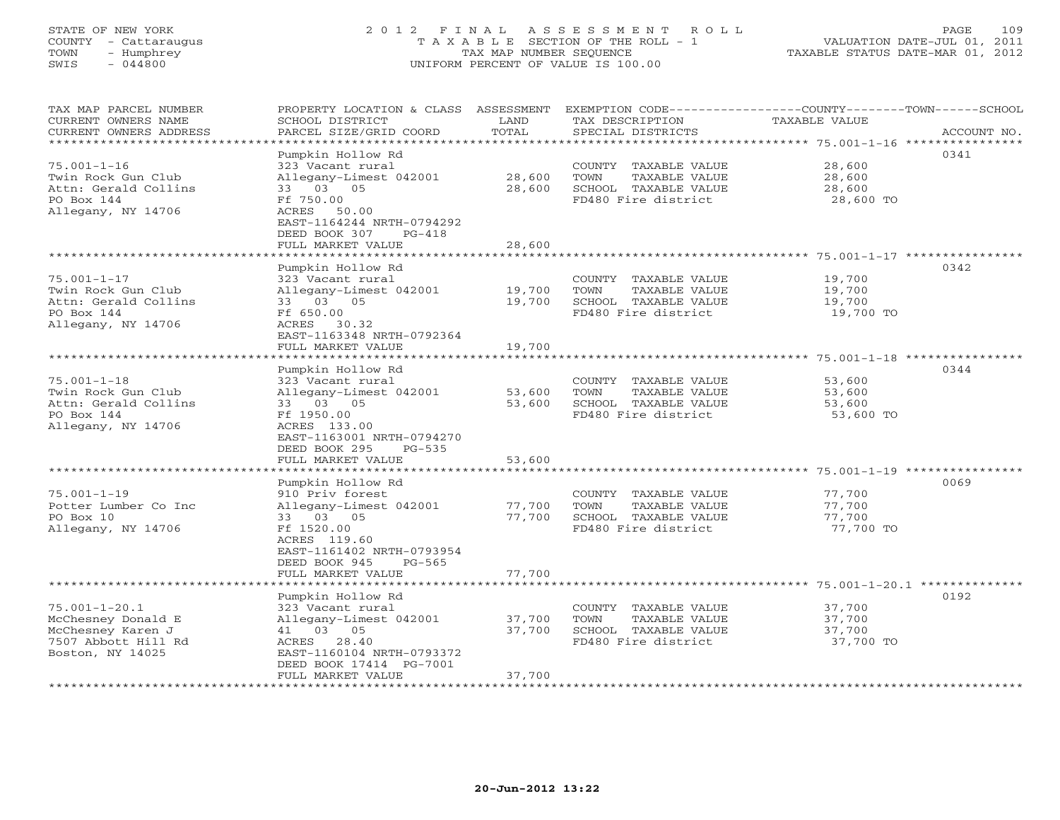# STATE OF NEW YORK 2 0 1 2 F I N A L A S S E S S M E N T R O L L PAGE 109 COUNTY - Cattaraugus T A X A B L E SECTION OF THE ROLL - 1 VALUATION DATE-JUL 01, 2011 TOWN - Humphrey TAX MAP NUMBER SEQUENCE TAXABLE STATUS DATE-MAR 01, 2012 SWIS - 044800 UNIFORM PERCENT OF VALUE IS 100.00UNIFORM PERCENT OF VALUE IS 100.00

| TAX MAP PARCEL NUMBER<br>CURRENT OWNERS NAME<br>CURRENT OWNERS ADDRESS<br>*******************             | SCHOOL DISTRICT<br>PARCEL SIZE/GRID COORD                                                                                                                                                 | LAND<br>TOTAL              | TAX DESCRIPTION<br>SPECIAL DISTRICTS                                                         | PROPERTY LOCATION & CLASS ASSESSMENT EXEMPTION CODE----------------COUNTY-------TOWN------SCHOOL<br><b>TAXABLE VALUE</b><br>ACCOUNT NO. |
|-----------------------------------------------------------------------------------------------------------|-------------------------------------------------------------------------------------------------------------------------------------------------------------------------------------------|----------------------------|----------------------------------------------------------------------------------------------|-----------------------------------------------------------------------------------------------------------------------------------------|
| $75.001 - 1 - 16$<br>Twin Rock Gun Club<br>Attn: Gerald Collins<br>PO Box 144<br>Allegany, NY 14706       | Pumpkin Hollow Rd<br>323 Vacant rural<br>Allegany-Limest 042001<br>33 03 05<br>Ff 750.00<br>ACRES<br>50.00<br>EAST-1164244 NRTH-0794292<br>DEED BOOK 307<br>$PG-418$<br>FULL MARKET VALUE | 28,600<br>28,600<br>28,600 | COUNTY TAXABLE VALUE<br>TOWN<br>TAXABLE VALUE<br>SCHOOL TAXABLE VALUE<br>FD480 Fire district | 0341<br>28,600<br>28,600<br>28,600<br>28,600 TO                                                                                         |
|                                                                                                           | Pumpkin Hollow Rd                                                                                                                                                                         |                            |                                                                                              | 0342                                                                                                                                    |
| $75.001 - 1 - 17$<br>Twin Rock Gun Club<br>Attn: Gerald Collins<br>PO Box 144<br>Allegany, NY 14706       | 323 Vacant rural<br>Allegany-Limest 042001<br>33 03 05<br>Ff 650.00<br>ACRES 30.32<br>EAST-1163348 NRTH-0792364<br>FULL MARKET VALUE                                                      | 19,700<br>19,700<br>19,700 | COUNTY TAXABLE VALUE<br>TOWN<br>TAXABLE VALUE<br>SCHOOL TAXABLE VALUE<br>FD480 Fire district | 19,700<br>19,700<br>19,700<br>19,700 TO                                                                                                 |
|                                                                                                           | *******************                                                                                                                                                                       |                            |                                                                                              |                                                                                                                                         |
| $75.001 - 1 - 18$<br>Twin Rock Gun Club<br>Attn: Gerald Collins<br>PO Box 144<br>Allegany, NY 14706       | Pumpkin Hollow Rd<br>323 Vacant rural<br>Allegany-Limest 042001<br>33 03 05<br>Ff 1950.00<br>ACRES 133.00<br>EAST-1163001 NRTH-0794270<br>DEED BOOK 295<br>$PG-535$                       | 53,600<br>53,600           | COUNTY TAXABLE VALUE<br>TOWN<br>TAXABLE VALUE<br>SCHOOL TAXABLE VALUE<br>FD480 Fire district | 0344<br>53,600<br>53,600<br>53,600<br>53,600 TO                                                                                         |
|                                                                                                           | FULL MARKET VALUE<br>*************************                                                                                                                                            | 53,600                     |                                                                                              |                                                                                                                                         |
| $75.001 - 1 - 19$<br>Potter Lumber Co Inc<br>PO Box 10<br>Allegany, NY 14706                              | Pumpkin Hollow Rd<br>910 Priv forest<br>Allegany-Limest 042001<br>33 03 05<br>Ff 1520.00<br>ACRES 119.60<br>EAST-1161402 NRTH-0793954<br>DEED BOOK 945<br>$PG-565$<br>FULL MARKET VALUE   | 77,700<br>77,700<br>77,700 | COUNTY TAXABLE VALUE<br>TOWN<br>TAXABLE VALUE<br>SCHOOL TAXABLE VALUE<br>FD480 Fire district | 0069<br>77,700<br>77,700<br>77,700<br>77,700 TO                                                                                         |
|                                                                                                           | ************************                                                                                                                                                                  |                            |                                                                                              |                                                                                                                                         |
| $75.001 - 1 - 20.1$<br>McChesney Donald E<br>McChesney Karen J<br>7507 Abbott Hill Rd<br>Boston, NY 14025 | Pumpkin Hollow Rd<br>323 Vacant rural<br>Allegany-Limest 042001<br>41 03 05<br>ACRES 28.40<br>EAST-1160104 NRTH-0793372<br>DEED BOOK 17414 PG-7001<br>FULL MARKET VALUE                   | 37,700<br>37,700<br>37,700 | COUNTY TAXABLE VALUE<br>TOWN<br>TAXABLE VALUE<br>SCHOOL TAXABLE VALUE<br>FD480 Fire district | 0192<br>37,700<br>37,700<br>37,700<br>37,700 TO                                                                                         |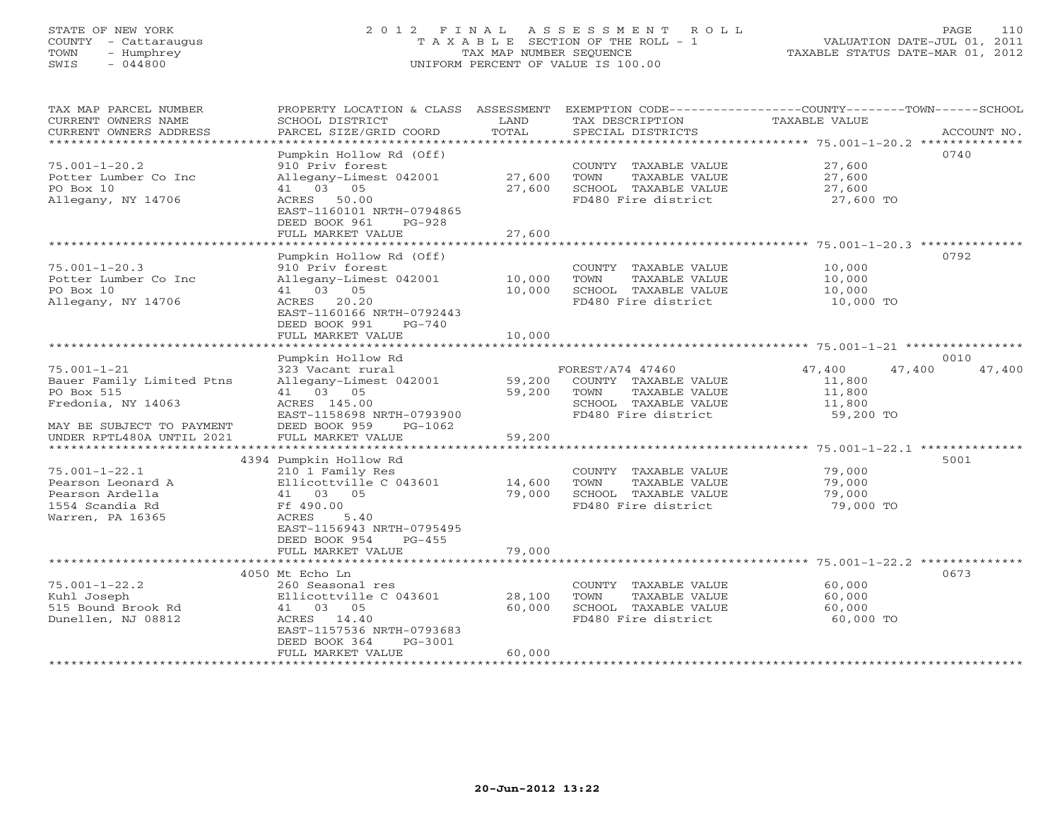# STATE OF NEW YORK 2 0 1 2 F I N A L A S S E S S M E N T R O L L PAGE 110 COUNTY - Cattaraugus T A X A B L E SECTION OF THE ROLL - 1 VALUATION DATE-JUL 01, 2011 TOWN - Humphrey TAX MAP NUMBER SEQUENCE TAXABLE STATUS DATE-MAR 01, 2012 SWIS - 044800 UNIFORM PERCENT OF VALUE IS 100.00UNIFORM PERCENT OF VALUE IS 100.00

| TAX MAP PARCEL NUMBER<br>CURRENT OWNERS NAME<br>CURRENT OWNERS ADDRESS | PROPERTY LOCATION & CLASS ASSESSMENT<br>SCHOOL DISTRICT<br>PARCEL SIZE/GRID COORD | LAND<br>TOTAL | TAX DESCRIPTION<br>SPECIAL DISTRICTS | EXEMPTION CODE-----------------COUNTY-------TOWN------SCHOOL<br>TAXABLE VALUE<br>ACCOUNT NO. |
|------------------------------------------------------------------------|-----------------------------------------------------------------------------------|---------------|--------------------------------------|----------------------------------------------------------------------------------------------|
|                                                                        |                                                                                   |               |                                      |                                                                                              |
|                                                                        | Pumpkin Hollow Rd (Off)                                                           |               |                                      | 0740                                                                                         |
| $75.001 - 1 - 20.2$                                                    | 910 Priv forest                                                                   |               | COUNTY TAXABLE VALUE                 | 27,600                                                                                       |
| Potter Lumber Co Inc                                                   | Allegany-Limest 042001                                                            | 27,600        | TOWN<br>TAXABLE VALUE                | 27,600                                                                                       |
| PO Box 10                                                              | 41 03 05                                                                          | 27,600        | SCHOOL TAXABLE VALUE                 | 27,600                                                                                       |
| Allegany, NY 14706                                                     | ACRES 50.00<br>EAST-1160101 NRTH-0794865                                          |               | FD480 Fire district                  | 27,600 TO                                                                                    |
|                                                                        | DEED BOOK 961<br>$PG-928$                                                         |               |                                      |                                                                                              |
|                                                                        | FULL MARKET VALUE                                                                 | 27,600        |                                      |                                                                                              |
|                                                                        | *************************                                                         |               |                                      |                                                                                              |
|                                                                        | Pumpkin Hollow Rd (Off)                                                           |               |                                      | 0792                                                                                         |
| $75.001 - 1 - 20.3$                                                    | 910 Priv forest                                                                   |               | COUNTY TAXABLE VALUE                 | 10,000                                                                                       |
| Potter Lumber Co Inc                                                   | Allegany-Limest 042001                                                            | 10,000        | TOWN<br>TAXABLE VALUE                | 10,000                                                                                       |
| PO Box 10                                                              | 41 03 05                                                                          | 10,000        | SCHOOL TAXABLE VALUE                 | 10,000                                                                                       |
| Allegany, NY 14706                                                     | ACRES 20.20                                                                       |               | FD480 Fire district                  | 10,000 TO                                                                                    |
|                                                                        | EAST-1160166 NRTH-0792443                                                         |               |                                      |                                                                                              |
|                                                                        | DEED BOOK 991<br>$PG-740$                                                         |               |                                      |                                                                                              |
|                                                                        | FULL MARKET VALUE                                                                 | 10,000        |                                      |                                                                                              |
|                                                                        |                                                                                   |               |                                      |                                                                                              |
|                                                                        | Pumpkin Hollow Rd                                                                 |               |                                      | 0010                                                                                         |
| $75.001 - 1 - 21$                                                      | 323 Vacant rural                                                                  |               | FOREST/A74 47460                     | 47,400<br>47,400<br>47,400                                                                   |
| Bauer Family Limited Ptns                                              | Allegany-Limest 042001                                                            | 59,200        | COUNTY TAXABLE VALUE                 | 11,800                                                                                       |
| PO Box 515                                                             | 41 03 05                                                                          | 59,200        | TOWN<br>TAXABLE VALUE                | 11,800                                                                                       |
| Fredonia, NY 14063                                                     | ACRES 145.00                                                                      |               | SCHOOL TAXABLE VALUE                 | 11,800                                                                                       |
|                                                                        | EAST-1158698 NRTH-0793900                                                         |               | FD480 Fire district                  | 59,200 TO                                                                                    |
| MAY BE SUBJECT TO PAYMENT                                              | DEED BOOK 959<br>PG-1062                                                          |               |                                      |                                                                                              |
| UNDER RPTL480A UNTIL 2021                                              | FULL MARKET VALUE                                                                 | 59,200        |                                      |                                                                                              |
|                                                                        | 4394 Pumpkin Hollow Rd                                                            |               |                                      | 5001                                                                                         |
| $75.001 - 1 - 22.1$                                                    | 210 1 Family Res                                                                  |               | COUNTY TAXABLE VALUE                 | 79,000                                                                                       |
| Pearson Leonard A                                                      | Ellicottville C 043601                                                            | 14,600        | TOWN<br>TAXABLE VALUE                | 79,000                                                                                       |
| Pearson Ardella                                                        | 41 03 05                                                                          | 79,000        | SCHOOL TAXABLE VALUE                 | 79,000                                                                                       |
| 1554 Scandia Rd                                                        | Ff 490.00                                                                         |               | FD480 Fire district                  | 79,000 TO                                                                                    |
| Warren, PA 16365                                                       | ACRES<br>5.40                                                                     |               |                                      |                                                                                              |
|                                                                        | EAST-1156943 NRTH-0795495                                                         |               |                                      |                                                                                              |
|                                                                        | DEED BOOK 954<br>$PG-455$                                                         |               |                                      |                                                                                              |
|                                                                        | FULL MARKET VALUE                                                                 | 79,000        |                                      |                                                                                              |
|                                                                        |                                                                                   |               |                                      | ************************************ 75.001-1-22.2 ***************                           |
|                                                                        | 4050 Mt Echo Ln                                                                   |               |                                      | 0673                                                                                         |
| $75.001 - 1 - 22.2$                                                    | 260 Seasonal res                                                                  |               | COUNTY TAXABLE VALUE                 | 60,000                                                                                       |
| Kuhl Joseph                                                            | Ellicottville C 043601                                                            | 28,100        | TOWN<br>TAXABLE VALUE                | 60,000                                                                                       |
| 515 Bound Brook Rd                                                     | 41 03 05                                                                          | 60,000        | SCHOOL TAXABLE VALUE                 | 60,000                                                                                       |
| Dunellen, NJ 08812                                                     | ACRES 14.40                                                                       |               | FD480 Fire district                  | 60,000 TO                                                                                    |
|                                                                        | EAST-1157536 NRTH-0793683                                                         |               |                                      |                                                                                              |
|                                                                        | DEED BOOK 364<br>PG-3001                                                          |               |                                      |                                                                                              |
|                                                                        | FULL MARKET VALUE                                                                 | 60,000        |                                      |                                                                                              |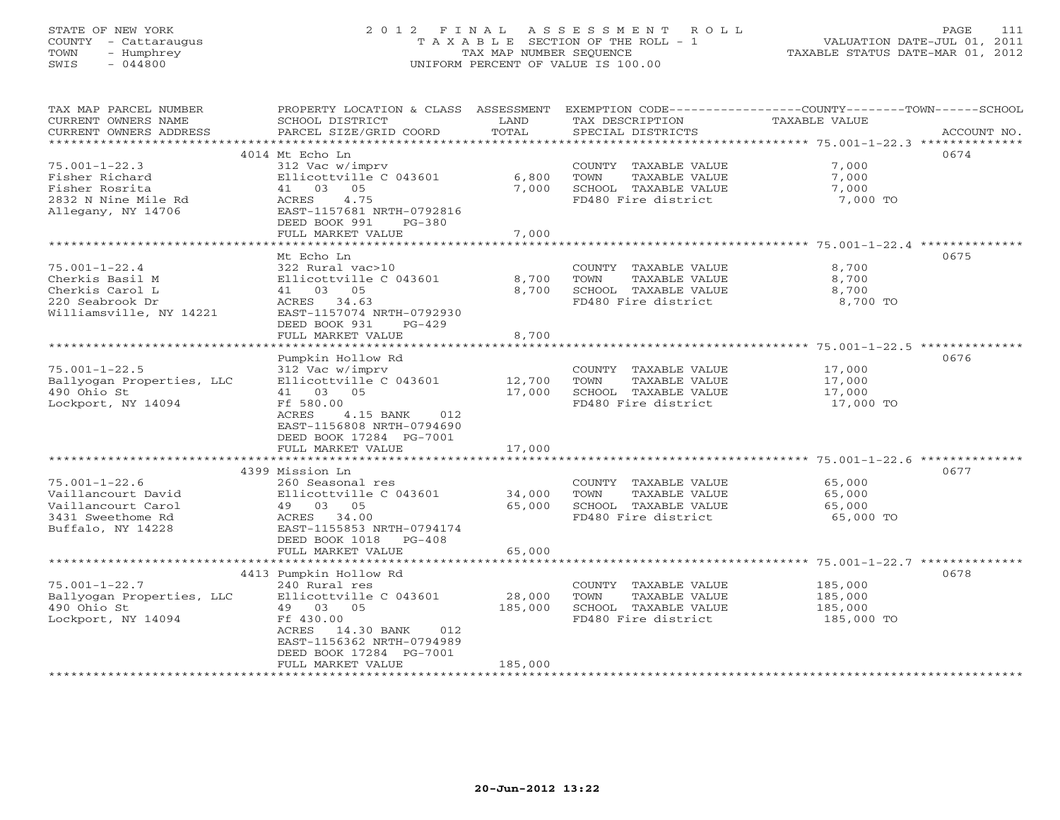# STATE OF NEW YORK 2 0 1 2 F I N A L A S S E S S M E N T R O L L PAGE 111 COUNTY - Cattaraugus T A X A B L E SECTION OF THE ROLL - 1 VALUATION DATE-JUL 01, 2011 TOWN - Humphrey TAX MAP NUMBER SEQUENCE TAXABLE STATUS DATE-MAR 01, 2012 SWIS - 044800 UNIFORM PERCENT OF VALUE IS 100.00UNIFORM PERCENT OF VALUE IS 100.00

| TAX MAP PARCEL NUMBER<br>CURRENT OWNERS NAME | PROPERTY LOCATION & CLASS ASSESSMENT<br>SCHOOL DISTRICT | LAND    | TAX DESCRIPTION       | EXEMPTION CODE-----------------COUNTY-------TOWN------SCHOOL<br>TAXABLE VALUE |             |
|----------------------------------------------|---------------------------------------------------------|---------|-----------------------|-------------------------------------------------------------------------------|-------------|
| CURRENT OWNERS ADDRESS                       | PARCEL SIZE/GRID COORD                                  | TOTAL   | SPECIAL DISTRICTS     |                                                                               | ACCOUNT NO. |
|                                              | 4014 Mt Echo Ln                                         |         |                       |                                                                               | 0674        |
| $75.001 - 1 - 22.3$                          | 312 Vac w/imprv                                         |         | COUNTY TAXABLE VALUE  | 7,000                                                                         |             |
| Fisher Richard                               | Ellicottville C 043601                                  | 6,800   | TOWN<br>TAXABLE VALUE | 7,000                                                                         |             |
| Fisher Rosrita                               | 41 03 05                                                | 7,000   | SCHOOL TAXABLE VALUE  | 7,000                                                                         |             |
| 2832 N Nine Mile Rd                          | ACRES<br>4.75                                           |         | FD480 Fire district   | 7,000 TO                                                                      |             |
| Allegany, NY 14706                           | EAST-1157681 NRTH-0792816                               |         |                       |                                                                               |             |
|                                              | DEED BOOK 991<br>PG-380                                 |         |                       |                                                                               |             |
|                                              | FULL MARKET VALUE                                       | 7,000   |                       |                                                                               |             |
|                                              | *******************************                         |         |                       |                                                                               |             |
|                                              | Mt Echo Ln                                              |         |                       |                                                                               | 0675        |
| $75.001 - 1 - 22.4$                          | 322 Rural vac>10                                        |         | COUNTY TAXABLE VALUE  | 8,700                                                                         |             |
| Cherkis Basil M                              | Ellicottville C 043601                                  | 8,700   | TOWN<br>TAXABLE VALUE | 8,700                                                                         |             |
| Cherkis Carol L                              | 41 03 05                                                | 8,700   | SCHOOL TAXABLE VALUE  | 8,700                                                                         |             |
| 220 Seabrook Dr                              | ACRES 34.63                                             |         | FD480 Fire district   | 8,700 TO                                                                      |             |
| Williamsville, NY 14221                      | EAST-1157074 NRTH-0792930                               |         |                       |                                                                               |             |
|                                              | DEED BOOK 931<br>$PG-429$                               |         |                       |                                                                               |             |
|                                              | FULL MARKET VALUE                                       | 8,700   |                       |                                                                               |             |
|                                              |                                                         |         |                       |                                                                               |             |
|                                              | Pumpkin Hollow Rd                                       |         |                       |                                                                               | 0676        |
| $75.001 - 1 - 22.5$                          | 312 Vac w/imprv                                         |         | COUNTY TAXABLE VALUE  | 17,000                                                                        |             |
| Ballyogan Properties, LLC                    | Ellicottville C 043601                                  | 12,700  | TAXABLE VALUE<br>TOWN | 17,000                                                                        |             |
| 490 Ohio St                                  | 41 03 05                                                | 17,000  | SCHOOL TAXABLE VALUE  | 17,000                                                                        |             |
| Lockport, NY 14094                           | Ff 580.00<br>ACRES                                      |         | FD480 Fire district   | 17,000 TO                                                                     |             |
|                                              | 4.15 BANK<br>012                                        |         |                       |                                                                               |             |
|                                              | EAST-1156808 NRTH-0794690<br>DEED BOOK 17284 PG-7001    |         |                       |                                                                               |             |
|                                              | FULL MARKET VALUE                                       | 17,000  |                       |                                                                               |             |
|                                              |                                                         |         |                       |                                                                               |             |
|                                              | 4399 Mission Ln                                         |         |                       |                                                                               | 0677        |
| $75.001 - 1 - 22.6$                          | 260 Seasonal res                                        |         | COUNTY TAXABLE VALUE  | 65,000                                                                        |             |
| Vaillancourt David                           | Ellicottville C 043601                                  | 34,000  | TOWN<br>TAXABLE VALUE | 65,000                                                                        |             |
| Vaillancourt Carol                           | 49 03 05                                                | 65,000  | SCHOOL TAXABLE VALUE  | 65,000                                                                        |             |
| 3431 Sweethome Rd                            | ACRES 34.00                                             |         | FD480 Fire district   | 65,000 TO                                                                     |             |
| Buffalo, NY 14228                            | EAST-1155853 NRTH-0794174                               |         |                       |                                                                               |             |
|                                              | DEED BOOK 1018 PG-408                                   |         |                       |                                                                               |             |
|                                              | FULL MARKET VALUE                                       | 65,000  |                       |                                                                               |             |
|                                              |                                                         |         |                       |                                                                               |             |
|                                              | 4413 Pumpkin Hollow Rd                                  |         |                       |                                                                               | 0678        |
| $75.001 - 1 - 22.7$                          | 240 Rural res                                           |         | COUNTY TAXABLE VALUE  | 185,000                                                                       |             |
| Ballyogan Properties, LLC                    | Ellicottville C 043601                                  | 28,000  | TOWN<br>TAXABLE VALUE | 185,000                                                                       |             |
| 490 Ohio St                                  | 49 03 05                                                | 185,000 | SCHOOL TAXABLE VALUE  | 185,000                                                                       |             |
| Lockport, NY 14094                           | Ff 430.00                                               |         | FD480 Fire district   | 185,000 TO                                                                    |             |
|                                              | ACRES 14.30 BANK<br>012                                 |         |                       |                                                                               |             |
|                                              | EAST-1156362 NRTH-0794989                               |         |                       |                                                                               |             |
|                                              | DEED BOOK 17284 PG-7001                                 |         |                       |                                                                               |             |
|                                              | FULL MARKET VALUE                                       | 185,000 |                       |                                                                               |             |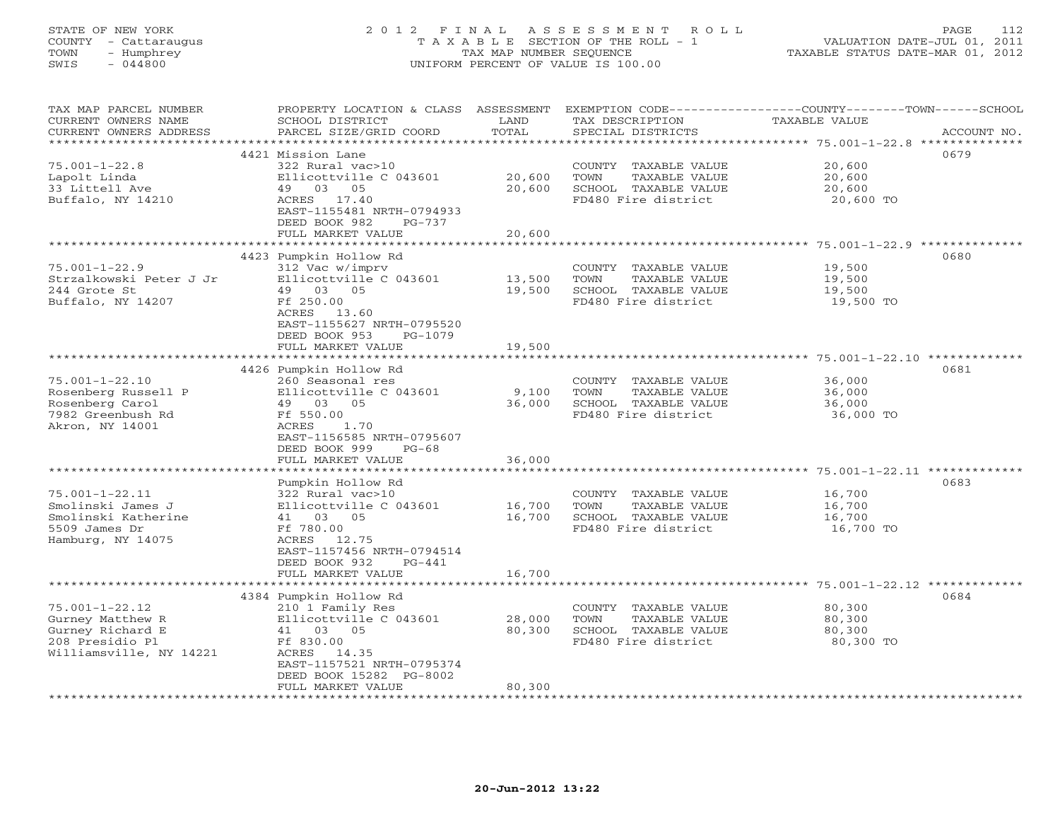# STATE OF NEW YORK 2 0 1 2 F I N A L A S S E S S M E N T R O L L PAGE 112 COUNTY - Cattaraugus T A X A B L E SECTION OF THE ROLL - 1 VALUATION DATE-JUL 01, 2011 TOWN - Humphrey TAX MAP NUMBER SEQUENCE TAXABLE STATUS DATE-MAR 01, 2012 SWIS - 044800 UNIFORM PERCENT OF VALUE IS 100.00UNIFORM PERCENT OF VALUE IS 100.00

| TAX MAP PARCEL NUMBER<br>CURRENT OWNERS NAME<br>CURRENT OWNERS ADDRESS<br>******************               | PROPERTY LOCATION & CLASS<br>SCHOOL DISTRICT<br>PARCEL SIZE/GRID COORD                                                                                                                       | ASSESSMENT<br>LAND<br>TOTAL<br>********** | TAX DESCRIPTION<br>SPECIAL DISTRICTS                                                         | EXEMPTION CODE-----------------COUNTY-------TOWN-----SCHOOL<br>TAXABLE VALUE<br>ACCOUNT NO.<br>************************************** 75.001-1-22.8 ************** |
|------------------------------------------------------------------------------------------------------------|----------------------------------------------------------------------------------------------------------------------------------------------------------------------------------------------|-------------------------------------------|----------------------------------------------------------------------------------------------|--------------------------------------------------------------------------------------------------------------------------------------------------------------------|
| $75.001 - 1 - 22.8$<br>Lapolt Linda<br>33 Littell Ave                                                      | 4421 Mission Lane<br>322 Rural vac>10<br>Ellicottville C 043601<br>49 03 05                                                                                                                  | 20,600<br>20,600                          | COUNTY TAXABLE VALUE<br>TOWN<br>TAXABLE VALUE<br>SCHOOL TAXABLE VALUE                        | 0679<br>20,600<br>20,600<br>20,600                                                                                                                                 |
| Buffalo, NY 14210                                                                                          | ACRES 17.40<br>EAST-1155481 NRTH-0794933<br>DEED BOOK 982<br>$PG-737$<br>FULL MARKET VALUE                                                                                                   | 20,600                                    | FD480 Fire district                                                                          | 20,600 TO                                                                                                                                                          |
|                                                                                                            | 4423 Pumpkin Hollow Rd                                                                                                                                                                       |                                           |                                                                                              | 0680                                                                                                                                                               |
| $75.001 - 1 - 22.9$<br>Strzalkowski Peter J Jr<br>244 Grote St<br>Buffalo, NY 14207                        | 312 Vac w/imprv<br>Ellicottville C 043601<br>49 03 05<br>Ff 250.00<br>ACRES 13.60<br>EAST-1155627 NRTH-0795520<br>DEED BOOK 953<br>PG-1079<br>FULL MARKET VALUE                              | 13,500<br>19,500<br>19,500                | COUNTY TAXABLE VALUE<br>TOWN<br>TAXABLE VALUE<br>SCHOOL TAXABLE VALUE<br>FD480 Fire district | 19,500<br>19,500<br>19,500<br>19,500 TO                                                                                                                            |
|                                                                                                            |                                                                                                                                                                                              |                                           |                                                                                              |                                                                                                                                                                    |
| $75.001 - 1 - 22.10$<br>Rosenberg Russell P<br>Rosenberg Carol<br>7982 Greenbush Rd<br>Akron, NY 14001     | 4426 Pumpkin Hollow Rd<br>260 Seasonal res<br>Ellicottville C 043601<br>49 03 05<br>Ff 550.00<br>ACRES<br>1.70<br>EAST-1156585 NRTH-0795607<br>DEED BOOK 999<br>$PG-68$<br>FULL MARKET VALUE | 9,100<br>36,000<br>36,000                 | COUNTY TAXABLE VALUE<br>TOWN<br>TAXABLE VALUE<br>SCHOOL TAXABLE VALUE<br>FD480 Fire district | 0681<br>36,000<br>36,000<br>36,000<br>36,000 TO                                                                                                                    |
|                                                                                                            | Pumpkin Hollow Rd                                                                                                                                                                            |                                           |                                                                                              | ************************************** 75.001-1-22.11 **************<br>0683                                                                                       |
| $75.001 - 1 - 22.11$<br>Smolinski James J<br>Smolinski Katherine<br>5509 James Dr<br>Hamburg, NY 14075     | 322 Rural vac>10<br>Ellicottville C 043601<br>41 03 05<br>Ff 780.00<br>ACRES 12.75<br>EAST-1157456 NRTH-0794514<br>DEED BOOK 932<br>$PG-441$                                                 | 16,700<br>16,700                          | COUNTY TAXABLE VALUE<br>TOWN<br>TAXABLE VALUE<br>SCHOOL TAXABLE VALUE<br>FD480 Fire district | 16,700<br>16,700<br>16,700<br>16,700 TO                                                                                                                            |
|                                                                                                            | FULL MARKET VALUE                                                                                                                                                                            | 16,700                                    |                                                                                              |                                                                                                                                                                    |
| $75.001 - 1 - 22.12$<br>Gurney Matthew R<br>Gurney Richard E<br>208 Presidio Pl<br>Williamsville, NY 14221 | 4384 Pumpkin Hollow Rd<br>210 1 Family Res<br>Ellicottville C 043601<br>41 03 05<br>Ff 830.00<br>ACRES<br>14.35<br>EAST-1157521 NRTH-0795374<br>DEED BOOK 15282 PG-8002<br>FULL MARKET VALUE | 28,000<br>80,300<br>80,300                | COUNTY TAXABLE VALUE<br>TOWN<br>TAXABLE VALUE<br>SCHOOL TAXABLE VALUE<br>FD480 Fire district | 0684<br>80,300<br>80,300<br>80,300<br>80,300 TO                                                                                                                    |
|                                                                                                            |                                                                                                                                                                                              |                                           |                                                                                              |                                                                                                                                                                    |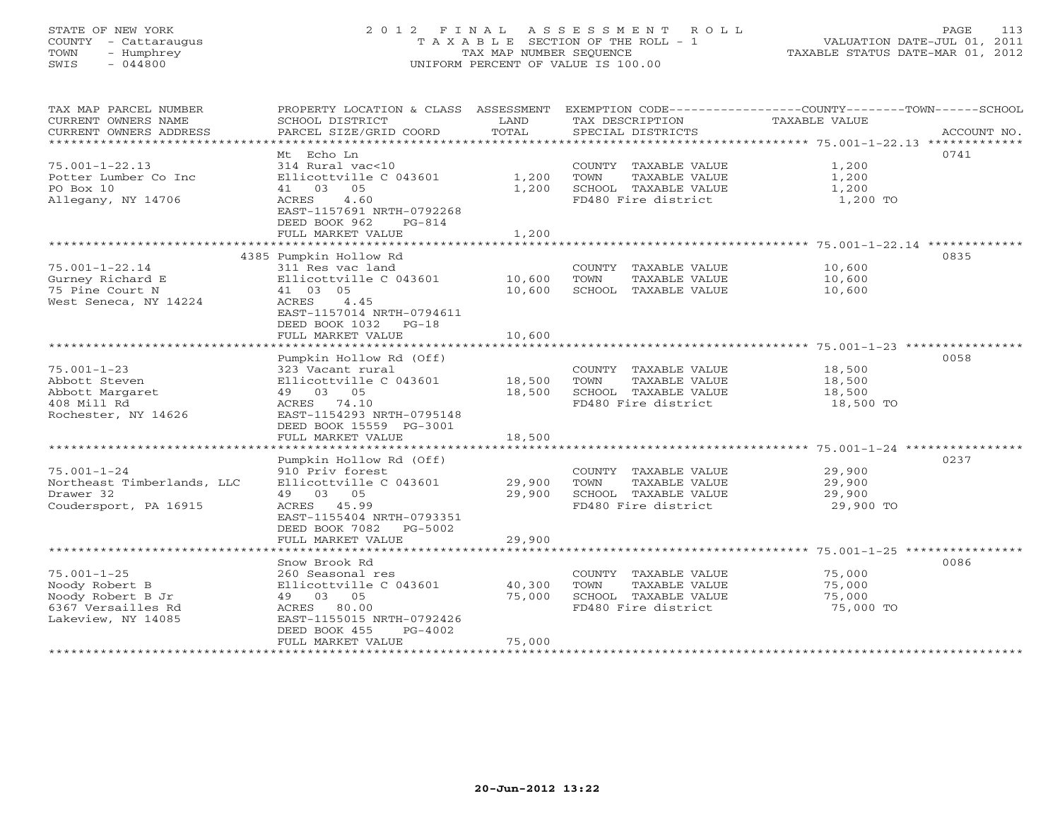# STATE OF NEW YORK 2 0 1 2 F I N A L A S S E S S M E N T R O L L PAGE 113 COUNTY - Cattaraugus T A X A B L E SECTION OF THE ROLL - 1 VALUATION DATE-JUL 01, 2011 TOWN - Humphrey TAX MAP NUMBER SEQUENCE TAXABLE STATUS DATE-MAR 01, 2012 SWIS - 044800 UNIFORM PERCENT OF VALUE IS 100.00UNIFORM PERCENT OF VALUE IS 100.00

| TAX MAP PARCEL NUMBER<br>CURRENT OWNERS NAME<br>CURRENT OWNERS ADDRESS | PROPERTY LOCATION & CLASS ASSESSMENT<br>SCHOOL DISTRICT<br>PARCEL SIZE/GRID COORD | LAND<br>TOTAL  | TAX DESCRIPTION<br>SPECIAL DISTRICTS                                  | EXEMPTION CODE-----------------COUNTY-------TOWN------SCHOOL<br>TAXABLE VALUE<br>ACCOUNT NO. |
|------------------------------------------------------------------------|-----------------------------------------------------------------------------------|----------------|-----------------------------------------------------------------------|----------------------------------------------------------------------------------------------|
|                                                                        |                                                                                   |                |                                                                       |                                                                                              |
| $75.001 - 1 - 22.13$<br>Potter Lumber Co Inc<br>PO Box 10              | Mt Echo Ln<br>314 Rural vac<10<br>Ellicottville C 043601<br>41 03 05              | 1,200<br>1,200 | COUNTY TAXABLE VALUE<br>TAXABLE VALUE<br>TOWN<br>SCHOOL TAXABLE VALUE | 0741<br>1,200<br>1,200<br>1,200                                                              |
| Allegany, NY 14706                                                     | 4.60<br>ACRES<br>EAST-1157691 NRTH-0792268<br>DEED BOOK 962<br>$PG-814$           |                | FD480 Fire district                                                   | 1,200 TO                                                                                     |
|                                                                        | FULL MARKET VALUE                                                                 | 1,200          |                                                                       |                                                                                              |
|                                                                        | 4385 Pumpkin Hollow Rd                                                            |                |                                                                       | 0835                                                                                         |
| $75.001 - 1 - 22.14$                                                   | 311 Res vac land                                                                  |                | COUNTY TAXABLE VALUE                                                  | 10,600                                                                                       |
| Gurney Richard E                                                       | Ellicottville C 043601                                                            | 10,600         | TOWN<br>TAXABLE VALUE                                                 | 10,600                                                                                       |
| 75 Pine Court N                                                        | 41 03 05                                                                          | 10,600         | SCHOOL TAXABLE VALUE                                                  | 10,600                                                                                       |
| West Seneca, NY 14224                                                  | ACRES<br>4.45<br>EAST-1157014 NRTH-0794611<br>DEED BOOK 1032 PG-18                |                |                                                                       |                                                                                              |
|                                                                        | FULL MARKET VALUE                                                                 | 10,600         |                                                                       |                                                                                              |
|                                                                        | Pumpkin Hollow Rd (Off)                                                           |                |                                                                       | 0058                                                                                         |
| $75.001 - 1 - 23$                                                      | 323 Vacant rural                                                                  |                | COUNTY TAXABLE VALUE                                                  | 18,500                                                                                       |
| Abbott Steven                                                          | Ellicottville C 043601                                                            | 18,500         | TOWN<br>TAXABLE VALUE                                                 | 18,500                                                                                       |
| Abbott Margaret                                                        | 49 03 05                                                                          | 18,500         | SCHOOL TAXABLE VALUE                                                  | 18,500                                                                                       |
| 408 Mill Rd                                                            | ACRES 74.10                                                                       |                | FD480 Fire district                                                   | 18,500 TO                                                                                    |
| Rochester, NY 14626                                                    | EAST-1154293 NRTH-0795148                                                         |                |                                                                       |                                                                                              |
|                                                                        | DEED BOOK 15559 PG-3001                                                           |                |                                                                       |                                                                                              |
|                                                                        | FULL MARKET VALUE                                                                 | 18,500         |                                                                       |                                                                                              |
|                                                                        | Pumpkin Hollow Rd (Off)                                                           |                |                                                                       | 0237                                                                                         |
| $75.001 - 1 - 24$                                                      | 910 Priv forest                                                                   |                | COUNTY TAXABLE VALUE                                                  | 29,900                                                                                       |
| Northeast Timberlands, LLC                                             | Ellicottville C 043601                                                            | 29,900         | TOWN<br>TAXABLE VALUE                                                 | 29,900                                                                                       |
| Drawer 32                                                              | 49 03 05                                                                          | 29,900         | SCHOOL TAXABLE VALUE                                                  | 29,900                                                                                       |
| Coudersport, PA 16915                                                  | ACRES 45.99<br>EAST-1155404 NRTH-0793351<br>DEED BOOK 7082 PG-5002                |                | FD480 Fire district                                                   | 29,900 TO                                                                                    |
|                                                                        | FULL MARKET VALUE                                                                 | 29,900         |                                                                       |                                                                                              |
|                                                                        | Snow Brook Rd                                                                     |                |                                                                       | 0086                                                                                         |
| $75.001 - 1 - 25$                                                      | 260 Seasonal res                                                                  |                | COUNTY TAXABLE VALUE                                                  | 75,000                                                                                       |
| Noody Robert B                                                         | Ellicottville C 043601                                                            | 40,300         | TOWN<br>TAXABLE VALUE                                                 | 75,000                                                                                       |
| Noody Robert B Jr                                                      | 49 03 05                                                                          | 75,000         | SCHOOL TAXABLE VALUE                                                  | 75,000                                                                                       |
| 6367 Versailles Rd                                                     | ACRES 80.00                                                                       |                | FD480 Fire district                                                   | 75,000 TO                                                                                    |
| Lakeview, NY 14085                                                     | EAST-1155015 NRTH-0792426                                                         |                |                                                                       |                                                                                              |
|                                                                        | DEED BOOK 455<br>PG-4002                                                          |                |                                                                       |                                                                                              |
|                                                                        | FULL MARKET VALUE                                                                 | 75,000         |                                                                       |                                                                                              |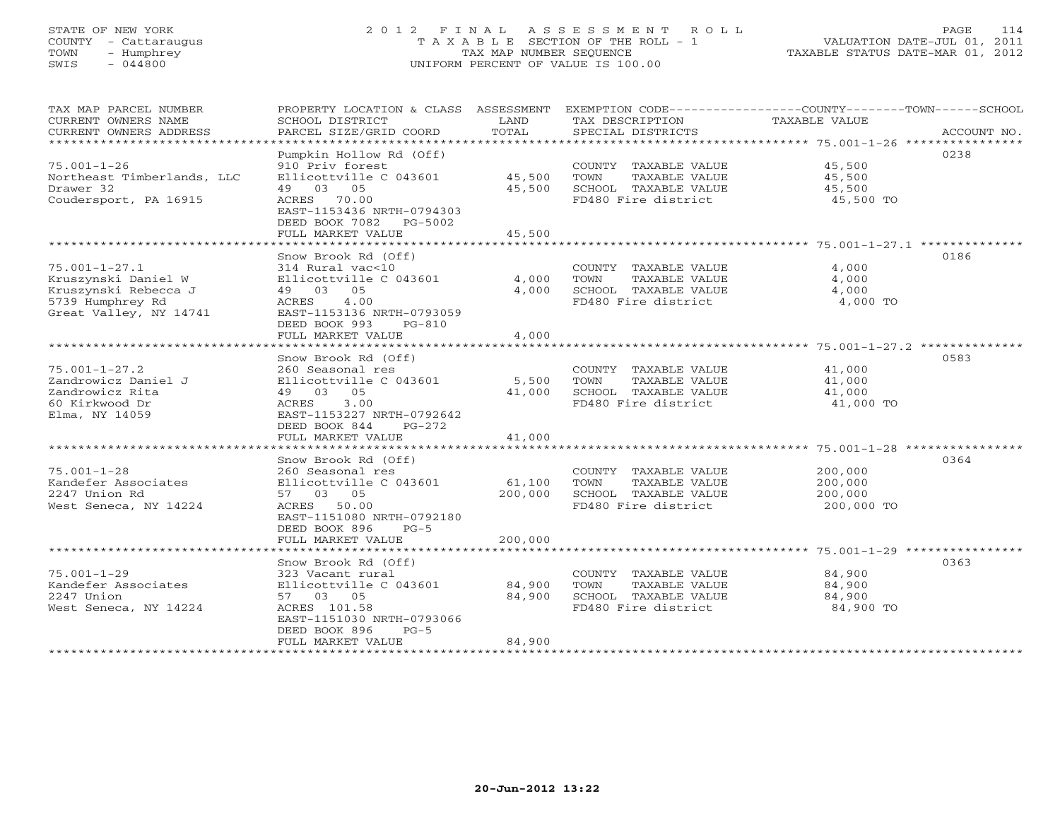# STATE OF NEW YORK 2 0 1 2 F I N A L A S S E S S M E N T R O L L PAGE 114 COUNTY - Cattaraugus T A X A B L E SECTION OF THE ROLL - 1 VALUATION DATE-JUL 01, 2011 TOWN - Humphrey TAX MAP NUMBER SEQUENCE TAXABLE STATUS DATE-MAR 01, 2012 SWIS - 044800 UNIFORM PERCENT OF VALUE IS 100.00UNIFORM PERCENT OF VALUE IS 100.00

| TAX MAP PARCEL NUMBER<br>CURRENT OWNERS NAME<br>CURRENT OWNERS ADDRESS<br>********************                   | PROPERTY LOCATION & CLASS<br>SCHOOL DISTRICT<br>PARCEL SIZE/GRID COORD<br>**********************                                                                                                            | ASSESSMENT<br>LAND<br>TOTAL<br>*************** | TAX DESCRIPTION<br>SPECIAL DISTRICTS                                                         | EXEMPTION CODE----------------COUNTY-------TOWN-----SCHOOL<br>TAXABLE VALUE<br>ACCOUNT NO. |
|------------------------------------------------------------------------------------------------------------------|-------------------------------------------------------------------------------------------------------------------------------------------------------------------------------------------------------------|------------------------------------------------|----------------------------------------------------------------------------------------------|--------------------------------------------------------------------------------------------|
| $75.001 - 1 - 26$<br>Northeast Timberlands, LLC<br>Drawer 32<br>Coudersport, PA 16915                            | Pumpkin Hollow Rd (Off)<br>910 Priv forest<br>Ellicottville C 043601<br>49 03 05<br>70.00<br>ACRES<br>EAST-1153436 NRTH-0794303<br>DEED BOOK 7082<br>PG-5002<br>FULL MARKET VALUE                           | 45,500<br>45,500<br>45,500                     | COUNTY TAXABLE VALUE<br>TAXABLE VALUE<br>TOWN<br>SCHOOL TAXABLE VALUE<br>FD480 Fire district | 0238<br>45,500<br>45,500<br>45,500<br>45,500 TO                                            |
| $75.001 - 1 - 27.1$<br>Kruszynski Daniel W<br>Kruszynski Rebecca J<br>5739 Humphrey Rd<br>Great Valley, NY 14741 | Snow Brook Rd (Off)<br>314 Rural vac<10<br>Ellicottville C 043601<br>49 03<br>05<br>ACRES<br>4.00<br>EAST-1153136 NRTH-0793059<br>DEED BOOK 993<br>$PG-810$<br>FULL MARKET VALUE                            | 4,000<br>4,000<br>4,000                        | COUNTY TAXABLE VALUE<br>TAXABLE VALUE<br>TOWN<br>SCHOOL TAXABLE VALUE<br>FD480 Fire district | 0186<br>4,000<br>4,000<br>4,000<br>4,000 TO                                                |
| $75.001 - 1 - 27.2$<br>Zandrowicz Daniel J<br>Zandrowicz Rita<br>60 Kirkwood Dr<br>Elma, NY 14059                | Snow Brook Rd (Off)<br>260 Seasonal res<br>Ellicottville C 043601<br>49 03<br>05<br>ACRES<br>3.00<br>EAST-1153227 NRTH-0792642<br>DEED BOOK 844<br>$PG-272$<br>FULL MARKET VALUE<br>*********************** | 5,500<br>41,000<br>41,000                      | COUNTY TAXABLE VALUE<br>TOWN<br>TAXABLE VALUE<br>SCHOOL TAXABLE VALUE<br>FD480 Fire district | 0583<br>41,000<br>41,000<br>41,000<br>41,000 TO                                            |
| $75.001 - 1 - 28$<br>Kandefer Associates<br>2247 Union Rd<br>West Seneca, NY 14224                               | Snow Brook Rd (Off)<br>260 Seasonal res<br>Ellicottville C 043601<br>57 03 05<br>ACRES<br>50.00<br>EAST-1151080 NRTH-0792180<br>DEED BOOK 896<br>$PG-5$<br>FULL MARKET VALUE                                | 61,100<br>200,000<br>200,000                   | COUNTY TAXABLE VALUE<br>TOWN<br>TAXABLE VALUE<br>SCHOOL TAXABLE VALUE<br>FD480 Fire district | 0364<br>200,000<br>200,000<br>200,000<br>200,000 TO                                        |
| $75.001 - 1 - 29$<br>Kandefer Associates<br>2247 Union<br>West Seneca, NY 14224                                  | Snow Brook Rd (Off)<br>323 Vacant rural<br>Ellicottville C 043601<br>57 03 05<br>ACRES 101.58<br>EAST-1151030 NRTH-0793066<br>DEED BOOK 896<br>$PG-5$<br>FULL MARKET VALUE                                  | 84,900<br>84,900<br>84,900                     | COUNTY TAXABLE VALUE<br>TOWN<br>TAXABLE VALUE<br>SCHOOL TAXABLE VALUE<br>FD480 Fire district | 0363<br>84,900<br>84,900<br>84,900<br>84,900 TO                                            |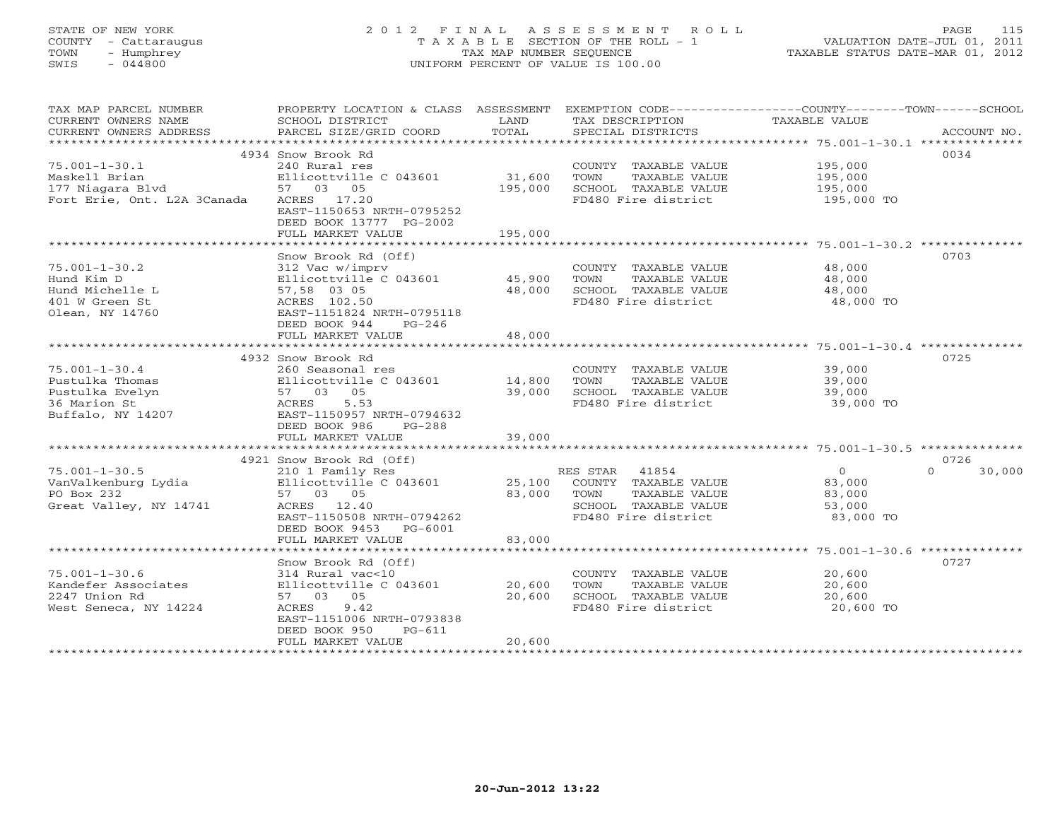# STATE OF NEW YORK 2 0 1 2 F I N A L A S S E S S M E N T R O L L PAGE 115 COUNTY - Cattaraugus T A X A B L E SECTION OF THE ROLL - 1 VALUATION DATE-JUL 01, 2011 TOWN - Humphrey TAX MAP NUMBER SEQUENCE TAXABLE STATUS DATE-MAR 01, 2012 SWIS - 044800 UNIFORM PERCENT OF VALUE IS 100.00UNIFORM PERCENT OF VALUE IS 100.00

| TAX MAP PARCEL NUMBER<br>CURRENT OWNERS NAME<br>CURRENT OWNERS ADDRESS<br>*********************** | PROPERTY LOCATION & CLASS ASSESSMENT<br>SCHOOL DISTRICT<br>PARCEL SIZE/GRID COORD | LAND<br>TOTAL     | TAX DESCRIPTION<br>SPECIAL DISTRICTS                                                         | EXEMPTION CODE-----------------COUNTY-------TOWN------SCHOOL<br>TAXABLE VALUE<br>ACCOUNT NO. |
|---------------------------------------------------------------------------------------------------|-----------------------------------------------------------------------------------|-------------------|----------------------------------------------------------------------------------------------|----------------------------------------------------------------------------------------------|
| $75.001 - 1 - 30.1$                                                                               | 4934 Snow Brook Rd<br>240 Rural res                                               |                   |                                                                                              | 0034<br>195,000                                                                              |
| Maskell Brian<br>177 Niagara Blvd<br>Fort Erie, Ont. L2A 3Canada                                  | Ellicottville C 043601<br>57 03 05<br>ACRES 17.20                                 | 31,600<br>195,000 | COUNTY TAXABLE VALUE<br>TOWN<br>TAXABLE VALUE<br>SCHOOL TAXABLE VALUE<br>FD480 Fire district | 195,000<br>195,000<br>195,000 TO                                                             |
|                                                                                                   | EAST-1150653 NRTH-0795252<br>DEED BOOK 13777 PG-2002<br>FULL MARKET VALUE         | 195,000           |                                                                                              |                                                                                              |
|                                                                                                   |                                                                                   |                   |                                                                                              |                                                                                              |
|                                                                                                   | Snow Brook Rd (Off)                                                               |                   |                                                                                              | 0703                                                                                         |
| $75.001 - 1 - 30.2$                                                                               | 312 Vac w/imprv                                                                   |                   | COUNTY TAXABLE VALUE                                                                         | 48,000                                                                                       |
| Hund Kim D                                                                                        | Ellicottville C 043601                                                            | 45,900            | TOWN<br>TAXABLE VALUE                                                                        | 48,000                                                                                       |
| Hund Michelle L                                                                                   | 57,58 03 05                                                                       | 48,000            | SCHOOL TAXABLE VALUE                                                                         | 48,000                                                                                       |
| 401 W Green St<br>Olean, NY 14760                                                                 | ACRES 102.50<br>EAST-1151824 NRTH-0795118<br>DEED BOOK 944<br>$PG-246$            |                   | FD480 Fire district                                                                          | 48,000 TO                                                                                    |
|                                                                                                   | FULL MARKET VALUE                                                                 | 48,000            |                                                                                              |                                                                                              |
|                                                                                                   | ************************                                                          | ***********       |                                                                                              |                                                                                              |
|                                                                                                   | 4932 Snow Brook Rd                                                                |                   |                                                                                              | 0725                                                                                         |
| $75.001 - 1 - 30.4$                                                                               | 260 Seasonal res                                                                  |                   | COUNTY TAXABLE VALUE                                                                         | 39,000                                                                                       |
| Pustulka Thomas                                                                                   | Ellicottville C 043601                                                            | 14,800            | TOWN<br>TAXABLE VALUE                                                                        | 39,000                                                                                       |
| Pustulka Evelyn                                                                                   | 57 03 05                                                                          | 39,000            | SCHOOL TAXABLE VALUE                                                                         | 39,000                                                                                       |
| 36 Marion St                                                                                      | ACRES<br>5.53                                                                     |                   | FD480 Fire district                                                                          | 39,000 TO                                                                                    |
| Buffalo, NY 14207                                                                                 | EAST-1150957 NRTH-0794632                                                         |                   |                                                                                              |                                                                                              |
|                                                                                                   | DEED BOOK 986<br>$PG-288$                                                         |                   |                                                                                              |                                                                                              |
|                                                                                                   | FULL MARKET VALUE                                                                 | 39,000            |                                                                                              |                                                                                              |
|                                                                                                   |                                                                                   |                   |                                                                                              |                                                                                              |
|                                                                                                   | 4921 Snow Brook Rd (Off)                                                          |                   |                                                                                              | 0726                                                                                         |
| $75.001 - 1 - 30.5$                                                                               | 210 1 Family Res                                                                  |                   | RES STAR 41854                                                                               | $\circ$<br>$\Omega$<br>30,000                                                                |
| VanValkenburg Lydia<br>PO Box 232                                                                 | Ellicottville C 043601<br>57 03 05                                                | 25,100<br>83,000  | COUNTY TAXABLE VALUE<br>TAXABLE VALUE<br>TOWN                                                | 83,000                                                                                       |
| Great Valley, NY 14741                                                                            | ACRES 12.40                                                                       |                   | SCHOOL TAXABLE VALUE                                                                         | 83,000<br>53,000                                                                             |
|                                                                                                   | EAST-1150508 NRTH-0794262                                                         |                   | FD480 Fire district                                                                          | 83,000 TO                                                                                    |
|                                                                                                   | DEED BOOK 9453<br>PG-6001                                                         |                   |                                                                                              |                                                                                              |
|                                                                                                   | FULL MARKET VALUE                                                                 | 83,000            |                                                                                              |                                                                                              |
|                                                                                                   |                                                                                   |                   |                                                                                              |                                                                                              |
|                                                                                                   | Snow Brook Rd (Off)                                                               |                   |                                                                                              | 0727                                                                                         |
| $75.001 - 1 - 30.6$                                                                               | 314 Rural vac<10                                                                  |                   | COUNTY TAXABLE VALUE                                                                         | 20,600                                                                                       |
| Kandefer Associates                                                                               | Ellicottville C 043601                                                            | 20,600            | TOWN<br>TAXABLE VALUE                                                                        | 20,600                                                                                       |
| 2247 Union Rd                                                                                     | 57 03<br>05                                                                       | 20,600            | SCHOOL TAXABLE VALUE                                                                         | 20,600                                                                                       |
| West Seneca, NY 14224                                                                             | 9.42<br>ACRES                                                                     |                   | FD480 Fire district                                                                          | 20,600 TO                                                                                    |
|                                                                                                   | EAST-1151006 NRTH-0793838                                                         |                   |                                                                                              |                                                                                              |
|                                                                                                   | DEED BOOK 950<br>$PG-611$<br>FULL MARKET VALUE                                    |                   |                                                                                              |                                                                                              |
|                                                                                                   | *************************                                                         | 20,600            |                                                                                              |                                                                                              |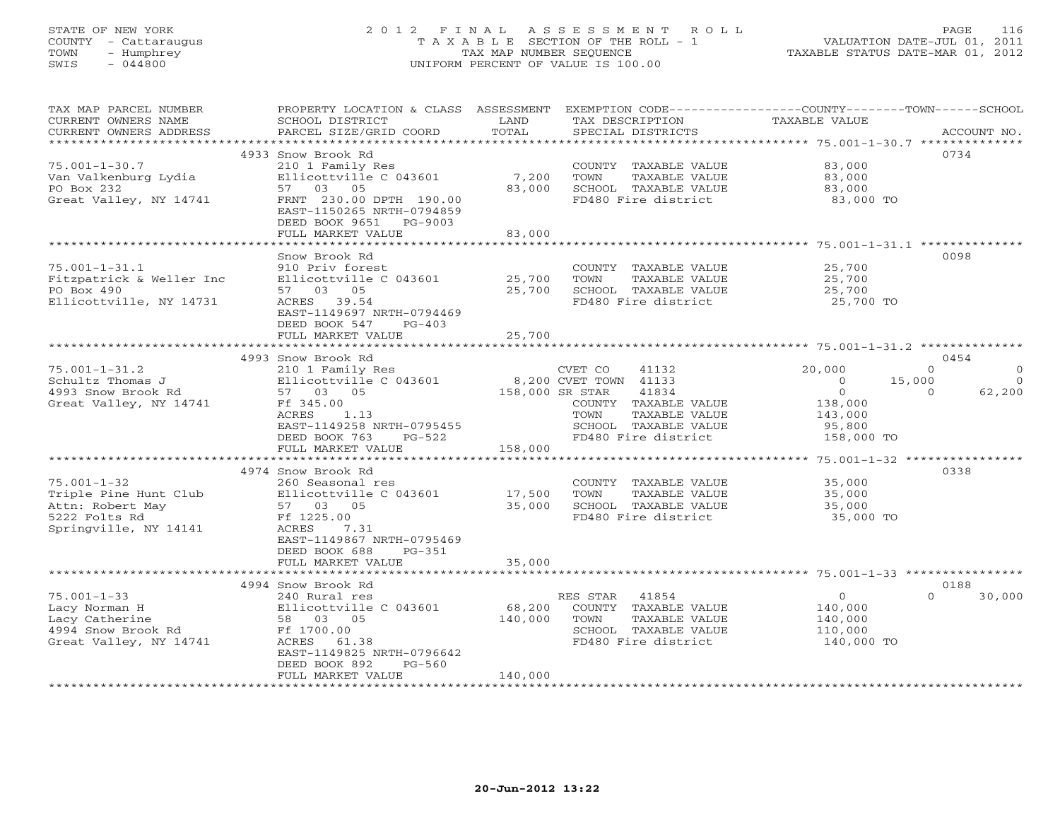# STATE OF NEW YORK 2 0 1 2 F I N A L A S S E S S M E N T R O L L PAGE 116 COUNTY - Cattaraugus T A X A B L E SECTION OF THE ROLL - 1 VALUATION DATE-JUL 01, 2011 TOWN - Humphrey TAX MAP NUMBER SEQUENCE TAXABLE STATUS DATE-MAR 01, 2012 SWIS - 044800 UNIFORM PERCENT OF VALUE IS 100.00UNIFORM PERCENT OF VALUE IS 100.00

| TAX MAP PARCEL NUMBER    | PROPERTY LOCATION & CLASS ASSESSMENT           |                 |                       | EXEMPTION $CODE-----------COUNTY------TOWN----SCHOOL$ |          |
|--------------------------|------------------------------------------------|-----------------|-----------------------|-------------------------------------------------------|----------|
| CURRENT OWNERS NAME      | SCHOOL DISTRICT                                | LAND            | TAX DESCRIPTION       | TAXABLE VALUE                                         |          |
| CURRENT OWNERS ADDRESS   | PARCEL SIZE/GRID COORD                         | TOTAL           | SPECIAL DISTRICTS     | ACCOUNT NO.                                           |          |
|                          | *****************************                  |                 |                       | **************** 75.001-1-30.7 ********               |          |
|                          | 4933 Snow Brook Rd                             |                 |                       | 0734                                                  |          |
| $75.001 - 1 - 30.7$      | 210 1 Family Res                               |                 | COUNTY TAXABLE VALUE  | 83,000                                                |          |
| Van Valkenburg Lydia     | Ellicottville C 043601                         | 7,200           | TAXABLE VALUE<br>TOWN | 83,000                                                |          |
| PO Box 232               | 57 03 05                                       | 83,000          | SCHOOL TAXABLE VALUE  | 83,000                                                |          |
| Great Valley, NY 14741   | FRNT 230.00 DPTH 190.00                        |                 | FD480 Fire district   | 83,000 TO                                             |          |
|                          | EAST-1150265 NRTH-0794859                      |                 |                       |                                                       |          |
|                          | DEED BOOK 9651 PG-9003                         |                 |                       |                                                       |          |
|                          | FULL MARKET VALUE                              | 83,000          |                       |                                                       |          |
|                          |                                                |                 |                       |                                                       |          |
|                          | Snow Brook Rd                                  |                 |                       | 0098                                                  |          |
| $75.001 - 1 - 31.1$      | 910 Priv forest                                |                 | COUNTY TAXABLE VALUE  | 25,700                                                |          |
| Fitzpatrick & Weller Inc | Ellicottville C 043601                         | 25,700          | TOWN<br>TAXABLE VALUE | 25,700                                                |          |
| PO Box 490               | 57 03 05                                       | 25,700          | SCHOOL TAXABLE VALUE  | 25,700                                                |          |
|                          |                                                |                 |                       |                                                       |          |
| Ellicottville, NY 14731  | ACRES 39.54                                    |                 | FD480 Fire district   | 25,700 TO                                             |          |
|                          | EAST-1149697 NRTH-0794469                      |                 |                       |                                                       |          |
|                          | DEED BOOK 547<br>$PG-403$                      |                 |                       |                                                       |          |
|                          | FULL MARKET VALUE<br>************************* | 25,700          |                       |                                                       |          |
|                          |                                                |                 |                       |                                                       |          |
|                          | 4993 Snow Brook Rd                             |                 |                       | 0454                                                  |          |
| $75.001 - 1 - 31.2$      | 210 1 Family Res                               |                 | CVET CO<br>41132      | 20,000<br>$\Omega$                                    | $\circ$  |
| Schultz Thomas J         | Ellicottville C 043601                         |                 | 8,200 CVET TOWN 41133 | 15,000<br>$\Omega$                                    | $\Omega$ |
| 4993 Snow Brook Rd       | 57 03 05                                       | 158,000 SR STAR | 41834                 | $\overline{O}$<br>$\Omega$                            | 62,200   |
| Great Valley, NY 14741   | Ff 345.00                                      |                 | COUNTY TAXABLE VALUE  | 138,000                                               |          |
|                          | ACRES<br>1.13                                  |                 | TOWN<br>TAXABLE VALUE | 143,000                                               |          |
|                          | EAST-1149258 NRTH-0795455                      |                 | SCHOOL TAXABLE VALUE  | 95,800                                                |          |
|                          | DEED BOOK 763<br>$PG-522$                      |                 | FD480 Fire district   | 158,000 TO                                            |          |
|                          | FULL MARKET VALUE                              | 158,000         |                       |                                                       |          |
|                          | ***********************                        | ***********     |                       | ************ 75.001-1-32 ****************             |          |
|                          | 4974 Snow Brook Rd                             |                 |                       | 0338                                                  |          |
| $75.001 - 1 - 32$        | 260 Seasonal res                               |                 | COUNTY TAXABLE VALUE  | 35,000                                                |          |
| Triple Pine Hunt Club    | Ellicottville C 043601                         | 17,500          | TAXABLE VALUE<br>TOWN | 35,000                                                |          |
| Attn: Robert May         | 57 03 05                                       | 35,000          | SCHOOL TAXABLE VALUE  | 35,000                                                |          |
| 5222 Folts Rd            | Ff 1225.00                                     |                 | FD480 Fire district   | 35,000 TO                                             |          |
| Springville, NY 14141    | ACRES<br>7.31                                  |                 |                       |                                                       |          |
|                          | EAST-1149867 NRTH-0795469                      |                 |                       |                                                       |          |
|                          | DEED BOOK 688<br>$PG-351$                      |                 |                       |                                                       |          |
|                          | FULL MARKET VALUE                              | 35,000          |                       |                                                       |          |
|                          |                                                |                 |                       |                                                       |          |
|                          | 4994 Snow Brook Rd                             |                 |                       | 0188                                                  |          |
| $75.001 - 1 - 33$        | 240 Rural res                                  |                 | RES STAR 41854        | $\circ$<br>$\cap$                                     | 30,000   |
| Lacy Norman H            | Ellicottville C 043601                         | 68,200          | COUNTY TAXABLE VALUE  | 140,000                                               |          |
| Lacy Catherine           | 58 03 05                                       | 140,000         | TOWN<br>TAXABLE VALUE | 140,000                                               |          |
| 4994 Snow Brook Rd       | Ff 1700.00                                     |                 | SCHOOL TAXABLE VALUE  | 110,000                                               |          |
| Great Valley, NY 14741   | ACRES 61.38                                    |                 | FD480 Fire district   | 140,000 TO                                            |          |
|                          |                                                |                 |                       |                                                       |          |
|                          | EAST-1149825 NRTH-0796642                      |                 |                       |                                                       |          |
|                          | DEED BOOK 892<br>PG-560                        |                 |                       |                                                       |          |
|                          | FULL MARKET VALUE<br>***********************   | 140,000         |                       |                                                       |          |
|                          |                                                |                 |                       |                                                       |          |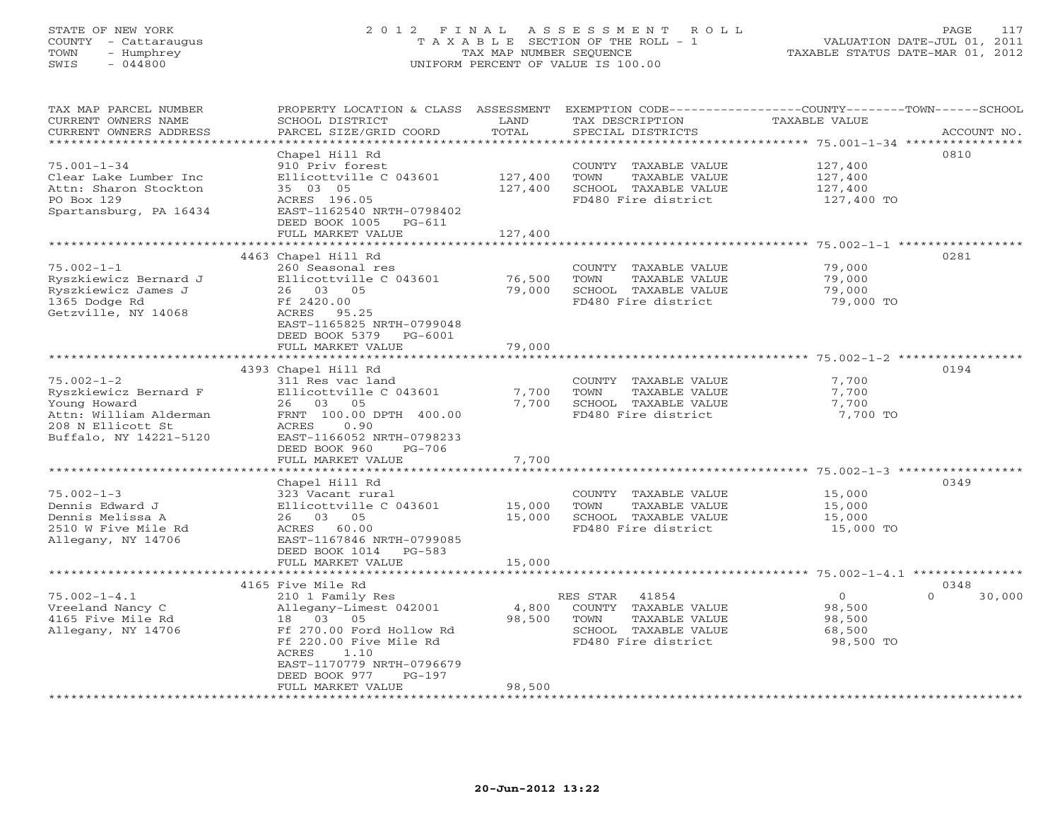# STATE OF NEW YORK 2 0 1 2 F I N A L A S S E S S M E N T R O L L PAGE 117 COUNTY - Cattaraugus T A X A B L E SECTION OF THE ROLL - 1 VALUATION DATE-JUL 01, 2011 TOWN - Humphrey TAX MAP NUMBER SEQUENCE TAXABLE STATUS DATE-MAR 01, 2012 SWIS - 044800 UNIFORM PERCENT OF VALUE IS 100.00UNIFORM PERCENT OF VALUE IS 100.00

| TAX MAP PARCEL NUMBER<br>CURRENT OWNERS NAME<br>CURRENT OWNERS ADDRESS<br>**************                                           | PROPERTY LOCATION & CLASS<br>SCHOOL DISTRICT<br>PARCEL SIZE/GRID COORD<br>******************                                                                                                                                     | ASSESSMENT<br>LAND<br>TOTAL<br>*********              | EXEMPTION CODE-----------------COUNTY-------TOWN------SCHOOL<br>TAX DESCRIPTION<br>SPECIAL DISTRICTS              | TAXABLE VALUE<br>************************************** 75.001-1-34 *****************                                            | ACCOUNT NO.        |
|------------------------------------------------------------------------------------------------------------------------------------|----------------------------------------------------------------------------------------------------------------------------------------------------------------------------------------------------------------------------------|-------------------------------------------------------|-------------------------------------------------------------------------------------------------------------------|----------------------------------------------------------------------------------------------------------------------------------|--------------------|
| $75.001 - 1 - 34$<br>Clear Lake Lumber Inc<br>Attn: Sharon Stockton<br>PO Box 129<br>Spartansburg, PA 16434                        | Chapel Hill Rd<br>910 Priv forest<br>Ellicottville C 043601<br>35 03 05<br>ACRES 196.05<br>EAST-1162540 NRTH-0798402<br>DEED BOOK 1005<br>PG-611<br>FULL MARKET VALUE                                                            | 127,400<br>127,400<br>127,400                         | COUNTY TAXABLE VALUE<br>TOWN<br>TAXABLE VALUE<br>SCHOOL TAXABLE VALUE<br>FD480 Fire district                      | 127,400<br>127,400<br>127,400<br>127,400 TO                                                                                      | 0810               |
| $75.002 - 1 - 1$<br>Ryszkiewicz Bernard J<br>Ryszkiewicz James J<br>1365 Dodge Rd<br>Getzville, NY 14068                           | 4463 Chapel Hill Rd<br>260 Seasonal res<br>Ellicottville C 043601<br>26 03 05<br>Ff 2420.00<br>ACRES 95.25<br>EAST-1165825 NRTH-0799048<br>DEED BOOK 5379<br>PG-6001<br>FULL MARKET VALUE<br>* * * * * * * * * * * * * * * * * * | ********<br>76,500<br>79,000<br>79,000<br>*********** | COUNTY TAXABLE VALUE<br>TOWN<br>TAXABLE VALUE<br>SCHOOL TAXABLE VALUE<br>FD480 Fire district                      | ****************** 75.002-1-1 ***<br>79,000<br>79,000<br>79,000<br>79,000 TO<br>************************* 75.002-1-2 *********** | 0281               |
| $75.002 - 1 - 2$<br>Ryszkiewicz Bernard F<br>Young Howard<br>Attn: William Alderman<br>208 N Ellicott St<br>Buffalo, NY 14221-5120 | 4393 Chapel Hill Rd<br>311 Res vac land<br>Ellicottville C 043601<br>26 03<br>05<br>FRNT 100.00 DPTH 400.00<br>ACRES<br>0.90<br>EAST-1166052 NRTH-0798233<br>DEED BOOK 960<br>$PG-706$<br>FULL MARKET VALUE                      | 7,700<br>7,700<br>7,700                               | COUNTY TAXABLE VALUE<br>TOWN<br>TAXABLE VALUE<br>SCHOOL TAXABLE VALUE<br>FD480 Fire district                      | 7,700<br>7,700<br>7,700<br>7,700 TO                                                                                              | 0194               |
| $75.002 - 1 - 3$<br>Dennis Edward J<br>Dennis Melissa A<br>2510 W Five Mile Rd<br>Allegany, NY 14706                               | Chapel Hill Rd<br>323 Vacant rural<br>Ellicottville C 043601<br>26 03 05<br>ACRES 60.00<br>EAST-1167846 NRTH-0799085<br>DEED BOOK 1014<br>$PG-583$<br>FULL MARKET VALUE<br>* * * * * * * * * * * * * * * * * * * *               | 15,000<br>15,000<br>15,000                            | COUNTY TAXABLE VALUE<br>TOWN<br>TAXABLE VALUE<br>SCHOOL TAXABLE VALUE<br>FD480 Fire district                      | ********** 75.002-1-3 ******<br>15,000<br>15,000<br>15,000<br>15,000 TO                                                          | 0349               |
|                                                                                                                                    | 4165 Five Mile Rd                                                                                                                                                                                                                | ************                                          |                                                                                                                   | ****************************** 75.002-1-4.1 ***************                                                                      | 0348               |
| $75.002 - 1 - 4.1$<br>Vreeland Nancy C<br>4165 Five Mile Rd<br>Allegany, NY 14706                                                  | 210 1 Family Res<br>Allegany-Limest 042001<br>03<br>05<br>18<br>Ff 270.00 Ford Hollow Rd<br>Ff 220.00 Five Mile Rd<br><b>ACRES</b><br>1.10<br>EAST-1170779 NRTH-0796679<br>DEED BOOK 977<br>$PG-197$<br>FULL MARKET VALUE        | 4,800<br>98,500<br>98,500                             | RES STAR<br>41854<br>COUNTY TAXABLE VALUE<br>TOWN<br>TAXABLE VALUE<br>SCHOOL TAXABLE VALUE<br>FD480 Fire district | $\circ$<br>98,500<br>98,500<br>68,500<br>98,500 TO                                                                               | $\Omega$<br>30,000 |
|                                                                                                                                    |                                                                                                                                                                                                                                  |                                                       |                                                                                                                   |                                                                                                                                  |                    |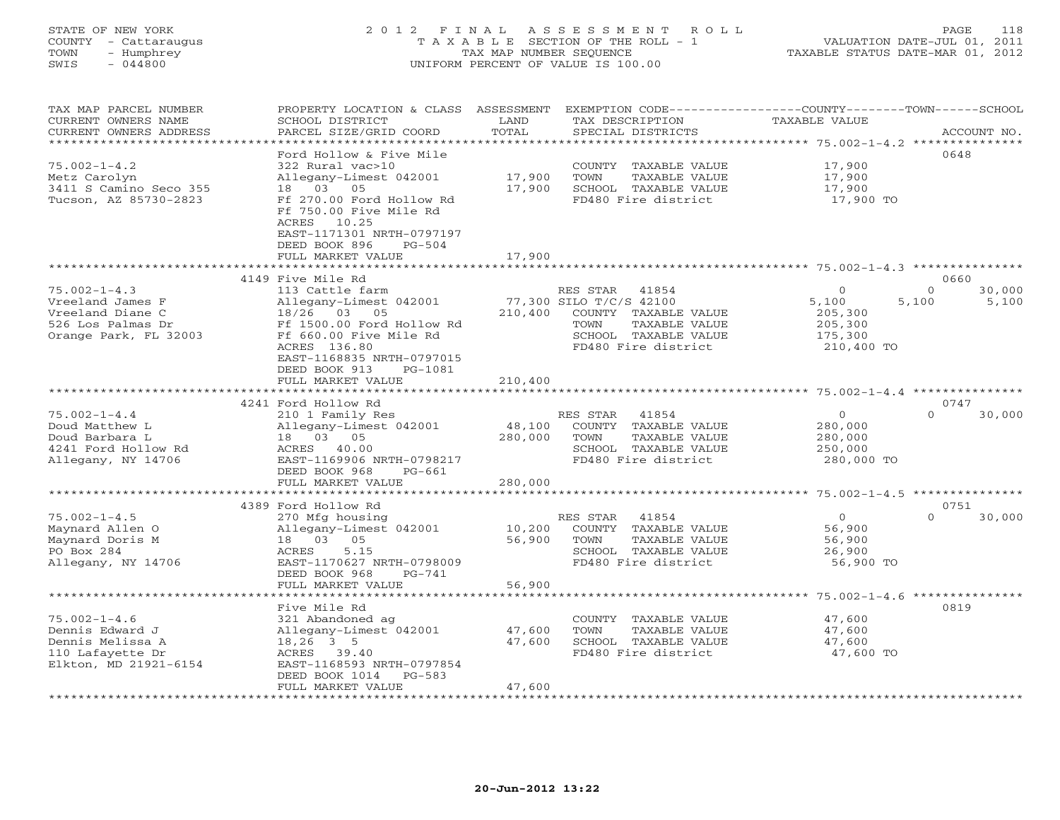# STATE OF NEW YORK 2 0 1 2 F I N A L A S S E S S M E N T R O L L PAGE 118 COUNTY - Cattaraugus T A X A B L E SECTION OF THE ROLL - 1 VALUATION DATE-JUL 01, 2011 TOWN - Humphrey TAX MAP NUMBER SEQUENCE TAXABLE STATUS DATE-MAR 01, 2012 SWIS - 044800 UNIFORM PERCENT OF VALUE IS 100.00UNIFORM PERCENT OF VALUE IS 100.00

| PARCEL SIZE/GRID COORD<br>TOTAL<br>CURRENT OWNERS ADDRESS<br>SPECIAL DISTRICTS<br>ACCOUNT NO.<br>* * * * * * * * * * * * * * *<br>* * * * * * * * *<br>*********** 75.002-1-4.2 ***************<br>Ford Hollow & Five Mile<br>0648<br>$75.002 - 1 - 4.2$<br>322 Rural vac>10<br>17,900<br>TAXABLE VALUE<br>COUNTY<br>Allegany-Limest 042001<br>17,900<br>17,900<br>Metz Carolyn<br>TOWN<br>TAXABLE VALUE<br>3411 S Camino Seco 355<br>03<br>05<br>17,900<br>SCHOOL TAXABLE VALUE<br>17,900<br>18<br>Tucson, AZ 85730-2823<br>Ff 270.00 Ford Hollow Rd<br>FD480 Fire district<br>17,900 TO<br>Ff 750.00 Five Mile Rd<br>ACRES<br>10.25<br>EAST-1171301 NRTH-0797197<br>DEED BOOK 896<br>$PG-504$<br>FULL MARKET VALUE<br>17,900<br>***********************<br>4149 Five Mile Rd<br>0660<br>$75.002 - 1 - 4.3$<br>$\mathbf{0}$<br>$\Omega$<br>30,000<br>113 Cattle farm<br>RES STAR<br>41854<br>77,300 SILO T/C/S 42100<br>Vreeland James F<br>Allegany-Limest 042001<br>5,100<br>5,100<br>5,100<br>Vreeland Diane C<br>18/26<br>03<br>210,400<br>COUNTY TAXABLE VALUE<br>05<br>205,300 |
|---------------------------------------------------------------------------------------------------------------------------------------------------------------------------------------------------------------------------------------------------------------------------------------------------------------------------------------------------------------------------------------------------------------------------------------------------------------------------------------------------------------------------------------------------------------------------------------------------------------------------------------------------------------------------------------------------------------------------------------------------------------------------------------------------------------------------------------------------------------------------------------------------------------------------------------------------------------------------------------------------------------------------------------------------------------------------------------|
|                                                                                                                                                                                                                                                                                                                                                                                                                                                                                                                                                                                                                                                                                                                                                                                                                                                                                                                                                                                                                                                                                       |
|                                                                                                                                                                                                                                                                                                                                                                                                                                                                                                                                                                                                                                                                                                                                                                                                                                                                                                                                                                                                                                                                                       |
|                                                                                                                                                                                                                                                                                                                                                                                                                                                                                                                                                                                                                                                                                                                                                                                                                                                                                                                                                                                                                                                                                       |
|                                                                                                                                                                                                                                                                                                                                                                                                                                                                                                                                                                                                                                                                                                                                                                                                                                                                                                                                                                                                                                                                                       |
|                                                                                                                                                                                                                                                                                                                                                                                                                                                                                                                                                                                                                                                                                                                                                                                                                                                                                                                                                                                                                                                                                       |
|                                                                                                                                                                                                                                                                                                                                                                                                                                                                                                                                                                                                                                                                                                                                                                                                                                                                                                                                                                                                                                                                                       |
|                                                                                                                                                                                                                                                                                                                                                                                                                                                                                                                                                                                                                                                                                                                                                                                                                                                                                                                                                                                                                                                                                       |
|                                                                                                                                                                                                                                                                                                                                                                                                                                                                                                                                                                                                                                                                                                                                                                                                                                                                                                                                                                                                                                                                                       |
|                                                                                                                                                                                                                                                                                                                                                                                                                                                                                                                                                                                                                                                                                                                                                                                                                                                                                                                                                                                                                                                                                       |
|                                                                                                                                                                                                                                                                                                                                                                                                                                                                                                                                                                                                                                                                                                                                                                                                                                                                                                                                                                                                                                                                                       |
|                                                                                                                                                                                                                                                                                                                                                                                                                                                                                                                                                                                                                                                                                                                                                                                                                                                                                                                                                                                                                                                                                       |
|                                                                                                                                                                                                                                                                                                                                                                                                                                                                                                                                                                                                                                                                                                                                                                                                                                                                                                                                                                                                                                                                                       |
|                                                                                                                                                                                                                                                                                                                                                                                                                                                                                                                                                                                                                                                                                                                                                                                                                                                                                                                                                                                                                                                                                       |
|                                                                                                                                                                                                                                                                                                                                                                                                                                                                                                                                                                                                                                                                                                                                                                                                                                                                                                                                                                                                                                                                                       |
|                                                                                                                                                                                                                                                                                                                                                                                                                                                                                                                                                                                                                                                                                                                                                                                                                                                                                                                                                                                                                                                                                       |
| 526 Los Palmas Dr<br>Ff 1500.00 Ford Hollow Rd<br>TOWN<br>TAXABLE VALUE<br>205,300                                                                                                                                                                                                                                                                                                                                                                                                                                                                                                                                                                                                                                                                                                                                                                                                                                                                                                                                                                                                    |
| Ff 660.00 Five Mile Rd<br>Orange Park, FL 32003<br>SCHOOL TAXABLE VALUE<br>175,300                                                                                                                                                                                                                                                                                                                                                                                                                                                                                                                                                                                                                                                                                                                                                                                                                                                                                                                                                                                                    |
| ACRES 136.80<br>FD480 Fire district<br>210,400 TO                                                                                                                                                                                                                                                                                                                                                                                                                                                                                                                                                                                                                                                                                                                                                                                                                                                                                                                                                                                                                                     |
| EAST-1168835 NRTH-0797015                                                                                                                                                                                                                                                                                                                                                                                                                                                                                                                                                                                                                                                                                                                                                                                                                                                                                                                                                                                                                                                             |
| DEED BOOK 913<br>PG-1081                                                                                                                                                                                                                                                                                                                                                                                                                                                                                                                                                                                                                                                                                                                                                                                                                                                                                                                                                                                                                                                              |
| 210,400<br>FULL MARKET VALUE                                                                                                                                                                                                                                                                                                                                                                                                                                                                                                                                                                                                                                                                                                                                                                                                                                                                                                                                                                                                                                                          |
|                                                                                                                                                                                                                                                                                                                                                                                                                                                                                                                                                                                                                                                                                                                                                                                                                                                                                                                                                                                                                                                                                       |
| 4241 Ford Hollow Rd<br>0747                                                                                                                                                                                                                                                                                                                                                                                                                                                                                                                                                                                                                                                                                                                                                                                                                                                                                                                                                                                                                                                           |
| $75.002 - 1 - 4.4$<br>$\mathbf{O}$<br>30,000<br>210 1 Family Res<br>RES STAR<br>41854<br>$\Omega$                                                                                                                                                                                                                                                                                                                                                                                                                                                                                                                                                                                                                                                                                                                                                                                                                                                                                                                                                                                     |
| Doud Matthew L<br>48,100<br>Allegany-Limest 042001<br>COUNTY TAXABLE VALUE<br>280,000<br>Doud Barbara L<br>18  03  05<br>280,000<br>TOWN<br>TAXABLE VALUE                                                                                                                                                                                                                                                                                                                                                                                                                                                                                                                                                                                                                                                                                                                                                                                                                                                                                                                             |
| 280,000<br>4241 Ford Hollow Rd<br>ACRES 40.00<br>SCHOOL TAXABLE VALUE<br>250,000                                                                                                                                                                                                                                                                                                                                                                                                                                                                                                                                                                                                                                                                                                                                                                                                                                                                                                                                                                                                      |
| FD480 Fire district<br>Allegany, NY 14706<br>EAST-1169906 NRTH-0798217<br>280,000 TO                                                                                                                                                                                                                                                                                                                                                                                                                                                                                                                                                                                                                                                                                                                                                                                                                                                                                                                                                                                                  |
| DEED BOOK 968<br>$PG-661$                                                                                                                                                                                                                                                                                                                                                                                                                                                                                                                                                                                                                                                                                                                                                                                                                                                                                                                                                                                                                                                             |
| 280,000<br>FULL MARKET VALUE                                                                                                                                                                                                                                                                                                                                                                                                                                                                                                                                                                                                                                                                                                                                                                                                                                                                                                                                                                                                                                                          |
| **********************<br>***********<br>************************* 75.002-1-4.5 ***************                                                                                                                                                                                                                                                                                                                                                                                                                                                                                                                                                                                                                                                                                                                                                                                                                                                                                                                                                                                       |
| 0751<br>4389 Ford Hollow Rd                                                                                                                                                                                                                                                                                                                                                                                                                                                                                                                                                                                                                                                                                                                                                                                                                                                                                                                                                                                                                                                           |
| $75.002 - 1 - 4.5$<br>$\mathbf 0$<br>270 Mfg housing<br>RES STAR<br>41854<br>$\Omega$<br>30,000                                                                                                                                                                                                                                                                                                                                                                                                                                                                                                                                                                                                                                                                                                                                                                                                                                                                                                                                                                                       |
| 10,200<br>Maynard Allen O<br>Allegany-Limest 042001<br>COUNTY<br>TAXABLE VALUE<br>56,900                                                                                                                                                                                                                                                                                                                                                                                                                                                                                                                                                                                                                                                                                                                                                                                                                                                                                                                                                                                              |
| 05<br>56,900<br>Maynard Doris M<br>18 03<br>TOWN<br>TAXABLE VALUE<br>56,900                                                                                                                                                                                                                                                                                                                                                                                                                                                                                                                                                                                                                                                                                                                                                                                                                                                                                                                                                                                                           |
| PO Box 284<br>ACRES<br>5.15<br>SCHOOL TAXABLE VALUE<br>26,900                                                                                                                                                                                                                                                                                                                                                                                                                                                                                                                                                                                                                                                                                                                                                                                                                                                                                                                                                                                                                         |
| FD480 Fire district<br>Allegany, NY 14706<br>EAST-1170627 NRTH-0798009<br>56,900 TO                                                                                                                                                                                                                                                                                                                                                                                                                                                                                                                                                                                                                                                                                                                                                                                                                                                                                                                                                                                                   |
| DEED BOOK 968<br>$PG-741$<br>56,900<br>FULL MARKET VALUE                                                                                                                                                                                                                                                                                                                                                                                                                                                                                                                                                                                                                                                                                                                                                                                                                                                                                                                                                                                                                              |
| $75.002 - 1 - 4.6$ ***************                                                                                                                                                                                                                                                                                                                                                                                                                                                                                                                                                                                                                                                                                                                                                                                                                                                                                                                                                                                                                                                    |
| 0819<br>Five Mile Rd                                                                                                                                                                                                                                                                                                                                                                                                                                                                                                                                                                                                                                                                                                                                                                                                                                                                                                                                                                                                                                                                  |
| $75.002 - 1 - 4.6$<br>321 Abandoned ag<br>COUNTY TAXABLE VALUE<br>47,600                                                                                                                                                                                                                                                                                                                                                                                                                                                                                                                                                                                                                                                                                                                                                                                                                                                                                                                                                                                                              |
| Dennis Edward J<br>Allegany-Limest 042001<br>47,600<br>TOWN<br>47,600<br>TAXABLE VALUE                                                                                                                                                                                                                                                                                                                                                                                                                                                                                                                                                                                                                                                                                                                                                                                                                                                                                                                                                                                                |
| Dennis Melissa A<br>$18, 26$ 3 5<br>47,600<br>SCHOOL TAXABLE VALUE<br>47,600                                                                                                                                                                                                                                                                                                                                                                                                                                                                                                                                                                                                                                                                                                                                                                                                                                                                                                                                                                                                          |
| 110 Lafayette Dr<br>FD480 Fire district<br>47,600 TO<br>ACRES 39.40                                                                                                                                                                                                                                                                                                                                                                                                                                                                                                                                                                                                                                                                                                                                                                                                                                                                                                                                                                                                                   |
| Elkton, MD 21921-6154<br>EAST-1168593 NRTH-0797854                                                                                                                                                                                                                                                                                                                                                                                                                                                                                                                                                                                                                                                                                                                                                                                                                                                                                                                                                                                                                                    |
| DEED BOOK 1014<br>$PG-583$                                                                                                                                                                                                                                                                                                                                                                                                                                                                                                                                                                                                                                                                                                                                                                                                                                                                                                                                                                                                                                                            |
| 47,600<br>FULL MARKET VALUE                                                                                                                                                                                                                                                                                                                                                                                                                                                                                                                                                                                                                                                                                                                                                                                                                                                                                                                                                                                                                                                           |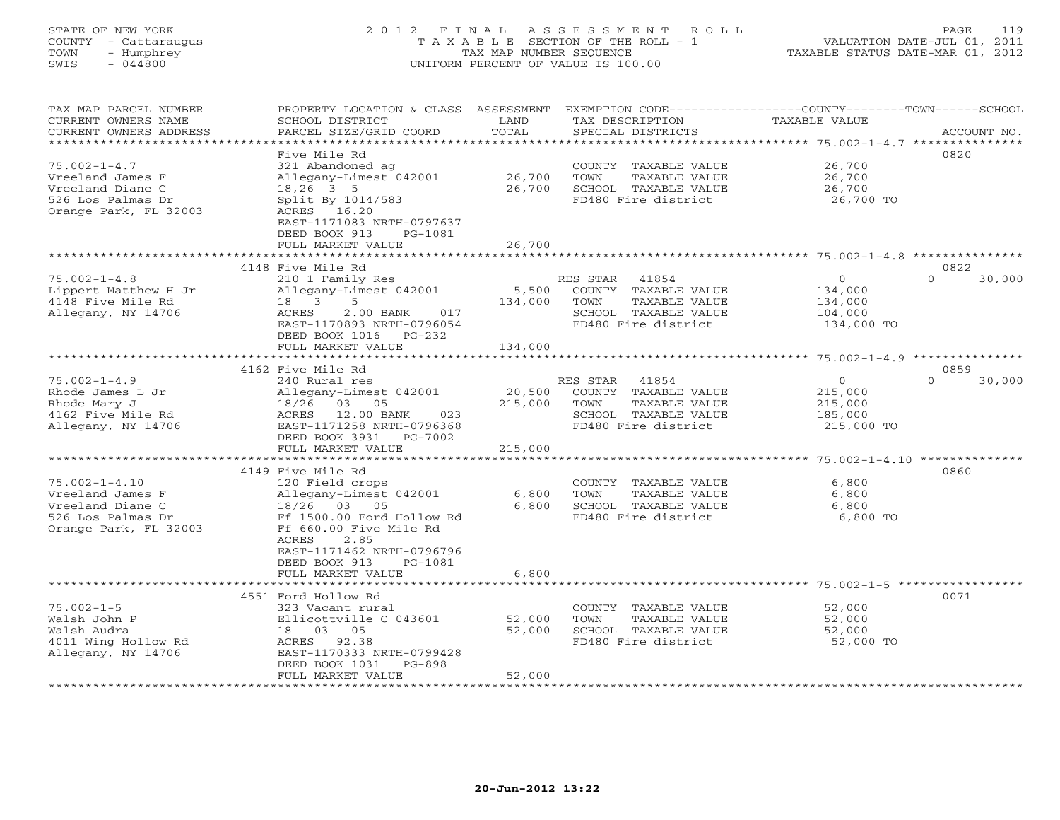# STATE OF NEW YORK 2 0 1 2 F I N A L A S S E S S M E N T R O L L PAGE 119 COUNTY - Cattaraugus T A X A B L E SECTION OF THE ROLL - 1 VALUATION DATE-JUL 01, 2011 TOWN - Humphrey TAX MAP NUMBER SEQUENCE TAXABLE STATUS DATE-MAR 01, 2012 SWIS - 044800 UNIFORM PERCENT OF VALUE IS 100.00UNIFORM PERCENT OF VALUE IS 100.00

| TAX MAP PARCEL NUMBER<br>CURRENT OWNERS NAME<br>CURRENT OWNERS ADDRESS<br>**********************          | PROPERTY LOCATION & CLASS ASSESSMENT<br>SCHOOL DISTRICT<br>PARCEL SIZE/GRID COORD                                                                                                                                | LAND<br>TOTAL                | TAX DESCRIPTION<br>SPECIAL DISTRICTS                                                                              | EXEMPTION CODE-----------------COUNTY-------TOWN-----SCHOOL<br><b>TAXABLE VALUE</b> | ACCOUNT NO.        |
|-----------------------------------------------------------------------------------------------------------|------------------------------------------------------------------------------------------------------------------------------------------------------------------------------------------------------------------|------------------------------|-------------------------------------------------------------------------------------------------------------------|-------------------------------------------------------------------------------------|--------------------|
| $75.002 - 1 - 4.7$<br>Vreeland James F<br>Vreeland Diane C<br>526 Los Palmas Dr<br>Orange Park, FL 32003  | Five Mile Rd<br>321 Abandoned ag<br>Allegany-Limest 042001<br>$18, 26$ 3 5<br>Split By 1014/583<br>ACRES 16.20<br>EAST-1171083 NRTH-0797637<br>DEED BOOK 913<br>PG-1081<br>FULL MARKET VALUE                     | 26,700<br>26,700<br>26,700   | COUNTY TAXABLE VALUE<br>TOWN<br>TAXABLE VALUE<br>SCHOOL TAXABLE VALUE<br>FD480 Fire district                      | 26,700<br>26,700<br>26,700<br>26,700 TO                                             | 0820               |
|                                                                                                           | 4148 Five Mile Rd                                                                                                                                                                                                |                              |                                                                                                                   |                                                                                     | 0822               |
| $75.002 - 1 - 4.8$<br>Lippert Matthew H Jr<br>4148 Five Mile Rd<br>Allegany, NY 14706                     | 210 1 Family Res<br>Allegany-Limest 042001<br>18 3<br>5<br>ACRES<br>2.00 BANK<br>017<br>EAST-1170893 NRTH-0796054<br>DEED BOOK 1016 PG-232<br>FULL MARKET VALUE                                                  | 5,500<br>134,000<br>134,000  | 41854<br>RES STAR<br>COUNTY TAXABLE VALUE<br>TOWN<br>TAXABLE VALUE<br>SCHOOL TAXABLE VALUE<br>FD480 Fire district | $\circ$<br>134,000<br>134,000<br>104,000<br>134,000 TO                              | $\Omega$<br>30,000 |
|                                                                                                           |                                                                                                                                                                                                                  |                              |                                                                                                                   |                                                                                     |                    |
|                                                                                                           | 4162 Five Mile Rd                                                                                                                                                                                                |                              |                                                                                                                   |                                                                                     | 0859               |
| $75.002 - 1 - 4.9$<br>Rhode James L Jr<br>Rhode Mary J<br>4162 Five Mile Rd<br>Allegany, NY 14706         | 240 Rural res<br>Allegany-Limest 042001<br>18/26 03 05<br>ACRES 12.00 BANK<br>023<br>EAST-1171258 NRTH-0796368<br>DEED BOOK 3931 PG-7002<br>FULL MARKET VALUE                                                    | 20,500<br>215,000<br>215,000 | RES STAR<br>41854<br>COUNTY TAXABLE VALUE<br>TOWN<br>TAXABLE VALUE<br>SCHOOL TAXABLE VALUE<br>FD480 Fire district | $\overline{O}$<br>215,000<br>215,000<br>185,000<br>215,000 TO                       | $\Omega$<br>30,000 |
|                                                                                                           |                                                                                                                                                                                                                  |                              |                                                                                                                   |                                                                                     |                    |
| $75.002 - 1 - 4.10$<br>Vreeland James F<br>Vreeland Diane C<br>526 Los Palmas Dr<br>Orange Park, FL 32003 | 4149 Five Mile Rd<br>120 Field crops<br>Allegany-Limest 042001<br>18/26 03 05<br>Ff 1500.00 Ford Hollow Rd<br>Ff 660.00 Five Mile Rd<br>2.85<br>ACRES<br>EAST-1171462 NRTH-0796796<br>DEED BOOK 913<br>$PG-1081$ | 6,800<br>6,800               | COUNTY TAXABLE VALUE<br>TOWN<br>TAXABLE VALUE<br>SCHOOL TAXABLE VALUE<br>FD480 Fire district                      | 6,800<br>6,800<br>6,800<br>6,800 TO                                                 | 0860               |
|                                                                                                           | FULL MARKET VALUE<br>****************************                                                                                                                                                                | 6,800                        |                                                                                                                   |                                                                                     |                    |
| $75.002 - 1 - 5$<br>Walsh John P<br>Walsh Audra<br>4011 Wing Hollow Rd<br>Allegany, NY 14706              | 4551 Ford Hollow Rd<br>323 Vacant rural<br>Ellicottville C 043601<br>18  03  05<br>ACRES 92.38<br>EAST-1170333 NRTH-0799428<br>DEED BOOK 1031<br>PG-898<br>FULL MARKET VALUE                                     | 52,000<br>52,000<br>52,000   | COUNTY TAXABLE VALUE<br>TOWN<br>TAXABLE VALUE<br>SCHOOL TAXABLE VALUE<br>FD480 Fire district                      | 52,000<br>52,000<br>52,000<br>52,000 TO                                             | 0071               |
|                                                                                                           |                                                                                                                                                                                                                  |                              | *******************************                                                                                   |                                                                                     |                    |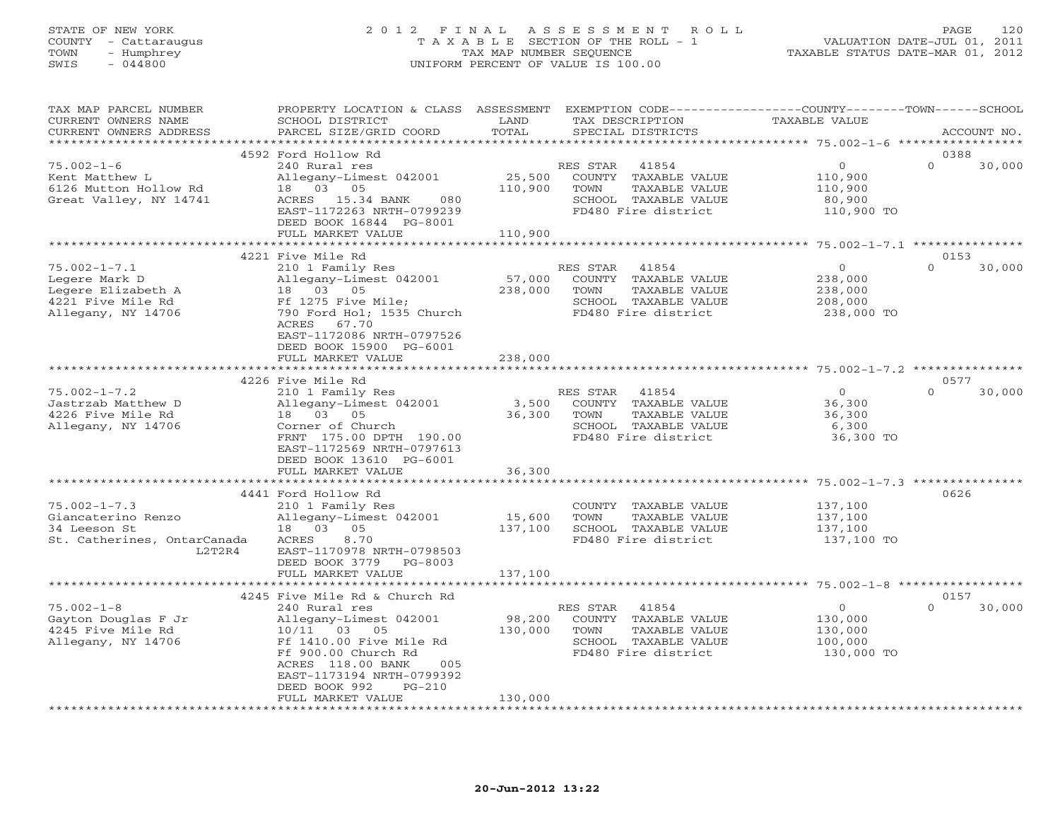## STATE OF NEW YORK 2 0 1 2 F I N A L A S S E S S M E N T R O L L PAGE 120 COUNTY - Cattaraugus T A X A B L E SECTION OF THE ROLL - 1 VALUATION DATE-JUL 01, 2011 TOWN - Humphrey TAX MAP NUMBER SEQUENCE TAXABLE STATUS DATE-MAR 01, 2012 SWIS - 044800 UNIFORM PERCENT OF VALUE IS 100.00UNIFORM PERCENT OF VALUE IS 100.00

| TAX MAP PARCEL NUMBER       | PROPERTY LOCATION & CLASS ASSESSMENT |                   | EXEMPTION CODE-----------------COUNTY-------TOWN------SCHOOL |                                                 |             |        |
|-----------------------------|--------------------------------------|-------------------|--------------------------------------------------------------|-------------------------------------------------|-------------|--------|
| CURRENT OWNERS NAME         | SCHOOL DISTRICT                      | LAND              | TAX DESCRIPTION                                              | TAXABLE VALUE                                   |             |        |
| CURRENT OWNERS ADDRESS      | PARCEL SIZE/GRID COORD               | TOTAL             | SPECIAL DISTRICTS                                            |                                                 | ACCOUNT NO. |        |
|                             |                                      |                   |                                                              | ***************** 75.002-1-6 ****************** |             |        |
|                             | 4592 Ford Hollow Rd                  |                   |                                                              |                                                 | 0388        |        |
| $75.002 - 1 - 6$            | 240 Rural res                        |                   | RES STAR<br>41854                                            | $\overline{0}$                                  | $\Omega$    | 30,000 |
| Kent Matthew L              | Allegany-Limest 042001               | 25,500            | COUNTY TAXABLE VALUE                                         | 110,900                                         |             |        |
| 6126 Mutton Hollow Rd       | 18 03 05                             | 110,900           | TOWN<br>TAXABLE VALUE                                        | 110,900                                         |             |        |
| Great Valley, NY 14741      | 080<br>ACRES 15.34 BANK              |                   | SCHOOL TAXABLE VALUE                                         | 80,900                                          |             |        |
|                             | EAST-1172263 NRTH-0799239            |                   | FD480 Fire district                                          | 110,900 TO                                      |             |        |
|                             |                                      |                   |                                                              |                                                 |             |        |
|                             | DEED BOOK 16844 PG-8001              |                   |                                                              |                                                 |             |        |
|                             | FULL MARKET VALUE                    | 110,900           |                                                              |                                                 |             |        |
|                             |                                      |                   |                                                              |                                                 | 0153        |        |
|                             | 4221 Five Mile Rd                    |                   |                                                              | $\overline{0}$                                  | $\Omega$    |        |
| $75.002 - 1 - 7.1$          | 210 1 Family Res                     |                   | RES STAR 41854                                               |                                                 |             | 30,000 |
| Legere Mark D               | Allegany-Limest 042001               | 57,000            | COUNTY TAXABLE VALUE                                         | 238,000                                         |             |        |
| Legere Elizabeth A          | 18  03  05                           | 238,000           | TOWN<br>TAXABLE VALUE                                        | 238,000                                         |             |        |
| 4221 Five Mile Rd           | Ff 1275 Five Mile;                   |                   | SCHOOL TAXABLE VALUE                                         | 208,000                                         |             |        |
| Allegany, NY 14706          | 790 Ford Hol; 1535 Church            |                   | FD480 Fire district                                          | 238,000 TO                                      |             |        |
|                             | ACRES 67.70                          |                   |                                                              |                                                 |             |        |
|                             | EAST-1172086 NRTH-0797526            |                   |                                                              |                                                 |             |        |
|                             | DEED BOOK 15900 PG-6001              |                   |                                                              |                                                 |             |        |
|                             | FULL MARKET VALUE                    | 238,000           |                                                              |                                                 |             |        |
|                             |                                      |                   |                                                              |                                                 |             |        |
|                             | 4226 Five Mile Rd                    |                   |                                                              |                                                 | 0577        |        |
| $75.002 - 1 - 7.2$          | 210 1 Family Res                     |                   | RES STAR 41854                                               | $\Omega$                                        | $\Omega$    | 30,000 |
| Jastrzab Matthew D          | Allegany-Limest 042001               | 3,500             | COUNTY TAXABLE VALUE                                         | 36,300                                          |             |        |
| 4226 Five Mile Rd           | 18  03  05                           | 36,300            | TOWN<br>TAXABLE VALUE                                        | 36,300                                          |             |        |
| Allegany, NY 14706          | Corner of Church                     |                   | SCHOOL TAXABLE VALUE                                         | 6,300                                           |             |        |
|                             | FRNT 175.00 DPTH 190.00              |                   | FD480 Fire district                                          | 36,300 TO                                       |             |        |
|                             | EAST-1172569 NRTH-0797613            |                   |                                                              |                                                 |             |        |
|                             | DEED BOOK 13610 PG-6001              |                   |                                                              |                                                 |             |        |
|                             | FULL MARKET VALUE                    | 36,300            |                                                              |                                                 |             |        |
|                             | *************************            | ***************** |                                                              |                                                 |             |        |
|                             | 4441 Ford Hollow Rd                  |                   |                                                              |                                                 | 0626        |        |
| $75.002 - 1 - 7.3$          | 210 1 Family Res                     |                   | COUNTY TAXABLE VALUE                                         | 137,100                                         |             |        |
| Giancaterino Renzo          | Allegany-Limest 042001               | 15,600            | TAXABLE VALUE<br>TOWN                                        | 137,100                                         |             |        |
|                             |                                      |                   |                                                              |                                                 |             |        |
| 34 Leeson St                | 18  03  05                           | 137,100           | SCHOOL TAXABLE VALUE                                         | 137,100                                         |             |        |
| St. Catherines, OntarCanada | ACRES<br>8.70                        |                   | FD480 Fire district                                          | 137,100 TO                                      |             |        |
| L2T2R4                      | EAST-1170978 NRTH-0798503            |                   |                                                              |                                                 |             |        |
|                             | DEED BOOK 3779<br>PG-8003            |                   |                                                              |                                                 |             |        |
|                             | FULL MARKET VALUE                    | 137,100           |                                                              |                                                 |             |        |
|                             |                                      |                   |                                                              |                                                 |             |        |
|                             | 4245 Five Mile Rd & Church Rd        |                   |                                                              |                                                 | 0157        |        |
| $75.002 - 1 - 8$            | 240 Rural res                        |                   | 41854<br>RES STAR                                            | $\overline{O}$                                  | $\Omega$    | 30,000 |
| Gayton Douglas F Jr         | Allegany-Limest 042001               | 98,200            | COUNTY TAXABLE VALUE                                         | 130,000                                         |             |        |
| 4245 Five Mile Rd           | 10/11 03 05                          | 130,000           | TOWN<br>TAXABLE VALUE                                        | 130,000                                         |             |        |
| Allegany, NY 14706          | Ff 1410.00 Five Mile Rd              |                   | SCHOOL TAXABLE VALUE                                         | 100,000                                         |             |        |
|                             | Ff 900.00 Church Rd                  |                   | FD480 Fire district                                          | 130,000 TO                                      |             |        |
|                             | ACRES 118.00 BANK<br>005             |                   |                                                              |                                                 |             |        |
|                             | EAST-1173194 NRTH-0799392            |                   |                                                              |                                                 |             |        |
|                             | DEED BOOK 992<br>$PG-210$            |                   |                                                              |                                                 |             |        |
|                             | FULL MARKET VALUE                    | 130,000           |                                                              |                                                 |             |        |
|                             |                                      |                   |                                                              |                                                 |             |        |
|                             |                                      |                   |                                                              |                                                 |             |        |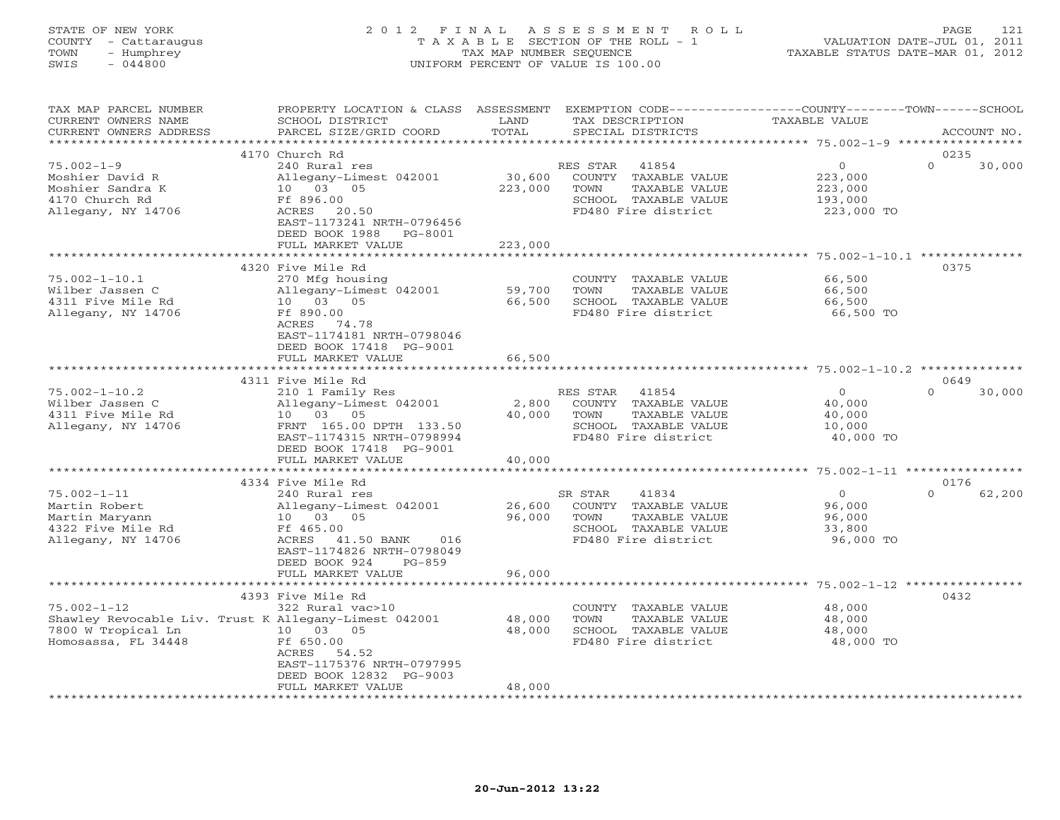## STATE OF NEW YORK 2 0 1 2 F I N A L A S S E S S M E N T R O L L PAGE 121 COUNTY - Cattaraugus T A X A B L E SECTION OF THE ROLL - 1 VALUATION DATE-JUL 01, 2011 TOWN - Humphrey TAX MAP NUMBER SEQUENCE TAXABLE STATUS DATE-MAR 01, 2012 SWIS - 044800 UNIFORM PERCENT OF VALUE IS 100.00UNIFORM PERCENT OF VALUE IS 100.00

| TAX MAP PARCEL NUMBER  | PROPERTY LOCATION & CLASS                             | ASSESSMENT           |                       |                                                     |                    |
|------------------------|-------------------------------------------------------|----------------------|-----------------------|-----------------------------------------------------|--------------------|
| CURRENT OWNERS NAME    | SCHOOL DISTRICT                                       | LAND                 | TAX DESCRIPTION       | TAXABLE VALUE                                       |                    |
| CURRENT OWNERS ADDRESS | PARCEL SIZE/GRID COORD                                | TOTAL                | SPECIAL DISTRICTS     |                                                     | ACCOUNT NO.        |
|                        |                                                       | ******************** |                       | **************** 75.002-1-9 **********              |                    |
|                        | 4170 Church Rd                                        |                      |                       |                                                     | 0235               |
| $75.002 - 1 - 9$       | 240 Rural res                                         |                      | RES STAR<br>41854     | $\circ$                                             | $\Omega$<br>30,000 |
|                        |                                                       | 30,600               | COUNTY TAXABLE VALUE  |                                                     |                    |
| Moshier David R        | Allegany-Limest 042001                                |                      |                       | 223,000                                             |                    |
| Moshier Sandra K       | 10 03 05                                              | 223,000              | TOWN<br>TAXABLE VALUE | 223,000                                             |                    |
| 4170 Church Rd         | Ff 896.00                                             |                      | SCHOOL TAXABLE VALUE  | 193,000                                             |                    |
| Allegany, NY 14706     | ACRES 20.50                                           |                      | FD480 Fire district   | 223,000 TO                                          |                    |
|                        | EAST-1173241 NRTH-0796456                             |                      |                       |                                                     |                    |
|                        | DEED BOOK 1988<br>PG-8001                             |                      |                       |                                                     |                    |
|                        | FULL MARKET VALUE                                     | 223,000              |                       |                                                     |                    |
|                        |                                                       |                      |                       |                                                     |                    |
|                        | 4320 Five Mile Rd                                     |                      |                       |                                                     | 0375               |
| $75.002 - 1 - 10.1$    | 270 Mfg housing                                       |                      | COUNTY TAXABLE VALUE  | 66,500                                              |                    |
| Wilber Jassen C        | Allegany-Limest 042001                                | 59,700               | TOWN<br>TAXABLE VALUE | 66,500                                              |                    |
| 4311 Five Mile Rd      | 10 03 05                                              | 66,500               | SCHOOL TAXABLE VALUE  | 66,500                                              |                    |
| Allegany, NY 14706     | Ff 890.00                                             |                      | FD480 Fire district   | 66,500 TO                                           |                    |
|                        |                                                       |                      |                       |                                                     |                    |
|                        | ACRES<br>74.78                                        |                      |                       |                                                     |                    |
|                        | EAST-1174181 NRTH-0798046                             |                      |                       |                                                     |                    |
|                        | DEED BOOK 17418 PG-9001                               |                      |                       |                                                     |                    |
|                        | FULL MARKET VALUE                                     | 66,500               |                       |                                                     |                    |
|                        |                                                       |                      |                       |                                                     |                    |
|                        | 4311 Five Mile Rd                                     |                      |                       |                                                     | 0649               |
| $75.002 - 1 - 10.2$    | 210 1 Family Res                                      |                      | RES STAR 41854        | $\circ$                                             | $\Omega$<br>30,000 |
| Wilber Jassen C        | Allegany-Limest 042001                                | 2,800                | COUNTY TAXABLE VALUE  | 40,000                                              |                    |
| 4311 Five Mile Rd      | 10 03 05                                              | 40,000               | TOWN<br>TAXABLE VALUE | 40,000                                              |                    |
| Allegany, NY 14706     | FRNT 165.00 DPTH 133.50                               |                      | SCHOOL TAXABLE VALUE  | 10,000                                              |                    |
|                        | EAST-1174315 NRTH-0798994                             |                      | FD480 Fire district   | 40,000 TO                                           |                    |
|                        | DEED BOOK 17418 PG-9001                               |                      |                       |                                                     |                    |
|                        |                                                       | 40,000               |                       |                                                     |                    |
|                        | FULL MARKET VALUE                                     | *******************  |                       | ********************* 75.002-1-11 ***************** |                    |
|                        |                                                       |                      |                       |                                                     |                    |
|                        | 4334 Five Mile Rd                                     |                      |                       |                                                     | 0176               |
| $75.002 - 1 - 11$      | 240 Rural res                                         |                      | SR STAR<br>41834      | $\overline{0}$                                      | $\Omega$<br>62,200 |
| Martin Robert          | Allegany-Limest 042001                                | 26,600               | COUNTY TAXABLE VALUE  | 96,000                                              |                    |
| Martin Maryann         | 10 03 05                                              | 96,000               | TOWN<br>TAXABLE VALUE | 96,000                                              |                    |
| 4322 Five Mile Rd      | Ff 465.00                                             |                      | SCHOOL TAXABLE VALUE  | 33,800                                              |                    |
| Allegany, NY 14706     | ACRES 41.50 BANK<br>016                               |                      | FD480 Fire district   | 96,000 TO                                           |                    |
|                        | EAST-1174826 NRTH-0798049                             |                      |                       |                                                     |                    |
|                        | DEED BOOK 924<br>$PG-859$                             |                      |                       |                                                     |                    |
|                        | FULL MARKET VALUE                                     | 96,000               |                       |                                                     |                    |
|                        |                                                       |                      |                       |                                                     |                    |
|                        | 4393 Five Mile Rd                                     |                      |                       |                                                     | 0432               |
| $75.002 - 1 - 12$      | 322 Rural vac>10                                      |                      | COUNTY TAXABLE VALUE  | 48,000                                              |                    |
|                        | Shawley Revocable Liv. Trust K Allegany-Limest 042001 | 48,000               | TOWN<br>TAXABLE VALUE |                                                     |                    |
|                        |                                                       |                      |                       | 48,000                                              |                    |
| 7800 W Tropical Ln     | 10 03<br>0.5                                          | 48,000               | SCHOOL TAXABLE VALUE  | 48,000                                              |                    |
| Homosassa, FL 34448    | Ff 650.00                                             |                      | FD480 Fire district   | 48,000 TO                                           |                    |
|                        | ACRES<br>54.52                                        |                      |                       |                                                     |                    |
|                        | EAST-1175376 NRTH-0797995                             |                      |                       |                                                     |                    |
|                        | DEED BOOK 12832 PG-9003                               |                      |                       |                                                     |                    |
|                        | FULL MARKET VALUE                                     | 48,000               |                       |                                                     |                    |
|                        |                                                       |                      |                       |                                                     |                    |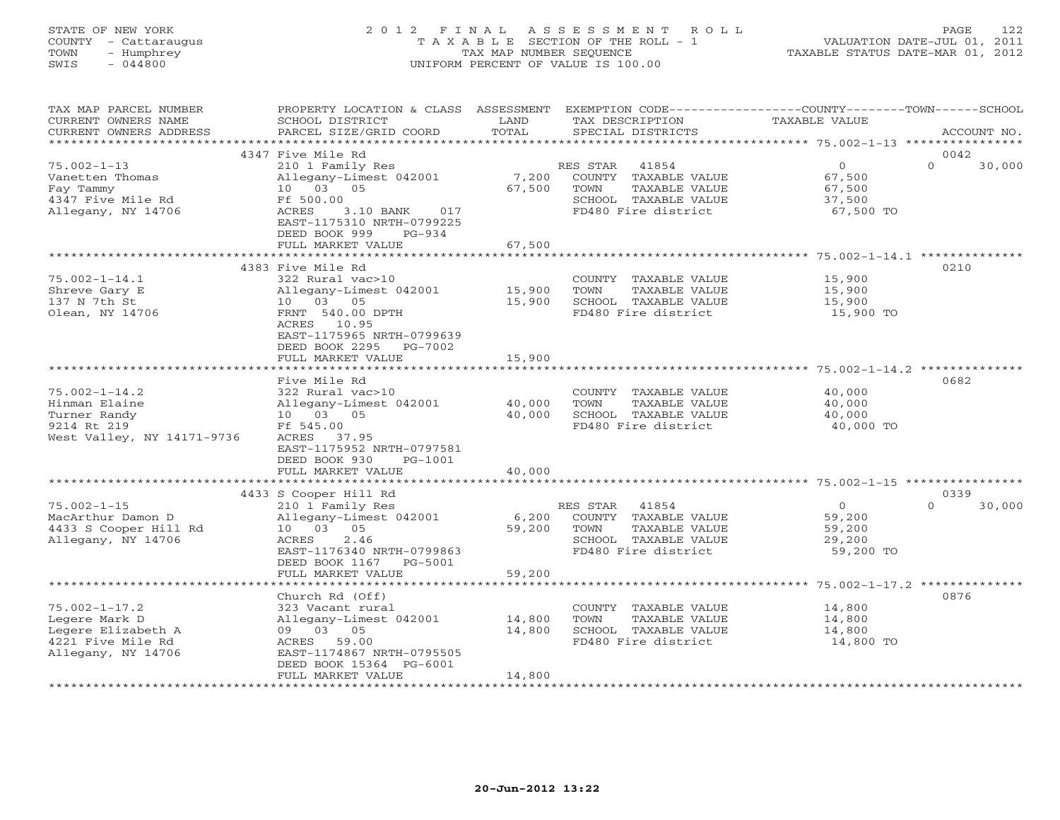# STATE OF NEW YORK 2 0 1 2 F I N A L A S S E S S M E N T R O L L PAGE 122 COUNTY - Cattaraugus T A X A B L E SECTION OF THE ROLL - 1 VALUATION DATE-JUL 01, 2011 TOWN - Humphrey TAX MAP NUMBER SEQUENCE TAXABLE STATUS DATE-MAR 01, 2012 SWIS - 044800 UNIFORM PERCENT OF VALUE IS 100.00UNIFORM PERCENT OF VALUE IS 100.00

| TAX MAP PARCEL NUMBER<br>CURRENT OWNERS NAME<br>CURRENT OWNERS ADDRESS                                                     | PROPERTY LOCATION & CLASS ASSESSMENT<br>SCHOOL DISTRICT<br>PARCEL SIZE/GRID COORD                                                                                                                    | LAND<br>TOTAL              | TAX DESCRIPTION<br>SPECIAL DISTRICTS                                                                                           | EXEMPTION CODE-----------------COUNTY-------TOWN------SCHOOL<br><b>TAXABLE VALUE</b><br>ACCOUNT NO. |
|----------------------------------------------------------------------------------------------------------------------------|------------------------------------------------------------------------------------------------------------------------------------------------------------------------------------------------------|----------------------------|--------------------------------------------------------------------------------------------------------------------------------|-----------------------------------------------------------------------------------------------------|
| *******************                                                                                                        |                                                                                                                                                                                                      |                            |                                                                                                                                |                                                                                                     |
| $75.002 - 1 - 13$<br>Vanetten Thomas<br>Fay Tammy<br>4347 Five Mile Rd<br>Allegany, NY 14706                               | 4347 Five Mile Rd<br>210 1 Family Res<br>Allegany-Limest 042001<br>10 03 05<br>Ff 500.00<br>ACRES<br>3.10 BANK<br>017<br>EAST-1175310 NRTH-0799225<br>DEED BOOK 999<br>$PG-934$<br>FULL MARKET VALUE | 7,200<br>67,500<br>67,500  | RES STAR<br>41854<br>COUNTY TAXABLE VALUE<br>TOWN<br>TAXABLE VALUE<br>SCHOOL TAXABLE VALUE<br>FD480 Fire district              | 0042<br>$\circ$<br>$\Omega$<br>30,000<br>67,500<br>67,500<br>37,500<br>67,500 TO                    |
|                                                                                                                            |                                                                                                                                                                                                      |                            |                                                                                                                                |                                                                                                     |
| $75.002 - 1 - 14.1$<br>Shreve Gary E<br>137 N 7th St<br>Olean, NY 14706                                                    | 4383 Five Mile Rd<br>322 Rural vac>10<br>Allegany-Limest 042001<br>10 03 05<br>FRNT 540.00 DPTH<br>10.95<br>ACRES<br>EAST-1175965 NRTH-0799639<br>DEED BOOK 2295<br>PG-7002                          | 15,900<br>15,900           | COUNTY TAXABLE VALUE<br>TOWN<br>TAXABLE VALUE<br>SCHOOL TAXABLE VALUE<br>FD480 Fire district                                   | 0210<br>15,900<br>15,900<br>15,900<br>15,900 TO                                                     |
|                                                                                                                            | FULL MARKET VALUE                                                                                                                                                                                    | 15,900                     |                                                                                                                                |                                                                                                     |
| $75.002 - 1 - 14.2$<br>Hinman Elaine<br>Turner Randy<br>9214 Rt 219<br>West Valley, NY 14171-9736                          | Five Mile Rd<br>322 Rural vac>10<br>Allegany-Limest 042001<br>10 03 05<br>Ff 545.00<br>ACRES 37.95<br>EAST-1175952 NRTH-0797581<br>DEED BOOK 930<br>$PG-1001$<br>FULL MARKET VALUE                   | 40,000<br>40,000<br>40,000 | COUNTY TAXABLE VALUE<br>TOWN<br>TAXABLE VALUE<br>SCHOOL TAXABLE VALUE<br>FD480 Fire district                                   | ********** 75.002-1-14.2 **<br>0682<br>40,000<br>40,000<br>40,000<br>40,000 TO                      |
|                                                                                                                            |                                                                                                                                                                                                      |                            |                                                                                                                                |                                                                                                     |
| $75.002 - 1 - 15$<br>MacArthur Damon D<br>4433 S Cooper Hill Rd<br>Allegany, NY 14706                                      | 4433 S Cooper Hill Rd<br>210 1 Family Res<br>Allegany-Limest 042001<br>05<br>10 03<br>ACRES<br>2.46<br>EAST-1176340 NRTH-0799863<br>DEED BOOK 1167<br>PG-5001                                        | 6,200<br>59,200            | RES STAR<br>41854<br>COUNTY TAXABLE VALUE<br>TOWN<br>TAXABLE VALUE<br>SCHOOL TAXABLE VALUE<br>FD480 Fire district              | 0339<br>$\Omega$<br>30,000<br>$\Omega$<br>59,200<br>59,200<br>29,200<br>59,200 TO                   |
|                                                                                                                            | FULL MARKET VALUE                                                                                                                                                                                    | 59,200<br>*************    |                                                                                                                                | ****************************** 75.002-1-17.2 ***************                                        |
| $75.002 - 1 - 17.2$<br>Legere Mark D<br>Legere Elizabeth A<br>4221 Five Mile Rd<br>Allegany, NY 14706<br>***************** | Church Rd (Off)<br>323 Vacant rural<br>Allegany-Limest 042001<br>09 03 05<br>ACRES 59.00<br>EAST-1174867 NRTH-0795505<br>DEED BOOK 15364 PG-6001<br>FULL MARKET VALUE                                | 14,800<br>14,800<br>14,800 | COUNTY TAXABLE VALUE<br>TOWN<br>TAXABLE VALUE<br>SCHOOL TAXABLE VALUE<br>FD480 Fire district<br>****************************** | 0876<br>14,800<br>14,800<br>14,800<br>14,800 TO                                                     |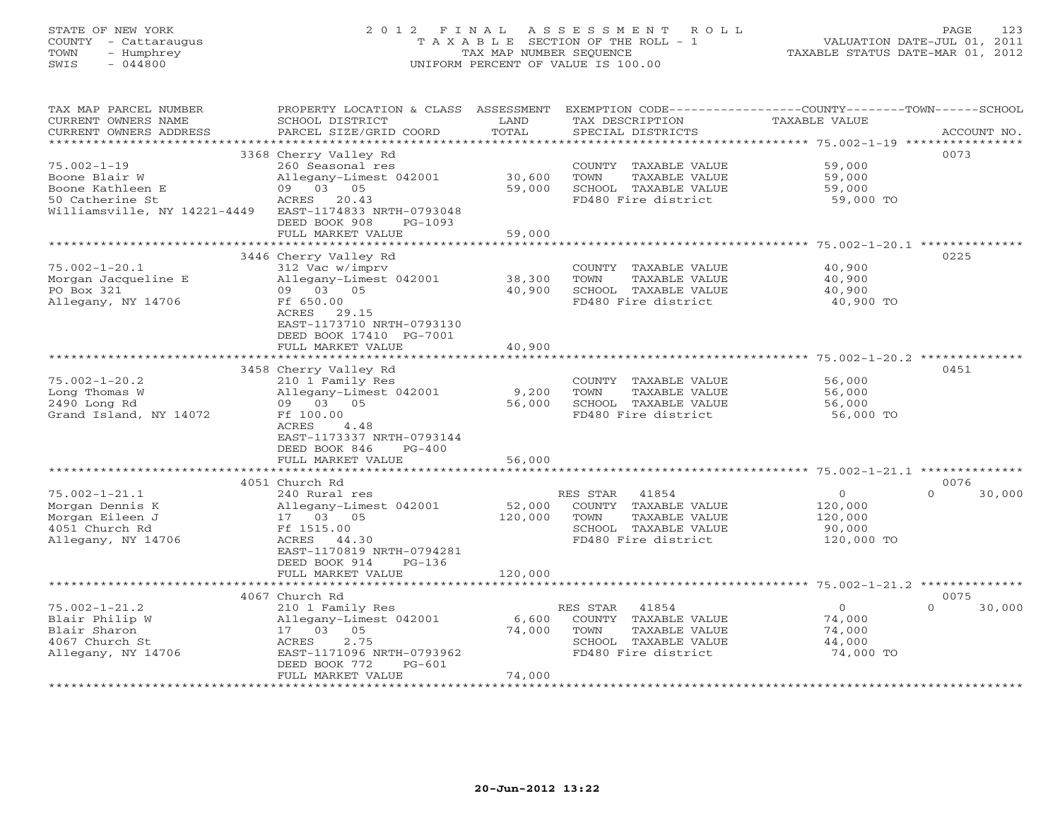# STATE OF NEW YORK 2 0 1 2 F I N A L A S S E S S M E N T R O L L PAGE 123 COUNTY - Cattaraugus T A X A B L E SECTION OF THE ROLL - 1 VALUATION DATE-JUL 01, 2011 TOWN - Humphrey TAX MAP NUMBER SEQUENCE TAXABLE STATUS DATE-MAR 01, 2012 SWIS - 044800 UNIFORM PERCENT OF VALUE IS 100.00UNIFORM PERCENT OF VALUE IS 100.00

| TAX MAP PARCEL NUMBER<br>CURRENT OWNERS NAME<br>CURRENT OWNERS ADDRESS | PROPERTY LOCATION & CLASS ASSESSMENT<br>SCHOOL DISTRICT<br>PARCEL SIZE/GRID COORD | LAND<br>TOTAL | EXEMPTION CODE-----------------COUNTY-------TOWN------SCHOOL<br>TAX DESCRIPTION<br>SPECIAL DISTRICTS | TAXABLE VALUE  | ACCOUNT NO.        |
|------------------------------------------------------------------------|-----------------------------------------------------------------------------------|---------------|------------------------------------------------------------------------------------------------------|----------------|--------------------|
|                                                                        |                                                                                   |               |                                                                                                      |                |                    |
|                                                                        | 3368 Cherry Valley Rd                                                             |               |                                                                                                      |                | 0073               |
| $75.002 - 1 - 19$                                                      | 260 Seasonal res                                                                  |               | COUNTY TAXABLE VALUE                                                                                 | 59,000         |                    |
| Boone Blair W                                                          | Allegany-Limest 042001                                                            | 30,600        | TOWN<br>TAXABLE VALUE                                                                                | 59,000         |                    |
| Boone Kathleen E                                                       | 09 03 05                                                                          | 59,000        | SCHOOL TAXABLE VALUE                                                                                 | 59,000         |                    |
| 50 Catherine St                                                        | ACRES 20.43                                                                       |               | FD480 Fire district                                                                                  | 59,000 TO      |                    |
| Williamsville, NY 14221-4449                                           | EAST-1174833 NRTH-0793048                                                         |               |                                                                                                      |                |                    |
|                                                                        | DEED BOOK 908<br>PG-1093                                                          |               |                                                                                                      |                |                    |
|                                                                        | FULL MARKET VALUE                                                                 | 59,000        |                                                                                                      |                |                    |
|                                                                        |                                                                                   |               |                                                                                                      |                |                    |
|                                                                        | 3446 Cherry Valley Rd                                                             |               |                                                                                                      |                | 0225               |
| $75.002 - 1 - 20.1$                                                    | 312 Vac w/imprv                                                                   |               | COUNTY TAXABLE VALUE                                                                                 | 40,900         |                    |
| Morgan Jacqueline E                                                    | Allegany-Limest 042001                                                            | 38,300        | TAXABLE VALUE<br>TOWN                                                                                | 40,900         |                    |
| PO Box 321                                                             | 09 03 05                                                                          | 40,900        | SCHOOL TAXABLE VALUE                                                                                 | 40,900         |                    |
| Allegany, NY 14706                                                     | Ff 650.00                                                                         |               | FD480 Fire district                                                                                  | 40,900 TO      |                    |
|                                                                        | ACRES<br>29.15                                                                    |               |                                                                                                      |                |                    |
|                                                                        | EAST-1173710 NRTH-0793130                                                         |               |                                                                                                      |                |                    |
|                                                                        | DEED BOOK 17410 PG-7001                                                           |               |                                                                                                      |                |                    |
|                                                                        | FULL MARKET VALUE                                                                 | 40,900        |                                                                                                      |                |                    |
|                                                                        |                                                                                   |               |                                                                                                      |                | 0451               |
| $75.002 - 1 - 20.2$                                                    | 3458 Cherry Valley Rd                                                             |               |                                                                                                      | 56,000         |                    |
| Long Thomas W                                                          | 210 1 Family Res<br>Allegany-Limest 042001                                        | 9,200         | COUNTY TAXABLE VALUE<br>TAXABLE VALUE<br>TOWN                                                        | 56,000         |                    |
| 2490 Long Rd                                                           | 09 03 05                                                                          | 56,000        | SCHOOL TAXABLE VALUE                                                                                 | 56,000         |                    |
| Grand Island, NY 14072                                                 | Ff 100.00                                                                         |               | FD480 Fire district                                                                                  | 56,000 TO      |                    |
|                                                                        | 4.48<br>ACRES                                                                     |               |                                                                                                      |                |                    |
|                                                                        | EAST-1173337 NRTH-0793144                                                         |               |                                                                                                      |                |                    |
|                                                                        | DEED BOOK 846<br>$PG-400$                                                         |               |                                                                                                      |                |                    |
|                                                                        | FULL MARKET VALUE                                                                 | 56,000        |                                                                                                      |                |                    |
|                                                                        | **************************                                                        |               |                                                                                                      |                |                    |
|                                                                        | 4051 Church Rd                                                                    |               |                                                                                                      |                | 0076               |
| $75.002 - 1 - 21.1$                                                    | 240 Rural res                                                                     |               | RES STAR<br>41854                                                                                    | $\overline{0}$ | 30,000<br>$\Omega$ |
| Morgan Dennis K                                                        | Allegany-Limest 042001                                                            | 52,000        | COUNTY TAXABLE VALUE                                                                                 | 120,000        |                    |
| Morgan Eileen J                                                        | 17 03 05                                                                          | 120,000       | TOWN<br>TAXABLE VALUE                                                                                | 120,000        |                    |
| 4051 Church Rd                                                         | Ff 1515.00                                                                        |               | SCHOOL TAXABLE VALUE                                                                                 | 90,000         |                    |
| Allegany, NY 14706                                                     | ACRES 44.30                                                                       |               | FD480 Fire district                                                                                  | 120,000 TO     |                    |
|                                                                        | EAST-1170819 NRTH-0794281                                                         |               |                                                                                                      |                |                    |
|                                                                        | DEED BOOK 914<br>$PG-136$                                                         |               |                                                                                                      |                |                    |
|                                                                        | FULL MARKET VALUE                                                                 | 120,000       |                                                                                                      |                |                    |
|                                                                        | ***************************                                                       |               |                                                                                                      |                |                    |
|                                                                        | 4067 Church Rd                                                                    |               |                                                                                                      |                | 0075               |
| $75.002 - 1 - 21.2$                                                    | 210 1 Family Res                                                                  |               | RES STAR<br>41854                                                                                    | $\circ$        | $\Omega$<br>30,000 |
| Blair Philip W                                                         | Allegany-Limest 042001                                                            | 6,600         | COUNTY TAXABLE VALUE                                                                                 | 74,000         |                    |
| Blair Sharon                                                           | 17 03<br>05                                                                       | 74,000        | TOWN<br>TAXABLE VALUE                                                                                | 74,000         |                    |
| 4067 Church St                                                         | 2.75<br>ACRES                                                                     |               | SCHOOL TAXABLE VALUE                                                                                 | 44,000         |                    |
| Allegany, NY 14706                                                     | EAST-1171096 NRTH-0793962                                                         |               | FD480 Fire district                                                                                  | 74,000 TO      |                    |
|                                                                        | DEED BOOK 772<br>$PG-601$                                                         | 74,000        |                                                                                                      |                |                    |
|                                                                        | FULL MARKET VALUE                                                                 |               |                                                                                                      |                |                    |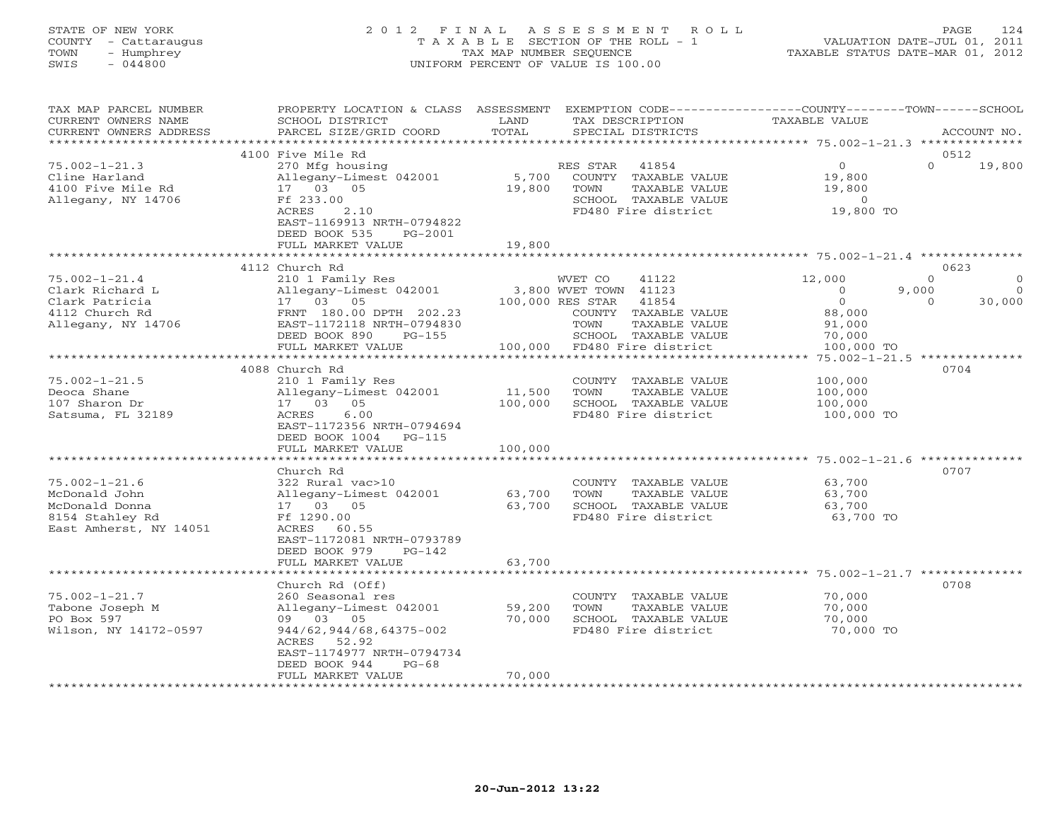# STATE OF NEW YORK 2 0 1 2 F I N A L A S S E S S M E N T R O L L PAGE 124 COUNTY - Cattaraugus T A X A B L E SECTION OF THE ROLL - 1 VALUATION DATE-JUL 01, 2011 TOWN - Humphrey TAX MAP NUMBER SEQUENCE TAXABLE STATUS DATE-MAR 01, 2012 SWIS - 044800 UNIFORM PERCENT OF VALUE IS 100.00UNIFORM PERCENT OF VALUE IS 100.00

| TAX MAP PARCEL NUMBER<br>CURRENT OWNERS NAME<br>CURRENT OWNERS ADDRESS                              | PROPERTY LOCATION & CLASS ASSESSMENT<br>SCHOOL DISTRICT<br>PARCEL SIZE/GRID COORD                                                                                                                                     | LAND<br>TOTAL                | EXEMPTION CODE-----------------COUNTY-------TOWN------SCHOOL<br>TAX DESCRIPTION<br>SPECIAL DISTRICTS                                            | <b>TAXABLE VALUE</b>                                                | ACCOUNT NO.                                                    |
|-----------------------------------------------------------------------------------------------------|-----------------------------------------------------------------------------------------------------------------------------------------------------------------------------------------------------------------------|------------------------------|-------------------------------------------------------------------------------------------------------------------------------------------------|---------------------------------------------------------------------|----------------------------------------------------------------|
| ********************                                                                                |                                                                                                                                                                                                                       |                              |                                                                                                                                                 |                                                                     |                                                                |
| $75.002 - 1 - 21.3$<br>Cline Harland<br>4100 Five Mile Rd<br>Allegany, NY 14706                     | 4100 Five Mile Rd<br>270 Mfg housing<br>Allegany-Limest 042001<br>17 03 05<br>Ff 233.00<br>2.10<br>ACRES<br>EAST-1169913 NRTH-0794822<br>DEED BOOK 535<br>PG-2001<br>FULL MARKET VALUE                                | 5,700<br>19,800<br>19,800    | 41854<br>RES STAR<br>COUNTY TAXABLE VALUE<br>TAXABLE VALUE<br>TOWN<br>SCHOOL TAXABLE VALUE<br>FD480 Fire district                               | $\circ$<br>19,800<br>19,800<br>$\circ$<br>19,800 TO                 | 0512<br>$\Omega$<br>19,800                                     |
|                                                                                                     | **************************                                                                                                                                                                                            |                              |                                                                                                                                                 |                                                                     |                                                                |
| $75.002 - 1 - 21.4$<br>Clark Richard L<br>Clark Patricia<br>4112 Church Rd<br>Allegany, NY 14706    | 4112 Church Rd<br>210 1 Family Res<br>Allegany-Limest 042001<br>17 03 05<br>FRNT 180.00 DPTH 202.23<br>EAST-1172118 NRTH-0794830<br>DEED BOOK 890<br>$PG-155$                                                         |                              | 41122<br>WVET CO<br>3,800 WVET TOWN 41123<br>100,000 RES STAR<br>41854<br>COUNTY TAXABLE VALUE<br>TOWN<br>TAXABLE VALUE<br>SCHOOL TAXABLE VALUE | 12,000<br>$\circ$<br>9,000<br>$\circ$<br>88,000<br>91,000<br>70,000 | 0623<br>$\Omega$<br>$\Omega$<br>$\Omega$<br>$\Omega$<br>30,000 |
|                                                                                                     | FULL MARKET VALUE<br>***********************                                                                                                                                                                          | 100,000<br>***********       | FD480 Fire district                                                                                                                             | 100,000 TO<br>$75.002 - 1 - 21.5$ **************                    |                                                                |
| $75.002 - 1 - 21.5$<br>Deoca Shane<br>107 Sharon Dr<br>Satsuma, FL 32189                            | 4088 Church Rd<br>210 1 Family Res<br>Allegany-Limest 042001<br>17 03<br>05<br>6.00<br>ACRES<br>EAST-1172356 NRTH-0794694<br>DEED BOOK 1004<br>$PG-115$<br>FULL MARKET VALUE<br>, * * * * * * * * * * * * * * * * * * | 11,500<br>100,000<br>100,000 | COUNTY TAXABLE VALUE<br>TOWN<br>TAXABLE VALUE<br>SCHOOL TAXABLE VALUE<br>FD480 Fire district                                                    | 100,000<br>100,000<br>100,000<br>100,000 TO                         | 0704                                                           |
| $75.002 - 1 - 21.6$<br>McDonald John<br>McDonald Donna<br>8154 Stahley Rd<br>East Amherst, NY 14051 | Church Rd<br>322 Rural vac>10<br>Allegany-Limest 042001<br>17 03<br>05<br>Ff 1290.00<br>ACRES 60.55<br>EAST-1172081 NRTH-0793789<br>DEED BOOK 979<br>$PG-142$<br>FULL MARKET VALUE                                    | 63,700<br>63,700<br>63,700   | COUNTY TAXABLE VALUE<br>TOWN<br>TAXABLE VALUE<br>SCHOOL TAXABLE VALUE<br>FD480 Fire district                                                    | 63,700<br>63,700<br>63,700<br>63,700 TO                             | 0707                                                           |
|                                                                                                     |                                                                                                                                                                                                                       |                              |                                                                                                                                                 | ******** 75.002-1-21.7 **                                           | 0708                                                           |
| $75.002 - 1 - 21.7$<br>Tabone Joseph M<br>PO Box 597<br>Wilson, NY 14172-0597                       | Church Rd (Off)<br>260 Seasonal res<br>Allegany-Limest 042001<br>09 03 05<br>944/62,944/68,64375-002<br>ACRES 52.92<br>EAST-1174977 NRTH-0794734<br>DEED BOOK 944<br>$PG-68$<br>FULL MARKET VALUE                     | 59,200<br>70,000<br>70,000   | COUNTY TAXABLE VALUE<br>TOWN<br>TAXABLE VALUE<br>SCHOOL TAXABLE VALUE<br>FD480 Fire district                                                    | 70,000<br>70,000<br>70,000<br>70,000 TO                             |                                                                |
| *******************                                                                                 |                                                                                                                                                                                                                       |                              |                                                                                                                                                 |                                                                     |                                                                |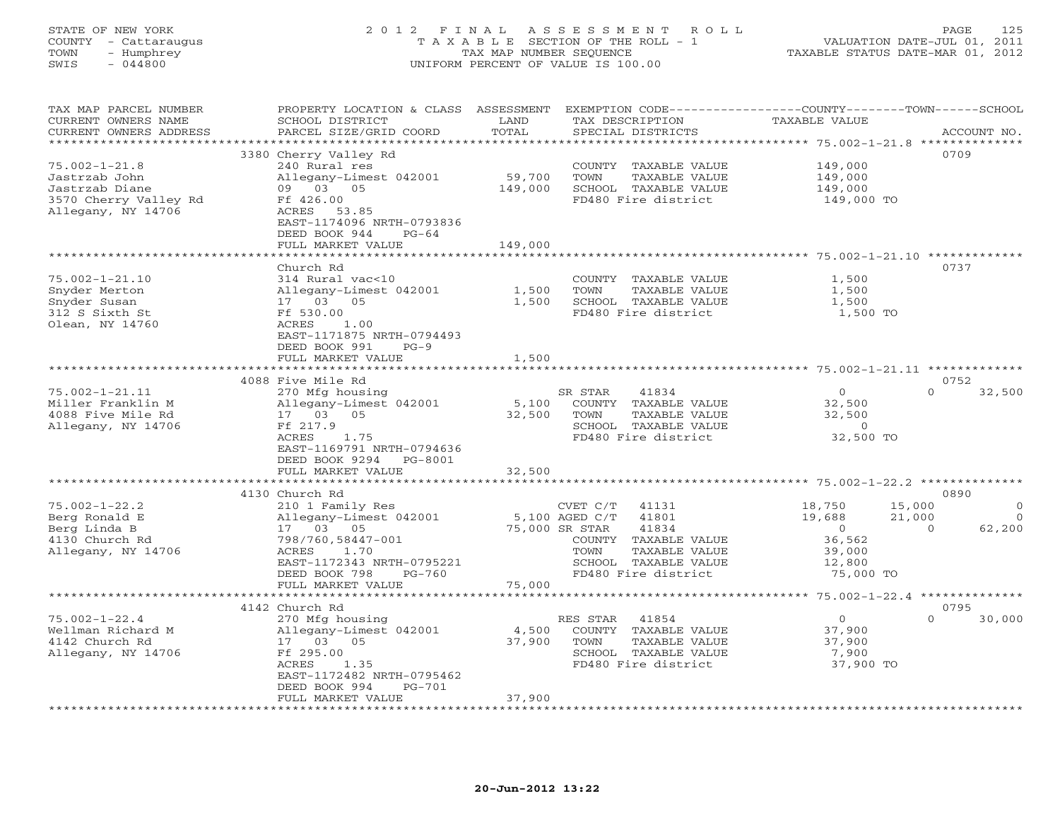# STATE OF NEW YORK 2 0 1 2 F I N A L A S S E S S M E N T R O L L PAGE 125 COUNTY - Cattaraugus T A X A B L E SECTION OF THE ROLL - 1 VALUATION DATE-JUL 01, 2011 TOWN - Humphrey TAX MAP NUMBER SEQUENCE TAXABLE STATUS DATE-MAR 01, 2012 SWIS - 044800 UNIFORM PERCENT OF VALUE IS 100.00UNIFORM PERCENT OF VALUE IS 100.00

| TAX MAP PARCEL NUMBER<br>CURRENT OWNERS NAME<br>CURRENT OWNERS ADDRESS | PROPERTY LOCATION & CLASS ASSESSMENT<br>SCHOOL DISTRICT<br>PARCEL SIZE/GRID COORD | LAND<br>TOTAL | EXEMPTION CODE-----------------COUNTY-------TOWN------SCHOOL<br>TAX DESCRIPTION<br>SPECIAL DISTRICTS | TAXABLE VALUE                                  |          | ACCOUNT NO. |
|------------------------------------------------------------------------|-----------------------------------------------------------------------------------|---------------|------------------------------------------------------------------------------------------------------|------------------------------------------------|----------|-------------|
| *************************                                              |                                                                                   |               |                                                                                                      |                                                |          |             |
|                                                                        | 3380 Cherry Valley Rd                                                             |               |                                                                                                      |                                                | 0709     |             |
| $75.002 - 1 - 21.8$                                                    | 240 Rural res                                                                     |               | COUNTY TAXABLE VALUE                                                                                 | 149,000                                        |          |             |
| Jastrzab John                                                          | Allegany-Limest 042001                                                            | 59,700        | TOWN<br>TAXABLE VALUE                                                                                | 149,000                                        |          |             |
| Jastrzab Diane                                                         | 09 03 05                                                                          | 149,000       | SCHOOL TAXABLE VALUE                                                                                 | 149,000                                        |          |             |
| 3570 Cherry Valley Rd                                                  | Ff 426.00                                                                         |               | FD480 Fire district                                                                                  | 149,000 TO                                     |          |             |
| Allegany, NY 14706                                                     | ACRES 53.85                                                                       |               |                                                                                                      |                                                |          |             |
|                                                                        | EAST-1174096 NRTH-0793836                                                         |               |                                                                                                      |                                                |          |             |
|                                                                        | DEED BOOK 944<br>$PG-64$                                                          |               |                                                                                                      |                                                |          |             |
|                                                                        | FULL MARKET VALUE                                                                 | 149,000       |                                                                                                      |                                                |          |             |
|                                                                        | **************************                                                        |               |                                                                                                      |                                                |          |             |
|                                                                        | Church Rd                                                                         |               |                                                                                                      |                                                | 0737     |             |
| $75.002 - 1 - 21.10$                                                   | 314 Rural vac<10                                                                  |               | COUNTY TAXABLE VALUE                                                                                 | 1,500                                          |          |             |
| Snyder Merton                                                          | Allegany-Limest 042001                                                            | 1,500         | TOWN<br>TAXABLE VALUE                                                                                | 1,500                                          |          |             |
| Snyder Susan                                                           | 17 03 05                                                                          | 1,500         | SCHOOL TAXABLE VALUE                                                                                 | 1,500                                          |          |             |
| 312 S Sixth St                                                         | Ff 530.00                                                                         |               | FD480 Fire district                                                                                  | 1,500 TO                                       |          |             |
| Olean, NY 14760                                                        | ACRES<br>1.00                                                                     |               |                                                                                                      |                                                |          |             |
|                                                                        | EAST-1171875 NRTH-0794493                                                         |               |                                                                                                      |                                                |          |             |
|                                                                        | DEED BOOK 991<br>$PG-9$                                                           |               |                                                                                                      |                                                |          |             |
|                                                                        | FULL MARKET VALUE<br>******************                                           | 1,500         |                                                                                                      |                                                |          |             |
|                                                                        |                                                                                   | **********    |                                                                                                      | ***************** 75.002-1-21.11 ************* |          |             |
|                                                                        | 4088 Five Mile Rd                                                                 |               |                                                                                                      |                                                | 0752     |             |
| $75.002 - 1 - 21.11$                                                   | 270 Mfg housing                                                                   |               | 41834<br>SR STAR                                                                                     | $\circ$                                        | $\Omega$ | 32,500      |
| Miller Franklin M                                                      | Allegany-Limest 042001                                                            | 5,100         | COUNTY TAXABLE VALUE                                                                                 | 32,500                                         |          |             |
| 4088 Five Mile Rd                                                      | 17 03 05                                                                          | 32,500        | TOWN<br>TAXABLE VALUE                                                                                | 32,500                                         |          |             |
| Allegany, NY 14706                                                     | Ff 217.9<br>1.75                                                                  |               | SCHOOL TAXABLE VALUE                                                                                 | $\Omega$                                       |          |             |
|                                                                        | ACRES                                                                             |               | FD480 Fire district                                                                                  | 32,500 TO                                      |          |             |
|                                                                        | EAST-1169791 NRTH-0794636<br>DEED BOOK 9294<br>PG-8001                            |               |                                                                                                      |                                                |          |             |
|                                                                        | FULL MARKET VALUE                                                                 | 32,500        |                                                                                                      |                                                |          |             |
|                                                                        | **************************                                                        |               |                                                                                                      |                                                |          |             |
|                                                                        | 4130 Church Rd                                                                    |               |                                                                                                      |                                                | 0890     |             |
| $75.002 - 1 - 22.2$                                                    | 210 1 Family Res                                                                  |               | $CVET C/T$ 41131                                                                                     | 18,750                                         | 15,000   | $\Omega$    |
| Berg Ronald E                                                          | Allegany-Limest 042001                                                            |               | 5,100 AGED C/T<br>41801                                                                              | 19,688                                         | 21,000   | $\Omega$    |
| Berg Linda B                                                           | 17 03 05                                                                          |               | 75,000 SR STAR<br>41834                                                                              | $\overline{0}$                                 | $\Omega$ | 62,200      |
| 4130 Church Rd                                                         | 798/760,58447-001                                                                 |               | COUNTY TAXABLE VALUE                                                                                 | 36,562                                         |          |             |
| Allegany, NY 14706                                                     | ACRES<br>1.70                                                                     |               | TAXABLE VALUE<br>TOWN                                                                                | 39,000                                         |          |             |
|                                                                        | EAST-1172343 NRTH-0795221                                                         |               | SCHOOL TAXABLE VALUE                                                                                 | 12,800                                         |          |             |
|                                                                        | DEED BOOK 798<br>$PG-760$                                                         |               | FD480 Fire district                                                                                  | 75,000 TO                                      |          |             |
|                                                                        | FULL MARKET VALUE                                                                 | 75,000        |                                                                                                      |                                                |          |             |
|                                                                        |                                                                                   |               |                                                                                                      |                                                |          |             |
|                                                                        | 4142 Church Rd                                                                    |               |                                                                                                      |                                                | 0795     |             |
| $75.002 - 1 - 22.4$                                                    | 270 Mfg housing                                                                   |               | RES STAR<br>41854                                                                                    | $\circ$                                        | $\Omega$ | 30,000      |
| Wellman Richard M                                                      | Allegany-Limest 042001                                                            | 4,500         | COUNTY TAXABLE VALUE                                                                                 | 37,900                                         |          |             |
| 4142 Church Rd                                                         | 17 03 05                                                                          | 37,900        | TOWN<br>TAXABLE VALUE                                                                                | 37,900                                         |          |             |
| Allegany, NY 14706                                                     | Ff 295.00                                                                         |               | SCHOOL TAXABLE VALUE                                                                                 | 7,900                                          |          |             |
|                                                                        | ACRES<br>1.35                                                                     |               | FD480 Fire district                                                                                  | 37,900 TO                                      |          |             |
|                                                                        | EAST-1172482 NRTH-0795462                                                         |               |                                                                                                      |                                                |          |             |
|                                                                        | DEED BOOK 994<br>PG-701                                                           |               |                                                                                                      |                                                |          |             |
|                                                                        | FULL MARKET VALUE                                                                 | 37,900        |                                                                                                      |                                                |          |             |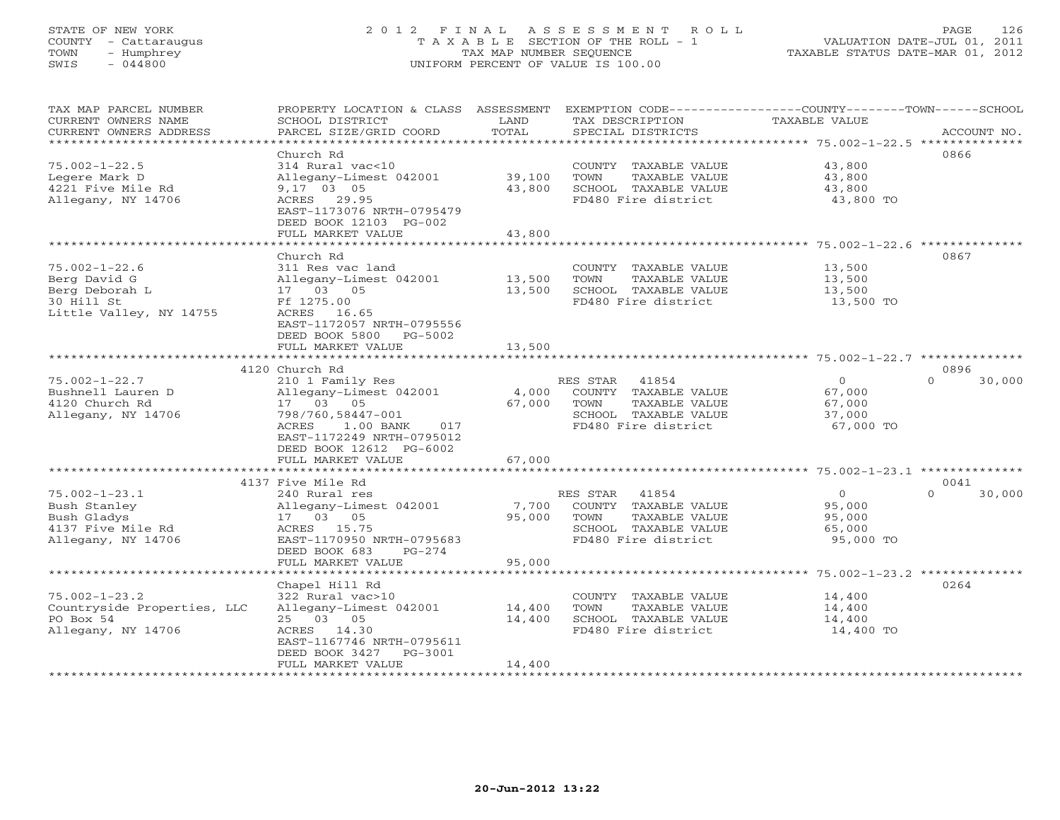# STATE OF NEW YORK 2 0 1 2 F I N A L A S S E S S M E N T R O L L PAGE 126 COUNTY - Cattaraugus T A X A B L E SECTION OF THE ROLL - 1 VALUATION DATE-JUL 01, 2011 TOWN - Humphrey TAX MAP NUMBER SEQUENCE TAXABLE STATUS DATE-MAR 01, 2012 SWIS - 044800 UNIFORM PERCENT OF VALUE IS 100.00UNIFORM PERCENT OF VALUE IS 100.00

| TAX MAP PARCEL NUMBER<br>CURRENT OWNERS NAME<br>CURRENT OWNERS ADDRESS | PROPERTY LOCATION & CLASS ASSESSMENT<br>SCHOOL DISTRICT<br>PARCEL SIZE/GRID COORD | LAND<br>TOTAL<br>********** | EXEMPTION CODE-----------------COUNTY-------TOWN------SCHOOL<br>TAX DESCRIPTION<br>SPECIAL DISTRICTS | TAXABLE VALUE<br>***************** 75.002-1-22.5 ********           | ACCOUNT NO.        |
|------------------------------------------------------------------------|-----------------------------------------------------------------------------------|-----------------------------|------------------------------------------------------------------------------------------------------|---------------------------------------------------------------------|--------------------|
|                                                                        |                                                                                   |                             |                                                                                                      |                                                                     |                    |
|                                                                        | Church Rd                                                                         |                             |                                                                                                      |                                                                     | 0866               |
| $75.002 - 1 - 22.5$<br>Legere Mark D                                   | 314 Rural vac<10                                                                  | 39,100                      | COUNTY TAXABLE VALUE<br>TOWN                                                                         | 43,800<br>43,800                                                    |                    |
| 4221 Five Mile Rd                                                      | Allegany-Limest 042001<br>9,17 03 05                                              | 43,800                      | TAXABLE VALUE<br>SCHOOL TAXABLE VALUE                                                                | 43,800                                                              |                    |
| Allegany, NY 14706                                                     | ACRES 29.95                                                                       |                             | FD480 Fire district                                                                                  | 43,800 TO                                                           |                    |
|                                                                        | EAST-1173076 NRTH-0795479                                                         |                             |                                                                                                      |                                                                     |                    |
|                                                                        | DEED BOOK 12103 PG-002                                                            |                             |                                                                                                      |                                                                     |                    |
|                                                                        | FULL MARKET VALUE                                                                 | 43,800                      |                                                                                                      |                                                                     |                    |
|                                                                        | ***********************                                                           |                             |                                                                                                      |                                                                     |                    |
|                                                                        | Church Rd                                                                         |                             |                                                                                                      |                                                                     | 0867               |
| $75.002 - 1 - 22.6$                                                    | 311 Res vac land                                                                  |                             | COUNTY TAXABLE VALUE                                                                                 | 13,500                                                              |                    |
| Berg David G                                                           | Allegany-Limest 042001                                                            | 13,500                      | TOWN<br>TAXABLE VALUE                                                                                | 13,500                                                              |                    |
| Berg Deborah L                                                         | 17 03 05                                                                          | 13,500                      | SCHOOL TAXABLE VALUE                                                                                 | 13,500                                                              |                    |
| 30 Hill St                                                             | Ff 1275.00                                                                        |                             | FD480 Fire district                                                                                  | 13,500 TO                                                           |                    |
| Little Valley, NY 14755                                                | ACRES<br>16.65                                                                    |                             |                                                                                                      |                                                                     |                    |
|                                                                        | EAST-1172057 NRTH-0795556                                                         |                             |                                                                                                      |                                                                     |                    |
|                                                                        | DEED BOOK 5800<br>PG-5002                                                         |                             |                                                                                                      |                                                                     |                    |
|                                                                        | FULL MARKET VALUE                                                                 | 13,500                      |                                                                                                      |                                                                     |                    |
|                                                                        |                                                                                   |                             |                                                                                                      |                                                                     |                    |
|                                                                        | 4120 Church Rd                                                                    |                             |                                                                                                      |                                                                     | 0896               |
| $75.002 - 1 - 22.7$                                                    | 210 1 Family Res                                                                  |                             | RES STAR<br>41854                                                                                    | $\circ$                                                             | 30,000<br>$\Omega$ |
| Bushnell Lauren D                                                      | Allegany-Limest 042001                                                            | 4,000                       | COUNTY TAXABLE VALUE                                                                                 | 67,000                                                              |                    |
| 4120 Church Rd                                                         | 17 03 05                                                                          | 67,000                      | TOWN<br>TAXABLE VALUE                                                                                | 67,000                                                              |                    |
| Allegany, NY 14706                                                     | 798/760,58447-001                                                                 |                             | SCHOOL TAXABLE VALUE                                                                                 | 37,000                                                              |                    |
|                                                                        | ACRES<br>1.00 BANK<br>017                                                         |                             | FD480 Fire district                                                                                  | 67,000 TO                                                           |                    |
|                                                                        | EAST-1172249 NRTH-0795012                                                         |                             |                                                                                                      |                                                                     |                    |
|                                                                        | DEED BOOK 12612 PG-6002                                                           |                             |                                                                                                      |                                                                     |                    |
|                                                                        | FULL MARKET VALUE                                                                 | 67,000                      |                                                                                                      |                                                                     |                    |
|                                                                        | *********************                                                             | *************               |                                                                                                      | ************************************* 75.002-1-23.1 *************** |                    |
|                                                                        | 4137 Five Mile Rd                                                                 |                             |                                                                                                      |                                                                     | 0041               |
| $75.002 - 1 - 23.1$                                                    | 240 Rural res                                                                     |                             | RES STAR<br>41854                                                                                    | $\circ$                                                             | $\Omega$<br>30,000 |
| Bush Stanley                                                           | Allegany-Limest 042001                                                            | 7,700                       | COUNTY TAXABLE VALUE                                                                                 | 95,000                                                              |                    |
| Bush Gladys                                                            | 17 03 05                                                                          | 95,000                      | TOWN<br>TAXABLE VALUE                                                                                | 95,000                                                              |                    |
| 4137 Five Mile Rd                                                      | ACRES 15.75<br>EAST-1170950 NRTH-0795683                                          |                             | SCHOOL TAXABLE VALUE<br>FD480 Fire district                                                          | 65,000<br>95,000 TO                                                 |                    |
| Allegany, NY 14706                                                     | DEED BOOK 683<br>$PG-274$                                                         |                             |                                                                                                      |                                                                     |                    |
|                                                                        | FULL MARKET VALUE                                                                 | 95,000                      |                                                                                                      |                                                                     |                    |
|                                                                        |                                                                                   |                             |                                                                                                      | $75.002 - 1 - 23.2$ **************                                  |                    |
|                                                                        | Chapel Hill Rd                                                                    |                             |                                                                                                      |                                                                     | 0264               |
| $75.002 - 1 - 23.2$                                                    | 322 Rural vac>10                                                                  |                             | COUNTY TAXABLE VALUE                                                                                 | 14,400                                                              |                    |
| Countryside Properties, LLC                                            | Allegany-Limest 042001                                                            | 14,400                      | TOWN<br>TAXABLE VALUE                                                                                | 14,400                                                              |                    |
| PO Box 54                                                              | 25 03 05                                                                          | 14,400                      | SCHOOL TAXABLE VALUE                                                                                 | 14,400                                                              |                    |
| Allegany, NY 14706                                                     | ACRES 14.30                                                                       |                             | FD480 Fire district                                                                                  | 14,400 TO                                                           |                    |
|                                                                        | EAST-1167746 NRTH-0795611                                                         |                             |                                                                                                      |                                                                     |                    |
|                                                                        | DEED BOOK 3427<br>PG-3001                                                         |                             |                                                                                                      |                                                                     |                    |
|                                                                        | FULL MARKET VALUE                                                                 | 14,400                      |                                                                                                      |                                                                     |                    |
|                                                                        |                                                                                   |                             |                                                                                                      |                                                                     |                    |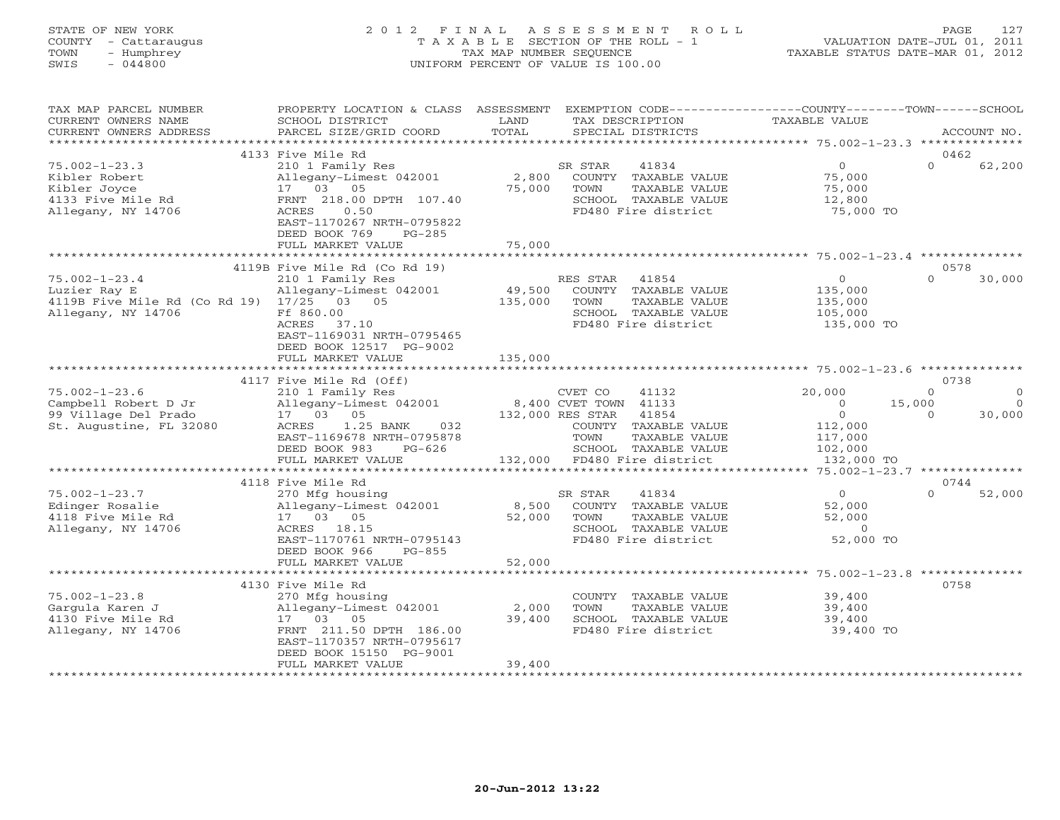# STATE OF NEW YORK 2 0 1 2 F I N A L A S S E S S M E N T R O L L PAGE 127 COUNTY - Cattaraugus T A X A B L E SECTION OF THE ROLL - 1 VALUATION DATE-JUL 01, 2011 TOWN - Humphrey TAX MAP NUMBER SEQUENCE TAXABLE STATUS DATE-MAR 01, 2012 SWIS - 044800 UNIFORM PERCENT OF VALUE IS 100.00UNIFORM PERCENT OF VALUE IS 100.00

| TAX MAP PARCEL NUMBER<br>CURRENT OWNERS NAME<br>CURRENT OWNERS ADDRESS                                 | PROPERTY LOCATION & CLASS ASSESSMENT<br>SCHOOL DISTRICT<br>PARCEL SIZE/GRID COORD                                                                                  | LAND<br>TOTAL             | EXEMPTION CODE-----------------COUNTY-------TOWN------SCHOOL<br>TAX DESCRIPTION<br>SPECIAL DISTRICTS              | <b>TAXABLE VALUE</b>                                      | ACCOUNT NO.                                                         |
|--------------------------------------------------------------------------------------------------------|--------------------------------------------------------------------------------------------------------------------------------------------------------------------|---------------------------|-------------------------------------------------------------------------------------------------------------------|-----------------------------------------------------------|---------------------------------------------------------------------|
| *************************                                                                              |                                                                                                                                                                    |                           |                                                                                                                   |                                                           |                                                                     |
|                                                                                                        | 4133 Five Mile Rd                                                                                                                                                  |                           |                                                                                                                   |                                                           | 0462                                                                |
| $75.002 - 1 - 23.3$<br>Kibler Robert<br>Kibler Joyce<br>4133 Five Mile Rd<br>Allegany, NY 14706        | 210 1 Family Res<br>Allegany-Limest 042001<br>17 03 05<br>FRNT 218.00 DPTH 107.40<br>0.50<br>ACRES<br>EAST-1170267 NRTH-0795822<br>DEED BOOK 769<br>$PG-285$       | 2,800<br>75,000           | 41834<br>SR STAR<br>COUNTY TAXABLE VALUE<br>TOWN<br>TAXABLE VALUE<br>SCHOOL TAXABLE VALUE<br>FD480 Fire district  | $\overline{0}$<br>75,000<br>75,000<br>12,800<br>75,000 TO | $\Omega$<br>62,200                                                  |
|                                                                                                        | FULL MARKET VALUE                                                                                                                                                  | 75,000                    |                                                                                                                   |                                                           |                                                                     |
|                                                                                                        |                                                                                                                                                                    |                           |                                                                                                                   | *********************************** 75.002-1-23.4 ******  |                                                                     |
| $75.002 - 1 - 23.4$<br>Luzier Ray E<br>4119B Five Mile Rd (Co Rd 19) 17/25 03 05<br>Allegany, NY 14706 | 4119B Five Mile Rd (Co Rd 19)<br>210 1 Family Res<br>Allegany-Limest 042001<br>Ff 860.00<br>ACRES<br>37.10<br>EAST-1169031 NRTH-0795465<br>DEED BOOK 12517 PG-9002 | 49,500<br>135,000         | RES STAR<br>41854<br>COUNTY TAXABLE VALUE<br>TOWN<br>TAXABLE VALUE<br>SCHOOL TAXABLE VALUE<br>FD480 Fire district | $\Omega$<br>135,000<br>135,000<br>105,000<br>135,000 TO   | 0578<br>$\Omega$<br>30,000                                          |
|                                                                                                        | FULL MARKET VALUE                                                                                                                                                  | 135,000                   |                                                                                                                   |                                                           |                                                                     |
|                                                                                                        |                                                                                                                                                                    |                           |                                                                                                                   |                                                           |                                                                     |
|                                                                                                        | 4117 Five Mile Rd (Off)                                                                                                                                            |                           |                                                                                                                   |                                                           | 0738                                                                |
| $75.002 - 1 - 23.6$<br>Campbell Robert D Jr<br>99 Village Del Prado                                    | 210 1 Family Res<br>Allegany-Limest 042001<br>17  03  05                                                                                                           |                           | CVET CO<br>41132<br>8,400 CVET TOWN 41133<br>132,000 RES STAR<br>41854                                            | 20,000<br>$\Omega$<br>$\circ$                             | $\Omega$<br>$\mathbf 0$<br>15,000<br>$\Omega$<br>$\Omega$<br>30,000 |
| St. Augustine, FL 32080                                                                                | ACRES<br>1.25 BANK<br>032<br>EAST-1169678 NRTH-0795878<br>DEED BOOK 983<br>$PG-626$<br>FULL MARKET VALUE                                                           |                           | COUNTY TAXABLE VALUE<br>TOWN<br>TAXABLE VALUE<br>SCHOOL TAXABLE VALUE<br>132,000 FD480 Fire district              | 112,000<br>117,000<br>102,000<br>132,000 TO               |                                                                     |
|                                                                                                        | *******************                                                                                                                                                |                           |                                                                                                                   | ****** 75.002-1-23.7 **************                       |                                                                     |
|                                                                                                        | 4118 Five Mile Rd                                                                                                                                                  |                           |                                                                                                                   |                                                           | 0744                                                                |
| $75.002 - 1 - 23.7$<br>Edinger Rosalie<br>4118 Five Mile Rd<br>Allegany, NY 14706                      | 270 Mfg housing<br>Allegany-Limest 042001<br>17 03 05<br>ACRES 18.15<br>EAST-1170761 NRTH-0795143<br>DEED BOOK 966<br>$PG-855$<br>FULL MARKET VALUE                | 8,500<br>52,000<br>52,000 | 41834<br>SR STAR<br>COUNTY TAXABLE VALUE<br>TOWN<br>TAXABLE VALUE<br>SCHOOL TAXABLE VALUE<br>FD480 Fire district  | $\Omega$<br>52,000<br>52,000<br>$\mathbf{O}$<br>52,000 TO | $\Omega$<br>52,000                                                  |
|                                                                                                        | **************************                                                                                                                                         | **************            |                                                                                                                   |                                                           |                                                                     |
| $75.002 - 1 - 23.8$<br>Gargula Karen J<br>4130 Five Mile Rd<br>Allegany, NY 14706                      | 4130 Five Mile Rd<br>270 Mfg housing<br>Allegany-Limest 042001<br>17 03 05<br>FRNT 211.50 DPTH 186.00<br>EAST-1170357 NRTH-0795617<br>DEED BOOK 15150 PG-9001      | 2,000<br>39,400           | COUNTY TAXABLE VALUE<br>TOWN<br>TAXABLE VALUE<br>SCHOOL TAXABLE VALUE<br>FD480 Fire district                      | 39,400<br>39,400<br>39,400<br>39,400 TO                   | 0758                                                                |
|                                                                                                        | FULL MARKET VALUE                                                                                                                                                  | 39,400<br>**************  |                                                                                                                   |                                                           |                                                                     |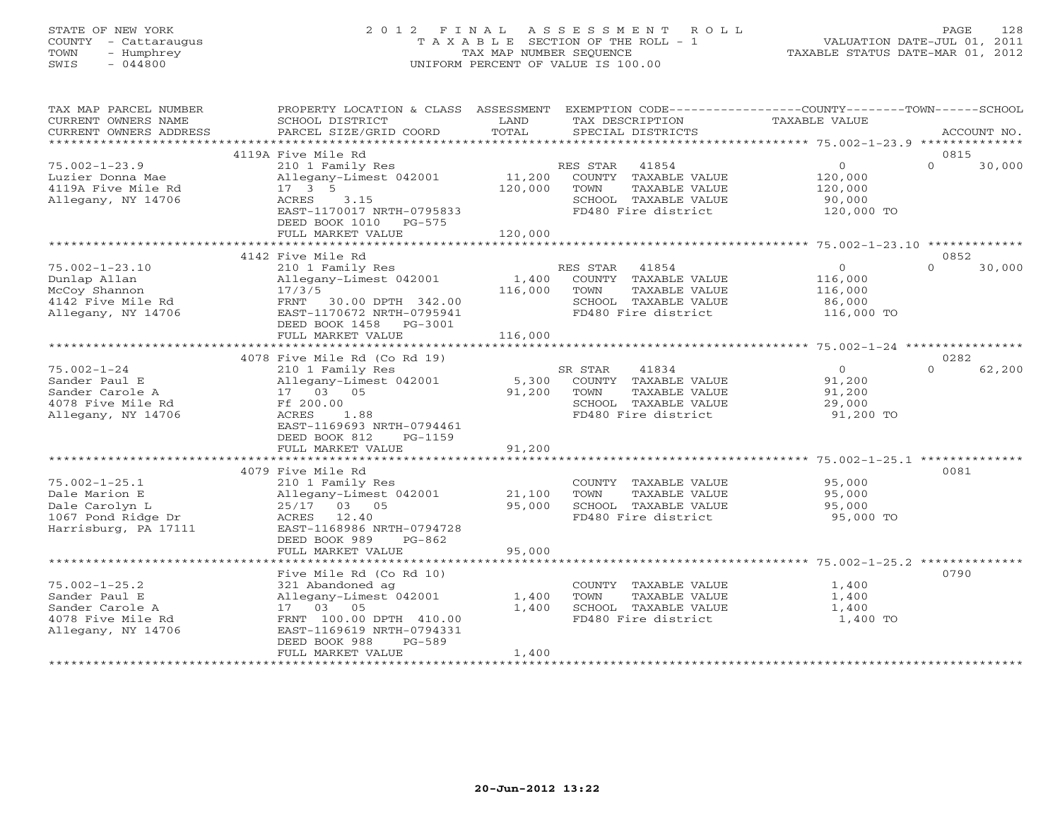# STATE OF NEW YORK 2 0 1 2 F I N A L A S S E S S M E N T R O L L PAGE 128 COUNTY - Cattaraugus T A X A B L E SECTION OF THE ROLL - 1 VALUATION DATE-JUL 01, 2011 TOWN - Humphrey TAX MAP NUMBER SEQUENCE TAXABLE STATUS DATE-MAR 01, 2012 SWIS - 044800 UNIFORM PERCENT OF VALUE IS 100.00UNIFORM PERCENT OF VALUE IS 100.00

| TAX MAP PARCEL NUMBER  | PROPERTY LOCATION & CLASS ASSESSMENT |         |                 | EXEMPTION CODE-----------------COUNTY-------TOWN------SCHOOL |                |          |             |
|------------------------|--------------------------------------|---------|-----------------|--------------------------------------------------------------|----------------|----------|-------------|
| CURRENT OWNERS NAME    | SCHOOL DISTRICT                      | LAND    | TAX DESCRIPTION |                                                              | TAXABLE VALUE  |          |             |
| CURRENT OWNERS ADDRESS | PARCEL SIZE/GRID COORD               | TOTAL   |                 | SPECIAL DISTRICTS                                            |                |          | ACCOUNT NO. |
|                        |                                      |         |                 |                                                              |                |          |             |
|                        | 4119A Five Mile Rd                   |         |                 |                                                              |                | 0815     |             |
| $75.002 - 1 - 23.9$    | 210 1 Family Res                     |         | RES STAR        | 41854                                                        | $\circ$        | $\Omega$ | 30,000      |
| Luzier Donna Mae       | Allegany-Limest 042001               | 11,200  |                 | COUNTY TAXABLE VALUE                                         | 120,000        |          |             |
| 4119A Five Mile Rd     | $17 \quad 3 \quad 5$                 | 120,000 | TOWN            | TAXABLE VALUE                                                | 120,000        |          |             |
| Allegany, NY 14706     | ACRES<br>3.15                        |         |                 | SCHOOL TAXABLE VALUE                                         | 90,000         |          |             |
|                        | EAST-1170017 NRTH-0795833            |         |                 | FD480 Fire district                                          | 120,000 TO     |          |             |
|                        | DEED BOOK 1010 PG-575                |         |                 |                                                              |                |          |             |
|                        | FULL MARKET VALUE                    | 120,000 |                 |                                                              |                |          |             |
|                        |                                      |         |                 |                                                              |                |          |             |
|                        | 4142 Five Mile Rd                    |         |                 |                                                              |                | 0852     |             |
| $75.002 - 1 - 23.10$   | 210 1 Family Res                     |         | RES STAR 41854  |                                                              | $\circ$        | $\Omega$ | 30,000      |
| Dunlap Allan           | Allegany-Limest 042001               | 1,400   |                 | COUNTY TAXABLE VALUE                                         | 116,000        |          |             |
| McCoy Shannon          | 17/3/5                               | 116,000 | TOWN            | TAXABLE VALUE                                                | 116,000        |          |             |
| 4142 Five Mile Rd      | FRNT<br>30.00 DPTH 342.00            |         |                 | SCHOOL TAXABLE VALUE                                         | 86,000         |          |             |
| Allegany, NY 14706     | EAST-1170672 NRTH-0795941            |         |                 | FD480 Fire district                                          | 116,000 TO     |          |             |
|                        | DEED BOOK 1458 PG-3001               |         |                 |                                                              |                |          |             |
|                        | FULL MARKET VALUE                    | 116,000 |                 |                                                              |                |          |             |
|                        |                                      |         |                 |                                                              |                |          |             |
|                        | 4078 Five Mile Rd (Co Rd 19)         |         |                 |                                                              |                | 0282     |             |
| $75.002 - 1 - 24$      | 210 1 Family Res                     |         | SR STAR         | 41834                                                        | $\overline{O}$ | $\Omega$ | 62,200      |
| Sander Paul E          | Allegany-Limest 042001               | 5,300   |                 | COUNTY TAXABLE VALUE                                         | 91,200         |          |             |
| Sander Carole A        | 17 03 05                             | 91,200  | TOWN            | TAXABLE VALUE                                                | 91,200         |          |             |
| 4078 Five Mile Rd      | Ff 200.00                            |         |                 | SCHOOL TAXABLE VALUE                                         | 29,000         |          |             |
| Allegany, NY 14706     | ACRES<br>1.88                        |         |                 | FD480 Fire district                                          | 91,200 TO      |          |             |
|                        | EAST-1169693 NRTH-0794461            |         |                 |                                                              |                |          |             |
|                        | DEED BOOK 812<br>$PG-1159$           |         |                 |                                                              |                |          |             |
|                        | FULL MARKET VALUE                    | 91,200  |                 |                                                              |                |          |             |
|                        |                                      |         |                 |                                                              |                |          |             |
|                        | 4079 Five Mile Rd                    |         |                 |                                                              |                | 0081     |             |
| $75.002 - 1 - 25.1$    | 210 1 Family Res                     |         |                 | COUNTY TAXABLE VALUE                                         | 95,000         |          |             |
| Dale Marion E          | Allegany-Limest 042001               | 21,100  | TOWN            | TAXABLE VALUE                                                | 95,000         |          |             |
| Dale Carolyn L         | 25/17 03 05                          | 95,000  |                 | SCHOOL TAXABLE VALUE                                         | 95,000         |          |             |
| 1067 Pond Ridge Dr     | ACRES 12.40                          |         |                 | FD480 Fire district                                          | 95,000 TO      |          |             |
| Harrisburg, PA 17111   | EAST-1168986 NRTH-0794728            |         |                 |                                                              |                |          |             |
|                        | DEED BOOK 989<br>$PG-862$            |         |                 |                                                              |                |          |             |
|                        | FULL MARKET VALUE                    | 95,000  |                 |                                                              |                |          |             |
|                        |                                      |         |                 |                                                              |                |          |             |
|                        | Five Mile Rd (Co Rd 10)              |         |                 |                                                              |                | 0790     |             |
| $75.002 - 1 - 25.2$    | 321 Abandoned ag                     |         |                 | COUNTY TAXABLE VALUE                                         | 1,400          |          |             |
| Sander Paul E          | Allegany-Limest 042001               | 1,400   | TOWN            | TAXABLE VALUE                                                | 1,400          |          |             |
| Sander Carole A        | 17 03 05                             | 1,400   |                 | SCHOOL TAXABLE VALUE                                         | 1,400          |          |             |
| 4078 Five Mile Rd      | FRNT 100.00 DPTH 410.00              |         |                 | FD480 Fire district                                          | 1,400 TO       |          |             |
| Allegany, NY 14706     | EAST-1169619 NRTH-0794331            |         |                 |                                                              |                |          |             |
|                        | DEED BOOK 988<br>$PG-589$            |         |                 |                                                              |                |          |             |
|                        | FULL MARKET VALUE                    | 1,400   |                 |                                                              |                |          |             |
|                        |                                      |         |                 |                                                              |                |          |             |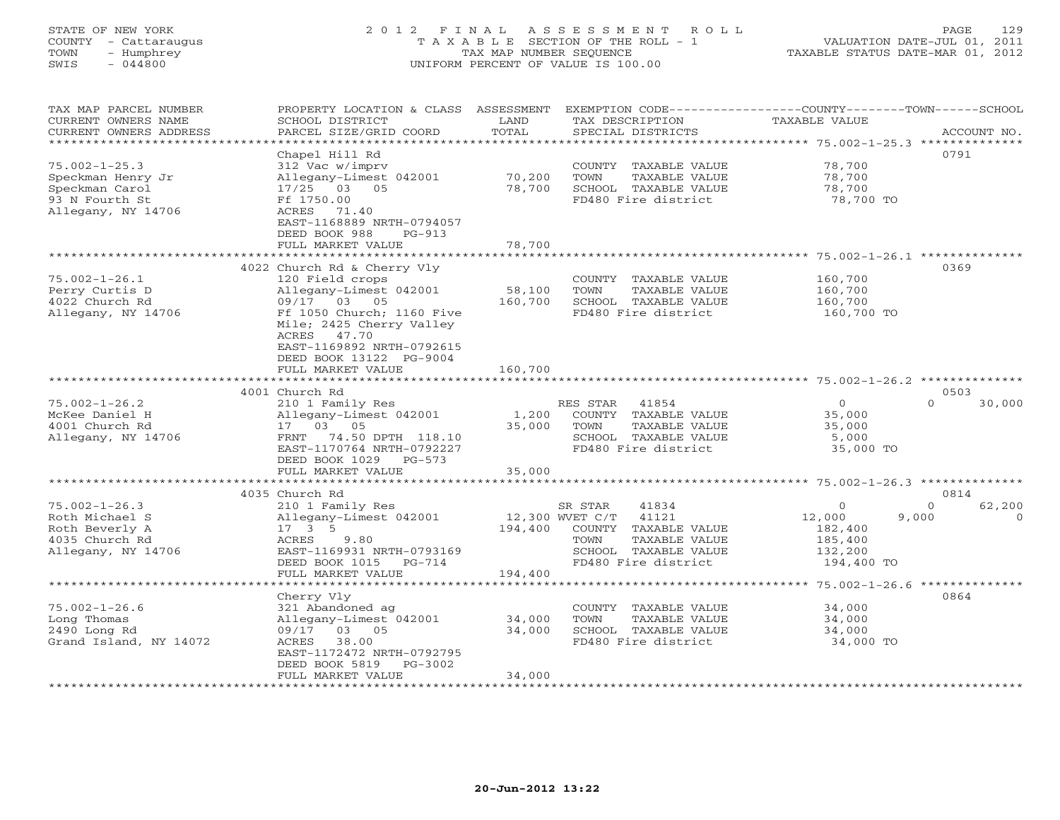# STATE OF NEW YORK 2 0 1 2 F I N A L A S S E S S M E N T R O L L PAGE 129 COUNTY - Cattaraugus T A X A B L E SECTION OF THE ROLL - 1 VALUATION DATE-JUL 01, 2011 TOWN - Humphrey TAX MAP NUMBER SEQUENCE TAXABLE STATUS DATE-MAR 01, 2012 SWIS - 044800 UNIFORM PERCENT OF VALUE IS 100.00UNIFORM PERCENT OF VALUE IS 100.00

| TAX MAP PARCEL NUMBER<br>CURRENT OWNERS NAME<br>CURRENT OWNERS ADDRESS | PROPERTY LOCATION & CLASS ASSESSMENT<br>SCHOOL DISTRICT<br>PARCEL SIZE/GRID COORD | LAND<br>TOTAL   | TAX DESCRIPTION<br>SPECIAL DISTRICTS | EXEMPTION CODE-----------------COUNTY-------TOWN------SCHOOL<br>TAXABLE VALUE | ACCOUNT NO. |
|------------------------------------------------------------------------|-----------------------------------------------------------------------------------|-----------------|--------------------------------------|-------------------------------------------------------------------------------|-------------|
| **********************                                                 |                                                                                   |                 |                                      |                                                                               |             |
|                                                                        | Chapel Hill Rd                                                                    |                 |                                      |                                                                               | 0791        |
| $75.002 - 1 - 25.3$                                                    | 312 Vac w/imprv                                                                   |                 | COUNTY TAXABLE VALUE                 | 78,700                                                                        |             |
| Speckman Henry Jr                                                      | Allegany-Limest 042001                                                            | 70,200          | TOWN<br>TAXABLE VALUE                | 78,700                                                                        |             |
| Speckman Carol                                                         | 17/25 03 05                                                                       | 78,700          | SCHOOL TAXABLE VALUE                 | 78,700                                                                        |             |
| 93 N Fourth St                                                         | Ff 1750.00                                                                        |                 | FD480 Fire district                  | 78,700 TO                                                                     |             |
| Allegany, NY 14706                                                     | ACRES<br>71.40                                                                    |                 |                                      |                                                                               |             |
|                                                                        | EAST-1168889 NRTH-0794057                                                         |                 |                                      |                                                                               |             |
|                                                                        | DEED BOOK 988<br>$PG-913$                                                         |                 |                                      |                                                                               |             |
|                                                                        | FULL MARKET VALUE                                                                 | 78,700          |                                      |                                                                               |             |
|                                                                        |                                                                                   |                 |                                      |                                                                               |             |
|                                                                        | 4022 Church Rd & Cherry Vly                                                       |                 |                                      |                                                                               | 0369        |
| $75.002 - 1 - 26.1$                                                    | 120 Field crops                                                                   |                 | COUNTY TAXABLE VALUE                 | 160,700                                                                       |             |
| Perry Curtis D                                                         | Allegany-Limest 042001                                                            | 58,100          | TOWN<br>TAXABLE VALUE                | 160,700                                                                       |             |
| 4022 Church Rd                                                         | 09/17 03 05                                                                       | 160,700         | SCHOOL TAXABLE VALUE                 | 160,700                                                                       |             |
| Allegany, NY 14706                                                     | Ff 1050 Church; 1160 Five                                                         |                 | FD480 Fire district                  | 160,700 TO                                                                    |             |
|                                                                        | Mile; 2425 Cherry Valley                                                          |                 |                                      |                                                                               |             |
|                                                                        | ACRES 47.70                                                                       |                 |                                      |                                                                               |             |
|                                                                        | EAST-1169892 NRTH-0792615                                                         |                 |                                      |                                                                               |             |
|                                                                        | DEED BOOK 13122 PG-9004                                                           |                 |                                      |                                                                               |             |
|                                                                        | FULL MARKET VALUE                                                                 | 160,700         |                                      |                                                                               |             |
|                                                                        |                                                                                   |                 |                                      |                                                                               |             |
|                                                                        | 4001 Church Rd                                                                    |                 |                                      |                                                                               | 0503        |
| $75.002 - 1 - 26.2$                                                    | 210 1 Family Res                                                                  |                 | RES STAR<br>41854                    | $\Omega$<br>$\Omega$                                                          | 30,000      |
| McKee Daniel H                                                         | Allegany-Limest 042001                                                            | 1,200           | COUNTY TAXABLE VALUE                 | 35,000                                                                        |             |
| 4001 Church Rd                                                         | 17 03 05                                                                          | 35,000          | TOWN<br>TAXABLE VALUE                | 35,000                                                                        |             |
| Allegany, NY 14706                                                     | FRNT<br>74.50 DPTH 118.10                                                         |                 | SCHOOL TAXABLE VALUE                 | 5,000                                                                         |             |
|                                                                        | EAST-1170764 NRTH-0792227                                                         |                 | FD480 Fire district                  | 35,000 TO                                                                     |             |
|                                                                        | DEED BOOK 1029<br>$PG-573$                                                        |                 |                                      |                                                                               |             |
|                                                                        | FULL MARKET VALUE                                                                 | 35,000          |                                      |                                                                               |             |
|                                                                        |                                                                                   |                 |                                      |                                                                               |             |
|                                                                        | 4035 Church Rd                                                                    |                 |                                      |                                                                               | 0814        |
| $75.002 - 1 - 26.3$                                                    | 210 1 Family Res                                                                  |                 | SR STAR<br>41834                     | $\mathbf{0}$<br>$\mathbf{0}$                                                  | 62,200      |
| Roth Michael S                                                         | Allegany-Limest 042001                                                            | 12,300 WVET C/T | 41121                                | 12,000<br>9,000                                                               |             |
| Roth Beverly A                                                         | $17 \quad 3 \quad 5$                                                              | 194,400         | COUNTY TAXABLE VALUE                 | 182,400                                                                       |             |
| 4035 Church Rd                                                         | ACRES<br>9.80                                                                     |                 | TOWN<br>TAXABLE VALUE                | 185,400                                                                       |             |
| Allegany, NY 14706                                                     | EAST-1169931 NRTH-0793169                                                         |                 | SCHOOL TAXABLE VALUE                 | 132,200                                                                       |             |
|                                                                        | DEED BOOK 1015<br>$PG-714$                                                        |                 | FD480 Fire district                  | 194,400 TO                                                                    |             |
|                                                                        | FULL MARKET VALUE                                                                 | 194,400         |                                      |                                                                               |             |
|                                                                        |                                                                                   |                 |                                      | ********* 75.002-1-26.6 ***************                                       |             |
|                                                                        | Cherry Vly                                                                        |                 |                                      |                                                                               | 0864        |
| $75.002 - 1 - 26.6$                                                    | 321 Abandoned ag                                                                  |                 | COUNTY TAXABLE VALUE                 | 34,000                                                                        |             |
| Long Thomas                                                            | Allegany-Limest 042001                                                            | 34,000          | TOWN<br>TAXABLE VALUE                | 34,000                                                                        |             |
| 2490 Long Rd                                                           | 09/17<br>03 05                                                                    | 34,000          | SCHOOL TAXABLE VALUE                 | 34,000                                                                        |             |
| Grand Island, NY 14072                                                 | ACRES<br>38.00                                                                    |                 | FD480 Fire district                  | 34,000 TO                                                                     |             |
|                                                                        | EAST-1172472 NRTH-0792795                                                         |                 |                                      |                                                                               |             |
|                                                                        | DEED BOOK 5819<br>$PG-3002$                                                       |                 |                                      |                                                                               |             |
|                                                                        | FULL MARKET VALUE                                                                 | 34,000          |                                      |                                                                               |             |
|                                                                        |                                                                                   |                 |                                      |                                                                               |             |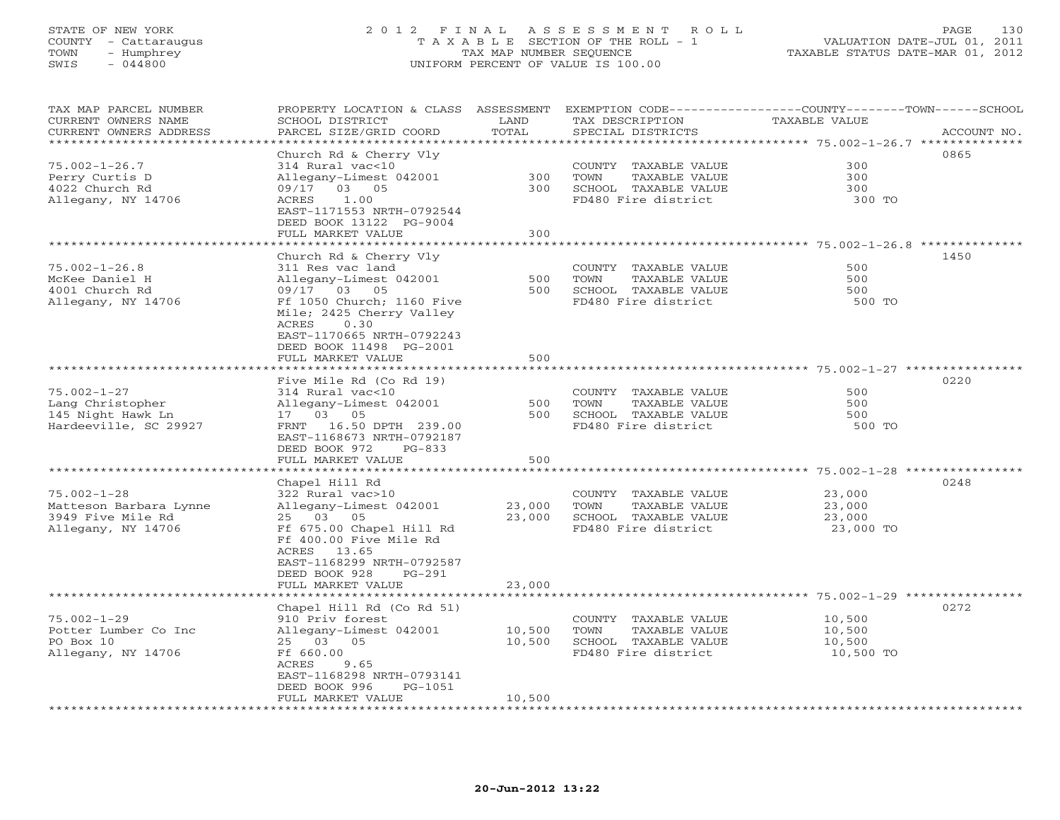# STATE OF NEW YORK 2 0 1 2 F I N A L A S S E S S M E N T R O L L PAGE 130 COUNTY - Cattaraugus T A X A B L E SECTION OF THE ROLL - 1 VALUATION DATE-JUL 01, 2011 TOWN - Humphrey **TAX MAP NUMBER SEQUENCE TAXABLE STATUS DATE-MAR 01, 2012**<br>
TOWN - Humphrey TAXABLE STATUS DATE-MAR 01, 2012<br>
SWIS - 044800 SWIS - 044800 UNIFORM PERCENT OF VALUE IS 100.00

| TAX MAP PARCEL NUMBER<br>CURRENT OWNERS NAME | PROPERTY LOCATION & CLASS ASSESSMENT<br>SCHOOL DISTRICT | LAND              | TAX DESCRIPTION        | EXEMPTION CODE----------------COUNTY-------TOWN-----SCHOOL<br>TAXABLE VALUE |
|----------------------------------------------|---------------------------------------------------------|-------------------|------------------------|-----------------------------------------------------------------------------|
| CURRENT OWNERS ADDRESS                       | PARCEL SIZE/GRID COORD                                  | TOTAL             | SPECIAL DISTRICTS      | ACCOUNT NO.                                                                 |
| *******************                          | **************                                          | ***********       |                        | ************************************* 75.002-1-26.7 **************          |
|                                              | Church Rd & Cherry Vly                                  |                   |                        | 0865                                                                        |
| $75.002 - 1 - 26.7$                          | 314 Rural vac<10                                        |                   | COUNTY TAXABLE VALUE   | 300                                                                         |
| Perry Curtis D                               | Allegany-Limest 042001                                  | 300               | TOWN<br>TAXABLE VALUE  | 300                                                                         |
| 4022 Church Rd                               | 03 05<br>09/17                                          | 300               | SCHOOL TAXABLE VALUE   | 300                                                                         |
| Allegany, NY 14706                           | 1.00<br>ACRES                                           |                   | FD480 Fire district    | 300 TO                                                                      |
|                                              | EAST-1171553 NRTH-0792544                               |                   |                        |                                                                             |
|                                              | DEED BOOK 13122 PG-9004<br>FULL MARKET VALUE            | 300               |                        |                                                                             |
|                                              | * * * * * * * * * * * * * *                             | * * * * * * * * * |                        | ************** 75.002-1-26.8 ********                                       |
|                                              | Church Rd & Cherry Vly                                  |                   |                        | 1450                                                                        |
| $75.002 - 1 - 26.8$                          | 311 Res vac land                                        |                   | COUNTY TAXABLE VALUE   | 500                                                                         |
| McKee Daniel H                               | Allegany-Limest 042001                                  | 500               | TOWN<br>TAXABLE VALUE  | 500                                                                         |
| 4001 Church Rd                               | 09/17 03<br>05                                          | 500               | SCHOOL TAXABLE VALUE   | 500                                                                         |
| Allegany, NY 14706                           | Ff 1050 Church; 1160 Five                               |                   | FD480 Fire district    | 500 TO                                                                      |
|                                              | Mile; 2425 Cherry Valley                                |                   |                        |                                                                             |
|                                              | 0.30<br>ACRES                                           |                   |                        |                                                                             |
|                                              | EAST-1170665 NRTH-0792243                               |                   |                        |                                                                             |
|                                              | DEED BOOK 11498 PG-2001                                 |                   |                        |                                                                             |
|                                              | FULL MARKET VALUE                                       | 500               |                        |                                                                             |
|                                              |                                                         |                   |                        |                                                                             |
|                                              | Five Mile Rd (Co Rd 19)                                 |                   |                        | 0220                                                                        |
| $75.002 - 1 - 27$                            | 314 Rural vac<10                                        |                   | COUNTY TAXABLE VALUE   | 500                                                                         |
| Lang Christopher                             | Allegany-Limest 042001                                  | 500               | TAXABLE VALUE<br>TOWN  | 500                                                                         |
| 145 Night Hawk Ln                            | 17 03 05                                                | 500               | SCHOOL TAXABLE VALUE   | 500                                                                         |
| Hardeeville, SC 29927                        | FRNT<br>16.50 DPTH 239.00                               |                   | FD480 Fire district    | 500 TO                                                                      |
|                                              | EAST-1168673 NRTH-0792187                               |                   |                        |                                                                             |
|                                              | DEED BOOK 972<br>$PG-833$                               |                   |                        |                                                                             |
|                                              | FULL MARKET VALUE                                       | 500<br>********   |                        | ***************** 75.002-1-28 ***************                               |
|                                              | Chapel Hill Rd                                          |                   |                        | 0248                                                                        |
| $75.002 - 1 - 28$                            | 322 Rural vac>10                                        |                   | COUNTY TAXABLE VALUE   | 23,000                                                                      |
| Matteson Barbara Lynne                       | Allegany-Limest 042001                                  | 23,000            | TOWN<br>TAXABLE VALUE  | 23,000                                                                      |
| 3949 Five Mile Rd                            | 25 03<br>05                                             | 23,000            | SCHOOL TAXABLE VALUE   | 23,000                                                                      |
| Allegany, NY 14706                           | Ff 675.00 Chapel Hill Rd                                |                   | FD480 Fire district    | 23,000 TO                                                                   |
|                                              | Ff 400.00 Five Mile Rd                                  |                   |                        |                                                                             |
|                                              | ACRES<br>13.65                                          |                   |                        |                                                                             |
|                                              | EAST-1168299 NRTH-0792587                               |                   |                        |                                                                             |
|                                              | DEED BOOK 928<br>$PG-291$                               |                   |                        |                                                                             |
|                                              | FULL MARKET VALUE                                       | 23,000            |                        |                                                                             |
|                                              |                                                         |                   |                        |                                                                             |
|                                              | Chapel Hill Rd (Co Rd 51)                               |                   |                        | 0272                                                                        |
| $75.002 - 1 - 29$                            | 910 Priv forest                                         |                   | COUNTY TAXABLE VALUE   | 10,500                                                                      |
| Potter Lumber Co Inc                         | Allegany-Limest 042001                                  | 10,500            | TOWN<br>TAXABLE VALUE  | 10,500                                                                      |
| PO Box 10                                    | 25 03<br>05                                             | 10,500            | SCHOOL TAXABLE VALUE   | 10,500                                                                      |
| Allegany, NY 14706                           | Ff 660.00                                               |                   | FD480 Fire district    | 10,500 TO                                                                   |
|                                              | 9.65<br>ACRES                                           |                   |                        |                                                                             |
|                                              | EAST-1168298 NRTH-0793141<br>DEED BOOK 996<br>PG-1051   |                   |                        |                                                                             |
|                                              | FULL MARKET VALUE                                       | 10,500            |                        |                                                                             |
|                                              | *********************                                   |                   | ********************** |                                                                             |
|                                              |                                                         |                   |                        |                                                                             |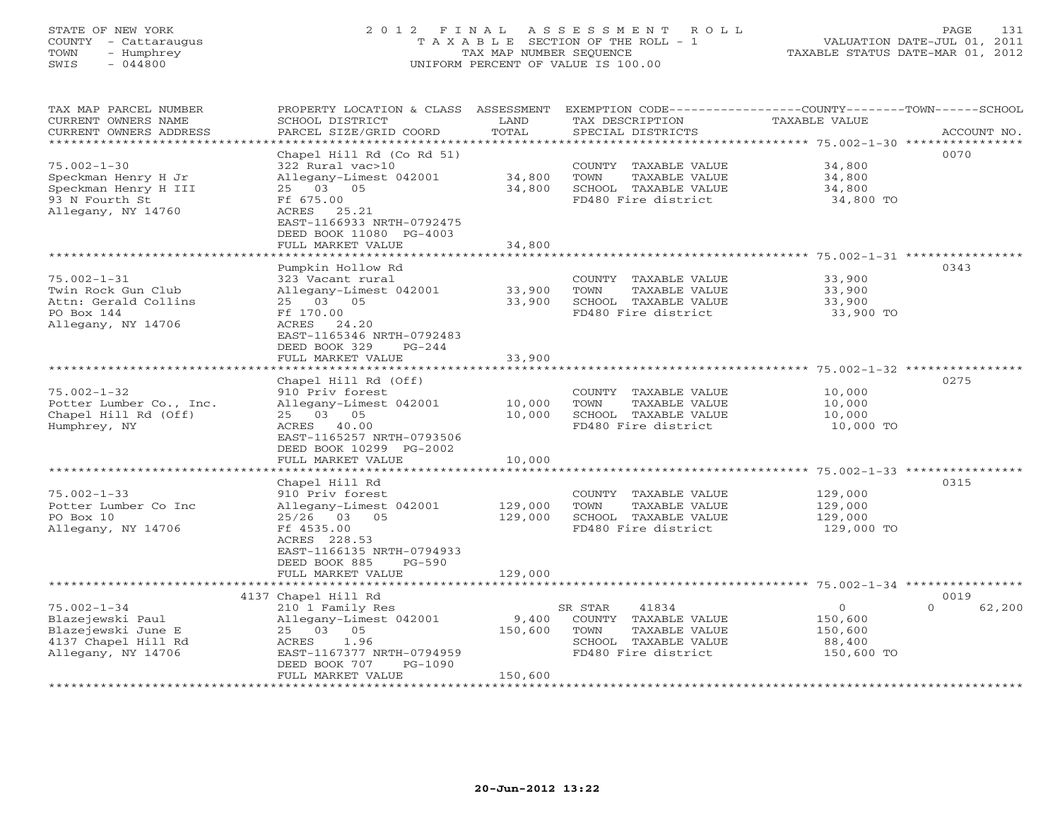# STATE OF NEW YORK 2 0 1 2 F I N A L A S S E S S M E N T R O L L PAGE 131 COUNTY - Cattaraugus T A X A B L E SECTION OF THE ROLL - 1 VALUATION DATE-JUL 01, 2011 TOWN - Humphrey TAX MAP NUMBER SEQUENCE TAXABLE STATUS DATE-MAR 01, 2012 SWIS - 044800 UNIFORM PERCENT OF VALUE IS 100.00UNIFORM PERCENT OF VALUE IS 100.00

| TAX MAP PARCEL NUMBER<br>CURRENT OWNERS NAME<br>CURRENT OWNERS ADDRESS<br>********************                                  | PROPERTY LOCATION & CLASS ASSESSMENT<br>SCHOOL DISTRICT<br>PARCEL SIZE/GRID COORD                                                                                                               | LAND<br>TOTAL               | EXEMPTION CODE-----------------COUNTY-------TOWN------SCHOOL<br>TAX DESCRIPTION<br>SPECIAL DISTRICTS             | TAXABLE VALUE                                         | ACCOUNT NO.        |
|---------------------------------------------------------------------------------------------------------------------------------|-------------------------------------------------------------------------------------------------------------------------------------------------------------------------------------------------|-----------------------------|------------------------------------------------------------------------------------------------------------------|-------------------------------------------------------|--------------------|
| $75.002 - 1 - 30$<br>Speckman Henry H Jr<br>Speckman Henry H III<br>93 N Fourth St<br>Allegany, NY 14760                        | Chapel Hill Rd (Co Rd 51)<br>322 Rural vac>10<br>Allegany-Limest 042001<br>25 03 05<br>Ff 675.00<br>ACRES<br>25.21<br>EAST-1166933 NRTH-0792475<br>DEED BOOK 11080 PG-4003<br>FULL MARKET VALUE | 34,800<br>34,800<br>34,800  | COUNTY TAXABLE VALUE<br>TOWN<br>TAXABLE VALUE<br>SCHOOL TAXABLE VALUE<br>FD480 Fire district                     | 34,800<br>34,800<br>34,800<br>34,800 TO               | 0070               |
|                                                                                                                                 | ************************                                                                                                                                                                        | ************                | ************************************* 75.002-1-31 *****************                                              |                                                       |                    |
| $75.002 - 1 - 31$<br>Twin Rock Gun Club<br>Attn: Gerald Collins<br>PO Box 144<br>Allegany, NY 14706                             | Pumpkin Hollow Rd<br>323 Vacant rural<br>Allegany-Limest 042001<br>25 03 05<br>Ff 170.00<br>ACRES 24.20<br>EAST-1165346 NRTH-0792483<br>DEED BOOK 329<br>$PG - 2.44$                            | 33,900<br>33,900            | COUNTY TAXABLE VALUE<br>TAXABLE VALUE<br>TOWN<br>SCHOOL TAXABLE VALUE<br>FD480 Fire district                     | 33,900<br>33,900<br>33,900<br>33,900 TO               | 0343               |
|                                                                                                                                 | FULL MARKET VALUE                                                                                                                                                                               | 33,900                      |                                                                                                                  |                                                       |                    |
|                                                                                                                                 |                                                                                                                                                                                                 |                             |                                                                                                                  |                                                       |                    |
| $75.002 - 1 - 32$<br>Potter Lumber Co., Inc.<br>Chapel Hill Rd (Off)<br>Humphrey, NY                                            | Chapel Hill Rd (Off)<br>910 Priv forest<br>Allegany-Limest 042001<br>25 03 05<br>ACRES 40.00<br>EAST-1165257 NRTH-0793506<br>DEED BOOK 10299 PG-2002                                            | 10,000<br>10,000            | COUNTY TAXABLE VALUE<br>TOWN<br>TAXABLE VALUE<br>SCHOOL TAXABLE VALUE<br>FD480 Fire district                     | 10,000<br>10,000<br>10,000<br>10,000 TO               | 0275               |
|                                                                                                                                 | FULL MARKET VALUE<br>* * * * * * * * * * * * * * * * * *                                                                                                                                        | 10,000                      |                                                                                                                  | ************************ 75.002-1-33 **************** |                    |
| $75.002 - 1 - 33$<br>Potter Lumber Co Inc<br>PO Box 10<br>Allegany, NY 14706                                                    | Chapel Hill Rd<br>910 Priv forest<br>Allegany-Limest 042001<br>$25/26$ 03<br>05<br>Ff 4535.00<br>ACRES 228.53<br>EAST-1166135 NRTH-0794933<br>DEED BOOK 885<br>$PG-590$                         | 129,000<br>129,000          | COUNTY TAXABLE VALUE<br>TOWN<br>TAXABLE VALUE<br>SCHOOL TAXABLE VALUE<br>FD480 Fire district                     | 129,000<br>129,000<br>129,000<br>129,000 TO           | 0315               |
|                                                                                                                                 | FULL MARKET VALUE                                                                                                                                                                               | 129,000                     |                                                                                                                  |                                                       |                    |
|                                                                                                                                 | 4137 Chapel Hill Rd                                                                                                                                                                             |                             |                                                                                                                  |                                                       | 0019               |
| $75.002 - 1 - 34$<br>Blazejewski Paul<br>Blazejewski June E<br>4137 Chapel Hill Rd<br>Allegany, NY 14706<br>******************* | 210 1 Family Res<br>Allegany-Limest 042001<br>25 03 05<br>ACRES<br>1.96<br>EAST-1167377 NRTH-0794959<br>DEED BOOK 707<br>$PG-1090$<br>FULL MARKET VALUE                                         | 9,400<br>150,600<br>150,600 | SR STAR<br>41834<br>COUNTY TAXABLE VALUE<br>TOWN<br>TAXABLE VALUE<br>SCHOOL TAXABLE VALUE<br>FD480 Fire district | $\circ$<br>150,600<br>150,600<br>88,400<br>150,600 TO | $\Omega$<br>62,200 |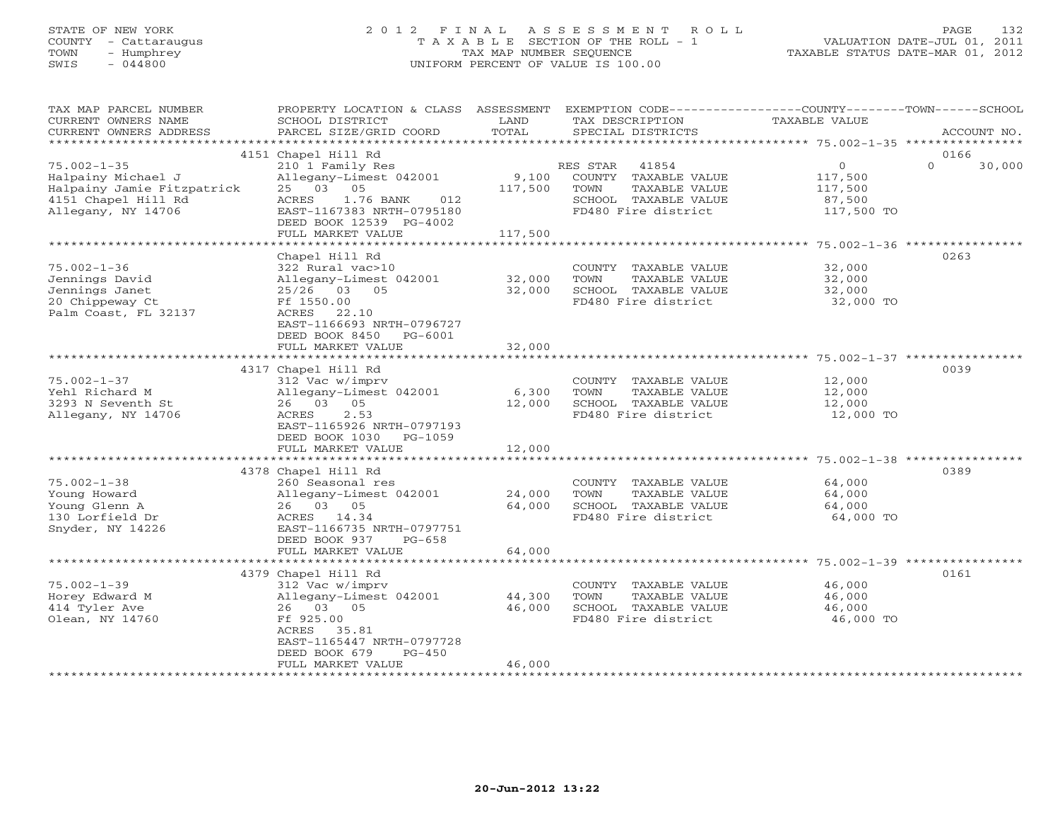# STATE OF NEW YORK 2 0 1 2 F I N A L A S S E S S M E N T R O L L PAGE 132 COUNTY - Cattaraugus T A X A B L E SECTION OF THE ROLL - 1 VALUATION DATE-JUL 01, 2011 TOWN - Humphrey TAX MAP NUMBER SEQUENCE TAXABLE STATUS DATE-MAR 01, 2012 SWIS - 044800 UNIFORM PERCENT OF VALUE IS 100.00UNIFORM PERCENT OF VALUE IS 100.00

| TAX MAP PARCEL NUMBER<br>CURRENT OWNERS NAME<br>CURRENT OWNERS ADDRESS                                             | PROPERTY LOCATION & CLASS ASSESSMENT<br>SCHOOL DISTRICT<br>PARCEL SIZE/GRID COORD                                                                                     | LAND<br>TOTAL             | EXEMPTION CODE-----------------COUNTY-------TOWN------SCHOOL<br>TAX DESCRIPTION<br>SPECIAL DISTRICTS              | <b>TAXABLE VALUE</b>                                       |          | ACCOUNT NO. |
|--------------------------------------------------------------------------------------------------------------------|-----------------------------------------------------------------------------------------------------------------------------------------------------------------------|---------------------------|-------------------------------------------------------------------------------------------------------------------|------------------------------------------------------------|----------|-------------|
| **********************                                                                                             |                                                                                                                                                                       |                           |                                                                                                                   |                                                            |          |             |
|                                                                                                                    | 4151 Chapel Hill Rd                                                                                                                                                   |                           |                                                                                                                   |                                                            | 0166     |             |
| $75.002 - 1 - 35$<br>Halpainy Michael J<br>Halpainy Jamie Fitzpatrick<br>4151 Chapel Hill Rd<br>Allegany, NY 14706 | 210 1 Family Res<br>Allegany-Limest 042001<br>25 03<br>05<br>ACRES<br>1.76 BANK<br>012<br>EAST-1167383 NRTH-0795180<br>DEED BOOK 12539 PG-4002                        | 9,100<br>117,500          | RES STAR<br>41854<br>COUNTY TAXABLE VALUE<br>TAXABLE VALUE<br>TOWN<br>SCHOOL TAXABLE VALUE<br>FD480 Fire district | $\mathsf{O}$<br>117,500<br>117,500<br>87,500<br>117,500 TO | $\Omega$ | 30,000      |
|                                                                                                                    | FULL MARKET VALUE                                                                                                                                                     | 117,500                   |                                                                                                                   |                                                            |          |             |
|                                                                                                                    |                                                                                                                                                                       |                           | ******************************** 75.002-1-36 ****************                                                     |                                                            |          |             |
| $75.002 - 1 - 36$<br>Jennings David<br>Jennings Janet<br>20 Chippeway Ct<br>Palm Coast, FL 32137                   | Chapel Hill Rd<br>322 Rural vac>10<br>Allegany-Limest 042001<br>$25/26$ 03<br>05<br>Ff 1550.00<br>ACRES<br>22.10<br>EAST-1166693 NRTH-0796727                         | 32,000<br>32,000          | COUNTY TAXABLE VALUE<br>TAXABLE VALUE<br>TOWN<br>SCHOOL TAXABLE VALUE<br>FD480 Fire district                      | 32,000<br>32,000<br>32,000<br>32,000 TO                    | 0263     |             |
|                                                                                                                    | DEED BOOK 8450<br>PG-6001<br>FULL MARKET VALUE<br>***************************                                                                                         | 32,000<br>*************   | ************************************ 75.002-1-37 *****************                                                |                                                            |          |             |
|                                                                                                                    | 4317 Chapel Hill Rd                                                                                                                                                   |                           |                                                                                                                   |                                                            | 0039     |             |
| $75.002 - 1 - 37$<br>Yehl Richard M<br>3293 N Seventh St<br>Allegany, NY 14706                                     | 312 Vac w/imprv<br>Allegany-Limest 042001<br>26 03 05<br>2.53<br>ACRES<br>EAST-1165926 NRTH-0797193<br>DEED BOOK 1030<br>PG-1059<br>FULL MARKET VALUE                 | 6,300<br>12,000<br>12,000 | COUNTY TAXABLE VALUE<br>TAXABLE VALUE<br>TOWN<br>SCHOOL TAXABLE VALUE<br>FD480 Fire district                      | 12,000<br>12,000<br>12,000<br>12,000 TO                    |          |             |
|                                                                                                                    |                                                                                                                                                                       |                           |                                                                                                                   |                                                            |          |             |
| $75.002 - 1 - 38$<br>Young Howard<br>Young Glenn A<br>130 Lorfield Dr<br>Snyder, NY 14226                          | 4378 Chapel Hill Rd<br>260 Seasonal res<br>Allegany-Limest 042001<br>26 03 05<br>ACRES 14.34<br>EAST-1166735 NRTH-0797751                                             | 24,000<br>64,000          | COUNTY TAXABLE VALUE<br>TOWN<br>TAXABLE VALUE<br>SCHOOL TAXABLE VALUE<br>FD480 Fire district                      | 64,000<br>64,000<br>64,000<br>64,000 TO                    | 0389     |             |
|                                                                                                                    | DEED BOOK 937<br>$PG-658$<br>FULL MARKET VALUE                                                                                                                        | 64,000                    |                                                                                                                   |                                                            |          |             |
|                                                                                                                    | *************************                                                                                                                                             |                           |                                                                                                                   |                                                            |          |             |
| $75.002 - 1 - 39$<br>Horey Edward M<br>414 Tyler Ave<br>Olean, NY 14760                                            | 4379 Chapel Hill Rd<br>312 Vac w/imprv<br>Allegany-Limest 042001<br>26 03 05<br>Ff 925.00<br>ACRES<br>35.81<br>EAST-1165447 NRTH-0797728<br>DEED BOOK 679<br>$PG-450$ | 44,300<br>46,000          | COUNTY TAXABLE VALUE<br>TOWN<br>TAXABLE VALUE<br>SCHOOL TAXABLE VALUE<br>FD480 Fire district                      | 46,000<br>46,000<br>46,000<br>46,000 TO                    | 0161     |             |
|                                                                                                                    | FULL MARKET VALUE                                                                                                                                                     | 46,000                    |                                                                                                                   |                                                            |          |             |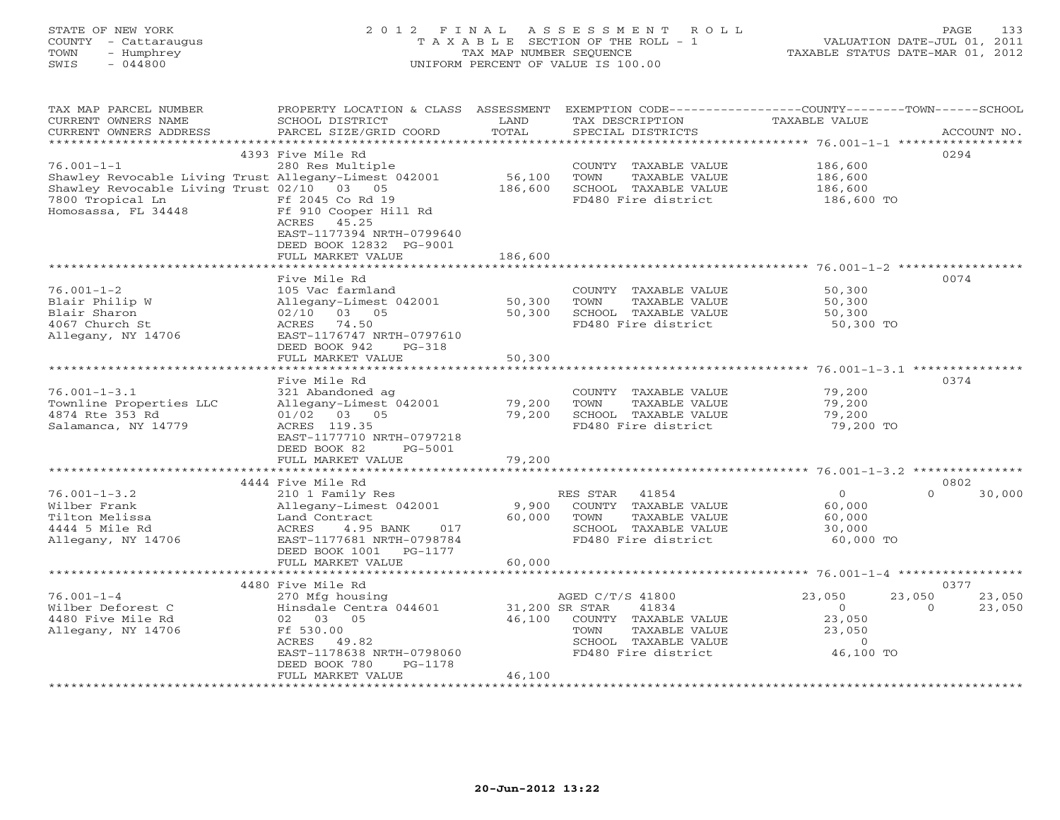# STATE OF NEW YORK 2 0 1 2 F I N A L A S S E S S M E N T R O L L PAGE 133 COUNTY - Cattaraugus T A X A B L E SECTION OF THE ROLL - 1 VALUATION DATE-JUL 01, 2011 TOWN - Humphrey TAX MAP NUMBER SEQUENCE TAXABLE STATUS DATE-MAR 01, 2012 SWIS - 044800 UNIFORM PERCENT OF VALUE IS 100.00UNIFORM PERCENT OF VALUE IS 100.00

| *************************<br>4393 Five Mile Rd<br>0294<br>$76.001 - 1 - 1$<br>280 Res Multiple<br>186,600<br>COUNTY TAXABLE VALUE<br>Shawley Revocable Living Trust Allegany-Limest 042001<br>56,100<br>TOWN<br>186,600<br>TAXABLE VALUE<br>Shawley Revocable Living Trust 02/10 03 05<br>186,600<br>SCHOOL TAXABLE VALUE<br>186,600<br>7800 Tropical Ln<br>Ff 2045 Co Rd 19<br>FD480 Fire district<br>186,600 TO<br>Homosassa, FL 34448<br>Ff 910 Cooper Hill Rd<br>45.25<br>ACRES<br>EAST-1177394 NRTH-0799640<br>DEED BOOK 12832 PG-9001<br>186,600<br>FULL MARKET VALUE<br>Five Mile Rd<br>0074<br>$76.001 - 1 - 2$<br>105 Vac farmland<br>50,300<br>COUNTY TAXABLE VALUE<br>Blair Philip W<br>Allegany-Limest 042001<br>50,300<br>TOWN<br>TAXABLE VALUE<br>50,300<br>Blair Sharon<br>03 05<br>50,300<br>SCHOOL TAXABLE VALUE<br>02/10<br>50,300<br>4067 Church St<br>ACRES 74.50<br>FD480 Fire district<br>50,300 TO<br>Allegany, NY 14706<br>EAST-1176747 NRTH-0797610<br>DEED BOOK 942<br>$PG-318$<br>50,300<br>FULL MARKET VALUE<br>0374<br>Five Mile Rd<br>$76.001 - 1 - 3.1$<br>321 Abandoned ag<br>COUNTY TAXABLE VALUE<br>79,200<br>Townline Properties LLC<br>Allegany-Limest 042001<br>79,200<br>TAXABLE VALUE<br>79,200<br>TOWN<br>79,200<br>4874 Rte 353 Rd<br>$01/02$ 03 05<br>SCHOOL TAXABLE VALUE<br>79,200<br>Salamanca, NY 14779<br>ACRES 119.35<br>FD480 Fire district<br>79,200 TO<br>EAST-1177710 NRTH-0797218<br>DEED BOOK 82<br>PG-5001<br>FULL MARKET VALUE<br>79,200<br>***********<br>****************************** 76.001-1-3.2 *************** |
|--------------------------------------------------------------------------------------------------------------------------------------------------------------------------------------------------------------------------------------------------------------------------------------------------------------------------------------------------------------------------------------------------------------------------------------------------------------------------------------------------------------------------------------------------------------------------------------------------------------------------------------------------------------------------------------------------------------------------------------------------------------------------------------------------------------------------------------------------------------------------------------------------------------------------------------------------------------------------------------------------------------------------------------------------------------------------------------------------------------------------------------------------------------------------------------------------------------------------------------------------------------------------------------------------------------------------------------------------------------------------------------------------------------------------------------------------------------------------------------------------------------------------------------------------------------------------------|
|                                                                                                                                                                                                                                                                                                                                                                                                                                                                                                                                                                                                                                                                                                                                                                                                                                                                                                                                                                                                                                                                                                                                                                                                                                                                                                                                                                                                                                                                                                                                                                                |
|                                                                                                                                                                                                                                                                                                                                                                                                                                                                                                                                                                                                                                                                                                                                                                                                                                                                                                                                                                                                                                                                                                                                                                                                                                                                                                                                                                                                                                                                                                                                                                                |
|                                                                                                                                                                                                                                                                                                                                                                                                                                                                                                                                                                                                                                                                                                                                                                                                                                                                                                                                                                                                                                                                                                                                                                                                                                                                                                                                                                                                                                                                                                                                                                                |
|                                                                                                                                                                                                                                                                                                                                                                                                                                                                                                                                                                                                                                                                                                                                                                                                                                                                                                                                                                                                                                                                                                                                                                                                                                                                                                                                                                                                                                                                                                                                                                                |
|                                                                                                                                                                                                                                                                                                                                                                                                                                                                                                                                                                                                                                                                                                                                                                                                                                                                                                                                                                                                                                                                                                                                                                                                                                                                                                                                                                                                                                                                                                                                                                                |
|                                                                                                                                                                                                                                                                                                                                                                                                                                                                                                                                                                                                                                                                                                                                                                                                                                                                                                                                                                                                                                                                                                                                                                                                                                                                                                                                                                                                                                                                                                                                                                                |
|                                                                                                                                                                                                                                                                                                                                                                                                                                                                                                                                                                                                                                                                                                                                                                                                                                                                                                                                                                                                                                                                                                                                                                                                                                                                                                                                                                                                                                                                                                                                                                                |
|                                                                                                                                                                                                                                                                                                                                                                                                                                                                                                                                                                                                                                                                                                                                                                                                                                                                                                                                                                                                                                                                                                                                                                                                                                                                                                                                                                                                                                                                                                                                                                                |
|                                                                                                                                                                                                                                                                                                                                                                                                                                                                                                                                                                                                                                                                                                                                                                                                                                                                                                                                                                                                                                                                                                                                                                                                                                                                                                                                                                                                                                                                                                                                                                                |
|                                                                                                                                                                                                                                                                                                                                                                                                                                                                                                                                                                                                                                                                                                                                                                                                                                                                                                                                                                                                                                                                                                                                                                                                                                                                                                                                                                                                                                                                                                                                                                                |
|                                                                                                                                                                                                                                                                                                                                                                                                                                                                                                                                                                                                                                                                                                                                                                                                                                                                                                                                                                                                                                                                                                                                                                                                                                                                                                                                                                                                                                                                                                                                                                                |
|                                                                                                                                                                                                                                                                                                                                                                                                                                                                                                                                                                                                                                                                                                                                                                                                                                                                                                                                                                                                                                                                                                                                                                                                                                                                                                                                                                                                                                                                                                                                                                                |
|                                                                                                                                                                                                                                                                                                                                                                                                                                                                                                                                                                                                                                                                                                                                                                                                                                                                                                                                                                                                                                                                                                                                                                                                                                                                                                                                                                                                                                                                                                                                                                                |
|                                                                                                                                                                                                                                                                                                                                                                                                                                                                                                                                                                                                                                                                                                                                                                                                                                                                                                                                                                                                                                                                                                                                                                                                                                                                                                                                                                                                                                                                                                                                                                                |
|                                                                                                                                                                                                                                                                                                                                                                                                                                                                                                                                                                                                                                                                                                                                                                                                                                                                                                                                                                                                                                                                                                                                                                                                                                                                                                                                                                                                                                                                                                                                                                                |
|                                                                                                                                                                                                                                                                                                                                                                                                                                                                                                                                                                                                                                                                                                                                                                                                                                                                                                                                                                                                                                                                                                                                                                                                                                                                                                                                                                                                                                                                                                                                                                                |
|                                                                                                                                                                                                                                                                                                                                                                                                                                                                                                                                                                                                                                                                                                                                                                                                                                                                                                                                                                                                                                                                                                                                                                                                                                                                                                                                                                                                                                                                                                                                                                                |
|                                                                                                                                                                                                                                                                                                                                                                                                                                                                                                                                                                                                                                                                                                                                                                                                                                                                                                                                                                                                                                                                                                                                                                                                                                                                                                                                                                                                                                                                                                                                                                                |
|                                                                                                                                                                                                                                                                                                                                                                                                                                                                                                                                                                                                                                                                                                                                                                                                                                                                                                                                                                                                                                                                                                                                                                                                                                                                                                                                                                                                                                                                                                                                                                                |
|                                                                                                                                                                                                                                                                                                                                                                                                                                                                                                                                                                                                                                                                                                                                                                                                                                                                                                                                                                                                                                                                                                                                                                                                                                                                                                                                                                                                                                                                                                                                                                                |
|                                                                                                                                                                                                                                                                                                                                                                                                                                                                                                                                                                                                                                                                                                                                                                                                                                                                                                                                                                                                                                                                                                                                                                                                                                                                                                                                                                                                                                                                                                                                                                                |
|                                                                                                                                                                                                                                                                                                                                                                                                                                                                                                                                                                                                                                                                                                                                                                                                                                                                                                                                                                                                                                                                                                                                                                                                                                                                                                                                                                                                                                                                                                                                                                                |
|                                                                                                                                                                                                                                                                                                                                                                                                                                                                                                                                                                                                                                                                                                                                                                                                                                                                                                                                                                                                                                                                                                                                                                                                                                                                                                                                                                                                                                                                                                                                                                                |
|                                                                                                                                                                                                                                                                                                                                                                                                                                                                                                                                                                                                                                                                                                                                                                                                                                                                                                                                                                                                                                                                                                                                                                                                                                                                                                                                                                                                                                                                                                                                                                                |
|                                                                                                                                                                                                                                                                                                                                                                                                                                                                                                                                                                                                                                                                                                                                                                                                                                                                                                                                                                                                                                                                                                                                                                                                                                                                                                                                                                                                                                                                                                                                                                                |
|                                                                                                                                                                                                                                                                                                                                                                                                                                                                                                                                                                                                                                                                                                                                                                                                                                                                                                                                                                                                                                                                                                                                                                                                                                                                                                                                                                                                                                                                                                                                                                                |
|                                                                                                                                                                                                                                                                                                                                                                                                                                                                                                                                                                                                                                                                                                                                                                                                                                                                                                                                                                                                                                                                                                                                                                                                                                                                                                                                                                                                                                                                                                                                                                                |
|                                                                                                                                                                                                                                                                                                                                                                                                                                                                                                                                                                                                                                                                                                                                                                                                                                                                                                                                                                                                                                                                                                                                                                                                                                                                                                                                                                                                                                                                                                                                                                                |
| 4444 Five Mile Rd<br>0802                                                                                                                                                                                                                                                                                                                                                                                                                                                                                                                                                                                                                                                                                                                                                                                                                                                                                                                                                                                                                                                                                                                                                                                                                                                                                                                                                                                                                                                                                                                                                      |
| $76.001 - 1 - 3.2$<br>210 1 Family Res<br>$\circ$<br>30,000<br>RES STAR<br>41854<br>$\Omega$                                                                                                                                                                                                                                                                                                                                                                                                                                                                                                                                                                                                                                                                                                                                                                                                                                                                                                                                                                                                                                                                                                                                                                                                                                                                                                                                                                                                                                                                                   |
| Wilber Frank<br>Allegany-Limest 042001<br>9,900<br>COUNTY TAXABLE VALUE<br>60,000                                                                                                                                                                                                                                                                                                                                                                                                                                                                                                                                                                                                                                                                                                                                                                                                                                                                                                                                                                                                                                                                                                                                                                                                                                                                                                                                                                                                                                                                                              |
| Tilton Melissa<br>Land Contract<br>60,000<br>TOWN<br>TAXABLE VALUE<br>60,000                                                                                                                                                                                                                                                                                                                                                                                                                                                                                                                                                                                                                                                                                                                                                                                                                                                                                                                                                                                                                                                                                                                                                                                                                                                                                                                                                                                                                                                                                                   |
| 4444 5 Mile Rd<br>SCHOOL TAXABLE VALUE<br>ACRES<br>4.95 BANK<br>017<br>30,000                                                                                                                                                                                                                                                                                                                                                                                                                                                                                                                                                                                                                                                                                                                                                                                                                                                                                                                                                                                                                                                                                                                                                                                                                                                                                                                                                                                                                                                                                                  |
| FD480 Fire district<br>Allegany, NY 14706<br>60,000 TO<br>EAST-1177681 NRTH-0798784                                                                                                                                                                                                                                                                                                                                                                                                                                                                                                                                                                                                                                                                                                                                                                                                                                                                                                                                                                                                                                                                                                                                                                                                                                                                                                                                                                                                                                                                                            |
| DEED BOOK 1001<br>PG-1177                                                                                                                                                                                                                                                                                                                                                                                                                                                                                                                                                                                                                                                                                                                                                                                                                                                                                                                                                                                                                                                                                                                                                                                                                                                                                                                                                                                                                                                                                                                                                      |
| FULL MARKET VALUE<br>60,000<br>*********************                                                                                                                                                                                                                                                                                                                                                                                                                                                                                                                                                                                                                                                                                                                                                                                                                                                                                                                                                                                                                                                                                                                                                                                                                                                                                                                                                                                                                                                                                                                           |
| 4480 Five Mile Rd<br>0377                                                                                                                                                                                                                                                                                                                                                                                                                                                                                                                                                                                                                                                                                                                                                                                                                                                                                                                                                                                                                                                                                                                                                                                                                                                                                                                                                                                                                                                                                                                                                      |
| $76.001 - 1 - 4$<br>23,050<br>270 Mfg housing<br>AGED C/T/S 41800<br>23,050<br>23,050                                                                                                                                                                                                                                                                                                                                                                                                                                                                                                                                                                                                                                                                                                                                                                                                                                                                                                                                                                                                                                                                                                                                                                                                                                                                                                                                                                                                                                                                                          |
| $\Omega$<br>Wilber Deforest C<br>Hinsdale Centra 044601<br>31,200 SR STAR<br>41834<br>23,050<br>$\Omega$                                                                                                                                                                                                                                                                                                                                                                                                                                                                                                                                                                                                                                                                                                                                                                                                                                                                                                                                                                                                                                                                                                                                                                                                                                                                                                                                                                                                                                                                       |
| 4480 Five Mile Rd<br>02 03 05<br>46,100<br>COUNTY TAXABLE VALUE<br>23,050                                                                                                                                                                                                                                                                                                                                                                                                                                                                                                                                                                                                                                                                                                                                                                                                                                                                                                                                                                                                                                                                                                                                                                                                                                                                                                                                                                                                                                                                                                      |
| Allegany, NY 14706<br>Ff 530.00<br>TAXABLE VALUE<br>23,050<br>TOWN                                                                                                                                                                                                                                                                                                                                                                                                                                                                                                                                                                                                                                                                                                                                                                                                                                                                                                                                                                                                                                                                                                                                                                                                                                                                                                                                                                                                                                                                                                             |
| SCHOOL TAXABLE VALUE<br>ACRES 49.82<br>$\Omega$                                                                                                                                                                                                                                                                                                                                                                                                                                                                                                                                                                                                                                                                                                                                                                                                                                                                                                                                                                                                                                                                                                                                                                                                                                                                                                                                                                                                                                                                                                                                |
| FD480 Fire district<br>46,100 TO<br>EAST-1178638 NRTH-0798060                                                                                                                                                                                                                                                                                                                                                                                                                                                                                                                                                                                                                                                                                                                                                                                                                                                                                                                                                                                                                                                                                                                                                                                                                                                                                                                                                                                                                                                                                                                  |
| DEED BOOK 780<br>PG-1178                                                                                                                                                                                                                                                                                                                                                                                                                                                                                                                                                                                                                                                                                                                                                                                                                                                                                                                                                                                                                                                                                                                                                                                                                                                                                                                                                                                                                                                                                                                                                       |
| 46,100<br>FULL MARKET VALUE                                                                                                                                                                                                                                                                                                                                                                                                                                                                                                                                                                                                                                                                                                                                                                                                                                                                                                                                                                                                                                                                                                                                                                                                                                                                                                                                                                                                                                                                                                                                                    |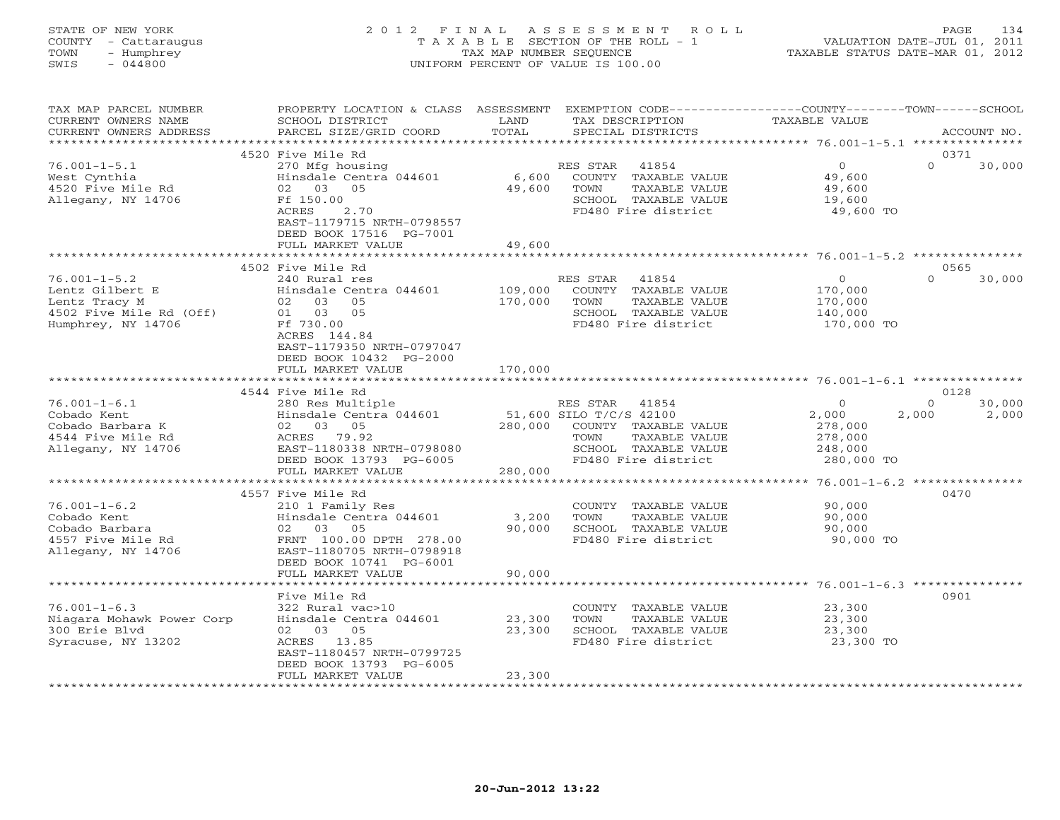STATE OF NEW YORK 2 0 1 2 F I N A L A S S E S S M E N T R O L L PAGE 134 COUNTY - Cattaraugus T A X A B L E SECTION OF THE ROLL - 1 VALUATION DATE-JUL 01, 2011 TOWN - Humphrey TAX MAP NUMBER SEQUENCE TAXABLE STATUS DATE-MAR 01, 2012 SWIS - 044800 UNIFORM PERCENT OF VALUE IS 100.00UNIFORM PERCENT OF VALUE IS 100.00

TAX MAP PARCEL NUMBER PROPERTY LOCATION & CLASS ASSESSMENT EXEMPTION CODE----------------COUNTY-------TOWN------SCHOOL

| CURRENT OWNERS NAME       | SCHOOL DISTRICT             | LAND       | TAX DESCRIPTION         |                      | TAXABLE VALUE                                      |                    |
|---------------------------|-----------------------------|------------|-------------------------|----------------------|----------------------------------------------------|--------------------|
| CURRENT OWNERS ADDRESS    | PARCEL SIZE/GRID COORD      | TOTAL      |                         | SPECIAL DISTRICTS    |                                                    | ACCOUNT NO.        |
| **********************    |                             |            |                         |                      |                                                    | ******             |
|                           | 4520 Five Mile Rd           |            |                         |                      |                                                    | 0371               |
| $76.001 - 1 - 5.1$        | 270 Mfg housing             |            | RES STAR                | 41854                | $\circ$                                            | $\Omega$<br>30,000 |
| West Cynthia              | Hinsdale Centra 044601      | 6,600      |                         | COUNTY TAXABLE VALUE | 49,600                                             |                    |
| 4520 Five Mile Rd         | 02<br>03<br>05              | 49,600     | TOWN                    | TAXABLE VALUE        | 49,600                                             |                    |
| Allegany, NY 14706        | Ff 150.00                   |            |                         | SCHOOL TAXABLE VALUE | 19,600                                             |                    |
|                           | ACRES<br>2.70               |            |                         | FD480 Fire district  | 49,600 TO                                          |                    |
|                           | EAST-1179715 NRTH-0798557   |            |                         |                      |                                                    |                    |
|                           | DEED BOOK 17516 PG-7001     |            |                         |                      |                                                    |                    |
|                           | FULL MARKET VALUE           | 49,600     |                         |                      |                                                    |                    |
|                           | ********************        |            |                         |                      |                                                    |                    |
|                           | 4502 Five Mile Rd           |            |                         |                      |                                                    | 0565               |
|                           |                             |            |                         |                      |                                                    | $\Omega$           |
| $76.001 - 1 - 5.2$        | 240 Rural res               |            | RES STAR                | 41854                | $\circ$                                            | 30,000             |
| Lentz Gilbert E           | Hinsdale Centra 044601      | 109,000    |                         | COUNTY TAXABLE VALUE | 170,000                                            |                    |
| Lentz Tracy M             | 03<br>02<br>05              | 170,000    | TOWN                    | TAXABLE VALUE        | 170,000                                            |                    |
| 4502 Five Mile Rd (Off)   | 03<br>05<br>01              |            |                         | SCHOOL TAXABLE VALUE | 140,000                                            |                    |
| Humphrey, NY 14706        | Ff 730.00                   |            |                         | FD480 Fire district  | 170,000 TO                                         |                    |
|                           | ACRES 144.84                |            |                         |                      |                                                    |                    |
|                           | EAST-1179350 NRTH-0797047   |            |                         |                      |                                                    |                    |
|                           | DEED BOOK 10432 PG-2000     |            |                         |                      |                                                    |                    |
|                           | FULL MARKET VALUE           | 170,000    |                         |                      |                                                    |                    |
|                           |                             |            |                         |                      |                                                    |                    |
|                           | 4544 Five Mile Rd           |            |                         |                      |                                                    | 0128               |
| $76.001 - 1 - 6.1$        | 280 Res Multiple            |            | RES STAR                | 41854                | $\Omega$                                           | 30,000<br>$\Omega$ |
| Cobado Kent               | Hinsdale Centra 044601      |            | 51,600 SILO T/C/S 42100 |                      | 2,000                                              | 2,000<br>2,000     |
| Cobado Barbara K          | 02 03<br>05                 | 280,000    |                         | COUNTY TAXABLE VALUE | 278,000                                            |                    |
| 4544 Five Mile Rd         | ACRES 79.92                 |            | TOWN                    | TAXABLE VALUE        | 278,000                                            |                    |
| Allegany, NY 14706        | EAST-1180338 NRTH-0798080   |            |                         | SCHOOL TAXABLE VALUE | 248,000                                            |                    |
|                           | DEED BOOK 13793 PG-6005     |            |                         | FD480 Fire district  | 280,000 TO                                         |                    |
|                           | FULL MARKET VALUE           | 280,000    |                         |                      |                                                    |                    |
|                           | *************************** |            |                         |                      |                                                    |                    |
|                           | 4557 Five Mile Rd           |            |                         |                      |                                                    | 0470               |
| $76.001 - 1 - 6.2$        | 210 1 Family Res            |            |                         | COUNTY TAXABLE VALUE | 90,000                                             |                    |
| Cobado Kent               | Hinsdale Centra 044601      | 3,200      | TOWN                    | TAXABLE VALUE        | 90,000                                             |                    |
| Cobado Barbara            | 03<br>05                    | 90,000     |                         | SCHOOL TAXABLE VALUE | 90,000                                             |                    |
|                           | 02                          |            |                         |                      |                                                    |                    |
| 4557 Five Mile Rd         | FRNT 100.00 DPTH 278.00     |            |                         | FD480 Fire district  | 90,000 TO                                          |                    |
| Allegany, NY 14706        | EAST-1180705 NRTH-0798918   |            |                         |                      |                                                    |                    |
|                           | DEED BOOK 10741 PG-6001     |            |                         |                      |                                                    |                    |
|                           | FULL MARKET VALUE           | 90,000     |                         |                      |                                                    |                    |
|                           | *****************           | ********** |                         |                      | ********************* 76.001-1-6.3 *************** |                    |
|                           | Five Mile Rd                |            |                         |                      |                                                    | 0901               |
| $76.001 - 1 - 6.3$        | 322 Rural vac>10            |            | COUNTY                  | TAXABLE VALUE        | 23,300                                             |                    |
| Niagara Mohawk Power Corp | Hinsdale Centra 044601      | 23,300     | TOWN                    | TAXABLE VALUE        | 23,300                                             |                    |
| 300 Erie Blvd             | 02 03 05                    | 23,300     |                         | SCHOOL TAXABLE VALUE | 23,300                                             |                    |
| Syracuse, NY 13202        | 13.85<br>ACRES              |            |                         | FD480 Fire district  | 23,300 TO                                          |                    |
|                           | EAST-1180457 NRTH-0799725   |            |                         |                      |                                                    |                    |
|                           | DEED BOOK 13793 PG-6005     |            |                         |                      |                                                    |                    |
|                           | FULL MARKET VALUE           | 23,300     |                         |                      |                                                    |                    |
|                           | *****************           |            |                         |                      |                                                    |                    |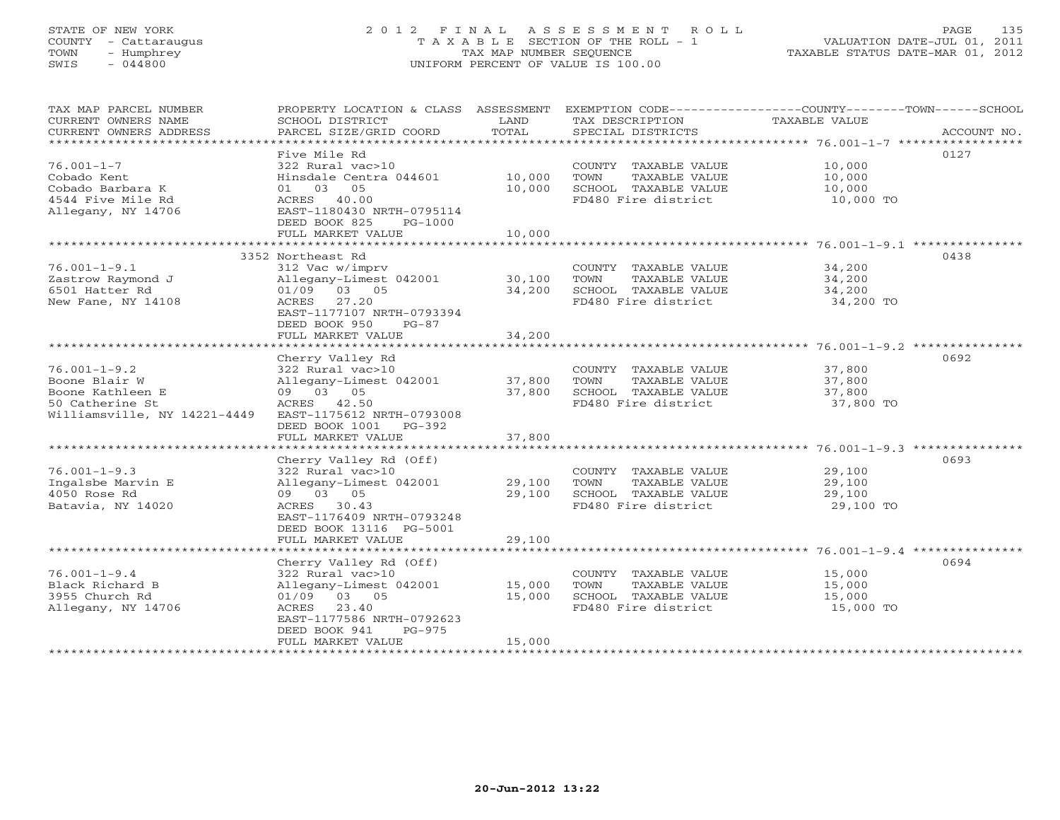# STATE OF NEW YORK 2 0 1 2 F I N A L A S S E S S M E N T R O L L PAGE 135 COUNTY - Cattaraugus T A X A B L E SECTION OF THE ROLL - 1 VALUATION DATE-JUL 01, 2011 TOWN - Humphrey TAX MAP NUMBER SEQUENCE TAXABLE STATUS DATE-MAR 01, 2012 SWIS - 044800 UNIFORM PERCENT OF VALUE IS 100.00UNIFORM PERCENT OF VALUE IS 100.00

| TAX MAP PARCEL NUMBER                         | PROPERTY LOCATION & CLASS ASSESSMENT |               |                                      | EXEMPTION CODE-----------------COUNTY-------TOWN------SCHOOL |
|-----------------------------------------------|--------------------------------------|---------------|--------------------------------------|--------------------------------------------------------------|
| CURRENT OWNERS NAME<br>CURRENT OWNERS ADDRESS | SCHOOL DISTRICT                      | LAND<br>TOTAL | TAX DESCRIPTION<br>SPECIAL DISTRICTS | TAXABLE VALUE<br>ACCOUNT NO.                                 |
| ************************                      | PARCEL SIZE/GRID COORD               |               |                                      |                                                              |
|                                               | Five Mile Rd                         |               |                                      | 0127                                                         |
| $76.001 - 1 - 7$                              | 322 Rural vac>10                     |               | COUNTY TAXABLE VALUE                 | 10,000                                                       |
| Cobado Kent                                   | Hinsdale Centra 044601               | 10,000        | TOWN<br>TAXABLE VALUE                | 10,000                                                       |
| Cobado Barbara K                              | 01 03<br>05                          | 10,000        | SCHOOL TAXABLE VALUE                 | 10,000                                                       |
| 4544 Five Mile Rd                             | ACRES 40.00                          |               | FD480 Fire district                  | 10,000 TO                                                    |
| Allegany, NY 14706                            | EAST-1180430 NRTH-0795114            |               |                                      |                                                              |
|                                               | DEED BOOK 825<br>$PG-1000$           |               |                                      |                                                              |
|                                               | FULL MARKET VALUE                    | 10,000        |                                      |                                                              |
|                                               | ************************             | ***********   |                                      | ******************** 76.001-1-9.1 ****************           |
|                                               | 3352 Northeast Rd                    |               |                                      | 0438                                                         |
| $76.001 - 1 - 9.1$                            | 312 Vac w/imprv                      |               | COUNTY TAXABLE VALUE                 | 34,200                                                       |
| Zastrow Raymond J                             | Allegany-Limest 042001               | 30,100        | TOWN<br>TAXABLE VALUE                | 34,200                                                       |
| 6501 Hatter Rd                                | $01/09$ 03 05                        | 34,200        | SCHOOL TAXABLE VALUE                 | 34,200                                                       |
| New Fane, NY 14108                            | 27.20<br>ACRES                       |               | FD480 Fire district                  | 34,200 TO                                                    |
|                                               | EAST-1177107 NRTH-0793394            |               |                                      |                                                              |
|                                               | DEED BOOK 950<br>$PG-87$             |               |                                      |                                                              |
|                                               | FULL MARKET VALUE                    | 34,200        |                                      |                                                              |
|                                               | Cherry Valley Rd                     |               |                                      | 0692                                                         |
| $76.001 - 1 - 9.2$                            | 322 Rural vac>10                     |               | COUNTY TAXABLE VALUE                 | 37,800                                                       |
| Boone Blair W                                 | Allegany-Limest 042001               | 37,800        | TOWN<br>TAXABLE VALUE                | 37,800                                                       |
| Boone Kathleen E                              | 09 03 05                             | 37,800        | SCHOOL TAXABLE VALUE                 | 37,800                                                       |
| 50 Catherine St                               | ACRES 42.50                          |               | FD480 Fire district                  | 37,800 TO                                                    |
| Williamsville, NY 14221-4449                  | EAST-1175612 NRTH-0793008            |               |                                      |                                                              |
|                                               | DEED BOOK 1001<br>PG-392             |               |                                      |                                                              |
|                                               | FULL MARKET VALUE                    | 37,800        |                                      |                                                              |
|                                               |                                      |               |                                      |                                                              |
|                                               | Cherry Valley Rd (Off)               |               |                                      | 0693                                                         |
| $76.001 - 1 - 9.3$                            | 322 Rural vac>10                     |               | COUNTY TAXABLE VALUE                 | 29,100                                                       |
| Ingalsbe Marvin E                             | Allegany-Limest 042001               | 29,100        | TAXABLE VALUE<br>TOWN                | 29,100                                                       |
| 4050 Rose Rd                                  | 09 03 05                             | 29,100        | SCHOOL TAXABLE VALUE                 | 29,100                                                       |
| Batavia, NY 14020                             | ACRES 30.43                          |               | FD480 Fire district                  | 29,100 TO                                                    |
|                                               | EAST-1176409 NRTH-0793248            |               |                                      |                                                              |
|                                               | DEED BOOK 13116 PG-5001              |               |                                      |                                                              |
|                                               | FULL MARKET VALUE                    | 29,100        |                                      |                                                              |
|                                               | Cherry Valley Rd (Off)               |               |                                      | 0694                                                         |
| $76.001 - 1 - 9.4$                            | 322 Rural vac>10                     |               | COUNTY TAXABLE VALUE                 | 15,000                                                       |
| Black Richard B                               | Allegany-Limest 042001               | 15,000        | TOWN<br>TAXABLE VALUE                | 15,000                                                       |
| 3955 Church Rd                                | 01/09 03 05                          | 15,000        | SCHOOL TAXABLE VALUE                 | 15,000                                                       |
| Allegany, NY 14706                            | 23.40<br>ACRES                       |               | FD480 Fire district                  | 15,000 TO                                                    |
|                                               | EAST-1177586 NRTH-0792623            |               |                                      |                                                              |
|                                               | DEED BOOK 941<br>$PG-975$            |               |                                      |                                                              |
|                                               | FULL MARKET VALUE                    | 15,000        |                                      |                                                              |
|                                               |                                      |               |                                      |                                                              |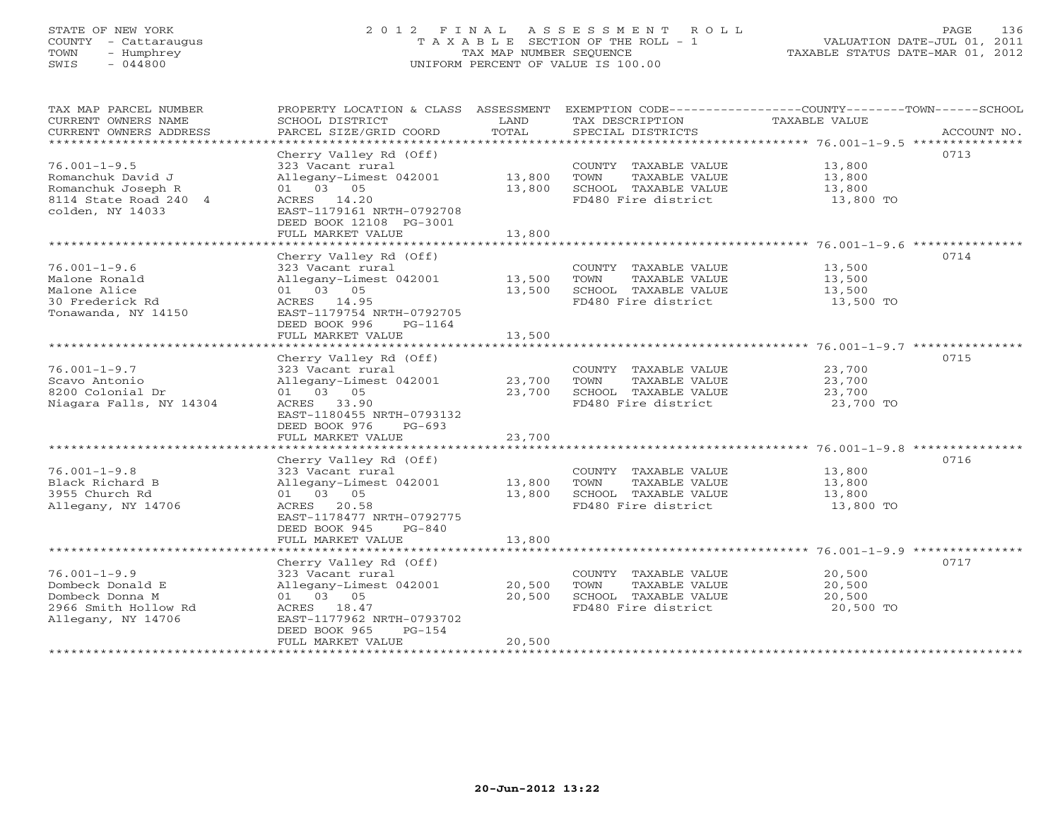# STATE OF NEW YORK 2 0 1 2 F I N A L A S S E S S M E N T R O L L PAGE 136 COUNTY - Cattaraugus T A X A B L E SECTION OF THE ROLL - 1 VALUATION DATE-JUL 01, 2011 TOWN - Humphrey TAX MAP NUMBER SEQUENCE TAXABLE STATUS DATE-MAR 01, 2012 SWIS - 044800 UNIFORM PERCENT OF VALUE IS 100.00

| TAX MAP PARCEL NUMBER<br>CURRENT OWNERS NAME<br>CURRENT OWNERS ADDRESS<br>*************************                    | PROPERTY LOCATION & CLASS ASSESSMENT<br>SCHOOL DISTRICT<br>PARCEL SIZE/GRID COORD                                                                                              | LAND<br>TOTAL              | TAX DESCRIPTION<br>SPECIAL DISTRICTS                                                         | EXEMPTION CODE-----------------COUNTY-------TOWN------SCHOOL<br>TAXABLE VALUE<br>ACCOUNT NO. |
|------------------------------------------------------------------------------------------------------------------------|--------------------------------------------------------------------------------------------------------------------------------------------------------------------------------|----------------------------|----------------------------------------------------------------------------------------------|----------------------------------------------------------------------------------------------|
| $76.001 - 1 - 9.5$<br>Romanchuk David J<br>Romanchuk Joseph R<br>8114 State Road 240 4<br>colden, NY 14033             | Cherry Valley Rd (Off)<br>323 Vacant rural<br>Allegany-Limest 042001<br>01 03 05<br>ACRES 14.20<br>EAST-1179161 NRTH-0792708<br>DEED BOOK 12108 PG-3001<br>FULL MARKET VALUE   | 13,800<br>13,800<br>13,800 | COUNTY TAXABLE VALUE<br>TOWN<br>TAXABLE VALUE<br>SCHOOL TAXABLE VALUE<br>FD480 Fire district | 0713<br>13,800<br>13,800<br>13,800<br>13,800 TO                                              |
| $76.001 - 1 - 9.6$<br>Malone Ronald<br>Malone Alice<br>30 Frederick Rd<br>Tonawanda, NY 14150                          | Cherry Valley Rd (Off)<br>323 Vacant rural<br>Allegany-Limest 042001<br>01 03 05<br>ACRES 14.95<br>EAST-1179754 NRTH-0792705<br>DEED BOOK 996<br>PG-1164<br>FULL MARKET VALUE  | 13,500<br>13,500<br>13,500 | COUNTY TAXABLE VALUE<br>TOWN<br>TAXABLE VALUE<br>SCHOOL TAXABLE VALUE<br>FD480 Fire district | 0714<br>13,500<br>13,500<br>13,500<br>13,500 TO                                              |
| $76.001 - 1 - 9.7$<br>Scavo Antonio<br>8200 Colonial Dr<br>Niagara Falls, NY 14304                                     | Cherry Valley Rd (Off)<br>323 Vacant rural<br>Allegany-Limest 042001<br>01 03 05<br>ACRES 33.90<br>EAST-1180455 NRTH-0793132<br>DEED BOOK 976<br>$PG-693$<br>FULL MARKET VALUE | 23,700<br>23,700<br>23,700 | COUNTY TAXABLE VALUE<br>TAXABLE VALUE<br>TOWN<br>SCHOOL TAXABLE VALUE<br>FD480 Fire district | 0715<br>23,700<br>23,700<br>23,700<br>23,700 TO                                              |
| $76.001 - 1 - 9.8$<br>Black Richard B<br>3955 Church Rd<br>Allegany, NY 14706<br>* * * * * * * * * * * * * * * * * * * | Cherry Valley Rd (Off)<br>323 Vacant rural<br>Allegany-Limest 042001<br>01 03 05<br>ACRES 20.58<br>EAST-1178477 NRTH-0792775<br>DEED BOOK 945<br>$PG-840$<br>FULL MARKET VALUE | 13,800<br>13,800<br>13,800 | COUNTY TAXABLE VALUE<br>TAXABLE VALUE<br>TOWN<br>SCHOOL TAXABLE VALUE<br>FD480 Fire district | 0716<br>13,800<br>13,800<br>13,800<br>13,800 TO                                              |
| $76.001 - 1 - 9.9$<br>Dombeck Donald E<br>Dombeck Donna M<br>2966 Smith Hollow Rd<br>Allegany, NY 14706                | Cherry Valley Rd (Off)<br>323 Vacant rural<br>Allegany-Limest 042001<br>01 03 05<br>ACRES 18.47<br>EAST-1177962 NRTH-0793702<br>DEED BOOK 965<br>$PG-154$<br>FULL MARKET VALUE | 20,500<br>20,500<br>20,500 | COUNTY TAXABLE VALUE<br>TOWN<br>TAXABLE VALUE<br>SCHOOL TAXABLE VALUE<br>FD480 Fire district | 0717<br>20,500<br>20,500<br>20,500<br>20,500 TO                                              |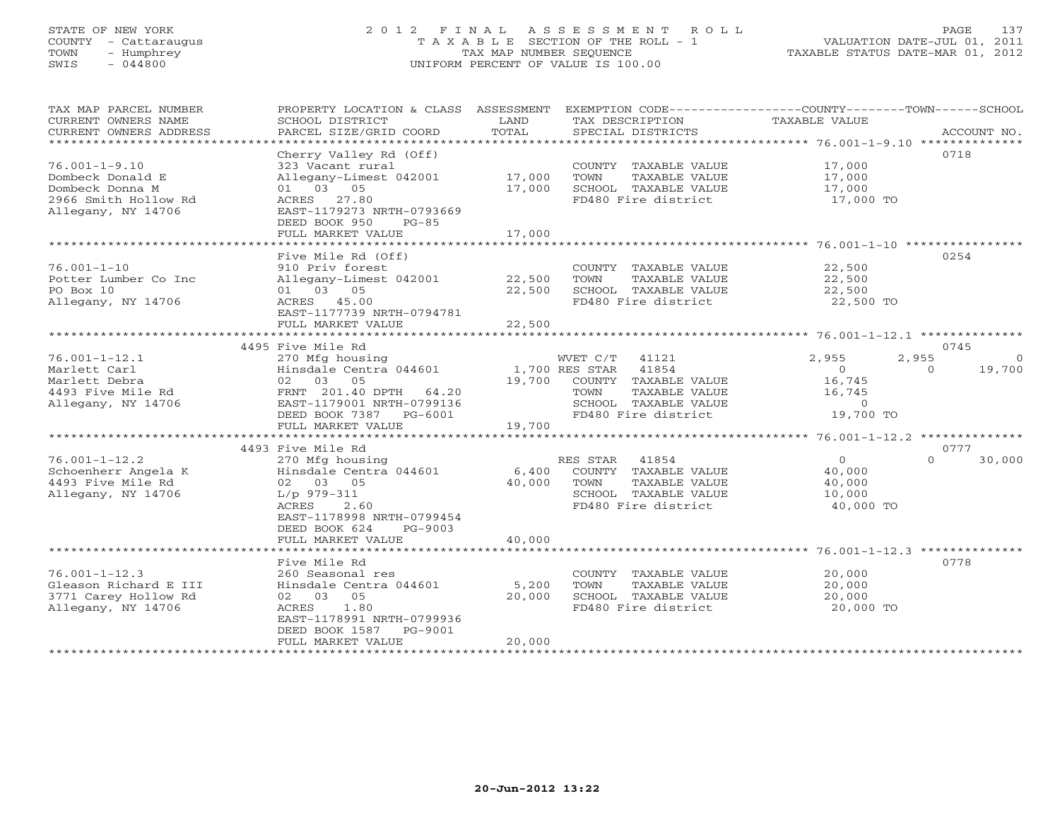# STATE OF NEW YORK 2 0 1 2 F I N A L A S S E S S M E N T R O L L PAGE 137 COUNTY - Cattaraugus T A X A B L E SECTION OF THE ROLL - 1 VALUATION DATE-JUL 01, 2011 TOWN - Humphrey TAX MAP NUMBER SEQUENCE TAXABLE STATUS DATE-MAR 01, 2012 SWIS - 044800 UNIFORM PERCENT OF VALUE IS 100.00UNIFORM PERCENT OF VALUE IS 100.00

| TAX MAP PARCEL NUMBER<br>CURRENT OWNERS NAME<br>CURRENT OWNERS ADDRESS<br>***********************        | PROPERTY LOCATION & CLASS ASSESSMENT<br>SCHOOL DISTRICT<br>PARCEL SIZE/GRID COORD                                                                                                   | LAND<br>TOTAL              | EXEMPTION CODE----------------COUNTY-------TOWN------SCHOOL<br>TAX DESCRIPTION<br>SPECIAL DISTRICTS                                       | TAXABLE VALUE                                                  |                   | ACCOUNT NO.                |
|----------------------------------------------------------------------------------------------------------|-------------------------------------------------------------------------------------------------------------------------------------------------------------------------------------|----------------------------|-------------------------------------------------------------------------------------------------------------------------------------------|----------------------------------------------------------------|-------------------|----------------------------|
| $76.001 - 1 - 9.10$<br>Dombeck Donald E<br>Dombeck Donna M<br>2966 Smith Hollow Rd<br>Allegany, NY 14706 | Cherry Valley Rd (Off)<br>323 Vacant rural<br>Allegany-Limest 042001<br>01 03 05<br>ACRES 27.80<br>EAST-1179273 NRTH-0793669<br>DEED BOOK 950<br>$PG-85$<br>FULL MARKET VALUE       | 17,000<br>17,000<br>17,000 | COUNTY TAXABLE VALUE<br>TAXABLE VALUE<br>TOWN<br>SCHOOL TAXABLE VALUE<br>FD480 Fire district                                              | 17,000<br>17,000<br>17,000<br>17,000 TO                        |                   | 0718                       |
|                                                                                                          | Five Mile Rd (Off)                                                                                                                                                                  |                            |                                                                                                                                           |                                                                |                   | 0254                       |
| $76.001 - 1 - 10$<br>Potter Lumber Co Inc<br>PO Box 10<br>Allegany, NY 14706                             | 910 Priv forest<br>Allegany-Limest 042001<br>01 03 05<br>ACRES 45.00<br>EAST-1177739 NRTH-0794781<br>FULL MARKET VALUE                                                              | 22,500<br>22,500<br>22,500 | COUNTY TAXABLE VALUE<br>TOWN<br>TAXABLE VALUE<br>SCHOOL TAXABLE VALUE<br>FD480 Fire district                                              | 22,500<br>22,500<br>22,500<br>22,500 TO                        |                   |                            |
|                                                                                                          |                                                                                                                                                                                     |                            |                                                                                                                                           |                                                                |                   |                            |
| $76.001 - 1 - 12.1$<br>Marlett Carl<br>Marlett Debra<br>4493 Five Mile Rd<br>Allegany, NY 14706          | 4495 Five Mile Rd<br>270 Mfg housing<br>Hinsdale Centra 044601<br>02 03 05<br>FRNT 201.40 DPTH<br>64.20<br>EAST-1179001 NRTH-0799136<br>DEED BOOK 7387 PG-6001<br>FULL MARKET VALUE | 19,700<br>19,700           | WVET C/T 41121<br>41854<br>1,700 RES STAR<br>COUNTY TAXABLE VALUE<br>TOWN<br>TAXABLE VALUE<br>SCHOOL TAXABLE VALUE<br>FD480 Fire district | 2,955<br>$\Omega$<br>16,745<br>16,745<br>$\Omega$<br>19,700 TO | 2,955<br>$\Omega$ | 0745<br>$\Omega$<br>19,700 |
|                                                                                                          | 4493 Five Mile Rd                                                                                                                                                                   |                            |                                                                                                                                           |                                                                |                   | 0777                       |
| $76.001 - 1 - 12.2$<br>Schoenherr Angela K<br>4493 Five Mile Rd<br>Allegany, NY 14706                    | 270 Mfg housing<br>Hinsdale Centra 044601<br>02 03 05<br>$L/p$ 979-311<br>2.60<br>ACRES<br>EAST-1178998 NRTH-0799454<br>DEED BOOK 624<br>PG-9003                                    | 6,400<br>40,000            | RES STAR<br>41854<br>COUNTY TAXABLE VALUE<br>TAXABLE VALUE<br>TOWN<br>SCHOOL TAXABLE VALUE<br>FD480 Fire district                         | $\Omega$<br>40,000<br>40,000<br>10,000<br>40,000 TO            | $\Omega$          | 30,000                     |
|                                                                                                          | FULL MARKET VALUE<br>************************                                                                                                                                       | 40,000                     |                                                                                                                                           |                                                                |                   |                            |
| $76.001 - 1 - 12.3$<br>Gleason Richard E III<br>3771 Carey Hollow Rd<br>Allegany, NY 14706               | Five Mile Rd<br>260 Seasonal res<br>Hinsdale Centra 044601<br>02 03 05<br>1.80<br>ACRES<br>EAST-1178991 NRTH-0799936<br>DEED BOOK 1587<br>PG-9001                                   | 5,200<br>20,000            | COUNTY TAXABLE VALUE<br><b>TOWN</b><br>TAXABLE VALUE<br>SCHOOL TAXABLE VALUE<br>FD480 Fire district                                       | 20,000<br>20,000<br>20,000<br>20,000 TO                        |                   | 0778                       |
|                                                                                                          | FULL MARKET VALUE                                                                                                                                                                   | 20,000                     |                                                                                                                                           |                                                                |                   |                            |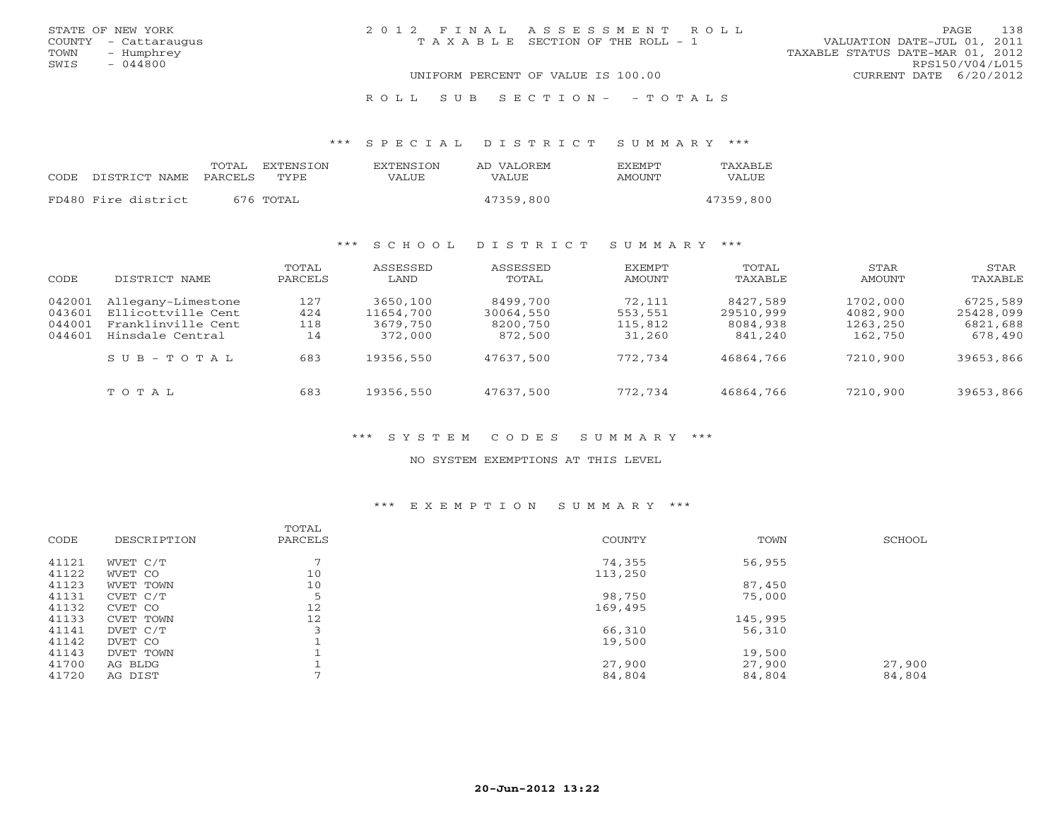| STATE OF NEW YORK    | 2012 FINAL ASSESSMENT ROLL         | 138<br>PAGE                      |
|----------------------|------------------------------------|----------------------------------|
| COUNTY - Cattaraugus | TAXABLE SECTION OF THE ROLL - 1    | VALUATION DATE-JUL 01, 2011      |
| TOWN<br>- Humphrey   |                                    | TAXABLE STATUS DATE-MAR 01, 2012 |
| SWIS<br>- 044800     |                                    | RPS150/V04/L015                  |
|                      | UNIFORM PERCENT OF VALUE IS 100.00 | CURRENT DATE 6/20/2012           |

R O L L S U B S E C T I O N - - T O T A L S

\*\*\* S P E C I A L D I S T R I C T S U M M A R Y \*\*\*

|      |                     | TOTAL   | EXTENSTON | <b>EXTENSION</b> | AD VALOREM   | <b>FXFMPT</b> | TAXABLE   |
|------|---------------------|---------|-----------|------------------|--------------|---------------|-----------|
| CODE | DISTRICT NAME       | PARCELS | TYPE.     | VALUE            | <b>VALUE</b> | AMOUNT        | VALUE     |
|      |                     |         |           |                  |              |               |           |
|      | FD480 Fire district |         | 676 TOTAL |                  | 47359,800    |               | 47359,800 |

## \*\*\* S C H O O L D I S T R I C T S U M M A R Y \*\*\*

| CODE                                 | DISTRICT NAME                                                                      | TOTAL<br>PARCELS        | ASSESSED<br>LAND                             | ASSESSED<br>TOTAL                            | EXEMPT<br>AMOUNT                       | TOTAL<br>TAXABLE                             | STAR<br>AMOUNT                              | STAR<br>TAXABLE                              |
|--------------------------------------|------------------------------------------------------------------------------------|-------------------------|----------------------------------------------|----------------------------------------------|----------------------------------------|----------------------------------------------|---------------------------------------------|----------------------------------------------|
| 042001<br>043601<br>044001<br>044601 | Allegany-Limestone<br>Ellicottville Cent<br>Franklinville Cent<br>Hinsdale Central | 127<br>424<br>118<br>14 | 3650,100<br>11654,700<br>3679,750<br>372,000 | 8499,700<br>30064,550<br>8200,750<br>872,500 | 72,111<br>553,551<br>115,812<br>31,260 | 8427,589<br>29510,999<br>8084,938<br>841,240 | 1702,000<br>4082,900<br>1263,250<br>162,750 | 6725,589<br>25428,099<br>6821,688<br>678,490 |
|                                      | $S \cup B - T \cup T A L$                                                          | 683                     | 19356,550                                    | 47637,500                                    | 772,734                                | 46864,766                                    | 7210,900                                    | 39653,866                                    |
|                                      | TOTAL                                                                              | 683                     | 19356,550                                    | 47637,500                                    | 772,734                                | 46864,766                                    | 7210,900                                    | 39653,866                                    |

## \*\*\* S Y S T E M C O D E S S U M M A R Y \*\*\*

## NO SYSTEM EXEMPTIONS AT THIS LEVEL

## \*\*\* E X E M P T I O N S U M M A R Y \*\*\*

| CODE  | DESCRIPTION | TOTAL<br>PARCELS | <b>COUNTY</b> | TOWN    | SCHOOL |
|-------|-------------|------------------|---------------|---------|--------|
| 41121 | WVET C/T    | $\overline{ }$   | 74,355        | 56,955  |        |
| 41122 | WVET CO     | 10               | 113,250       |         |        |
| 41123 | WVET TOWN   | 10               |               | 87,450  |        |
| 41131 | CVET C/T    | 5                | 98,750        | 75,000  |        |
| 41132 | CVET CO     | 12               | 169,495       |         |        |
| 41133 | CVET TOWN   | 12               |               | 145,995 |        |
| 41141 | DVET C/T    |                  | 66,310        | 56,310  |        |
| 41142 | DVET CO     |                  | 19,500        |         |        |
| 41143 | DVET TOWN   |                  |               | 19,500  |        |
| 41700 | AG BLDG     |                  | 27,900        | 27,900  | 27,900 |
| 41720 | AG DIST     |                  | 84,804        | 84,804  | 84,804 |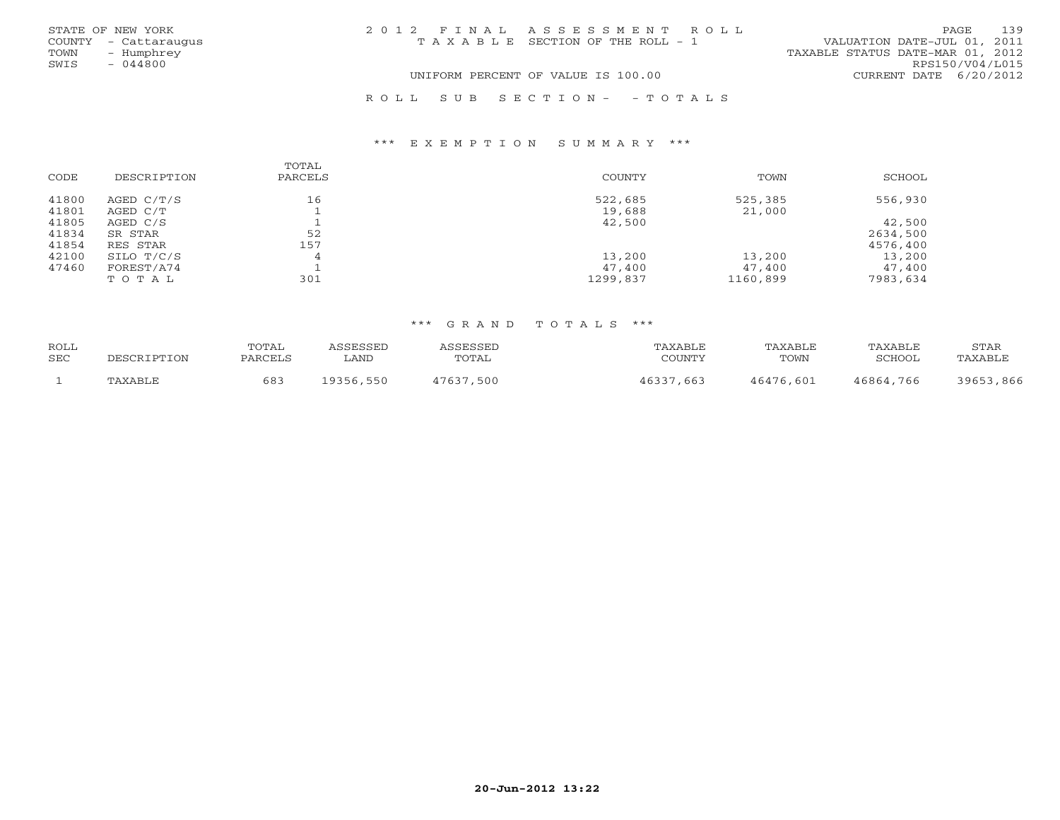|      | STATE OF NEW YORK    | 2012 FINAL ASSESSMENT ROLL |                                       |                                  | PAGE            | 139 |
|------|----------------------|----------------------------|---------------------------------------|----------------------------------|-----------------|-----|
|      | COUNTY - Cattaraugus |                            | T A X A B L E SECTION OF THE ROLL - 1 | VALUATION DATE-JUL 01, 2011      |                 |     |
| TOWN | - Humphrey           |                            |                                       | TAXABLE STATUS DATE-MAR 01, 2012 |                 |     |
| SWIS | $-044800$            |                            |                                       |                                  | RPS150/V04/L015 |     |
|      |                      |                            | UNIFORM PERCENT OF VALUE IS 100.00    | CURRENT DATE 6/20/2012           |                 |     |
|      |                      | ROLL SUB SECTION- - TOTALS |                                       |                                  |                 |     |

### \*\*\* E X E M P T I O N S U M M A R Y \*\*\*

|       |             | TOTAL   |               |          |          |
|-------|-------------|---------|---------------|----------|----------|
| CODE  | DESCRIPTION | PARCELS | <b>COUNTY</b> | TOWN     | SCHOOL   |
| 41800 | AGED C/T/S  | 16      | 522,685       | 525,385  | 556,930  |
| 41801 | AGED C/T    |         | 19,688        | 21,000   |          |
| 41805 | AGED C/S    |         | 42,500        |          | 42,500   |
| 41834 | SR STAR     | 52      |               |          | 2634,500 |
| 41854 | RES STAR    | 157     |               |          | 4576,400 |
| 42100 | SILO T/C/S  | 4       | 13,200        | 13,200   | 13,200   |
| 47460 | FOREST/A74  |         | 47,400        | 47,400   | 47,400   |
|       | TOTAL       | 301     | 1299,837      | 1160,899 | 7983,634 |

## \*\*\* G R A N D T O T A L S \*\*\*

| ROLL<br>SEC | DESCRIPTION          | TOTAI<br>PARCELS | <b>ACCECCEL</b><br>LAND | TOTAL | 'AXABLF<br>COUNTY | TAXABLF<br>TOWN | TAXABLE<br>SCHOOL | STAR<br>TAXABL <sub>U</sub> |
|-------------|----------------------|------------------|-------------------------|-------|-------------------|-----------------|-------------------|-----------------------------|
|             |                      |                  |                         |       |                   |                 |                   |                             |
|             | ∵P∆Y∆R⊺ <sup>∽</sup> | 683              | L9356,550               | 500   | 663               | 46476,601       | 46864,766         | 3965<br>866                 |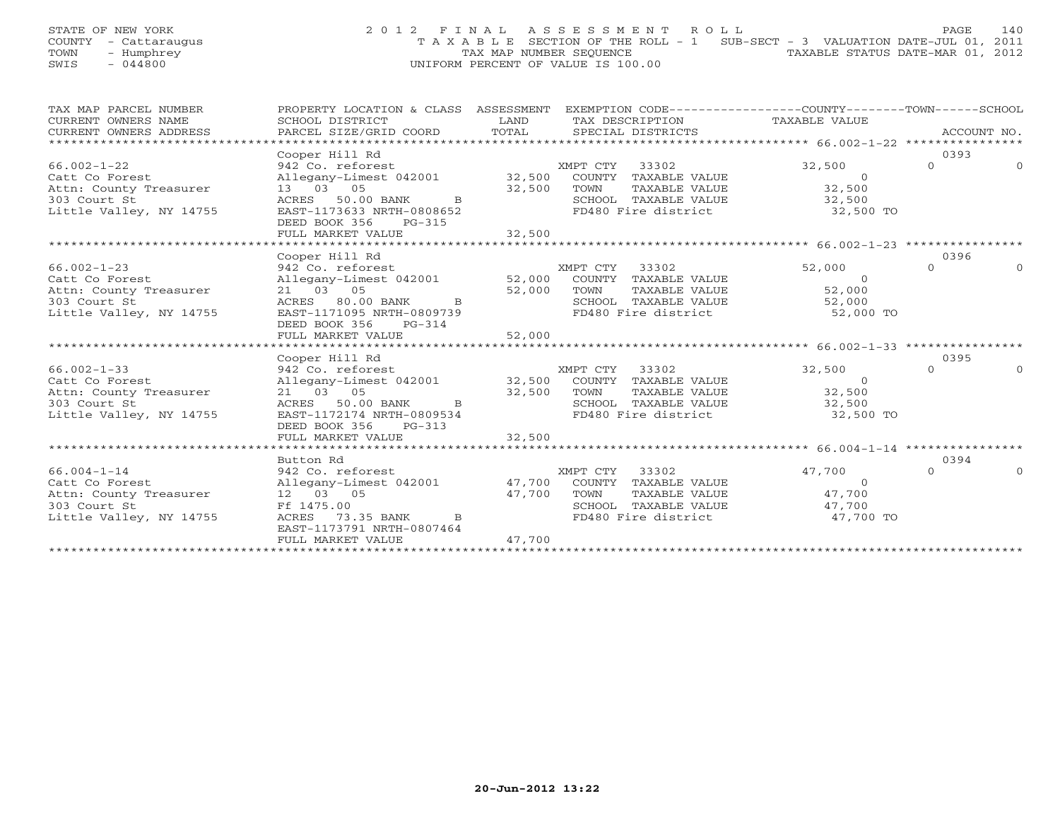## STATE OF NEW YORK 2 0 1 2 F I N A L A S S E S S M E N T R O L L PAGE 140 COUNTY - Cattaraugus T A X A B L E SECTION OF THE ROLL - 1 SUB-SECT - 3 VALUATION DATE-JUL 01, 2011 TOWN - Humphrey **TAX MAP NUMBER SEQUENCE** TAXABLE STATUS DATE-MAR 01, 2012<br>
TAX MAP NUMBER SEQUENCE TAXABLE STATUS DATE-MAR 01, 2012<br>
SWIS - 044800 SWIS - 044800 UNIFORM PERCENT OF VALUE IS 100.00

| TAX MAP PARCEL NUMBER                                                                                                                                                                                                                                  | PROPERTY LOCATION & CLASS ASSESSMENT EXEMPTION CODE---------------COUNTY-------TOWN------SCHOOL                                                                                              |        |                                                                  |                                                                                                             |          |          |
|--------------------------------------------------------------------------------------------------------------------------------------------------------------------------------------------------------------------------------------------------------|----------------------------------------------------------------------------------------------------------------------------------------------------------------------------------------------|--------|------------------------------------------------------------------|-------------------------------------------------------------------------------------------------------------|----------|----------|
| CURRENT OWNERS NAME                                                                                                                                                                                                                                    |                                                                                                                                                                                              |        |                                                                  |                                                                                                             |          |          |
| CURRENT OWNERS NAME<br>CURRENT OWNERS ADDRESS                                                                                                                                                                                                          |                                                                                                                                                                                              |        |                                                                  |                                                                                                             |          |          |
|                                                                                                                                                                                                                                                        |                                                                                                                                                                                              |        |                                                                  |                                                                                                             |          |          |
|                                                                                                                                                                                                                                                        | Cooper Hill Rd                                                                                                                                                                               |        |                                                                  |                                                                                                             | 0393     |          |
| $66.002 - 1 - 22$                                                                                                                                                                                                                                      | 942 Co. reforest                                                                                                                                                                             |        | XMPT CTY 33302                                                   | 32,500                                                                                                      | $\Omega$ | $\Omega$ |
|                                                                                                                                                                                                                                                        |                                                                                                                                                                                              |        |                                                                  |                                                                                                             |          |          |
|                                                                                                                                                                                                                                                        |                                                                                                                                                                                              |        |                                                                  |                                                                                                             |          |          |
|                                                                                                                                                                                                                                                        |                                                                                                                                                                                              |        |                                                                  |                                                                                                             |          |          |
| Catt Co Forest and the case of the country TAXABLE VALUE of Forest and the country Treasurer and the country TAXABLE VALUE of the series of the country Treasurer and the country TAXABLE VALUE of the country Treasurer and t                         |                                                                                                                                                                                              |        |                                                                  | 32,500 TO                                                                                                   |          |          |
|                                                                                                                                                                                                                                                        | DEED BOOK 356<br>PG-315                                                                                                                                                                      |        |                                                                  |                                                                                                             |          |          |
|                                                                                                                                                                                                                                                        | FULL MARKET VALUE                                                                                                                                                                            | 32,500 |                                                                  |                                                                                                             |          |          |
|                                                                                                                                                                                                                                                        |                                                                                                                                                                                              |        |                                                                  |                                                                                                             |          |          |
|                                                                                                                                                                                                                                                        | Cooper Hill Rd                                                                                                                                                                               |        |                                                                  |                                                                                                             | 0396     |          |
| $66.002 - 1 - 23$                                                                                                                                                                                                                                      | Cooper nii ku (1992)<br>942 Co. reforest (1990)<br>Allegany-Limest (1990) 12,000 COUNTY TAXABLE VALUE (1992) 62,000<br>21 03 05 52,000 TOWN TAXABLE VALUE (1993) 52,000                      |        |                                                                  |                                                                                                             | $\cap$   | $\Omega$ |
| Catt Co Forest                                                                                                                                                                                                                                         |                                                                                                                                                                                              |        |                                                                  |                                                                                                             |          |          |
| Attn: County Treasurer<br>303 Court St<br>Little Valley, NY 14755                                                                                                                                                                                      | 21 03 05<br>ACRES 80.00 BANK B 52,000 TOWN TAXABLE VALUE 52,000<br>EAST-1171095 NRTH-0809739 FD480 Fire district 52,000 TO                                                                   |        |                                                                  |                                                                                                             |          |          |
|                                                                                                                                                                                                                                                        |                                                                                                                                                                                              |        |                                                                  |                                                                                                             |          |          |
|                                                                                                                                                                                                                                                        |                                                                                                                                                                                              |        |                                                                  |                                                                                                             |          |          |
|                                                                                                                                                                                                                                                        | DEED BOOK 356 PG-314                                                                                                                                                                         |        |                                                                  |                                                                                                             |          |          |
|                                                                                                                                                                                                                                                        |                                                                                                                                                                                              |        |                                                                  |                                                                                                             |          |          |
|                                                                                                                                                                                                                                                        |                                                                                                                                                                                              |        |                                                                  |                                                                                                             |          |          |
|                                                                                                                                                                                                                                                        | Cooper Hill Rd                                                                                                                                                                               |        |                                                                  |                                                                                                             | 0395     |          |
| 32,500<br>Catt Co Forest<br>Catt Co Forest<br>21 03 05<br>2000 BANK B<br>21 03 05<br>21 03 05<br>22,500 TOWN TAXABLE VALUE<br>21 03 05<br>22,500 TOWN TAXABLE VALUE<br>22,500 TOWN TAXABLE VALUE<br>22,500 SCHOOL TAXABLE VALUE<br>22,500 SCHOOL TAXAB |                                                                                                                                                                                              |        |                                                                  |                                                                                                             | $\Omega$ |          |
|                                                                                                                                                                                                                                                        |                                                                                                                                                                                              |        |                                                                  |                                                                                                             |          |          |
|                                                                                                                                                                                                                                                        |                                                                                                                                                                                              |        |                                                                  |                                                                                                             |          |          |
|                                                                                                                                                                                                                                                        |                                                                                                                                                                                              |        |                                                                  |                                                                                                             |          |          |
|                                                                                                                                                                                                                                                        |                                                                                                                                                                                              |        |                                                                  | 32,500 TO                                                                                                   |          |          |
|                                                                                                                                                                                                                                                        | DEED BOOK 356 PG-313                                                                                                                                                                         |        |                                                                  |                                                                                                             |          |          |
|                                                                                                                                                                                                                                                        |                                                                                                                                                                                              |        |                                                                  |                                                                                                             |          |          |
|                                                                                                                                                                                                                                                        |                                                                                                                                                                                              |        |                                                                  |                                                                                                             |          |          |
|                                                                                                                                                                                                                                                        | Button Rd                                                                                                                                                                                    |        |                                                                  |                                                                                                             | 0394     |          |
| $66.004 - 1 - 14$                                                                                                                                                                                                                                      | 942 Co. reforest                                                                                                                                                                             |        | $MPT$ CTY 33302                                                  | 47,700                                                                                                      | $\Omega$ |          |
| Catt Co Forest                                                                                                                                                                                                                                         | Allegany-Limest 042001 47,700 COUNTY TAXABLE VALUE                                                                                                                                           |        |                                                                  | $\begin{array}{ccc}\n 1 & 0 & 0 \\   TAXABLE &  VALUE & 47,700 \\   TAXABLE &  VATUP & 47,700\n\end{array}$ |          |          |
| Attn: County Treasurer 12 03 05                                                                                                                                                                                                                        |                                                                                                                                                                                              |        |                                                                  |                                                                                                             |          |          |
|                                                                                                                                                                                                                                                        | Ff 1475.00                                                                                                                                                                                   |        |                                                                  |                                                                                                             |          |          |
| 303 Court St<br>Little Valley, NY 14755                                                                                                                                                                                                                | $\begin{tabular}{lllllll} 12 & 03 & 05 & & & & 47,700 & TOWN \\ \hline \texttt{Ff} & 1475.00 & & & & & & & & \\ \texttt{ACRES} & 73.35 & BANK & & & & & & & \texttt{FD480} \\ \end{tabular}$ |        | SCHOOL TAXABLE VALUE $47,700$<br>FD480 Fire district $47,700$ TO |                                                                                                             |          |          |
|                                                                                                                                                                                                                                                        | EAST-1173791 NRTH-0807464                                                                                                                                                                    |        |                                                                  |                                                                                                             |          |          |
|                                                                                                                                                                                                                                                        | FULL MARKET VALUE                                                                                                                                                                            | 47,700 |                                                                  |                                                                                                             |          |          |
|                                                                                                                                                                                                                                                        |                                                                                                                                                                                              |        |                                                                  |                                                                                                             |          |          |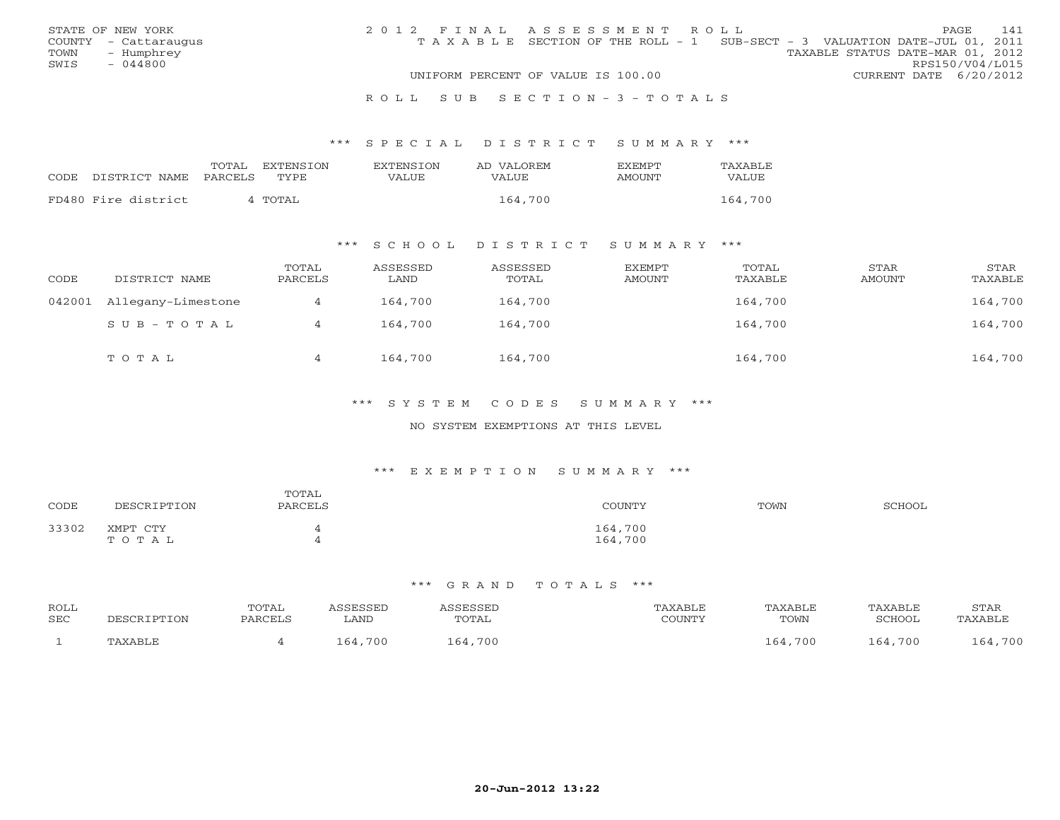|      | STATE OF NEW YORK    | 2012 FINAL ASSESSMENT ROLL |                                                                                |                                  |                        | PAGE. | 141 |
|------|----------------------|----------------------------|--------------------------------------------------------------------------------|----------------------------------|------------------------|-------|-----|
|      | COUNTY - Cattaraugus |                            | T A X A B L E SECTION OF THE ROLL - 1 SUB-SECT - 3 VALUATION DATE-JUL 01, 2011 |                                  |                        |       |     |
| TOWN | – Humphrey           |                            |                                                                                | TAXABLE STATUS DATE-MAR 01, 2012 |                        |       |     |
| SWIS | $-044800$            |                            |                                                                                |                                  | RPS150/V04/L015        |       |     |
|      |                      |                            | UNIFORM PERCENT OF VALUE IS 100.00                                             |                                  | CURRENT DATE 6/20/2012 |       |     |
|      |                      |                            |                                                                                |                                  |                        |       |     |

### R O L L S U B S E C T I O N - 3 - T O T A L S

### \*\*\* S P E C I A L D I S T R I C T S U M M A R Y \*\*\*

|                     | TOTAL   | EXTENSION | <b>EXTENSION</b> | AD VALOREM | <b>FXFMPT</b> | TAXABLE |
|---------------------|---------|-----------|------------------|------------|---------------|---------|
| CODE DISTRICT NAME  | PARCELS | TYPE.     | VALUE            | VALUE      | AMOUNT        | VALUE   |
| FD480 Fire district |         | 4 TOTAL   |                  | 164,700    |               | 164,700 |
|                     |         |           |                  |            |               |         |

## \*\*\* S C H O O L D I S T R I C T S U M M A R Y \*\*\*

| CODE | DISTRICT NAME             | TOTAL<br>PARCELS | ASSESSED<br>LAND | ASSESSED<br>TOTAL | EXEMPT<br>AMOUNT | TOTAL<br>TAXABLE | STAR<br>AMOUNT | STAR<br>TAXABLE |
|------|---------------------------|------------------|------------------|-------------------|------------------|------------------|----------------|-----------------|
|      | 042001 Allegany-Limestone |                  | 164,700          | 164,700           |                  | 164,700          |                | 164,700         |
|      | SUB-TOTAL                 |                  | 164,700          | 164,700           |                  | 164,700          |                | 164,700         |
|      | TOTAL                     |                  | 164,700          | 164,700           |                  | 164,700          |                | 164,700         |

## \*\*\* S Y S T E M C O D E S S U M M A R Y \*\*\*

### NO SYSTEM EXEMPTIONS AT THIS LEVEL

### \*\*\* E X E M P T I O N S U M M A R Y \*\*\*

| CODE  | DESCRIPTION       | TOTAL<br>PARCELS | COUNTY             | TOWN | SCHOOL |
|-------|-------------------|------------------|--------------------|------|--------|
| 33302 | XMPT CTY<br>TOTAL |                  | 164,700<br>164,700 |      |        |

#### \*\*\* G R A N D T O T A L S \*\*\*

| ROLL<br>SEC | DESCR.  | TOTAL<br>PARCELL | <i><b>SSESSED</b></i> | TOTAL   | TAXABLE<br>COUNTY | <b>TAXABLE</b> | TAXABLE<br>SCHOOL | STAR        |
|-------------|---------|------------------|-----------------------|---------|-------------------|----------------|-------------------|-------------|
|             |         |                  | LAND                  |         |                   | TOWN           |                   | 'AXABL)     |
|             | TAXABLE |                  | 700                   | 164,700 |                   | 164,700        | 164,700           | ,700<br>164 |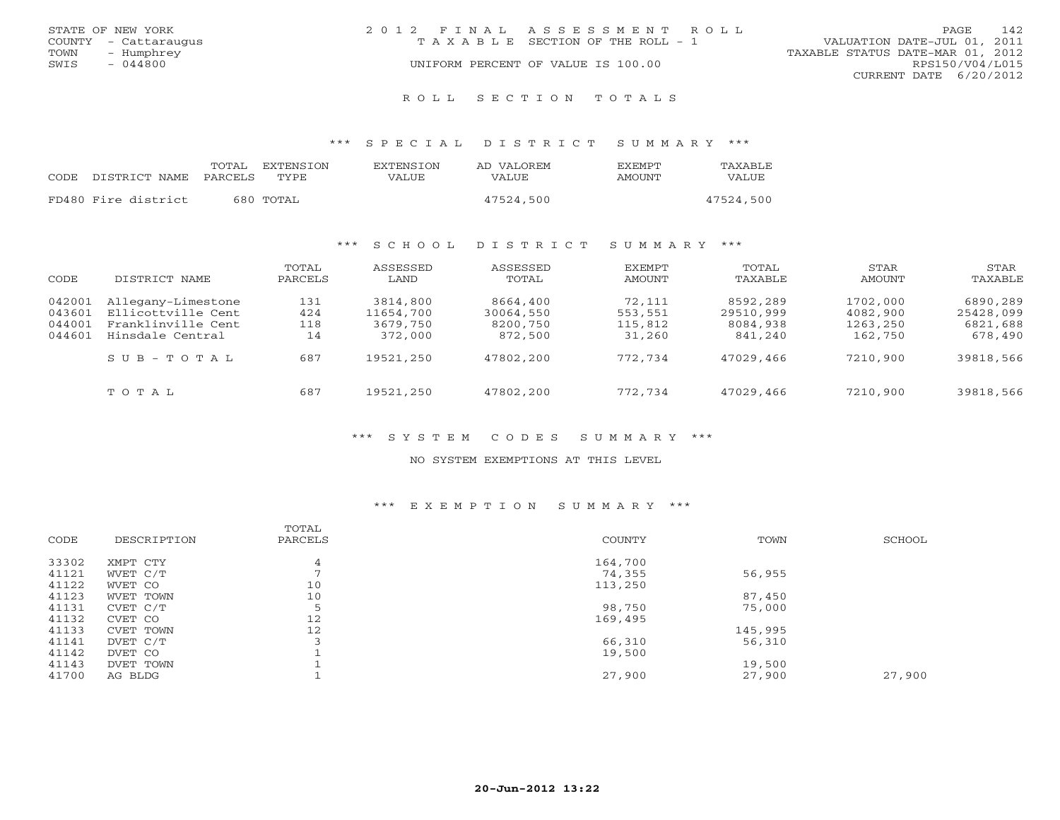|      | STATE OF NEW YORK    | 2012 FINAL ASSESSMENT ROLL |                                    |                                  |                        | PAGE. | 142 |
|------|----------------------|----------------------------|------------------------------------|----------------------------------|------------------------|-------|-----|
|      | COUNTY - Cattaraugus |                            | TAXABLE SECTION OF THE ROLL - 1    | VALUATION DATE-JUL 01, 2011      |                        |       |     |
| TOWN | - Humphrey           |                            |                                    | TAXABLE STATUS DATE-MAR 01, 2012 |                        |       |     |
| SWIS | $-044800$            |                            | UNIFORM PERCENT OF VALUE IS 100.00 |                                  | RPS150/V04/L015        |       |     |
|      |                      |                            |                                    |                                  | CURRENT DATE 6/20/2012 |       |     |
|      |                      |                            |                                    |                                  |                        |       |     |

R O L L S E C T I O N T O T A L S

\*\*\* S P E C I A L D I S T R I C T S U M M A R Y \*\*\*

|       |                       | TOTAL<br>EXTENSTON | <b>EXTENSION</b> | AD VALOREM | <b>FXFMPT</b> | TAXABLE   |
|-------|-----------------------|--------------------|------------------|------------|---------------|-----------|
| CODE. | DISTRICT NAME PARCELS | TYPE.              | VALUE            | VALUE      | AMOUNT        | VALUE     |
|       | FD480 Fire district   | 680 TOTAL          |                  | 47524,500  |               | 47524,500 |
|       |                       |                    |                  |            |               |           |

## \*\*\* S C H O O L D I S T R I C T S U M M A R Y \*\*\*

| CODE                                 | DISTRICT NAME                                                                      | TOTAL<br>PARCELS        | ASSESSED<br>LAND                             | ASSESSED<br>TOTAL                            | EXEMPT<br>AMOUNT                       | TOTAL<br>TAXABLE                             | STAR<br>AMOUNT                              | STAR<br>TAXABLE                              |
|--------------------------------------|------------------------------------------------------------------------------------|-------------------------|----------------------------------------------|----------------------------------------------|----------------------------------------|----------------------------------------------|---------------------------------------------|----------------------------------------------|
| 042001<br>043601<br>044001<br>044601 | Allegany-Limestone<br>Ellicottville Cent<br>Franklinville Cent<br>Hinsdale Central | 131<br>424<br>118<br>14 | 3814,800<br>11654,700<br>3679,750<br>372,000 | 8664,400<br>30064,550<br>8200,750<br>872,500 | 72,111<br>553,551<br>115,812<br>31,260 | 8592,289<br>29510,999<br>8084,938<br>841,240 | 1702,000<br>4082,900<br>1263,250<br>162,750 | 6890,289<br>25428,099<br>6821,688<br>678,490 |
|                                      | $S \cup B - T \cup T A L$                                                          | 687                     | 19521,250                                    | 47802,200                                    | 772,734                                | 47029,466                                    | 7210,900                                    | 39818,566                                    |
|                                      | TOTAL                                                                              | 687                     | 19521,250                                    | 47802,200                                    | 772,734                                | 47029,466                                    | 7210,900                                    | 39818,566                                    |

## \*\*\* S Y S T E M C O D E S S U M M A R Y \*\*\*

### NO SYSTEM EXEMPTIONS AT THIS LEVEL

## \*\*\* E X E M P T I O N S U M M A R Y \*\*\*

|           | TOTAL                               |                                             |                                    |                |
|-----------|-------------------------------------|---------------------------------------------|------------------------------------|----------------|
|           |                                     |                                             |                                    | SCHOOL         |
|           |                                     |                                             |                                    |                |
|           |                                     |                                             |                                    |                |
|           |                                     |                                             |                                    |                |
| WVET CO   | 10                                  | 113,250                                     |                                    |                |
| WVET TOWN | 10                                  |                                             | 87,450                             |                |
| CVET C/T  | $\overline{\phantom{0}}$<br>Ь       | 98,750                                      | 75,000                             |                |
| CVET CO   | 12                                  | 169,495                                     |                                    |                |
| CVET TOWN | 12                                  |                                             | 145,995                            |                |
| DVET C/T  |                                     | 66,310                                      | 56,310                             |                |
| DVET CO   |                                     | 19,500                                      |                                    |                |
| DVET TOWN |                                     |                                             | 19,500                             |                |
| AG BLDG   |                                     | 27,900                                      | 27,900                             | 27,900         |
|           |                                     |                                             |                                    |                |
|           | DESCRIPTION<br>XMPT CTY<br>WVET C/T | PARCELS<br>$\overline{4}$<br>$\overline{ }$ | <b>COUNTY</b><br>164,700<br>74,355 | TOWN<br>56,955 |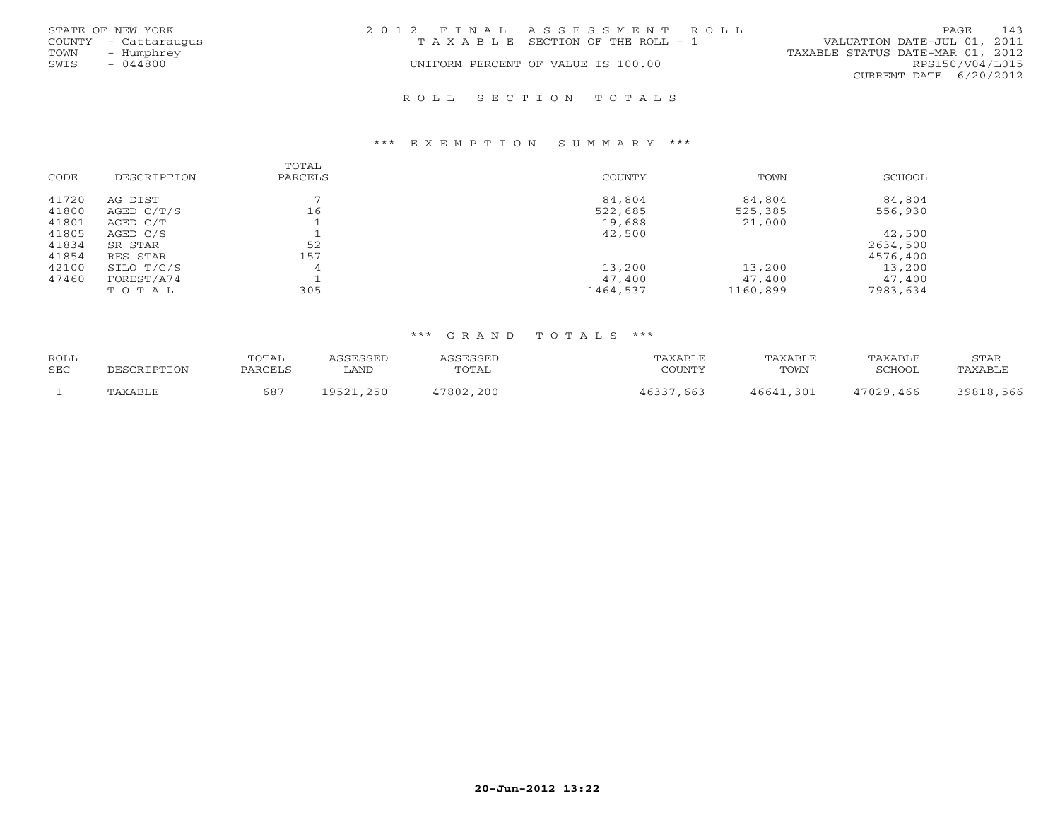|      | STATE OF NEW YORK    | 2012 FINAL ASSESSMENT ROLL            | 143<br><b>PAGE</b>               |
|------|----------------------|---------------------------------------|----------------------------------|
|      | COUNTY - Cattaraugus | T A X A B L E SECTION OF THE ROLL - 1 | VALUATION DATE-JUL 01, 2011      |
| TOWN | - Humphrey           |                                       | TAXABLE STATUS DATE-MAR 01, 2012 |
| SWIS | - 044800             | UNIFORM PERCENT OF VALUE IS 100.00    | RPS150/V04/L015                  |
|      |                      |                                       | CURRENT DATE $6/20/2012$         |
|      |                      | ROLL SECTION TOTALS                   |                                  |

## \*\*\* E X E M P T I O N S U M M A R Y \*\*\*

|       |             | TOTAL   |          |          |          |
|-------|-------------|---------|----------|----------|----------|
| CODE  | DESCRIPTION | PARCELS | COUNTY   | TOWN     | SCHOOL   |
| 41720 | AG DIST     |         | 84,804   | 84,804   | 84,804   |
| 41800 | AGED C/T/S  | 16      | 522,685  | 525,385  | 556,930  |
| 41801 | AGED C/T    |         | 19,688   | 21,000   |          |
| 41805 | AGED C/S    |         | 42,500   |          | 42,500   |
| 41834 | SR STAR     | 52      |          |          | 2634,500 |
| 41854 | RES STAR    | 157     |          |          | 4576,400 |
| 42100 | SILO T/C/S  | 4       | 13,200   | 13,200   | 13,200   |
| 47460 | FOREST/A74  |         | 47,400   | 47,400   | 47,400   |
|       | TOTAL       | 305     | 1464,537 | 1160,899 | 7983,634 |

### \*\*\* G R A N D T O T A L S \*\*\*

| ROLL |             | <b>TOTAL</b> | <i>\SSESSED</i>   | ASSESSED  | TAXABLE | TAXABLE   | TAXABLE   | STAR      |
|------|-------------|--------------|-------------------|-----------|---------|-----------|-----------|-----------|
| SEC  | DESCRIPTION | PARCELS      | LAND              | TOTAL     | COUNTY  | TOWN      | SCHOOL    | TAXABLE   |
|      | TAXABLE     | 687          | 9521,250<br>19521 | 47802,200 | .663    | 46641.301 | 47029,466 | 39818,566 |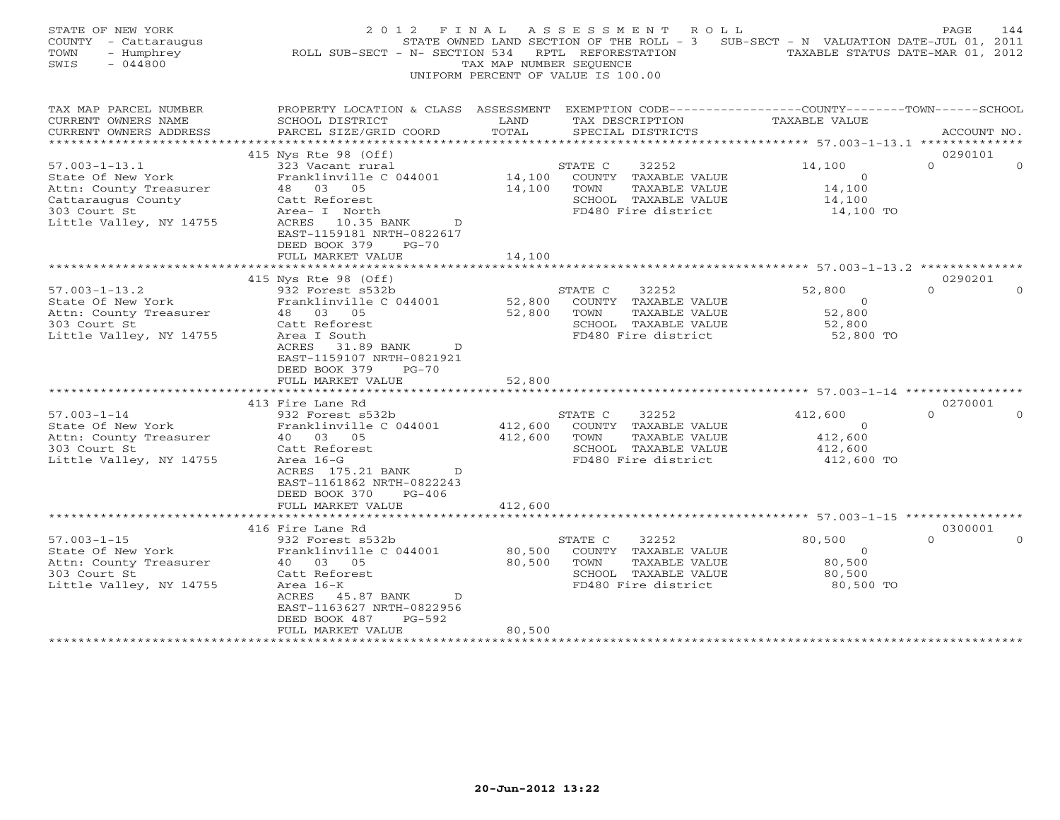| STATE OF NEW YORK<br>COUNTY - Cattaraugus<br>- Humphrey<br>TOWN<br>SWIS<br>$-044800$                                                | 2012 FINAL<br>ROLL SUB-SECT - N- SECTION 534                                                                                                                                                                                 | TAX MAP NUMBER SEQUENCE                         | ASSESSMENT ROLL<br>STATE OWNED LAND SECTION OF THE ROLL - 3 SUB-SECT - N VALUATION DATE-JUL 01, 2011<br>RPTL REFORESTATION<br>UNIFORM PERCENT OF VALUE IS 100.00 | TAXABLE STATUS DATE-MAR 01, 2012                           | PAGE<br>144                     |
|-------------------------------------------------------------------------------------------------------------------------------------|------------------------------------------------------------------------------------------------------------------------------------------------------------------------------------------------------------------------------|-------------------------------------------------|------------------------------------------------------------------------------------------------------------------------------------------------------------------|------------------------------------------------------------|---------------------------------|
| TAX MAP PARCEL NUMBER<br>CURRENT OWNERS NAME<br>CURRENT OWNERS ADDRESS                                                              | PROPERTY LOCATION & CLASS ASSESSMENT EXEMPTION CODE---------------COUNTY-------TOWN------SCHOOL<br>SCHOOL DISTRICT<br>PARCEL SIZE/GRID COORD                                                                                 | LAND<br>TOTAL                                   | TAX DESCRIPTION<br>SPECIAL DISTRICTS                                                                                                                             | TAXABLE VALUE                                              | ACCOUNT NO.                     |
| ***********************                                                                                                             |                                                                                                                                                                                                                              |                                                 |                                                                                                                                                                  |                                                            |                                 |
| $57.003 - 1 - 13.1$<br>State Of New York<br>Attn: County Treasurer<br>Cattaraugus County<br>303 Court St<br>Little Valley, NY 14755 | 415 Nys Rte 98 (Off)<br>323 Vacant rural<br>Franklinville C 044001<br>48 03 05<br>Catt Reforest<br>Area- I North<br>ACRES 10.35 BANK<br>D<br>EAST-1159181 NRTH-0822617<br>DEED BOOK 379<br>$PG-70$                           | 14,100                                          | STATE C<br>32252<br>14,100 COUNTY TAXABLE VALUE<br>TOWN<br>TAXABLE VALUE<br>SCHOOL TAXABLE VALUE<br>FD480 Fire district                                          | 14,100<br>$\overline{O}$<br>14,100<br>14,100<br>14,100 TO  | 0290101<br>$\Omega$<br>$\cap$   |
|                                                                                                                                     | FULL MARKET VALUE                                                                                                                                                                                                            | 14,100                                          |                                                                                                                                                                  |                                                            |                                 |
| $57.003 - 1 - 13.2$<br>State Of New York<br>Attn: County Treasurer<br>303 Court St<br>Little Valley, NY 14755                       | 415 Nys Rte 98 (Off)<br>932 Forest s532b<br>Franklinville C 044001<br>48 03 05<br>Catt Reforest<br>Area I South<br>ACRES 31.89 BANK D<br>EAST-1159107 NRTH-0821921<br>DEED BOOK 379<br>$PG-70$<br>FULL MARKET VALUE          | 52,800<br>52,800<br>52,800                      | STATE C<br>32252<br>COUNTY TAXABLE VALUE<br>TOWN<br>TAXABLE VALUE<br>SCHOOL TAXABLE VALUE<br>FD480 Fire district                                                 | 52,800<br>$\overline{O}$<br>52,800<br>52,800<br>52,800 TO  | 0290201<br>$\Omega$<br>$\Omega$ |
|                                                                                                                                     | ******************                                                                                                                                                                                                           |                                                 |                                                                                                                                                                  | **********************************57.003-1-14 ************ |                                 |
| $57.003 - 1 - 14$<br>State Of New York<br>Attn: County Treasurer<br>303 Court St<br>Little Valley, NY 14755                         | 413 Fire Lane Rd<br>932 Forest s532b<br>Franklinville C 044001<br>40 03 05<br>Catt Reforest<br>Area 16-G<br>ACRES 175.21 BANK<br>$\mathbb{D}$<br>EAST-1161862 NRTH-0822243<br>DEED BOOK 370<br>$PG-406$<br>FULL MARKET VALUE | 412,600<br>412,600<br>412,600                   | 32252<br>STATE C<br>COUNTY TAXABLE VALUE<br>TOWN<br>TAXABLE VALUE<br>SCHOOL TAXABLE VALUE<br>FD480 Fire district                                                 | 412,600<br>$\Omega$<br>412,600<br>412,600<br>412,600 TO    | 0270001<br>$\Omega$             |
|                                                                                                                                     | * * * * * * * * * * * * * * * * * * *                                                                                                                                                                                        |                                                 |                                                                                                                                                                  |                                                            |                                 |
| $57.003 - 1 - 15$<br>State Of New York<br>Attn: County Treasurer<br>303 Court St<br>Little Valley, NY 14755                         | 416 Fire Lane Rd<br>932 Forest s532b<br>Franklinville C 044001<br>40 03 05<br>Catt Reforest<br>Area 16-K<br>ACRES 45.87 BANK<br>$\overline{D}$<br>EAST-1163627 NRTH-0822956<br>DEED BOOK 487<br>PG-592                       | 80,500<br>80,500                                | 32252<br>STATE C<br>COUNTY TAXABLE VALUE<br>TOWN<br>TAXABLE VALUE<br>SCHOOL TAXABLE VALUE<br>FD480 Fire district                                                 | 80,500<br>$\overline{O}$<br>80,500<br>80,500<br>80,500 TO  | 0300001<br>$\Omega$             |
| *********************                                                                                                               | FULL MARKET VALUE<br>************************                                                                                                                                                                                | 80,500<br>* * * * * * * * * * * * * * * * * * * |                                                                                                                                                                  |                                                            |                                 |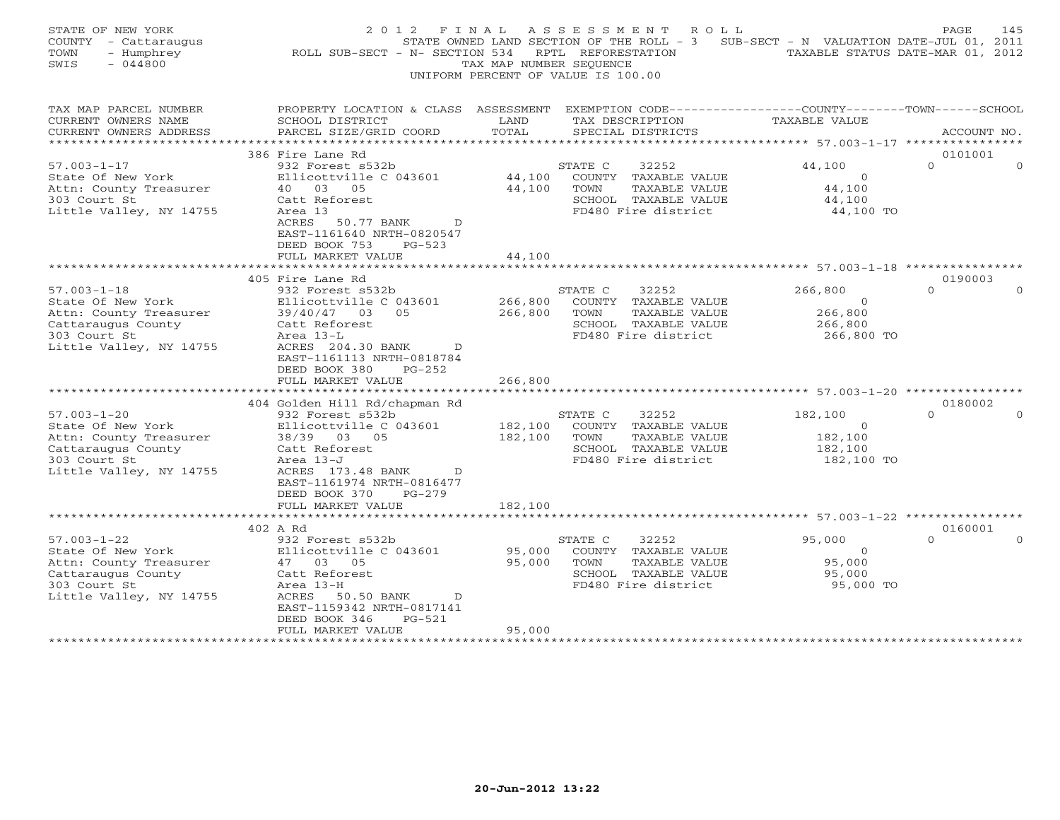| STATE OF NEW YORK<br>COUNTY - Cattaraugus<br>- Humphrey<br>TOWN<br>SWIS<br>$-044800$ | 2 0 1 2<br>F I N A L<br>ROLL SUB-SECT - N- SECTION 534                                                             | TAX MAP NUMBER SEQUENCE               | ASSESSMENT ROLL<br>STATE OWNED LAND SECTION OF THE ROLL - 3 SUB-SECT - N VALUATION DATE-JUL 01, 2011<br>RPTL REFORESTATION<br>UNIFORM PERCENT OF VALUE IS 100.00 | TAXABLE STATUS DATE-MAR 01, 2012 | PAGE<br>145                     |
|--------------------------------------------------------------------------------------|--------------------------------------------------------------------------------------------------------------------|---------------------------------------|------------------------------------------------------------------------------------------------------------------------------------------------------------------|----------------------------------|---------------------------------|
| TAX MAP PARCEL NUMBER<br>CURRENT OWNERS NAME                                         | PROPERTY LOCATION & CLASS ASSESSMENT EXEMPTION CODE---------------COUNTY-------TOWN------SCHOOL<br>SCHOOL DISTRICT | LAND                                  | TAX DESCRIPTION                                                                                                                                                  | <b>TAXABLE VALUE</b>             |                                 |
| CURRENT OWNERS ADDRESS                                                               | PARCEL SIZE/GRID COORD                                                                                             | TOTAL                                 | SPECIAL DISTRICTS                                                                                                                                                |                                  | ACCOUNT NO.                     |
|                                                                                      |                                                                                                                    |                                       |                                                                                                                                                                  |                                  |                                 |
| $57.003 - 1 - 17$                                                                    | 386 Fire Lane Rd<br>932 Forest s532b                                                                               |                                       |                                                                                                                                                                  | 44,100                           | 0101001<br>$\Omega$<br>$\Omega$ |
| State Of New York                                                                    | Ellicottville C 043601                                                                                             | 44,100                                | STATE C<br>32252<br>COUNTY TAXABLE VALUE                                                                                                                         | $\Omega$                         |                                 |
| Attn: County Treasurer                                                               | 40 03 05                                                                                                           | 44,100                                | TOWN<br>TAXABLE VALUE                                                                                                                                            | 44,100                           |                                 |
| 303 Court St                                                                         | Catt Reforest                                                                                                      |                                       | SCHOOL TAXABLE VALUE                                                                                                                                             | 44,100                           |                                 |
| Little Valley, NY 14755                                                              | Area 13                                                                                                            |                                       | FD480 Fire district                                                                                                                                              | 44,100 TO                        |                                 |
|                                                                                      | ACRES<br>50.77 BANK<br>D<br>EAST-1161640 NRTH-0820547<br>DEED BOOK 753<br>$PG-523$<br>FULL MARKET VALUE            | 44,100                                |                                                                                                                                                                  |                                  |                                 |
|                                                                                      |                                                                                                                    |                                       |                                                                                                                                                                  |                                  |                                 |
|                                                                                      | 405 Fire Lane Rd                                                                                                   |                                       |                                                                                                                                                                  |                                  | 0190003                         |
| $57.003 - 1 - 18$                                                                    | 932 Forest s532b                                                                                                   |                                       | STATE C<br>32252                                                                                                                                                 | 266,800                          | $\Omega$<br>$\Omega$            |
| State Of New York                                                                    | Ellicottville C 043601<br>0.5                                                                                      | 266,800                               | COUNTY TAXABLE VALUE                                                                                                                                             | $\overline{O}$                   |                                 |
| Attn: County Treasurer<br>Cattaraugus County                                         | 39/40/47 03<br>Catt Reforest                                                                                       | 266,800                               | TOWN<br>TAXABLE VALUE<br>SCHOOL TAXABLE VALUE                                                                                                                    | 266,800<br>266,800               |                                 |
| 303 Court St                                                                         | Area 13-L                                                                                                          |                                       | FD480 Fire district                                                                                                                                              | 266,800 TO                       |                                 |
| Little Valley, NY 14755                                                              | $\overline{D}$<br>ACRES 204.30 BANK<br>EAST-1161113 NRTH-0818784<br>DEED BOOK 380<br>$PG-252$                      |                                       |                                                                                                                                                                  |                                  |                                 |
|                                                                                      | FULL MARKET VALUE                                                                                                  | 266,800                               |                                                                                                                                                                  |                                  |                                 |
|                                                                                      | 404 Golden Hill Rd/chapman Rd                                                                                      |                                       |                                                                                                                                                                  |                                  | 0180002                         |
| $57.003 - 1 - 20$                                                                    | 932 Forest s532b                                                                                                   |                                       | STATE C<br>32252                                                                                                                                                 | 182,100                          | $\cap$                          |
| State Of New York                                                                    | Ellicottville C 043601                                                                                             | 182,100                               | COUNTY TAXABLE VALUE                                                                                                                                             | $\overline{0}$                   |                                 |
| Attn: County Treasurer                                                               | 38/39 03 05                                                                                                        | 182,100                               | TAXABLE VALUE<br>TOWN                                                                                                                                            | 182,100                          |                                 |
| Cattaraugus County                                                                   | Catt Reforest                                                                                                      |                                       | SCHOOL TAXABLE VALUE                                                                                                                                             | 182,100                          |                                 |
| 303 Court St                                                                         | Area 13-J                                                                                                          |                                       | FD480 Fire district                                                                                                                                              | 182,100 TO                       |                                 |
| Little Valley, NY 14755                                                              | ACRES 173.48 BANK<br>D                                                                                             |                                       |                                                                                                                                                                  |                                  |                                 |
|                                                                                      | EAST-1161974 NRTH-0816477<br>$PG-279$                                                                              |                                       |                                                                                                                                                                  |                                  |                                 |
|                                                                                      | DEED BOOK 370<br>FULL MARKET VALUE                                                                                 | 182,100                               |                                                                                                                                                                  |                                  |                                 |
|                                                                                      |                                                                                                                    |                                       |                                                                                                                                                                  |                                  |                                 |
|                                                                                      | 402 A Rd                                                                                                           |                                       |                                                                                                                                                                  |                                  | 0160001                         |
| $57.003 - 1 - 22$                                                                    | 932 Forest s532b                                                                                                   |                                       | STATE C<br>32252                                                                                                                                                 | 95,000                           | $\Omega$                        |
| State Of New York                                                                    | Ellicottville C 043601                                                                                             | 95,000                                | COUNTY TAXABLE VALUE                                                                                                                                             | $\circ$                          |                                 |
| Attn: County Treasurer                                                               | 47 03 05                                                                                                           | 95,000                                | TOWN<br>TAXABLE VALUE                                                                                                                                            | 95,000                           |                                 |
| Cattaraugus County                                                                   | Catt Reforest                                                                                                      |                                       | SCHOOL TAXABLE VALUE                                                                                                                                             | 95,000                           |                                 |
| 303 Court St                                                                         | Area 13-H                                                                                                          |                                       | FD480 Fire district                                                                                                                                              | 95,000 TO                        |                                 |
| Little Valley, NY 14755                                                              | ACRES 50.50 BANK<br>$\overline{D}$                                                                                 |                                       |                                                                                                                                                                  |                                  |                                 |
|                                                                                      | EAST-1159342 NRTH-0817141<br>$PG-521$<br>DEED BOOK 346                                                             |                                       |                                                                                                                                                                  |                                  |                                 |
|                                                                                      | FULL MARKET VALUE                                                                                                  | 95,000                                |                                                                                                                                                                  |                                  |                                 |
| **********************                                                               |                                                                                                                    | * * * * * * * * * * * * * * * * * * * |                                                                                                                                                                  |                                  |                                 |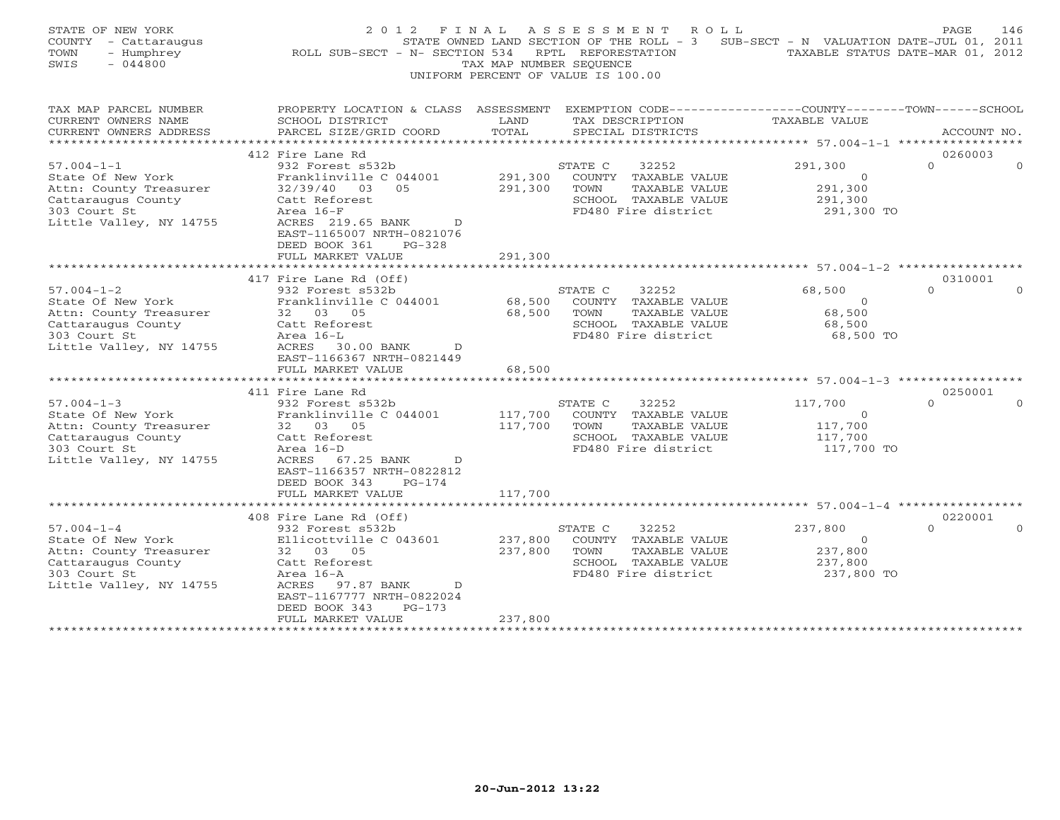| EXEMPTION CODE-----------------COUNTY-------TOWN------SCHOOL<br>TAX MAP PARCEL NUMBER<br>PROPERTY LOCATION & CLASS ASSESSMENT<br>CURRENT OWNERS NAME<br>SCHOOL DISTRICT<br>TAX DESCRIPTION<br>TAXABLE VALUE<br>LAND<br>TOTAL<br>CURRENT OWNERS ADDRESS<br>PARCEL SIZE/GRID COORD<br>SPECIAL DISTRICTS<br>ACCOUNT NO.<br>**********************<br>**********************<br>0260003<br>412 Fire Lane Rd<br>$\Omega$<br>$57.004 - 1 - 1$<br>932 Forest s532b<br>291,300<br>STATE C<br>32252<br>State Of New York<br>Franklinville C 044001<br>291,300<br>COUNTY TAXABLE VALUE<br>$\mathbf{0}$<br>Attn: County Treasurer<br>32/39/40<br>05<br>291,300<br>TOWN<br>TAXABLE VALUE<br>291,300<br>03<br>Cattaraugus County<br>SCHOOL TAXABLE VALUE<br>291,300<br>Catt Reforest<br>303 Court St<br>Area 16-F<br>FD480 Fire district<br>291,300 TO<br>Little Valley, NY 14755<br>ACRES 219.65 BANK<br>$\mathcal{D}$<br>EAST-1165007 NRTH-0821076<br>$PG-328$<br>DEED BOOK 361<br>FULL MARKET VALUE<br>291,300<br>417 Fire Lane Rd (Off)<br>0310001<br>$57.004 - 1 - 2$<br>932 Forest s532b<br>STATE C<br>32252<br>68,500<br>$\Omega$<br>State Of New York<br>Franklinville C 044001<br>68,500<br>COUNTY TAXABLE VALUE<br>$\Omega$<br>Attn: County Treasurer<br>32 03 05<br>68,500<br>TAXABLE VALUE<br>68,500<br>TOWN<br>Catt Reforest<br>SCHOOL TAXABLE VALUE<br>68,500<br>Cattaraugus County<br>303 Court St<br>Area 16-L<br>FD480 Fire district<br>68,500 TO<br>Little Valley, NY 14755<br>ACRES<br>30.00 BANK<br>D<br>EAST-1166367 NRTH-0821449<br>FULL MARKET VALUE<br>68,500<br>.<br>***************** 57.004-1-3 ***<br>0250001<br>411 Fire Lane Rd<br>$57.004 - 1 - 3$<br>932 Forest s532b<br>117,700<br>$\Omega$<br>STATE C<br>32252<br>State Of New York<br>Franklinville C 044001<br>117,700<br>COUNTY TAXABLE VALUE<br>$\Omega$<br>117,700<br>117,700<br>Attn: County Treasurer<br>32 03 05<br>TOWN<br>TAXABLE VALUE<br>Cattaraugus County<br>Catt Reforest<br>SCHOOL TAXABLE VALUE<br>117,700<br>Area 16-D<br>FD480 Fire district<br>117,700 TO<br>303 Court St<br>Little Valley, NY 14755<br>ACRES<br>67.25 BANK<br>$\mathcal{D}$<br>EAST-1166357 NRTH-0822812<br>DEED BOOK 343<br>$PG-174$<br>FULL MARKET VALUE<br>117,700<br>* * * * * * * * * * * * * * * * * * *<br>************<br>******************************** 57.004-1-4 ******************<br>408 Fire Lane Rd (Off)<br>0220001<br>$57.004 - 1 - 4$<br>932 Forest s532b<br>STATE C<br>32252<br>237,800<br>$\Omega$<br>State Of New York<br>237,800<br>Ellicottville C 043601<br>COUNTY TAXABLE VALUE<br>$\Omega$<br>Attn: County Treasurer<br>32 03 05<br>237,800<br>TOWN<br>TAXABLE VALUE<br>237,800<br>Cattaraugus County<br>SCHOOL TAXABLE VALUE<br>237,800<br>Catt Reforest<br>303 Court St<br>Area 16-A<br>FD480 Fire district<br>237,800 TO<br>Little Valley, NY 14755<br>ACRES<br>97.87 BANK<br>D<br>EAST-1167777 NRTH-0822024<br>DEED BOOK 343<br>$PG-173$<br>FULL MARKET VALUE<br>237,800<br>******************* | STATE OF NEW YORK<br>COUNTY - Cattaraugus<br>TOWN<br>- Humphrey<br>SWIS<br>$-044800$ | 2 0 1 2<br>F I N A L<br>ROLL SUB-SECT - N- SECTION 534 | TAX MAP NUMBER SEOUENCE | ASSESSMENT<br>R O L L<br>STATE OWNED LAND SECTION OF THE ROLL - 3<br>RPTL REFORESTATION<br>UNIFORM PERCENT OF VALUE IS 100.00 | SUB-SECT - N VALUATION DATE-JUL 01, 2011 | PAGE<br>146<br>TAXABLE STATUS DATE-MAR 01, 2012 |
|-------------------------------------------------------------------------------------------------------------------------------------------------------------------------------------------------------------------------------------------------------------------------------------------------------------------------------------------------------------------------------------------------------------------------------------------------------------------------------------------------------------------------------------------------------------------------------------------------------------------------------------------------------------------------------------------------------------------------------------------------------------------------------------------------------------------------------------------------------------------------------------------------------------------------------------------------------------------------------------------------------------------------------------------------------------------------------------------------------------------------------------------------------------------------------------------------------------------------------------------------------------------------------------------------------------------------------------------------------------------------------------------------------------------------------------------------------------------------------------------------------------------------------------------------------------------------------------------------------------------------------------------------------------------------------------------------------------------------------------------------------------------------------------------------------------------------------------------------------------------------------------------------------------------------------------------------------------------------------------------------------------------------------------------------------------------------------------------------------------------------------------------------------------------------------------------------------------------------------------------------------------------------------------------------------------------------------------------------------------------------------------------------------------------------------------------------------------------------------------------------------------------------------------------------------------------------------------------------------------------------------------------------------------------------------------------------------------------------------------------------------------------------------------------------------------------------------------------------------------------------------------------------------------------------------------------------------------------------------------------|--------------------------------------------------------------------------------------|--------------------------------------------------------|-------------------------|-------------------------------------------------------------------------------------------------------------------------------|------------------------------------------|-------------------------------------------------|
|                                                                                                                                                                                                                                                                                                                                                                                                                                                                                                                                                                                                                                                                                                                                                                                                                                                                                                                                                                                                                                                                                                                                                                                                                                                                                                                                                                                                                                                                                                                                                                                                                                                                                                                                                                                                                                                                                                                                                                                                                                                                                                                                                                                                                                                                                                                                                                                                                                                                                                                                                                                                                                                                                                                                                                                                                                                                                                                                                                                           |                                                                                      |                                                        |                         |                                                                                                                               |                                          |                                                 |
|                                                                                                                                                                                                                                                                                                                                                                                                                                                                                                                                                                                                                                                                                                                                                                                                                                                                                                                                                                                                                                                                                                                                                                                                                                                                                                                                                                                                                                                                                                                                                                                                                                                                                                                                                                                                                                                                                                                                                                                                                                                                                                                                                                                                                                                                                                                                                                                                                                                                                                                                                                                                                                                                                                                                                                                                                                                                                                                                                                                           |                                                                                      |                                                        |                         |                                                                                                                               |                                          |                                                 |
|                                                                                                                                                                                                                                                                                                                                                                                                                                                                                                                                                                                                                                                                                                                                                                                                                                                                                                                                                                                                                                                                                                                                                                                                                                                                                                                                                                                                                                                                                                                                                                                                                                                                                                                                                                                                                                                                                                                                                                                                                                                                                                                                                                                                                                                                                                                                                                                                                                                                                                                                                                                                                                                                                                                                                                                                                                                                                                                                                                                           |                                                                                      |                                                        |                         |                                                                                                                               |                                          |                                                 |
|                                                                                                                                                                                                                                                                                                                                                                                                                                                                                                                                                                                                                                                                                                                                                                                                                                                                                                                                                                                                                                                                                                                                                                                                                                                                                                                                                                                                                                                                                                                                                                                                                                                                                                                                                                                                                                                                                                                                                                                                                                                                                                                                                                                                                                                                                                                                                                                                                                                                                                                                                                                                                                                                                                                                                                                                                                                                                                                                                                                           |                                                                                      |                                                        |                         |                                                                                                                               |                                          |                                                 |
|                                                                                                                                                                                                                                                                                                                                                                                                                                                                                                                                                                                                                                                                                                                                                                                                                                                                                                                                                                                                                                                                                                                                                                                                                                                                                                                                                                                                                                                                                                                                                                                                                                                                                                                                                                                                                                                                                                                                                                                                                                                                                                                                                                                                                                                                                                                                                                                                                                                                                                                                                                                                                                                                                                                                                                                                                                                                                                                                                                                           |                                                                                      |                                                        |                         |                                                                                                                               |                                          |                                                 |
|                                                                                                                                                                                                                                                                                                                                                                                                                                                                                                                                                                                                                                                                                                                                                                                                                                                                                                                                                                                                                                                                                                                                                                                                                                                                                                                                                                                                                                                                                                                                                                                                                                                                                                                                                                                                                                                                                                                                                                                                                                                                                                                                                                                                                                                                                                                                                                                                                                                                                                                                                                                                                                                                                                                                                                                                                                                                                                                                                                                           |                                                                                      |                                                        |                         |                                                                                                                               |                                          |                                                 |
|                                                                                                                                                                                                                                                                                                                                                                                                                                                                                                                                                                                                                                                                                                                                                                                                                                                                                                                                                                                                                                                                                                                                                                                                                                                                                                                                                                                                                                                                                                                                                                                                                                                                                                                                                                                                                                                                                                                                                                                                                                                                                                                                                                                                                                                                                                                                                                                                                                                                                                                                                                                                                                                                                                                                                                                                                                                                                                                                                                                           |                                                                                      |                                                        |                         |                                                                                                                               |                                          |                                                 |
|                                                                                                                                                                                                                                                                                                                                                                                                                                                                                                                                                                                                                                                                                                                                                                                                                                                                                                                                                                                                                                                                                                                                                                                                                                                                                                                                                                                                                                                                                                                                                                                                                                                                                                                                                                                                                                                                                                                                                                                                                                                                                                                                                                                                                                                                                                                                                                                                                                                                                                                                                                                                                                                                                                                                                                                                                                                                                                                                                                                           |                                                                                      |                                                        |                         |                                                                                                                               |                                          |                                                 |
|                                                                                                                                                                                                                                                                                                                                                                                                                                                                                                                                                                                                                                                                                                                                                                                                                                                                                                                                                                                                                                                                                                                                                                                                                                                                                                                                                                                                                                                                                                                                                                                                                                                                                                                                                                                                                                                                                                                                                                                                                                                                                                                                                                                                                                                                                                                                                                                                                                                                                                                                                                                                                                                                                                                                                                                                                                                                                                                                                                                           |                                                                                      |                                                        |                         |                                                                                                                               |                                          |                                                 |
|                                                                                                                                                                                                                                                                                                                                                                                                                                                                                                                                                                                                                                                                                                                                                                                                                                                                                                                                                                                                                                                                                                                                                                                                                                                                                                                                                                                                                                                                                                                                                                                                                                                                                                                                                                                                                                                                                                                                                                                                                                                                                                                                                                                                                                                                                                                                                                                                                                                                                                                                                                                                                                                                                                                                                                                                                                                                                                                                                                                           |                                                                                      |                                                        |                         |                                                                                                                               |                                          |                                                 |
|                                                                                                                                                                                                                                                                                                                                                                                                                                                                                                                                                                                                                                                                                                                                                                                                                                                                                                                                                                                                                                                                                                                                                                                                                                                                                                                                                                                                                                                                                                                                                                                                                                                                                                                                                                                                                                                                                                                                                                                                                                                                                                                                                                                                                                                                                                                                                                                                                                                                                                                                                                                                                                                                                                                                                                                                                                                                                                                                                                                           |                                                                                      |                                                        |                         |                                                                                                                               |                                          |                                                 |
|                                                                                                                                                                                                                                                                                                                                                                                                                                                                                                                                                                                                                                                                                                                                                                                                                                                                                                                                                                                                                                                                                                                                                                                                                                                                                                                                                                                                                                                                                                                                                                                                                                                                                                                                                                                                                                                                                                                                                                                                                                                                                                                                                                                                                                                                                                                                                                                                                                                                                                                                                                                                                                                                                                                                                                                                                                                                                                                                                                                           |                                                                                      |                                                        |                         |                                                                                                                               |                                          |                                                 |
|                                                                                                                                                                                                                                                                                                                                                                                                                                                                                                                                                                                                                                                                                                                                                                                                                                                                                                                                                                                                                                                                                                                                                                                                                                                                                                                                                                                                                                                                                                                                                                                                                                                                                                                                                                                                                                                                                                                                                                                                                                                                                                                                                                                                                                                                                                                                                                                                                                                                                                                                                                                                                                                                                                                                                                                                                                                                                                                                                                                           |                                                                                      |                                                        |                         |                                                                                                                               |                                          |                                                 |
|                                                                                                                                                                                                                                                                                                                                                                                                                                                                                                                                                                                                                                                                                                                                                                                                                                                                                                                                                                                                                                                                                                                                                                                                                                                                                                                                                                                                                                                                                                                                                                                                                                                                                                                                                                                                                                                                                                                                                                                                                                                                                                                                                                                                                                                                                                                                                                                                                                                                                                                                                                                                                                                                                                                                                                                                                                                                                                                                                                                           |                                                                                      |                                                        |                         |                                                                                                                               |                                          |                                                 |
|                                                                                                                                                                                                                                                                                                                                                                                                                                                                                                                                                                                                                                                                                                                                                                                                                                                                                                                                                                                                                                                                                                                                                                                                                                                                                                                                                                                                                                                                                                                                                                                                                                                                                                                                                                                                                                                                                                                                                                                                                                                                                                                                                                                                                                                                                                                                                                                                                                                                                                                                                                                                                                                                                                                                                                                                                                                                                                                                                                                           |                                                                                      |                                                        |                         |                                                                                                                               |                                          |                                                 |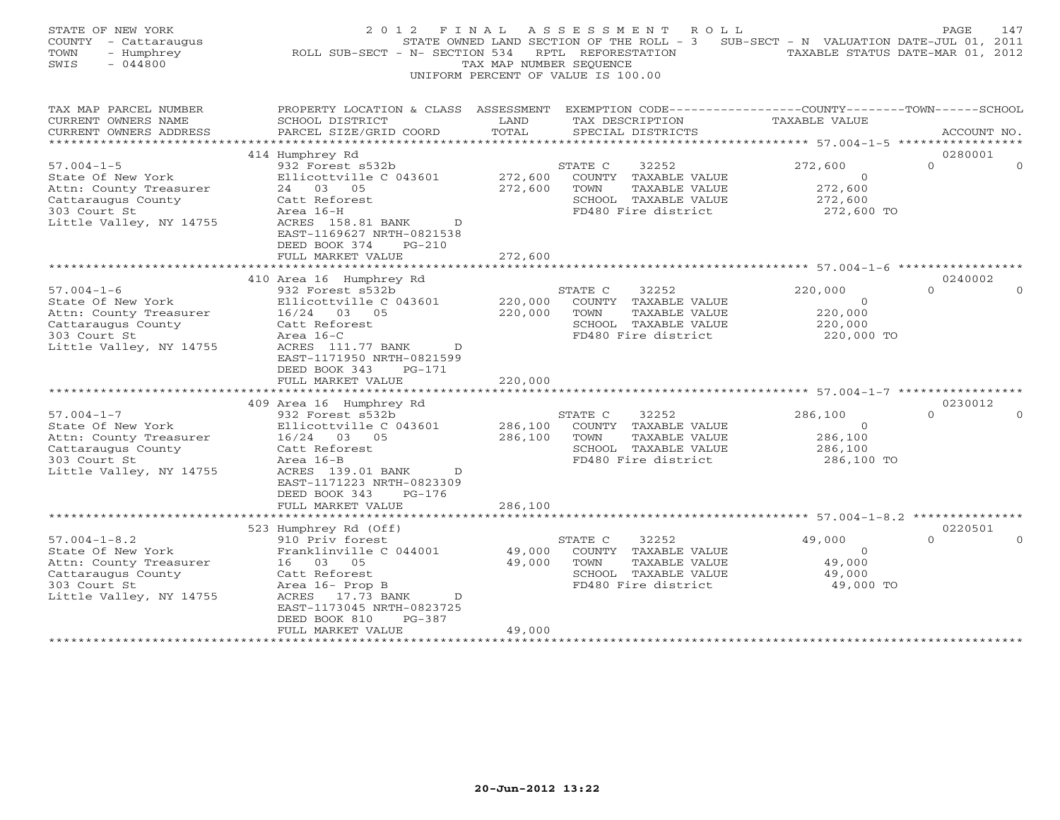| STATE OF NEW YORK<br>COUNTY - Cattaraugus<br>TOWN<br>- Humphrey<br>SWIS<br>$-044800$                                               | 2 0 1 2<br>F I N A L<br>ROLL SUB-SECT - N- SECTION 534                                                                                                                                                                                 | TAX MAP NUMBER SEOUENCE       | ASSESSMENT<br>R O L L<br>STATE OWNED LAND SECTION OF THE ROLL - 3<br>RPTL REFORESTATION<br>UNIFORM PERCENT OF VALUE IS 100.00 | SUB-SECT - N VALUATION DATE-JUL 01, 2011                      | PAGE<br>147<br>TAXABLE STATUS DATE-MAR 01, 2012 |
|------------------------------------------------------------------------------------------------------------------------------------|----------------------------------------------------------------------------------------------------------------------------------------------------------------------------------------------------------------------------------------|-------------------------------|-------------------------------------------------------------------------------------------------------------------------------|---------------------------------------------------------------|-------------------------------------------------|
| TAX MAP PARCEL NUMBER<br>CURRENT OWNERS NAME<br>CURRENT OWNERS ADDRESS                                                             | PROPERTY LOCATION & CLASS ASSESSMENT<br>SCHOOL DISTRICT<br>PARCEL SIZE/GRID COORD                                                                                                                                                      | LAND<br>TOTAL                 | EXEMPTION CODE-----------------COUNTY-------TOWN------SCHOOL<br>TAX DESCRIPTION<br>SPECIAL DISTRICTS                          | <b>TAXABLE VALUE</b>                                          | ACCOUNT NO.                                     |
|                                                                                                                                    | 414 Humphrey Rd                                                                                                                                                                                                                        |                               |                                                                                                                               |                                                               | 0280001                                         |
| $57.004 - 1 - 5$<br>State Of New York<br>Attn: County Treasurer<br>Cattaraugus County<br>303 Court St<br>Little Valley, NY 14755   | 932 Forest s532b<br>Ellicottville C 043601<br>24 03 05<br>Catt Reforest<br>Area 16-H<br>ACRES 158.81 BANK<br>D<br>EAST-1169627 NRTH-0821538<br>DEED BOOK 374<br>$PG-210$<br>FULL MARKET VALUE                                          | 272,600<br>272,600<br>272,600 | STATE C<br>32252<br>COUNTY TAXABLE VALUE<br>TOWN<br>TAXABLE VALUE<br>SCHOOL TAXABLE VALUE<br>FD480 Fire district              | 272,600<br>$\Omega$<br>272,600<br>272,600<br>272,600 TO       | $\Omega$<br>$\Omega$                            |
|                                                                                                                                    |                                                                                                                                                                                                                                        |                               |                                                                                                                               |                                                               |                                                 |
| $57.004 - 1 - 6$<br>State Of New York<br>Attn: County Treasurer<br>Cattaraugus County<br>303 Court St<br>Little Valley, NY 14755   | 410 Area 16 Humphrey Rd<br>932 Forest s532b<br>Ellicottville C 043601<br>16/24 03 05<br>Catt Reforest<br>Area 16-C<br>ACRES 111.77 BANK<br>$\mathbb{D}$<br>EAST-1171950 NRTH-0821599<br>DEED BOOK 343<br>$PG-171$<br>FULL MARKET VALUE | 220,000<br>220,000<br>220,000 | 32252<br>STATE C<br>COUNTY TAXABLE VALUE<br>TAXABLE VALUE<br>TOWN<br>SCHOOL TAXABLE VALUE<br>FD480 Fire district              | 220,000<br>$\mathbf{0}$<br>220,000<br>220,000<br>220,000 TO   | 0240002<br>$\Omega$<br>$\Omega$                 |
|                                                                                                                                    | **********************                                                                                                                                                                                                                 |                               |                                                                                                                               | ***************************** 57.004-1-7 ***********          |                                                 |
| $57.004 - 1 - 7$<br>State Of New York<br>Attn: County Treasurer<br>Cattaraugus County<br>303 Court St<br>Little Valley, NY 14755   | 409 Area 16 Humphrey Rd<br>932 Forest s532b<br>Ellicottville C 043601<br>16/24 03 05<br>Catt Reforest<br>Area 16-B<br>ACRES 139.01 BANK<br>D<br>EAST-1171223 NRTH-0823309<br>DEED BOOK 343<br>PG-176                                   | 286,100<br>286,100            | 32252<br>STATE C<br>COUNTY TAXABLE VALUE<br>TOWN<br>TAXABLE VALUE<br>SCHOOL TAXABLE VALUE<br>FD480 Fire district              | 286,100<br>$\overline{O}$<br>286,100<br>286,100<br>286,100 TO | 0230012<br>$\Omega$                             |
|                                                                                                                                    | FULL MARKET VALUE<br>* * * * * * * * * * * * * * * * * * * *                                                                                                                                                                           | 286,100                       |                                                                                                                               |                                                               |                                                 |
| $57.004 - 1 - 8.2$<br>State Of New York<br>Attn: County Treasurer<br>Cattaraugus County<br>303 Court St<br>Little Valley, NY 14755 | 523 Humphrey Rd (Off)<br>910 Priv forest<br>Franklinville C 044001<br>16 03 05<br>Catt Reforest<br>Area 16- Prop B<br>ACRES 17.73 BANK<br>$\Box$<br>EAST-1173045 NRTH-0823725<br>$PG-387$<br>DEED BOOK 810                             | 49,000<br>49,000              | STATE C<br>32252<br>COUNTY TAXABLE VALUE<br>TOWN<br>TAXABLE VALUE<br>SCHOOL TAXABLE VALUE<br>FD480 Fire district              | 49,000<br>$\mathbf{0}$<br>49,000<br>49,000<br>49,000 TO       | 0220501<br>$\Omega$<br>$\Omega$                 |
|                                                                                                                                    | FULL MARKET VALUE                                                                                                                                                                                                                      | 49,000                        |                                                                                                                               |                                                               |                                                 |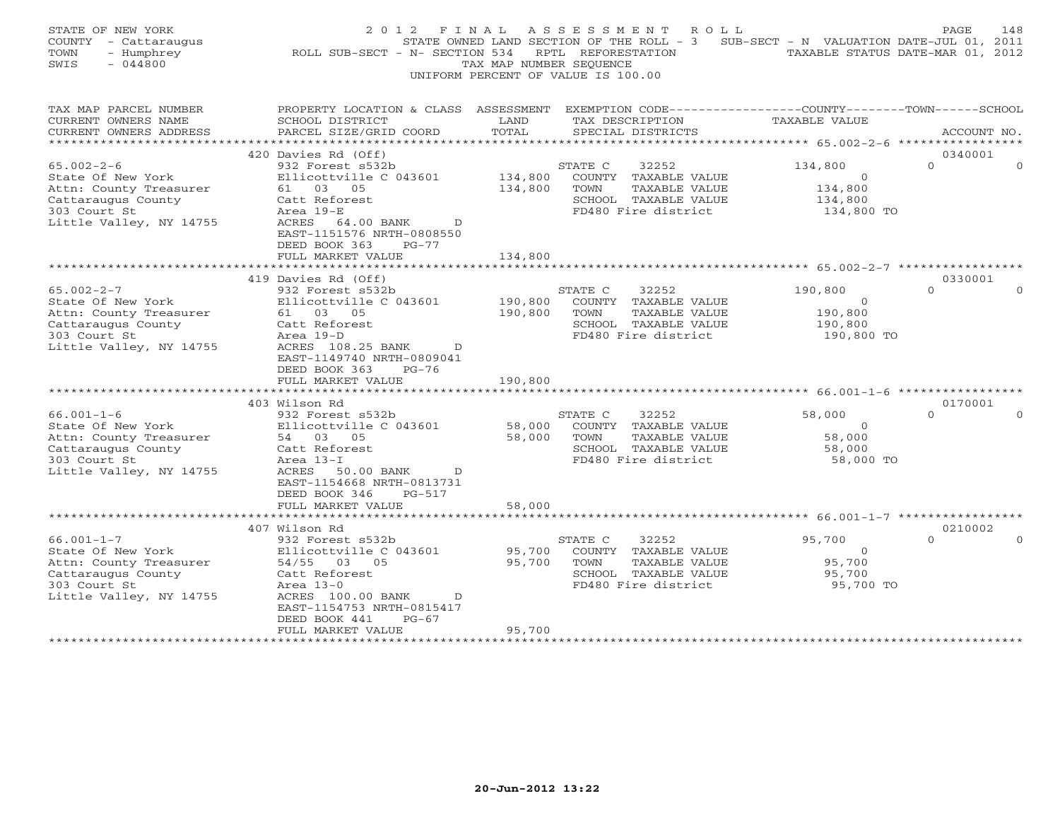| STATE OF NEW YORK<br>COUNTY - Cattaraugus<br>TOWN<br>- Humphrey<br>$-044800$<br>SWIS                                             | 2 0 1 2<br>F I N A L<br>ROLL SUB-SECT - N- SECTION 534                                                                                                                                                                          | TAX MAP NUMBER SEQUENCE       | ASSESSMENT ROLL<br>STATE OWNED LAND SECTION OF THE ROLL - 3 SUB-SECT - N VALUATION DATE-JUL 01, 2011<br>RPTL REFORESTATION<br>UNIFORM PERCENT OF VALUE IS 100.00 | TAXABLE STATUS DATE-MAR 01, 2012                              | PAGE<br>148          |
|----------------------------------------------------------------------------------------------------------------------------------|---------------------------------------------------------------------------------------------------------------------------------------------------------------------------------------------------------------------------------|-------------------------------|------------------------------------------------------------------------------------------------------------------------------------------------------------------|---------------------------------------------------------------|----------------------|
| TAX MAP PARCEL NUMBER<br>CURRENT OWNERS NAME<br>CURRENT OWNERS ADDRESS                                                           | PROPERTY LOCATION & CLASS ASSESSMENT EXEMPTION CODE---------------COUNTY-------TOWN------SCHOOL<br>SCHOOL DISTRICT<br>PARCEL SIZE/GRID COORD                                                                                    | LAND<br>TOTAL                 | TAX DESCRIPTION<br>SPECIAL DISTRICTS                                                                                                                             | <b>TAXABLE VALUE</b>                                          | ACCOUNT NO.          |
|                                                                                                                                  | 420 Davies Rd (Off)                                                                                                                                                                                                             |                               |                                                                                                                                                                  |                                                               | 0340001              |
| $65.002 - 2 - 6$<br>State Of New York<br>Attn: County Treasurer<br>Cattaraugus County<br>303 Court St<br>Little Valley, NY 14755 | 932 Forest s532b<br>Ellicottville C 043601<br>61 03 05<br>Catt Reforest<br>Area 19-E<br>ACRES 64.00 BANK<br>$\mathbf{D}$<br>EAST-1151576 NRTH-0808550<br>DEED BOOK 363<br>$PG-77$                                               | 134,800<br>134,800            | STATE C<br>32252<br>COUNTY TAXABLE VALUE<br>TOWN<br>TAXABLE VALUE<br>SCHOOL TAXABLE VALUE<br>FD480 Fire district                                                 | 134,800<br>$\overline{O}$<br>134,800<br>134,800<br>134,800 TO | $\Omega$<br>$\Omega$ |
|                                                                                                                                  | FULL MARKET VALUE                                                                                                                                                                                                               | 134,800                       |                                                                                                                                                                  |                                                               |                      |
|                                                                                                                                  | 419 Davies Rd (Off)                                                                                                                                                                                                             |                               |                                                                                                                                                                  |                                                               | 0330001              |
| $65.002 - 2 - 7$<br>State Of New York<br>Attn: County Treasurer<br>Cattaraugus County<br>303 Court St<br>Little Valley, NY 14755 | 932 Forest s532b<br>Ellicottville C 043601<br>61 03 05<br>Catt Reforest<br>Area 19-D<br>ACRES 108.25 BANK D<br>EAST-1149740 NRTH-0809041<br>DEED BOOK 363<br>PG-76<br>FULL MARKET VALUE                                         | 190,800<br>190,800<br>190,800 | 32252<br>STATE C<br>COUNTY TAXABLE VALUE<br>TAXABLE VALUE<br>TOWN<br>SCHOOL TAXABLE VALUE<br>FD480 Fire district                                                 | 190,800<br>$\overline{0}$<br>190,800<br>190,800<br>190,800 TO | $\Omega$<br>$\Omega$ |
|                                                                                                                                  |                                                                                                                                                                                                                                 | * * * * * * * * * * * * *     |                                                                                                                                                                  |                                                               |                      |
| $66.001 - 1 - 6$<br>State Of New York<br>Attn: County Treasurer<br>Cattaraugus County<br>303 Court St<br>Little Valley, NY 14755 | 403 Wilson Rd<br>932 Forest s532b<br>Ellicottville C 043601<br>54 03 05<br>Catt Reforest<br>Area 13-I<br>ACRES 50.00 BANK<br>$\overline{D}$<br>EAST-1154668 NRTH-0813731<br>DEED BOOK 346<br>PG-517                             | 58,000<br>58,000              | STATE C<br>32252<br>COUNTY TAXABLE VALUE<br>TOWN<br>TAXABLE VALUE<br>SCHOOL TAXABLE VALUE<br>FD480 Fire district                                                 | 58,000<br>$\Omega$<br>58,000<br>58,000<br>58,000 TO           | 0170001<br>$\Omega$  |
|                                                                                                                                  | FULL MARKET VALUE<br>********************************                                                                                                                                                                           | 58,000                        |                                                                                                                                                                  |                                                               |                      |
|                                                                                                                                  |                                                                                                                                                                                                                                 |                               |                                                                                                                                                                  |                                                               |                      |
| $66.001 - 1 - 7$<br>State Of New York<br>Attn: County Treasurer<br>Cattaraugus County<br>303 Court St<br>Little Valley, NY 14755 | 407 Wilson Rd<br>932 Forest s532b<br>Ellicottville C 043601<br>54/55 03 05<br>Catt Reforest<br>Area $13-0$<br>ACRES 100.00 BANK<br>$\overline{D}$<br>EAST-1154753 NRTH-0815417<br>DEED BOOK 441<br>$PG-67$<br>FULL MARKET VALUE | 95,700<br>95,700<br>95,700    | STATE C<br>32252<br>COUNTY TAXABLE VALUE<br>TOWN<br>TAXABLE VALUE<br>SCHOOL TAXABLE VALUE<br>FD480 Fire district                                                 | 95,700<br>$\overline{O}$<br>95,700<br>95,700<br>95,700 TO     | 0210002<br>$\Omega$  |
|                                                                                                                                  |                                                                                                                                                                                                                                 |                               |                                                                                                                                                                  |                                                               |                      |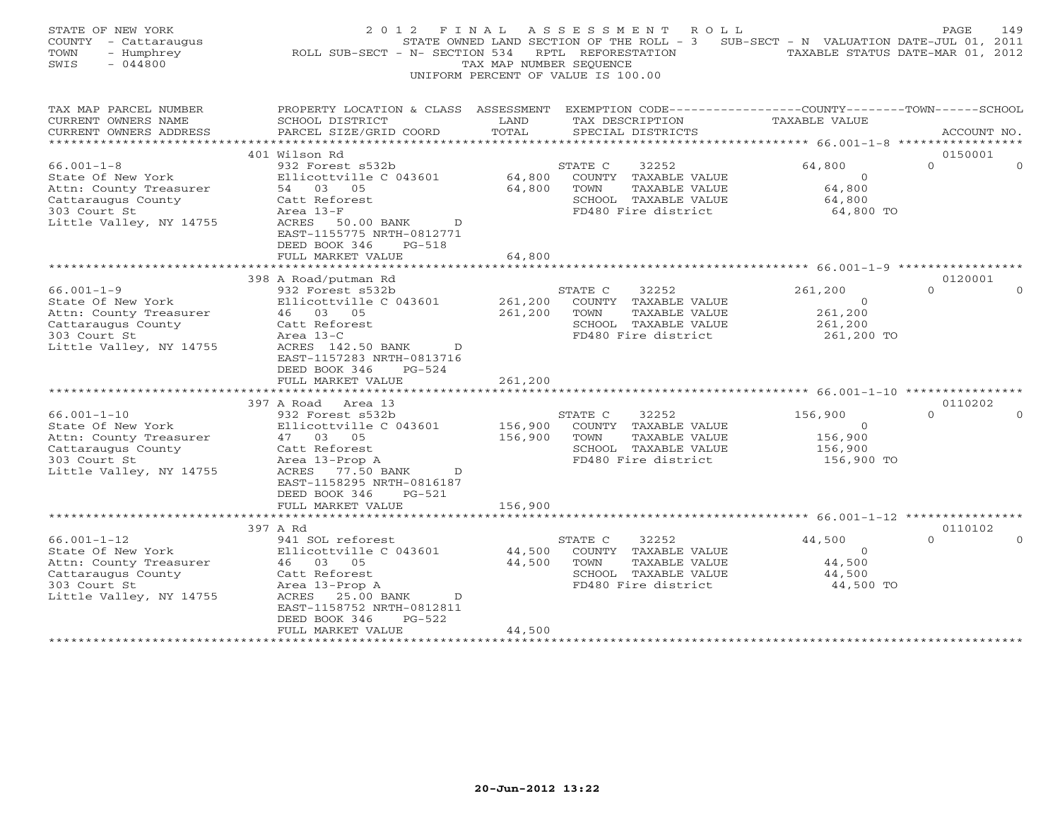| STATE OF NEW YORK<br>COUNTY - Cattaraugus<br>TOWN<br>- Humphrey<br>SWIS<br>$-044800$ | 2 0 1 2<br>F I N A L<br>ROLL SUB-SECT - N- SECTION 534                                          | TAX MAP NUMBER SEQUENCE | ASSESSMENT ROLL<br>STATE OWNED LAND SECTION OF THE ROLL - 3 SUB-SECT - N VALUATION DATE-JUL 01, 2011<br>RPTL REFORESTATION<br>UNIFORM PERCENT OF VALUE IS 100.00 |                                | PAGE<br>149<br>TAXABLE STATUS DATE-MAR 01, 2012 |
|--------------------------------------------------------------------------------------|-------------------------------------------------------------------------------------------------|-------------------------|------------------------------------------------------------------------------------------------------------------------------------------------------------------|--------------------------------|-------------------------------------------------|
| TAX MAP PARCEL NUMBER                                                                | PROPERTY LOCATION & CLASS ASSESSMENT EXEMPTION CODE---------------COUNTY-------TOWN------SCHOOL |                         |                                                                                                                                                                  |                                |                                                 |
| CURRENT OWNERS NAME<br>CURRENT OWNERS ADDRESS                                        | SCHOOL DISTRICT<br>PARCEL SIZE/GRID COORD                                                       | LAND<br>TOTAL           | TAX DESCRIPTION<br>SPECIAL DISTRICTS                                                                                                                             | <b>TAXABLE VALUE</b>           | ACCOUNT NO.                                     |
| ***********************                                                              |                                                                                                 |                         |                                                                                                                                                                  |                                |                                                 |
|                                                                                      | 401 Wilson Rd                                                                                   |                         |                                                                                                                                                                  |                                | 0150001                                         |
| $66.001 - 1 - 8$                                                                     | 932 Forest s532b                                                                                |                         | STATE C<br>32252                                                                                                                                                 | 64,800                         | $\Omega$<br>$\Omega$                            |
| State Of New York                                                                    | Ellicottville C 043601                                                                          | 64,800                  | COUNTY TAXABLE VALUE                                                                                                                                             | $\Omega$                       |                                                 |
| Attn: County Treasurer                                                               | 54 03 05                                                                                        | 64,800                  | TOWN<br>TAXABLE VALUE                                                                                                                                            | 64,800                         |                                                 |
| Cattaraugus County                                                                   | Catt Reforest                                                                                   |                         | SCHOOL TAXABLE VALUE                                                                                                                                             | 64,800                         |                                                 |
| 303 Court St                                                                         | Area 13-F                                                                                       |                         | FD480 Fire district                                                                                                                                              | 64,800 TO                      |                                                 |
| Little Valley, NY 14755                                                              | ACRES<br>50.00 BANK<br>$\mathbb{D}$                                                             |                         |                                                                                                                                                                  |                                |                                                 |
|                                                                                      | EAST-1155775 NRTH-0812771                                                                       |                         |                                                                                                                                                                  |                                |                                                 |
|                                                                                      | DEED BOOK 346<br>PG-518<br>FULL MARKET VALUE                                                    | 64,800                  |                                                                                                                                                                  |                                |                                                 |
|                                                                                      |                                                                                                 |                         |                                                                                                                                                                  |                                |                                                 |
|                                                                                      | 398 A Road/putman Rd                                                                            |                         |                                                                                                                                                                  |                                | 0120001                                         |
| $66.001 - 1 - 9$                                                                     | 932 Forest s532b                                                                                |                         | 32252<br>STATE C                                                                                                                                                 | 261,200                        | $\Omega$<br>$\Omega$                            |
| State Of New York                                                                    | Ellicottville C 043601                                                                          | 261,200                 | COUNTY TAXABLE VALUE                                                                                                                                             | $\circ$                        |                                                 |
| Attn: County Treasurer                                                               | 46 03 05                                                                                        | 261,200                 | TAXABLE VALUE<br>TOWN                                                                                                                                            | 261,200                        |                                                 |
| Cattaraugus County                                                                   | Catt Reforest                                                                                   |                         | SCHOOL TAXABLE VALUE                                                                                                                                             | 261,200                        |                                                 |
| 303 Court St                                                                         | Area 13-C                                                                                       |                         | FD480 Fire district                                                                                                                                              | 261,200 TO                     |                                                 |
| Little Valley, NY 14755                                                              | ACRES 142.50 BANK<br>$\mathbb{D}$                                                               |                         |                                                                                                                                                                  |                                |                                                 |
|                                                                                      | EAST-1157283 NRTH-0813716                                                                       |                         |                                                                                                                                                                  |                                |                                                 |
|                                                                                      | DEED BOOK 346<br>PG-524                                                                         |                         |                                                                                                                                                                  |                                |                                                 |
|                                                                                      | FULL MARKET VALUE<br>***********************                                                    | 261,200                 |                                                                                                                                                                  |                                |                                                 |
|                                                                                      | 397 A Road Area 13                                                                              |                         |                                                                                                                                                                  |                                | 0110202                                         |
| $66.001 - 1 - 10$                                                                    | 932 Forest s532b                                                                                |                         | STATE C<br>32252                                                                                                                                                 | 156,900                        | $\Omega$                                        |
| State Of New York                                                                    | Ellicottville C 043601                                                                          | 156,900                 | COUNTY TAXABLE VALUE                                                                                                                                             | $\circ$                        |                                                 |
| Attn: County Treasurer                                                               | 47 03 05                                                                                        | 156,900                 | TOWN<br>TAXABLE VALUE                                                                                                                                            | 156,900                        |                                                 |
| Cattaraugus County                                                                   | Catt Reforest                                                                                   |                         | SCHOOL TAXABLE VALUE                                                                                                                                             | 156,900                        |                                                 |
| 303 Court St                                                                         | Area 13-Prop A                                                                                  |                         | FD480 Fire district                                                                                                                                              | 156,900 TO                     |                                                 |
| Little Valley, NY 14755                                                              | ACRES 77.50 BANK<br>D                                                                           |                         |                                                                                                                                                                  |                                |                                                 |
|                                                                                      | EAST-1158295 NRTH-0816187                                                                       |                         |                                                                                                                                                                  |                                |                                                 |
|                                                                                      | DEED BOOK 346<br>$PG-521$                                                                       |                         |                                                                                                                                                                  |                                |                                                 |
|                                                                                      | FULL MARKET VALUE                                                                               | 156,900                 |                                                                                                                                                                  |                                |                                                 |
|                                                                                      |                                                                                                 |                         |                                                                                                                                                                  | ************* 66.001-1-12 **** |                                                 |
|                                                                                      | 397 A Rd                                                                                        |                         |                                                                                                                                                                  |                                | 0110102<br>$\Omega$                             |
| $66.001 - 1 - 12$<br>State Of New York                                               | 941 SOL reforest<br>Ellicottville C 043601                                                      | 44,500                  | 32252<br>STATE C<br>COUNTY TAXABLE VALUE                                                                                                                         | 44,500<br>$\overline{0}$       |                                                 |
| Attn: County Treasurer                                                               | 46 03 05                                                                                        | 44,500                  | TOWN<br>TAXABLE VALUE                                                                                                                                            | 44,500                         |                                                 |
| Cattaraugus County                                                                   | Catt Reforest                                                                                   |                         | SCHOOL TAXABLE VALUE                                                                                                                                             | 44,500                         |                                                 |
| 303 Court St                                                                         | Area 13-Prop A                                                                                  |                         | FD480 Fire district                                                                                                                                              | 44,500 TO                      |                                                 |
| Little Valley, NY 14755                                                              | ACRES 25.00 BANK<br>$\overline{D}$                                                              |                         |                                                                                                                                                                  |                                |                                                 |
|                                                                                      | EAST-1158752 NRTH-0812811                                                                       |                         |                                                                                                                                                                  |                                |                                                 |
|                                                                                      | DEED BOOK 346<br>$PG-522$                                                                       |                         |                                                                                                                                                                  |                                |                                                 |
|                                                                                      | FULL MARKET VALUE                                                                               | 44,500                  |                                                                                                                                                                  |                                |                                                 |
| **********************                                                               |                                                                                                 |                         |                                                                                                                                                                  |                                |                                                 |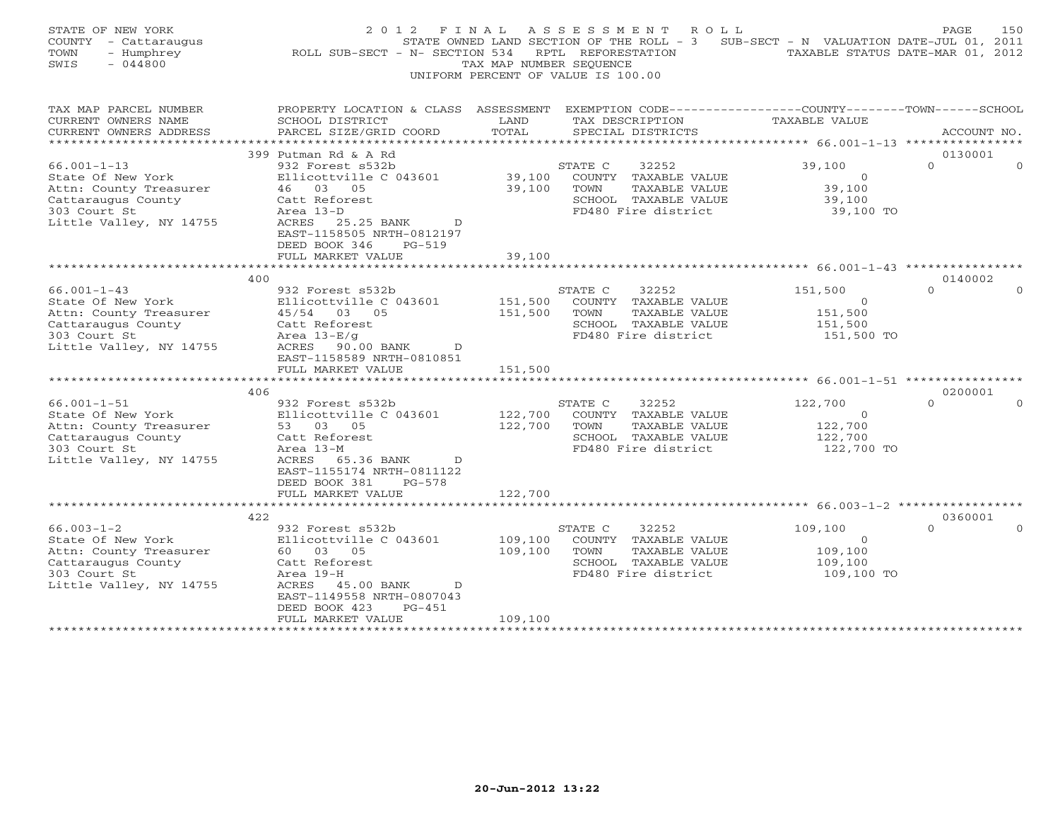| STATE OF NEW YORK<br>COUNTY - Cattaraugus<br>- Humphrey<br>TOWN<br>SWIS<br>$-044800$                                                                                                                                                                                   | F I N A L<br>2 0 1 2<br>ROLL SUB-SECT - N- SECTION 534                                                                                                                                                                                                                                                                                                                    | TAX MAP NUMBER SEOUENCE                             | A S S E S S M E N T<br>R O L L<br>STATE OWNED LAND SECTION OF THE ROLL - 3<br>RPTL REFORESTATION<br>UNIFORM PERCENT OF VALUE IS 100.00                                                                                               | SUB-SECT - N VALUATION DATE-JUL 01, 2011                                                                                                                                 | PAGE<br>150<br>TAXABLE STATUS DATE-MAR 01, 2012 |
|------------------------------------------------------------------------------------------------------------------------------------------------------------------------------------------------------------------------------------------------------------------------|---------------------------------------------------------------------------------------------------------------------------------------------------------------------------------------------------------------------------------------------------------------------------------------------------------------------------------------------------------------------------|-----------------------------------------------------|--------------------------------------------------------------------------------------------------------------------------------------------------------------------------------------------------------------------------------------|--------------------------------------------------------------------------------------------------------------------------------------------------------------------------|-------------------------------------------------|
| TAX MAP PARCEL NUMBER<br>CURRENT OWNERS NAME<br>CURRENT OWNERS ADDRESS<br>*********************                                                                                                                                                                        | PROPERTY LOCATION & CLASS ASSESSMENT<br>SCHOOL DISTRICT<br>PARCEL SIZE/GRID COORD<br>***********************                                                                                                                                                                                                                                                              | LAND<br>TOTAL                                       | EXEMPTION CODE-----------------COUNTY-------TOWN------SCHOOL<br>TAX DESCRIPTION<br>SPECIAL DISTRICTS                                                                                                                                 | <b>TAXABLE VALUE</b>                                                                                                                                                     | ACCOUNT NO.                                     |
|                                                                                                                                                                                                                                                                        | 399 Putman Rd & A Rd                                                                                                                                                                                                                                                                                                                                                      |                                                     |                                                                                                                                                                                                                                      |                                                                                                                                                                          | 0130001                                         |
| $66.001 - 1 - 13$<br>State Of New York<br>Attn: County Treasurer<br>Cattaraugus County<br>303 Court St<br>Little Valley, NY 14755                                                                                                                                      | 932 Forest s532b<br>Ellicottville C 043601<br>46 03 05<br>Catt Reforest<br>Area 13-D<br>ACRES 25.25 BANK<br>D<br>EAST-1158505 NRTH-0812197                                                                                                                                                                                                                                | 39,100<br>39,100                                    | STATE C<br>32252<br>COUNTY TAXABLE VALUE<br>TOWN<br>TAXABLE VALUE<br>SCHOOL TAXABLE VALUE<br>FD480 Fire district                                                                                                                     | 39,100<br>$\overline{O}$<br>39,100<br>39,100<br>39,100 TO                                                                                                                | $\Omega$                                        |
|                                                                                                                                                                                                                                                                        | DEED BOOK 346<br>$PG-519$<br>FULL MARKET VALUE                                                                                                                                                                                                                                                                                                                            | 39,100                                              |                                                                                                                                                                                                                                      |                                                                                                                                                                          |                                                 |
|                                                                                                                                                                                                                                                                        |                                                                                                                                                                                                                                                                                                                                                                           |                                                     |                                                                                                                                                                                                                                      |                                                                                                                                                                          |                                                 |
|                                                                                                                                                                                                                                                                        |                                                                                                                                                                                                                                                                                                                                                                           |                                                     |                                                                                                                                                                                                                                      |                                                                                                                                                                          |                                                 |
| $66.001 - 1 - 43$<br>State Of New York<br>Attn: County Treasurer<br>Cattaraugus County<br>303 Court St<br>Little Valley, NY 14755<br>$66.001 - 1 - 51$<br>State Of New York<br>Attn: County Treasurer<br>Cattaraugus County<br>303 Court St<br>Little Valley, NY 14755 | 400<br>932 Forest s532b<br>Ellicottville C 043601<br>45/54 03 05<br>Catt Reforest<br>Area $13-E/g$<br>ACRES 90.00 BANK<br>D<br>EAST-1158589 NRTH-0810851<br>FULL MARKET VALUE<br>406<br>932 Forest s532b<br>Ellicottville C 043601<br>53 03 05<br>Catt Reforest<br>Area 13-M<br>ACRES 65.36 BANK<br>$\mathcal{D}$<br>EAST-1155174 NRTH-0811122<br>DEED BOOK 381<br>PG-578 | 151,500<br>151,500<br>151,500<br>122,700<br>122,700 | STATE C<br>32252<br>COUNTY TAXABLE VALUE<br>TAXABLE VALUE<br>TOWN<br>SCHOOL TAXABLE VALUE<br>FD480 Fire district<br>STATE C<br>32252<br>COUNTY TAXABLE VALUE<br>TOWN<br>TAXABLE VALUE<br>SCHOOL TAXABLE VALUE<br>FD480 Fire district | 151,500<br>$\Omega$<br>151,500<br>151,500<br>151,500 TO<br>********************************* 66.001-1-51 ****<br>122,700<br>$\Omega$<br>122,700<br>122,700<br>122,700 TO | 0140002<br>$\Omega$<br>0200001<br>$\cap$        |
|                                                                                                                                                                                                                                                                        | FULL MARKET VALUE                                                                                                                                                                                                                                                                                                                                                         | 122,700                                             |                                                                                                                                                                                                                                      |                                                                                                                                                                          |                                                 |
|                                                                                                                                                                                                                                                                        |                                                                                                                                                                                                                                                                                                                                                                           | * * * * * * * * * * * *                             |                                                                                                                                                                                                                                      | ************************************* 66.003-1-2 ******************                                                                                                      |                                                 |
| $66.003 - 1 - 2$<br>State Of New York<br>Attn: County Treasurer<br>Cattaraugus County<br>303 Court St<br>Little Valley, NY 14755<br>*******************                                                                                                                | 422<br>932 Forest s532b<br>Ellicottville C 043601<br>60 03 05<br>Catt Reforest<br>Area 19-H<br>ACRES 45.00 BANK<br>D<br>EAST-1149558 NRTH-0807043<br>DEED BOOK 423<br>$PG-451$<br>FULL MARKET VALUE                                                                                                                                                                       | 109,100<br>109,100<br>109,100                       | STATE C<br>32252<br>COUNTY TAXABLE VALUE<br>TOWN<br>TAXABLE VALUE<br>SCHOOL TAXABLE VALUE<br>FD480 Fire district<br>****************************                                                                                     | 109,100<br>$\overline{0}$<br>109,100<br>109,100<br>109,100 TO                                                                                                            | 0360001<br>$\Omega$                             |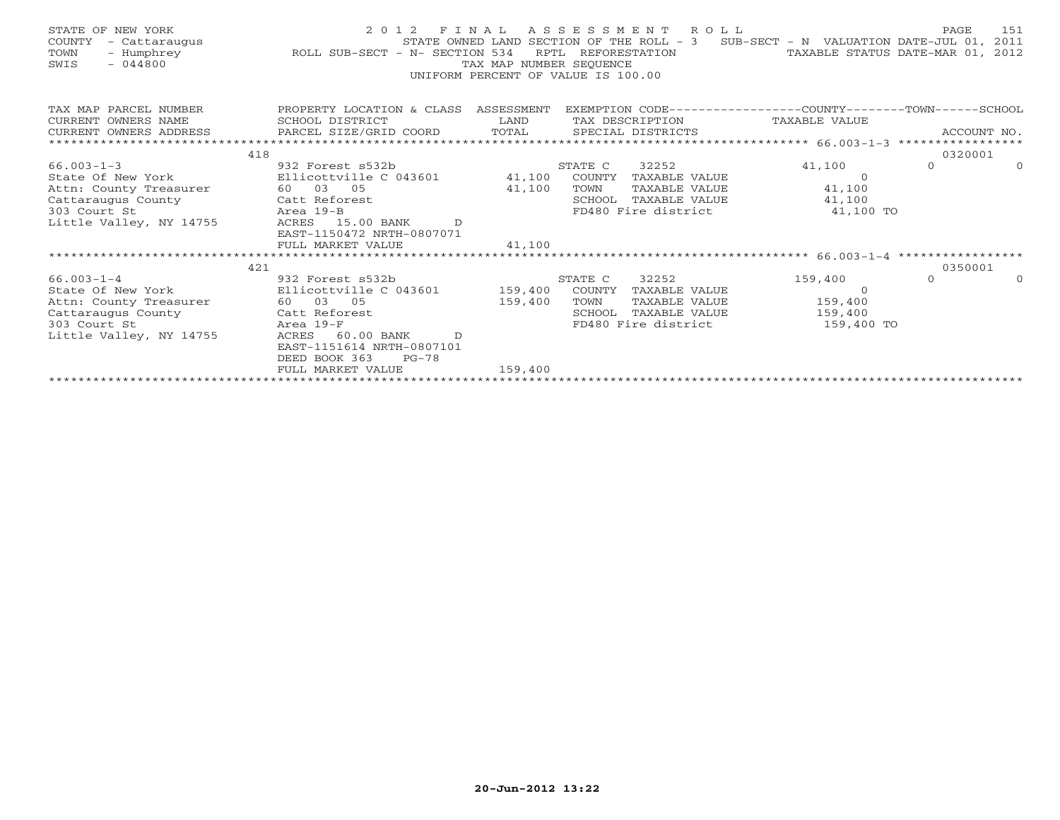| STATE OF NEW YORK<br>COUNTY<br>- Cattaraugus<br>- Humphrey<br>TOWN<br>$-044800$<br>SWIS | ROLL SUB-SECT - N- SECTION 534                          | TAX MAP NUMBER SEOUENCE<br>UNIFORM PERCENT OF VALUE IS 100.00 |         | 2012 FINAL ASSESSMENT ROLL | STATE OWNED LAND SECTION OF THE ROLL - 3 SUB-SECT - N VALUATION DATE-JUL 01, 2011<br>RPTL REFORESTATION TAXABLE STATUS DATE-MAR 01, 2012 | PAGE     | 151         |
|-----------------------------------------------------------------------------------------|---------------------------------------------------------|---------------------------------------------------------------|---------|----------------------------|------------------------------------------------------------------------------------------------------------------------------------------|----------|-------------|
| TAX MAP PARCEL NUMBER<br>CURRENT OWNERS NAME                                            | PROPERTY LOCATION & CLASS ASSESSMENT<br>SCHOOL DISTRICT | <b>Example 12 Distribution of the LAND</b>                    |         |                            | EXEMPTION CODE-----------------COUNTY-------TOWN------SCHOOL<br>TAX DESCRIPTION TAXABLE VALUE                                            |          |             |
| CURRENT OWNERS ADDRESS                                                                  | PARCEL SIZE/GRID COORD TOTAL                            |                                                               |         | SPECIAL DISTRICTS          |                                                                                                                                          |          | ACCOUNT NO. |
|                                                                                         |                                                         |                                                               |         |                            |                                                                                                                                          |          |             |
| 418                                                                                     |                                                         |                                                               |         |                            |                                                                                                                                          | 0320001  |             |
| $66.003 - 1 - 3$                                                                        | 932 Forest s532b                                        |                                                               | STATE C | 32252                      | 41,100                                                                                                                                   | $\Omega$ | $\Omega$    |
| State Of New York                                                                       | Ellicottville C 043601                                  | 41,100 COUNTY                                                 |         | TAXABLE VALUE              | $\Omega$                                                                                                                                 |          |             |
| Attn: County Treasurer                                                                  | 60 03 05                                                | 41,100                                                        | TOWN    | TAXABLE VALUE              | 41,100                                                                                                                                   |          |             |
| Cattaraugus County                                                                      | Catt Reforest                                           |                                                               |         | SCHOOL TAXABLE VALUE       | 41,100                                                                                                                                   |          |             |
| 303 Court St                                                                            | Area 19-B                                               |                                                               |         | FD480 Fire district        | 41,100 TO                                                                                                                                |          |             |
| Little Valley, NY 14755                                                                 | ACRES 15.00 BANK D                                      |                                                               |         |                            |                                                                                                                                          |          |             |
|                                                                                         | EAST-1150472 NRTH-0807071                               |                                                               |         |                            |                                                                                                                                          |          |             |
|                                                                                         | FULL MARKET VALUE                                       | 41,100                                                        |         |                            |                                                                                                                                          |          |             |
| 421                                                                                     |                                                         |                                                               |         |                            |                                                                                                                                          | 0350001  |             |
|                                                                                         |                                                         |                                                               |         |                            | 159,400                                                                                                                                  | $\Omega$ | $\Omega$    |
| 66.003-1-4<br>State Of New York                                                         |                                                         |                                                               |         |                            | $\Omega$                                                                                                                                 |          |             |
| Attn: County Treasurer                                                                  | 60 03 05                                                | 159,400                                                       | TOWN    |                            | TAXABLE VALUE 159,400                                                                                                                    |          |             |
| Cattaraugus County Catt Reforest                                                        |                                                         |                                                               | SCHOOL  | TAXABLE VALUE              | 159,400                                                                                                                                  |          |             |
| 303 Court St                                                                            | Area 19-F                                               |                                                               |         | FD480 Fire district        | 159,400 TO                                                                                                                               |          |             |
| Little Valley, NY 14755                                                                 | 60.00 BANK D<br>ACRES                                   |                                                               |         |                            |                                                                                                                                          |          |             |
|                                                                                         | EAST-1151614 NRTH-0807101                               |                                                               |         |                            |                                                                                                                                          |          |             |
|                                                                                         | DEED BOOK 363<br>$PG-78$                                |                                                               |         |                            |                                                                                                                                          |          |             |
|                                                                                         | FULL MARKET VALUE                                       | 159,400                                                       |         |                            |                                                                                                                                          |          |             |
|                                                                                         |                                                         |                                                               |         |                            |                                                                                                                                          |          |             |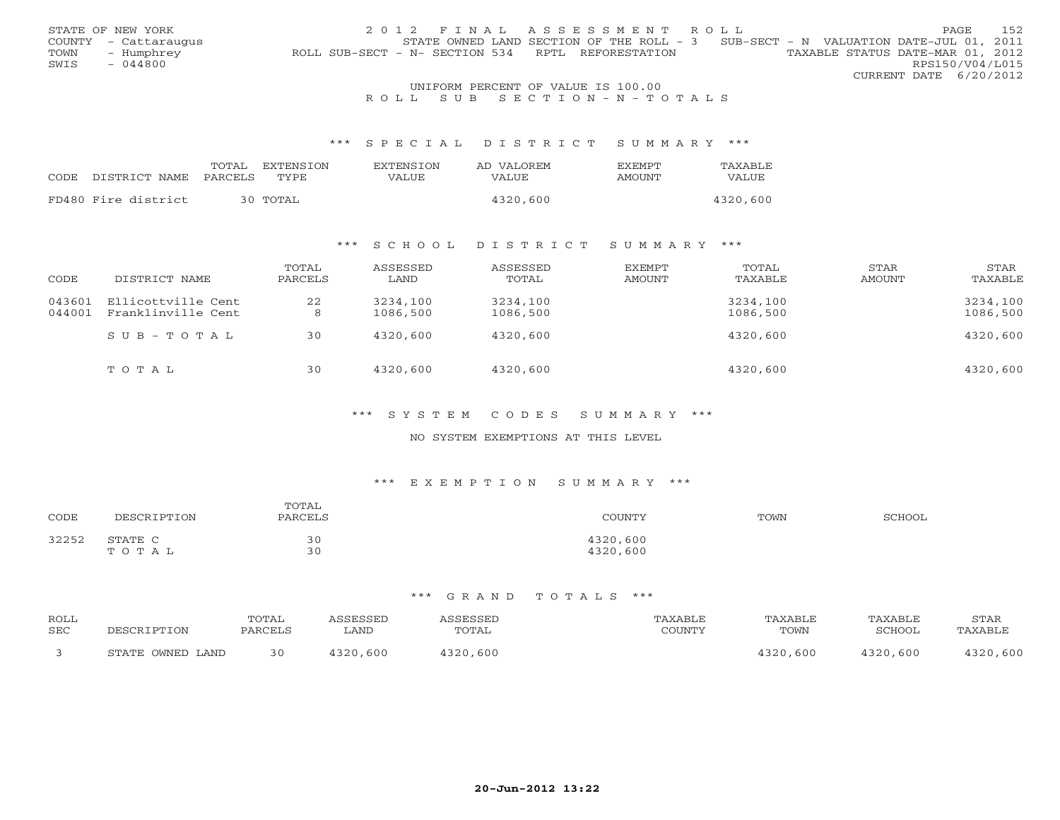|      | STATE OF NEW YORK    | 2012 FINAL ASSESSMENT ROLL                                                            | PAGE.                  | 1.52 |
|------|----------------------|---------------------------------------------------------------------------------------|------------------------|------|
|      | COUNTY - Cattaraugus | STATE OWNED LAND SECTION OF THE ROLL - 3 SUB-SECT - N VALUATION DATE-JUL 01, 2011     |                        |      |
| TOWN | – Humphrey           | TAXABLE STATUS DATE-MAR 01, 2012<br>ROLL SUB-SECT - N- SECTION 534 RPTL REFORESTATION |                        |      |
| SWIS | $-044800$            |                                                                                       | RPS150/V04/L015        |      |
|      |                      |                                                                                       | CURRENT DATE 6/20/2012 |      |
|      |                      | UNIFORM PERCENT OF VALUE IS 100.00                                                    |                        |      |

# R O L L S U B S E C T I O N - N - T O T A L S

#### \*\*\* S P E C I A L D I S T R I C T S U M M A R Y \*\*\*

|                            | TOTAL | <b>FXTENSTON</b> | <b>EXTENSION</b> | AD VALOREM | <b>FXFMPT</b> | TAXABLE  |
|----------------------------|-------|------------------|------------------|------------|---------------|----------|
| CODE DISTRICT NAME PARCELS |       | TYPE.            | VALUE            | VALUE.     | AMOUNT        | VALUE    |
|                            |       |                  |                  |            |               |          |
| FD480 Fire district        |       | 30 TOTAL         |                  | 4320,600   |               | 4320,600 |

# \*\*\* S C H O O L D I S T R I C T S U M M A R Y \*\*\*

| CODE             | DISTRICT NAME                            | TOTAL<br>PARCELS | ASSESSED<br>LAND     | ASSESSED<br>TOTAL    | EXEMPT<br>AMOUNT | TOTAL<br>TAXABLE     | STAR<br>AMOUNT | STAR<br>TAXABLE      |
|------------------|------------------------------------------|------------------|----------------------|----------------------|------------------|----------------------|----------------|----------------------|
| 043601<br>044001 | Ellicottville Cent<br>Franklinville Cent | 22<br>8          | 3234,100<br>1086,500 | 3234,100<br>1086,500 |                  | 3234,100<br>1086,500 |                | 3234,100<br>1086,500 |
|                  | $SUB - TO T AL$                          | 30               | 4320,600             | 4320,600             |                  | 4320,600             |                | 4320,600             |
|                  | TOTAL                                    | 30               | 4320,600             | 4320,600             |                  | 4320,600             |                | 4320,600             |

#### \*\*\* S Y S T E M C O D E S S U M M A R Y \*\*\*

### NO SYSTEM EXEMPTIONS AT THIS LEVEL

# \*\*\* E X E M P T I O N S U M M A R Y \*\*\*

| CODE  | DESCRIPTION      | TOTAL<br>PARCELS | COUNTY               | TOWN | SCHOOL |
|-------|------------------|------------------|----------------------|------|--------|
| 32252 | STATE C<br>TOTAL | 30<br>30         | 4320,600<br>4320,600 |      |        |

| ROLL       |                  | TOTAL   | ASSESSED | ASSESSED | TAXABLE | TAXABLE  | TAXABLE  | STAR     |
|------------|------------------|---------|----------|----------|---------|----------|----------|----------|
| <b>SEC</b> | DESCRIPTION      | PARCELS | . AND    | TOTAL    | COUNTY  | TOWN     | SCHOOL   | TAXABLE  |
|            | STATE OWNED LAND | 30      | 4320,600 | 4320,600 |         | 4320,600 | 4320,600 | 4320,600 |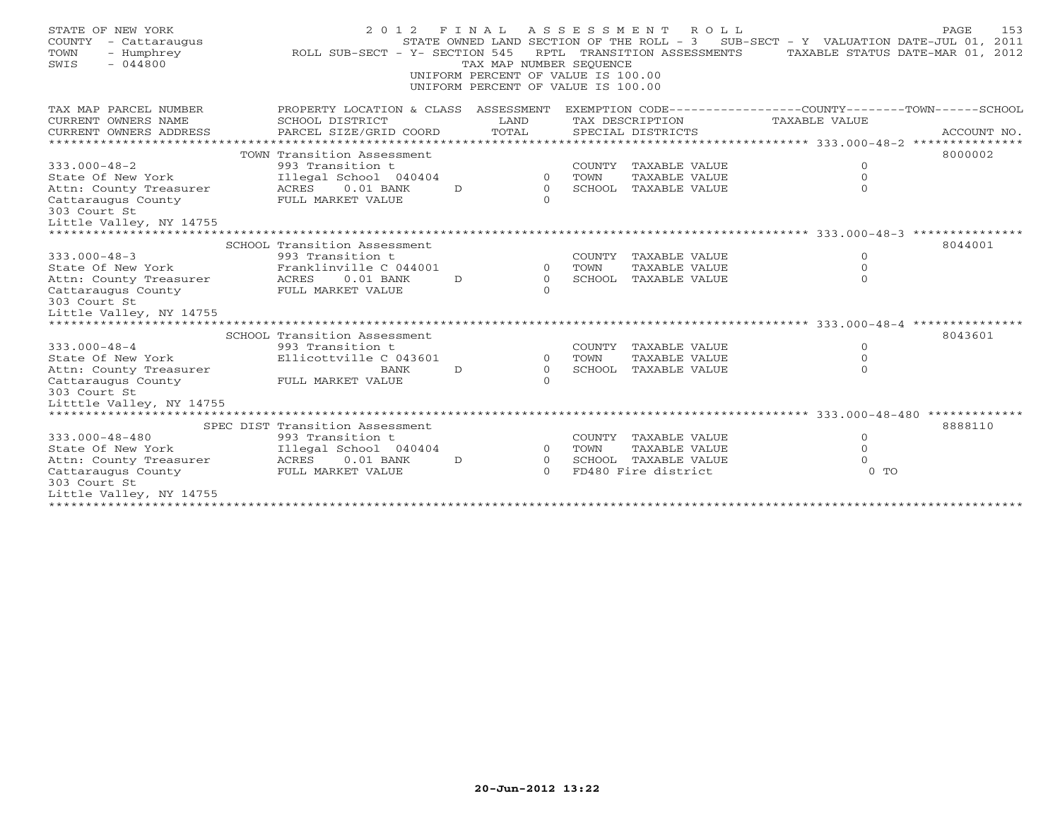| STATE OF NEW YORK<br>COUNTY<br>- Cattaraugus<br>- Humphrey<br>TOWN<br>$-044800$<br>SWIS | 2 0 1 2<br>ROLL SUB-SECT - Y- SECTION 545  | TAX MAP NUMBER SEQUENCE<br>UNIFORM PERCENT OF VALUE IS 100.00<br>UNIFORM PERCENT OF VALUE IS 100.00 |                |                | FINAL ASSESSMENT ROLL<br>RPTL TRANSITION ASSESSMENTS | STATE OWNED LAND SECTION OF THE ROLL - 3 SUB-SECT - Y VALUATION DATE-JUL 01, 2011<br>TAXABLE STATUS DATE-MAR 01, 2012 | 153<br>PAGE |
|-----------------------------------------------------------------------------------------|--------------------------------------------|-----------------------------------------------------------------------------------------------------|----------------|----------------|------------------------------------------------------|-----------------------------------------------------------------------------------------------------------------------|-------------|
| TAX MAP PARCEL NUMBER<br>CURRENT OWNERS NAME                                            | SCHOOL DISTRICT                            | LAND                                                                                                |                |                | TAX DESCRIPTION                                      | PROPERTY LOCATION & CLASS ASSESSMENT EXEMPTION CODE---------------COUNTY-------TOWN------SCHOOL<br>TAXABLE VALUE      |             |
| CURRENT OWNERS ADDRESS                                                                  | PARCEL SIZE/GRID COORD                     | TOTAL                                                                                               |                |                | SPECIAL DISTRICTS                                    |                                                                                                                       | ACCOUNT NO. |
|                                                                                         | TOWN Transition Assessment                 |                                                                                                     |                |                |                                                      |                                                                                                                       | 8000002     |
| $333.000 - 48 - 2$                                                                      | 993 Transition t                           |                                                                                                     |                |                | COUNTY TAXABLE VALUE                                 | $\circ$                                                                                                               |             |
| State Of New York                                                                       | Illegal School 040404                      |                                                                                                     | $\Omega$       | TOWN           | TAXABLE VALUE                                        | $\Omega$                                                                                                              |             |
| Attn: County Treasurer                                                                  | ACRES<br>$0.01$ BANK                       | D                                                                                                   | $\overline{0}$ |                | SCHOOL TAXABLE VALUE                                 | $\Omega$                                                                                                              |             |
| Cattaraugus County                                                                      | FULL MARKET VALUE                          |                                                                                                     | $\Omega$       |                |                                                      |                                                                                                                       |             |
| 303 Court St                                                                            |                                            |                                                                                                     |                |                |                                                      |                                                                                                                       |             |
| Little Valley, NY 14755                                                                 |                                            |                                                                                                     |                |                |                                                      |                                                                                                                       |             |
|                                                                                         | SCHOOL Transition Assessment               |                                                                                                     |                |                |                                                      |                                                                                                                       | 8044001     |
| $333.000 - 48 - 3$                                                                      | 993 Transition t                           |                                                                                                     |                | COUNTY         | TAXABLE VALUE                                        | $\circ$                                                                                                               |             |
| State Of New York                                                                       | Franklinville C 044001                     |                                                                                                     | $\Omega$       | TOWN           | TAXABLE VALUE                                        | $\Omega$                                                                                                              |             |
| Attn: County Treasurer                                                                  | ACRES<br>$0.01$ BANK                       | D                                                                                                   | $\circ$        |                | SCHOOL TAXABLE VALUE                                 | $\Omega$                                                                                                              |             |
| Cattaraugus County                                                                      | FULL MARKET VALUE                          |                                                                                                     | $\Omega$       |                |                                                      |                                                                                                                       |             |
| 303 Court St                                                                            |                                            |                                                                                                     |                |                |                                                      |                                                                                                                       |             |
| Little Valley, NY 14755                                                                 |                                            |                                                                                                     |                |                |                                                      |                                                                                                                       |             |
|                                                                                         |                                            |                                                                                                     |                |                |                                                      |                                                                                                                       |             |
| $333.000 - 48 - 4$                                                                      | SCHOOL Transition Assessment               |                                                                                                     |                |                |                                                      | $\circ$                                                                                                               | 8043601     |
| State Of New York                                                                       | 993 Transition t<br>Ellicottville C 043601 |                                                                                                     | $\overline{0}$ | COUNTY<br>TOWN | TAXABLE VALUE<br>TAXABLE VALUE                       | $\circ$                                                                                                               |             |
| Attn: County Treasurer                                                                  | BANK                                       | D                                                                                                   | $\Omega$       |                | SCHOOL TAXABLE VALUE                                 | $\Omega$                                                                                                              |             |
| Cattaraugus County                                                                      | FULL MARKET VALUE                          |                                                                                                     | $\Omega$       |                |                                                      |                                                                                                                       |             |
| 303 Court St                                                                            |                                            |                                                                                                     |                |                |                                                      |                                                                                                                       |             |
| Litttle Valley, NY 14755                                                                |                                            |                                                                                                     |                |                |                                                      |                                                                                                                       |             |
| *********************                                                                   |                                            |                                                                                                     |                |                |                                                      |                                                                                                                       |             |
|                                                                                         | SPEC DIST Transition Assessment            |                                                                                                     |                |                |                                                      |                                                                                                                       | 8888110     |
| 333.000-48-480                                                                          | 993 Transition t                           |                                                                                                     |                |                | COUNTY TAXABLE VALUE                                 | $\circ$                                                                                                               |             |
| State Of New York                                                                       | Illegal School 040404                      |                                                                                                     | $\overline{0}$ | TOWN           | TAXABLE VALUE                                        | $\circ$                                                                                                               |             |
| Attn: County Treasurer                                                                  | ACRES<br>$0.01$ BANK                       | D                                                                                                   | $\Omega$       |                | SCHOOL TAXABLE VALUE                                 | $\Omega$                                                                                                              |             |
| Cattaraugus County<br>303 Court St                                                      | FULL MARKET VALUE                          |                                                                                                     | $\Omega$       |                | FD480 Fire district                                  | $0$ TO                                                                                                                |             |
| Little Valley, NY 14755                                                                 |                                            |                                                                                                     |                |                |                                                      |                                                                                                                       |             |
|                                                                                         |                                            |                                                                                                     |                |                |                                                      |                                                                                                                       |             |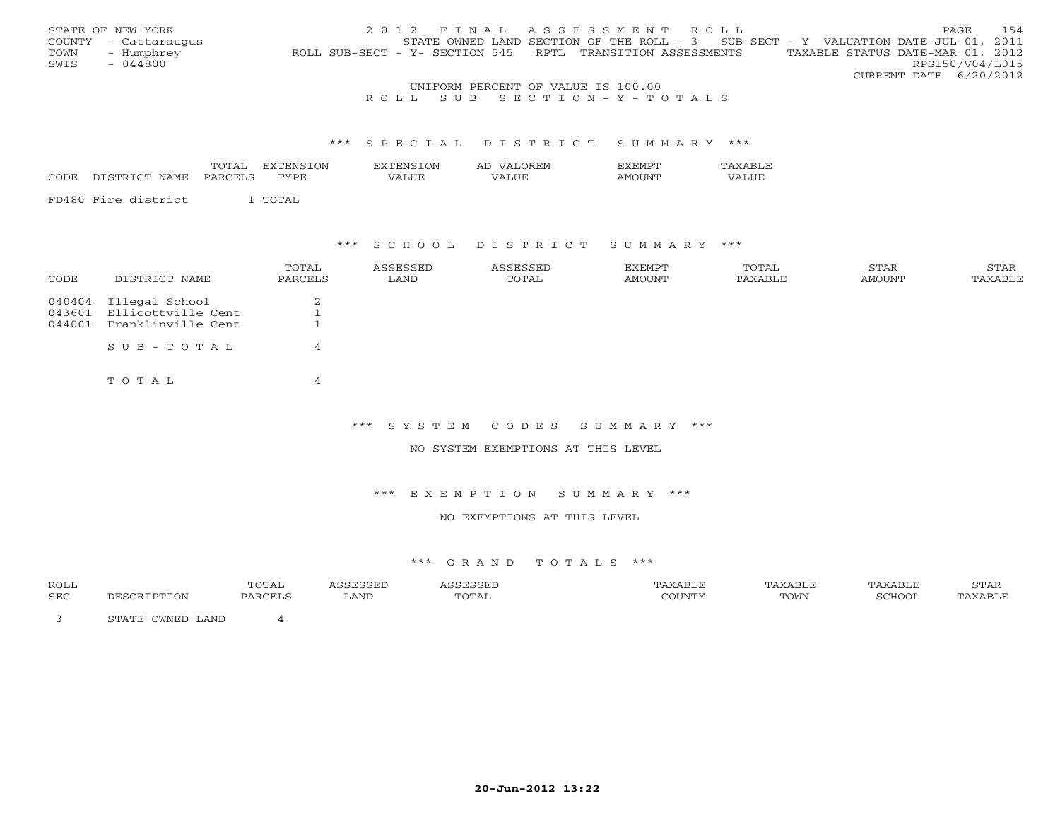|      | STATE OF NEW YORK    |                                                            |                                    | 2012 FINAL ASSESSMENT ROLL                                                          |                                  | PAGE            | 154 |
|------|----------------------|------------------------------------------------------------|------------------------------------|-------------------------------------------------------------------------------------|----------------------------------|-----------------|-----|
|      | COUNTY - Cattaraugus |                                                            |                                    | STATE OWNED LAND SECTION OF THE ROLL - $3$ SUB-SECT - Y VALUATION DATE-JUL 01, 2011 |                                  |                 |     |
| TOWN | - Humphrey           | ROLL SUB-SECT - Y- SECTION 545 RPTL TRANSITION ASSESSMENTS |                                    |                                                                                     | TAXABLE STATUS DATE-MAR 01, 2012 |                 |     |
| SWIS | - 044800             |                                                            |                                    |                                                                                     |                                  | RPS150/V04/L015 |     |
|      |                      |                                                            |                                    |                                                                                     | CURRENT DATE 6/20/2012           |                 |     |
|      |                      |                                                            | UNIFORM PERCENT OF VALUE IS 100.00 |                                                                                     |                                  |                 |     |

R O L L S U B S E C T I O N - Y - T O T A L S

#### \*\*\* S P E C I A L D I S T R I C T S U M M A R Y \*\*\*

|      |                                  |        | ON. | $\overline{\mathbf{M}}$ | <u>.</u> |     |
|------|----------------------------------|--------|-----|-------------------------|----------|-----|
| CODE | ¬ ⊓<br>י החי<br>AMH<br>IN L<br>. | ______ |     |                         |          | --- |

FD480 Fire district 1 TOTAL

### \*\*\* S C H O O L D I S T R I C T S U M M A R Y \*\*\*

| CODE   | DISTRICT NAME             | TOTAL<br>PARCELS | ASSESSED<br>LAND | ASSESSED<br>TOTAL | EXEMPT<br>AMOUNT | TOTAL<br>TAXABLE | STAR<br>AMOUNT | STAR<br>TAXABLE |
|--------|---------------------------|------------------|------------------|-------------------|------------------|------------------|----------------|-----------------|
|        | 040404 Illegal School     | 2                |                  |                   |                  |                  |                |                 |
|        | 043601 Ellicottville Cent |                  |                  |                   |                  |                  |                |                 |
| 044001 | Franklinville Cent        |                  |                  |                   |                  |                  |                |                 |
|        | $S \cup B - T \cup T A$   | 4                |                  |                   |                  |                  |                |                 |
|        | TOTAL                     | 4                |                  |                   |                  |                  |                |                 |

\*\*\* S Y S T E M C O D E S S U M M A R Y \*\*\*

NO SYSTEM EXEMPTIONS AT THIS LEVEL

#### \*\*\* E X E M P T I O N S U M M A R Y \*\*\*

### NO EXEMPTIONS AT THIS LEVEL

| ROLL |                                                  | TOTAL   |      |        |        | 'AXABLE | <sup>7</sup> AXABLL | STAR                            |
|------|--------------------------------------------------|---------|------|--------|--------|---------|---------------------|---------------------------------|
| SEC  |                                                  | יחמת גם | LAND | д<br>. | COUNTY | TOWN    | SCHOOL              | $\wedge$ Y $\wedge$ PT $\vdash$ |
|      | . OWNED LAND<br>$C$ m $\lambda$ m $\overline{D}$ |         |      |        |        |         |                     |                                 |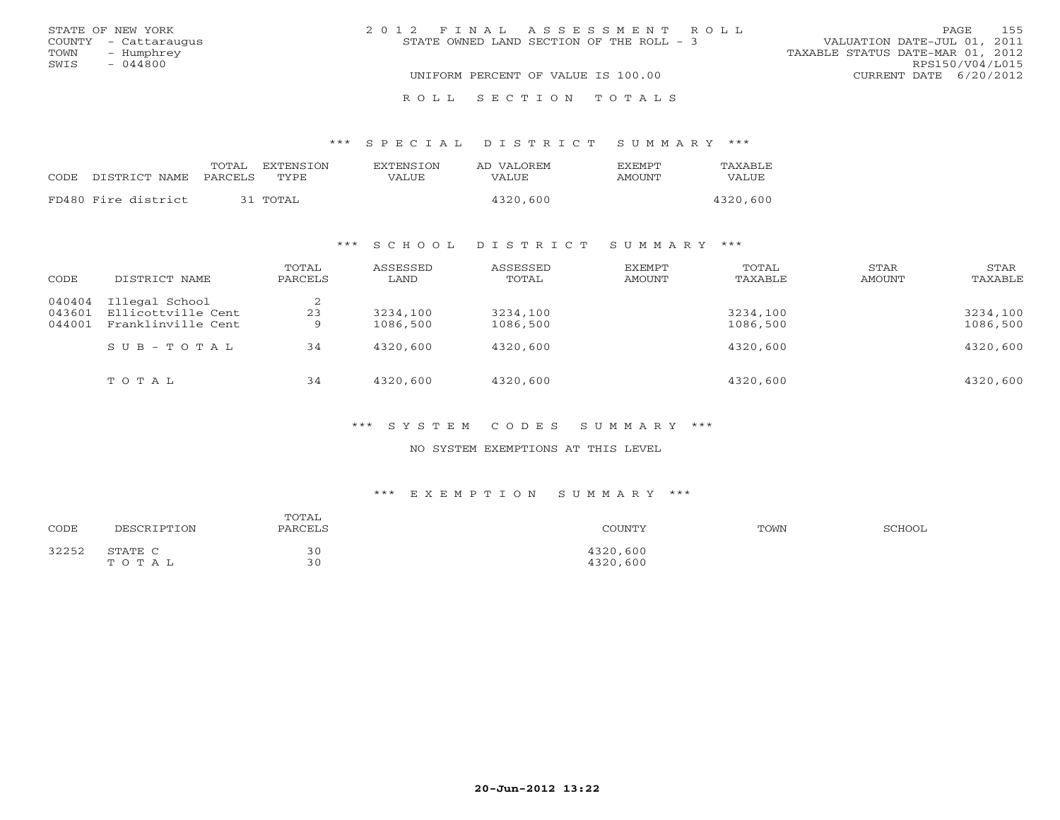| STATE OF NEW YORK    | 2012 FINAL ASSESSMENT ROLL               | 155<br>PAGE.                     |
|----------------------|------------------------------------------|----------------------------------|
| COUNTY - Cattaraugus | STATE OWNED LAND SECTION OF THE ROLL - 3 | VALUATION DATE-JUL 01, 2011      |
| TOWN<br>- Humphrey   |                                          | TAXABLE STATUS DATE-MAR 01, 2012 |
| SWIS<br>$-044800$    |                                          | RPS150/V04/L015                  |
|                      | UNIFORM PERCENT OF VALUE IS 100.00       | CURRENT DATE 6/20/2012           |
|                      | ROLL SECTION TOTALS                      |                                  |

\*\*\* S P E C I A L D I S T R I C T S U M M A R Y \*\*\*

|                     | TOTAL   | <b>EXTENSION</b> | <b>EXTENSION</b> | AD VALOREM | <b>EXEMPT</b> | TAXABLE  |
|---------------------|---------|------------------|------------------|------------|---------------|----------|
| CODE DISTRICT NAME  | PARCELS | <b>TYPE</b>      | VALUE            | VALUE.     | AMOUNT        | VALUE    |
| FD480 Fire district |         | 31 TOTAL         |                  | 4320,600   |               | 4320,600 |
|                     |         |                  |                  |            |               |          |

### \*\*\* S C H O O L D I S T R I C T S U M M A R Y \*\*\*

| CODE                       | DISTRICT NAME                                              | TOTAL<br>PARCELS | ASSESSED<br>LAND     | ASSESSED<br>TOTAL    | <b>EXEMPT</b><br>AMOUNT | TOTAL<br>TAXABLE     | STAR<br>AMOUNT | STAR<br>TAXABLE      |
|----------------------------|------------------------------------------------------------|------------------|----------------------|----------------------|-------------------------|----------------------|----------------|----------------------|
| 040404<br>043601<br>044001 | Illegal School<br>Ellicottville Cent<br>Franklinville Cent | 2<br>23<br>9     | 3234,100<br>1086,500 | 3234,100<br>1086,500 |                         | 3234,100<br>1086,500 |                | 3234,100<br>1086,500 |
|                            | $S \cup B - T \cup T A L$                                  | 34               | 4320,600             | 4320,600             |                         | 4320,600             |                | 4320,600             |
|                            | TOTAL                                                      | 34               | 4320,600             | 4320,600             |                         | 4320,600             |                | 4320,600             |

\*\*\* S Y S T E M C O D E S S U M M A R Y \*\*\*

NO SYSTEM EXEMPTIONS AT THIS LEVEL

| CODE  | DESCRIPTION      | TOTAL<br>PARCELS | COUNTY               | TOWN | SCHOOL |
|-------|------------------|------------------|----------------------|------|--------|
| 32252 | STATE C<br>TOTAL | $\sim$<br>30     | 4320,600<br>4320,600 |      |        |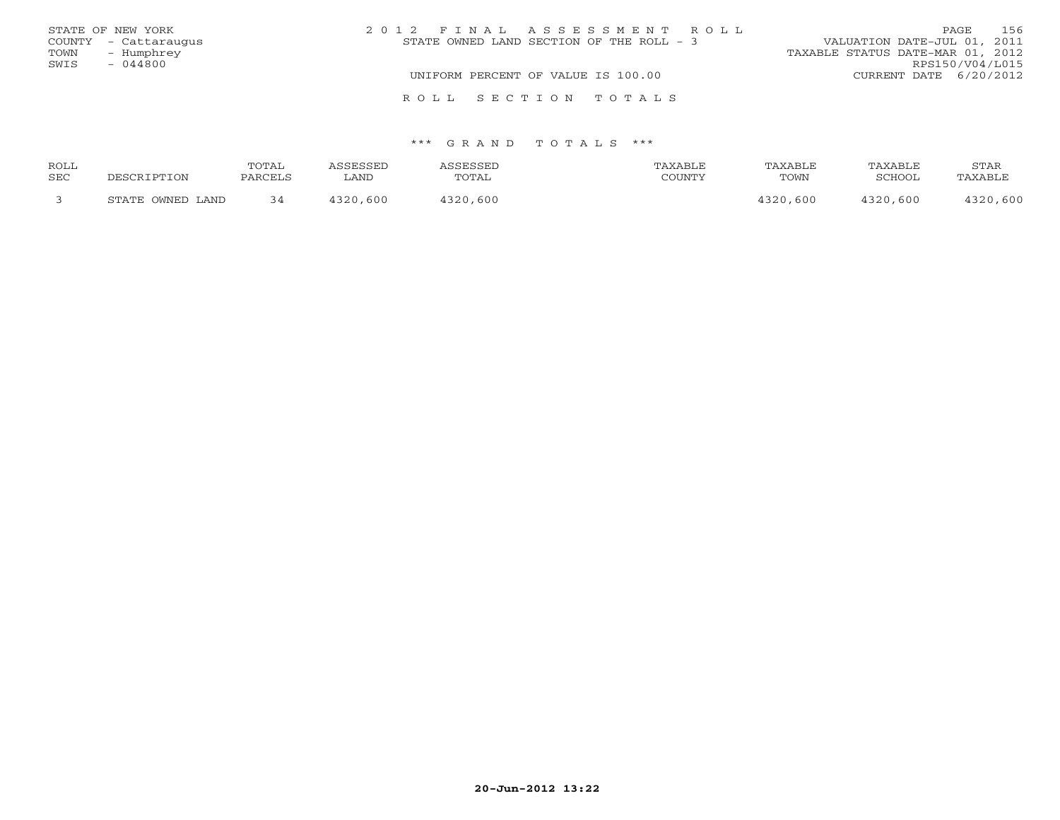|      | STATE OF NEW YORK    | 2012 FINAL ASSESSMENT ROLL               | 156<br>PAGE                      |
|------|----------------------|------------------------------------------|----------------------------------|
|      | COUNTY - Cattaraugus | STATE OWNED LAND SECTION OF THE ROLL - 3 | VALUATION DATE-JUL 01, 2011      |
| TOWN | - Humphrey           |                                          | TAXABLE STATUS DATE-MAR 01, 2012 |
| SWIS | $-044800$            |                                          | RPS150/V04/L015                  |
|      |                      | UNIFORM PERCENT OF VALUE IS 100.00       | CURRENT DATE $6/20/2012$         |
|      |                      | ROLL SECTION TOTALS                      |                                  |

| ROLL       |                  | <b>TOTAL</b> | <i><b>\SSESSED</b></i> | SSESSED  | TAXABLE | TAXABLE | TAXABLE  | STAR     |
|------------|------------------|--------------|------------------------|----------|---------|---------|----------|----------|
| <b>SEC</b> | DESCRIPTION      | PARCELS      | LAND                   | TOTAL    | COUNTY  | TOWN    | SCHOOL   | TAXABLE  |
|            | STATE OWNED LAND |              | 4320,600               | 1320,600 |         | 320,600 | 4320,600 | 4320,600 |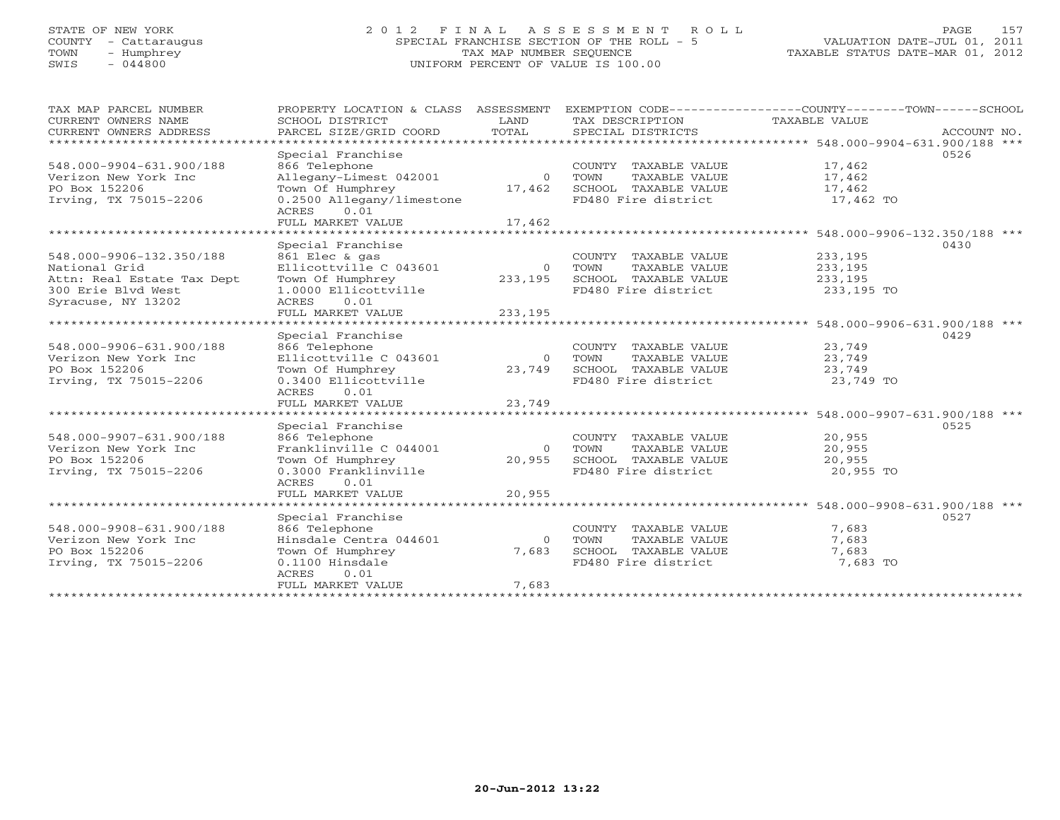# STATE OF NEW YORK 2 0 1 2 F I N A L A S S E S S M E N T R O L L PAGE 157 COUNTY - Cattaraugus SPECIAL FRANCHISE SECTION OF THE ROLL - 5 VALUATION DATE-JUL 01, 2011 TOWN - Humphrey TAX MAP NUMBER SEQUENCE TAXABLE STATUS DATE-MAR 01, 2012 SWIS - 044800 UNIFORM PERCENT OF VALUE IS 100.00UNIFORM PERCENT OF VALUE IS 100.00

| TAX MAP PARCEL NUMBER<br>CURRENT OWNERS NAME<br>CURRENT OWNERS ADDRESS<br>*********************                     | PROPERTY LOCATION & CLASS<br>SCHOOL DISTRICT<br>PARCEL SIZE/GRID COORD                                                                              | ASSESSMENT<br>LAND<br>TOTAL    | TAX DESCRIPTION<br>SPECIAL DISTRICTS                                                         | EXEMPTION CODE-----------------COUNTY-------TOWN------SCHOOL<br>TAXABLE VALUE                  | ACCOUNT NO. |
|---------------------------------------------------------------------------------------------------------------------|-----------------------------------------------------------------------------------------------------------------------------------------------------|--------------------------------|----------------------------------------------------------------------------------------------|------------------------------------------------------------------------------------------------|-------------|
| 548.000-9904-631.900/188<br>Verizon New York Inc<br>PO Box 152206<br>Irving, TX 75015-2206                          | Special Franchise<br>866 Telephone<br>Allegany-Limest 042001<br>Town Of Humphrey<br>0.2500 Allegany/limestone<br>0.01<br>ACRES<br>FULL MARKET VALUE | $\Omega$<br>17,462<br>17,462   | COUNTY TAXABLE VALUE<br>TAXABLE VALUE<br>TOWN<br>SCHOOL TAXABLE VALUE<br>FD480 Fire district | 17,462<br>17,462<br>17,462<br>17,462 TO                                                        | 0526        |
|                                                                                                                     |                                                                                                                                                     |                                |                                                                                              | ********************** 548.000-9906-132.350/188 ***                                            |             |
| 548.000-9906-132.350/188<br>National Grid<br>Attn: Real Estate Tax Dept<br>300 Erie Blvd West<br>Syracuse, NY 13202 | Special Franchise<br>861 Elec & gas<br>Ellicottville C 043601<br>Town Of Humphrey<br>1.0000 Ellicottville<br>0.01<br>ACRES<br>FULL MARKET VALUE     | $\Omega$<br>233,195<br>233,195 | COUNTY TAXABLE VALUE<br>TOWN<br>TAXABLE VALUE<br>SCHOOL TAXABLE VALUE<br>FD480 Fire district | 233,195<br>233,195<br>233,195<br>233,195 TO                                                    | 0430        |
| ************************                                                                                            |                                                                                                                                                     |                                |                                                                                              |                                                                                                |             |
| 548.000-9906-631.900/188<br>Verizon New York Inc<br>PO Box 152206<br>Irving, TX 75015-2206                          | Special Franchise<br>866 Telephone<br>Ellicottville C 043601<br>Town Of Humphrey<br>0.3400 Ellicottville<br>0.01<br>ACRES                           | $\circ$<br>23,749              | COUNTY TAXABLE VALUE<br>TOWN<br>TAXABLE VALUE<br>SCHOOL TAXABLE VALUE<br>FD480 Fire district | 23,749<br>23,749<br>23,749<br>23,749 TO                                                        | 0429        |
|                                                                                                                     | FULL MARKET VALUE                                                                                                                                   | 23,749                         |                                                                                              |                                                                                                |             |
| 548.000-9907-631.900/188<br>Verizon New York Inc<br>PO Box 152206<br>Irving, TX 75015-2206                          | Special Franchise<br>866 Telephone<br>Franklinville C 044001<br>Town Of Humphrey<br>0.3000 Franklinville<br>0.01<br>ACRES                           | $\Omega$<br>20,955             | COUNTY TAXABLE VALUE<br>TOWN<br>TAXABLE VALUE<br>SCHOOL TAXABLE VALUE<br>FD480 Fire district | ********************** 548.000-9907-631.900/188 ***<br>20,955<br>20,955<br>20,955<br>20,955 TO | 0525        |
|                                                                                                                     | FULL MARKET VALUE                                                                                                                                   | 20,955                         |                                                                                              |                                                                                                |             |
|                                                                                                                     | ***********************                                                                                                                             |                                |                                                                                              | ******************* 548.000-9908-631.900/188 ***                                               |             |
| 548.000-9908-631.900/188<br>Verizon New York Inc<br>PO Box 152206<br>Irving, TX 75015-2206                          | Special Franchise<br>866 Telephone<br>Hinsdale Centra 044601<br>Town Of Humphrey<br>0.1100 Hinsdale<br>ACRES<br>0.01                                | $\Omega$<br>7,683              | COUNTY TAXABLE VALUE<br>TOWN<br>TAXABLE VALUE<br>SCHOOL TAXABLE VALUE<br>FD480 Fire district | 7,683<br>7,683<br>7,683<br>7,683 TO                                                            | 0527        |
|                                                                                                                     | FULL MARKET VALUE                                                                                                                                   | 7,683                          |                                                                                              |                                                                                                |             |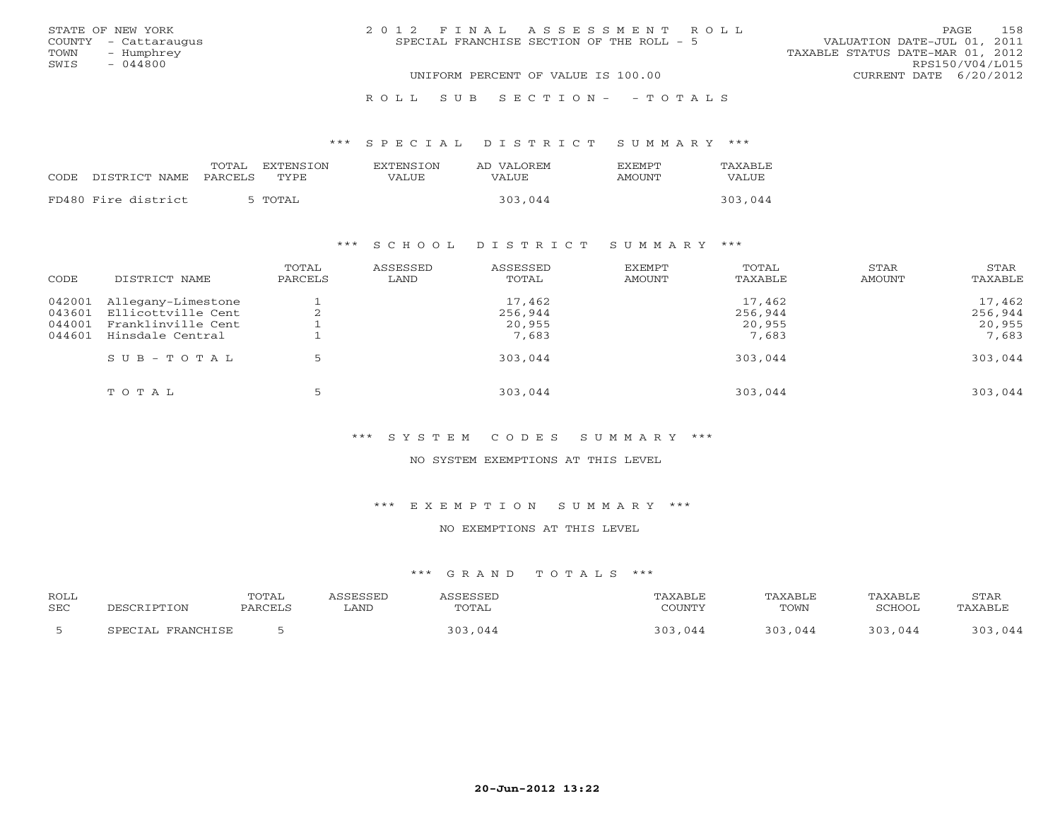| STATE OF NEW YORK    | 2012 FINAL ASSESSMENT ROLL                | 158<br>PAGE                      |
|----------------------|-------------------------------------------|----------------------------------|
| COUNTY - Cattaraugus | SPECIAL FRANCHISE SECTION OF THE ROLL - 5 | VALUATION DATE-JUL 01, 2011      |
| TOWN - Humphrey      |                                           | TAXABLE STATUS DATE-MAR 01, 2012 |
| SWIS<br>- 044800     |                                           | RPS150/V04/L015                  |
|                      | UNIFORM PERCENT OF VALUE IS 100.00        | CURRENT DATE $6/20/2012$         |
|                      | ROLL SUB SECTION- - TOTALS                |                                  |

# \*\*\* S P E C I A L D I S T R I C T S U M M A R Y \*\*\*

|                     | EXTENSTON<br>TOTAL.<br>CODE DISTRICT NAME PARCELS TYPE | <b>EXTENSION</b><br>VALUE | AD VALOREM<br>VALUE | <b>FXFMPT</b><br>AMOUNT | TAXABLE<br><b>VALUE</b> |
|---------------------|--------------------------------------------------------|---------------------------|---------------------|-------------------------|-------------------------|
| FD480 Fire district | 5 TOTAL                                                |                           | 303,044             |                         | 303,044                 |

# \*\*\* S C H O O L D I S T R I C T S U M M A R Y \*\*\*

| CODE                                 | DISTRICT NAME                                                                      | TOTAL<br>PARCELS | ASSESSED<br>LAND | ASSESSED<br>TOTAL                    | EXEMPT<br>AMOUNT | TOTAL<br>TAXABLE                     | STAR<br>AMOUNT | STAR<br>TAXABLE                      |
|--------------------------------------|------------------------------------------------------------------------------------|------------------|------------------|--------------------------------------|------------------|--------------------------------------|----------------|--------------------------------------|
| 042001<br>043601<br>044001<br>044601 | Allegany-Limestone<br>Ellicottville Cent<br>Franklinville Cent<br>Hinsdale Central | ∠                |                  | 17,462<br>256,944<br>20,955<br>7,683 |                  | 17,462<br>256,944<br>20,955<br>7,683 |                | 17,462<br>256,944<br>20,955<br>7,683 |
|                                      | $S \cup B - T \cup T A L$                                                          |                  |                  | 303,044                              |                  | 303,044                              |                | 303,044                              |
|                                      | TOTAL                                                                              | 5                |                  | 303,044                              |                  | 303,044                              |                | 303,044                              |

# \*\*\* S Y S T E M C O D E S S U M M A R Y \*\*\*

#### NO SYSTEM EXEMPTIONS AT THIS LEVEL

#### \*\*\* E X E M P T I O N S U M M A R Y \*\*\*

### NO EXEMPTIONS AT THIS LEVEL

| <b>ROLL</b> | DESCRIPTION       | TOTAL   | ASSESSED | ASSESSED | TAXABLE | TAXABLE | <b>TAXABLE</b> | STAR    |
|-------------|-------------------|---------|----------|----------|---------|---------|----------------|---------|
| <b>SEC</b>  |                   | PARCELS | LAND     | TOTAL    | COUNTY  | TOWN    | SCHOOL         | TAXABLE |
|             | SPECIAL FRANCHISE |         |          | 303,044  | 303,044 | 303,044 | 303,044        | 303,044 |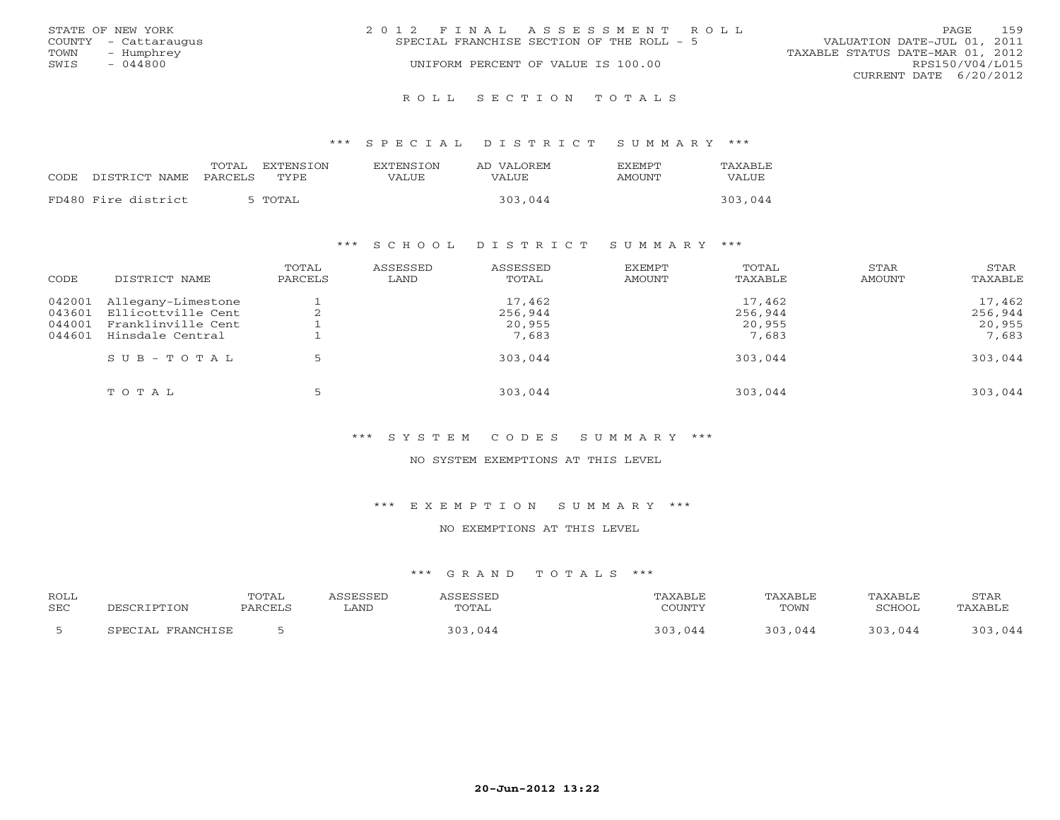|      | STATE OF NEW YORK    | 2012 FINAL ASSESSMENT ROLL                                               | <b>PAGE</b>            | 159 |  |
|------|----------------------|--------------------------------------------------------------------------|------------------------|-----|--|
|      | COUNTY - Cattaraugus | VALUATION DATE-JUL 01, 2011<br>SPECIAL FRANCHISE SECTION OF THE ROLL - 5 |                        |     |  |
| TOWN | - Humphrey           | TAXABLE STATUS DATE-MAR 01, 2012                                         |                        |     |  |
| SWIS | $-044800$            | UNIFORM PERCENT OF VALUE IS 100.00                                       | RPS150/V04/L015        |     |  |
|      |                      |                                                                          | CURRENT DATE 6/20/2012 |     |  |
|      |                      |                                                                          |                        |     |  |

R O L L S E C T I O N T O T A L S

#### \*\*\* S P E C I A L D I S T R I C T S U M M A R Y \*\*\*

|      |                     | TOTAL   | EXTENSION   | <b>EXTENSION</b> | AD VALOREM | <b>FXFMPT</b> | TAXABLE |
|------|---------------------|---------|-------------|------------------|------------|---------------|---------|
| CODE | DISTRICT NAME       | PARCELS | <b>TYPE</b> | VALUE            | VALUE      | AMOUNT        | VALUE   |
|      |                     |         |             |                  |            |               |         |
|      | FD480 Fire district | 5 TOTAL |             |                  | 303,044    |               | 303,044 |

### \*\*\* S C H O O L D I S T R I C T S U M M A R Y \*\*\*

| CODE                                 | DISTRICT NAME                                                                      | TOTAL<br>PARCELS | ASSESSED<br>LAND | ASSESSED<br>TOTAL                    | EXEMPT<br><b>AMOUNT</b> | TOTAL<br>TAXABLE                     | STAR<br>AMOUNT | STAR<br>TAXABLE                      |
|--------------------------------------|------------------------------------------------------------------------------------|------------------|------------------|--------------------------------------|-------------------------|--------------------------------------|----------------|--------------------------------------|
| 042001<br>043601<br>044001<br>044601 | Allegany-Limestone<br>Ellicottville Cent<br>Franklinville Cent<br>Hinsdale Central |                  |                  | 17,462<br>256,944<br>20,955<br>7,683 |                         | 17,462<br>256,944<br>20,955<br>7,683 |                | 17,462<br>256,944<br>20,955<br>7,683 |
|                                      | $SUB - TO T AL$                                                                    |                  |                  | 303,044                              |                         | 303,044                              |                | 303,044                              |
|                                      | TOTAL                                                                              |                  |                  | 303,044                              |                         | 303,044                              |                | 303,044                              |

# \*\*\* S Y S T E M C O D E S S U M M A R Y \*\*\*

#### NO SYSTEM EXEMPTIONS AT THIS LEVEL

#### \*\*\* E X E M P T I O N S U M M A R Y \*\*\*

### NO EXEMPTIONS AT THIS LEVEL

| <b>ROLL</b><br>SEC |                    | TOTAL | ∟AND | OTAL                        | COTINTT | TAXABLE<br>TOWN | <b>BULLOU</b> | STAR<br><b>PAXARI</b> |
|--------------------|--------------------|-------|------|-----------------------------|---------|-----------------|---------------|-----------------------|
|                    | FDANCHTCF<br>ים רי |       |      | $\sim$ $\cap$ $\sim$<br>0 A | 044     | 044             | 044           | 044                   |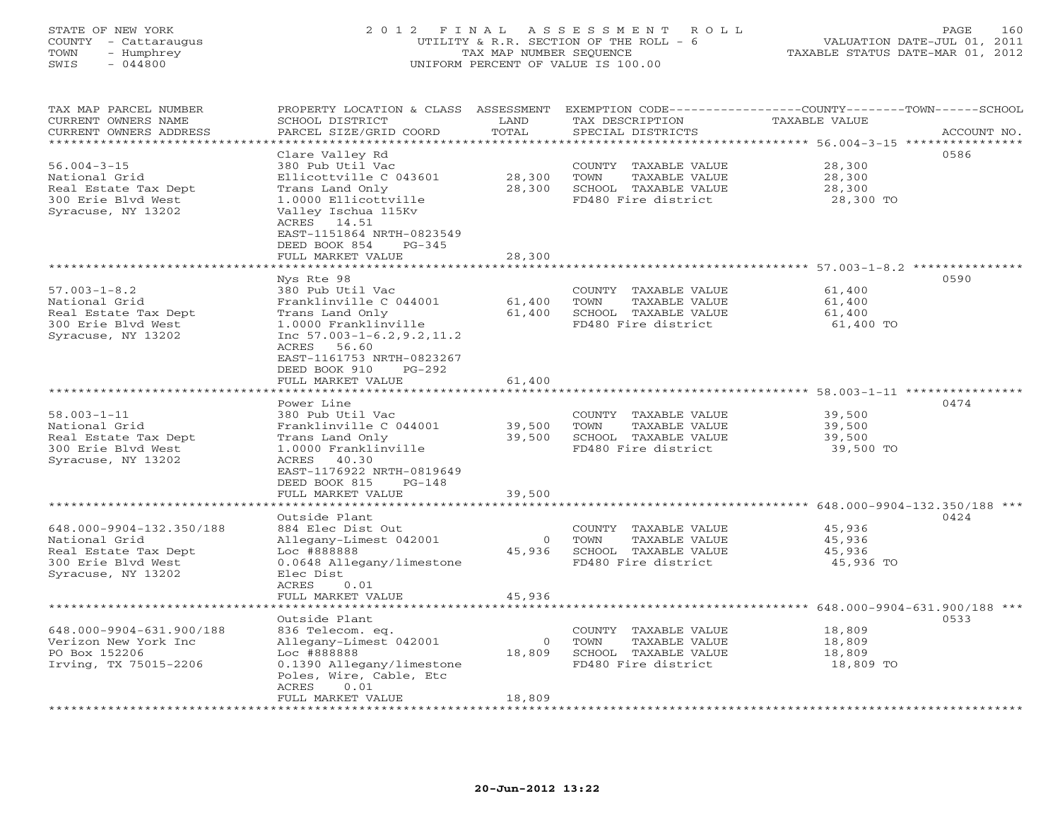# STATE OF NEW YORK 2 0 1 2 F I N A L A S S E S S M E N T R O L L PAGE 160 COUNTY - Cattaraugus UTILITY & R.R. SECTION OF THE ROLL - 6 VALUATION DATE-JUL 01, 2011 TOWN - Humphrey TAX MAP NUMBER SEQUENCE TAXABLE STATUS DATE-MAR 01, 2012 SWIS - 044800 UNIFORM PERCENT OF VALUE IS 100.00UNIFORM PERCENT OF VALUE IS 100.00

| TAX MAP PARCEL NUMBER<br>CURRENT OWNERS NAME<br>CURRENT OWNERS ADDRESS                                                        | PROPERTY LOCATION & CLASS<br>SCHOOL DISTRICT<br>PARCEL SIZE/GRID COORD                                                                                                                                                   | ASSESSMENT<br>LAND<br>TOTAL  | EXEMPTION CODE-----------------COUNTY-------TOWN-----SCHOOL<br>TAX DESCRIPTION<br>SPECIAL DISTRICTS                                              | <b>TAXABLE VALUE</b>                    | ACCOUNT NO.                  |
|-------------------------------------------------------------------------------------------------------------------------------|--------------------------------------------------------------------------------------------------------------------------------------------------------------------------------------------------------------------------|------------------------------|--------------------------------------------------------------------------------------------------------------------------------------------------|-----------------------------------------|------------------------------|
| *******************<br>$56.004 - 3 - 15$<br>National Grid<br>Real Estate Tax Dept<br>300 Erie Blvd West<br>Syracuse, NY 13202 | ************<br>Clare Valley Rd<br>380 Pub Util Vac<br>Ellicottville C 043601<br>Trans Land Only<br>1.0000 Ellicottville<br>Valley Ischua 115Kv<br>ACRES 14.51<br>EAST-1151864 NRTH-0823549<br>DEED BOOK 854<br>$PG-345$ | *******<br>28,300<br>28,300  | ******************************** 56.004-3-15 ***<br>COUNTY TAXABLE VALUE<br>TOWN<br>TAXABLE VALUE<br>SCHOOL TAXABLE VALUE<br>FD480 Fire district | 28,300<br>28,300<br>28,300<br>28,300 TO | ***********<br>0586          |
|                                                                                                                               | FULL MARKET VALUE                                                                                                                                                                                                        | 28,300                       |                                                                                                                                                  |                                         |                              |
|                                                                                                                               |                                                                                                                                                                                                                          |                              | ******************************* 57.003-1-8.2 ***************                                                                                     |                                         |                              |
| $57.003 - 1 - 8.2$<br>National Grid<br>Real Estate Tax Dept<br>300 Erie Blvd West<br>Syracuse, NY 13202                       | Nys Rte 98<br>380 Pub Util Vac<br>Franklinville C 044001<br>Trans Land Only<br>1.0000 Franklinville<br>Inc $57.003 - 1 - 6.2, 9.2, 11.2$<br>ACRES 56.60<br>EAST-1161753 NRTH-0823267<br>DEED BOOK 910<br>$PG-292$        | 61,400<br>61,400             | COUNTY TAXABLE VALUE<br>TOWN<br>TAXABLE VALUE<br>SCHOOL TAXABLE VALUE<br>FD480 Fire district                                                     | 61,400<br>61,400<br>61,400<br>61,400 TO | 0590                         |
|                                                                                                                               |                                                                                                                                                                                                                          |                              |                                                                                                                                                  |                                         |                              |
|                                                                                                                               | FULL MARKET VALUE<br>************************                                                                                                                                                                            | 61,400                       |                                                                                                                                                  |                                         |                              |
|                                                                                                                               |                                                                                                                                                                                                                          |                              |                                                                                                                                                  |                                         | 0474                         |
| $58.003 - 1 - 11$<br>National Grid<br>Real Estate Tax Dept<br>300 Erie Blvd West<br>Syracuse, NY 13202                        | Power Line<br>380 Pub Util Vac<br>Franklinville C 044001<br>Trans Land Only<br>1.0000 Franklinville<br>40.30<br>ACRES<br>EAST-1176922 NRTH-0819649<br>DEED BOOK 815<br>$PG-148$<br>FULL MARKET VALUE                     | 39,500<br>39,500<br>39,500   | COUNTY TAXABLE VALUE<br>TOWN<br>TAXABLE VALUE<br>SCHOOL TAXABLE VALUE<br>FD480 Fire district                                                     | 39,500<br>39,500<br>39,500<br>39,500 TO |                              |
|                                                                                                                               | <b>. * * * * * * * * * * * * *</b> ·                                                                                                                                                                                     |                              |                                                                                                                                                  |                                         | 648.000-9904-132.350/188 *** |
| 648.000-9904-132.350/188<br>National Grid<br>Real Estate Tax Dept<br>300 Erie Blvd West<br>Syracuse, NY 13202                 | Outside Plant<br>884 Elec Dist Out<br>Allegany-Limest 042001<br>Loc #888888<br>0.0648 Allegany/limestone<br>Elec Dist<br>ACRES<br>0.01<br>FULL MARKET VALUE                                                              | $\Omega$<br>45,936<br>45,936 | COUNTY TAXABLE VALUE<br>TOWN<br>TAXABLE VALUE<br>SCHOOL TAXABLE VALUE<br>FD480 Fire district                                                     | 45,936<br>45,936<br>45,936<br>45,936 TO | 0424                         |
|                                                                                                                               | **************                                                                                                                                                                                                           |                              |                                                                                                                                                  |                                         | 648.000-9904-631.900/188 *** |
| 648.000-9904-631.900/188<br>Verizon New York Inc<br>PO Box 152206<br>Irving, TX 75015-2206                                    | Outside Plant<br>836 Telecom. eq.<br>Allegany-Limest 042001<br>Loc #888888<br>0.1390 Allegany/limestone<br>Poles, Wire, Cable, Etc<br>0.01<br>ACRES<br>FULL MARKET VALUE                                                 | $\circ$<br>18,809<br>18,809  | COUNTY TAXABLE VALUE<br>TOWN<br>TAXABLE VALUE<br>SCHOOL TAXABLE VALUE<br>FD480 Fire district                                                     | 18,809<br>18,809<br>18,809<br>18,809 TO | 0533                         |
|                                                                                                                               |                                                                                                                                                                                                                          |                              |                                                                                                                                                  |                                         |                              |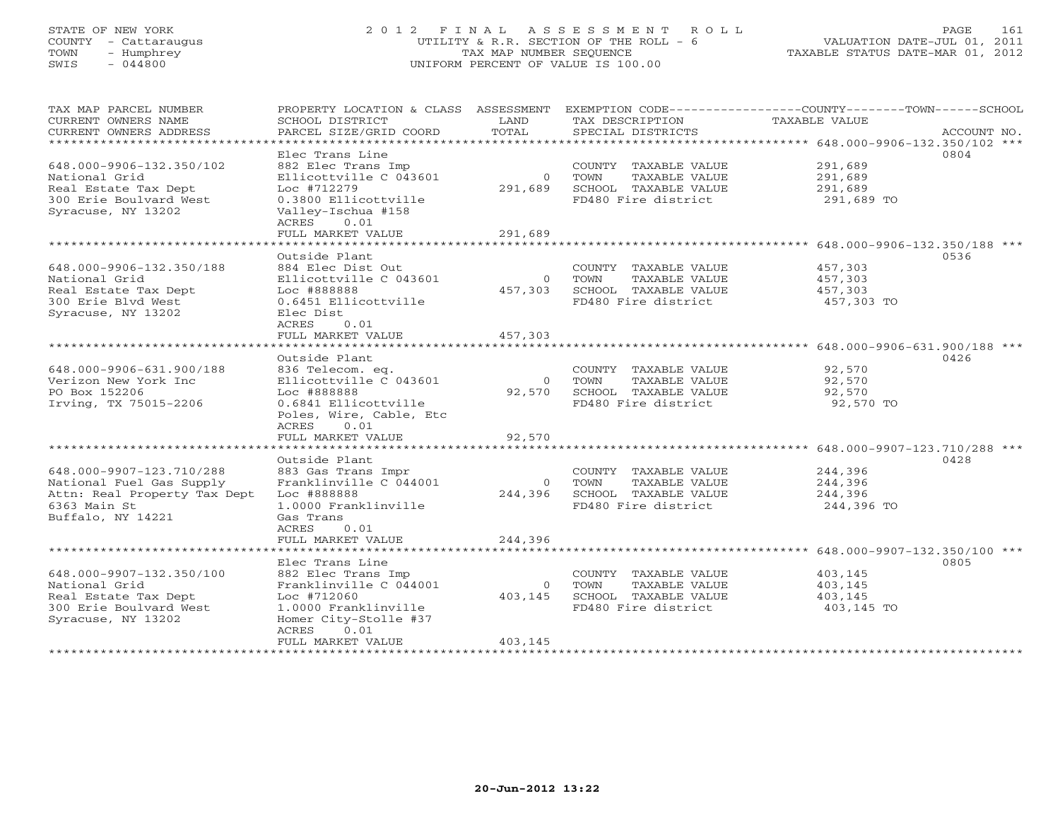# STATE OF NEW YORK 2 0 1 2 F I N A L A S S E S S M E N T R O L L PAGE 161 COUNTY - Cattaraugus UTILITY & R.R. SECTION OF THE ROLL - 6 VALUATION DATE-JUL 01, 2011 TOWN - Humphrey TAX MAP NUMBER SEQUENCE TAXABLE STATUS DATE-MAR 01, 2012 SWIS - 044800 UNIFORM PERCENT OF VALUE IS 100.00UNIFORM PERCENT OF VALUE IS 100.00

| TAX MAP PARCEL NUMBER<br>CURRENT OWNERS NAME<br>CURRENT OWNERS ADDRESS                                            | SCHOOL DISTRICT<br>PARCEL SIZE/GRID COORD                                                                                                                          | LAND<br>TOTAL                  | TAX DESCRIPTION<br>SPECIAL DISTRICTS                                                         | PROPERTY LOCATION & CLASS ASSESSMENT EXEMPTION CODE---------------COUNTY-------TOWN------SCHOOL<br>TAXABLE VALUE<br>ACCOUNT NO. |
|-------------------------------------------------------------------------------------------------------------------|--------------------------------------------------------------------------------------------------------------------------------------------------------------------|--------------------------------|----------------------------------------------------------------------------------------------|---------------------------------------------------------------------------------------------------------------------------------|
| 648.000-9906-132.350/102<br>National Grid<br>Real Estate Tax Dept<br>300 Erie Boulvard West<br>Syracuse, NY 13202 | Elec Trans Line<br>882 Elec Trans Imp<br>Ellicottville C 043601<br>Loc #712279<br>0.3800 Ellicottville<br>Valley-Ischua #158<br>ACRES<br>0.01<br>FULL MARKET VALUE | $\Omega$<br>291,689<br>291,689 | COUNTY TAXABLE VALUE<br>TOWN<br>TAXABLE VALUE<br>SCHOOL TAXABLE VALUE<br>FD480 Fire district | 0804<br>291,689<br>291,689<br>291,689<br>291,689 TO                                                                             |
|                                                                                                                   | Outside Plant                                                                                                                                                      |                                |                                                                                              | 0536                                                                                                                            |
| 648.000-9906-132.350/188<br>National Grid<br>Real Estate Tax Dept<br>300 Erie Blyd West<br>Syracuse, NY 13202     | 884 Elec Dist Out<br>Ellicottville C 043601<br>Loc #888888<br>0.6451 Ellicottville<br>Elec Dist                                                                    | $\Omega$<br>457,303            | COUNTY TAXABLE VALUE<br>TOWN<br>TAXABLE VALUE<br>SCHOOL TAXABLE VALUE<br>FD480 Fire district | 457,303<br>457,303<br>457,303<br>457,303 TO                                                                                     |
|                                                                                                                   | ACRES<br>0.01<br>FULL MARKET VALUE                                                                                                                                 | 457,303                        |                                                                                              |                                                                                                                                 |
|                                                                                                                   |                                                                                                                                                                    |                                |                                                                                              |                                                                                                                                 |
| 648.000-9906-631.900/188<br>Verizon New York Inc<br>PO Box 152206<br>Irving, TX 75015-2206                        | Outside Plant<br>836 Telecom. eq.<br>Ellicottville C 043601<br>Loc #888888<br>0.6841 Ellicottville<br>Poles, Wire, Cable, Etc<br>ACRES<br>0.01                     | $\overline{0}$<br>92,570       | COUNTY TAXABLE VALUE<br>TAXABLE VALUE<br>TOWN<br>SCHOOL TAXABLE VALUE<br>FD480 Fire district | 0426<br>92,570<br>92,570<br>92,570<br>92,570 TO                                                                                 |
|                                                                                                                   | FULL MARKET VALUE                                                                                                                                                  | 92,570                         |                                                                                              |                                                                                                                                 |
| 648.000-9907-123.710/288<br>National Fuel Gas Supply                                                              | Outside Plant<br>883 Gas Trans Impr<br>Franklinville C 044001                                                                                                      | $\overline{0}$                 | COUNTY TAXABLE VALUE<br>TAXABLE VALUE<br>TOWN                                                | 0428<br>244,396<br>244,396                                                                                                      |
| Attn: Real Property Tax Dept<br>6363 Main St<br>Buffalo, NY 14221                                                 | Loc #888888<br>1.0000 Franklinville<br>Gas Trans<br>ACRES<br>0.01                                                                                                  | 244,396                        | SCHOOL TAXABLE VALUE<br>FD480 Fire district                                                  | 244,396<br>244,396 TO                                                                                                           |
|                                                                                                                   | FULL MARKET VALUE                                                                                                                                                  | 244,396                        |                                                                                              |                                                                                                                                 |
| 648.000-9907-132.350/100<br>National Grid<br>Real Estate Tax Dept<br>300 Erie Boulvard West<br>Syracuse, NY 13202 | Elec Trans Line<br>882 Elec Trans Imp<br>Franklinville C 044001<br>Loc #712060<br>1.0000 Franklinville<br>Homer City-Stolle #37<br>0.01<br>ACRES                   | $\Omega$<br>403,145            | COUNTY TAXABLE VALUE<br>TAXABLE VALUE<br>TOWN<br>SCHOOL TAXABLE VALUE<br>FD480 Fire district | 0805<br>403,145<br>403,145<br>403,145<br>403,145 TO                                                                             |
|                                                                                                                   | FULL MARKET VALUE                                                                                                                                                  | 403,145                        |                                                                                              |                                                                                                                                 |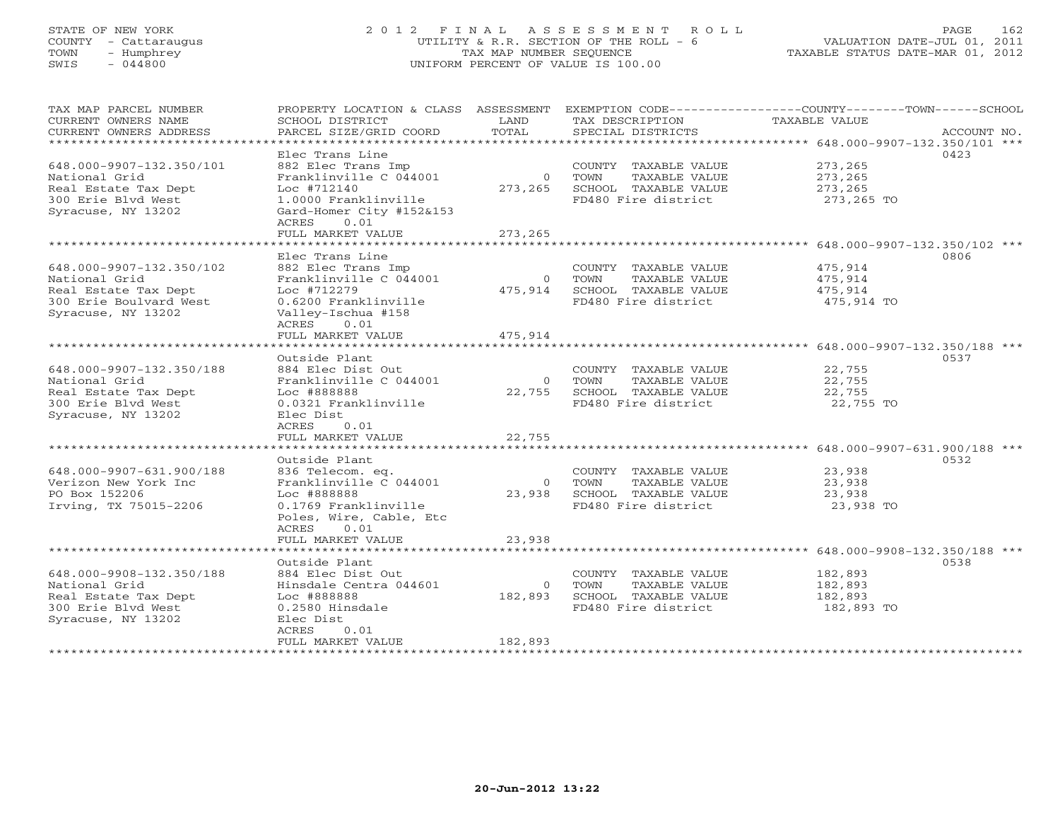# STATE OF NEW YORK 2 0 1 2 F I N A L A S S E S S M E N T R O L L PAGE 162 COUNTY - Cattaraugus UTILITY & R.R. SECTION OF THE ROLL - 6 VALUATION DATE-JUL 01, 2011 TOWN - Humphrey TAX MAP NUMBER SEQUENCE TAXABLE STATUS DATE-MAR 01, 2012 SWIS - 044800 UNIFORM PERCENT OF VALUE IS 100.00UNIFORM PERCENT OF VALUE IS 100.00

| TAX MAP PARCEL NUMBER<br>CURRENT OWNERS NAME | PROPERTY LOCATION & CLASS ASSESSMENT EXEMPTION CODE---------------COUNTY-------TOWN------SCHOOL<br>SCHOOL DISTRICT | LAND     | TAX DESCRIPTION                                     | TAXABLE VALUE       |             |
|----------------------------------------------|--------------------------------------------------------------------------------------------------------------------|----------|-----------------------------------------------------|---------------------|-------------|
| CURRENT OWNERS ADDRESS                       | PARCEL SIZE/GRID COORD                                                                                             | TOTAL    | SPECIAL DISTRICTS                                   |                     | ACCOUNT NO. |
|                                              |                                                                                                                    |          |                                                     |                     |             |
|                                              | Elec Trans Line                                                                                                    |          |                                                     |                     | 0423        |
| 648.000-9907-132.350/101                     | 882 Elec Trans Imp                                                                                                 |          | COUNTY TAXABLE VALUE                                | 273,265             |             |
| National Grid                                | Franklinville C 044001                                                                                             |          | 0 TOWN<br>TAXABLE VALUE                             | 273,265             |             |
| Real Estate Tax Dept                         | Loc #712140                                                                                                        |          | 273,265 SCHOOL TAXABLE VALUE                        | 273,265             |             |
| 300 Erie Blyd West                           | 1.0000 Franklinville                                                                                               |          | FD480 Fire district                                 | 273,265 TO          |             |
| Syracuse, NY 13202                           | Gard-Homer City #152&153                                                                                           |          |                                                     |                     |             |
|                                              | ACRES<br>0.01                                                                                                      |          |                                                     |                     |             |
|                                              | FULL MARKET VALUE                                                                                                  | 273,265  |                                                     |                     |             |
|                                              |                                                                                                                    |          |                                                     |                     |             |
|                                              | Elec Trans Line                                                                                                    |          |                                                     |                     | 0806        |
| 648.000-9907-132.350/102                     | 882 Elec Trans Imp                                                                                                 |          | COUNTY TAXABLE VALUE                                | 475,914             |             |
| National Grid                                | Franklinville C 044001                                                                                             |          | 0 TOWN<br>TAXABLE VALUE                             | 475,914             |             |
| Real Estate Tax Dept                         | Loc #712279<br>0.6200 Franklinville                                                                                |          | 475,914 SCHOOL TAXABLE VALUE<br>FD480 Fire district | 475,914             |             |
| 300 Erie Boulvard West<br>Syracuse, NY 13202 | Valley-Ischua #158                                                                                                 |          |                                                     | 475,914 TO          |             |
|                                              | ACRES 0.01                                                                                                         |          |                                                     |                     |             |
|                                              | FULL MARKET VALUE                                                                                                  | 475,914  |                                                     |                     |             |
|                                              |                                                                                                                    |          |                                                     |                     |             |
|                                              | Outside Plant                                                                                                      |          |                                                     |                     | 0537        |
| 648.000-9907-132.350/188                     | 884 Elec Dist Out                                                                                                  |          | COUNTY TAXABLE VALUE                                | 22,755              |             |
| National Grid                                | Franklinville C 044001                                                                                             |          | 0 TOWN<br>TAXABLE VALUE                             | 22,755              |             |
| Real Estate Tax Dept                         | Loc #888888                                                                                                        |          | 22,755 SCHOOL TAXABLE VALUE                         | 22,755              |             |
| 300 Erie Blvd West                           | 0.0321 Franklinville                                                                                               |          | FD480 Fire district                                 | 22,755 TO           |             |
| Syracuse, NY 13202                           | Elec Dist                                                                                                          |          |                                                     |                     |             |
|                                              | ACRES 0.01                                                                                                         |          |                                                     |                     |             |
|                                              | FULL MARKET VALUE                                                                                                  | 22,755   |                                                     |                     |             |
|                                              |                                                                                                                    |          |                                                     |                     |             |
|                                              | Outside Plant                                                                                                      |          |                                                     |                     | 0532        |
| 648.000-9907-631.900/188                     | 836 Telecom. eq.                                                                                                   |          | COUNTY TAXABLE VALUE                                | 23,938              |             |
| Verizon New York Inc                         | Franklinville C 044001                                                                                             |          | 0 TOWN<br>TAXABLE VALUE                             | 23,938              |             |
| PO Box 152206<br>Irving, TX 75015-2206       | Loc #888888<br>0.1769 Franklinville                                                                                |          | 23,938 SCHOOL TAXABLE VALUE<br>FD480 Fire district  | 23,938<br>23,938 TO |             |
|                                              | Poles, Wire, Cable, Etc                                                                                            |          |                                                     |                     |             |
|                                              | 0.01<br>ACRES                                                                                                      |          |                                                     |                     |             |
|                                              | FULL MARKET VALUE                                                                                                  | 23,938   |                                                     |                     |             |
|                                              |                                                                                                                    |          |                                                     |                     |             |
|                                              | Outside Plant                                                                                                      |          |                                                     |                     | 0538        |
| 648.000-9908-132.350/188                     | 884 Elec Dist Out                                                                                                  |          | COUNTY TAXABLE VALUE                                | 182,893             |             |
| National Grid                                | Hinsdale Centra 044601                                                                                             | $\Omega$ | TOWN<br>TAXABLE VALUE                               | 182,893             |             |
| Real Estate Tax Dept                         | Loc #888888                                                                                                        | 182,893  | SCHOOL TAXABLE VALUE                                | 182,893             |             |
| 300 Erie Blvd West                           | 0.2580 Hinsdale                                                                                                    |          | FD480 Fire district                                 | 182,893 TO          |             |
| Syracuse, NY 13202                           | Elec Dist                                                                                                          |          |                                                     |                     |             |
|                                              | ACRES<br>0.01                                                                                                      |          |                                                     |                     |             |
|                                              | FULL MARKET VALUE                                                                                                  | 182,893  |                                                     |                     |             |
|                                              |                                                                                                                    |          |                                                     |                     |             |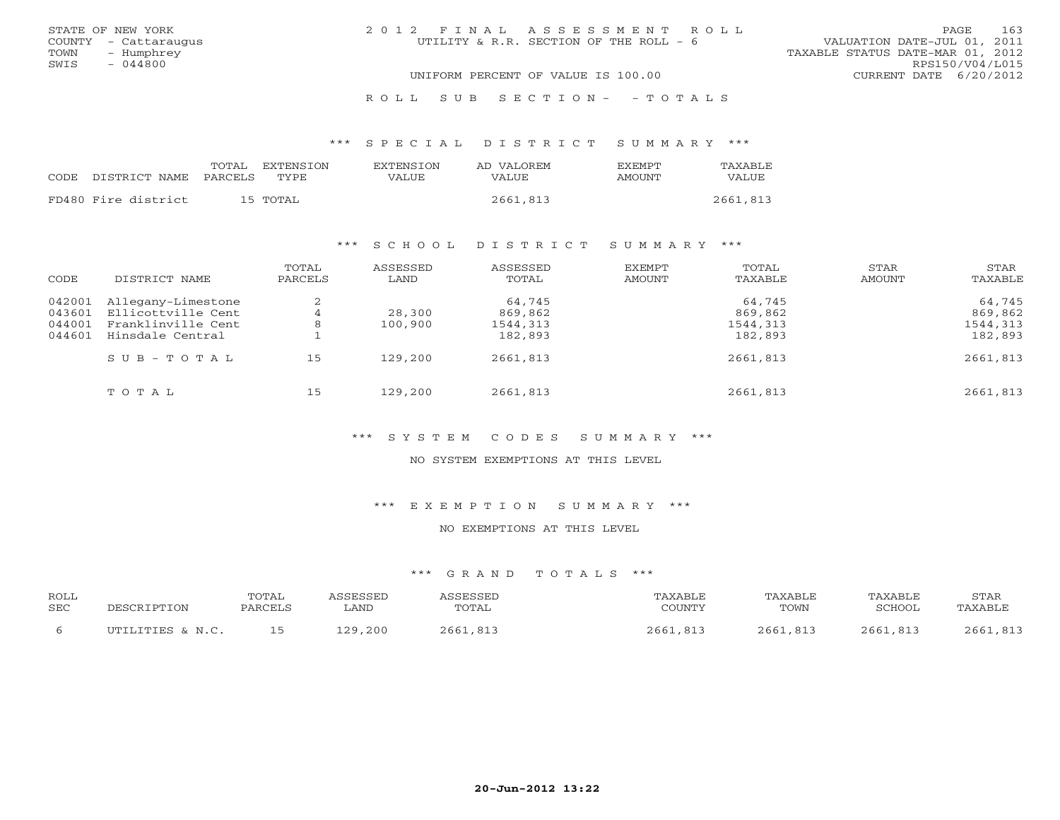|      | STATE OF NEW YORK    | 2012 FINAL ASSESSMENT ROLL             |  |                                  | PAGE.           | 163 |
|------|----------------------|----------------------------------------|--|----------------------------------|-----------------|-----|
|      | COUNTY - Cattaraugus | UTILITY & R.R. SECTION OF THE ROLL - 6 |  | VALUATION DATE-JUL 01, 2011      |                 |     |
| TOWN | - Humphrey           |                                        |  | TAXABLE STATUS DATE-MAR 01, 2012 |                 |     |
| SWIS | $-044800$            |                                        |  |                                  | RPS150/V04/L015 |     |
|      |                      | UNIFORM PERCENT OF VALUE IS 100.00     |  | CURRENT DATE 6/20/2012           |                 |     |
|      |                      |                                        |  |                                  |                 |     |

#### R O L L S U B S E C T I O N - - T O T A L S

#### \*\*\* S P E C I A L D I S T R I C T S U M M A R Y \*\*\*

|      |                     | TOTAL<br>EXTENSTON | <b>EXTENSION</b> | AD VALOREM | <b>FXFMPT</b> | TAXABLE  |
|------|---------------------|--------------------|------------------|------------|---------------|----------|
| CODE | DISTRICT NAME       | PARCELS<br>TYPE.   | VALUE            | VALUE.     | AMOUNT        | VALUE    |
|      | FD480 Fire district | 15 TOTAL           |                  | 2661,813   |               | 2661,813 |
|      |                     |                    |                  |            |               |          |

### \*\*\* S C H O O L D I S T R I C T S U M M A R Y \*\*\*

| CODE                                 | DISTRICT NAME                                                                      | TOTAL<br>PARCELS | ASSESSED<br>LAND  | ASSESSED<br>TOTAL                        | EXEMPT<br>AMOUNT | TOTAL<br>TAXABLE                         | STAR<br>AMOUNT | STAR<br>TAXABLE                          |
|--------------------------------------|------------------------------------------------------------------------------------|------------------|-------------------|------------------------------------------|------------------|------------------------------------------|----------------|------------------------------------------|
| 042001<br>043601<br>044001<br>044601 | Allegany-Limestone<br>Ellicottville Cent<br>Franklinville Cent<br>Hinsdale Central | 2<br>8           | 28,300<br>100,900 | 64,745<br>869,862<br>1544,313<br>182,893 |                  | 64,745<br>869,862<br>1544,313<br>182,893 |                | 64,745<br>869,862<br>1544,313<br>182,893 |
|                                      | $SUB - TO T AL$                                                                    | 15               | 129,200           | 2661,813                                 |                  | 2661,813                                 |                | 2661,813                                 |
|                                      | TOTAL                                                                              | 15               | 129,200           | 2661,813                                 |                  | 2661,813                                 |                | 2661,813                                 |

# \*\*\* S Y S T E M C O D E S S U M M A R Y \*\*\*

#### NO SYSTEM EXEMPTIONS AT THIS LEVEL

### \*\*\* E X E M P T I O N S U M M A R Y \*\*\*

### NO EXEMPTIONS AT THIS LEVEL

| ROLL<br><b>SEC</b> | DESCRIPTION      | <b>TOTAL</b><br>PARCELS | ASSESSED<br>∟AND | ASSESSED<br>TOTAL | TAXABLE<br>COUNTY | TAXABLE<br>TOWN | TAXABLE<br>SCHOOL. | STAR<br>TAXABLE |
|--------------------|------------------|-------------------------|------------------|-------------------|-------------------|-----------------|--------------------|-----------------|
|                    | UTILITIES & N.C. |                         | 129,200          | 2661,813          | 2661,813          | 2661,813        | 2661,813           | 2661,813        |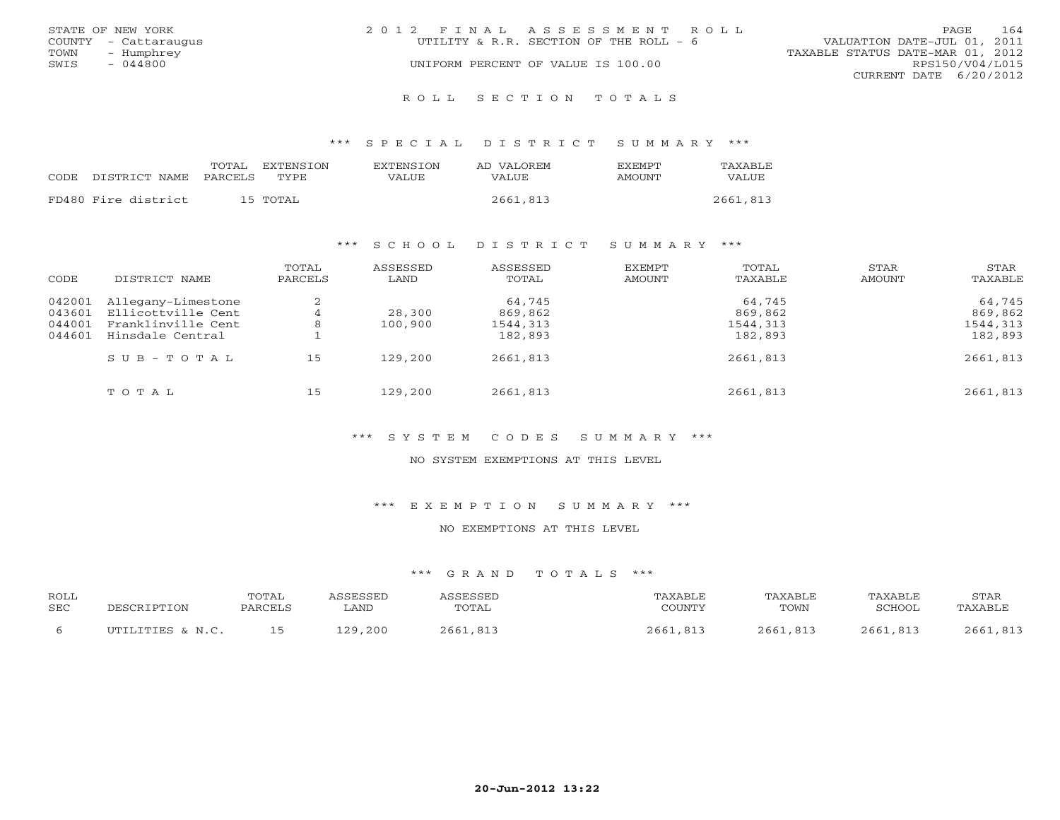|      | STATE OF NEW YORK    | 2012 FINAL ASSESSMENT ROLL |                                        |                                  | PAGE.           | 164 |
|------|----------------------|----------------------------|----------------------------------------|----------------------------------|-----------------|-----|
|      | COUNTY - Cattaraugus |                            | UTILITY & R.R. SECTION OF THE ROLL - 6 | VALUATION DATE-JUL 01, 2011      |                 |     |
| TOWN | – Humphrey           |                            |                                        | TAXABLE STATUS DATE-MAR 01, 2012 |                 |     |
| SWIS | $-044800$            |                            | UNIFORM PERCENT OF VALUE IS 100.00     |                                  | RPS150/V04/L015 |     |
|      |                      |                            |                                        | CURRENT DATE 6/20/2012           |                 |     |
|      |                      |                            |                                        |                                  |                 |     |

R O L L S E C T I O N T O T A L S

\*\*\* S P E C I A L D I S T R I C T S U M M A R Y \*\*\*

|       |                     | TOTAL    | EXTENSION | <b>EXTENSION</b> | AD VALOREM | <b>EXEMPT</b> | TAXABLE  |
|-------|---------------------|----------|-----------|------------------|------------|---------------|----------|
| CODE. | DISTRICT NAME       | PARCELS  | TYPE.     | VALUE            | VALUE      | AMOUNT        | VALUE    |
|       | FD480 Fire district | 15 TOTAL |           |                  | 2661,813   |               | 2661,813 |

### \*\*\* S C H O O L D I S T R I C T S U M M A R Y \*\*\*

| CODE                                 | DISTRICT NAME                                                                      | TOTAL<br>PARCELS         | ASSESSED<br>LAND  | ASSESSED<br>TOTAL                        | EXEMPT<br>AMOUNT | TOTAL<br>TAXABLE                         | STAR<br>AMOUNT | STAR<br>TAXABLE                          |
|--------------------------------------|------------------------------------------------------------------------------------|--------------------------|-------------------|------------------------------------------|------------------|------------------------------------------|----------------|------------------------------------------|
| 042001<br>043601<br>044001<br>044601 | Allegany-Limestone<br>Ellicottville Cent<br>Franklinville Cent<br>Hinsdale Central | 2<br>$\overline{4}$<br>8 | 28,300<br>100,900 | 64,745<br>869,862<br>1544,313<br>182,893 |                  | 64,745<br>869,862<br>1544,313<br>182,893 |                | 64,745<br>869,862<br>1544,313<br>182,893 |
|                                      | $S \cup B - T \cup T A L$                                                          | 15                       | 129,200           | 2661,813                                 |                  | 2661,813                                 |                | 2661,813                                 |
|                                      | TOTAL                                                                              | 15                       | 129,200           | 2661,813                                 |                  | 2661,813                                 |                | 2661,813                                 |

# \*\*\* S Y S T E M C O D E S S U M M A R Y \*\*\*

#### NO SYSTEM EXEMPTIONS AT THIS LEVEL

#### \*\*\* E X E M P T I O N S U M M A R Y \*\*\*

### NO EXEMPTIONS AT THIS LEVEL

| ROLL       | DESCRIPTION      | <b>TOTAL</b> | ASSESSED   | <b>ASSESSED</b> | TAXABLE  | TAXABLE  | TAXABLE  | STAR     |
|------------|------------------|--------------|------------|-----------------|----------|----------|----------|----------|
| <b>SEC</b> |                  | PARCELS      | <b>AND</b> | TOTAL           | COUNTY   | TOWN     | SCHOOL   | TAXABLE  |
|            | UTILITIES & N.C. |              | 129,200    | 2661,813        | 2661,813 | 2661,813 | 2661,813 | 2661,813 |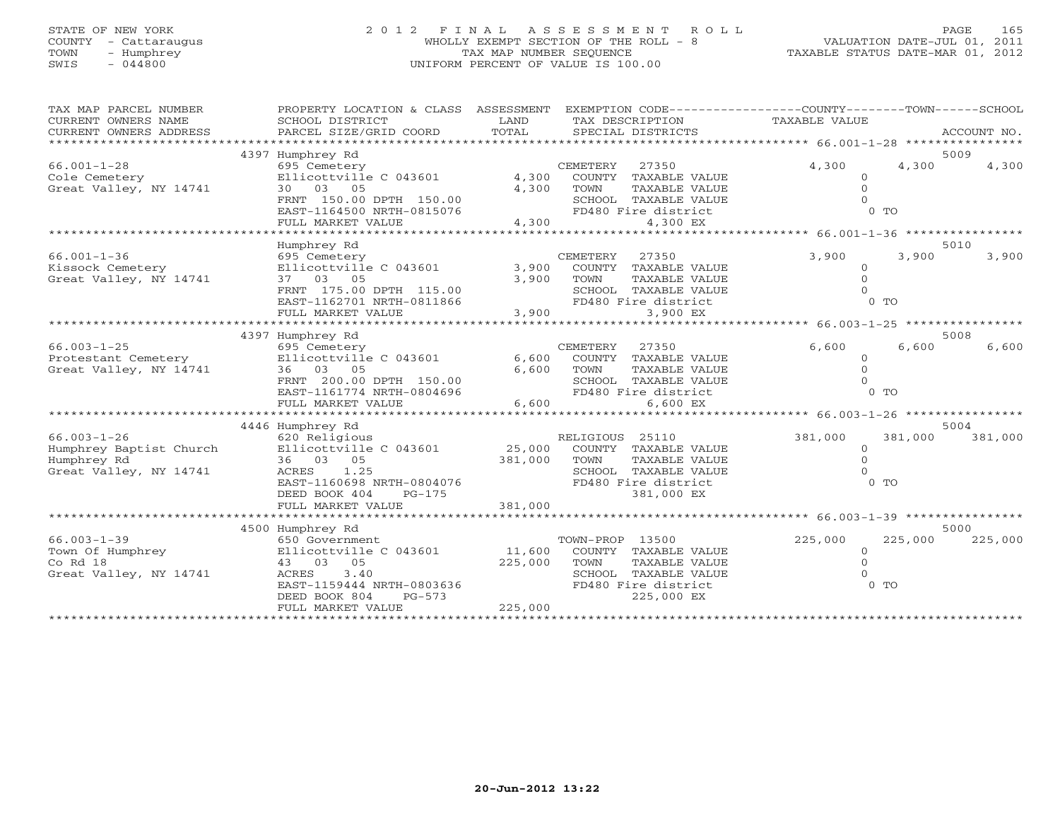# STATE OF NEW YORK 2 0 1 2 F I N A L A S S E S S M E N T R O L L PAGE 165 COUNTY - Cattaraugus WHOLLY EXEMPT SECTION OF THE ROLL - 8 VALUATION DATE-JUL 01, 2011 TOWN - Humphrey TAX MAP NUMBER SEQUENCE TAXABLE STATUS DATE-MAR 01, 2012 SWIS - 044800 UNIFORM PERCENT OF VALUE IS 100.00

| TAX MAP PARCEL NUMBER<br>CURRENT OWNERS NAME<br>CURRENT OWNERS ADDRESS<br>************************ | PROPERTY LOCATION & CLASS ASSESSMENT<br>SCHOOL DISTRICT<br>PARCEL SIZE/GRID COORD | LAND<br>TOTAL | TAX DESCRIPTION<br>SPECIAL DISTRICTS      |               | EXEMPTION CODE-----------------COUNTY-------TOWN------SCHOOL<br>TAXABLE VALUE |                | ACCOUNT NO. |
|----------------------------------------------------------------------------------------------------|-----------------------------------------------------------------------------------|---------------|-------------------------------------------|---------------|-------------------------------------------------------------------------------|----------------|-------------|
|                                                                                                    | 4397 Humphrey Rd                                                                  |               |                                           |               |                                                                               |                | 5009        |
| $66.001 - 1 - 28$<br>Cole Cemetery                                                                 | 695 Cemetery<br>Ellicottville C 043601                                            | 4,300         | CEMETERY<br>27350<br>COUNTY TAXABLE VALUE |               | 4,300<br>$\circ$                                                              | 4,300          | 4,300       |
| Great Valley, NY 14741                                                                             | 30 03 05<br>FRNT 150.00 DPTH 150.00                                               | 4,300         | TOWN<br>SCHOOL TAXABLE VALUE              | TAXABLE VALUE | $\Omega$                                                                      |                |             |
|                                                                                                    | EAST-1164500 NRTH-0815076<br>FULL MARKET VALUE                                    | 4,300         | FD480 Fire district                       | 4,300 EX      |                                                                               | 0 <sub>0</sub> |             |
|                                                                                                    |                                                                                   |               |                                           |               |                                                                               |                |             |
|                                                                                                    | Humphrey Rd                                                                       |               |                                           |               |                                                                               |                | 5010        |
| $66.001 - 1 - 36$                                                                                  | 695 Cemetery                                                                      |               | <b>CEMETERY</b><br>27350                  |               | 3,900                                                                         | 3,900          | 3,900       |
| Kissock Cemetery                                                                                   | Ellicottville C 043601                                                            | 3,900         | COUNTY TAXABLE VALUE                      |               | $\circ$                                                                       |                |             |
| Great Valley, NY 14741                                                                             | 37 03 05                                                                          | 3,900         | TOWN                                      | TAXABLE VALUE | $\Omega$                                                                      |                |             |
|                                                                                                    | FRNT 175.00 DPTH 115.00                                                           |               | SCHOOL TAXABLE VALUE                      |               |                                                                               |                |             |
|                                                                                                    | EAST-1162701 NRTH-0811866                                                         |               | FD480 Fire district                       |               |                                                                               | $0$ TO         |             |
|                                                                                                    | FULL MARKET VALUE                                                                 | 3,900         |                                           | 3,900 EX      |                                                                               |                |             |
|                                                                                                    | ************************                                                          |               | *******************************           |               | ********** 66.003-1-25 *****************                                      |                |             |
|                                                                                                    | 4397 Humphrey Rd                                                                  |               |                                           |               |                                                                               |                | 5008        |
| $66.003 - 1 - 25$                                                                                  | 695 Cemetery                                                                      |               | CEMETERY<br>27350                         |               | 6,600                                                                         | 6,600          | 6,600       |
| Protestant Cemetery                                                                                | Ellicottville C 043601                                                            | 6,600         | COUNTY TAXABLE VALUE                      |               | $\circ$                                                                       |                |             |
| Great Valley, NY 14741                                                                             | 36 03 05                                                                          | 6,600         | TOWN                                      | TAXABLE VALUE | $\Omega$                                                                      |                |             |
|                                                                                                    | FRNT 200.00 DPTH 150.00                                                           |               | SCHOOL TAXABLE VALUE                      |               |                                                                               |                |             |
|                                                                                                    | EAST-1161774 NRTH-0804696                                                         |               | FD480 Fire district                       |               |                                                                               | $0$ TO         |             |
|                                                                                                    | FULL MARKET VALUE                                                                 | 6,600         |                                           | 6,600 EX      |                                                                               |                |             |
|                                                                                                    |                                                                                   | ************  | *******************                       |               | *********** 66.003-1-26 *****************                                     |                |             |
|                                                                                                    | 4446 Humphrey Rd                                                                  |               |                                           |               |                                                                               |                | 5004        |
| $66.003 - 1 - 26$                                                                                  | 620 Religious                                                                     |               | RELIGIOUS 25110                           |               | 381,000                                                                       | 381,000        | 381,000     |
| Humphrey Baptist Church                                                                            | Ellicottville C 043601                                                            | 25,000        | COUNTY TAXABLE VALUE                      |               | $\circ$                                                                       |                |             |
| Humphrey Rd                                                                                        | 36 03 05                                                                          | 381,000       | TOWN                                      | TAXABLE VALUE | $\Omega$                                                                      |                |             |
| Great Valley, NY 14741                                                                             | ACRES<br>1.25                                                                     |               | SCHOOL TAXABLE VALUE                      |               |                                                                               |                |             |
|                                                                                                    | EAST-1160698 NRTH-0804076                                                         |               | FD480 Fire district                       |               |                                                                               | $0$ TO         |             |
|                                                                                                    | DEED BOOK 404<br>$PG-175$                                                         |               |                                           | 381,000 EX    |                                                                               |                |             |
|                                                                                                    | FULL MARKET VALUE                                                                 | 381,000       |                                           |               |                                                                               |                |             |
|                                                                                                    |                                                                                   |               |                                           |               |                                                                               |                |             |
| $66.003 - 1 - 39$                                                                                  | 4500 Humphrey Rd                                                                  |               |                                           |               | 225,000                                                                       | 225,000        | 5000        |
| Town Of Humphrey                                                                                   | 650 Government                                                                    | 11,600        | TOWN-PROP 13500<br>COUNTY TAXABLE VALUE   |               | $\Omega$                                                                      |                | 225,000     |
| Co Rd 18                                                                                           | Ellicottville C 043601                                                            |               |                                           | TAXABLE VALUE | $\Omega$                                                                      |                |             |
| Great Valley, NY 14741                                                                             | 43 03 05<br>3.40<br>ACRES                                                         | 225,000       | TOWN<br>SCHOOL TAXABLE VALUE              |               |                                                                               |                |             |
|                                                                                                    | EAST-1159444 NRTH-0803636                                                         |               | FD480 Fire district                       |               |                                                                               | $0$ TO         |             |
|                                                                                                    | DEED BOOK 804<br>$PG-573$                                                         |               |                                           | 225,000 EX    |                                                                               |                |             |
|                                                                                                    | FULL MARKET VALUE                                                                 | 225,000       |                                           |               |                                                                               |                |             |
|                                                                                                    |                                                                                   |               |                                           |               |                                                                               |                |             |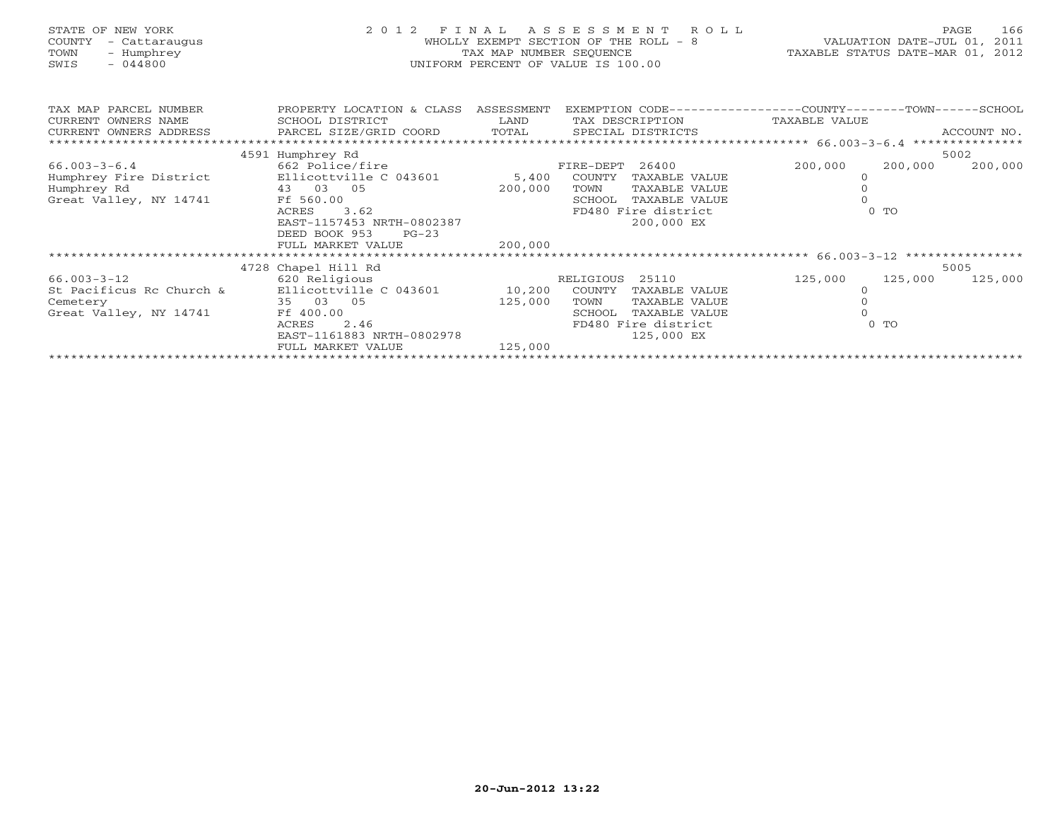| STATE OF NEW YORK<br>COUNTY<br>- Cattaraugus<br>- Humphrey<br>TOWN<br>SWIS<br>$-044800$ | 2 0 1 2                                                                           | FINAL<br>TAX MAP NUMBER SEQUENCE | ASSESSMENT<br>R O L L<br>WHOLLY EXEMPT SECTION OF THE ROLL - 8<br>UNIFORM PERCENT OF VALUE IS 100.00 | TAXABLE STATUS DATE-MAR 01, 2012 | VALUATION DATE-JUL 01, | 166<br>PAGE<br>2011 |
|-----------------------------------------------------------------------------------------|-----------------------------------------------------------------------------------|----------------------------------|------------------------------------------------------------------------------------------------------|----------------------------------|------------------------|---------------------|
| TAX MAP PARCEL NUMBER<br>CURRENT OWNERS NAME<br>CURRENT OWNERS ADDRESS                  | PROPERTY LOCATION & CLASS ASSESSMENT<br>SCHOOL DISTRICT<br>PARCEL SIZE/GRID COORD | LAND<br>TOTAL                    | EXEMPTION CODE-----------------COUNTY-------TOWN------SCHOOL<br>TAX DESCRIPTION<br>SPECIAL DISTRICTS | TAXABLE VALUE                    |                        | ACCOUNT NO.         |
|                                                                                         | 4591 Humphrey Rd                                                                  |                                  |                                                                                                      |                                  |                        | 5002                |
| $66.003 - 3 - 6.4$                                                                      | 662 Police/fire                                                                   |                                  | 26400<br>FIRE-DEPT                                                                                   | 200,000                          | 200,000                | 200,000             |
| Humphrey Fire District                                                                  | Ellicottville C 043601                                                            | 5,400                            | COUNTY<br>TAXABLE VALUE                                                                              | $\circ$                          |                        |                     |
| Humphrey Rd                                                                             | 43 03 05                                                                          | 200,000                          | TAXABLE VALUE<br>TOWN                                                                                |                                  |                        |                     |
| Great Valley, NY 14741                                                                  | Ff 560.00                                                                         |                                  | SCHOOL<br>TAXABLE VALUE                                                                              |                                  |                        |                     |
|                                                                                         | 3.62<br>ACRES                                                                     |                                  | FD480 Fire district                                                                                  |                                  | 0 <sub>T</sub>         |                     |
|                                                                                         | EAST-1157453 NRTH-0802387                                                         |                                  | 200,000 EX                                                                                           |                                  |                        |                     |
|                                                                                         | DEED BOOK 953<br>$PG-23$                                                          |                                  |                                                                                                      |                                  |                        |                     |
|                                                                                         | FULL MARKET VALUE                                                                 | 200,000                          |                                                                                                      |                                  |                        |                     |
|                                                                                         |                                                                                   |                                  |                                                                                                      |                                  |                        |                     |
|                                                                                         | 4728 Chapel Hill Rd                                                               |                                  |                                                                                                      |                                  |                        | 5005                |
| 66.003-3-12                                                                             | 620 Religious                                                                     |                                  | RELIGIOUS 25110                                                                                      | 125,000                          | 125,000                | 125,000             |
| St Pacificus Rc Church &                                                                | Ellicottville C 043601                                                            | 10,200                           | COUNTY<br>TAXABLE VALUE                                                                              |                                  |                        |                     |
| Cemetery                                                                                | 35 03 05<br>Ff 400.00                                                             | 125,000                          | TAXABLE VALUE<br>TOWN<br>TAXABLE VALUE<br>SCHOOL                                                     |                                  |                        |                     |
| Great Valley, NY 14741                                                                  | 2.46<br>ACRES                                                                     |                                  | FD480 Fire district                                                                                  |                                  | $0$ TO                 |                     |
|                                                                                         | EAST-1161883 NRTH-0802978                                                         |                                  | 125,000 EX                                                                                           |                                  |                        |                     |
|                                                                                         | FULL MARKET VALUE                                                                 | 125,000                          |                                                                                                      |                                  |                        |                     |
|                                                                                         |                                                                                   |                                  |                                                                                                      |                                  |                        |                     |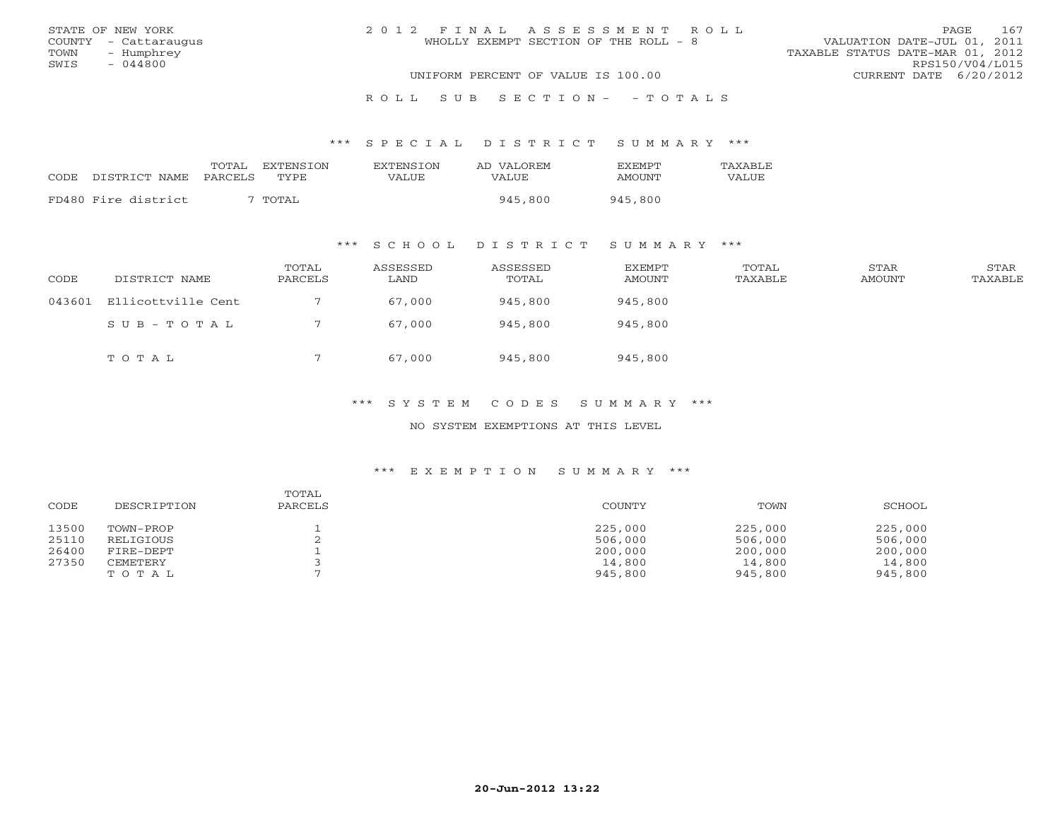|      | STATE OF NEW YORK    | 2012 FINAL ASSESSMENT ROLL            | 167<br><b>PAGE</b>               |
|------|----------------------|---------------------------------------|----------------------------------|
|      | COUNTY - Cattaraugus | WHOLLY EXEMPT SECTION OF THE ROLL - 8 | VALUATION DATE-JUL 01, 2011      |
| TOWN | - Humphrey           |                                       | TAXABLE STATUS DATE-MAR 01, 2012 |
| SWIS | - 044800             |                                       | RPS150/V04/L015                  |
|      |                      | UNIFORM PERCENT OF VALUE IS 100.00    | CURRENT DATE 6/20/2012           |
|      |                      |                                       |                                  |

R O L L S U B S E C T I O N - - T O T A L S

\*\*\* S P E C I A L D I S T R I C T S U M M A R Y \*\*\*

|      |                     | TOTAL EXTENSION  | EXTENSION | AD VALOREM | <b>FXFMPT</b> | TAXARLE. |
|------|---------------------|------------------|-----------|------------|---------------|----------|
| CODE | DISTRICT NAME       | PARCELS<br>TYPE. | VALUE     | VALUE      | AMOUNT        | VALUE    |
|      | FD480 Fire district | TOTAL            |           | 945,800    | 945,800       |          |

\*\*\* S C H O O L D I S T R I C T S U M M A R Y \*\*\*

| CODE   | DISTRICT NAME      | TOTAL<br>PARCELS | ASSESSED<br>LAND | ASSESSED<br>TOTAL | <b>EXEMPT</b><br><b>AMOUNT</b> | TOTAL<br>TAXABLE | STAR<br><b>AMOUNT</b> | STAR<br>TAXABLE |
|--------|--------------------|------------------|------------------|-------------------|--------------------------------|------------------|-----------------------|-----------------|
| 043601 | Ellicottville Cent |                  | 67,000           | 945,800           | 945,800                        |                  |                       |                 |
|        | SUB-TOTAL          |                  | 67,000           | 945,800           | 945,800                        |                  |                       |                 |
|        | TOTAL              |                  | 67,000           | 945,800           | 945,800                        |                  |                       |                 |

# \*\*\* S Y S T E M C O D E S S U M M A R Y \*\*\*

NO SYSTEM EXEMPTIONS AT THIS LEVEL

| CODE  | DESCRIPTION | TOTAL<br>PARCELS | COUNTY  | TOWN    | SCHOOL  |
|-------|-------------|------------------|---------|---------|---------|
| 13500 | TOWN-PROP   |                  | 225,000 | 225,000 | 225,000 |
| 25110 | RELIGIOUS   |                  | 506,000 | 506,000 | 506,000 |
| 26400 | FIRE-DEPT   |                  | 200,000 | 200,000 | 200,000 |
| 27350 | CEMETERY    |                  | 14,800  | 14,800  | 14,800  |
|       | TOTAL       |                  | 945,800 | 945,800 | 945,800 |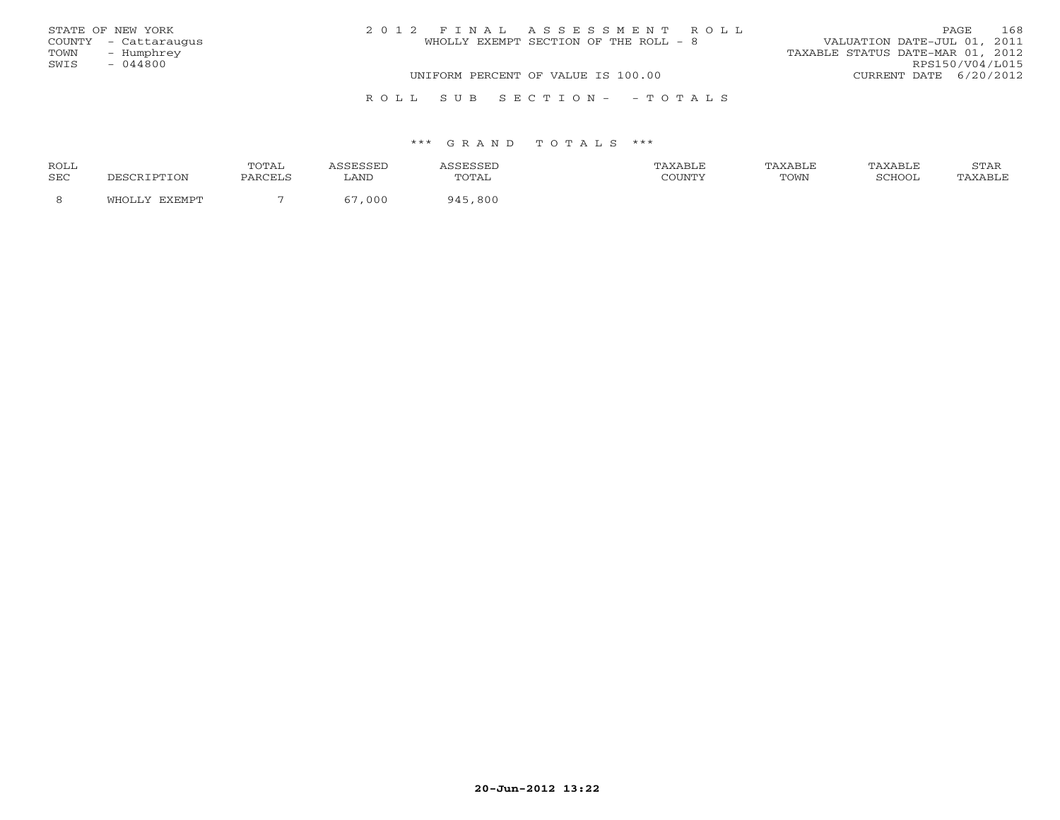| STATE OF NEW YORK    |  | 2012 FINAL ASSESSMENT ROLL            |                                  | 168<br>PAGE.    |
|----------------------|--|---------------------------------------|----------------------------------|-----------------|
| COUNTY - Cattaraugus |  | WHOLLY EXEMPT SECTION OF THE ROLL - 8 | VALUATION DATE-JUL 01, 2011      |                 |
| - Humphrey<br>TOWN   |  |                                       | TAXABLE STATUS DATE-MAR 01, 2012 |                 |
| SWIS<br>- 044800     |  |                                       |                                  | RPS150/V04/L015 |
|                      |  | UNIFORM PERCENT OF VALUE IS 100.00    | CURRENT DATE 6/20/2012           |                 |
|                      |  | ROLL SUB SECTION- - TOTALS            |                                  |                 |

| ROLL       |                          | TOTAL   | ، سىدى، | sESSED ان | TAXABLE | TAXABLE | TAXABLE       | STAR    |
|------------|--------------------------|---------|---------|-----------|---------|---------|---------------|---------|
| <b>SEC</b> |                          | PARCELS | LANI    | TOTAL     |         | TOWN    | <b>SCHOOL</b> | 'AXABLE |
|            | <b>CYCMDT</b><br>171 H ( |         | 000     | 945,800   |         |         |               |         |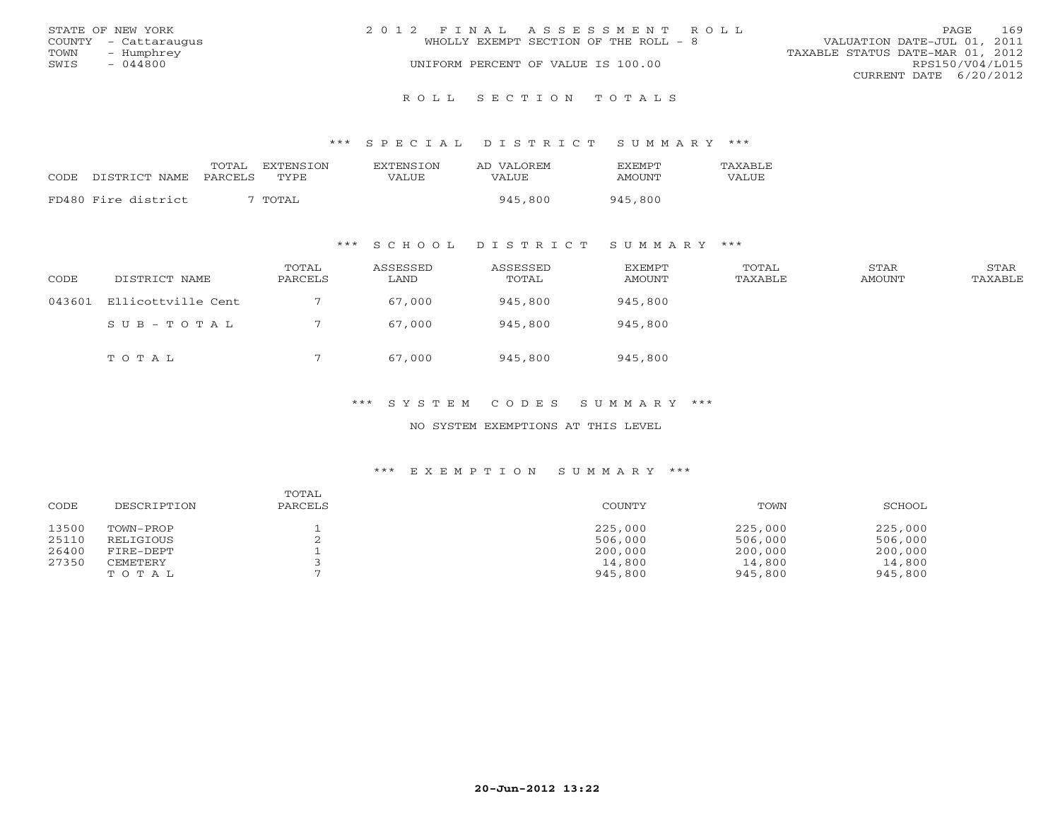|      | STATE OF NEW YORK    | 2012 FINAL ASSESSMENT ROLL |                                       |                                  | PAGE | 169 |
|------|----------------------|----------------------------|---------------------------------------|----------------------------------|------|-----|
|      | COUNTY - Cattaraugus |                            | WHOLLY EXEMPT SECTION OF THE ROLL - 8 | VALUATION DATE-JUL 01, 2011      |      |     |
| TOWN | – Humphrev           |                            |                                       | TAXABLE STATUS DATE-MAR 01, 2012 |      |     |
| SWIS | $-044800$            |                            | UNIFORM PERCENT OF VALUE IS 100.00    | RPS150/V04/L015                  |      |     |
|      |                      |                            |                                       | CURRENT DATE 6/20/2012           |      |     |
|      |                      |                            |                                       |                                  |      |     |

R O L L S E C T I O N T O T A L S

#### \*\*\* S P E C I A L D I S T R I C T S U M M A R Y \*\*\*

|                     | TOTAL   | EXTENSTON          | <b>EXTENSION</b> | AD VALOREM | <b>FXFMPT</b> | <b>TAXABLF</b> |
|---------------------|---------|--------------------|------------------|------------|---------------|----------------|
| CODE DISTRICT NAME  | PARCELS | TYPE.              | <b>VALUE</b>     | VALUE      | AMOUNT        | VALUE          |
|                     |         |                    |                  |            |               |                |
| FD480 Fire district |         | TOTAL <sup>.</sup> |                  | 945,800    | 945,800       |                |

### \*\*\* S C H O O L D I S T R I C T S U M M A R Y \*\*\*

| CODE   | DISTRICT NAME      | TOTAL<br>PARCELS | ASSESSED<br>LAND | ASSESSED<br>TOTAL | EXEMPT<br>AMOUNT | TOTAL<br>TAXABLE | STAR<br>AMOUNT | STAR<br>TAXABLE |
|--------|--------------------|------------------|------------------|-------------------|------------------|------------------|----------------|-----------------|
| 043601 | Ellicottville Cent |                  | 67,000           | 945,800           | 945,800          |                  |                |                 |
|        | SUB-TOTAL          |                  | 67,000           | 945,800           | 945,800          |                  |                |                 |
|        | TOTAL              |                  | 67,000           | 945,800           | 945,800          |                  |                |                 |

# \*\*\* S Y S T E M C O D E S S U M M A R Y \*\*\*

#### NO SYSTEM EXEMPTIONS AT THIS LEVEL

| CODE  | DESCRIPTION | TOTAL<br>PARCELS | COUNTY  | TOWN    | SCHOOL  |
|-------|-------------|------------------|---------|---------|---------|
| 13500 | TOWN-PROP   |                  | 225,000 | 225,000 | 225,000 |
| 25110 | RELIGIOUS   |                  | 506,000 | 506,000 | 506,000 |
| 26400 | FIRE-DEPT   |                  | 200,000 | 200,000 | 200,000 |
| 27350 | CEMETERY    |                  | 14,800  | 14,800  | 14,800  |
|       | TOTAL       |                  | 945,800 | 945,800 | 945,800 |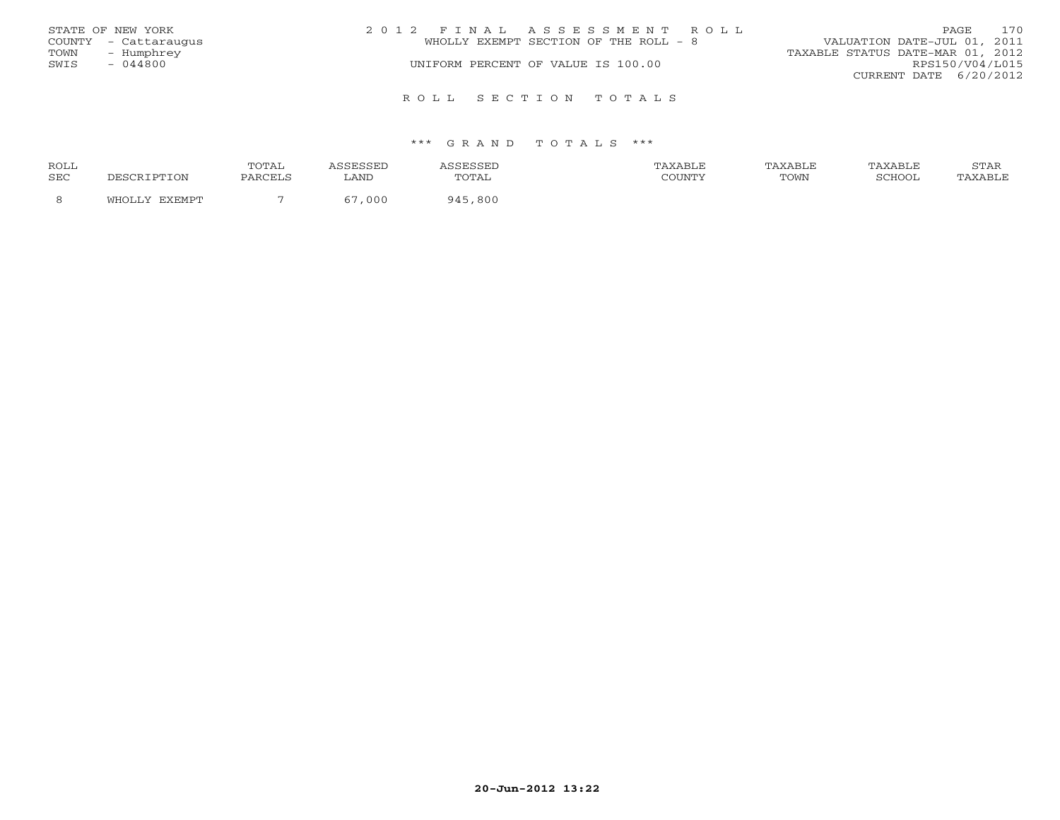|      | STATE OF NEW YORK    | 2012 FINAL ASSESSMENT ROLL            | 170<br>PAGE                      |
|------|----------------------|---------------------------------------|----------------------------------|
|      | COUNTY - Cattaraugus | WHOLLY EXEMPT SECTION OF THE ROLL - 8 | VALUATION DATE-JUL 01, 2011      |
| TOWN | - Humphrey           |                                       | TAXABLE STATUS DATE-MAR 01, 2012 |
| SWIS | - 044800             | UNIFORM PERCENT OF VALUE IS 100.00    | RPS150/V04/L015                  |
|      |                      |                                       | CURRENT DATE $6/20/2012$         |
|      |                      | ROLL SECTION TOTALS                   |                                  |

| ROLL |             | TOTAI<br><u> UIII</u> |      |            | \XABI F |      | TAXABLE | $C$ m $\lambda$ T |
|------|-------------|-----------------------|------|------------|---------|------|---------|-------------------|
| SEC  | <b>TTON</b> | PARCELS               | LAND | TOTAL      | COUNTY  | TOWN |         |                   |
| -8   |             |                       | 000  | ,800<br>QA |         |      |         |                   |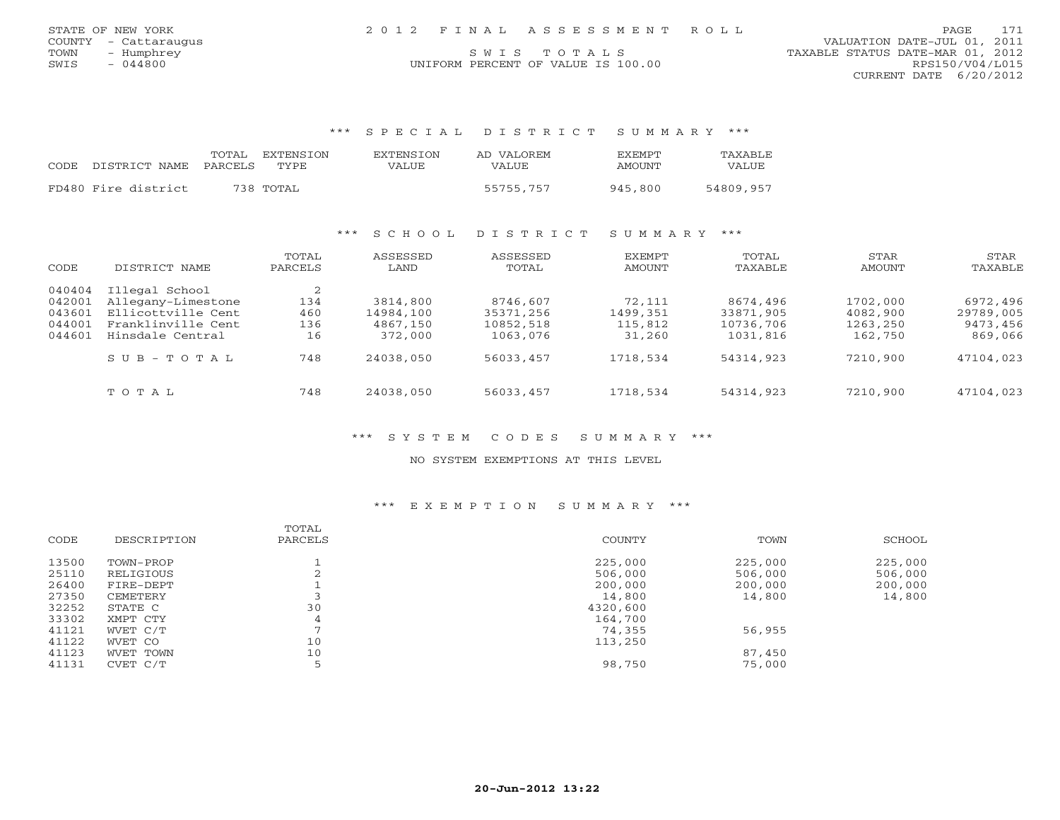| STATE OF NEW YORK |                      |  | 2012 FINAL ASSESSMENT ROLL         |                                  |                        | <b>PAGE</b> | 171 |
|-------------------|----------------------|--|------------------------------------|----------------------------------|------------------------|-------------|-----|
|                   | COUNTY - Cattaraugus |  |                                    | VALUATION DATE-JUL 01, 2011      |                        |             |     |
| TOWN              | - Humphrey           |  | SWIS TOTALS                        | TAXABLE STATUS DATE-MAR 01, 2012 |                        |             |     |
| SWIS              | 044800               |  | UNIFORM PERCENT OF VALUE IS 100.00 |                                  | RPS150/V04/L015        |             |     |
|                   |                      |  |                                    |                                  | CURRENT DATE 6/20/2012 |             |     |

\*\*\* S P E C I A L D I S T R I C T S U M M A R Y \*\*\*

| CODE DISTRICT_NAME PARCELS TYPE | TOTAL EXTENSION | EXTENSTON<br>VALUE | AD VALOREM<br>VALUE. | EXEMPT<br>AMOUNT | TAXABLF<br>VALUE |
|---------------------------------|-----------------|--------------------|----------------------|------------------|------------------|
| FD480 Fire district             | 738 TOTAL       |                    | 55755,757            | 945.800          | 54809,957        |

### \*\*\* S C H O O L D I S T R I C T S U M M A R Y \*\*\*

| CODE                                           | DISTRICT NAME                                                                                        | TOTAL<br>PARCELS             | ASSESSED<br>LAND                             | ASSESSED<br>TOTAL                              | EXEMPT<br>AMOUNT                        | TOTAL<br>TAXABLE                               | STAR<br>AMOUNT                              | STAR<br>TAXABLE                              |
|------------------------------------------------|------------------------------------------------------------------------------------------------------|------------------------------|----------------------------------------------|------------------------------------------------|-----------------------------------------|------------------------------------------------|---------------------------------------------|----------------------------------------------|
| 040404<br>042001<br>043601<br>044001<br>044601 | Illegal School<br>Allegany-Limestone<br>Ellicottville Cent<br>Franklinville Cent<br>Hinsdale Central | 2<br>134<br>460<br>136<br>16 | 3814,800<br>14984,100<br>4867,150<br>372,000 | 8746,607<br>35371,256<br>10852,518<br>1063,076 | 72,111<br>1499,351<br>115,812<br>31,260 | 8674,496<br>33871,905<br>10736,706<br>1031,816 | 1702,000<br>4082,900<br>1263,250<br>162,750 | 6972,496<br>29789,005<br>9473,456<br>869,066 |
|                                                | $S \cup B - T \cup T A$                                                                              | 748                          | 24038,050                                    | 56033,457                                      | 1718,534                                | 54314,923                                      | 7210,900                                    | 47104,023                                    |
|                                                | TOTAL                                                                                                | 748                          | 24038,050                                    | 56033,457                                      | 1718,534                                | 54314,923                                      | 7210,900                                    | 47104,023                                    |

# \*\*\* S Y S T E M C O D E S S U M M A R Y \*\*\*

### NO SYSTEM EXEMPTIONS AT THIS LEVEL

|       |             | TOTAL   |          |         |         |
|-------|-------------|---------|----------|---------|---------|
| CODE  | DESCRIPTION | PARCELS | COUNTY   | TOWN    | SCHOOL  |
| 13500 | TOWN-PROP   |         | 225,000  | 225,000 | 225,000 |
| 25110 | RELIGIOUS   |         | 506,000  | 506,000 | 506,000 |
| 26400 | FIRE-DEPT   |         | 200,000  | 200,000 | 200,000 |
| 27350 | CEMETERY    |         | 14,800   | 14,800  | 14,800  |
| 32252 | STATE C     | 30      | 4320,600 |         |         |
| 33302 | XMPT CTY    | 4       | 164,700  |         |         |
| 41121 | WVET C/T    |         | 74,355   | 56,955  |         |
| 41122 | WVET CO     | 10      | 113,250  |         |         |
| 41123 | WVET TOWN   | 10      |          | 87,450  |         |
| 41131 | CVET C/T    |         | 98,750   | 75,000  |         |
|       |             |         |          |         |         |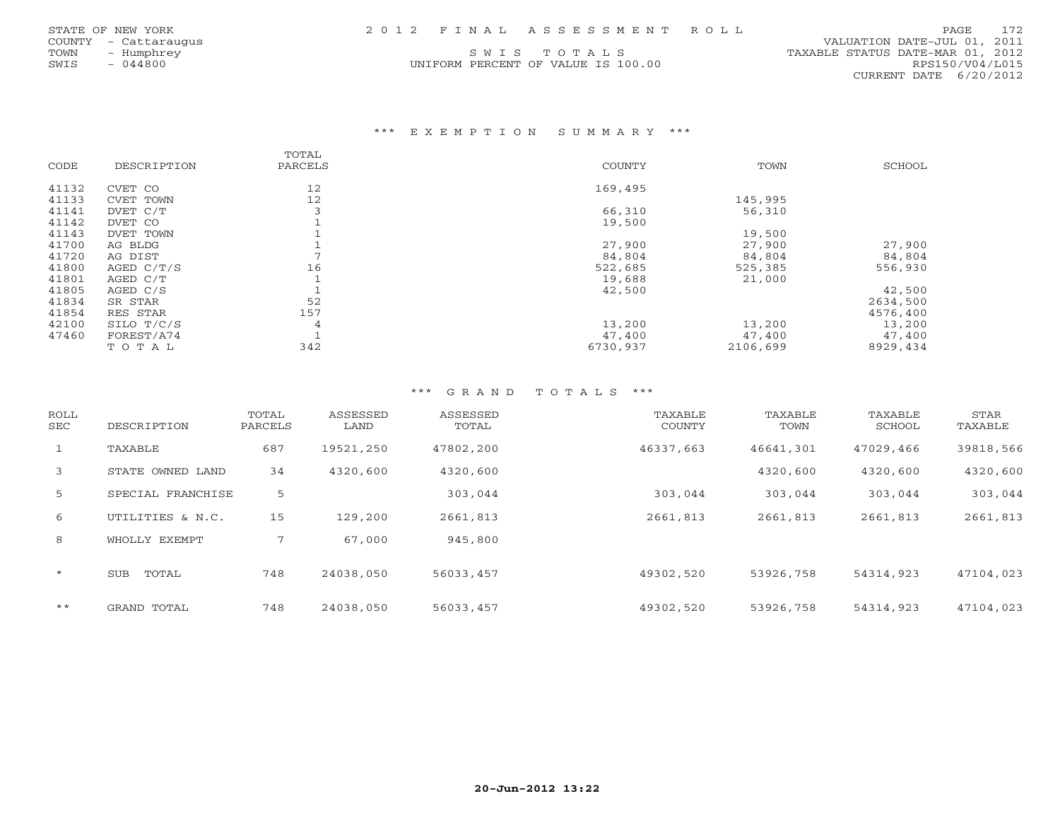| STATE OF NEW YORK |  | 2012 FINAL ASSESSMENT ROLL | PAGE 172 |  |
|-------------------|--|----------------------------|----------|--|
|                   |  |                            |          |  |

UNIFORM PERCENT OF VALUE IS 100.00

 COUNTY - Cattaraugus VALUATION DATE-JUL 01, 2011 TOWN - Humphrey SWISTONIE STATUS DATE-MAR 01, 2012<br>
SWIS - 044800 - UNIFORM PERCENT OF VALUE IS 100.00 - TAXABLE STATUS DATE-MAR 01, 2012 CURRENT DATE 6/20/2012

### \*\*\* E X E M P T I O N S U M M A R Y \*\*\*

|       |             | TOTAL   |          |          |          |
|-------|-------------|---------|----------|----------|----------|
| CODE  | DESCRIPTION | PARCELS | COUNTY   | TOWN     | SCHOOL   |
| 41132 | CVET CO     | 12      | 169,495  |          |          |
| 41133 | CVET TOWN   | 12      |          | 145,995  |          |
| 41141 | DVET C/T    | 3       | 66,310   | 56,310   |          |
| 41142 | DVET CO     |         | 19,500   |          |          |
| 41143 | DVET TOWN   |         |          | 19,500   |          |
| 41700 | AG BLDG     |         | 27,900   | 27,900   | 27,900   |
| 41720 | AG DIST     |         | 84,804   | 84,804   | 84,804   |
| 41800 | AGED C/T/S  | 16      | 522,685  | 525,385  | 556,930  |
| 41801 | AGED C/T    |         | 19,688   | 21,000   |          |
| 41805 | AGED C/S    |         | 42,500   |          | 42,500   |
| 41834 | SR STAR     | 52      |          |          | 2634,500 |
| 41854 | RES STAR    | 157     |          |          | 4576,400 |
| 42100 | SILO T/C/S  | 4       | 13,200   | 13,200   | 13,200   |
| 47460 | FOREST/A74  |         | 47,400   | 47,400   | 47,400   |
|       | TOTAL       | 342     | 6730,937 | 2106,699 | 8929,434 |

| ROLL<br>SEC  | DESCRIPTION         | TOTAL<br>PARCELS | ASSESSED<br>LAND | ASSESSED<br>TOTAL | TAXABLE<br><b>COUNTY</b> | TAXABLE<br>TOWN | TAXABLE<br>SCHOOL | STAR<br>TAXABLE |
|--------------|---------------------|------------------|------------------|-------------------|--------------------------|-----------------|-------------------|-----------------|
| $\mathbf{1}$ | TAXABLE             | 687              | 19521,250        | 47802,200         | 46337,663                | 46641,301       | 47029,466         | 39818,566       |
| 3            | STATE OWNED LAND    | 34               | 4320,600         | 4320,600          |                          | 4320,600        | 4320,600          | 4320,600        |
| 5            | SPECIAL FRANCHISE   | 5                |                  | 303,044           | 303,044                  | 303,044         | 303,044           | 303,044         |
| 6            | UTILITIES & N.C.    | 15               | 129,200          | 2661,813          | 2661,813                 | 2661,813        | 2661,813          | 2661,813        |
| 8            | WHOLLY EXEMPT       | 7                | 67,000           | 945,800           |                          |                 |                   |                 |
| $\star$      | TOTAL<br><b>SUB</b> | 748              | 24038,050        | 56033,457         | 49302,520                | 53926,758       | 54314,923         | 47104,023       |
| $***$        | GRAND TOTAL         | 748              | 24038,050        | 56033,457         | 49302,520                | 53926,758       | 54314,923         | 47104,023       |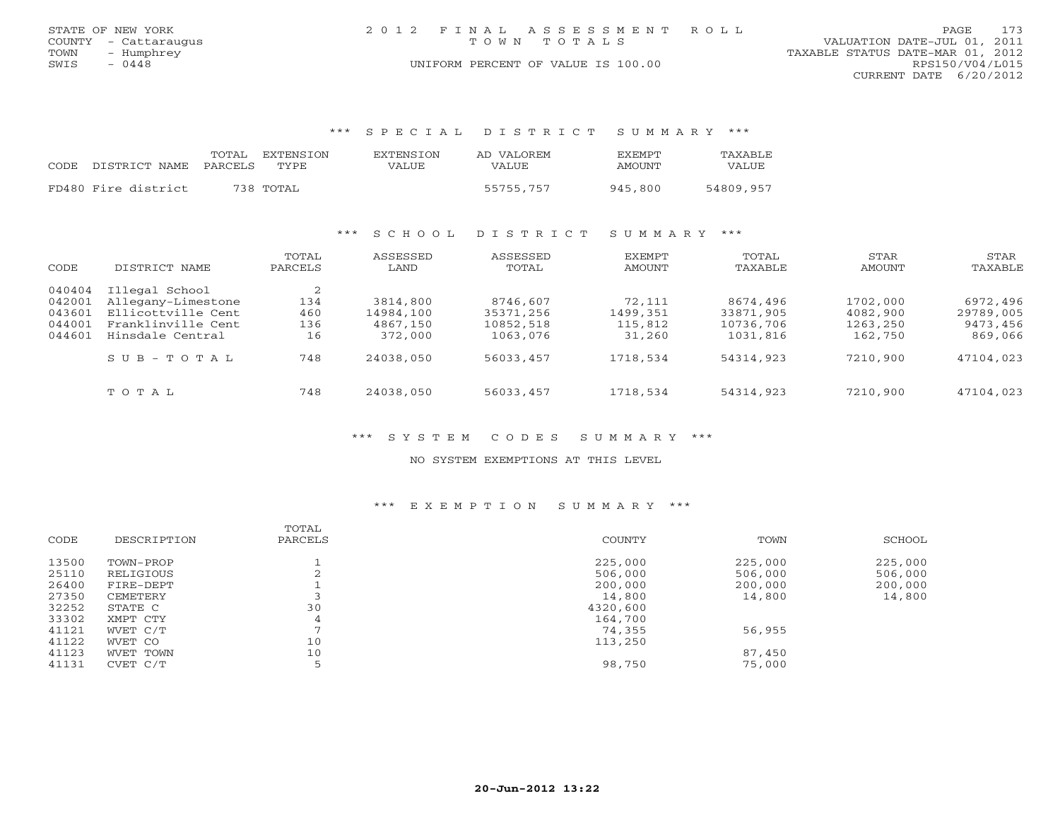|      | STATE OF NEW YORK    | 2012 FINAL ASSESSMENT ROLL         | 173<br>PAGE                      |
|------|----------------------|------------------------------------|----------------------------------|
|      | COUNTY - Cattaraugus | TOWN TOTALS                        | VALUATION DATE-JUL 01, 2011      |
| TOWN | - Humphrey           |                                    | TAXABLE STATUS DATE-MAR 01, 2012 |
| SWIS | $-0448$              | UNIFORM PERCENT OF VALUE IS 100.00 | RPS150/V04/L015                  |
|      |                      |                                    | CURRENT DATE 6/20/2012           |

\*\*\* S P E C I A L D I S T R I C T S U M M A R Y \*\*\*

| CODE DISTRICT NAME PARCELS | TOTAL EXTENSION<br>TYPE. | EXTENSION<br>VALUE | AD VALOREM<br><b>VALUE</b> | <b>F.X F.M PT</b><br>AMOUNT | TAXARLE.<br>VALUE |
|----------------------------|--------------------------|--------------------|----------------------------|-----------------------------|-------------------|
| FD480 Fire district        | 738 TOTAL                |                    | 55755,757                  | 945,800                     | 54809,957         |

### \*\*\* S C H O O L D I S T R I C T S U M M A R Y \*\*\*

| CODE                                           | DISTRICT NAME                                                                                        | TOTAL<br>PARCELS             | ASSESSED<br>LAND                             | ASSESSED<br>TOTAL                              | <b>EXEMPT</b><br>AMOUNT                 | TOTAL<br>TAXABLE                               | STAR<br>AMOUNT                              | STAR<br>TAXABLE                              |
|------------------------------------------------|------------------------------------------------------------------------------------------------------|------------------------------|----------------------------------------------|------------------------------------------------|-----------------------------------------|------------------------------------------------|---------------------------------------------|----------------------------------------------|
| 040404<br>042001<br>043601<br>044001<br>044601 | Illegal School<br>Allegany-Limestone<br>Ellicottville Cent<br>Franklinville Cent<br>Hinsdale Central | 2<br>134<br>460<br>136<br>16 | 3814,800<br>14984,100<br>4867,150<br>372,000 | 8746,607<br>35371,256<br>10852,518<br>1063,076 | 72,111<br>1499,351<br>115,812<br>31,260 | 8674,496<br>33871,905<br>10736,706<br>1031,816 | 1702,000<br>4082,900<br>1263,250<br>162,750 | 6972,496<br>29789,005<br>9473,456<br>869,066 |
|                                                | $S \cup B - T \cup T A L$                                                                            | 748                          | 24038,050                                    | 56033,457                                      | 1718,534                                | 54314,923                                      | 7210,900                                    | 47104,023                                    |
|                                                | TOTAL                                                                                                | 748                          | 24038,050                                    | 56033,457                                      | 1718,534                                | 54314,923                                      | 7210,900                                    | 47104,023                                    |

#### \*\*\* S Y S T E M C O D E S S U M M A R Y \*\*\*

#### NO SYSTEM EXEMPTIONS AT THIS LEVEL

|       |             | TOTAL   |               |         |         |
|-------|-------------|---------|---------------|---------|---------|
| CODE  | DESCRIPTION | PARCELS | <b>COUNTY</b> | TOWN    | SCHOOL  |
| 13500 | TOWN-PROP   |         | 225,000       | 225,000 | 225,000 |
| 25110 | RELIGIOUS   |         | 506,000       | 506,000 | 506,000 |
| 26400 | FIRE-DEPT   |         | 200,000       | 200,000 | 200,000 |
| 27350 | CEMETERY    |         | 14,800        | 14,800  | 14,800  |
| 32252 | STATE C     | 30      | 4320,600      |         |         |
| 33302 | XMPT CTY    |         | 164,700       |         |         |
| 41121 | WVET C/T    |         | 74,355        | 56,955  |         |
| 41122 | WVET CO     | 10      | 113,250       |         |         |
| 41123 | WVET TOWN   | 10      |               | 87,450  |         |
| 41131 | CVET C/T    |         | 98,750        | 75,000  |         |
|       |             |         |               |         |         |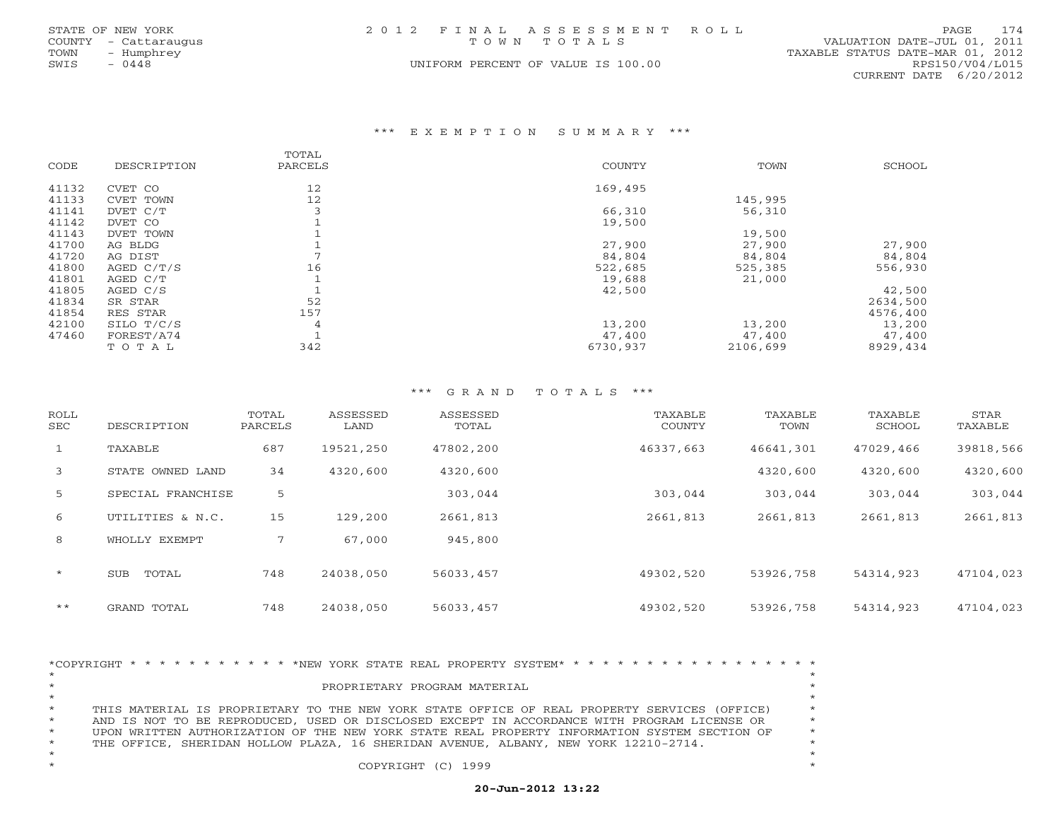|      | STATE OF NEW YORK    |  | 2012 FINAL ASSESSMENT ROLL         |                                  | <b>PAGE</b>            | 174 |
|------|----------------------|--|------------------------------------|----------------------------------|------------------------|-----|
|      | COUNTY - Cattaraugus |  | TOWN TOTALS                        | VALUATION DATE-JUL 01, 2011      |                        |     |
| TOWN | - Humphrey           |  |                                    | TAXABLE STATUS DATE-MAR 01, 2012 |                        |     |
| SWIS | $-0448$              |  | UNIFORM PERCENT OF VALUE IS 100.00 |                                  | RPS150/V04/L015        |     |
|      |                      |  |                                    |                                  | CURRENT DATE 6/20/2012 |     |

#### \*\*\* E X E M P T I O N S U M M A R Y \*\*\*

|       |              | TOTAL   |          |          |          |
|-------|--------------|---------|----------|----------|----------|
| CODE  | DESCRIPTION  | PARCELS | COUNTY   | TOWN     | SCHOOL   |
| 41132 | CVET CO      | 12      | 169,495  |          |          |
| 41133 | CVET TOWN    | 12      |          | 145,995  |          |
| 41141 | DVET C/T     |         | 66,310   | 56,310   |          |
| 41142 | DVET CO      |         | 19,500   |          |          |
| 41143 | DVET TOWN    |         |          | 19,500   |          |
| 41700 | AG BLDG      |         | 27,900   | 27,900   | 27,900   |
| 41720 | AG DIST      |         | 84,804   | 84,804   | 84,804   |
| 41800 | AGED $C/T/S$ | 16      | 522,685  | 525,385  | 556,930  |
| 41801 | AGED C/T     |         | 19,688   | 21,000   |          |
| 41805 | AGED C/S     |         | 42,500   |          | 42,500   |
| 41834 | SR STAR      | 52      |          |          | 2634,500 |
| 41854 | RES STAR     | 157     |          |          | 4576,400 |
| 42100 | SILO T/C/S   | 4       | 13,200   | 13,200   | 13,200   |
| 47460 | FOREST/A74   |         | 47,400   | 47,400   | 47,400   |
|       | TOTAL        | 342     | 6730,937 | 2106,699 | 8929,434 |

| ROLL<br>SEC  | DESCRIPTION       | TOTAL<br>PARCELS | ASSESSED<br>LAND | ASSESSED<br>TOTAL | TAXABLE<br>COUNTY | TAXABLE<br>TOWN | TAXABLE<br>SCHOOL | STAR<br>TAXABLE |
|--------------|-------------------|------------------|------------------|-------------------|-------------------|-----------------|-------------------|-----------------|
| $\mathbf{1}$ | TAXABLE           | 687              | 19521,250        | 47802,200         | 46337,663         | 46641,301       | 47029,466         | 39818,566       |
| 3            | STATE OWNED LAND  | 34               | 4320,600         | 4320,600          |                   | 4320,600        | 4320,600          | 4320,600        |
| 5            | SPECIAL FRANCHISE | 5                |                  | 303,044           | 303,044           | 303,044         | 303,044           | 303,044         |
| 6            | UTILITIES & N.C.  | 15               | 129,200          | 2661,813          | 2661,813          | 2661,813        | 2661,813          | 2661,813        |
| 8            | WHOLLY EXEMPT     | 7                | 67,000           | 945,800           |                   |                 |                   |                 |
| $\star$      | TOTAL<br>SUB      | 748              | 24038,050        | 56033,457         | 49302,520         | 53926,758       | 54314,923         | 47104,023       |
| $***$        | GRAND TOTAL       | 748              | 24038,050        | 56033,457         | 49302,520         | 53926,758       | 54314,923         | 47104,023       |

| $\star$ | *COPYRIGHT * * * * * * * * * * * * NEW YORK STATE REAL PROPERTY SYSTEM* * * * * * * * * * * * * * * * * * * | $\star$ |
|---------|-------------------------------------------------------------------------------------------------------------|---------|
|         |                                                                                                             |         |
| $\star$ | PROPRIETARY PROGRAM MATERIAL                                                                                | $\star$ |
| $\star$ |                                                                                                             | $\star$ |
| $\star$ | THIS MATERIAL IS PROPRIETARY TO THE NEW YORK STATE OFFICE OF REAL PROPERTY SERVICES (OFFICE)                | $\star$ |
| $\star$ | AND IS NOT TO BE REPRODUCED, USED OR DISCLOSED EXCEPT IN ACCORDANCE WITH PROGRAM LICENSE OR                 | $\star$ |
| $\star$ | UPON WRITTEN AUTHORIZATION OF THE NEW YORK STATE REAL PROPERTY INFORMATION SYSTEM SECTION OF                | $\star$ |
| $\star$ | THE OFFICE, SHERIDAN HOLLOW PLAZA, 16 SHERIDAN AVENUE, ALBANY, NEW YORK 12210-2714.                         | $\star$ |
| $\star$ |                                                                                                             | $\star$ |
| $\star$ | COPYRIGHT (C) 1999                                                                                          | $\star$ |